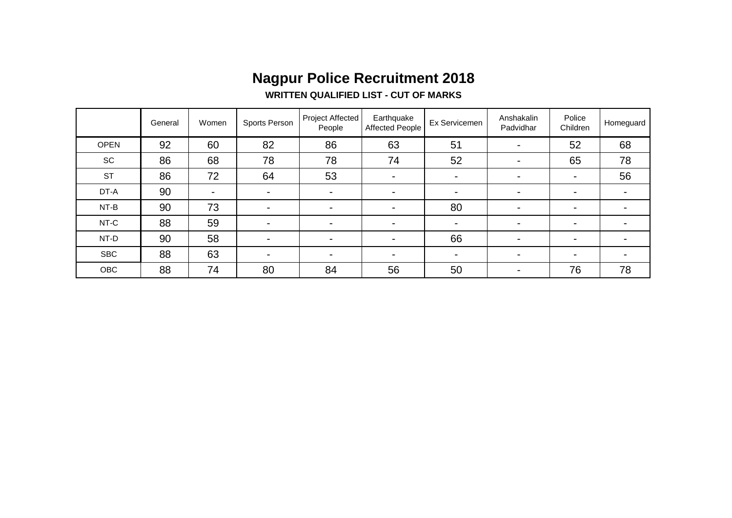# **Nagpur Police Recruitment 2018**

#### **WRITTEN QUALIFIED LIST - CUT OF MARKS**

|             | General | Women                    | Sports Person            | <b>Project Affected</b><br>People | Earthquake<br><b>Affected People</b> | Ex Servicemen  | Anshakalin<br>Padvidhar  | Police<br>Children | Homeguard      |
|-------------|---------|--------------------------|--------------------------|-----------------------------------|--------------------------------------|----------------|--------------------------|--------------------|----------------|
| <b>OPEN</b> | 92      | 60                       | 82                       | 86                                | 63                                   | 51             | $\blacksquare$           | 52                 | 68             |
| SC          | 86      | 68                       | 78                       | 78                                | 74                                   | 52             | $\blacksquare$           | 65                 | 78             |
| <b>ST</b>   | 86      | 72                       | 64                       | 53                                | $\blacksquare$                       | ۰              | $\overline{\phantom{0}}$ | ۰.                 | 56             |
| DT-A        | 90      | $\overline{\phantom{0}}$ | -                        | $\blacksquare$                    | $\blacksquare$                       | $\blacksquare$ | $\blacksquare$           | -                  | $\blacksquare$ |
| NT-B        | 90      | 73                       | $\overline{\phantom{0}}$ | $\overline{\phantom{0}}$          | $\blacksquare$                       | 80             | $\overline{\phantom{0}}$ | -                  | ۰              |
| NT-C        | 88      | 59                       | -                        | $\overline{\phantom{0}}$          | $\blacksquare$                       | $\blacksquare$ | $\blacksquare$           | -                  | $\blacksquare$ |
| NT-D        | 90      | 58                       | $\overline{\phantom{0}}$ | $\blacksquare$                    | $\blacksquare$                       | 66             | $\blacksquare$           | -                  | $\blacksquare$ |
| <b>SBC</b>  | 88      | 63                       |                          | -                                 | $\overline{\phantom{0}}$             | $\blacksquare$ | $\overline{\phantom{0}}$ | -                  | ۰              |
| OBC         | 88      | 74                       | 80                       | 84                                | 56                                   | 50             | $\blacksquare$           | 76                 | 78             |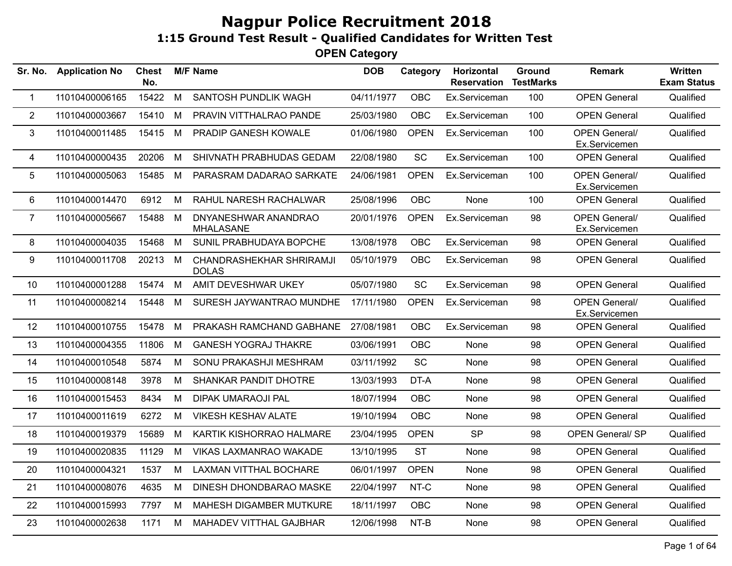| Sr. No.        | <b>Application No</b> | <b>Chest</b><br>No. |   | <b>M/F Name</b>                          | <b>DOB</b> | Category    | Horizontal<br><b>Reservation</b> | Ground<br><b>TestMarks</b> | <b>Remark</b>                         | Written<br><b>Exam Status</b> |
|----------------|-----------------------|---------------------|---|------------------------------------------|------------|-------------|----------------------------------|----------------------------|---------------------------------------|-------------------------------|
| $\mathbf 1$    | 11010400006165        | 15422               | M | SANTOSH PUNDLIK WAGH                     | 04/11/1977 | <b>OBC</b>  | Ex.Serviceman                    | 100                        | <b>OPEN General</b>                   | Qualified                     |
| $\overline{2}$ | 11010400003667        | 15410               | M | PRAVIN VITTHALRAO PANDE                  | 25/03/1980 | OBC         | Ex.Serviceman                    | 100                        | <b>OPEN General</b>                   | Qualified                     |
| $\mathfrak{B}$ | 11010400011485        | 15415               | M | PRADIP GANESH KOWALE                     | 01/06/1980 | <b>OPEN</b> | Ex.Serviceman                    | 100                        | <b>OPEN General/</b><br>Ex.Servicemen | Qualified                     |
| 4              | 11010400000435        | 20206               | M | SHIVNATH PRABHUDAS GEDAM                 | 22/08/1980 | <b>SC</b>   | Ex.Serviceman                    | 100                        | <b>OPEN General</b>                   | Qualified                     |
| 5              | 11010400005063        | 15485               | M | PARASRAM DADARAO SARKATE                 | 24/06/1981 | <b>OPEN</b> | Ex.Serviceman                    | 100                        | <b>OPEN General/</b><br>Ex.Servicemen | Qualified                     |
| 6              | 11010400014470        | 6912                | M | RAHUL NARESH RACHALWAR                   | 25/08/1996 | OBC         | None                             | 100                        | <b>OPEN General</b>                   | Qualified                     |
| $\overline{7}$ | 11010400005667        | 15488               | M | DNYANESHWAR ANANDRAO<br><b>MHALASANE</b> | 20/01/1976 | <b>OPEN</b> | Ex.Serviceman                    | 98                         | <b>OPEN General/</b><br>Ex.Servicemen | Qualified                     |
| 8              | 11010400004035        | 15468               | M | SUNIL PRABHUDAYA BOPCHE                  | 13/08/1978 | OBC         | Ex.Serviceman                    | 98                         | <b>OPEN General</b>                   | Qualified                     |
| 9              | 11010400011708        | 20213               | M | CHANDRASHEKHAR SHRIRAMJI<br><b>DOLAS</b> | 05/10/1979 | OBC         | Ex.Serviceman                    | 98                         | <b>OPEN General</b>                   | Qualified                     |
| 10             | 11010400001288        | 15474               | M | AMIT DEVESHWAR UKEY                      | 05/07/1980 | <b>SC</b>   | Ex.Serviceman                    | 98                         | <b>OPEN General</b>                   | Qualified                     |
| 11             | 11010400008214        | 15448               | M | SURESH JAYWANTRAO MUNDHE                 | 17/11/1980 | <b>OPEN</b> | Ex.Serviceman                    | 98                         | <b>OPEN General/</b><br>Ex.Servicemen | Qualified                     |
| 12             | 11010400010755        | 15478               | M | PRAKASH RAMCHAND GABHANE                 | 27/08/1981 | <b>OBC</b>  | Ex.Serviceman                    | 98                         | <b>OPEN General</b>                   | Qualified                     |
| 13             | 11010400004355        | 11806               | M | <b>GANESH YOGRAJ THAKRE</b>              | 03/06/1991 | <b>OBC</b>  | None                             | 98                         | <b>OPEN General</b>                   | Qualified                     |
| 14             | 11010400010548        | 5874                | M | SONU PRAKASHJI MESHRAM                   | 03/11/1992 | <b>SC</b>   | None                             | 98                         | <b>OPEN General</b>                   | Qualified                     |
| 15             | 11010400008148        | 3978                | M | SHANKAR PANDIT DHOTRE                    | 13/03/1993 | DT-A        | None                             | 98                         | <b>OPEN General</b>                   | Qualified                     |
| 16             | 11010400015453        | 8434                | M | <b>DIPAK UMARAOJI PAL</b>                | 18/07/1994 | <b>OBC</b>  | None                             | 98                         | <b>OPEN General</b>                   | Qualified                     |
| 17             | 11010400011619        | 6272                | M | <b>VIKESH KESHAV ALATE</b>               | 19/10/1994 | <b>OBC</b>  | None                             | 98                         | <b>OPEN General</b>                   | Qualified                     |
| 18             | 11010400019379        | 15689               | M | KARTIK KISHORRAO HALMARE                 | 23/04/1995 | <b>OPEN</b> | <b>SP</b>                        | 98                         | <b>OPEN General/ SP</b>               | Qualified                     |
| 19             | 11010400020835        | 11129               | M | VIKAS LAXMANRAO WAKADE                   | 13/10/1995 | <b>ST</b>   | None                             | 98                         | <b>OPEN General</b>                   | Qualified                     |
| 20             | 11010400004321        | 1537                | M | <b>LAXMAN VITTHAL BOCHARE</b>            | 06/01/1997 | <b>OPEN</b> | None                             | 98                         | <b>OPEN General</b>                   | Qualified                     |
| 21             | 11010400008076        | 4635                | M | DINESH DHONDBARAO MASKE                  | 22/04/1997 | NT-C        | None                             | 98                         | <b>OPEN General</b>                   | Qualified                     |
| 22             | 11010400015993        | 7797                | M | MAHESH DIGAMBER MUTKURE                  | 18/11/1997 | OBC         | None                             | 98                         | <b>OPEN General</b>                   | Qualified                     |
| 23             | 11010400002638        | 1171                | M | MAHADEV VITTHAL GAJBHAR                  | 12/06/1998 | NT-B        | None                             | 98                         | <b>OPEN General</b>                   | Qualified                     |
|                |                       |                     |   |                                          |            |             |                                  |                            |                                       |                               |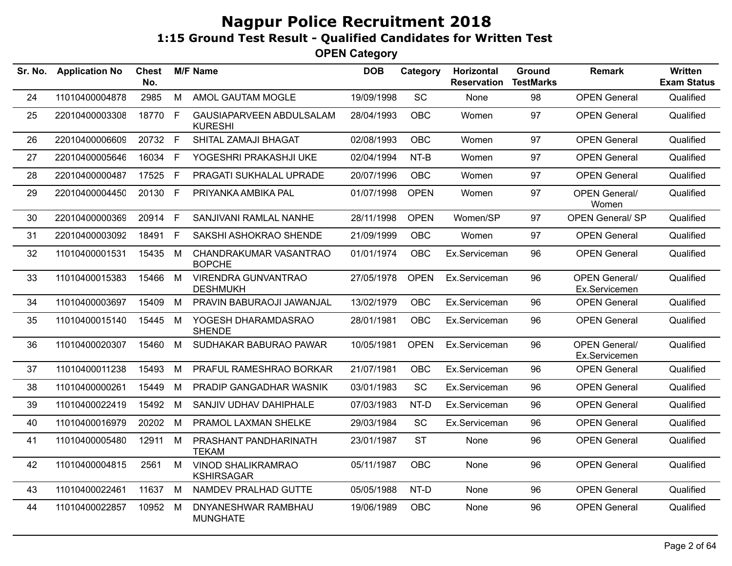| Sr. No. | <b>Application No</b> | Chest<br>No. |    | <b>M/F Name</b>                                | <b>DOB</b> | Category    | Horizontal<br><b>Reservation</b> | <b>Ground</b><br><b>TestMarks</b> | <b>Remark</b>                         | Written<br><b>Exam Status</b> |
|---------|-----------------------|--------------|----|------------------------------------------------|------------|-------------|----------------------------------|-----------------------------------|---------------------------------------|-------------------------------|
| 24      | 11010400004878        | 2985         | M  | AMOL GAUTAM MOGLE                              | 19/09/1998 | SC          | None                             | 98                                | <b>OPEN General</b>                   | Qualified                     |
| 25      | 22010400003308        | 18770        | F. | GAUSIAPARVEEN ABDULSALAM<br><b>KURESHI</b>     | 28/04/1993 | OBC         | Women                            | 97                                | <b>OPEN General</b>                   | Qualified                     |
| 26      | 22010400006609        | 20732 F      |    | SHITAL ZAMAJI BHAGAT                           | 02/08/1993 | <b>OBC</b>  | Women                            | 97                                | <b>OPEN General</b>                   | Qualified                     |
| 27      | 22010400005646        | 16034 F      |    | YOGESHRI PRAKASHJI UKE                         | 02/04/1994 | NT-B        | Women                            | 97                                | <b>OPEN General</b>                   | Qualified                     |
| 28      | 22010400000487        | 17525 F      |    | PRAGATI SUKHALAL UPRADE                        | 20/07/1996 | <b>OBC</b>  | Women                            | 97                                | <b>OPEN General</b>                   | Qualified                     |
| 29      | 22010400004450        | 20130        | F  | PRIYANKA AMBIKA PAL                            | 01/07/1998 | <b>OPEN</b> | Women                            | 97                                | <b>OPEN General/</b><br>Women         | Qualified                     |
| 30      | 22010400000369        | 20914 F      |    | SANJIVANI RAMLAL NANHE                         | 28/11/1998 | <b>OPEN</b> | Women/SP                         | 97                                | <b>OPEN General/ SP</b>               | Qualified                     |
| 31      | 22010400003092        | 18491        | E  | SAKSHI ASHOKRAO SHENDE                         | 21/09/1999 | <b>OBC</b>  | Women                            | 97                                | <b>OPEN General</b>                   | Qualified                     |
| 32      | 11010400001531        | 15435        | M  | CHANDRAKUMAR VASANTRAO<br><b>BOPCHE</b>        | 01/01/1974 | <b>OBC</b>  | Ex.Serviceman                    | 96                                | <b>OPEN General</b>                   | Qualified                     |
| 33      | 11010400015383        | 15466        | M  | <b>VIRENDRA GUNVANTRAO</b><br><b>DESHMUKH</b>  | 27/05/1978 | <b>OPEN</b> | Ex.Serviceman                    | 96                                | <b>OPEN General/</b><br>Ex.Servicemen | Qualified                     |
| 34      | 11010400003697        | 15409        | M  | PRAVIN BABURAOJI JAWANJAL                      | 13/02/1979 | <b>OBC</b>  | Ex.Serviceman                    | 96                                | <b>OPEN General</b>                   | Qualified                     |
| 35      | 11010400015140        | 15445        | M  | YOGESH DHARAMDASRAO<br><b>SHENDE</b>           | 28/01/1981 | <b>OBC</b>  | Ex.Serviceman                    | 96                                | <b>OPEN General</b>                   | Qualified                     |
| 36      | 11010400020307        | 15460        | M  | SUDHAKAR BABURAO PAWAR                         | 10/05/1981 | <b>OPEN</b> | Ex.Serviceman                    | 96                                | <b>OPEN General/</b><br>Ex.Servicemen | Qualified                     |
| 37      | 11010400011238        | 15493        | M  | PRAFUL RAMESHRAO BORKAR                        | 21/07/1981 | <b>OBC</b>  | Ex.Serviceman                    | 96                                | <b>OPEN General</b>                   | Qualified                     |
| 38      | 11010400000261        | 15449        | M  | PRADIP GANGADHAR WASNIK                        | 03/01/1983 | SC          | Ex.Serviceman                    | 96                                | <b>OPEN General</b>                   | Qualified                     |
| 39      | 11010400022419        | 15492        | M  | SANJIV UDHAV DAHIPHALE                         | 07/03/1983 | NT-D        | Ex.Serviceman                    | 96                                | <b>OPEN General</b>                   | Qualified                     |
| 40      | 11010400016979        | 20202        | M  | PRAMOL LAXMAN SHELKE                           | 29/03/1984 | <b>SC</b>   | Ex.Serviceman                    | 96                                | <b>OPEN General</b>                   | Qualified                     |
| 41      | 11010400005480        | 12911        | M  | PRASHANT PANDHARINATH<br><b>TEKAM</b>          | 23/01/1987 | <b>ST</b>   | None                             | 96                                | <b>OPEN General</b>                   | Qualified                     |
| 42      | 11010400004815        | 2561         | M  | <b>VINOD SHALIKRAMRAO</b><br><b>KSHIRSAGAR</b> | 05/11/1987 | <b>OBC</b>  | None                             | 96                                | <b>OPEN General</b>                   | Qualified                     |
| 43      | 11010400022461        | 11637        | M  | NAMDEV PRALHAD GUTTE                           | 05/05/1988 | NT-D        | None                             | 96                                | <b>OPEN General</b>                   | Qualified                     |
| 44      | 11010400022857        | 10952        | M  | DNYANESHWAR RAMBHAU<br><b>MUNGHATE</b>         | 19/06/1989 | <b>OBC</b>  | None                             | 96                                | <b>OPEN General</b>                   | Qualified                     |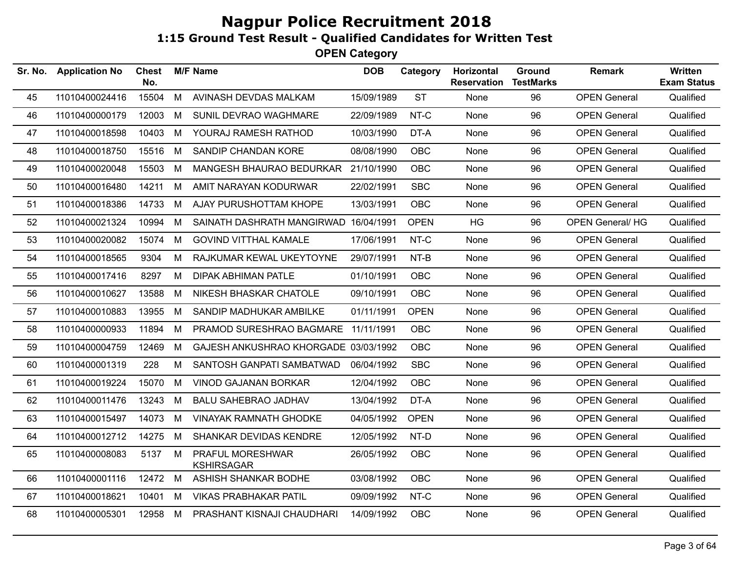| Sr. No. | <b>Application No</b> | <b>Chest</b><br>No. |   | <b>M/F Name</b>                       | <b>DOB</b> | Category    | Horizontal<br><b>Reservation</b> | <b>Ground</b><br><b>TestMarks</b> | <b>Remark</b>           | Written<br><b>Exam Status</b> |
|---------|-----------------------|---------------------|---|---------------------------------------|------------|-------------|----------------------------------|-----------------------------------|-------------------------|-------------------------------|
| 45      | 11010400024416        | 15504               | M | AVINASH DEVDAS MALKAM                 | 15/09/1989 | <b>ST</b>   | None                             | 96                                | <b>OPEN General</b>     | Qualified                     |
| 46      | 11010400000179        | 12003               | M | SUNIL DEVRAO WAGHMARE                 | 22/09/1989 | NT-C        | None                             | 96                                | <b>OPEN General</b>     | Qualified                     |
| 47      | 11010400018598        | 10403               | M | YOURAJ RAMESH RATHOD                  | 10/03/1990 | DT-A        | None                             | 96                                | <b>OPEN General</b>     | Qualified                     |
| 48      | 11010400018750        | 15516               | M | SANDIP CHANDAN KORE                   | 08/08/1990 | <b>OBC</b>  | None                             | 96                                | <b>OPEN General</b>     | Qualified                     |
| 49      | 11010400020048        | 15503               | M | MANGESH BHAURAO BEDURKAR 21/10/1990   |            | <b>OBC</b>  | None                             | 96                                | <b>OPEN General</b>     | Qualified                     |
| 50      | 11010400016480        | 14211               | M | AMIT NARAYAN KODURWAR                 | 22/02/1991 | <b>SBC</b>  | None                             | 96                                | <b>OPEN General</b>     | Qualified                     |
| 51      | 11010400018386        | 14733               | M | AJAY PURUSHOTTAM KHOPE                | 13/03/1991 | <b>OBC</b>  | None                             | 96                                | <b>OPEN General</b>     | Qualified                     |
| 52      | 11010400021324        | 10994               | M | SAINATH DASHRATH MANGIRWAD 16/04/1991 |            | <b>OPEN</b> | HG                               | 96                                | <b>OPEN General/ HG</b> | Qualified                     |
| 53      | 11010400020082        | 15074               | M | <b>GOVIND VITTHAL KAMALE</b>          | 17/06/1991 | NT-C        | None                             | 96                                | <b>OPEN General</b>     | Qualified                     |
| 54      | 11010400018565        | 9304                | M | RAJKUMAR KEWAL UKEYTOYNE              | 29/07/1991 | $NT-B$      | None                             | 96                                | <b>OPEN General</b>     | Qualified                     |
| 55      | 11010400017416        | 8297                | M | DIPAK ABHIMAN PATLE                   | 01/10/1991 | <b>OBC</b>  | None                             | 96                                | <b>OPEN General</b>     | Qualified                     |
| 56      | 11010400010627        | 13588               | M | NIKESH BHASKAR CHATOLE                | 09/10/1991 | <b>OBC</b>  | None                             | 96                                | <b>OPEN General</b>     | Qualified                     |
| 57      | 11010400010883        | 13955               | M | SANDIP MADHUKAR AMBILKE               | 01/11/1991 | <b>OPEN</b> | None                             | 96                                | <b>OPEN General</b>     | Qualified                     |
| 58      | 11010400000933        | 11894               | M | PRAMOD SURESHRAO BAGMARE 11/11/1991   |            | <b>OBC</b>  | None                             | 96                                | <b>OPEN General</b>     | Qualified                     |
| 59      | 11010400004759        | 12469               | M | GAJESH ANKUSHRAO KHORGADE 03/03/1992  |            | <b>OBC</b>  | None                             | 96                                | <b>OPEN General</b>     | Qualified                     |
| 60      | 11010400001319        | 228                 | M | SANTOSH GANPATI SAMBATWAD             | 06/04/1992 | <b>SBC</b>  | None                             | 96                                | <b>OPEN General</b>     | Qualified                     |
| 61      | 11010400019224        | 15070               | M | VINOD GAJANAN BORKAR                  | 12/04/1992 | <b>OBC</b>  | None                             | 96                                | <b>OPEN General</b>     | Qualified                     |
| 62      | 11010400011476        | 13243               | M | <b>BALU SAHEBRAO JADHAV</b>           | 13/04/1992 | DT-A        | None                             | 96                                | <b>OPEN General</b>     | Qualified                     |
| 63      | 11010400015497        | 14073               | M | <b>VINAYAK RAMNATH GHODKE</b>         | 04/05/1992 | <b>OPEN</b> | None                             | 96                                | <b>OPEN General</b>     | Qualified                     |
| 64      | 11010400012712        | 14275               | M | SHANKAR DEVIDAS KENDRE                | 12/05/1992 | NT-D        | None                             | 96                                | <b>OPEN General</b>     | Qualified                     |
| 65      | 11010400008083        | 5137                | M | PRAFUL MORESHWAR<br><b>KSHIRSAGAR</b> | 26/05/1992 | <b>OBC</b>  | None                             | 96                                | <b>OPEN General</b>     | Qualified                     |
| 66      | 11010400001116        | 12472 M             |   | ASHISH SHANKAR BODHE                  | 03/08/1992 | <b>OBC</b>  | None                             | 96                                | <b>OPEN General</b>     | Qualified                     |
| 67      | 11010400018621        | 10401               | M | <b>VIKAS PRABHAKAR PATIL</b>          | 09/09/1992 | NT-C        | None                             | 96                                | <b>OPEN General</b>     | Qualified                     |
| 68      | 11010400005301        | 12958 M             |   | PRASHANT KISNAJI CHAUDHARI            | 14/09/1992 | <b>OBC</b>  | None                             | 96                                | <b>OPEN General</b>     | Qualified                     |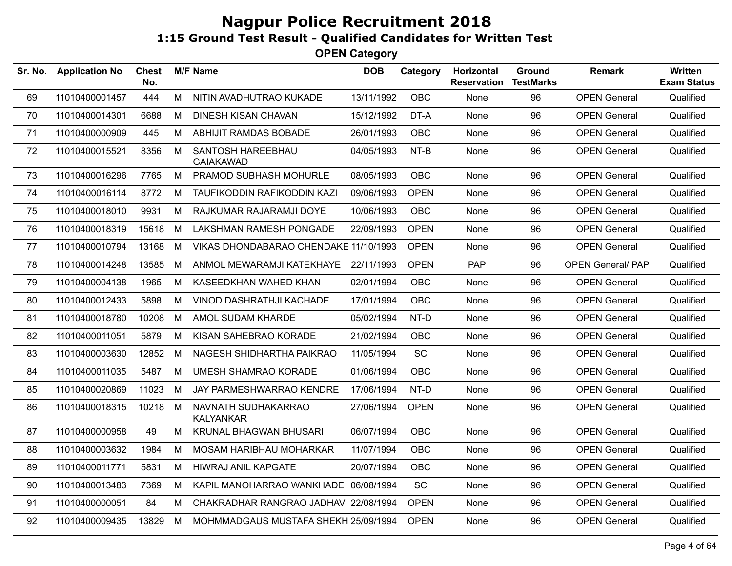| Sr. No. | <b>Application No</b> | <b>Chest</b><br>No. |   | <b>M/F Name</b>                         | <b>DOB</b> | Category    | Horizontal<br><b>Reservation</b> | <b>Ground</b><br><b>TestMarks</b> | <b>Remark</b>            | Written<br><b>Exam Status</b> |
|---------|-----------------------|---------------------|---|-----------------------------------------|------------|-------------|----------------------------------|-----------------------------------|--------------------------|-------------------------------|
| 69      | 11010400001457        | 444                 | M | NITIN AVADHUTRAO KUKADE                 | 13/11/1992 | <b>OBC</b>  | None                             | 96                                | <b>OPEN General</b>      | Qualified                     |
| 70      | 11010400014301        | 6688                | М | <b>DINESH KISAN CHAVAN</b>              | 15/12/1992 | DT-A        | None                             | 96                                | <b>OPEN General</b>      | Qualified                     |
| 71      | 11010400000909        | 445                 | М | ABHIJIT RAMDAS BOBADE                   | 26/01/1993 | <b>OBC</b>  | None                             | 96                                | <b>OPEN General</b>      | Qualified                     |
| 72      | 11010400015521        | 8356                | M | SANTOSH HAREEBHAU<br><b>GAIAKAWAD</b>   | 04/05/1993 | NT-B        | None                             | 96                                | <b>OPEN General</b>      | Qualified                     |
| 73      | 11010400016296        | 7765                | M | PRAMOD SUBHASH MOHURLE                  | 08/05/1993 | <b>OBC</b>  | None                             | 96                                | <b>OPEN General</b>      | Qualified                     |
| 74      | 11010400016114        | 8772                | М | TAUFIKODDIN RAFIKODDIN KAZI             | 09/06/1993 | <b>OPEN</b> | None                             | 96                                | <b>OPEN General</b>      | Qualified                     |
| 75      | 11010400018010        | 9931                | М | RAJKUMAR RAJARAMJI DOYE                 | 10/06/1993 | <b>OBC</b>  | None                             | 96                                | <b>OPEN General</b>      | Qualified                     |
| 76      | 11010400018319        | 15618               | М | <b>LAKSHMAN RAMESH PONGADE</b>          | 22/09/1993 | <b>OPEN</b> | None                             | 96                                | <b>OPEN General</b>      | Qualified                     |
| 77      | 11010400010794        | 13168               | М | VIKAS DHONDABARAO CHENDAKE 11/10/1993   |            | <b>OPEN</b> | None                             | 96                                | <b>OPEN General</b>      | Qualified                     |
| 78      | 11010400014248        | 13585               | M | ANMOL MEWARAMJI KATEKHAYE               | 22/11/1993 | <b>OPEN</b> | <b>PAP</b>                       | 96                                | <b>OPEN General/ PAP</b> | Qualified                     |
| 79      | 11010400004138        | 1965                | М | KASEEDKHAN WAHED KHAN                   | 02/01/1994 | <b>OBC</b>  | None                             | 96                                | <b>OPEN General</b>      | Qualified                     |
| 80      | 11010400012433        | 5898                | М | VINOD DASHRATHJI KACHADE                | 17/01/1994 | <b>OBC</b>  | None                             | 96                                | <b>OPEN General</b>      | Qualified                     |
| 81      | 11010400018780        | 10208               | M | AMOL SUDAM KHARDE                       | 05/02/1994 | NT-D        | None                             | 96                                | <b>OPEN General</b>      | Qualified                     |
| 82      | 11010400011051        | 5879                | M | KISAN SAHEBRAO KORADE                   | 21/02/1994 | <b>OBC</b>  | None                             | 96                                | <b>OPEN General</b>      | Qualified                     |
| 83      | 11010400003630        | 12852               | M | NAGESH SHIDHARTHA PAIKRAO               | 11/05/1994 | <b>SC</b>   | None                             | 96                                | <b>OPEN General</b>      | Qualified                     |
| 84      | 11010400011035        | 5487                | M | <b>UMESH SHAMRAO KORADE</b>             | 01/06/1994 | <b>OBC</b>  | None                             | 96                                | <b>OPEN General</b>      | Qualified                     |
| 85      | 11010400020869        | 11023               | M | JAY PARMESHWARRAO KENDRE                | 17/06/1994 | NT-D        | None                             | 96                                | <b>OPEN General</b>      | Qualified                     |
| 86      | 11010400018315        | 10218               | M | NAVNATH SUDHAKARRAO<br><b>KALYANKAR</b> | 27/06/1994 | <b>OPEN</b> | None                             | 96                                | <b>OPEN General</b>      | Qualified                     |
| 87      | 11010400000958        | 49                  | M | KRUNAL BHAGWAN BHUSARI                  | 06/07/1994 | OBC         | None                             | 96                                | <b>OPEN General</b>      | Qualified                     |
| 88      | 11010400003632        | 1984                | М | MOSAM HARIBHAU MOHARKAR                 | 11/07/1994 | OBC         | None                             | 96                                | <b>OPEN General</b>      | Qualified                     |
| 89      | 11010400011771        | 5831                | M | <b>HIWRAJ ANIL KAPGATE</b>              | 20/07/1994 | OBC         | None                             | 96                                | <b>OPEN General</b>      | Qualified                     |
| 90      | 11010400013483        | 7369                | М | KAPIL MANOHARRAO WANKHADE 06/08/1994    |            | <b>SC</b>   | None                             | 96                                | <b>OPEN General</b>      | Qualified                     |
| 91      | 11010400000051        | 84                  | М | CHAKRADHAR RANGRAO JADHAV 22/08/1994    |            | <b>OPEN</b> | None                             | 96                                | <b>OPEN General</b>      | Qualified                     |
| 92      | 11010400009435        | 13829               | М | MOHMMADGAUS MUSTAFA SHEKH 25/09/1994    |            | <b>OPEN</b> | None                             | 96                                | <b>OPEN General</b>      | Qualified                     |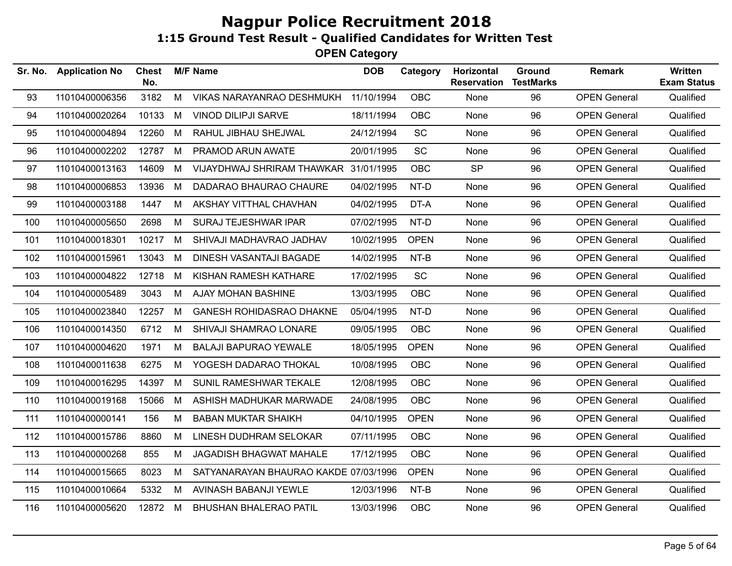| Sr. No. | <b>Application No</b> | Chest<br>No. |   | <b>M/F Name</b>                       | <b>DOB</b> | Category    | Horizontal<br><b>Reservation</b> | Ground<br><b>TestMarks</b> | <b>Remark</b>       | Written<br><b>Exam Status</b> |
|---------|-----------------------|--------------|---|---------------------------------------|------------|-------------|----------------------------------|----------------------------|---------------------|-------------------------------|
| 93      | 11010400006356        | 3182         | M | VIKAS NARAYANRAO DESHMUKH             | 11/10/1994 | <b>OBC</b>  | None                             | 96                         | <b>OPEN General</b> | Qualified                     |
| 94      | 11010400020264        | 10133        | M | <b>VINOD DILIPJI SARVE</b>            | 18/11/1994 | <b>OBC</b>  | None                             | 96                         | <b>OPEN General</b> | Qualified                     |
| 95      | 11010400004894        | 12260        | M | RAHUL JIBHAU SHEJWAL                  | 24/12/1994 | SC          | None                             | 96                         | <b>OPEN General</b> | Qualified                     |
| 96      | 11010400002202        | 12787        | M | PRAMOD ARUN AWATE                     | 20/01/1995 | SC          | None                             | 96                         | <b>OPEN General</b> | Qualified                     |
| 97      | 11010400013163        | 14609        | M | VIJAYDHWAJ SHRIRAM THAWKAR 31/01/1995 |            | <b>OBC</b>  | <b>SP</b>                        | 96                         | <b>OPEN General</b> | Qualified                     |
| 98      | 11010400006853        | 13936        | M | DADARAO BHAURAO CHAURE                | 04/02/1995 | NT-D        | None                             | 96                         | <b>OPEN General</b> | Qualified                     |
| 99      | 11010400003188        | 1447         | M | AKSHAY VITTHAL CHAVHAN                | 04/02/1995 | DT-A        | None                             | 96                         | <b>OPEN General</b> | Qualified                     |
| 100     | 11010400005650        | 2698         | M | <b>SURAJ TEJESHWAR IPAR</b>           | 07/02/1995 | NT-D        | None                             | 96                         | <b>OPEN General</b> | Qualified                     |
| 101     | 11010400018301        | 10217        | M | SHIVAJI MADHAVRAO JADHAV              | 10/02/1995 | <b>OPEN</b> | None                             | 96                         | <b>OPEN General</b> | Qualified                     |
| 102     | 11010400015961        | 13043        | M | DINESH VASANTAJI BAGADE               | 14/02/1995 | NT-B        | None                             | 96                         | <b>OPEN General</b> | Qualified                     |
| 103     | 11010400004822        | 12718        | M | KISHAN RAMESH KATHARE                 | 17/02/1995 | <b>SC</b>   | None                             | 96                         | <b>OPEN General</b> | Qualified                     |
| 104     | 11010400005489        | 3043         | M | AJAY MOHAN BASHINE                    | 13/03/1995 | <b>OBC</b>  | None                             | 96                         | <b>OPEN General</b> | Qualified                     |
| 105     | 11010400023840        | 12257        | M | <b>GANESH ROHIDASRAO DHAKNE</b>       | 05/04/1995 | NT-D        | None                             | 96                         | <b>OPEN General</b> | Qualified                     |
| 106     | 11010400014350        | 6712         | M | SHIVAJI SHAMRAO LONARE                | 09/05/1995 | <b>OBC</b>  | None                             | 96                         | <b>OPEN General</b> | Qualified                     |
| 107     | 11010400004620        | 1971         | M | <b>BALAJI BAPURAO YEWALE</b>          | 18/05/1995 | <b>OPEN</b> | None                             | 96                         | <b>OPEN General</b> | Qualified                     |
| 108     | 11010400011638        | 6275         | м | YOGESH DADARAO THOKAL                 | 10/08/1995 | <b>OBC</b>  | None                             | 96                         | <b>OPEN General</b> | Qualified                     |
| 109     | 11010400016295        | 14397        | M | SUNIL RAMESHWAR TEKALE                | 12/08/1995 | <b>OBC</b>  | None                             | 96                         | <b>OPEN General</b> | Qualified                     |
| 110     | 11010400019168        | 15066        | M | ASHISH MADHUKAR MARWADE               | 24/08/1995 | <b>OBC</b>  | <b>None</b>                      | 96                         | <b>OPEN General</b> | Qualified                     |
| 111     | 11010400000141        | 156          | M | <b>BABAN MUKTAR SHAIKH</b>            | 04/10/1995 | <b>OPEN</b> | None                             | 96                         | <b>OPEN General</b> | Qualified                     |
| 112     | 11010400015786        | 8860         | M | LINESH DUDHRAM SELOKAR                | 07/11/1995 | <b>OBC</b>  | None                             | 96                         | <b>OPEN General</b> | Qualified                     |
| 113     | 11010400000268        | 855          | M | <b>JAGADISH BHAGWAT MAHALE</b>        | 17/12/1995 | <b>OBC</b>  | None                             | 96                         | <b>OPEN General</b> | Qualified                     |
| 114     | 11010400015665        | 8023         | M | SATYANARAYAN BHAURAO KAKDE 07/03/1996 |            | <b>OPEN</b> | None                             | 96                         | <b>OPEN General</b> | Qualified                     |
| 115     | 11010400010664        | 5332         | M | AVINASH BABANJI YEWLE                 | 12/03/1996 | NT-B        | None                             | 96                         | <b>OPEN General</b> | Qualified                     |
| 116     | 11010400005620        | 12872 M      |   | <b>BHUSHAN BHALERAO PATIL</b>         | 13/03/1996 | <b>OBC</b>  | None                             | 96                         | <b>OPEN General</b> | Qualified                     |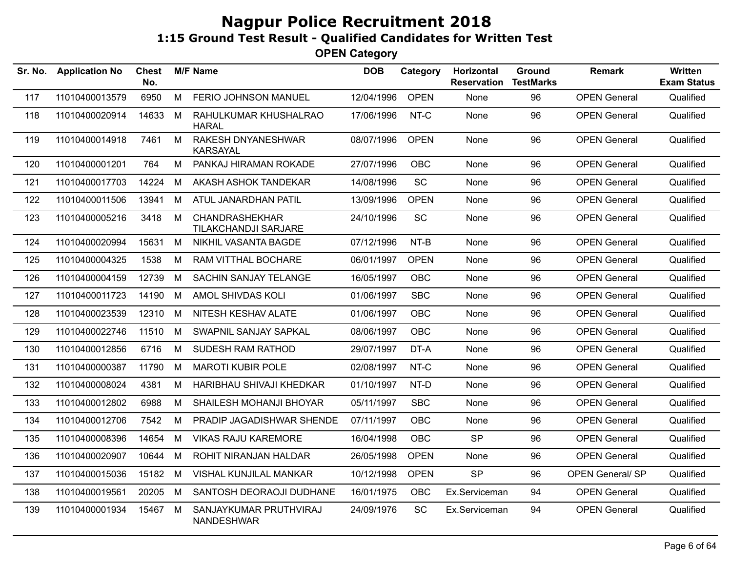| Sr. No. | <b>Application No</b> | <b>Chest</b><br>No. |   | <b>M/F Name</b>                                      | <b>DOB</b> | Category    | Horizontal<br><b>Reservation</b> | Ground<br><b>TestMarks</b> | <b>Remark</b>           | Written<br><b>Exam Status</b> |
|---------|-----------------------|---------------------|---|------------------------------------------------------|------------|-------------|----------------------------------|----------------------------|-------------------------|-------------------------------|
| 117     | 11010400013579        | 6950                | M | FERIO JOHNSON MANUEL                                 | 12/04/1996 | <b>OPEN</b> | None                             | 96                         | <b>OPEN General</b>     | Qualified                     |
| 118     | 11010400020914        | 14633               | M | RAHULKUMAR KHUSHALRAO<br>HARAL                       | 17/06/1996 | NT-C        | None                             | 96                         | <b>OPEN General</b>     | Qualified                     |
| 119     | 11010400014918        | 7461                | М | RAKESH DNYANESHWAR<br><b>KARSAYAL</b>                | 08/07/1996 | <b>OPEN</b> | None                             | 96                         | <b>OPEN General</b>     | Qualified                     |
| 120     | 11010400001201        | 764                 | М | PANKAJ HIRAMAN ROKADE                                | 27/07/1996 | <b>OBC</b>  | None                             | 96                         | <b>OPEN General</b>     | Qualified                     |
| 121     | 11010400017703        | 14224               | M | AKASH ASHOK TANDEKAR                                 | 14/08/1996 | <b>SC</b>   | None                             | 96                         | <b>OPEN General</b>     | Qualified                     |
| 122     | 11010400011506        | 13941               | M | ATUL JANARDHAN PATIL                                 | 13/09/1996 | <b>OPEN</b> | None                             | 96                         | <b>OPEN General</b>     | Qualified                     |
| 123     | 11010400005216        | 3418                | M | <b>CHANDRASHEKHAR</b><br><b>TILAKCHANDJI SARJARE</b> | 24/10/1996 | <b>SC</b>   | None                             | 96                         | <b>OPEN General</b>     | Qualified                     |
| 124     | 11010400020994        | 15631               | M | NIKHIL VASANTA BAGDE                                 | 07/12/1996 | NT-B        | None                             | 96                         | <b>OPEN General</b>     | Qualified                     |
| 125     | 11010400004325        | 1538                | М | RAM VITTHAL BOCHARE                                  | 06/01/1997 | <b>OPEN</b> | None                             | 96                         | <b>OPEN General</b>     | Qualified                     |
| 126     | 11010400004159        | 12739               | M | SACHIN SANJAY TELANGE                                | 16/05/1997 | <b>OBC</b>  | None                             | 96                         | <b>OPEN General</b>     | Qualified                     |
| 127     | 11010400011723        | 14190               | M | AMOL SHIVDAS KOLI                                    | 01/06/1997 | <b>SBC</b>  | None                             | 96                         | <b>OPEN General</b>     | Qualified                     |
| 128     | 11010400023539        | 12310               | М | NITESH KESHAV ALATE                                  | 01/06/1997 | <b>OBC</b>  | None                             | 96                         | <b>OPEN General</b>     | Qualified                     |
| 129     | 11010400022746        | 11510               | M | SWAPNIL SANJAY SAPKAL                                | 08/06/1997 | <b>OBC</b>  | None                             | 96                         | <b>OPEN General</b>     | Qualified                     |
| 130     | 11010400012856        | 6716                | м | SUDESH RAM RATHOD                                    | 29/07/1997 | DT-A        | None                             | 96                         | <b>OPEN General</b>     | Qualified                     |
| 131     | 11010400000387        | 11790               | M | <b>MAROTI KUBIR POLE</b>                             | 02/08/1997 | NT-C        | <b>None</b>                      | 96                         | <b>OPEN General</b>     | Qualified                     |
| 132     | 11010400008024        | 4381                | М | HARIBHAU SHIVAJI KHEDKAR                             | 01/10/1997 | NT-D        | None                             | 96                         | <b>OPEN General</b>     | Qualified                     |
| 133     | 11010400012802        | 6988                | M | SHAILESH MOHANJI BHOYAR                              | 05/11/1997 | <b>SBC</b>  | None                             | 96                         | <b>OPEN General</b>     | Qualified                     |
| 134     | 11010400012706        | 7542                | М | PRADIP JAGADISHWAR SHENDE                            | 07/11/1997 | <b>OBC</b>  | None                             | 96                         | <b>OPEN General</b>     | Qualified                     |
| 135     | 11010400008396        | 14654               | M | <b>VIKAS RAJU KAREMORE</b>                           | 16/04/1998 | <b>OBC</b>  | <b>SP</b>                        | 96                         | <b>OPEN General</b>     | Qualified                     |
| 136     | 11010400020907        | 10644               | М | ROHIT NIRANJAN HALDAR                                | 26/05/1998 | <b>OPEN</b> | None                             | 96                         | <b>OPEN General</b>     | Qualified                     |
| 137     | 11010400015036        | 15182               | M | VISHAL KUNJILAL MANKAR                               | 10/12/1998 | <b>OPEN</b> | <b>SP</b>                        | 96                         | <b>OPEN General/ SP</b> | Qualified                     |
| 138     | 11010400019561        | 20205               | M | SANTOSH DEORAOJI DUDHANE                             | 16/01/1975 | <b>OBC</b>  | Ex.Serviceman                    | 94                         | <b>OPEN General</b>     | Qualified                     |
| 139     | 11010400001934        | 15467               | M | SANJAYKUMAR PRUTHVIRAJ<br><b>NANDESHWAR</b>          | 24/09/1976 | <b>SC</b>   | Ex.Serviceman                    | 94                         | <b>OPEN General</b>     | Qualified                     |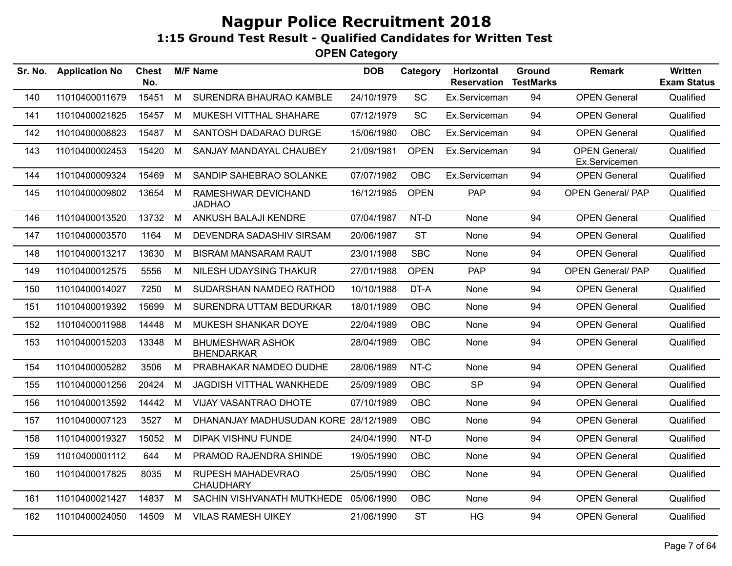| Sr. No. | <b>Application No</b> | <b>Chest</b><br>No. |   | <b>M/F Name</b>                              | <b>DOB</b> | Category    | Horizontal<br><b>Reservation</b> | Ground<br><b>TestMarks</b> | <b>Remark</b>                         | <b>Written</b><br><b>Exam Status</b> |
|---------|-----------------------|---------------------|---|----------------------------------------------|------------|-------------|----------------------------------|----------------------------|---------------------------------------|--------------------------------------|
| 140     | 11010400011679        | 15451               | M | SURENDRA BHAURAO KAMBLE                      | 24/10/1979 | <b>SC</b>   | Ex.Serviceman                    | 94                         | <b>OPEN General</b>                   | Qualified                            |
| 141     | 11010400021825        | 15457               | M | MUKESH VITTHAL SHAHARE                       | 07/12/1979 | SC          | Ex.Serviceman                    | 94                         | <b>OPEN General</b>                   | Qualified                            |
| 142     | 11010400008823        | 15487               | M | SANTOSH DADARAO DURGE                        | 15/06/1980 | <b>OBC</b>  | Ex.Serviceman                    | 94                         | <b>OPEN General</b>                   | Qualified                            |
| 143     | 11010400002453        | 15420               | M | SANJAY MANDAYAL CHAUBEY                      | 21/09/1981 | <b>OPEN</b> | Ex.Serviceman                    | 94                         | <b>OPEN General/</b><br>Ex.Servicemen | Qualified                            |
| 144     | 11010400009324        | 15469               | M | SANDIP SAHEBRAO SOLANKE                      | 07/07/1982 | <b>OBC</b>  | Ex.Serviceman                    | 94                         | <b>OPEN General</b>                   | Qualified                            |
| 145     | 11010400009802        | 13654               | M | RAMESHWAR DEVICHAND<br><b>JADHAO</b>         | 16/12/1985 | <b>OPEN</b> | PAP                              | 94                         | <b>OPEN General/ PAP</b>              | Qualified                            |
| 146     | 11010400013520        | 13732 M             |   | ANKUSH BALAJI KENDRE                         | 07/04/1987 | NT-D        | None                             | 94                         | <b>OPEN General</b>                   | Qualified                            |
| 147     | 11010400003570        | 1164                | M | DEVENDRA SADASHIV SIRSAM                     | 20/06/1987 | <b>ST</b>   | None                             | 94                         | <b>OPEN General</b>                   | Qualified                            |
| 148     | 11010400013217        | 13630               | M | <b>BISRAM MANSARAM RAUT</b>                  | 23/01/1988 | <b>SBC</b>  | None                             | 94                         | <b>OPEN General</b>                   | Qualified                            |
| 149     | 11010400012575        | 5556                | M | NILESH UDAYSING THAKUR                       | 27/01/1988 | <b>OPEN</b> | <b>PAP</b>                       | 94                         | <b>OPEN General/ PAP</b>              | Qualified                            |
| 150     | 11010400014027        | 7250                | M | SUDARSHAN NAMDEO RATHOD                      | 10/10/1988 | DT-A        | None                             | 94                         | <b>OPEN General</b>                   | Qualified                            |
| 151     | 11010400019392        | 15699               | M | SURENDRA UTTAM BEDURKAR                      | 18/01/1989 | OBC         | None                             | 94                         | <b>OPEN General</b>                   | Qualified                            |
| 152     | 11010400011988        | 14448               | M | MUKESH SHANKAR DOYE                          | 22/04/1989 | <b>OBC</b>  | None                             | 94                         | <b>OPEN General</b>                   | Qualified                            |
| 153     | 11010400015203        | 13348               | M | <b>BHUMESHWAR ASHOK</b><br><b>BHENDARKAR</b> | 28/04/1989 | <b>OBC</b>  | None                             | 94                         | <b>OPEN General</b>                   | Qualified                            |
| 154     | 11010400005282        | 3506                | М | PRABHAKAR NAMDEO DUDHE                       | 28/06/1989 | NT-C        | None                             | 94                         | <b>OPEN General</b>                   | Qualified                            |
| 155     | 11010400001256        | 20424               | M | <b>JAGDISH VITTHAL WANKHEDE</b>              | 25/09/1989 | <b>OBC</b>  | <b>SP</b>                        | 94                         | <b>OPEN General</b>                   | Qualified                            |
| 156     | 11010400013592        | 14442               | M | VIJAY VASANTRAO DHOTE                        | 07/10/1989 | <b>OBC</b>  | None                             | 94                         | <b>OPEN General</b>                   | Qualified                            |
| 157     | 11010400007123        | 3527                | M | DHANANJAY MADHUSUDAN KORE 28/12/1989         |            | <b>OBC</b>  | None                             | 94                         | <b>OPEN General</b>                   | Qualified                            |
| 158     | 11010400019327        | 15052               | M | <b>DIPAK VISHNU FUNDE</b>                    | 24/04/1990 | NT-D        | None                             | 94                         | <b>OPEN General</b>                   | Qualified                            |
| 159     | 11010400001112        | 644                 | М | PRAMOD RAJENDRA SHINDE                       | 19/05/1990 | <b>OBC</b>  | None                             | 94                         | <b>OPEN General</b>                   | Qualified                            |
| 160     | 11010400017825        | 8035                | M | RUPESH MAHADEVRAO<br><b>CHAUDHARY</b>        | 25/05/1990 | <b>OBC</b>  | None                             | 94                         | <b>OPEN General</b>                   | Qualified                            |
| 161     | 11010400021427        | 14837               | M | SACHIN VISHVANATH MUTKHEDE 05/06/1990        |            | <b>OBC</b>  | None                             | 94                         | <b>OPEN General</b>                   | Qualified                            |
| 162     | 11010400024050        | 14509               | M | <b>VILAS RAMESH UIKEY</b>                    | 21/06/1990 | <b>ST</b>   | <b>HG</b>                        | 94                         | <b>OPEN General</b>                   | Qualified                            |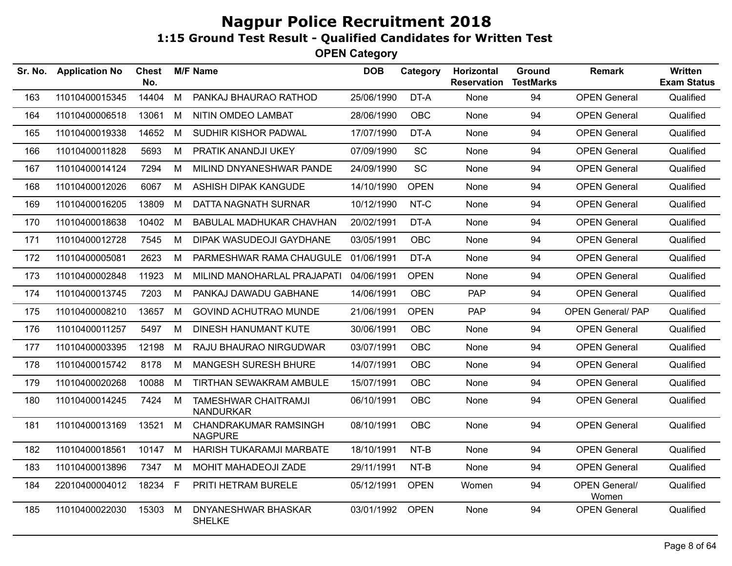| Sr. No. | <b>Application No</b> | <b>Chest</b><br>No. |    | <b>M/F Name</b>                                 | <b>DOB</b> | Category    | Horizontal<br><b>Reservation</b> | Ground<br><b>TestMarks</b> | <b>Remark</b>                 | Written<br><b>Exam Status</b> |
|---------|-----------------------|---------------------|----|-------------------------------------------------|------------|-------------|----------------------------------|----------------------------|-------------------------------|-------------------------------|
| 163     | 11010400015345        | 14404               | M  | PANKAJ BHAURAO RATHOD                           | 25/06/1990 | DT-A        | None                             | 94                         | <b>OPEN General</b>           | Qualified                     |
| 164     | 11010400006518        | 13061               | M  | NITIN OMDEO LAMBAT                              | 28/06/1990 | <b>OBC</b>  | None                             | 94                         | <b>OPEN General</b>           | Qualified                     |
| 165     | 11010400019338        | 14652               | M  | SUDHIR KISHOR PADWAL                            | 17/07/1990 | DT-A        | None                             | 94                         | <b>OPEN General</b>           | Qualified                     |
| 166     | 11010400011828        | 5693                | М  | PRATIK ANANDJI UKEY                             | 07/09/1990 | <b>SC</b>   | None                             | 94                         | <b>OPEN General</b>           | Qualified                     |
| 167     | 11010400014124        | 7294                | М  | MILIND DNYANESHWAR PANDE                        | 24/09/1990 | <b>SC</b>   | None                             | 94                         | <b>OPEN General</b>           | Qualified                     |
| 168     | 11010400012026        | 6067                | М  | ASHISH DIPAK KANGUDE                            | 14/10/1990 | <b>OPEN</b> | None                             | 94                         | <b>OPEN General</b>           | Qualified                     |
| 169     | 11010400016205        | 13809               | M  | DATTA NAGNATH SURNAR                            | 10/12/1990 | NT-C        | None                             | 94                         | <b>OPEN General</b>           | Qualified                     |
| 170     | 11010400018638        | 10402               | M  | <b>BABULAL MADHUKAR CHAVHAN</b>                 | 20/02/1991 | DT-A        | None                             | 94                         | <b>OPEN General</b>           | Qualified                     |
| 171     | 11010400012728        | 7545                | M  | DIPAK WASUDEOJI GAYDHANE                        | 03/05/1991 | OBC         | None                             | 94                         | <b>OPEN General</b>           | Qualified                     |
| 172     | 11010400005081        | 2623                | М  | PARMESHWAR RAMA CHAUGULE                        | 01/06/1991 | DT-A        | None                             | 94                         | <b>OPEN General</b>           | Qualified                     |
| 173     | 11010400002848        | 11923               | M  | MILIND MANOHARLAL PRAJAPATI                     | 04/06/1991 | <b>OPEN</b> | None                             | 94                         | <b>OPEN General</b>           | Qualified                     |
| 174     | 11010400013745        | 7203                | M  | PANKAJ DAWADU GABHANE                           | 14/06/1991 | <b>OBC</b>  | PAP                              | 94                         | <b>OPEN General</b>           | Qualified                     |
| 175     | 11010400008210        | 13657               | M  | <b>GOVIND ACHUTRAO MUNDE</b>                    | 21/06/1991 | <b>OPEN</b> | <b>PAP</b>                       | 94                         | <b>OPEN General/ PAP</b>      | Qualified                     |
| 176     | 11010400011257        | 5497                | М  | DINESH HANUMANT KUTE                            | 30/06/1991 | <b>OBC</b>  | None                             | 94                         | <b>OPEN General</b>           | Qualified                     |
| 177     | 11010400003395        | 12198               | М  | RAJU BHAURAO NIRGUDWAR                          | 03/07/1991 | <b>OBC</b>  | None                             | 94                         | <b>OPEN General</b>           | Qualified                     |
| 178     | 11010400015742        | 8178                | M  | <b>MANGESH SURESH BHURE</b>                     | 14/07/1991 | <b>OBC</b>  | None                             | 94                         | <b>OPEN General</b>           | Qualified                     |
| 179     | 11010400020268        | 10088               | M  | TIRTHAN SEWAKRAM AMBULE                         | 15/07/1991 | <b>OBC</b>  | None                             | 94                         | <b>OPEN General</b>           | Qualified                     |
| 180     | 11010400014245        | 7424                | M  | <b>TAMESHWAR CHAITRAMJI</b><br><b>NANDURKAR</b> | 06/10/1991 | <b>OBC</b>  | None                             | 94                         | <b>OPEN General</b>           | Qualified                     |
| 181     | 11010400013169        | 13521               | M  | CHANDRAKUMAR RAMSINGH<br><b>NAGPURE</b>         | 08/10/1991 | OBC         | None                             | 94                         | <b>OPEN General</b>           | Qualified                     |
| 182     | 11010400018561        | 10147               | M  | HARISH TUKARAMJI MARBATE                        | 18/10/1991 | NT-B        | None                             | 94                         | <b>OPEN General</b>           | Qualified                     |
| 183     | 11010400013896        | 7347                | M  | MOHIT MAHADEOJI ZADE                            | 29/11/1991 | NT-B        | <b>None</b>                      | 94                         | <b>OPEN General</b>           | Qualified                     |
| 184     | 22010400004012        | 18234               | F. | PRITI HETRAM BURELE                             | 05/12/1991 | <b>OPEN</b> | Women                            | 94                         | <b>OPEN General/</b><br>Women | Qualified                     |
| 185     | 11010400022030        | 15303               | М  | DNYANESHWAR BHASKAR<br><b>SHELKE</b>            | 03/01/1992 | <b>OPEN</b> | None                             | 94                         | <b>OPEN General</b>           | Qualified                     |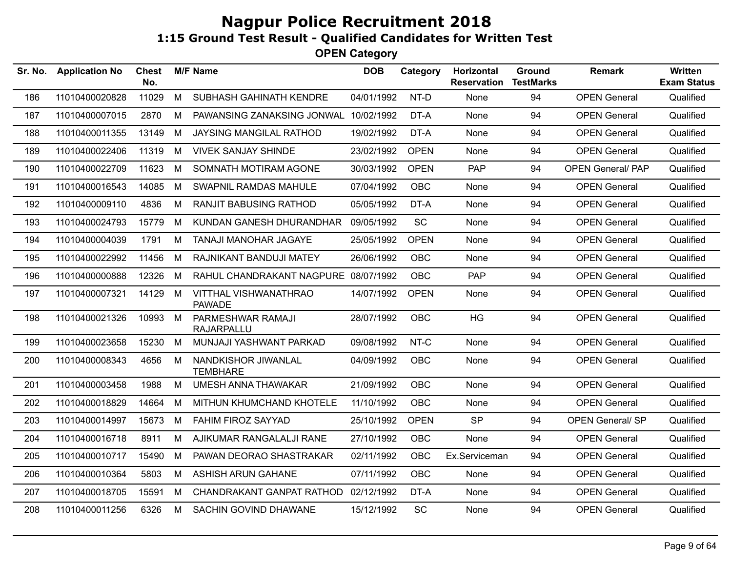| Sr. No. | <b>Application No</b> | <b>Chest</b><br>No. |   | <b>M/F Name</b>                               | <b>DOB</b> | Category    | Horizontal<br><b>Reservation</b> | Ground<br><b>TestMarks</b> | <b>Remark</b>            | <b>Written</b><br><b>Exam Status</b> |
|---------|-----------------------|---------------------|---|-----------------------------------------------|------------|-------------|----------------------------------|----------------------------|--------------------------|--------------------------------------|
| 186     | 11010400020828        | 11029               | M | SUBHASH GAHINATH KENDRE                       | 04/01/1992 | NT-D        | None                             | 94                         | <b>OPEN General</b>      | Qualified                            |
| 187     | 11010400007015        | 2870                | M | PAWANSING ZANAKSING JONWAL                    | 10/02/1992 | DT-A        | None                             | 94                         | <b>OPEN General</b>      | Qualified                            |
| 188     | 11010400011355        | 13149               | M | <b>JAYSING MANGILAL RATHOD</b>                | 19/02/1992 | DT-A        | None                             | 94                         | <b>OPEN General</b>      | Qualified                            |
| 189     | 11010400022406        | 11319               | M | <b>VIVEK SANJAY SHINDE</b>                    | 23/02/1992 | <b>OPEN</b> | None                             | 94                         | <b>OPEN General</b>      | Qualified                            |
| 190     | 11010400022709        | 11623               | M | SOMNATH MOTIRAM AGONE                         | 30/03/1992 | <b>OPEN</b> | <b>PAP</b>                       | 94                         | <b>OPEN General/ PAP</b> | Qualified                            |
| 191     | 11010400016543        | 14085               | M | <b>SWAPNIL RAMDAS MAHULE</b>                  | 07/04/1992 | <b>OBC</b>  | None                             | 94                         | <b>OPEN General</b>      | Qualified                            |
| 192     | 11010400009110        | 4836                | M | <b>RANJIT BABUSING RATHOD</b>                 | 05/05/1992 | DT-A        | None                             | 94                         | <b>OPEN General</b>      | Qualified                            |
| 193     | 11010400024793        | 15779               | M | KUNDAN GANESH DHURANDHAR                      | 09/05/1992 | <b>SC</b>   | None                             | 94                         | <b>OPEN General</b>      | Qualified                            |
| 194     | 11010400004039        | 1791                | M | TANAJI MANOHAR JAGAYE                         | 25/05/1992 | <b>OPEN</b> | None                             | 94                         | <b>OPEN General</b>      | Qualified                            |
| 195     | 11010400022992        | 11456               | M | RAJNIKANT BANDUJI MATEY                       | 26/06/1992 | <b>OBC</b>  | None                             | 94                         | <b>OPEN General</b>      | Qualified                            |
| 196     | 11010400000888        | 12326               | M | RAHUL CHANDRAKANT NAGPURE 08/07/1992          |            | <b>OBC</b>  | <b>PAP</b>                       | 94                         | <b>OPEN General</b>      | Qualified                            |
| 197     | 11010400007321        | 14129               | M | <b>VITTHAL VISHWANATHRAO</b><br><b>PAWADE</b> | 14/07/1992 | <b>OPEN</b> | <b>None</b>                      | 94                         | <b>OPEN General</b>      | Qualified                            |
| 198     | 11010400021326        | 10993               | M | PARMESHWAR RAMAJI<br><b>RAJARPALLU</b>        | 28/07/1992 | OBC         | HG                               | 94                         | <b>OPEN General</b>      | Qualified                            |
| 199     | 11010400023658        | 15230               | M | MUNJAJI YASHWANT PARKAD                       | 09/08/1992 | NT-C        | None                             | 94                         | <b>OPEN General</b>      | Qualified                            |
| 200     | 11010400008343        | 4656                | M | NANDKISHOR JIWANLAL<br><b>TEMBHARE</b>        | 04/09/1992 | <b>OBC</b>  | None                             | 94                         | <b>OPEN General</b>      | Qualified                            |
| 201     | 11010400003458        | 1988                | M | <b>UMESH ANNA THAWAKAR</b>                    | 21/09/1992 | <b>OBC</b>  | None                             | 94                         | <b>OPEN General</b>      | Qualified                            |
| 202     | 11010400018829        | 14664               | M | MITHUN KHUMCHAND KHOTELE                      | 11/10/1992 | <b>OBC</b>  | <b>None</b>                      | 94                         | <b>OPEN General</b>      | Qualified                            |
| 203     | 11010400014997        | 15673               | M | <b>FAHIM FIROZ SAYYAD</b>                     | 25/10/1992 | <b>OPEN</b> | <b>SP</b>                        | 94                         | <b>OPEN General/ SP</b>  | Qualified                            |
| 204     | 11010400016718        | 8911                | М | AJIKUMAR RANGALALJI RANE                      | 27/10/1992 | OBC         | None                             | 94                         | <b>OPEN General</b>      | Qualified                            |
| 205     | 11010400010717        | 15490               | M | PAWAN DEORAO SHASTRAKAR                       | 02/11/1992 | OBC         | Ex.Serviceman                    | 94                         | <b>OPEN General</b>      | Qualified                            |
| 206     | 11010400010364        | 5803                | М | ASHISH ARUN GAHANE                            | 07/11/1992 | <b>OBC</b>  | None                             | 94                         | <b>OPEN General</b>      | Qualified                            |
| 207     | 11010400018705        | 15591               | M | CHANDRAKANT GANPAT RATHOD                     | 02/12/1992 | DT-A        | None                             | 94                         | <b>OPEN General</b>      | Qualified                            |
| 208     | 11010400011256        | 6326                | М | SACHIN GOVIND DHAWANE                         | 15/12/1992 | SC          | None                             | 94                         | <b>OPEN General</b>      | Qualified                            |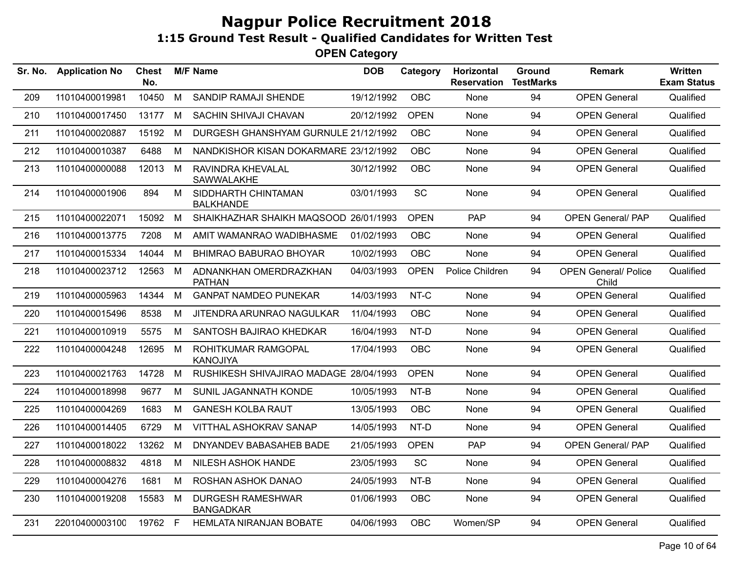| Sr. No. | <b>Application No</b> | <b>Chest</b><br>No. |   | <b>M/F Name</b>                              | <b>DOB</b> | Category    | Horizontal<br><b>Reservation</b> | Ground<br><b>TestMarks</b> | <b>Remark</b>                        | Written<br><b>Exam Status</b> |
|---------|-----------------------|---------------------|---|----------------------------------------------|------------|-------------|----------------------------------|----------------------------|--------------------------------------|-------------------------------|
| 209     | 11010400019981        | 10450               | M | SANDIP RAMAJI SHENDE                         | 19/12/1992 | <b>OBC</b>  | None                             | 94                         | <b>OPEN General</b>                  | Qualified                     |
| 210     | 11010400017450        | 13177               | M | SACHIN SHIVAJI CHAVAN                        | 20/12/1992 | <b>OPEN</b> | None                             | 94                         | <b>OPEN General</b>                  | Qualified                     |
| 211     | 11010400020887        | 15192               | M | DURGESH GHANSHYAM GURNULE 21/12/1992         |            | <b>OBC</b>  | None                             | 94                         | <b>OPEN General</b>                  | Qualified                     |
| 212     | 11010400010387        | 6488                | М | NANDKISHOR KISAN DOKARMARE 23/12/1992        |            | <b>OBC</b>  | None                             | 94                         | <b>OPEN General</b>                  | Qualified                     |
| 213     | 11010400000088        | 12013               | M | RAVINDRA KHEVALAL<br>SAWWALAKHE              | 30/12/1992 | OBC         | <b>None</b>                      | 94                         | <b>OPEN General</b>                  | Qualified                     |
| 214     | 11010400001906        | 894                 | M | SIDDHARTH CHINTAMAN<br><b>BALKHANDE</b>      | 03/01/1993 | <b>SC</b>   | None                             | 94                         | <b>OPEN General</b>                  | Qualified                     |
| 215     | 11010400022071        | 15092               | M | SHAIKHAZHAR SHAIKH MAQSOOD 26/01/1993        |            | <b>OPEN</b> | <b>PAP</b>                       | 94                         | <b>OPEN General/ PAP</b>             | Qualified                     |
| 216     | 11010400013775        | 7208                | M | AMIT WAMANRAO WADIBHASME                     | 01/02/1993 | <b>OBC</b>  | None                             | 94                         | <b>OPEN General</b>                  | Qualified                     |
| 217     | 11010400015334        | 14044               | M | BHIMRAO BABURAO BHOYAR                       | 10/02/1993 | OBC         | None                             | 94                         | <b>OPEN General</b>                  | Qualified                     |
| 218     | 11010400023712        | 12563               | M | ADNANKHAN OMERDRAZKHAN<br><b>PATHAN</b>      | 04/03/1993 | <b>OPEN</b> | Police Children                  | 94                         | <b>OPEN General/ Police</b><br>Child | Qualified                     |
| 219     | 11010400005963        | 14344               | M | <b>GANPAT NAMDEO PUNEKAR</b>                 | 14/03/1993 | NT-C        | None                             | 94                         | <b>OPEN General</b>                  | Qualified                     |
| 220     | 11010400015496        | 8538                | M | JITENDRA ARUNRAO NAGULKAR                    | 11/04/1993 | OBC         | None                             | 94                         | <b>OPEN General</b>                  | Qualified                     |
| 221     | 11010400010919        | 5575                | M | SANTOSH BAJIRAO KHEDKAR                      | 16/04/1993 | NT-D        | <b>None</b>                      | 94                         | <b>OPEN General</b>                  | Qualified                     |
| 222     | 11010400004248        | 12695               | M | ROHITKUMAR RAMGOPAL<br><b>KANOJIYA</b>       | 17/04/1993 | <b>OBC</b>  | None                             | 94                         | <b>OPEN General</b>                  | Qualified                     |
| 223     | 11010400021763        | 14728               | M | RUSHIKESH SHIVAJIRAO MADAGE 28/04/1993       |            | <b>OPEN</b> | None                             | 94                         | <b>OPEN General</b>                  | Qualified                     |
| 224     | 11010400018998        | 9677                | M | SUNIL JAGANNATH KONDE                        | 10/05/1993 | NT-B        | None                             | 94                         | <b>OPEN General</b>                  | Qualified                     |
| 225     | 11010400004269        | 1683                | M | <b>GANESH KOLBA RAUT</b>                     | 13/05/1993 | <b>OBC</b>  | None                             | 94                         | <b>OPEN General</b>                  | Qualified                     |
| 226     | 11010400014405        | 6729                | M | VITTHAL ASHOKRAV SANAP                       | 14/05/1993 | NT-D        | None                             | 94                         | <b>OPEN General</b>                  | Qualified                     |
| 227     | 11010400018022        | 13262               | M | DNYANDEV BABASAHEB BADE                      | 21/05/1993 | <b>OPEN</b> | PAP                              | 94                         | <b>OPEN General/ PAP</b>             | Qualified                     |
| 228     | 11010400008832        | 4818                | M | <b>NILESH ASHOK HANDE</b>                    | 23/05/1993 | <b>SC</b>   | None                             | 94                         | <b>OPEN General</b>                  | Qualified                     |
| 229     | 11010400004276        | 1681                | M | ROSHAN ASHOK DANAO                           | 24/05/1993 | NT-B        | None                             | 94                         | <b>OPEN General</b>                  | Qualified                     |
| 230     | 11010400019208        | 15583               | M | <b>DURGESH RAMESHWAR</b><br><b>BANGADKAR</b> | 01/06/1993 | OBC         | None                             | 94                         | <b>OPEN General</b>                  | Qualified                     |
| 231     | 22010400003100        | 19762 F             |   | HEMLATA NIRANJAN BOBATE                      | 04/06/1993 | <b>OBC</b>  | Women/SP                         | 94                         | <b>OPEN General</b>                  | Qualified                     |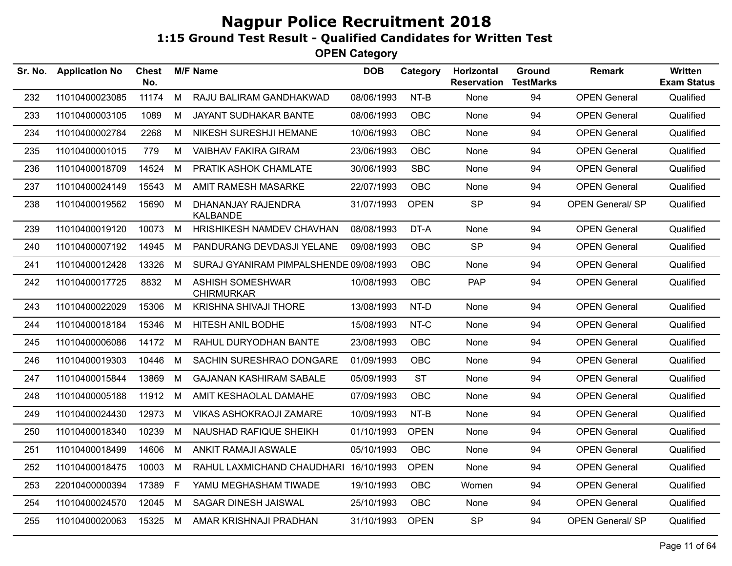| 11010400023085<br>11174<br>M<br>RAJU BALIRAM GANDHAKWAD<br>08/06/1993<br>$NT-B$<br>94<br><b>OPEN General</b><br>None<br>232<br>233<br>11010400003105<br>1089<br>М<br><b>JAYANT SUDHAKAR BANTE</b><br>08/06/1993<br><b>OBC</b><br>94<br><b>OPEN General</b><br>None<br>11010400002784<br>2268<br>NIKESH SURESHJI HEMANE<br>10/06/1993<br><b>OBC</b><br>94<br><b>OPEN General</b><br>234<br>M<br>None<br>11010400001015<br>779<br>М<br><b>VAIBHAV FAKIRA GIRAM</b><br>23/06/1993<br><b>OBC</b><br>None<br>94<br><b>OPEN General</b><br>235<br><b>SBC</b><br>236<br>11010400018709<br>14524<br>M<br>PRATIK ASHOK CHAMLATE<br>30/06/1993<br>94<br><b>OPEN General</b><br>None<br>15543<br><b>AMIT RAMESH MASARKE</b><br><b>OBC</b><br>94<br><b>OPEN General</b><br>237<br>11010400024149<br>M<br>22/07/1993<br>None<br><b>OPEN</b><br><b>SP</b><br>94<br>11010400019562<br>15690 M<br>DHANANJAY RAJENDRA<br>31/07/1993<br><b>OPEN General/ SP</b><br>238<br>KALBANDE<br>11010400019120<br>10073<br>M<br>HRISHIKESH NAMDEV CHAVHAN<br>08/08/1993<br>DT-A<br>94<br><b>OPEN General</b><br>239<br>None<br><b>SP</b><br>94<br>240<br>11010400007192<br>14945<br>M<br>PANDURANG DEVDASJI YELANE<br>09/08/1993<br>OBC<br><b>OPEN General</b><br><b>OBC</b><br>94<br>241<br>11010400012428<br>13326<br>M<br>SURAJ GYANIRAM PIMPALSHENDE 09/08/1993<br>None<br><b>OPEN General</b><br>PAP<br><b>ASHISH SOMESHWAR</b><br>OBC<br>94<br>242<br>11010400017725<br>8832<br>M<br>10/08/1993<br><b>OPEN General</b><br><b>CHIRMURKAR</b><br>11010400022029<br>15306<br>M<br>KRISHNA SHIVAJI THORE<br>13/08/1993<br>NT-D<br>94<br><b>OPEN General</b><br>243<br>None<br>11010400018184<br>15346<br>HITESH ANIL BODHE<br>15/08/1993<br>NT-C<br>94<br><b>OPEN General</b><br>244<br>M<br>None<br>11010400006086<br>14172 M<br>RAHUL DURYODHAN BANTE<br>23/08/1993<br><b>OBC</b><br>94<br><b>OPEN General</b><br>245<br>None<br>10446<br>M<br>SACHIN SURESHRAO DONGARE<br>01/09/1993<br><b>OBC</b><br>94<br>246<br>11010400019303<br>None<br><b>OPEN General</b><br><b>ST</b><br>11010400015844<br>13869<br>M<br><b>GAJANAN KASHIRAM SABALE</b><br>94<br><b>OPEN General</b><br>247<br>05/09/1993<br>None<br>11010400005188<br>11912<br>M<br>AMIT KESHAOLAL DAMAHE<br>07/09/1993<br><b>OBC</b><br>94<br><b>OPEN General</b><br>248<br>None<br>12973<br>M<br>10/09/1993<br>NT-B<br>94<br><b>OPEN General</b><br>249<br>11010400024430<br>VIKAS ASHOKRAOJI ZAMARE<br>None<br>10239<br>94<br>250<br>11010400018340<br>M<br>NAUSHAD RAFIQUE SHEIKH<br>01/10/1993<br><b>OPEN</b><br><b>OPEN General</b><br>None<br>11010400018499<br>14606<br>M<br>ANKIT RAMAJI ASWALE<br>05/10/1993<br><b>OBC</b><br>94<br><b>OPEN General</b><br>251<br>None<br>11010400018475<br>RAHUL LAXMICHAND CHAUDHARI<br>16/10/1993<br><b>OPEN</b><br>94<br><b>OPEN General</b><br>252<br>10003<br>M<br>None<br>$\mathsf{F}$<br>253<br>22010400000394<br>17389<br>YAMU MEGHASHAM TIWADE<br>19/10/1993<br><b>OBC</b><br>94<br><b>OPEN General</b><br>Women<br>SAGAR DINESH JAISWAL<br><b>OBC</b><br>254<br>11010400024570<br>12045<br>M<br>25/10/1993<br>None<br>94<br><b>OPEN General</b><br><b>SP</b><br><b>OPEN</b><br>94<br>11010400020063<br>15325 M<br>AMAR KRISHNAJI PRADHAN<br>31/10/1993<br><b>OPEN General/ SP</b><br>255 | Sr. No. | <b>Application No</b> | <b>Chest</b><br>No. | <b>M/F Name</b> | <b>DOB</b> | Category | Horizontal<br><b>Reservation</b> | <b>Ground</b><br><b>TestMarks</b> | <b>Remark</b> | Written<br><b>Exam Status</b> |
|---------------------------------------------------------------------------------------------------------------------------------------------------------------------------------------------------------------------------------------------------------------------------------------------------------------------------------------------------------------------------------------------------------------------------------------------------------------------------------------------------------------------------------------------------------------------------------------------------------------------------------------------------------------------------------------------------------------------------------------------------------------------------------------------------------------------------------------------------------------------------------------------------------------------------------------------------------------------------------------------------------------------------------------------------------------------------------------------------------------------------------------------------------------------------------------------------------------------------------------------------------------------------------------------------------------------------------------------------------------------------------------------------------------------------------------------------------------------------------------------------------------------------------------------------------------------------------------------------------------------------------------------------------------------------------------------------------------------------------------------------------------------------------------------------------------------------------------------------------------------------------------------------------------------------------------------------------------------------------------------------------------------------------------------------------------------------------------------------------------------------------------------------------------------------------------------------------------------------------------------------------------------------------------------------------------------------------------------------------------------------------------------------------------------------------------------------------------------------------------------------------------------------------------------------------------------------------------------------------------------------------------------------------------------------------------------------------------------------------------------------------------------------------------------------------------------------------------------------------------------------------------------------------------------------------------------------------------------------------------------------------------------------------------------------------------------------------------------------------------------------------------------------------------------------------------------------------------------------------------------------------------------------------|---------|-----------------------|---------------------|-----------------|------------|----------|----------------------------------|-----------------------------------|---------------|-------------------------------|
|                                                                                                                                                                                                                                                                                                                                                                                                                                                                                                                                                                                                                                                                                                                                                                                                                                                                                                                                                                                                                                                                                                                                                                                                                                                                                                                                                                                                                                                                                                                                                                                                                                                                                                                                                                                                                                                                                                                                                                                                                                                                                                                                                                                                                                                                                                                                                                                                                                                                                                                                                                                                                                                                                                                                                                                                                                                                                                                                                                                                                                                                                                                                                                                                                                                                                 |         |                       |                     |                 |            |          |                                  |                                   |               | Qualified                     |
|                                                                                                                                                                                                                                                                                                                                                                                                                                                                                                                                                                                                                                                                                                                                                                                                                                                                                                                                                                                                                                                                                                                                                                                                                                                                                                                                                                                                                                                                                                                                                                                                                                                                                                                                                                                                                                                                                                                                                                                                                                                                                                                                                                                                                                                                                                                                                                                                                                                                                                                                                                                                                                                                                                                                                                                                                                                                                                                                                                                                                                                                                                                                                                                                                                                                                 |         |                       |                     |                 |            |          |                                  |                                   |               | Qualified                     |
|                                                                                                                                                                                                                                                                                                                                                                                                                                                                                                                                                                                                                                                                                                                                                                                                                                                                                                                                                                                                                                                                                                                                                                                                                                                                                                                                                                                                                                                                                                                                                                                                                                                                                                                                                                                                                                                                                                                                                                                                                                                                                                                                                                                                                                                                                                                                                                                                                                                                                                                                                                                                                                                                                                                                                                                                                                                                                                                                                                                                                                                                                                                                                                                                                                                                                 |         |                       |                     |                 |            |          |                                  |                                   |               | Qualified                     |
|                                                                                                                                                                                                                                                                                                                                                                                                                                                                                                                                                                                                                                                                                                                                                                                                                                                                                                                                                                                                                                                                                                                                                                                                                                                                                                                                                                                                                                                                                                                                                                                                                                                                                                                                                                                                                                                                                                                                                                                                                                                                                                                                                                                                                                                                                                                                                                                                                                                                                                                                                                                                                                                                                                                                                                                                                                                                                                                                                                                                                                                                                                                                                                                                                                                                                 |         |                       |                     |                 |            |          |                                  |                                   |               | Qualified                     |
|                                                                                                                                                                                                                                                                                                                                                                                                                                                                                                                                                                                                                                                                                                                                                                                                                                                                                                                                                                                                                                                                                                                                                                                                                                                                                                                                                                                                                                                                                                                                                                                                                                                                                                                                                                                                                                                                                                                                                                                                                                                                                                                                                                                                                                                                                                                                                                                                                                                                                                                                                                                                                                                                                                                                                                                                                                                                                                                                                                                                                                                                                                                                                                                                                                                                                 |         |                       |                     |                 |            |          |                                  |                                   |               | Qualified                     |
|                                                                                                                                                                                                                                                                                                                                                                                                                                                                                                                                                                                                                                                                                                                                                                                                                                                                                                                                                                                                                                                                                                                                                                                                                                                                                                                                                                                                                                                                                                                                                                                                                                                                                                                                                                                                                                                                                                                                                                                                                                                                                                                                                                                                                                                                                                                                                                                                                                                                                                                                                                                                                                                                                                                                                                                                                                                                                                                                                                                                                                                                                                                                                                                                                                                                                 |         |                       |                     |                 |            |          |                                  |                                   |               | Qualified                     |
|                                                                                                                                                                                                                                                                                                                                                                                                                                                                                                                                                                                                                                                                                                                                                                                                                                                                                                                                                                                                                                                                                                                                                                                                                                                                                                                                                                                                                                                                                                                                                                                                                                                                                                                                                                                                                                                                                                                                                                                                                                                                                                                                                                                                                                                                                                                                                                                                                                                                                                                                                                                                                                                                                                                                                                                                                                                                                                                                                                                                                                                                                                                                                                                                                                                                                 |         |                       |                     |                 |            |          |                                  |                                   |               | Qualified                     |
|                                                                                                                                                                                                                                                                                                                                                                                                                                                                                                                                                                                                                                                                                                                                                                                                                                                                                                                                                                                                                                                                                                                                                                                                                                                                                                                                                                                                                                                                                                                                                                                                                                                                                                                                                                                                                                                                                                                                                                                                                                                                                                                                                                                                                                                                                                                                                                                                                                                                                                                                                                                                                                                                                                                                                                                                                                                                                                                                                                                                                                                                                                                                                                                                                                                                                 |         |                       |                     |                 |            |          |                                  |                                   |               | Qualified                     |
|                                                                                                                                                                                                                                                                                                                                                                                                                                                                                                                                                                                                                                                                                                                                                                                                                                                                                                                                                                                                                                                                                                                                                                                                                                                                                                                                                                                                                                                                                                                                                                                                                                                                                                                                                                                                                                                                                                                                                                                                                                                                                                                                                                                                                                                                                                                                                                                                                                                                                                                                                                                                                                                                                                                                                                                                                                                                                                                                                                                                                                                                                                                                                                                                                                                                                 |         |                       |                     |                 |            |          |                                  |                                   |               | Qualified                     |
|                                                                                                                                                                                                                                                                                                                                                                                                                                                                                                                                                                                                                                                                                                                                                                                                                                                                                                                                                                                                                                                                                                                                                                                                                                                                                                                                                                                                                                                                                                                                                                                                                                                                                                                                                                                                                                                                                                                                                                                                                                                                                                                                                                                                                                                                                                                                                                                                                                                                                                                                                                                                                                                                                                                                                                                                                                                                                                                                                                                                                                                                                                                                                                                                                                                                                 |         |                       |                     |                 |            |          |                                  |                                   |               | Qualified                     |
|                                                                                                                                                                                                                                                                                                                                                                                                                                                                                                                                                                                                                                                                                                                                                                                                                                                                                                                                                                                                                                                                                                                                                                                                                                                                                                                                                                                                                                                                                                                                                                                                                                                                                                                                                                                                                                                                                                                                                                                                                                                                                                                                                                                                                                                                                                                                                                                                                                                                                                                                                                                                                                                                                                                                                                                                                                                                                                                                                                                                                                                                                                                                                                                                                                                                                 |         |                       |                     |                 |            |          |                                  |                                   |               | Qualified                     |
|                                                                                                                                                                                                                                                                                                                                                                                                                                                                                                                                                                                                                                                                                                                                                                                                                                                                                                                                                                                                                                                                                                                                                                                                                                                                                                                                                                                                                                                                                                                                                                                                                                                                                                                                                                                                                                                                                                                                                                                                                                                                                                                                                                                                                                                                                                                                                                                                                                                                                                                                                                                                                                                                                                                                                                                                                                                                                                                                                                                                                                                                                                                                                                                                                                                                                 |         |                       |                     |                 |            |          |                                  |                                   |               | Qualified                     |
|                                                                                                                                                                                                                                                                                                                                                                                                                                                                                                                                                                                                                                                                                                                                                                                                                                                                                                                                                                                                                                                                                                                                                                                                                                                                                                                                                                                                                                                                                                                                                                                                                                                                                                                                                                                                                                                                                                                                                                                                                                                                                                                                                                                                                                                                                                                                                                                                                                                                                                                                                                                                                                                                                                                                                                                                                                                                                                                                                                                                                                                                                                                                                                                                                                                                                 |         |                       |                     |                 |            |          |                                  |                                   |               | Qualified                     |
|                                                                                                                                                                                                                                                                                                                                                                                                                                                                                                                                                                                                                                                                                                                                                                                                                                                                                                                                                                                                                                                                                                                                                                                                                                                                                                                                                                                                                                                                                                                                                                                                                                                                                                                                                                                                                                                                                                                                                                                                                                                                                                                                                                                                                                                                                                                                                                                                                                                                                                                                                                                                                                                                                                                                                                                                                                                                                                                                                                                                                                                                                                                                                                                                                                                                                 |         |                       |                     |                 |            |          |                                  |                                   |               | Qualified                     |
|                                                                                                                                                                                                                                                                                                                                                                                                                                                                                                                                                                                                                                                                                                                                                                                                                                                                                                                                                                                                                                                                                                                                                                                                                                                                                                                                                                                                                                                                                                                                                                                                                                                                                                                                                                                                                                                                                                                                                                                                                                                                                                                                                                                                                                                                                                                                                                                                                                                                                                                                                                                                                                                                                                                                                                                                                                                                                                                                                                                                                                                                                                                                                                                                                                                                                 |         |                       |                     |                 |            |          |                                  |                                   |               | Qualified                     |
|                                                                                                                                                                                                                                                                                                                                                                                                                                                                                                                                                                                                                                                                                                                                                                                                                                                                                                                                                                                                                                                                                                                                                                                                                                                                                                                                                                                                                                                                                                                                                                                                                                                                                                                                                                                                                                                                                                                                                                                                                                                                                                                                                                                                                                                                                                                                                                                                                                                                                                                                                                                                                                                                                                                                                                                                                                                                                                                                                                                                                                                                                                                                                                                                                                                                                 |         |                       |                     |                 |            |          |                                  |                                   |               | Qualified                     |
|                                                                                                                                                                                                                                                                                                                                                                                                                                                                                                                                                                                                                                                                                                                                                                                                                                                                                                                                                                                                                                                                                                                                                                                                                                                                                                                                                                                                                                                                                                                                                                                                                                                                                                                                                                                                                                                                                                                                                                                                                                                                                                                                                                                                                                                                                                                                                                                                                                                                                                                                                                                                                                                                                                                                                                                                                                                                                                                                                                                                                                                                                                                                                                                                                                                                                 |         |                       |                     |                 |            |          |                                  |                                   |               | Qualified                     |
|                                                                                                                                                                                                                                                                                                                                                                                                                                                                                                                                                                                                                                                                                                                                                                                                                                                                                                                                                                                                                                                                                                                                                                                                                                                                                                                                                                                                                                                                                                                                                                                                                                                                                                                                                                                                                                                                                                                                                                                                                                                                                                                                                                                                                                                                                                                                                                                                                                                                                                                                                                                                                                                                                                                                                                                                                                                                                                                                                                                                                                                                                                                                                                                                                                                                                 |         |                       |                     |                 |            |          |                                  |                                   |               | Qualified                     |
|                                                                                                                                                                                                                                                                                                                                                                                                                                                                                                                                                                                                                                                                                                                                                                                                                                                                                                                                                                                                                                                                                                                                                                                                                                                                                                                                                                                                                                                                                                                                                                                                                                                                                                                                                                                                                                                                                                                                                                                                                                                                                                                                                                                                                                                                                                                                                                                                                                                                                                                                                                                                                                                                                                                                                                                                                                                                                                                                                                                                                                                                                                                                                                                                                                                                                 |         |                       |                     |                 |            |          |                                  |                                   |               | Qualified                     |
|                                                                                                                                                                                                                                                                                                                                                                                                                                                                                                                                                                                                                                                                                                                                                                                                                                                                                                                                                                                                                                                                                                                                                                                                                                                                                                                                                                                                                                                                                                                                                                                                                                                                                                                                                                                                                                                                                                                                                                                                                                                                                                                                                                                                                                                                                                                                                                                                                                                                                                                                                                                                                                                                                                                                                                                                                                                                                                                                                                                                                                                                                                                                                                                                                                                                                 |         |                       |                     |                 |            |          |                                  |                                   |               | Qualified                     |
|                                                                                                                                                                                                                                                                                                                                                                                                                                                                                                                                                                                                                                                                                                                                                                                                                                                                                                                                                                                                                                                                                                                                                                                                                                                                                                                                                                                                                                                                                                                                                                                                                                                                                                                                                                                                                                                                                                                                                                                                                                                                                                                                                                                                                                                                                                                                                                                                                                                                                                                                                                                                                                                                                                                                                                                                                                                                                                                                                                                                                                                                                                                                                                                                                                                                                 |         |                       |                     |                 |            |          |                                  |                                   |               | Qualified                     |
|                                                                                                                                                                                                                                                                                                                                                                                                                                                                                                                                                                                                                                                                                                                                                                                                                                                                                                                                                                                                                                                                                                                                                                                                                                                                                                                                                                                                                                                                                                                                                                                                                                                                                                                                                                                                                                                                                                                                                                                                                                                                                                                                                                                                                                                                                                                                                                                                                                                                                                                                                                                                                                                                                                                                                                                                                                                                                                                                                                                                                                                                                                                                                                                                                                                                                 |         |                       |                     |                 |            |          |                                  |                                   |               | Qualified                     |
|                                                                                                                                                                                                                                                                                                                                                                                                                                                                                                                                                                                                                                                                                                                                                                                                                                                                                                                                                                                                                                                                                                                                                                                                                                                                                                                                                                                                                                                                                                                                                                                                                                                                                                                                                                                                                                                                                                                                                                                                                                                                                                                                                                                                                                                                                                                                                                                                                                                                                                                                                                                                                                                                                                                                                                                                                                                                                                                                                                                                                                                                                                                                                                                                                                                                                 |         |                       |                     |                 |            |          |                                  |                                   |               | Qualified                     |
|                                                                                                                                                                                                                                                                                                                                                                                                                                                                                                                                                                                                                                                                                                                                                                                                                                                                                                                                                                                                                                                                                                                                                                                                                                                                                                                                                                                                                                                                                                                                                                                                                                                                                                                                                                                                                                                                                                                                                                                                                                                                                                                                                                                                                                                                                                                                                                                                                                                                                                                                                                                                                                                                                                                                                                                                                                                                                                                                                                                                                                                                                                                                                                                                                                                                                 |         |                       |                     |                 |            |          |                                  |                                   |               | Qualified                     |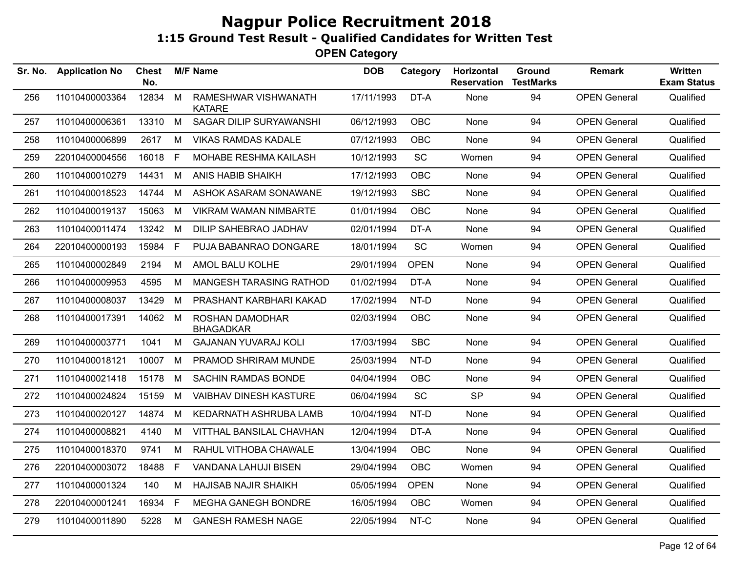| Sr. No. | <b>Application No</b> | Chest<br>No. |              | <b>M/F Name</b>                       | <b>DOB</b> | Category    | Horizontal<br><b>Reservation</b> | <b>Ground</b><br><b>TestMarks</b> | <b>Remark</b>       | Written<br><b>Exam Status</b> |
|---------|-----------------------|--------------|--------------|---------------------------------------|------------|-------------|----------------------------------|-----------------------------------|---------------------|-------------------------------|
| 256     | 11010400003364        | 12834        | M            | RAMESHWAR VISHWANATH<br><b>KATARE</b> | 17/11/1993 | DT-A        | None                             | 94                                | <b>OPEN General</b> | Qualified                     |
| 257     | 11010400006361        | 13310 M      |              | SAGAR DILIP SURYAWANSHI               | 06/12/1993 | <b>OBC</b>  | None                             | 94                                | <b>OPEN General</b> | Qualified                     |
| 258     | 11010400006899        | 2617         | M            | <b>VIKAS RAMDAS KADALE</b>            | 07/12/1993 | <b>OBC</b>  | None                             | 94                                | <b>OPEN General</b> | Qualified                     |
| 259     | 22010400004556        | 16018 F      |              | MOHABE RESHMA KAILASH                 | 10/12/1993 | <b>SC</b>   | Women                            | 94                                | <b>OPEN General</b> | Qualified                     |
| 260     | 11010400010279        | 14431        | M            | ANIS HABIB SHAIKH                     | 17/12/1993 | <b>OBC</b>  | None                             | 94                                | <b>OPEN General</b> | Qualified                     |
| 261     | 11010400018523        | 14744        | M            | ASHOK ASARAM SONAWANE                 | 19/12/1993 | <b>SBC</b>  | None                             | 94                                | <b>OPEN General</b> | Qualified                     |
| 262     | 11010400019137        | 15063        | M            | VIKRAM WAMAN NIMBARTE                 | 01/01/1994 | <b>OBC</b>  | None                             | 94                                | <b>OPEN General</b> | Qualified                     |
| 263     | 11010400011474        | 13242        | M            | DILIP SAHEBRAO JADHAV                 | 02/01/1994 | DT-A        | None                             | 94                                | <b>OPEN General</b> | Qualified                     |
| 264     | 22010400000193        | 15984        | $\mathsf{F}$ | PUJA BABANRAO DONGARE                 | 18/01/1994 | <b>SC</b>   | Women                            | 94                                | <b>OPEN General</b> | Qualified                     |
| 265     | 11010400002849        | 2194         | M            | AMOL BALU KOLHE                       | 29/01/1994 | <b>OPEN</b> | None                             | 94                                | <b>OPEN General</b> | Qualified                     |
| 266     | 11010400009953        | 4595         | М            | MANGESH TARASING RATHOD               | 01/02/1994 | DT-A        | None                             | 94                                | <b>OPEN General</b> | Qualified                     |
| 267     | 11010400008037        | 13429        | M            | PRASHANT KARBHARI KAKAD               | 17/02/1994 | NT-D        | None                             | 94                                | <b>OPEN General</b> | Qualified                     |
| 268     | 11010400017391        | 14062 M      |              | ROSHAN DAMODHAR<br><b>BHAGADKAR</b>   | 02/03/1994 | <b>OBC</b>  | None                             | 94                                | <b>OPEN General</b> | Qualified                     |
| 269     | 11010400003771        | 1041         | M            | <b>GAJANAN YUVARAJ KOLI</b>           | 17/03/1994 | <b>SBC</b>  | None                             | 94                                | <b>OPEN General</b> | Qualified                     |
| 270     | 11010400018121        | 10007        | M            | PRAMOD SHRIRAM MUNDE                  | 25/03/1994 | NT-D        | None                             | 94                                | <b>OPEN General</b> | Qualified                     |
| 271     | 11010400021418        | 15178 M      |              | <b>SACHIN RAMDAS BONDE</b>            | 04/04/1994 | <b>OBC</b>  | None                             | 94                                | <b>OPEN General</b> | Qualified                     |
| 272     | 11010400024824        | 15159        | M            | <b>VAIBHAV DINESH KASTURE</b>         | 06/04/1994 | SC          | <b>SP</b>                        | 94                                | <b>OPEN General</b> | Qualified                     |
| 273     | 11010400020127        | 14874        | M            | KEDARNATH ASHRUBA LAMB                | 10/04/1994 | NT-D        | None                             | 94                                | <b>OPEN General</b> | Qualified                     |
| 274     | 11010400008821        | 4140         | M            | VITTHAL BANSILAL CHAVHAN              | 12/04/1994 | DT-A        | None                             | 94                                | <b>OPEN General</b> | Qualified                     |
| 275     | 11010400018370        | 9741         | M            | RAHUL VITHOBA CHAWALE                 | 13/04/1994 | <b>OBC</b>  | None                             | 94                                | <b>OPEN General</b> | Qualified                     |
| 276     | 22010400003072        | 18488        | F.           | <b>VANDANA LAHUJI BISEN</b>           | 29/04/1994 | <b>OBC</b>  | Women                            | 94                                | <b>OPEN General</b> | Qualified                     |
| 277     | 11010400001324        | 140          | M            | HAJISAB NAJIR SHAIKH                  | 05/05/1994 | <b>OPEN</b> | None                             | 94                                | <b>OPEN General</b> | Qualified                     |
| 278     | 22010400001241        | 16934        | F            | <b>MEGHA GANEGH BONDRE</b>            | 16/05/1994 | <b>OBC</b>  | Women                            | 94                                | <b>OPEN General</b> | Qualified                     |
| 279     | 11010400011890        | 5228         | M            | <b>GANESH RAMESH NAGE</b>             | 22/05/1994 | NT-C        | None                             | 94                                | <b>OPEN General</b> | Qualified                     |
|         |                       |              |              |                                       |            |             |                                  |                                   |                     |                               |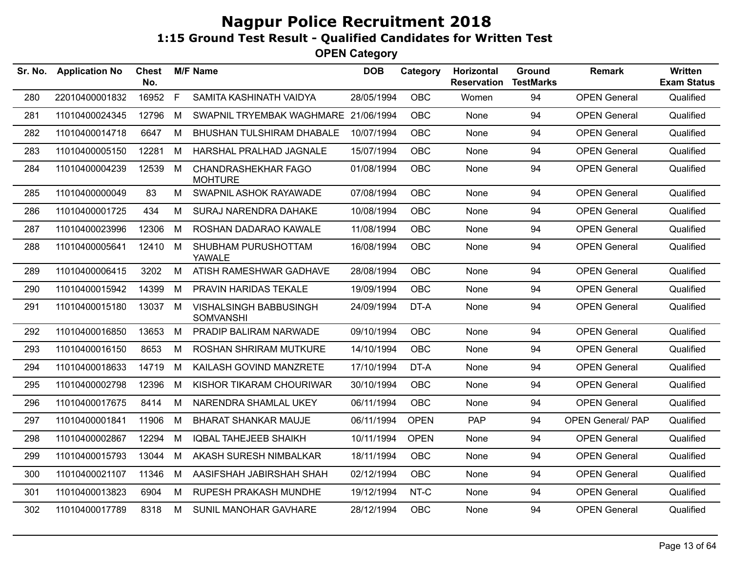| Sr. No. | <b>Application No</b> | Chest<br>No. |   | <b>M/F Name</b>                                   | <b>DOB</b> | Category    | Horizontal<br><b>Reservation</b> | Ground<br><b>TestMarks</b> | <b>Remark</b>            | <b>Written</b><br><b>Exam Status</b> |
|---------|-----------------------|--------------|---|---------------------------------------------------|------------|-------------|----------------------------------|----------------------------|--------------------------|--------------------------------------|
| 280     | 22010400001832        | 16952        | F | SAMITA KASHINATH VAIDYA                           | 28/05/1994 | <b>OBC</b>  | Women                            | 94                         | <b>OPEN General</b>      | Qualified                            |
| 281     | 11010400024345        | 12796        | M | SWAPNIL TRYEMBAK WAGHMARE                         | 21/06/1994 | <b>OBC</b>  | None                             | 94                         | <b>OPEN General</b>      | Qualified                            |
| 282     | 11010400014718        | 6647         | M | BHUSHAN TULSHIRAM DHABALE                         | 10/07/1994 | <b>OBC</b>  | None                             | 94                         | <b>OPEN General</b>      | Qualified                            |
| 283     | 11010400005150        | 12281        | M | HARSHAL PRALHAD JAGNALE                           | 15/07/1994 | <b>OBC</b>  | None                             | 94                         | <b>OPEN General</b>      | Qualified                            |
| 284     | 11010400004239        | 12539 M      |   | <b>CHANDRASHEKHAR FAGO</b><br><b>MOHTURE</b>      | 01/08/1994 | <b>OBC</b>  | None                             | 94                         | <b>OPEN General</b>      | Qualified                            |
| 285     | 11010400000049        | 83           | M | SWAPNIL ASHOK RAYAWADE                            | 07/08/1994 | <b>OBC</b>  | None                             | 94                         | <b>OPEN General</b>      | Qualified                            |
| 286     | 11010400001725        | 434          | M | SURAJ NARENDRA DAHAKE                             | 10/08/1994 | <b>OBC</b>  | None                             | 94                         | <b>OPEN General</b>      | Qualified                            |
| 287     | 11010400023996        | 12306        | M | ROSHAN DADARAO KAWALE                             | 11/08/1994 | <b>OBC</b>  | None                             | 94                         | <b>OPEN General</b>      | Qualified                            |
| 288     | 11010400005641        | 12410 M      |   | SHUBHAM PURUSHOTTAM<br><b>YAWALE</b>              | 16/08/1994 | <b>OBC</b>  | None                             | 94                         | <b>OPEN General</b>      | Qualified                            |
| 289     | 11010400006415        | 3202         | M | ATISH RAMESHWAR GADHAVE                           | 28/08/1994 | <b>OBC</b>  | None                             | 94                         | <b>OPEN General</b>      | Qualified                            |
| 290     | 11010400015942        | 14399        | M | <b>PRAVIN HARIDAS TEKALE</b>                      | 19/09/1994 | <b>OBC</b>  | None                             | 94                         | <b>OPEN General</b>      | Qualified                            |
| 291     | 11010400015180        | 13037 M      |   | <b>VISHALSINGH BABBUSINGH</b><br><b>SOMVANSHI</b> | 24/09/1994 | DT-A        | None                             | 94                         | <b>OPEN General</b>      | Qualified                            |
| 292     | 11010400016850        | 13653        | M | PRADIP BALIRAM NARWADE                            | 09/10/1994 | <b>OBC</b>  | None                             | 94                         | <b>OPEN General</b>      | Qualified                            |
| 293     | 11010400016150        | 8653         | M | <b>ROSHAN SHRIRAM MUTKURE</b>                     | 14/10/1994 | <b>OBC</b>  | None                             | 94                         | <b>OPEN General</b>      | Qualified                            |
| 294     | 11010400018633        | 14719        | M | KAILASH GOVIND MANZRETE                           | 17/10/1994 | DT-A        | None                             | 94                         | <b>OPEN General</b>      | Qualified                            |
| 295     | 11010400002798        | 12396        | M | KISHOR TIKARAM CHOURIWAR                          | 30/10/1994 | <b>OBC</b>  | None                             | 94                         | <b>OPEN General</b>      | Qualified                            |
| 296     | 11010400017675        | 8414         | М | NARENDRA SHAMLAL UKEY                             | 06/11/1994 | <b>OBC</b>  | None                             | 94                         | <b>OPEN General</b>      | Qualified                            |
| 297     | 11010400001841        | 11906        | M | <b>BHARAT SHANKAR MAUJE</b>                       | 06/11/1994 | <b>OPEN</b> | PAP                              | 94                         | <b>OPEN General/ PAP</b> | Qualified                            |
| 298     | 11010400002867        | 12294        | M | <b>IQBAL TAHEJEEB SHAIKH</b>                      | 10/11/1994 | <b>OPEN</b> | None                             | 94                         | <b>OPEN General</b>      | Qualified                            |
| 299     | 11010400015793        | 13044        | M | AKASH SURESH NIMBALKAR                            | 18/11/1994 | <b>OBC</b>  | None                             | 94                         | <b>OPEN General</b>      | Qualified                            |
| 300     | 11010400021107        | 11346        | M | AASIFSHAH JABIRSHAH SHAH                          | 02/12/1994 | <b>OBC</b>  | None                             | 94                         | <b>OPEN General</b>      | Qualified                            |
| 301     | 11010400013823        | 6904         | М | RUPESH PRAKASH MUNDHE                             | 19/12/1994 | NT-C        | None                             | 94                         | <b>OPEN General</b>      | Qualified                            |
| 302     | 11010400017789        | 8318         | M | SUNIL MANOHAR GAVHARE                             | 28/12/1994 | <b>OBC</b>  | None                             | 94                         | <b>OPEN General</b>      | Qualified                            |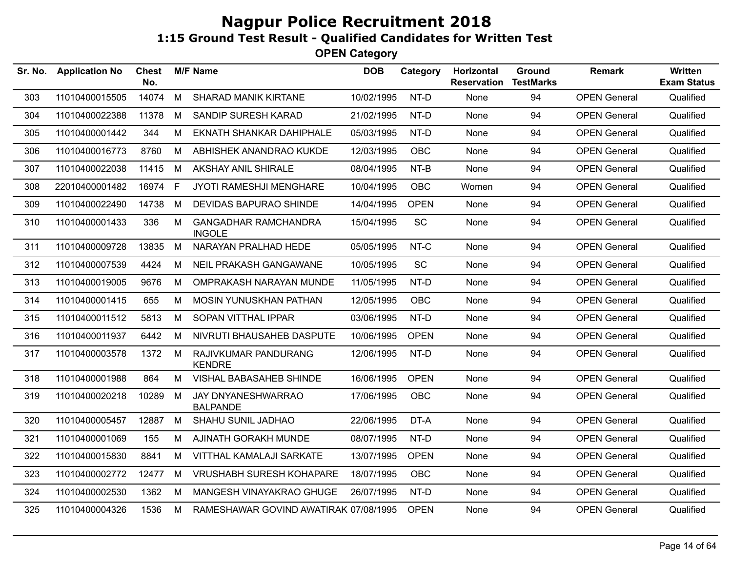| Sr. No. | <b>Application No</b> | <b>Chest</b><br>No. |    | <b>M/F Name</b>                              | <b>DOB</b> | Category    | Horizontal<br><b>Reservation</b> | Ground<br><b>TestMarks</b> | <b>Remark</b>       | <b>Written</b><br><b>Exam Status</b> |
|---------|-----------------------|---------------------|----|----------------------------------------------|------------|-------------|----------------------------------|----------------------------|---------------------|--------------------------------------|
| 303     | 11010400015505        | 14074               | M  | SHARAD MANIK KIRTANE                         | 10/02/1995 | NT-D        | None                             | 94                         | <b>OPEN General</b> | Qualified                            |
| 304     | 11010400022388        | 11378               | М  | SANDIP SURESH KARAD                          | 21/02/1995 | NT-D        | None                             | 94                         | <b>OPEN General</b> | Qualified                            |
| 305     | 11010400001442        | 344                 | M  | <b>EKNATH SHANKAR DAHIPHALE</b>              | 05/03/1995 | NT-D        | None                             | 94                         | <b>OPEN General</b> | Qualified                            |
| 306     | 11010400016773        | 8760                | M  | ABHISHEK ANANDRAO KUKDE                      | 12/03/1995 | OBC         | None                             | 94                         | <b>OPEN General</b> | Qualified                            |
| 307     | 11010400022038        | 11415               | M  | <b>AKSHAY ANIL SHIRALE</b>                   | 08/04/1995 | $NT-B$      | None                             | 94                         | <b>OPEN General</b> | Qualified                            |
| 308     | 22010400001482        | 16974               | -F | JYOTI RAMESHJI MENGHARE                      | 10/04/1995 | OBC         | Women                            | 94                         | <b>OPEN General</b> | Qualified                            |
| 309     | 11010400022490        | 14738               | М  | DEVIDAS BAPURAO SHINDE                       | 14/04/1995 | <b>OPEN</b> | None                             | 94                         | <b>OPEN General</b> | Qualified                            |
| 310     | 11010400001433        | 336                 | М  | <b>GANGADHAR RAMCHANDRA</b><br><b>INGOLE</b> | 15/04/1995 | SC          | None                             | 94                         | <b>OPEN General</b> | Qualified                            |
| 311     | 11010400009728        | 13835               | M  | NARAYAN PRALHAD HEDE                         | 05/05/1995 | NT-C        | None                             | 94                         | <b>OPEN General</b> | Qualified                            |
| 312     | 11010400007539        | 4424                | M  | NEIL PRAKASH GANGAWANE                       | 10/05/1995 | SC          | None                             | 94                         | <b>OPEN General</b> | Qualified                            |
| 313     | 11010400019005        | 9676                | М  | OMPRAKASH NARAYAN MUNDE                      | 11/05/1995 | NT-D        | None                             | 94                         | <b>OPEN General</b> | Qualified                            |
| 314     | 11010400001415        | 655                 | M  | MOSIN YUNUSKHAN PATHAN                       | 12/05/1995 | <b>OBC</b>  | None                             | 94                         | <b>OPEN General</b> | Qualified                            |
| 315     | 11010400011512        | 5813                | M  | SOPAN VITTHAL IPPAR                          | 03/06/1995 | NT-D        | None                             | 94                         | <b>OPEN General</b> | Qualified                            |
| 316     | 11010400011937        | 6442                | м  | NIVRUTI BHAUSAHEB DASPUTE                    | 10/06/1995 | <b>OPEN</b> | None                             | 94                         | <b>OPEN General</b> | Qualified                            |
| 317     | 11010400003578        | 1372                | M  | RAJIVKUMAR PANDURANG<br><b>KENDRE</b>        | 12/06/1995 | NT-D        | None                             | 94                         | <b>OPEN General</b> | Qualified                            |
| 318     | 11010400001988        | 864                 | М  | VISHAL BABASAHEB SHINDE                      | 16/06/1995 | <b>OPEN</b> | None                             | 94                         | <b>OPEN General</b> | Qualified                            |
| 319     | 11010400020218        | 10289               | M  | JAY DNYANESHWARRAO<br><b>BALPANDE</b>        | 17/06/1995 | OBC         | None                             | 94                         | <b>OPEN General</b> | Qualified                            |
| 320     | 11010400005457        | 12887               | M  | SHAHU SUNIL JADHAO                           | 22/06/1995 | DT-A        | None                             | 94                         | <b>OPEN General</b> | Qualified                            |
| 321     | 11010400001069        | 155                 | M  | AJINATH GORAKH MUNDE                         | 08/07/1995 | NT-D        | None                             | 94                         | <b>OPEN General</b> | Qualified                            |
| 322     | 11010400015830        | 8841                | М  | VITTHAL KAMALAJI SARKATE                     | 13/07/1995 | <b>OPEN</b> | None                             | 94                         | <b>OPEN General</b> | Qualified                            |
| 323     | 11010400002772        | 12477               | M  | <b>VRUSHABH SURESH KOHAPARE</b>              | 18/07/1995 | OBC         | None                             | 94                         | <b>OPEN General</b> | Qualified                            |
| 324     | 11010400002530        | 1362                | М  | MANGESH VINAYAKRAO GHUGE                     | 26/07/1995 | NT-D        | None                             | 94                         | <b>OPEN General</b> | Qualified                            |
| 325     | 11010400004326        | 1536                | M  | RAMESHAWAR GOVIND AWATIRAK 07/08/1995        |            | <b>OPEN</b> | None                             | 94                         | <b>OPEN General</b> | Qualified                            |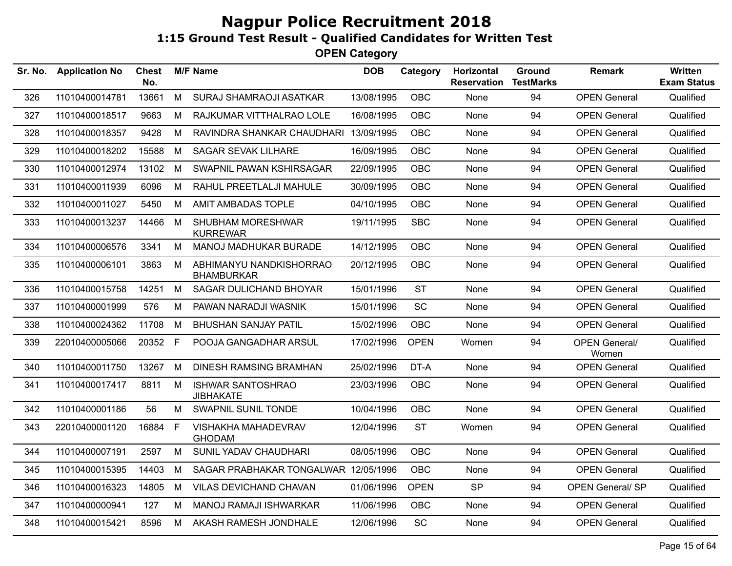| Sr. No. | <b>Application No</b> | <b>Chest</b><br>No. |   | <b>M/F Name</b>                              | <b>DOB</b> | Category    | Horizontal<br><b>Reservation</b> | Ground<br><b>TestMarks</b> | <b>Remark</b>                 | Written<br><b>Exam Status</b> |
|---------|-----------------------|---------------------|---|----------------------------------------------|------------|-------------|----------------------------------|----------------------------|-------------------------------|-------------------------------|
| 326     | 11010400014781        | 13661               | M | SURAJ SHAMRAOJI ASATKAR                      | 13/08/1995 | OBC         | None                             | 94                         | <b>OPEN General</b>           | Qualified                     |
| 327     | 11010400018517        | 9663                | М | RAJKUMAR VITTHALRAO LOLE                     | 16/08/1995 | <b>OBC</b>  | None                             | 94                         | <b>OPEN General</b>           | Qualified                     |
| 328     | 11010400018357        | 9428                | М | RAVINDRA SHANKAR CHAUDHARI 13/09/1995        |            | <b>OBC</b>  | None                             | 94                         | <b>OPEN General</b>           | Qualified                     |
| 329     | 11010400018202        | 15588               | M | <b>SAGAR SEVAK LILHARE</b>                   | 16/09/1995 | OBC         | None                             | 94                         | <b>OPEN General</b>           | Qualified                     |
| 330     | 11010400012974        | 13102               | M | SWAPNIL PAWAN KSHIRSAGAR                     | 22/09/1995 | <b>OBC</b>  | None                             | 94                         | <b>OPEN General</b>           | Qualified                     |
| 331     | 11010400011939        | 6096                | M | RAHUL PREETLALJI MAHULE                      | 30/09/1995 | <b>OBC</b>  | None                             | 94                         | <b>OPEN General</b>           | Qualified                     |
| 332     | 11010400011027        | 5450                | M | AMIT AMBADAS TOPLE                           | 04/10/1995 | <b>OBC</b>  | None                             | 94                         | <b>OPEN General</b>           | Qualified                     |
| 333     | 11010400013237        | 14466               | M | SHUBHAM MORESHWAR<br><b>KURREWAR</b>         | 19/11/1995 | <b>SBC</b>  | None                             | 94                         | <b>OPEN General</b>           | Qualified                     |
| 334     | 11010400006576        | 3341                | M | MANOJ MADHUKAR BURADE                        | 14/12/1995 | <b>OBC</b>  | None                             | 94                         | <b>OPEN General</b>           | Qualified                     |
| 335     | 11010400006101        | 3863                | M | ABHIMANYU NANDKISHORRAO<br><b>BHAMBURKAR</b> | 20/12/1995 | <b>OBC</b>  | <b>None</b>                      | 94                         | <b>OPEN General</b>           | Qualified                     |
| 336     | 11010400015758        | 14251               | M | SAGAR DULICHAND BHOYAR                       | 15/01/1996 | <b>ST</b>   | None                             | 94                         | <b>OPEN General</b>           | Qualified                     |
| 337     | 11010400001999        | 576                 | M | PAWAN NARADJI WASNIK                         | 15/01/1996 | SC          | None                             | 94                         | <b>OPEN General</b>           | Qualified                     |
| 338     | 11010400024362        | 11708               | M | <b>BHUSHAN SANJAY PATIL</b>                  | 15/02/1996 | OBC         | None                             | 94                         | <b>OPEN General</b>           | Qualified                     |
| 339     | 22010400005066        | 20352               | F | POOJA GANGADHAR ARSUL                        | 17/02/1996 | <b>OPEN</b> | Women                            | 94                         | <b>OPEN General/</b><br>Women | Qualified                     |
| 340     | 11010400011750        | 13267               | M | <b>DINESH RAMSING BRAMHAN</b>                | 25/02/1996 | DT-A        | None                             | 94                         | <b>OPEN General</b>           | Qualified                     |
| 341     | 11010400017417        | 8811                | M | <b>ISHWAR SANTOSHRAO</b><br><b>JIBHAKATE</b> | 23/03/1996 | <b>OBC</b>  | None                             | 94                         | <b>OPEN General</b>           | Qualified                     |
| 342     | 11010400001186        | 56                  | м | SWAPNIL SUNIL TONDE                          | 10/04/1996 | <b>OBC</b>  | None                             | 94                         | <b>OPEN General</b>           | Qualified                     |
| 343     | 22010400001120        | 16884               | F | VISHAKHA MAHADEVRAV<br><b>GHODAM</b>         | 12/04/1996 | <b>ST</b>   | Women                            | 94                         | <b>OPEN General</b>           | Qualified                     |
| 344     | 11010400007191        | 2597                | M | SUNIL YADAV CHAUDHARI                        | 08/05/1996 | <b>OBC</b>  | None                             | 94                         | <b>OPEN General</b>           | Qualified                     |
| 345     | 11010400015395        | 14403               | M | SAGAR PRABHAKAR TONGALWAR 12/05/1996         |            | OBC         | None                             | 94                         | <b>OPEN General</b>           | Qualified                     |
| 346     | 11010400016323        | 14805               | M | VILAS DEVICHAND CHAVAN                       | 01/06/1996 | <b>OPEN</b> | <b>SP</b>                        | 94                         | OPEN General/ SP              | Qualified                     |
| 347     | 11010400000941        | 127                 | М | MANOJ RAMAJI ISHWARKAR                       | 11/06/1996 | <b>OBC</b>  | None                             | 94                         | <b>OPEN General</b>           | Qualified                     |
| 348     | 11010400015421        | 8596                | M | AKASH RAMESH JONDHALE                        | 12/06/1996 | SC          | None                             | 94                         | <b>OPEN General</b>           | Qualified                     |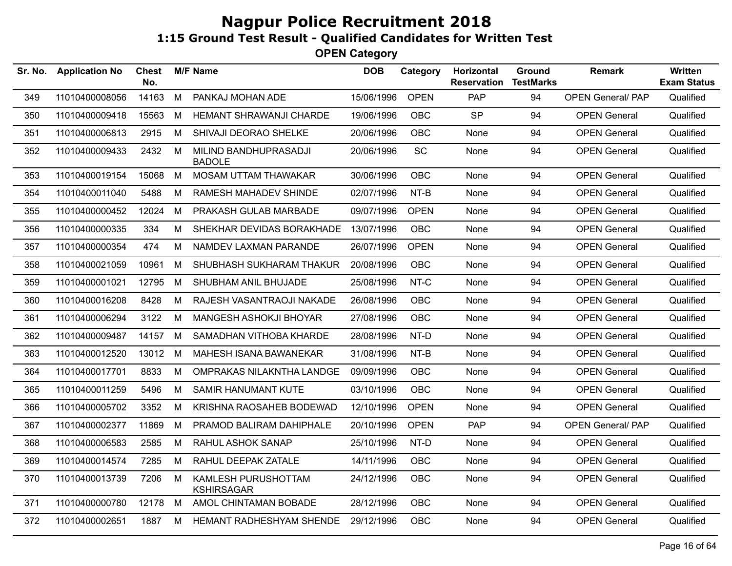| Sr. No. | <b>Application No</b> | Chest<br>No. |   | <b>M/F Name</b>                          | <b>DOB</b> | Category    | Horizontal<br><b>Reservation</b> | Ground<br><b>TestMarks</b> | <b>Remark</b>            | Written<br><b>Exam Status</b> |
|---------|-----------------------|--------------|---|------------------------------------------|------------|-------------|----------------------------------|----------------------------|--------------------------|-------------------------------|
| 349     | 11010400008056        | 14163        | M | PANKAJ MOHAN ADE                         | 15/06/1996 | <b>OPEN</b> | PAP                              | 94                         | <b>OPEN General/ PAP</b> | Qualified                     |
| 350     | 11010400009418        | 15563        | M | HEMANT SHRAWANJI CHARDE                  | 19/06/1996 | <b>OBC</b>  | <b>SP</b>                        | 94                         | <b>OPEN General</b>      | Qualified                     |
| 351     | 11010400006813        | 2915         | M | SHIVAJI DEORAO SHELKE                    | 20/06/1996 | <b>OBC</b>  | None                             | 94                         | <b>OPEN General</b>      | Qualified                     |
| 352     | 11010400009433        | 2432         | M | MILIND BANDHUPRASADJI<br><b>BADOLE</b>   | 20/06/1996 | SC          | None                             | 94                         | <b>OPEN General</b>      | Qualified                     |
| 353     | 11010400019154        | 15068        | M | <b>MOSAM UTTAM THAWAKAR</b>              | 30/06/1996 | <b>OBC</b>  | None                             | 94                         | <b>OPEN General</b>      | Qualified                     |
| 354     | 11010400011040        | 5488         | M | RAMESH MAHADEV SHINDE                    | 02/07/1996 | $NT-B$      | None                             | 94                         | <b>OPEN General</b>      | Qualified                     |
| 355     | 11010400000452        | 12024        | M | PRAKASH GULAB MARBADE                    | 09/07/1996 | <b>OPEN</b> | None                             | 94                         | <b>OPEN General</b>      | Qualified                     |
| 356     | 11010400000335        | 334          | M | SHEKHAR DEVIDAS BORAKHADE                | 13/07/1996 | OBC         | None                             | 94                         | <b>OPEN General</b>      | Qualified                     |
| 357     | 11010400000354        | 474          | M | NAMDEV LAXMAN PARANDE                    | 26/07/1996 | <b>OPEN</b> | None                             | 94                         | <b>OPEN General</b>      | Qualified                     |
| 358     | 11010400021059        | 10961        | M | SHUBHASH SUKHARAM THAKUR                 | 20/08/1996 | <b>OBC</b>  | None                             | 94                         | <b>OPEN General</b>      | Qualified                     |
| 359     | 11010400001021        | 12795        | M | SHUBHAM ANIL BHUJADE                     | 25/08/1996 | NT-C        | None                             | 94                         | <b>OPEN General</b>      | Qualified                     |
| 360     | 11010400016208        | 8428         | М | RAJESH VASANTRAOJI NAKADE                | 26/08/1996 | <b>OBC</b>  | None                             | 94                         | <b>OPEN General</b>      | Qualified                     |
| 361     | 11010400006294        | 3122         | М | MANGESH ASHOKJI BHOYAR                   | 27/08/1996 | <b>OBC</b>  | None                             | 94                         | <b>OPEN General</b>      | Qualified                     |
| 362     | 11010400009487        | 14157 M      |   | SAMADHAN VITHOBA KHARDE                  | 28/08/1996 | NT-D        | None                             | 94                         | <b>OPEN General</b>      | Qualified                     |
| 363     | 11010400012520        | 13012        | M | MAHESH ISANA BAWANEKAR                   | 31/08/1996 | NT-B        | None                             | 94                         | <b>OPEN General</b>      | Qualified                     |
| 364     | 11010400017701        | 8833         | M | OMPRAKAS NILAKNTHA LANDGE                | 09/09/1996 | <b>OBC</b>  | None                             | 94                         | <b>OPEN General</b>      | Qualified                     |
| 365     | 11010400011259        | 5496         | M | SAMIR HANUMANT KUTE                      | 03/10/1996 | <b>OBC</b>  | None                             | 94                         | <b>OPEN General</b>      | Qualified                     |
| 366     | 11010400005702        | 3352         | M | KRISHNA RAOSAHEB BODEWAD                 | 12/10/1996 | <b>OPEN</b> | None                             | 94                         | <b>OPEN General</b>      | Qualified                     |
| 367     | 11010400002377        | 11869        | M | PRAMOD BALIRAM DAHIPHALE                 | 20/10/1996 | <b>OPEN</b> | PAP                              | 94                         | <b>OPEN General/ PAP</b> | Qualified                     |
| 368     | 11010400006583        | 2585         | M | RAHUL ASHOK SANAP                        | 25/10/1996 | NT-D        | None                             | 94                         | <b>OPEN General</b>      | Qualified                     |
| 369     | 11010400014574        | 7285         | M | RAHUL DEEPAK ZATALE                      | 14/11/1996 | <b>OBC</b>  | None                             | 94                         | <b>OPEN General</b>      | Qualified                     |
| 370     | 11010400013739        | 7206         | M | KAMLESH PURUSHOTTAM<br><b>KSHIRSAGAR</b> | 24/12/1996 | <b>OBC</b>  | None                             | 94                         | <b>OPEN General</b>      | Qualified                     |
| 371     | 11010400000780        | 12178        | M | AMOL CHINTAMAN BOBADE                    | 28/12/1996 | <b>OBC</b>  | None                             | 94                         | <b>OPEN General</b>      | Qualified                     |
| 372     | 11010400002651        | 1887         | M | HEMANT RADHESHYAM SHENDE                 | 29/12/1996 | <b>OBC</b>  | None                             | 94                         | <b>OPEN General</b>      | Qualified                     |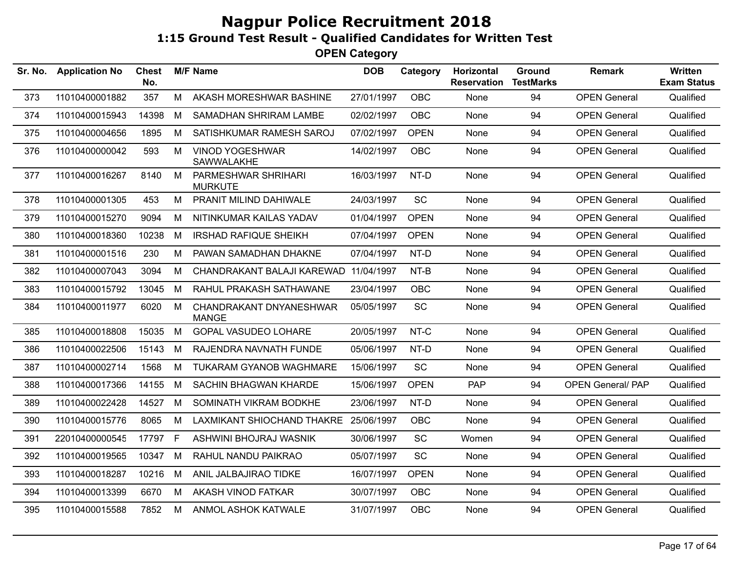| Sr. No. | <b>Application No</b> | <b>Chest</b><br>No. |   | <b>M/F Name</b>                         | <b>DOB</b> | Category    | Horizontal<br><b>Reservation</b> | Ground<br><b>TestMarks</b> | <b>Remark</b>            | <b>Written</b><br><b>Exam Status</b> |
|---------|-----------------------|---------------------|---|-----------------------------------------|------------|-------------|----------------------------------|----------------------------|--------------------------|--------------------------------------|
| 373     | 11010400001882        | 357                 | M | AKASH MORESHWAR BASHINE                 | 27/01/1997 | <b>OBC</b>  | None                             | 94                         | <b>OPEN General</b>      | Qualified                            |
| 374     | 11010400015943        | 14398               | М | SAMADHAN SHRIRAM LAMBE                  | 02/02/1997 | <b>OBC</b>  | None                             | 94                         | <b>OPEN General</b>      | Qualified                            |
| 375     | 11010400004656        | 1895                | M | SATISHKUMAR RAMESH SAROJ                | 07/02/1997 | <b>OPEN</b> | None                             | 94                         | <b>OPEN General</b>      | Qualified                            |
| 376     | 11010400000042        | 593                 | M | <b>VINOD YOGESHWAR</b><br>SAWWALAKHE    | 14/02/1997 | <b>OBC</b>  | None                             | 94                         | <b>OPEN General</b>      | Qualified                            |
| 377     | 11010400016267        | 8140                | м | PARMESHWAR SHRIHARI<br><b>MURKUTE</b>   | 16/03/1997 | NT-D        | None                             | 94                         | <b>OPEN General</b>      | Qualified                            |
| 378     | 11010400001305        | 453                 | M | PRANIT MILIND DAHIWALE                  | 24/03/1997 | <b>SC</b>   | None                             | 94                         | <b>OPEN General</b>      | Qualified                            |
| 379     | 11010400015270        | 9094                | М | NITINKUMAR KAILAS YADAV                 | 01/04/1997 | <b>OPEN</b> | None                             | 94                         | <b>OPEN General</b>      | Qualified                            |
| 380     | 11010400018360        | 10238               | M | <b>IRSHAD RAFIQUE SHEIKH</b>            | 07/04/1997 | <b>OPEN</b> | None                             | 94                         | <b>OPEN General</b>      | Qualified                            |
| 381     | 11010400001516        | 230                 | М | PAWAN SAMADHAN DHAKNE                   | 07/04/1997 | NT-D        | None                             | 94                         | <b>OPEN General</b>      | Qualified                            |
| 382     | 11010400007043        | 3094                | М | CHANDRAKANT BALAJI KAREWAD              | 11/04/1997 | NT-B        | None                             | 94                         | <b>OPEN General</b>      | Qualified                            |
| 383     | 11010400015792        | 13045               | M | RAHUL PRAKASH SATHAWANE                 | 23/04/1997 | <b>OBC</b>  | None                             | 94                         | <b>OPEN General</b>      | Qualified                            |
| 384     | 11010400011977        | 6020                | M | CHANDRAKANT DNYANESHWAR<br><b>MANGE</b> | 05/05/1997 | <b>SC</b>   | None                             | 94                         | <b>OPEN General</b>      | Qualified                            |
| 385     | 11010400018808        | 15035               | M | <b>GOPAL VASUDEO LOHARE</b>             | 20/05/1997 | NT-C        | None                             | 94                         | <b>OPEN General</b>      | Qualified                            |
| 386     | 11010400022506        | 15143               | М | RAJENDRA NAVNATH FUNDE                  | 05/06/1997 | NT-D        | None                             | 94                         | <b>OPEN General</b>      | Qualified                            |
| 387     | 11010400002714        | 1568                | м | <b>TUKARAM GYANOB WAGHMARE</b>          | 15/06/1997 | SC          | None                             | 94                         | <b>OPEN General</b>      | Qualified                            |
| 388     | 11010400017366        | 14155               | M | SACHIN BHAGWAN KHARDE                   | 15/06/1997 | <b>OPEN</b> | <b>PAP</b>                       | 94                         | <b>OPEN General/ PAP</b> | Qualified                            |
| 389     | 11010400022428        | 14527               | M | SOMINATH VIKRAM BODKHE                  | 23/06/1997 | NT-D        | None                             | 94                         | <b>OPEN General</b>      | Qualified                            |
| 390     | 11010400015776        | 8065                | M | LAXMIKANT SHIOCHAND THAKRE              | 25/06/1997 | <b>OBC</b>  | None                             | 94                         | <b>OPEN General</b>      | Qualified                            |
| 391     | 22010400000545        | 17797               | F | ASHWINI BHOJRAJ WASNIK                  | 30/06/1997 | <b>SC</b>   | Women                            | 94                         | <b>OPEN General</b>      | Qualified                            |
| 392     | 11010400019565        | 10347               | M | RAHUL NANDU PAIKRAO                     | 05/07/1997 | <b>SC</b>   | None                             | 94                         | <b>OPEN General</b>      | Qualified                            |
| 393     | 11010400018287        | 10216               | M | ANIL JALBAJIRAO TIDKE                   | 16/07/1997 | <b>OPEN</b> | None                             | 94                         | <b>OPEN General</b>      | Qualified                            |
| 394     | 11010400013399        | 6670                | M | AKASH VINOD FATKAR                      | 30/07/1997 | <b>OBC</b>  | None                             | 94                         | <b>OPEN General</b>      | Qualified                            |
| 395     | 11010400015588        | 7852                | M | ANMOL ASHOK KATWALE                     | 31/07/1997 | <b>OBC</b>  | None                             | 94                         | <b>OPEN General</b>      | Qualified                            |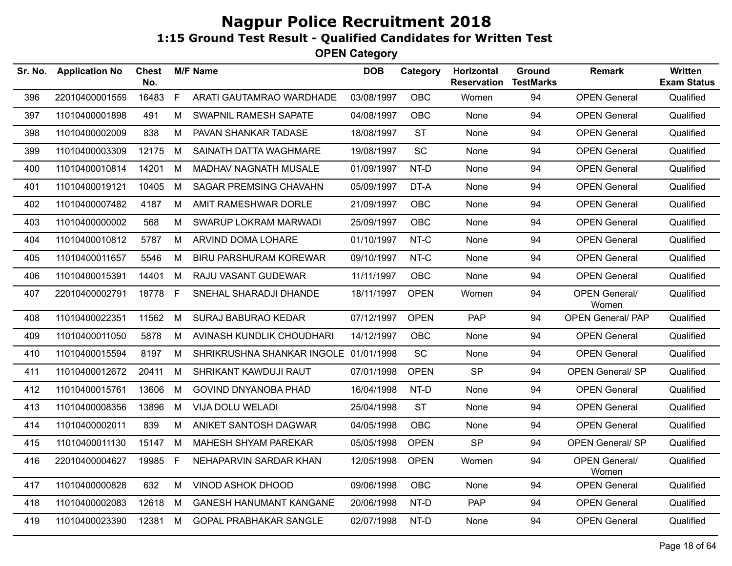| Sr. No. | <b>Application No</b> | <b>Chest</b><br>No. |   | <b>M/F Name</b>                       | <b>DOB</b> | Category    | Horizontal<br><b>Reservation</b> | Ground<br><b>TestMarks</b> | <b>Remark</b>                 | Written<br><b>Exam Status</b> |
|---------|-----------------------|---------------------|---|---------------------------------------|------------|-------------|----------------------------------|----------------------------|-------------------------------|-------------------------------|
| 396     | 22010400001559        | 16483               | F | ARATI GAUTAMRAO WARDHADE              | 03/08/1997 | <b>OBC</b>  | Women                            | 94                         | <b>OPEN General</b>           | Qualified                     |
| 397     | 11010400001898        | 491                 | M | <b>SWAPNIL RAMESH SAPATE</b>          | 04/08/1997 | <b>OBC</b>  | None                             | 94                         | <b>OPEN General</b>           | Qualified                     |
| 398     | 11010400002009        | 838                 | M | PAVAN SHANKAR TADASE                  | 18/08/1997 | <b>ST</b>   | None                             | 94                         | <b>OPEN General</b>           | Qualified                     |
| 399     | 11010400003309        | 12175               | M | SAINATH DATTA WAGHMARE                | 19/08/1997 | SC          | None                             | 94                         | <b>OPEN General</b>           | Qualified                     |
| 400     | 11010400010814        | 14201               | M | MADHAV NAGNATH MUSALE                 | 01/09/1997 | NT-D        | None                             | 94                         | <b>OPEN General</b>           | Qualified                     |
| 401     | 11010400019121        | 10405               | M | SAGAR PREMSING CHAVAHN                | 05/09/1997 | DT-A        | None                             | 94                         | <b>OPEN General</b>           | Qualified                     |
| 402     | 11010400007482        | 4187                | M | AMIT RAMESHWAR DORLE                  | 21/09/1997 | OBC         | None                             | 94                         | <b>OPEN General</b>           | Qualified                     |
| 403     | 11010400000002        | 568                 | M | SWARUP LOKRAM MARWADI                 | 25/09/1997 | <b>OBC</b>  | None                             | 94                         | <b>OPEN General</b>           | Qualified                     |
| 404     | 11010400010812        | 5787                | M | ARVIND DOMA LOHARE                    | 01/10/1997 | NT-C        | None                             | 94                         | <b>OPEN General</b>           | Qualified                     |
| 405     | 11010400011657        | 5546                | M | <b>BIRU PARSHURAM KOREWAR</b>         | 09/10/1997 | NT-C        | None                             | 94                         | <b>OPEN General</b>           | Qualified                     |
| 406     | 11010400015391        | 14401               | M | RAJU VASANT GUDEWAR                   | 11/11/1997 | OBC         | None                             | 94                         | <b>OPEN General</b>           | Qualified                     |
| 407     | 22010400002791        | 18778               | F | SNEHAL SHARADJI DHANDE                | 18/11/1997 | <b>OPEN</b> | Women                            | 94                         | <b>OPEN General/</b><br>Women | Qualified                     |
| 408     | 11010400022351        | 11562               | M | <b>SURAJ BABURAO KEDAR</b>            | 07/12/1997 | <b>OPEN</b> | <b>PAP</b>                       | 94                         | <b>OPEN General/ PAP</b>      | Qualified                     |
| 409     | 11010400011050        | 5878                | M | AVINASH KUNDLIK CHOUDHARI             | 14/12/1997 | OBC         | None                             | 94                         | <b>OPEN General</b>           | Qualified                     |
| 410     | 11010400015594        | 8197                | M | SHRIKRUSHNA SHANKAR INGOLE 01/01/1998 |            | SC          | None                             | 94                         | <b>OPEN General</b>           | Qualified                     |
| 411     | 11010400012672        | 20411               | M | SHRIKANT KAWDUJI RAUT                 | 07/01/1998 | <b>OPEN</b> | <b>SP</b>                        | 94                         | <b>OPEN General/SP</b>        | Qualified                     |
| 412     | 11010400015761        | 13606               | M | <b>GOVIND DNYANOBA PHAD</b>           | 16/04/1998 | NT-D        | None                             | 94                         | <b>OPEN General</b>           | Qualified                     |
| 413     | 11010400008356        | 13896               | M | VIJA DOLU WELADI                      | 25/04/1998 | <b>ST</b>   | None                             | 94                         | <b>OPEN General</b>           | Qualified                     |
| 414     | 11010400002011        | 839                 | M | ANIKET SANTOSH DAGWAR                 | 04/05/1998 | <b>OBC</b>  | None                             | 94                         | <b>OPEN General</b>           | Qualified                     |
| 415     | 11010400011130        | 15147               | M | MAHESH SHYAM PAREKAR                  | 05/05/1998 | <b>OPEN</b> | <b>SP</b>                        | 94                         | <b>OPEN General/ SP</b>       | Qualified                     |
| 416     | 22010400004627        | 19985               | F | NEHAPARVIN SARDAR KHAN                | 12/05/1998 | <b>OPEN</b> | Women                            | 94                         | <b>OPEN General/</b><br>Women | Qualified                     |
| 417     | 11010400000828        | 632                 | M | <b>VINOD ASHOK DHOOD</b>              | 09/06/1998 | <b>OBC</b>  | None                             | 94                         | <b>OPEN General</b>           | Qualified                     |
| 418     | 11010400002083        | 12618               | M | <b>GANESH HANUMANT KANGANE</b>        | 20/06/1998 | NT-D        | <b>PAP</b>                       | 94                         | <b>OPEN General</b>           | Qualified                     |
| 419     | 11010400023390        | 12381               | M | <b>GOPAL PRABHAKAR SANGLE</b>         | 02/07/1998 | NT-D        | None                             | 94                         | <b>OPEN General</b>           | Qualified                     |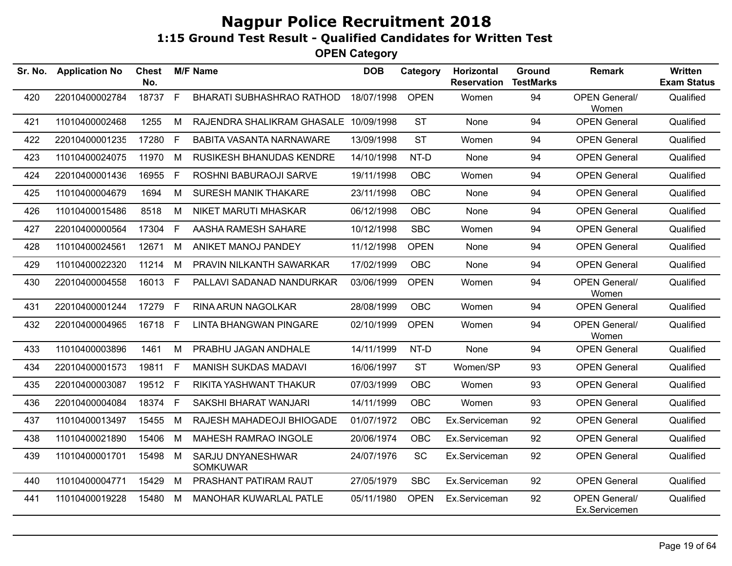| Sr. No. | <b>Application No</b> | <b>Chest</b><br>No. |              | <b>M/F Name</b>                       | <b>DOB</b> | Category    | Horizontal<br><b>Reservation</b> | Ground<br><b>TestMarks</b> | <b>Remark</b>                         | Written<br><b>Exam Status</b> |
|---------|-----------------------|---------------------|--------------|---------------------------------------|------------|-------------|----------------------------------|----------------------------|---------------------------------------|-------------------------------|
| 420     | 22010400002784        | 18737               | F            | <b>BHARATI SUBHASHRAO RATHOD</b>      | 18/07/1998 | <b>OPEN</b> | Women                            | 94                         | <b>OPEN General/</b><br>Women         | Qualified                     |
| 421     | 11010400002468        | 1255                | M            | RAJENDRA SHALIKRAM GHASALE 10/09/1998 |            | <b>ST</b>   | None                             | 94                         | <b>OPEN General</b>                   | Qualified                     |
| 422     | 22010400001235        | 17280               | $\mathsf{F}$ | <b>BABITA VASANTA NARNAWARE</b>       | 13/09/1998 | <b>ST</b>   | Women                            | 94                         | <b>OPEN General</b>                   | Qualified                     |
| 423     | 11010400024075        | 11970               | M            | <b>RUSIKESH BHANUDAS KENDRE</b>       | 14/10/1998 | NT-D        | None                             | 94                         | <b>OPEN General</b>                   | Qualified                     |
| 424     | 22010400001436        | 16955               | $\mathsf{F}$ | ROSHNI BABURAOJI SARVE                | 19/11/1998 | <b>OBC</b>  | Women                            | 94                         | <b>OPEN General</b>                   | Qualified                     |
| 425     | 11010400004679        | 1694                | M            | <b>SURESH MANIK THAKARE</b>           | 23/11/1998 | <b>OBC</b>  | None                             | 94                         | <b>OPEN General</b>                   | Qualified                     |
| 426     | 11010400015486        | 8518                | M            | NIKET MARUTI MHASKAR                  | 06/12/1998 | <b>OBC</b>  | None                             | 94                         | <b>OPEN General</b>                   | Qualified                     |
| 427     | 22010400000564        | 17304               | F            | AASHA RAMESH SAHARE                   | 10/12/1998 | <b>SBC</b>  | Women                            | 94                         | <b>OPEN General</b>                   | Qualified                     |
| 428     | 11010400024561        | 12671               | M            | ANIKET MANOJ PANDEY                   | 11/12/1998 | <b>OPEN</b> | None                             | 94                         | <b>OPEN General</b>                   | Qualified                     |
| 429     | 11010400022320        | 11214               | M            | <b>PRAVIN NILKANTH SAWARKAR</b>       | 17/02/1999 | <b>OBC</b>  | None                             | 94                         | <b>OPEN General</b>                   | Qualified                     |
| 430     | 22010400004558        | 16013               | F            | PALLAVI SADANAD NANDURKAR             | 03/06/1999 | <b>OPEN</b> | Women                            | 94                         | <b>OPEN General/</b><br>Women         | Qualified                     |
| 431     | 22010400001244        | 17279               | F.           | <b>RINA ARUN NAGOLKAR</b>             | 28/08/1999 | <b>OBC</b>  | Women                            | 94                         | <b>OPEN General</b>                   | Qualified                     |
| 432     | 22010400004965        | 16718 F             |              | <b>LINTA BHANGWAN PINGARE</b>         | 02/10/1999 | <b>OPEN</b> | Women                            | 94                         | <b>OPEN General/</b><br>Women         | Qualified                     |
| 433     | 11010400003896        | 1461                | M            | PRABHU JAGAN ANDHALE                  | 14/11/1999 | NT-D        | None                             | 94                         | <b>OPEN General</b>                   | Qualified                     |
| 434     | 22010400001573        | 19811               | E            | <b>MANISH SUKDAS MADAVI</b>           | 16/06/1997 | <b>ST</b>   | Women/SP                         | 93                         | <b>OPEN General</b>                   | Qualified                     |
| 435     | 22010400003087        | 19512 F             |              | RIKITA YASHWANT THAKUR                | 07/03/1999 | <b>OBC</b>  | Women                            | 93                         | <b>OPEN General</b>                   | Qualified                     |
| 436     | 22010400004084        | 18374 F             |              | SAKSHI BHARAT WANJARI                 | 14/11/1999 | <b>OBC</b>  | Women                            | 93                         | <b>OPEN General</b>                   | Qualified                     |
| 437     | 11010400013497        | 15455               | M            | RAJESH MAHADEOJI BHIOGADE             | 01/07/1972 | OBC         | Ex.Serviceman                    | 92                         | <b>OPEN General</b>                   | Qualified                     |
| 438     | 11010400021890        | 15406               | M            | MAHESH RAMRAO INGOLE                  | 20/06/1974 | OBC         | Ex.Serviceman                    | 92                         | <b>OPEN General</b>                   | Qualified                     |
| 439     | 11010400001701        | 15498               | M            | SARJU DNYANESHWAR<br><b>SOMKUWAR</b>  | 24/07/1976 | SC          | Ex.Serviceman                    | 92                         | <b>OPEN General</b>                   | Qualified                     |
| 440     | 11010400004771        | 15429               | M            | PRASHANT PATIRAM RAUT                 | 27/05/1979 | <b>SBC</b>  | Ex.Serviceman                    | 92                         | <b>OPEN General</b>                   | Qualified                     |
| 441     | 11010400019228        | 15480               | M            | MANOHAR KUWARLAL PATLE                | 05/11/1980 | <b>OPEN</b> | Ex.Serviceman                    | 92                         | <b>OPEN General/</b><br>Ex.Servicemen | Qualified                     |
|         |                       |                     |              |                                       |            |             |                                  |                            |                                       |                               |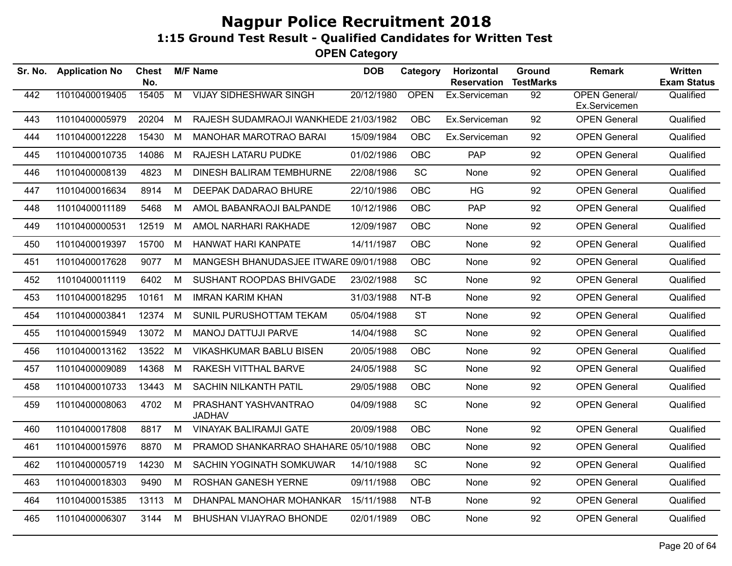| Sr. No. | <b>Application No</b> | Chest<br>No. |   | <b>M/F Name</b>                       | <b>DOB</b> | Category    | Horizontal<br><b>Reservation</b> | Ground<br><b>TestMarks</b> | <b>Remark</b>                         | Written<br><b>Exam Status</b> |
|---------|-----------------------|--------------|---|---------------------------------------|------------|-------------|----------------------------------|----------------------------|---------------------------------------|-------------------------------|
| 442     | 11010400019405        | 15405        | M | <b>VIJAY SIDHESHWAR SINGH</b>         | 20/12/1980 | <b>OPEN</b> | Ex.Serviceman                    | 92                         | <b>OPEN General/</b><br>Ex.Servicemen | Qualified                     |
| 443     | 11010400005979        | 20204        | M | RAJESH SUDAMRAOJI WANKHEDE 21/03/1982 |            | <b>OBC</b>  | Ex.Serviceman                    | 92                         | <b>OPEN General</b>                   | Qualified                     |
| 444     | 11010400012228        | 15430        | М | <b>MANOHAR MAROTRAO BARAI</b>         | 15/09/1984 | <b>OBC</b>  | Ex.Serviceman                    | 92                         | <b>OPEN General</b>                   | Qualified                     |
| 445     | 11010400010735        | 14086        | M | <b>RAJESH LATARU PUDKE</b>            | 01/02/1986 | <b>OBC</b>  | <b>PAP</b>                       | 92                         | <b>OPEN General</b>                   | Qualified                     |
| 446     | 11010400008139        | 4823         | M | DINESH BALIRAM TEMBHURNE              | 22/08/1986 | SC          | None                             | 92                         | <b>OPEN General</b>                   | Qualified                     |
| 447     | 11010400016634        | 8914         | M | DEEPAK DADARAO BHURE                  | 22/10/1986 | <b>OBC</b>  | <b>HG</b>                        | 92                         | <b>OPEN General</b>                   | Qualified                     |
| 448     | 11010400011189        | 5468         | М | AMOL BABANRAOJI BALPANDE              | 10/12/1986 | <b>OBC</b>  | <b>PAP</b>                       | 92                         | <b>OPEN General</b>                   | Qualified                     |
| 449     | 11010400000531        | 12519        | M | AMOL NARHARI RAKHADE                  | 12/09/1987 | <b>OBC</b>  | None                             | 92                         | <b>OPEN General</b>                   | Qualified                     |
| 450     | 11010400019397        | 15700        | M | <b>HANWAT HARI KANPATE</b>            | 14/11/1987 | <b>OBC</b>  | None                             | 92                         | <b>OPEN General</b>                   | Qualified                     |
| 451     | 11010400017628        | 9077         | М | MANGESH BHANUDASJEE ITWARE 09/01/1988 |            | OBC         | None                             | 92                         | <b>OPEN General</b>                   | Qualified                     |
| 452     | 11010400011119        | 6402         | М | <b>SUSHANT ROOPDAS BHIVGADE</b>       | 23/02/1988 | SC          | None                             | 92                         | <b>OPEN General</b>                   | Qualified                     |
| 453     | 11010400018295        | 10161        | М | <b>IMRAN KARIM KHAN</b>               | 31/03/1988 | NT-B        | None                             | 92                         | <b>OPEN General</b>                   | Qualified                     |
| 454     | 11010400003841        | 12374        | М | SUNIL PURUSHOTTAM TEKAM               | 05/04/1988 | <b>ST</b>   | None                             | 92                         | <b>OPEN General</b>                   | Qualified                     |
| 455     | 11010400015949        | 13072        | M | <b>MANOJ DATTUJI PARVE</b>            | 14/04/1988 | SC          | None                             | 92                         | <b>OPEN General</b>                   | Qualified                     |
| 456     | 11010400013162        | 13522        | М | <b>VIKASHKUMAR BABLU BISEN</b>        | 20/05/1988 | <b>OBC</b>  | None                             | 92                         | <b>OPEN General</b>                   | Qualified                     |
| 457     | 11010400009089        | 14368        | M | RAKESH VITTHAL BARVE                  | 24/05/1988 | SC          | None                             | 92                         | <b>OPEN General</b>                   | Qualified                     |
| 458     | 11010400010733        | 13443        | M | SACHIN NILKANTH PATIL                 | 29/05/1988 | <b>OBC</b>  | None                             | 92                         | <b>OPEN General</b>                   | Qualified                     |
| 459     | 11010400008063        | 4702         | M | PRASHANT YASHVANTRAO<br><b>JADHAV</b> | 04/09/1988 | <b>SC</b>   | None                             | 92                         | <b>OPEN General</b>                   | Qualified                     |
| 460     | 11010400017808        | 8817         | М | <b>VINAYAK BALIRAMJI GATE</b>         | 20/09/1988 | <b>OBC</b>  | None                             | 92                         | <b>OPEN General</b>                   | Qualified                     |
| 461     | 11010400015976        | 8870         | М | PRAMOD SHANKARRAO SHAHARE 05/10/1988  |            | <b>OBC</b>  | None                             | 92                         | <b>OPEN General</b>                   | Qualified                     |
| 462     | 11010400005719        | 14230        | M | SACHIN YOGINATH SOMKUWAR              | 14/10/1988 | <b>SC</b>   | None                             | 92                         | <b>OPEN General</b>                   | Qualified                     |
| 463     | 11010400018303        | 9490         | M | ROSHAN GANESH YERNE                   | 09/11/1988 | OBC         | None                             | 92                         | <b>OPEN General</b>                   | Qualified                     |
| 464     | 11010400015385        | 13113        | М | DHANPAL MANOHAR MOHANKAR              | 15/11/1988 | NT-B        | None                             | 92                         | <b>OPEN General</b>                   | Qualified                     |
| 465     | 11010400006307        | 3144         | М | BHUSHAN VIJAYRAO BHONDE               | 02/01/1989 | <b>OBC</b>  | None                             | 92                         | <b>OPEN General</b>                   | Qualified                     |
|         |                       |              |   |                                       |            |             |                                  |                            |                                       |                               |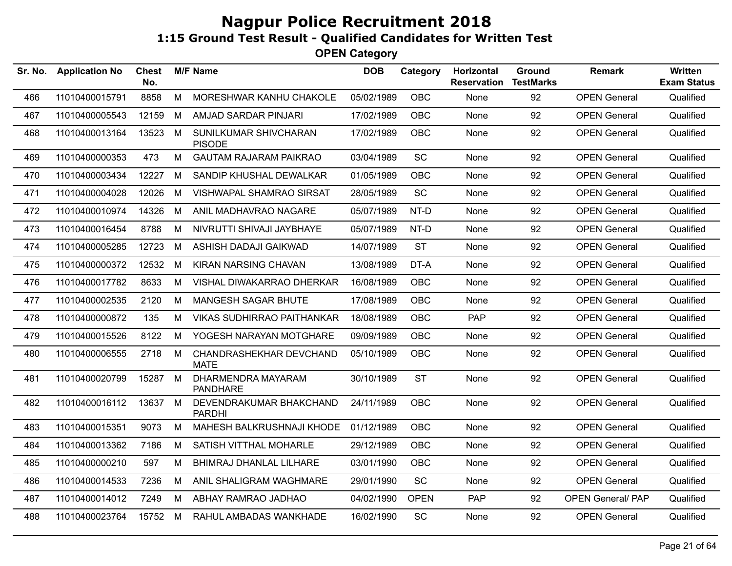| Sr. No. | <b>Application No</b> | <b>Chest</b><br>No. |   | <b>M/F Name</b>                          | <b>DOB</b> | Category    | <b>Horizontal</b><br><b>Reservation</b> | Ground<br><b>TestMarks</b> | <b>Remark</b>            | <b>Written</b><br><b>Exam Status</b> |
|---------|-----------------------|---------------------|---|------------------------------------------|------------|-------------|-----------------------------------------|----------------------------|--------------------------|--------------------------------------|
| 466     | 11010400015791        | 8858                | M | MORESHWAR KANHU CHAKOLE                  | 05/02/1989 | <b>OBC</b>  | None                                    | 92                         | <b>OPEN General</b>      | Qualified                            |
| 467     | 11010400005543        | 12159               | M | AMJAD SARDAR PINJARI                     | 17/02/1989 | OBC         | None                                    | 92                         | <b>OPEN General</b>      | Qualified                            |
| 468     | 11010400013164        | 13523               | M | SUNILKUMAR SHIVCHARAN<br><b>PISODE</b>   | 17/02/1989 | <b>OBC</b>  | None                                    | 92                         | <b>OPEN General</b>      | Qualified                            |
| 469     | 11010400000353        | 473                 | M | <b>GAUTAM RAJARAM PAIKRAO</b>            | 03/04/1989 | SC          | None                                    | 92                         | <b>OPEN General</b>      | Qualified                            |
| 470     | 11010400003434        | 12227               | M | SANDIP KHUSHAL DEWALKAR                  | 01/05/1989 | <b>OBC</b>  | None                                    | 92                         | <b>OPEN General</b>      | Qualified                            |
| 471     | 11010400004028        | 12026               | M | <b>VISHWAPAL SHAMRAO SIRSAT</b>          | 28/05/1989 | SC          | None                                    | 92                         | <b>OPEN General</b>      | Qualified                            |
| 472     | 11010400010974        | 14326               | M | ANIL MADHAVRAO NAGARE                    | 05/07/1989 | NT-D        | None                                    | 92                         | <b>OPEN General</b>      | Qualified                            |
| 473     | 11010400016454        | 8788                | M | NIVRUTTI SHIVAJI JAYBHAYE                | 05/07/1989 | NT-D        | None                                    | 92                         | <b>OPEN General</b>      | Qualified                            |
| 474     | 11010400005285        | 12723               | M | ASHISH DADAJI GAIKWAD                    | 14/07/1989 | <b>ST</b>   | None                                    | 92                         | <b>OPEN General</b>      | Qualified                            |
| 475     | 11010400000372        | 12532               | M | KIRAN NARSING CHAVAN                     | 13/08/1989 | DT-A        | None                                    | 92                         | <b>OPEN General</b>      | Qualified                            |
| 476     | 11010400017782        | 8633                | M | VISHAL DIWAKARRAO DHERKAR                | 16/08/1989 | OBC         | None                                    | 92                         | <b>OPEN General</b>      | Qualified                            |
| 477     | 11010400002535        | 2120                | M | <b>MANGESH SAGAR BHUTE</b>               | 17/08/1989 | <b>OBC</b>  | None                                    | 92                         | <b>OPEN General</b>      | Qualified                            |
| 478     | 11010400000872        | 135                 | M | <b>VIKAS SUDHIRRAO PAITHANKAR</b>        | 18/08/1989 | <b>OBC</b>  | <b>PAP</b>                              | 92                         | <b>OPEN General</b>      | Qualified                            |
| 479     | 11010400015526        | 8122                | M | YOGESH NARAYAN MOTGHARE                  | 09/09/1989 | OBC         | None                                    | 92                         | <b>OPEN General</b>      | Qualified                            |
| 480     | 11010400006555        | 2718                | M | CHANDRASHEKHAR DEVCHAND<br><b>MATE</b>   | 05/10/1989 | <b>OBC</b>  | None                                    | 92                         | <b>OPEN General</b>      | Qualified                            |
| 481     | 11010400020799        | 15287               | M | DHARMENDRA MAYARAM<br><b>PANDHARE</b>    | 30/10/1989 | <b>ST</b>   | None                                    | 92                         | <b>OPEN General</b>      | Qualified                            |
| 482     | 11010400016112        | 13637               | M | DEVENDRAKUMAR BHAKCHAND<br><b>PARDHI</b> | 24/11/1989 | <b>OBC</b>  | None                                    | 92                         | <b>OPEN General</b>      | Qualified                            |
| 483     | 11010400015351        | 9073                | M | MAHESH BALKRUSHNAJI KHODE                | 01/12/1989 | <b>OBC</b>  | None                                    | 92                         | <b>OPEN General</b>      | Qualified                            |
| 484     | 11010400013362        | 7186                | M | SATISH VITTHAL MOHARLE                   | 29/12/1989 | <b>OBC</b>  | None                                    | 92                         | <b>OPEN General</b>      | Qualified                            |
| 485     | 11010400000210        | 597                 | M | BHIMRAJ DHANLAL LILHARE                  | 03/01/1990 | <b>OBC</b>  | None                                    | 92                         | <b>OPEN General</b>      | Qualified                            |
| 486     | 11010400014533        | 7236                | M | ANIL SHALIGRAM WAGHMARE                  | 29/01/1990 | SC          | None                                    | 92                         | <b>OPEN General</b>      | Qualified                            |
| 487     | 11010400014012        | 7249                | M | ABHAY RAMRAO JADHAO                      | 04/02/1990 | <b>OPEN</b> | <b>PAP</b>                              | 92                         | <b>OPEN General/ PAP</b> | Qualified                            |
| 488     | 11010400023764        | 15752 M             |   | RAHUL AMBADAS WANKHADE                   | 16/02/1990 | SC          | None                                    | 92                         | <b>OPEN General</b>      | Qualified                            |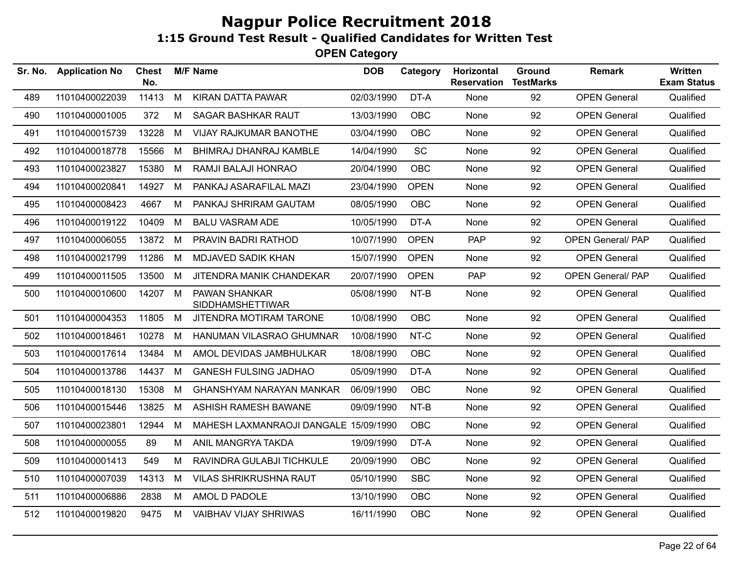| Sr. No. | <b>Application No</b> | <b>Chest</b><br>No. |   | <b>M/F Name</b>                                 | <b>DOB</b> | Category    | Horizontal<br><b>Reservation</b> | Ground<br><b>TestMarks</b> | <b>Remark</b>            | <b>Written</b><br><b>Exam Status</b> |
|---------|-----------------------|---------------------|---|-------------------------------------------------|------------|-------------|----------------------------------|----------------------------|--------------------------|--------------------------------------|
| 489     | 11010400022039        | 11413               | M | <b>KIRAN DATTA PAWAR</b>                        | 02/03/1990 | DT-A        | None                             | 92                         | <b>OPEN General</b>      | Qualified                            |
| 490     | 11010400001005        | 372                 | M | SAGAR BASHKAR RAUT                              | 13/03/1990 | OBC         | None                             | 92                         | <b>OPEN General</b>      | Qualified                            |
| 491     | 11010400015739        | 13228               | M | VIJAY RAJKUMAR BANOTHE                          | 03/04/1990 | <b>OBC</b>  | None                             | 92                         | <b>OPEN General</b>      | Qualified                            |
| 492     | 11010400018778        | 15566               | М | BHIMRAJ DHANRAJ KAMBLE                          | 14/04/1990 | <b>SC</b>   | None                             | 92                         | <b>OPEN General</b>      | Qualified                            |
| 493     | 11010400023827        | 15380               | М | RAMJI BALAJI HONRAO                             | 20/04/1990 | <b>OBC</b>  | None                             | 92                         | <b>OPEN General</b>      | Qualified                            |
| 494     | 11010400020841        | 14927               | M | PANKAJ ASARAFILAL MAZI                          | 23/04/1990 | <b>OPEN</b> | None                             | 92                         | <b>OPEN General</b>      | Qualified                            |
| 495     | 11010400008423        | 4667                | М | PANKAJ SHRIRAM GAUTAM                           | 08/05/1990 | <b>OBC</b>  | None                             | 92                         | <b>OPEN General</b>      | Qualified                            |
| 496     | 11010400019122        | 10409               | М | <b>BALU VASRAM ADE</b>                          | 10/05/1990 | DT-A        | None                             | 92                         | <b>OPEN General</b>      | Qualified                            |
| 497     | 11010400006055        | 13872 M             |   | PRAVIN BADRI RATHOD                             | 10/07/1990 | <b>OPEN</b> | <b>PAP</b>                       | 92                         | <b>OPEN General/ PAP</b> | Qualified                            |
| 498     | 11010400021799        | 11286               | M | MDJAVED SADIK KHAN                              | 15/07/1990 | <b>OPEN</b> | None                             | 92                         | <b>OPEN General</b>      | Qualified                            |
| 499     | 11010400011505        | 13500               | М | JITENDRA MANIK CHANDEKAR                        | 20/07/1990 | <b>OPEN</b> | PAP                              | 92                         | <b>OPEN General/ PAP</b> | Qualified                            |
| 500     | 11010400010600        | 14207               | M | <b>PAWAN SHANKAR</b><br><b>SIDDHAMSHETTIWAR</b> | 05/08/1990 | NT-B        | None                             | 92                         | <b>OPEN General</b>      | Qualified                            |
| 501     | 11010400004353        | 11805               | M | JITENDRA MOTIRAM TARONE                         | 10/08/1990 | <b>OBC</b>  | None                             | 92                         | <b>OPEN General</b>      | Qualified                            |
| 502     | 11010400018461        | 10278               | M | HANUMAN VILASRAO GHUMNAR                        | 10/08/1990 | NT-C        | None                             | 92                         | <b>OPEN General</b>      | Qualified                            |
| 503     | 11010400017614        | 13484               | M | AMOL DEVIDAS JAMBHULKAR                         | 18/08/1990 | <b>OBC</b>  | None                             | 92                         | <b>OPEN General</b>      | Qualified                            |
| 504     | 11010400013786        | 14437               | M | <b>GANESH FULSING JADHAO</b>                    | 05/09/1990 | DT-A        | None                             | 92                         | <b>OPEN General</b>      | Qualified                            |
| 505     | 11010400018130        | 15308               | М | GHANSHYAM NARAYAN MANKAR                        | 06/09/1990 | <b>OBC</b>  | None                             | 92                         | <b>OPEN General</b>      | Qualified                            |
| 506     | 11010400015446        | 13825               | M | ASHISH RAMESH BAWANE                            | 09/09/1990 | NT-B        | None                             | 92                         | <b>OPEN General</b>      | Qualified                            |
| 507     | 11010400023801        | 12944               | М | MAHESH LAXMANRAOJI DANGALE 15/09/1990           |            | <b>OBC</b>  | None                             | 92                         | <b>OPEN General</b>      | Qualified                            |
| 508     | 11010400000055        | 89                  | M | ANIL MANGRYA TAKDA                              | 19/09/1990 | DT-A        | None                             | 92                         | <b>OPEN General</b>      | Qualified                            |
| 509     | 11010400001413        | 549                 | M | RAVINDRA GULABJI TICHKULE                       | 20/09/1990 | <b>OBC</b>  | None                             | 92                         | <b>OPEN General</b>      | Qualified                            |
| 510     | 11010400007039        | 14313               | M | <b>VILAS SHRIKRUSHNA RAUT</b>                   | 05/10/1990 | <b>SBC</b>  | None                             | 92                         | <b>OPEN General</b>      | Qualified                            |
| 511     | 11010400006886        | 2838                | M | AMOL D PADOLE                                   | 13/10/1990 | OBC         | None                             | 92                         | <b>OPEN General</b>      | Qualified                            |
| 512     | 11010400019820        | 9475                | М | <b>VAIBHAV VIJAY SHRIWAS</b>                    | 16/11/1990 | <b>OBC</b>  | None                             | 92                         | <b>OPEN General</b>      | Qualified                            |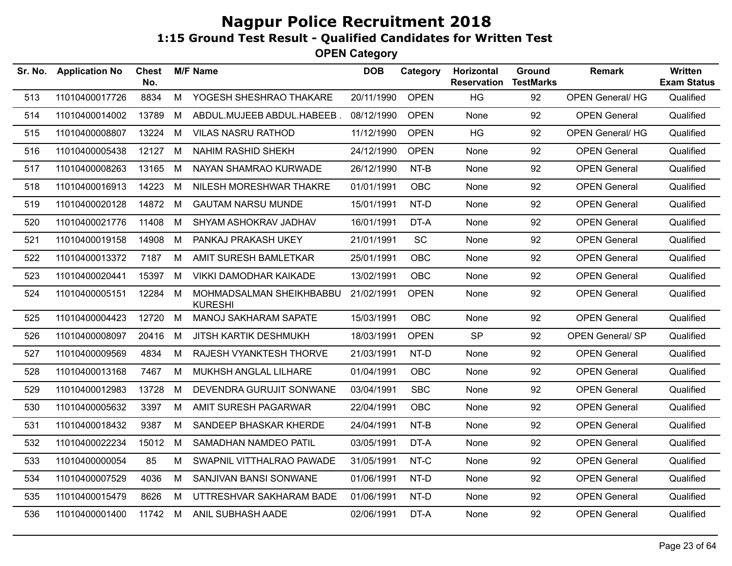| Sr. No. | <b>Application No</b> | <b>Chest</b><br>No. |   | <b>M/F Name</b>                            | <b>DOB</b> | Category    | Horizontal<br><b>Reservation</b> | <b>Ground</b><br><b>TestMarks</b> | <b>Remark</b>           | Written<br><b>Exam Status</b> |
|---------|-----------------------|---------------------|---|--------------------------------------------|------------|-------------|----------------------------------|-----------------------------------|-------------------------|-------------------------------|
| 513     | 11010400017726        | 8834                | M | YOGESH SHESHRAO THAKARE                    | 20/11/1990 | <b>OPEN</b> | HG                               | 92                                | <b>OPEN General/ HG</b> | Qualified                     |
| 514     | 11010400014002        | 13789               | M | ABDUL.MUJEEB ABDUL.HABEEB.                 | 08/12/1990 | <b>OPEN</b> | None                             | 92                                | <b>OPEN General</b>     | Qualified                     |
| 515     | 11010400008807        | 13224               | M | <b>VILAS NASRU RATHOD</b>                  | 11/12/1990 | <b>OPEN</b> | <b>HG</b>                        | 92                                | <b>OPEN General/ HG</b> | Qualified                     |
| 516     | 11010400005438        | 12127               | M | <b>NAHIM RASHID SHEKH</b>                  | 24/12/1990 | <b>OPEN</b> | None                             | 92                                | <b>OPEN General</b>     | Qualified                     |
| 517     | 11010400008263        | 13165               | M | NAYAN SHAMRAO KURWADE                      | 26/12/1990 | NT-B        | None                             | 92                                | <b>OPEN General</b>     | Qualified                     |
| 518     | 11010400016913        | 14223               | М | NILESH MORESHWAR THAKRE                    | 01/01/1991 | <b>OBC</b>  | None                             | 92                                | <b>OPEN General</b>     | Qualified                     |
| 519     | 11010400020128        | 14872               | M | <b>GAUTAM NARSU MUNDE</b>                  | 15/01/1991 | NT-D        | None                             | 92                                | <b>OPEN General</b>     | Qualified                     |
| 520     | 11010400021776        | 11408               | M | SHYAM ASHOKRAV JADHAV                      | 16/01/1991 | DT-A        | None                             | 92                                | <b>OPEN General</b>     | Qualified                     |
| 521     | 11010400019158        | 14908               | M | PANKAJ PRAKASH UKEY                        | 21/01/1991 | <b>SC</b>   | None                             | 92                                | <b>OPEN General</b>     | Qualified                     |
| 522     | 11010400013372        | 7187                | M | AMIT SURESH BAMLETKAR                      | 25/01/1991 | <b>OBC</b>  | None                             | 92                                | <b>OPEN General</b>     | Qualified                     |
| 523     | 11010400020441        | 15397               | M | <b>VIKKI DAMODHAR KAIKADE</b>              | 13/02/1991 | <b>OBC</b>  | None                             | 92                                | <b>OPEN General</b>     | Qualified                     |
| 524     | 11010400005151        | 12284               | M | MOHMADSALMAN SHEIKHBABBU<br><b>KURESHI</b> | 21/02/1991 | <b>OPEN</b> | None                             | 92                                | <b>OPEN General</b>     | Qualified                     |
| 525     | 11010400004423        | 12720               | M | MANOJ SAKHARAM SAPATE                      | 15/03/1991 | <b>OBC</b>  | None                             | 92                                | <b>OPEN General</b>     | Qualified                     |
| 526     | 11010400008097        | 20416               | М | <b>JITSH KARTIK DESHMUKH</b>               | 18/03/1991 | <b>OPEN</b> | <b>SP</b>                        | 92                                | <b>OPEN General/ SP</b> | Qualified                     |
| 527     | 11010400009569        | 4834                | M | RAJESH VYANKTESH THORVE                    | 21/03/1991 | NT-D        | None                             | 92                                | <b>OPEN General</b>     | Qualified                     |
| 528     | 11010400013168        | 7467                | М | MUKHSH ANGLAL LILHARE                      | 01/04/1991 | <b>OBC</b>  | None                             | 92                                | <b>OPEN General</b>     | Qualified                     |
| 529     | 11010400012983        | 13728               | М | DEVENDRA GURUJIT SONWANE                   | 03/04/1991 | <b>SBC</b>  | None                             | 92                                | <b>OPEN General</b>     | Qualified                     |
| 530     | 11010400005632        | 3397                | M | AMIT SURESH PAGARWAR                       | 22/04/1991 | <b>OBC</b>  | None                             | 92                                | <b>OPEN General</b>     | Qualified                     |
| 531     | 11010400018432        | 9387                | M | SANDEEP BHASKAR KHERDE                     | 24/04/1991 | NT-B        | None                             | 92                                | <b>OPEN General</b>     | Qualified                     |
| 532     | 11010400022234        | 15012               | M | SAMADHAN NAMDEO PATIL                      | 03/05/1991 | DT-A        | None                             | 92                                | <b>OPEN General</b>     | Qualified                     |
| 533     | 11010400000054        | 85                  | M | SWAPNIL VITTHALRAO PAWADE                  | 31/05/1991 | NT-C        | None                             | 92                                | <b>OPEN General</b>     | Qualified                     |
| 534     | 11010400007529        | 4036                | M | SANJIVAN BANSI SONWANE                     | 01/06/1991 | NT-D        | None                             | 92                                | <b>OPEN General</b>     | Qualified                     |
| 535     | 11010400015479        | 8626                | М | UTTRESHVAR SAKHARAM BADE                   | 01/06/1991 | NT-D        | None                             | 92                                | <b>OPEN General</b>     | Qualified                     |
| 536     | 11010400001400        | 11742               | M | ANIL SUBHASH AADE                          | 02/06/1991 | DT-A        | None                             | 92                                | <b>OPEN General</b>     | Qualified                     |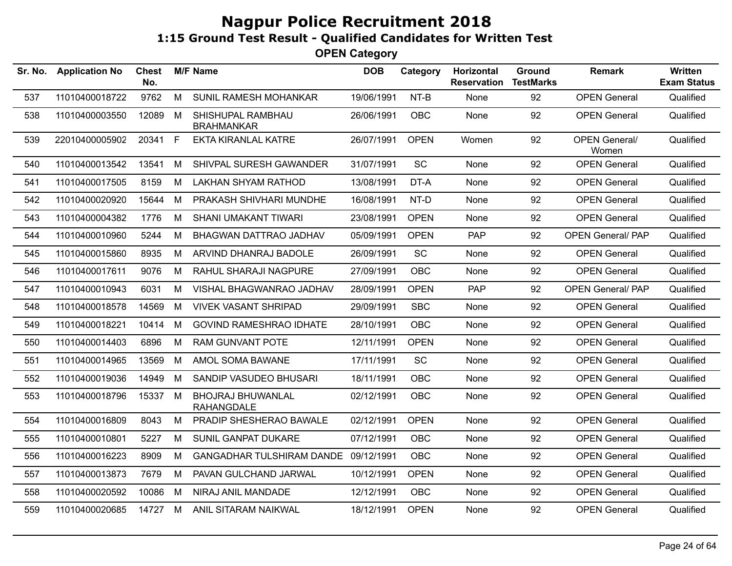| Sr. No. | <b>Application No</b> | <b>Chest</b><br>No. |             | <b>M/F Name</b>                        | <b>DOB</b> | Category    | Horizontal<br><b>Reservation</b> | Ground<br><b>TestMarks</b> | <b>Remark</b>                 | Written<br><b>Exam Status</b> |
|---------|-----------------------|---------------------|-------------|----------------------------------------|------------|-------------|----------------------------------|----------------------------|-------------------------------|-------------------------------|
| 537     | 11010400018722        | 9762                | M           | SUNIL RAMESH MOHANKAR                  | 19/06/1991 | NT-B        | None                             | 92                         | <b>OPEN General</b>           | Qualified                     |
| 538     | 11010400003550        | 12089               | М           | SHISHUPAL RAMBHAU<br><b>BRAHMANKAR</b> | 26/06/1991 | <b>OBC</b>  | None                             | 92                         | <b>OPEN General</b>           | Qualified                     |
| 539     | 22010400005902        | 20341               | $\mathsf F$ | <b>EKTA KIRANLAL KATRE</b>             | 26/07/1991 | <b>OPEN</b> | Women                            | 92                         | <b>OPEN General/</b><br>Women | Qualified                     |
| 540     | 11010400013542        | 13541               | M           | SHIVPAL SURESH GAWANDER                | 31/07/1991 | <b>SC</b>   | None                             | 92                         | <b>OPEN General</b>           | Qualified                     |
| 541     | 11010400017505        | 8159                | M           | <b>LAKHAN SHYAM RATHOD</b>             | 13/08/1991 | DT-A        | None                             | 92                         | <b>OPEN General</b>           | Qualified                     |
| 542     | 11010400020920        | 15644               | M           | PRAKASH SHIVHARI MUNDHE                | 16/08/1991 | NT-D        | None                             | 92                         | <b>OPEN General</b>           | Qualified                     |
| 543     | 11010400004382        | 1776                | M           | SHANI UMAKANT TIWARI                   | 23/08/1991 | <b>OPEN</b> | None                             | 92                         | <b>OPEN General</b>           | Qualified                     |
| 544     | 11010400010960        | 5244                | М           | BHAGWAN DATTRAO JADHAV                 | 05/09/1991 | <b>OPEN</b> | <b>PAP</b>                       | 92                         | <b>OPEN General/PAP</b>       | Qualified                     |
| 545     | 11010400015860        | 8935                | M           | ARVIND DHANRAJ BADOLE                  | 26/09/1991 | SC          | None                             | 92                         | <b>OPEN General</b>           | Qualified                     |
| 546     | 11010400017611        | 9076                | M           | RAHUL SHARAJI NAGPURE                  | 27/09/1991 | <b>OBC</b>  | None                             | 92                         | <b>OPEN General</b>           | Qualified                     |
| 547     | 11010400010943        | 6031                | M           | VISHAL BHAGWANRAO JADHAV               | 28/09/1991 | <b>OPEN</b> | <b>PAP</b>                       | 92                         | <b>OPEN General/ PAP</b>      | Qualified                     |
| 548     | 11010400018578        | 14569               | M           | <b>VIVEK VASANT SHRIPAD</b>            | 29/09/1991 | <b>SBC</b>  | None                             | 92                         | <b>OPEN General</b>           | Qualified                     |
| 549     | 11010400018221        | 10414               | M           | <b>GOVIND RAMESHRAO IDHATE</b>         | 28/10/1991 | <b>OBC</b>  | None                             | 92                         | <b>OPEN General</b>           | Qualified                     |
| 550     | 11010400014403        | 6896                | M           | <b>RAM GUNVANT POTE</b>                | 12/11/1991 | <b>OPEN</b> | None                             | 92                         | <b>OPEN General</b>           | Qualified                     |
| 551     | 11010400014965        | 13569               | M           | AMOL SOMA BAWANE                       | 17/11/1991 | <b>SC</b>   | None                             | 92                         | <b>OPEN General</b>           | Qualified                     |
| 552     | 11010400019036        | 14949               | М           | SANDIP VASUDEO BHUSARI                 | 18/11/1991 | <b>OBC</b>  | None                             | 92                         | <b>OPEN General</b>           | Qualified                     |
| 553     | 11010400018796        | 15337 M             |             | BHOJRAJ BHUWANLAL<br><b>RAHANGDALE</b> | 02/12/1991 | <b>OBC</b>  | None                             | 92                         | <b>OPEN General</b>           | Qualified                     |
| 554     | 11010400016809        | 8043                | м           | PRADIP SHESHERAO BAWALE                | 02/12/1991 | <b>OPEN</b> | None                             | 92                         | <b>OPEN General</b>           | Qualified                     |
| 555     | 11010400010801        | 5227                | М           | SUNIL GANPAT DUKARE                    | 07/12/1991 | <b>OBC</b>  | None                             | 92                         | <b>OPEN General</b>           | Qualified                     |
| 556     | 11010400016223        | 8909                | M           | GANGADHAR TULSHIRAM DANDE 09/12/1991   |            | <b>OBC</b>  | None                             | 92                         | <b>OPEN General</b>           | Qualified                     |
| 557     | 11010400013873        | 7679                | M           | PAVAN GULCHAND JARWAL                  | 10/12/1991 | <b>OPEN</b> | None                             | 92                         | <b>OPEN General</b>           | Qualified                     |
| 558     | 11010400020592        | 10086               | М           | NIRAJ ANIL MANDADE                     | 12/12/1991 | <b>OBC</b>  | None                             | 92                         | <b>OPEN General</b>           | Qualified                     |
| 559     | 11010400020685        | 14727 M             |             | ANIL SITARAM NAIKWAL                   | 18/12/1991 | <b>OPEN</b> | None                             | 92                         | <b>OPEN General</b>           | Qualified                     |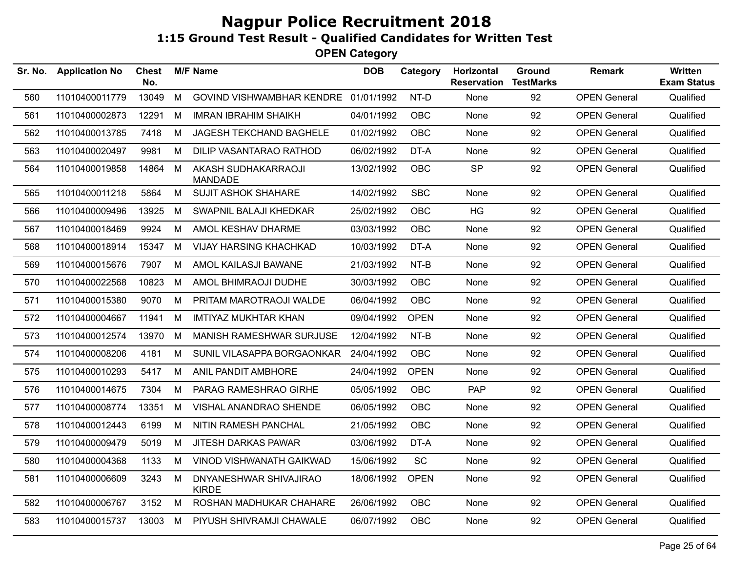| Sr. No. | <b>Application No</b> | <b>Chest</b><br>No. |   | <b>M/F Name</b>                        | <b>DOB</b> | Category    | <b>Horizontal</b><br><b>Reservation</b> | Ground<br><b>TestMarks</b> | <b>Remark</b>       | <b>Written</b><br><b>Exam Status</b> |
|---------|-----------------------|---------------------|---|----------------------------------------|------------|-------------|-----------------------------------------|----------------------------|---------------------|--------------------------------------|
| 560     | 11010400011779        | 13049               | М | <b>GOVIND VISHWAMBHAR KENDRE</b>       | 01/01/1992 | NT-D        | None                                    | 92                         | <b>OPEN General</b> | Qualified                            |
| 561     | 11010400002873        | 12291               | М | <b>IMRAN IBRAHIM SHAIKH</b>            | 04/01/1992 | <b>OBC</b>  | None                                    | 92                         | <b>OPEN General</b> | Qualified                            |
| 562     | 11010400013785        | 7418                | М | JAGESH TEKCHAND BAGHELE                | 01/02/1992 | <b>OBC</b>  | None                                    | 92                         | <b>OPEN General</b> | Qualified                            |
| 563     | 11010400020497        | 9981                | М | DILIP VASANTARAO RATHOD                | 06/02/1992 | DT-A        | None                                    | 92                         | <b>OPEN General</b> | Qualified                            |
| 564     | 11010400019858        | 14864               | M | AKASH SUDHAKARRAOJI<br><b>MANDADE</b>  | 13/02/1992 | <b>OBC</b>  | <b>SP</b>                               | 92                         | <b>OPEN General</b> | Qualified                            |
| 565     | 11010400011218        | 5864                | M | <b>SUJIT ASHOK SHAHARE</b>             | 14/02/1992 | <b>SBC</b>  | None                                    | 92                         | <b>OPEN General</b> | Qualified                            |
| 566     | 11010400009496        | 13925               | M | SWAPNIL BALAJI KHEDKAR                 | 25/02/1992 | <b>OBC</b>  | HG                                      | 92                         | <b>OPEN General</b> | Qualified                            |
| 567     | 11010400018469        | 9924                | M | AMOL KESHAV DHARME                     | 03/03/1992 | <b>OBC</b>  | None                                    | 92                         | <b>OPEN General</b> | Qualified                            |
| 568     | 11010400018914        | 15347               | М | <b>VIJAY HARSING KHACHKAD</b>          | 10/03/1992 | DT-A        | None                                    | 92                         | <b>OPEN General</b> | Qualified                            |
| 569     | 11010400015676        | 7907                | M | AMOL KAILASJI BAWANE                   | 21/03/1992 | NT-B        | None                                    | 92                         | <b>OPEN General</b> | Qualified                            |
| 570     | 11010400022568        | 10823               | M | AMOL BHIMRAOJI DUDHE                   | 30/03/1992 | <b>OBC</b>  | None                                    | 92                         | <b>OPEN General</b> | Qualified                            |
| 571     | 11010400015380        | 9070                | М | PRITAM MAROTRAOJI WALDE                | 06/04/1992 | <b>OBC</b>  | None                                    | 92                         | <b>OPEN General</b> | Qualified                            |
| 572     | 11010400004667        | 11941               | M | <b>IMTIYAZ MUKHTAR KHAN</b>            | 09/04/1992 | <b>OPEN</b> | None                                    | 92                         | <b>OPEN General</b> | Qualified                            |
| 573     | 11010400012574        | 13970               | M | MANISH RAMESHWAR SURJUSE               | 12/04/1992 | NT-B        | None                                    | 92                         | <b>OPEN General</b> | Qualified                            |
| 574     | 11010400008206        | 4181                | M | SUNIL VILASAPPA BORGAONKAR             | 24/04/1992 | <b>OBC</b>  | None                                    | 92                         | <b>OPEN General</b> | Qualified                            |
| 575     | 11010400010293        | 5417                | M | ANIL PANDIT AMBHORE                    | 24/04/1992 | <b>OPEN</b> | None                                    | 92                         | <b>OPEN General</b> | Qualified                            |
| 576     | 11010400014675        | 7304                | М | PARAG RAMESHRAO GIRHE                  | 05/05/1992 | <b>OBC</b>  | <b>PAP</b>                              | 92                         | <b>OPEN General</b> | Qualified                            |
| 577     | 11010400008774        | 13351               | M | VISHAL ANANDRAO SHENDE                 | 06/05/1992 | <b>OBC</b>  | None                                    | 92                         | <b>OPEN General</b> | Qualified                            |
| 578     | 11010400012443        | 6199                | М | NITIN RAMESH PANCHAL                   | 21/05/1992 | <b>OBC</b>  | None                                    | 92                         | <b>OPEN General</b> | Qualified                            |
| 579     | 11010400009479        | 5019                | M | <b>JITESH DARKAS PAWAR</b>             | 03/06/1992 | DT-A        | None                                    | 92                         | <b>OPEN General</b> | Qualified                            |
| 580     | 11010400004368        | 1133                | М | <b>VINOD VISHWANATH GAIKWAD</b>        | 15/06/1992 | <b>SC</b>   | None                                    | 92                         | <b>OPEN General</b> | Qualified                            |
| 581     | 11010400006609        | 3243                | М | DNYANESHWAR SHIVAJIRAO<br><b>KIRDE</b> | 18/06/1992 | <b>OPEN</b> | None                                    | 92                         | <b>OPEN General</b> | Qualified                            |
| 582     | 11010400006767        | 3152                | М | ROSHAN MADHUKAR CHAHARE                | 26/06/1992 | <b>OBC</b>  | None                                    | 92                         | <b>OPEN General</b> | Qualified                            |
| 583     | 11010400015737        | 13003               | M | PIYUSH SHIVRAMJI CHAWALE               | 06/07/1992 | OBC         | None                                    | 92                         | <b>OPEN General</b> | Qualified                            |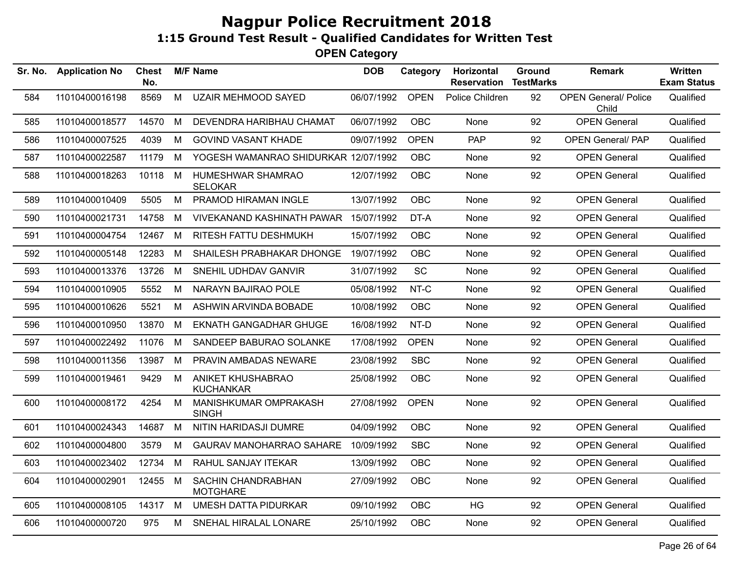| Sr. No. | <b>Application No</b> | <b>Chest</b><br>No. |   | <b>M/F Name</b>                       | <b>DOB</b> | Category    | Horizontal<br><b>Reservation</b> | Ground<br><b>TestMarks</b> | <b>Remark</b>                        | <b>Written</b><br><b>Exam Status</b> |
|---------|-----------------------|---------------------|---|---------------------------------------|------------|-------------|----------------------------------|----------------------------|--------------------------------------|--------------------------------------|
| 584     | 11010400016198        | 8569                | M | <b>UZAIR MEHMOOD SAYED</b>            | 06/07/1992 | <b>OPEN</b> | Police Children                  | 92                         | <b>OPEN General/ Police</b><br>Child | Qualified                            |
| 585     | 11010400018577        | 14570               | M | DEVENDRA HARIBHAU CHAMAT              | 06/07/1992 | <b>OBC</b>  | None                             | 92                         | <b>OPEN General</b>                  | Qualified                            |
| 586     | 11010400007525        | 4039                | м | <b>GOVIND VASANT KHADE</b>            | 09/07/1992 | <b>OPEN</b> | <b>PAP</b>                       | 92                         | <b>OPEN General/ PAP</b>             | Qualified                            |
| 587     | 11010400022587        | 11179               | M | YOGESH WAMANRAO SHIDURKAR 12/07/1992  |            | <b>OBC</b>  | None                             | 92                         | <b>OPEN General</b>                  | Qualified                            |
| 588     | 11010400018263        | 10118               | М | HUMESHWAR SHAMRAO<br><b>SELOKAR</b>   | 12/07/1992 | <b>OBC</b>  | None                             | 92                         | <b>OPEN General</b>                  | Qualified                            |
| 589     | 11010400010409        | 5505                | M | PRAMOD HIRAMAN INGLE                  | 13/07/1992 | OBC         | None                             | 92                         | <b>OPEN General</b>                  | Qualified                            |
| 590     | 11010400021731        | 14758               | M | <b>VIVEKANAND KASHINATH PAWAR</b>     | 15/07/1992 | DT-A        | None                             | 92                         | <b>OPEN General</b>                  | Qualified                            |
| 591     | 11010400004754        | 12467               | M | RITESH FATTU DESHMUKH                 | 15/07/1992 | <b>OBC</b>  | None                             | 92                         | <b>OPEN General</b>                  | Qualified                            |
| 592     | 11010400005148        | 12283               | M | SHAILESH PRABHAKAR DHONGE             | 19/07/1992 | <b>OBC</b>  | None                             | 92                         | <b>OPEN General</b>                  | Qualified                            |
| 593     | 11010400013376        | 13726               | M | SNEHIL UDHDAV GANVIR                  | 31/07/1992 | <b>SC</b>   | None                             | 92                         | <b>OPEN General</b>                  | Qualified                            |
| 594     | 11010400010905        | 5552                | M | NARAYN BAJIRAO POLE                   | 05/08/1992 | NT-C        | None                             | 92                         | <b>OPEN General</b>                  | Qualified                            |
| 595     | 11010400010626        | 5521                | M | ASHWIN ARVINDA BOBADE                 | 10/08/1992 | <b>OBC</b>  | None                             | 92                         | <b>OPEN General</b>                  | Qualified                            |
| 596     | 11010400010950        | 13870               | M | <b>EKNATH GANGADHAR GHUGE</b>         | 16/08/1992 | NT-D        | None                             | 92                         | <b>OPEN General</b>                  | Qualified                            |
| 597     | 11010400022492        | 11076               | М | SANDEEP BABURAO SOLANKE               | 17/08/1992 | <b>OPEN</b> | None                             | 92                         | <b>OPEN General</b>                  | Qualified                            |
| 598     | 11010400011356        | 13987               | M | PRAVIN AMBADAS NEWARE                 | 23/08/1992 | <b>SBC</b>  | None                             | 92                         | <b>OPEN General</b>                  | Qualified                            |
| 599     | 11010400019461        | 9429                | M | ANIKET KHUSHABRAO<br><b>KUCHANKAR</b> | 25/08/1992 | OBC         | None                             | 92                         | <b>OPEN General</b>                  | Qualified                            |
| 600     | 11010400008172        | 4254                | M | MANISHKUMAR OMPRAKASH<br><b>SINGH</b> | 27/08/1992 | <b>OPEN</b> | None                             | 92                         | <b>OPEN General</b>                  | Qualified                            |
| 601     | 11010400024343        | 14687               | M | NITIN HARIDASJI DUMRE                 | 04/09/1992 | <b>OBC</b>  | None                             | 92                         | <b>OPEN General</b>                  | Qualified                            |
| 602     | 11010400004800        | 3579                | M | GAURAV MANOHARRAO SAHARE              | 10/09/1992 | <b>SBC</b>  | None                             | 92                         | <b>OPEN General</b>                  | Qualified                            |
| 603     | 11010400023402        | 12734               | M | RAHUL SANJAY ITEKAR                   | 13/09/1992 | OBC         | None                             | 92                         | <b>OPEN General</b>                  | Qualified                            |
| 604     | 11010400002901        | 12455 M             |   | SACHIN CHANDRABHAN<br><b>MOTGHARE</b> | 27/09/1992 | <b>OBC</b>  | None                             | 92                         | <b>OPEN General</b>                  | Qualified                            |
| 605     | 11010400008105        | 14317 M             |   | <b>UMESH DATTA PIDURKAR</b>           | 09/10/1992 | OBC         | HG                               | 92                         | <b>OPEN General</b>                  | Qualified                            |
| 606     | 11010400000720        | 975                 | М | SNEHAL HIRALAL LONARE                 | 25/10/1992 | OBC         | None                             | 92                         | <b>OPEN General</b>                  | Qualified                            |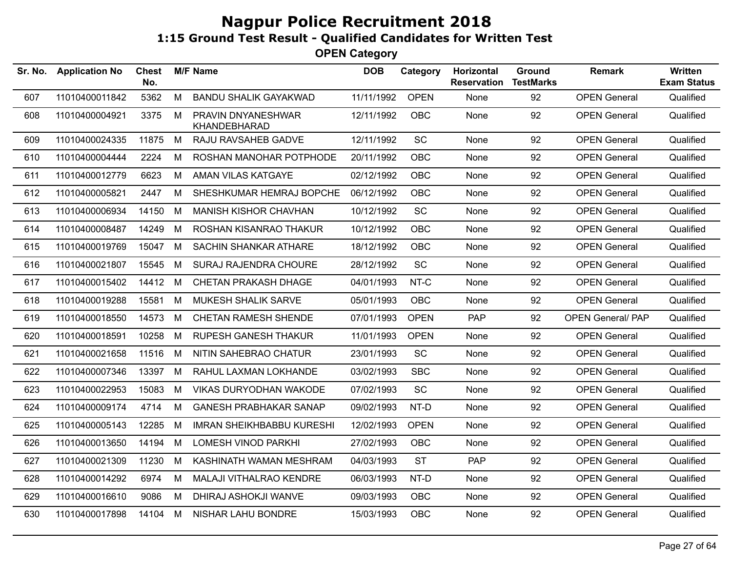| Sr. No. | <b>Application No</b> | Chest<br>No. |   | <b>M/F Name</b>                    | <b>DOB</b> | Category    | Horizontal<br><b>Reservation</b> | Ground<br><b>TestMarks</b> | <b>Remark</b>            | <b>Written</b><br><b>Exam Status</b> |
|---------|-----------------------|--------------|---|------------------------------------|------------|-------------|----------------------------------|----------------------------|--------------------------|--------------------------------------|
| 607     | 11010400011842        | 5362         | M | <b>BANDU SHALIK GAYAKWAD</b>       | 11/11/1992 | <b>OPEN</b> | None                             | 92                         | <b>OPEN General</b>      | Qualified                            |
| 608     | 11010400004921        | 3375         | M | PRAVIN DNYANESHWAR<br>KHANDEBHARAD | 12/11/1992 | <b>OBC</b>  | None                             | 92                         | <b>OPEN General</b>      | Qualified                            |
| 609     | 11010400024335        | 11875        | M | RAJU RAVSAHEB GADVE                | 12/11/1992 | SC          | None                             | 92                         | <b>OPEN General</b>      | Qualified                            |
| 610     | 11010400004444        | 2224         | M | ROSHAN MANOHAR POTPHODE            | 20/11/1992 | <b>OBC</b>  | None                             | 92                         | <b>OPEN General</b>      | Qualified                            |
| 611     | 11010400012779        | 6623         | M | AMAN VILAS KATGAYE                 | 02/12/1992 | <b>OBC</b>  | None                             | 92                         | <b>OPEN General</b>      | Qualified                            |
| 612     | 11010400005821        | 2447         | M | SHESHKUMAR HEMRAJ BOPCHE           | 06/12/1992 | <b>OBC</b>  | None                             | 92                         | <b>OPEN General</b>      | Qualified                            |
| 613     | 11010400006934        | 14150        | M | <b>MANISH KISHOR CHAVHAN</b>       | 10/12/1992 | SC          | None                             | 92                         | <b>OPEN General</b>      | Qualified                            |
| 614     | 11010400008487        | 14249        | M | ROSHAN KISANRAO THAKUR             | 10/12/1992 | <b>OBC</b>  | None                             | 92                         | <b>OPEN General</b>      | Qualified                            |
| 615     | 11010400019769        | 15047        | M | <b>SACHIN SHANKAR ATHARE</b>       | 18/12/1992 | <b>OBC</b>  | None                             | 92                         | <b>OPEN General</b>      | Qualified                            |
| 616     | 11010400021807        | 15545        | M | SURAJ RAJENDRA CHOURE              | 28/12/1992 | SC          | None                             | 92                         | <b>OPEN General</b>      | Qualified                            |
| 617     | 11010400015402        | 14412 M      |   | <b>CHETAN PRAKASH DHAGE</b>        | 04/01/1993 | NT-C        | None                             | 92                         | <b>OPEN General</b>      | Qualified                            |
| 618     | 11010400019288        | 15581        | M | MUKESH SHALIK SARVE                | 05/01/1993 | OBC         | None                             | 92                         | <b>OPEN General</b>      | Qualified                            |
| 619     | 11010400018550        | 14573        | M | <b>CHETAN RAMESH SHENDE</b>        | 07/01/1993 | <b>OPEN</b> | <b>PAP</b>                       | 92                         | <b>OPEN General/ PAP</b> | Qualified                            |
| 620     | 11010400018591        | 10258        | M | <b>RUPESH GANESH THAKUR</b>        | 11/01/1993 | <b>OPEN</b> | None                             | 92                         | <b>OPEN General</b>      | Qualified                            |
| 621     | 11010400021658        | 11516        | M | NITIN SAHEBRAO CHATUR              | 23/01/1993 | SC          | None                             | 92                         | <b>OPEN General</b>      | Qualified                            |
| 622     | 11010400007346        | 13397        | M | RAHUL LAXMAN LOKHANDE              | 03/02/1993 | <b>SBC</b>  | None                             | 92                         | <b>OPEN General</b>      | Qualified                            |
| 623     | 11010400022953        | 15083        | M | <b>VIKAS DURYODHAN WAKODE</b>      | 07/02/1993 | <b>SC</b>   | None                             | 92                         | <b>OPEN General</b>      | Qualified                            |
| 624     | 11010400009174        | 4714         | M | <b>GANESH PRABHAKAR SANAP</b>      | 09/02/1993 | NT-D        | None                             | 92                         | <b>OPEN General</b>      | Qualified                            |
| 625     | 11010400005143        | 12285        | M | <b>IMRAN SHEIKHBABBU KURESHI</b>   | 12/02/1993 | <b>OPEN</b> | <b>None</b>                      | 92                         | <b>OPEN General</b>      | Qualified                            |
| 626     | 11010400013650        | 14194        | M | <b>LOMESH VINOD PARKHI</b>         | 27/02/1993 | <b>OBC</b>  | None                             | 92                         | <b>OPEN General</b>      | Qualified                            |
| 627     | 11010400021309        | 11230        | M | KASHINATH WAMAN MESHRAM            | 04/03/1993 | <b>ST</b>   | <b>PAP</b>                       | 92                         | <b>OPEN General</b>      | Qualified                            |
| 628     | 11010400014292        | 6974         | M | MALAJI VITHALRAO KENDRE            | 06/03/1993 | NT-D        | None                             | 92                         | <b>OPEN General</b>      | Qualified                            |
| 629     | 11010400016610        | 9086         | М | DHIRAJ ASHOKJI WANVE               | 09/03/1993 | <b>OBC</b>  | None                             | 92                         | <b>OPEN General</b>      | Qualified                            |
| 630     | 11010400017898        | 14104 M      |   | NISHAR LAHU BONDRE                 | 15/03/1993 | <b>OBC</b>  | None                             | 92                         | <b>OPEN General</b>      | Qualified                            |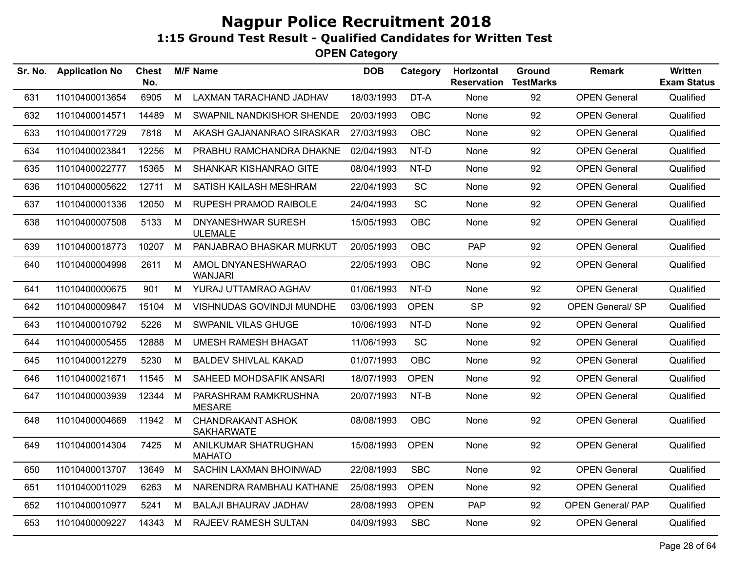| Sr. No. | <b>Application No</b> | <b>Chest</b><br>No. |   | <b>M/F Name</b>                               | <b>DOB</b> | Category    | Horizontal<br><b>Reservation</b> | <b>Ground</b><br><b>TestMarks</b> | <b>Remark</b>            | Written<br><b>Exam Status</b> |
|---------|-----------------------|---------------------|---|-----------------------------------------------|------------|-------------|----------------------------------|-----------------------------------|--------------------------|-------------------------------|
| 631     | 11010400013654        | 6905                | M | LAXMAN TARACHAND JADHAV                       | 18/03/1993 | DT-A        | None                             | 92                                | <b>OPEN General</b>      | Qualified                     |
| 632     | 11010400014571        | 14489               | М | SWAPNIL NANDKISHOR SHENDE                     | 20/03/1993 | <b>OBC</b>  | None                             | 92                                | <b>OPEN General</b>      | Qualified                     |
| 633     | 11010400017729        | 7818                | M | AKASH GAJANANRAO SIRASKAR                     | 27/03/1993 | <b>OBC</b>  | None                             | 92                                | <b>OPEN General</b>      | Qualified                     |
| 634     | 11010400023841        | 12256               | M | PRABHU RAMCHANDRA DHAKNE                      | 02/04/1993 | NT-D        | None                             | 92                                | <b>OPEN General</b>      | Qualified                     |
| 635     | 11010400022777        | 15365               | М | SHANKAR KISHANRAO GITE                        | 08/04/1993 | NT-D        | None                             | 92                                | <b>OPEN General</b>      | Qualified                     |
| 636     | 11010400005622        | 12711               | M | SATISH KAILASH MESHRAM                        | 22/04/1993 | SC          | None                             | 92                                | <b>OPEN General</b>      | Qualified                     |
| 637     | 11010400001336        | 12050               | M | <b>RUPESH PRAMOD RAIBOLE</b>                  | 24/04/1993 | SC          | None                             | 92                                | <b>OPEN General</b>      | Qualified                     |
| 638     | 11010400007508        | 5133                | М | DNYANESHWAR SURESH<br><b>ULEMALE</b>          | 15/05/1993 | <b>OBC</b>  | None                             | 92                                | <b>OPEN General</b>      | Qualified                     |
| 639     | 11010400018773        | 10207               | M | PANJABRAO BHASKAR MURKUT                      | 20/05/1993 | <b>OBC</b>  | <b>PAP</b>                       | 92                                | <b>OPEN General</b>      | Qualified                     |
| 640     | 11010400004998        | 2611                | M | AMOL DNYANESHWARAO<br><b>WANJARI</b>          | 22/05/1993 | <b>OBC</b>  | None                             | 92                                | <b>OPEN General</b>      | Qualified                     |
| 641     | 11010400000675        | 901                 | M | YURAJ UTTAMRAO AGHAV                          | 01/06/1993 | NT-D        | None                             | 92                                | <b>OPEN General</b>      | Qualified                     |
| 642     | 11010400009847        | 15104               | M | VISHNUDAS GOVINDJI MUNDHE                     | 03/06/1993 | <b>OPEN</b> | <b>SP</b>                        | 92                                | <b>OPEN General/ SP</b>  | Qualified                     |
| 643     | 11010400010792        | 5226                | M | SWPANIL VILAS GHUGE                           | 10/06/1993 | NT-D        | None                             | 92                                | <b>OPEN General</b>      | Qualified                     |
| 644     | 11010400005455        | 12888               | M | <b>UMESH RAMESH BHAGAT</b>                    | 11/06/1993 | <b>SC</b>   | None                             | 92                                | <b>OPEN General</b>      | Qualified                     |
| 645     | 11010400012279        | 5230                | М | <b>BALDEV SHIVLAL KAKAD</b>                   | 01/07/1993 | <b>OBC</b>  | None                             | 92                                | <b>OPEN General</b>      | Qualified                     |
| 646     | 11010400021671        | 11545               | М | SAHEED MOHDSAFIK ANSARI                       | 18/07/1993 | <b>OPEN</b> | None                             | 92                                | <b>OPEN General</b>      | Qualified                     |
| 647     | 11010400003939        | 12344 M             |   | PARASHRAM RAMKRUSHNA<br><b>MESARE</b>         | 20/07/1993 | NT-B        | <b>None</b>                      | 92                                | <b>OPEN General</b>      | Qualified                     |
| 648     | 11010400004669        | 11942 M             |   | <b>CHANDRAKANT ASHOK</b><br><b>SAKHARWATE</b> | 08/08/1993 | <b>OBC</b>  | None                             | 92                                | <b>OPEN General</b>      | Qualified                     |
| 649     | 11010400014304        | 7425                | M | ANILKUMAR SHATRUGHAN<br><b>MAHATO</b>         | 15/08/1993 | <b>OPEN</b> | None                             | 92                                | <b>OPEN General</b>      | Qualified                     |
| 650     | 11010400013707        | 13649               | M | SACHIN LAXMAN BHOINWAD                        | 22/08/1993 | <b>SBC</b>  | None                             | 92                                | <b>OPEN General</b>      | Qualified                     |
| 651     | 11010400011029        | 6263                | M | NARENDRA RAMBHAU KATHANE                      | 25/08/1993 | <b>OPEN</b> | None                             | 92                                | <b>OPEN General</b>      | Qualified                     |
| 652     | 11010400010977        | 5241                | M | <b>BALAJI BHAURAV JADHAV</b>                  | 28/08/1993 | <b>OPEN</b> | <b>PAP</b>                       | 92                                | <b>OPEN General/ PAP</b> | Qualified                     |
| 653     | 11010400009227        | 14343               | M | <b>RAJEEV RAMESH SULTAN</b>                   | 04/09/1993 | <b>SBC</b>  | None                             | 92                                | <b>OPEN General</b>      | Qualified                     |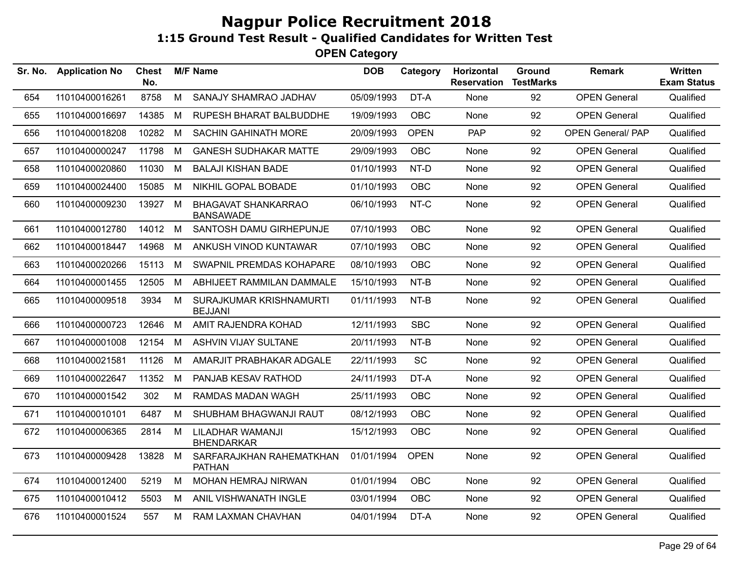| Sr. No. | <b>Application No</b> | Chest<br>No. |   | <b>M/F Name</b>                                | <b>DOB</b> | Category    | Horizontal<br><b>Reservation</b> | Ground<br><b>TestMarks</b> | <b>Remark</b>            | <b>Written</b><br><b>Exam Status</b> |
|---------|-----------------------|--------------|---|------------------------------------------------|------------|-------------|----------------------------------|----------------------------|--------------------------|--------------------------------------|
| 654     | 11010400016261        | 8758         | M | SANAJY SHAMRAO JADHAV                          | 05/09/1993 | DT-A        | None                             | 92                         | <b>OPEN General</b>      | Qualified                            |
| 655     | 11010400016697        | 14385        | М | <b>RUPESH BHARAT BALBUDDHE</b>                 | 19/09/1993 | OBC         | None                             | 92                         | <b>OPEN General</b>      | Qualified                            |
| 656     | 11010400018208        | 10282        | M | <b>SACHIN GAHINATH MORE</b>                    | 20/09/1993 | <b>OPEN</b> | PAP                              | 92                         | <b>OPEN General/ PAP</b> | Qualified                            |
| 657     | 11010400000247        | 11798        | M | <b>GANESH SUDHAKAR MATTE</b>                   | 29/09/1993 | <b>OBC</b>  | None                             | 92                         | <b>OPEN General</b>      | Qualified                            |
| 658     | 11010400020860        | 11030        | M | <b>BALAJI KISHAN BADE</b>                      | 01/10/1993 | NT-D        | None                             | 92                         | <b>OPEN General</b>      | Qualified                            |
| 659     | 11010400024400        | 15085        | М | NIKHIL GOPAL BOBADE                            | 01/10/1993 | <b>OBC</b>  | None                             | 92                         | <b>OPEN General</b>      | Qualified                            |
| 660     | 11010400009230        | 13927        | M | <b>BHAGAVAT SHANKARRAO</b><br><b>BANSAWADE</b> | 06/10/1993 | NT-C        | None                             | 92                         | <b>OPEN General</b>      | Qualified                            |
| 661     | 11010400012780        | 14012        | М | SANTOSH DAMU GIRHEPUNJE                        | 07/10/1993 | <b>OBC</b>  | None                             | 92                         | <b>OPEN General</b>      | Qualified                            |
| 662     | 11010400018447        | 14968        | M | ANKUSH VINOD KUNTAWAR                          | 07/10/1993 | <b>OBC</b>  | None                             | 92                         | <b>OPEN General</b>      | Qualified                            |
| 663     | 11010400020266        | 15113        | M | SWAPNIL PREMDAS KOHAPARE                       | 08/10/1993 | <b>OBC</b>  | None                             | 92                         | <b>OPEN General</b>      | Qualified                            |
| 664     | 11010400001455        | 12505        | М | ABHIJEET RAMMILAN DAMMALE                      | 15/10/1993 | NT-B        | None                             | 92                         | <b>OPEN General</b>      | Qualified                            |
| 665     | 11010400009518        | 3934         | M | SURAJKUMAR KRISHNAMURTI<br><b>BEJJANI</b>      | 01/11/1993 | NT-B        | None                             | 92                         | <b>OPEN General</b>      | Qualified                            |
| 666     | 11010400000723        | 12646        | M | AMIT RAJENDRA KOHAD                            | 12/11/1993 | <b>SBC</b>  | None                             | 92                         | <b>OPEN General</b>      | Qualified                            |
| 667     | 11010400001008        | 12154        | M | <b>ASHVIN VIJAY SULTANE</b>                    | 20/11/1993 | NT-B        | None                             | 92                         | <b>OPEN General</b>      | Qualified                            |
| 668     | 11010400021581        | 11126        | M | AMARJIT PRABHAKAR ADGALE                       | 22/11/1993 | <b>SC</b>   | None                             | 92                         | <b>OPEN General</b>      | Qualified                            |
| 669     | 11010400022647        | 11352        | M | PANJAB KESAV RATHOD                            | 24/11/1993 | DT-A        | None                             | 92                         | <b>OPEN General</b>      | Qualified                            |
| 670     | 11010400001542        | 302          | M | RAMDAS MADAN WAGH                              | 25/11/1993 | OBC         | None                             | 92                         | <b>OPEN General</b>      | Qualified                            |
| 671     | 11010400010101        | 6487         | M | SHUBHAM BHAGWANJI RAUT                         | 08/12/1993 | OBC         | None                             | 92                         | <b>OPEN General</b>      | Qualified                            |
| 672     | 11010400006365        | 2814         | М | LILADHAR WAMANJI<br><b>BHENDARKAR</b>          | 15/12/1993 | OBC         | None                             | 92                         | <b>OPEN General</b>      | Qualified                            |
| 673     | 11010400009428        | 13828        | M | SARFARAJKHAN RAHEMATKHAN<br><b>PATHAN</b>      | 01/01/1994 | <b>OPEN</b> | None                             | 92                         | <b>OPEN General</b>      | Qualified                            |
| 674     | 11010400012400        | 5219         | М | MOHAN HEMRAJ NIRWAN                            | 01/01/1994 | <b>OBC</b>  | None                             | 92                         | <b>OPEN General</b>      | Qualified                            |
| 675     | 11010400010412        | 5503         | M | ANIL VISHWANATH INGLE                          | 03/01/1994 | <b>OBC</b>  | None                             | 92                         | <b>OPEN General</b>      | Qualified                            |
| 676     | 11010400001524        | 557          | M | RAM LAXMAN CHAVHAN                             | 04/01/1994 | DT-A        | None                             | 92                         | <b>OPEN General</b>      | Qualified                            |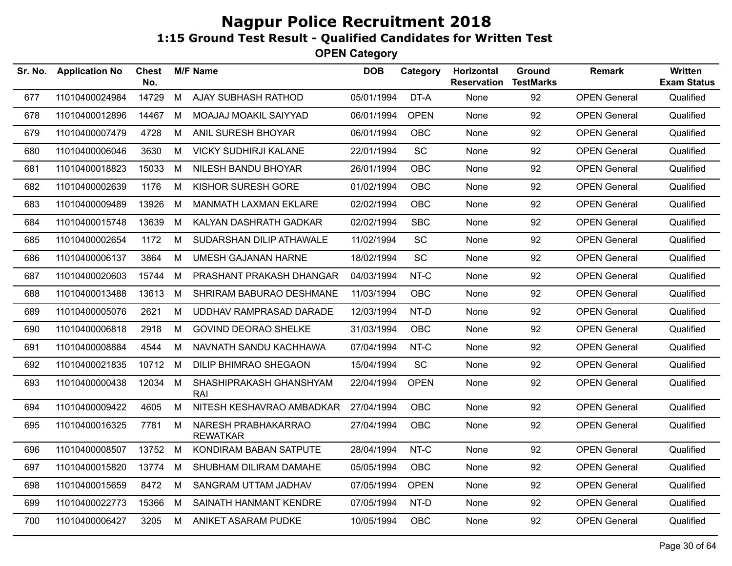| <b>Application No</b> | <b>Chest</b><br>No. |   |                                        | <b>DOB</b>      | Category    | Horizontal<br><b>Reservation</b>       | Ground<br><b>TestMarks</b> | <b>Remark</b>       | Written<br><b>Exam Status</b> |
|-----------------------|---------------------|---|----------------------------------------|-----------------|-------------|----------------------------------------|----------------------------|---------------------|-------------------------------|
| 11010400024984        | 14729               | M | AJAY SUBHASH RATHOD                    | 05/01/1994      | DT-A        | None                                   | 92                         | <b>OPEN General</b> | Qualified                     |
| 11010400012896        | 14467               | M | MOAJAJ MOAKIL SAIYYAD                  |                 | <b>OPEN</b> | None                                   | 92                         | <b>OPEN General</b> | Qualified                     |
| 11010400007479        | 4728                | M | ANIL SURESH BHOYAR                     | 06/01/1994      | <b>OBC</b>  | None                                   | 92                         | <b>OPEN General</b> | Qualified                     |
| 11010400006046        | 3630                | M | <b>VICKY SUDHIRJI KALANE</b>           | 22/01/1994      | SC          | None                                   | 92                         | <b>OPEN General</b> | Qualified                     |
| 11010400018823        | 15033               | M | NILESH BANDU BHOYAR                    | 26/01/1994      | <b>OBC</b>  | None                                   | 92                         | <b>OPEN General</b> | Qualified                     |
| 11010400002639        | 1176                | M | KISHOR SURESH GORE                     | 01/02/1994      | OBC         | None                                   | 92                         | <b>OPEN General</b> | Qualified                     |
| 11010400009489        | 13926               | М | <b>MANMATH LAXMAN EKLARE</b>           | 02/02/1994      | <b>OBC</b>  | None                                   | 92                         | <b>OPEN General</b> | Qualified                     |
| 11010400015748        | 13639               | М | KALYAN DASHRATH GADKAR                 | 02/02/1994      | <b>SBC</b>  | None                                   | 92                         | <b>OPEN General</b> | Qualified                     |
| 11010400002654        | 1172                | М | SUDARSHAN DILIP ATHAWALE               | 11/02/1994      | <b>SC</b>   | None                                   | 92                         | <b>OPEN General</b> | Qualified                     |
| 11010400006137        | 3864                | M | <b>UMESH GAJANAN HARNE</b>             | 18/02/1994      | SC          | None                                   | 92                         | <b>OPEN General</b> | Qualified                     |
| 11010400020603        | 15744               | М | PRASHANT PRAKASH DHANGAR               | 04/03/1994      | NT-C        | None                                   | 92                         | <b>OPEN General</b> | Qualified                     |
| 11010400013488        | 13613               | M | SHRIRAM BABURAO DESHMANE               | 11/03/1994      | <b>OBC</b>  | None                                   | 92                         | <b>OPEN General</b> | Qualified                     |
| 11010400005076        | 2621                | М | UDDHAV RAMPRASAD DARADE                | 12/03/1994      | NT-D        | None                                   | 92                         | <b>OPEN General</b> | Qualified                     |
| 11010400006818        | 2918                | M | <b>GOVIND DEORAO SHELKE</b>            | 31/03/1994      | <b>OBC</b>  | None                                   | 92                         | <b>OPEN General</b> | Qualified                     |
| 11010400008884        | 4544                | М | NAVNATH SANDU KACHHAWA                 | 07/04/1994      | NT-C        | None                                   | 92                         | <b>OPEN General</b> | Qualified                     |
| 11010400021835        | 10712               | M | DILIP BHIMRAO SHEGAON                  | 15/04/1994      | SC          | None                                   | 92                         | <b>OPEN General</b> | Qualified                     |
| 11010400000438        |                     |   | SHASHIPRAKASH GHANSHYAM<br>RAI         |                 | <b>OPEN</b> | None                                   | 92                         | <b>OPEN General</b> | Qualified                     |
| 11010400009422        | 4605                | M | NITESH KESHAVRAO AMBADKAR              | 27/04/1994      | <b>OBC</b>  | None                                   | 92                         | <b>OPEN General</b> | Qualified                     |
| 11010400016325        | 7781                | М | NARESH PRABHAKARRAO<br><b>REWATKAR</b> | 27/04/1994      | <b>OBC</b>  | None                                   | 92                         | <b>OPEN General</b> | Qualified                     |
| 11010400008507        | 13752               | M | KONDIRAM BABAN SATPUTE                 | 28/04/1994      | NT-C        | None                                   | 92                         | <b>OPEN General</b> | Qualified                     |
| 11010400015820        | 13774               | M | SHUBHAM DILIRAM DAMAHE                 | 05/05/1994      | <b>OBC</b>  | None                                   | 92                         | <b>OPEN General</b> | Qualified                     |
| 11010400015659        | 8472                | M | SANGRAM UTTAM JADHAV                   | 07/05/1994      | <b>OPEN</b> | None                                   | 92                         | <b>OPEN General</b> | Qualified                     |
| 11010400022773        | 15366               | M | SAINATH HANMANT KENDRE                 | 07/05/1994      | NT-D        | None                                   | 92                         | <b>OPEN General</b> | Qualified                     |
| 11010400006427        | 3205                | M | ANIKET ASARAM PUDKE                    |                 | <b>OBC</b>  | None                                   | 92                         | <b>OPEN General</b> | Qualified                     |
|                       |                     |   | 12034 M                                | <b>M/F Name</b> |             | 06/01/1994<br>22/04/1994<br>10/05/1994 |                            |                     |                               |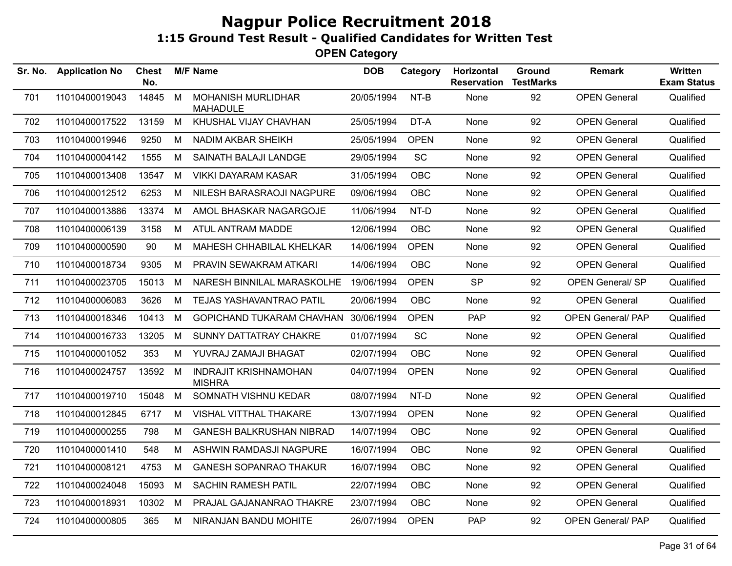| Sr. No. | <b>Application No</b> | <b>Chest</b><br>No. |   | <b>M/F Name</b>                               | <b>DOB</b> | Category    | Horizontal<br><b>Reservation</b> | Ground<br><b>TestMarks</b> | <b>Remark</b>            | Written<br><b>Exam Status</b> |
|---------|-----------------------|---------------------|---|-----------------------------------------------|------------|-------------|----------------------------------|----------------------------|--------------------------|-------------------------------|
| 701     | 11010400019043        | 14845               | M | <b>MOHANISH MURLIDHAR</b><br><b>MAHADULE</b>  | 20/05/1994 | NT-B        | None                             | 92                         | <b>OPEN General</b>      | Qualified                     |
| 702     | 11010400017522        | 13159               | M | KHUSHAL VIJAY CHAVHAN                         | 25/05/1994 | DT-A        | None                             | 92                         | <b>OPEN General</b>      | Qualified                     |
| 703     | 11010400019946        | 9250                | М | NADIM AKBAR SHEIKH                            | 25/05/1994 | <b>OPEN</b> | None                             | 92                         | <b>OPEN General</b>      | Qualified                     |
| 704     | 11010400004142        | 1555                | M | SAINATH BALAJI LANDGE                         | 29/05/1994 | SC          | None                             | 92                         | <b>OPEN General</b>      | Qualified                     |
| 705     | 11010400013408        | 13547               | M | <b>VIKKI DAYARAM KASAR</b>                    | 31/05/1994 | OBC         | None                             | 92                         | <b>OPEN General</b>      | Qualified                     |
| 706     | 11010400012512        | 6253                | M | NILESH BARASRAOJI NAGPURE                     | 09/06/1994 | OBC         | None                             | 92                         | <b>OPEN General</b>      | Qualified                     |
| 707     | 11010400013886        | 13374               | M | AMOL BHASKAR NAGARGOJE                        | 11/06/1994 | NT-D        | None                             | 92                         | <b>OPEN General</b>      | Qualified                     |
| 708     | 11010400006139        | 3158                | M | ATUL ANTRAM MADDE                             | 12/06/1994 | OBC         | None                             | 92                         | <b>OPEN General</b>      | Qualified                     |
| 709     | 11010400000590        | 90                  | М | MAHESH CHHABILAL KHELKAR                      | 14/06/1994 | <b>OPEN</b> | None                             | 92                         | <b>OPEN General</b>      | Qualified                     |
| 710     | 11010400018734        | 9305                | М | PRAVIN SEWAKRAM ATKARI                        | 14/06/1994 | <b>OBC</b>  | None                             | 92                         | <b>OPEN General</b>      | Qualified                     |
| 711     | 11010400023705        | 15013               | M | NARESH BINNILAL MARASKOLHE                    | 19/06/1994 | <b>OPEN</b> | <b>SP</b>                        | 92                         | <b>OPEN General/ SP</b>  | Qualified                     |
| 712     | 11010400006083        | 3626                | М | TEJAS YASHAVANTRAO PATIL                      | 20/06/1994 | <b>OBC</b>  | None                             | 92                         | <b>OPEN General</b>      | Qualified                     |
| 713     | 11010400018346        | 10413               | M | <b>GOPICHAND TUKARAM CHAVHAN</b>              | 30/06/1994 | <b>OPEN</b> | <b>PAP</b>                       | 92                         | <b>OPEN General/ PAP</b> | Qualified                     |
| 714     | 11010400016733        | 13205               | M | SUNNY DATTATRAY CHAKRE                        | 01/07/1994 | <b>SC</b>   | None                             | 92                         | <b>OPEN General</b>      | Qualified                     |
| 715     | 11010400001052        | 353                 | M | YUVRAJ ZAMAJI BHAGAT                          | 02/07/1994 | <b>OBC</b>  | None                             | 92                         | <b>OPEN General</b>      | Qualified                     |
| 716     | 11010400024757        | 13592               | M | <b>INDRAJIT KRISHNAMOHAN</b><br><b>MISHRA</b> | 04/07/1994 | <b>OPEN</b> | None                             | 92                         | <b>OPEN General</b>      | Qualified                     |
| 717     | 11010400019710        | 15048               | M | SOMNATH VISHNU KEDAR                          | 08/07/1994 | NT-D        | None                             | 92                         | <b>OPEN General</b>      | Qualified                     |
| 718     | 11010400012845        | 6717                | M | VISHAL VITTHAL THAKARE                        | 13/07/1994 | <b>OPEN</b> | None                             | 92                         | <b>OPEN General</b>      | Qualified                     |
| 719     | 11010400000255        | 798                 | M | <b>GANESH BALKRUSHAN NIBRAD</b>               | 14/07/1994 | <b>OBC</b>  | None                             | 92                         | <b>OPEN General</b>      | Qualified                     |
| 720     | 11010400001410        | 548                 | M | ASHWIN RAMDASJI NAGPURE                       | 16/07/1994 | <b>OBC</b>  | None                             | 92                         | <b>OPEN General</b>      | Qualified                     |
| 721     | 11010400008121        | 4753                | М | <b>GANESH SOPANRAO THAKUR</b>                 | 16/07/1994 | <b>OBC</b>  | None                             | 92                         | <b>OPEN General</b>      | Qualified                     |
| 722     | 11010400024048        | 15093               | M | <b>SACHIN RAMESH PATIL</b>                    | 22/07/1994 | <b>OBC</b>  | None                             | 92                         | <b>OPEN General</b>      | Qualified                     |
| 723     | 11010400018931        | 10302               | М | PRAJAL GAJANANRAO THAKRE                      | 23/07/1994 | <b>OBC</b>  | None                             | 92                         | <b>OPEN General</b>      | Qualified                     |
| 724     | 11010400000805        | 365                 | М | NIRANJAN BANDU MOHITE                         | 26/07/1994 | <b>OPEN</b> | PAP                              | 92                         | <b>OPEN General/ PAP</b> | Qualified                     |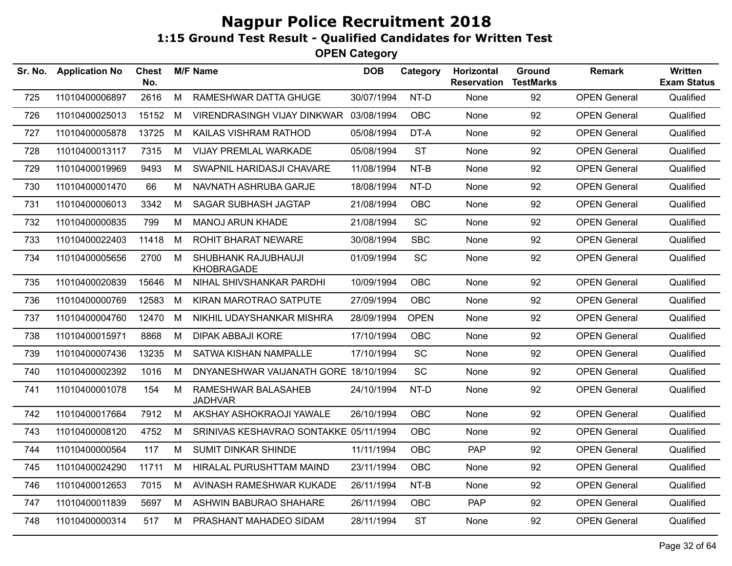| Sr. No. | <b>Application No</b> | <b>Chest</b><br>No. |   | <b>M/F Name</b>                          | <b>DOB</b> | Category    | Horizontal<br><b>Reservation</b> | Ground<br><b>TestMarks</b> | <b>Remark</b>       | <b>Written</b><br><b>Exam Status</b> |
|---------|-----------------------|---------------------|---|------------------------------------------|------------|-------------|----------------------------------|----------------------------|---------------------|--------------------------------------|
| 725     | 11010400006897        | 2616                | M | RAMESHWAR DATTA GHUGE                    | 30/07/1994 | NT-D        | None                             | 92                         | <b>OPEN General</b> | Qualified                            |
| 726     | 11010400025013        | 15152               | М | VIRENDRASINGH VIJAY DINKWAR              | 03/08/1994 | <b>OBC</b>  | None                             | 92                         | <b>OPEN General</b> | Qualified                            |
| 727     | 11010400005878        | 13725               | M | KAILAS VISHRAM RATHOD                    | 05/08/1994 | DT-A        | None                             | 92                         | <b>OPEN General</b> | Qualified                            |
| 728     | 11010400013117        | 7315                | M | VIJAY PREMLAL WARKADE                    | 05/08/1994 | <b>ST</b>   | None                             | 92                         | <b>OPEN General</b> | Qualified                            |
| 729     | 11010400019969        | 9493                | M | SWAPNIL HARIDASJI CHAVARE                | 11/08/1994 | NT-B        | None                             | 92                         | <b>OPEN General</b> | Qualified                            |
| 730     | 11010400001470        | 66                  | М | NAVNATH ASHRUBA GARJE                    | 18/08/1994 | NT-D        | None                             | 92                         | <b>OPEN General</b> | Qualified                            |
| 731     | 11010400006013        | 3342                | М | <b>SAGAR SUBHASH JAGTAP</b>              | 21/08/1994 | <b>OBC</b>  | None                             | 92                         | <b>OPEN General</b> | Qualified                            |
| 732     | 11010400000835        | 799                 | М | <b>MANOJ ARUN KHADE</b>                  | 21/08/1994 | <b>SC</b>   | None                             | 92                         | <b>OPEN General</b> | Qualified                            |
| 733     | 11010400022403        | 11418               | M | <b>ROHIT BHARAT NEWARE</b>               | 30/08/1994 | <b>SBC</b>  | None                             | 92                         | <b>OPEN General</b> | Qualified                            |
| 734     | 11010400005656        | 2700                | M | SHUBHANK RAJUBHAUJI<br><b>KHOBRAGADE</b> | 01/09/1994 | SC          | None                             | 92                         | <b>OPEN General</b> | Qualified                            |
| 735     | 11010400020839        | 15646               | M | NIHAL SHIVSHANKAR PARDHI                 | 10/09/1994 | <b>OBC</b>  | None                             | 92                         | <b>OPEN General</b> | Qualified                            |
| 736     | 11010400000769        | 12583               | М | KIRAN MAROTRAO SATPUTE                   | 27/09/1994 | <b>OBC</b>  | None                             | 92                         | <b>OPEN General</b> | Qualified                            |
| 737     | 11010400004760        | 12470               | М | NIKHIL UDAYSHANKAR MISHRA                | 28/09/1994 | <b>OPEN</b> | None                             | 92                         | <b>OPEN General</b> | Qualified                            |
| 738     | 11010400015971        | 8868                | M | <b>DIPAK ABBAJI KORE</b>                 | 17/10/1994 | <b>OBC</b>  | None                             | 92                         | <b>OPEN General</b> | Qualified                            |
| 739     | 11010400007436        | 13235               | M | SATWA KISHAN NAMPALLE                    | 17/10/1994 | <b>SC</b>   | None                             | 92                         | <b>OPEN General</b> | Qualified                            |
| 740     | 11010400002392        | 1016                | М | DNYANESHWAR VAIJANATH GORE 18/10/1994    |            | SC          | None                             | 92                         | <b>OPEN General</b> | Qualified                            |
| 741     | 11010400001078        | 154                 | M | RAMESHWAR BALASAHEB<br><b>JADHVAR</b>    | 24/10/1994 | NT-D        | None                             | 92                         | <b>OPEN General</b> | Qualified                            |
| 742     | 11010400017664        | 7912                | M | AKSHAY ASHOKRAOJI YAWALE                 | 26/10/1994 | <b>OBC</b>  | None                             | 92                         | <b>OPEN General</b> | Qualified                            |
| 743     | 11010400008120        | 4752                | М | SRINIVAS KESHAVRAO SONTAKKE 05/11/1994   |            | <b>OBC</b>  | None                             | 92                         | <b>OPEN General</b> | Qualified                            |
| 744     | 11010400000564        | 117                 | M | SUMIT DINKAR SHINDE                      | 11/11/1994 | <b>OBC</b>  | PAP                              | 92                         | <b>OPEN General</b> | Qualified                            |
| 745     | 11010400024290        | 11711               | М | HIRALAL PURUSHTTAM MAIND                 | 23/11/1994 | <b>OBC</b>  | None                             | 92                         | <b>OPEN General</b> | Qualified                            |
| 746     | 11010400012653        | 7015                | М | AVINASH RAMESHWAR KUKADE                 | 26/11/1994 | NT-B        | None                             | 92                         | <b>OPEN General</b> | Qualified                            |
| 747     | 11010400011839        | 5697                | M | ASHWIN BABURAO SHAHARE                   | 26/11/1994 | <b>OBC</b>  | <b>PAP</b>                       | 92                         | <b>OPEN General</b> | Qualified                            |
| 748     | 11010400000314        | 517                 | М | PRASHANT MAHADEO SIDAM                   | 28/11/1994 | <b>ST</b>   | None                             | 92                         | <b>OPEN General</b> | Qualified                            |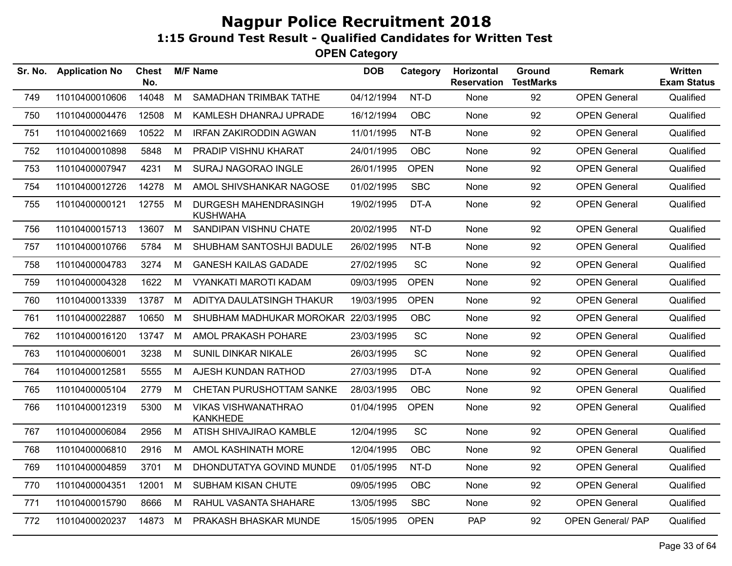| <b>Application No</b> | Chest<br>No. |   |                                               | <b>DOB</b>      | Category    | Horizontal<br><b>Reservation</b>                                                            | Ground<br><b>TestMarks</b> | <b>Remark</b>            | Written<br><b>Exam Status</b> |
|-----------------------|--------------|---|-----------------------------------------------|-----------------|-------------|---------------------------------------------------------------------------------------------|----------------------------|--------------------------|-------------------------------|
| 11010400010606        | 14048        | M | <b>SAMADHAN TRIMBAK TATHE</b>                 | 04/12/1994      | NT-D        | None                                                                                        | 92                         | <b>OPEN General</b>      | Qualified                     |
| 11010400004476        | 12508        | М | KAMLESH DHANRAJ UPRADE                        | 16/12/1994      | <b>OBC</b>  | None                                                                                        | 92                         | <b>OPEN General</b>      | Qualified                     |
| 11010400021669        | 10522        | M | <b>IRFAN ZAKIRODDIN AGWAN</b>                 | 11/01/1995      | NT-B        | None                                                                                        | 92                         | <b>OPEN General</b>      | Qualified                     |
| 11010400010898        | 5848         | М | PRADIP VISHNU KHARAT                          | 24/01/1995      | OBC         | None                                                                                        | 92                         | <b>OPEN General</b>      | Qualified                     |
| 11010400007947        | 4231         | М | SURAJ NAGORAO INGLE                           | 26/01/1995      | <b>OPEN</b> | None                                                                                        | 92                         | <b>OPEN General</b>      | Qualified                     |
| 11010400012726        | 14278        | M | AMOL SHIVSHANKAR NAGOSE                       | 01/02/1995      | <b>SBC</b>  | None                                                                                        | 92                         | <b>OPEN General</b>      | Qualified                     |
| 11010400000121        | 12755        | M | DURGESH MAHENDRASINGH<br><b>KUSHWAHA</b>      |                 | DT-A        | None                                                                                        | 92                         | <b>OPEN General</b>      | Qualified                     |
| 11010400015713        | 13607        | M | SANDIPAN VISHNU CHATE                         | 20/02/1995      | NT-D        | None                                                                                        | 92                         | <b>OPEN General</b>      | Qualified                     |
| 11010400010766        | 5784         | М | SHUBHAM SANTOSHJI BADULE                      | 26/02/1995      | NT-B        | None                                                                                        | 92                         | <b>OPEN General</b>      | Qualified                     |
| 11010400004783        | 3274         | М | <b>GANESH KAILAS GADADE</b>                   | 27/02/1995      | <b>SC</b>   | None                                                                                        | 92                         | <b>OPEN General</b>      | Qualified                     |
| 11010400004328        | 1622         | M | <b>VYANKATI MAROTI KADAM</b>                  |                 | <b>OPEN</b> | None                                                                                        | 92                         | <b>OPEN General</b>      | Qualified                     |
| 11010400013339        | 13787        | М | ADITYA DAULATSINGH THAKUR                     | 19/03/1995      | <b>OPEN</b> | None                                                                                        | 92                         | <b>OPEN General</b>      | Qualified                     |
| 11010400022887        | 10650        | М |                                               |                 | <b>OBC</b>  | None                                                                                        | 92                         | <b>OPEN General</b>      | Qualified                     |
| 11010400016120        | 13747        | M | AMOL PRAKASH POHARE                           | 23/03/1995      | SC          | None                                                                                        | 92                         | <b>OPEN General</b>      | Qualified                     |
| 11010400006001        | 3238         | М | SUNIL DINKAR NIKALE                           | 26/03/1995      | <b>SC</b>   | None                                                                                        | 92                         | <b>OPEN General</b>      | Qualified                     |
| 11010400012581        | 5555         | M | AJESH KUNDAN RATHOD                           | 27/03/1995      | DT-A        | None                                                                                        | 92                         | <b>OPEN General</b>      | Qualified                     |
| 11010400005104        | 2779         | M | CHETAN PURUSHOTTAM SANKE                      | 28/03/1995      | OBC         | None                                                                                        | 92                         | <b>OPEN General</b>      | Qualified                     |
| 11010400012319        | 5300         | M | <b>VIKAS VISHWANATHRAO</b><br><b>KANKHEDE</b> |                 | <b>OPEN</b> | None                                                                                        | 92                         | <b>OPEN General</b>      | Qualified                     |
| 11010400006084        | 2956         | М | ATISH SHIVAJIRAO KAMBLE                       | 12/04/1995      | SC          | None                                                                                        | 92                         | <b>OPEN General</b>      | Qualified                     |
| 11010400006810        | 2916         | М | AMOL KASHINATH MORE                           | 12/04/1995      | <b>OBC</b>  | None                                                                                        | 92                         | <b>OPEN General</b>      | Qualified                     |
| 11010400004859        | 3701         | M | DHONDUTATYA GOVIND MUNDE                      | 01/05/1995      | NT-D        | None                                                                                        | 92                         | <b>OPEN General</b>      | Qualified                     |
| 11010400004351        | 12001        | М | SUBHAM KISAN CHUTE                            | 09/05/1995      | OBC         | None                                                                                        | 92                         | <b>OPEN General</b>      | Qualified                     |
| 11010400015790        | 8666         | M | RAHUL VASANTA SHAHARE                         | 13/05/1995      | <b>SBC</b>  | None                                                                                        | 92                         | <b>OPEN General</b>      | Qualified                     |
| 11010400020237        | 14873        | M | PRAKASH BHASKAR MUNDE                         |                 | <b>OPEN</b> | PAP                                                                                         | 92                         | <b>OPEN General/ PAP</b> | Qualified                     |
|                       |              |   |                                               | <b>M/F Name</b> |             | 19/02/1995<br>09/03/1995<br>SHUBHAM MADHUKAR MOROKAR 22/03/1995<br>01/04/1995<br>15/05/1995 |                            |                          |                               |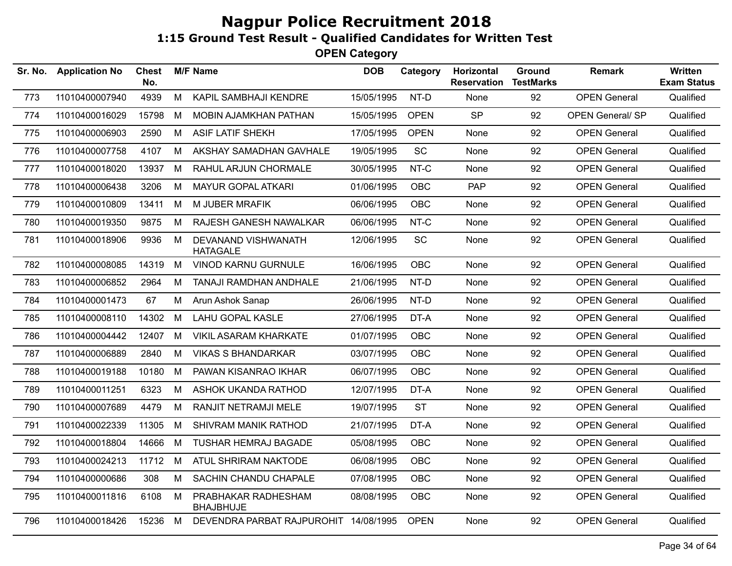| Sr. No. | <b>Application No</b> | Chest<br>No. |   | <b>M/F Name</b>                         | <b>DOB</b> | Category    | Horizontal<br><b>Reservation</b> | <b>Ground</b><br><b>TestMarks</b> | <b>Remark</b>           | Written<br><b>Exam Status</b> |
|---------|-----------------------|--------------|---|-----------------------------------------|------------|-------------|----------------------------------|-----------------------------------|-------------------------|-------------------------------|
| 773     | 11010400007940        | 4939         | M | KAPIL SAMBHAJI KENDRE                   | 15/05/1995 | NT-D        | None                             | 92                                | <b>OPEN General</b>     | Qualified                     |
| 774     | 11010400016029        | 15798        | M | MOBIN AJAMKHAN PATHAN                   | 15/05/1995 | <b>OPEN</b> | <b>SP</b>                        | 92                                | <b>OPEN General/ SP</b> | Qualified                     |
| 775     | 11010400006903        | 2590         | M | <b>ASIF LATIF SHEKH</b>                 | 17/05/1995 | <b>OPEN</b> | None                             | 92                                | <b>OPEN General</b>     | Qualified                     |
| 776     | 11010400007758        | 4107         | M | AKSHAY SAMADHAN GAVHALE                 | 19/05/1995 | SC          | None                             | 92                                | <b>OPEN General</b>     | Qualified                     |
| 777     | 11010400018020        | 13937        | M | RAHUL ARJUN CHORMALE                    | 30/05/1995 | NT-C        | None                             | 92                                | <b>OPEN General</b>     | Qualified                     |
| 778     | 11010400006438        | 3206         | M | <b>MAYUR GOPAL ATKARI</b>               | 01/06/1995 | <b>OBC</b>  | <b>PAP</b>                       | 92                                | <b>OPEN General</b>     | Qualified                     |
| 779     | 11010400010809        | 13411        | M | M JUBER MRAFIK                          | 06/06/1995 | OBC         | None                             | 92                                | <b>OPEN General</b>     | Qualified                     |
| 780     | 11010400019350        | 9875         | М | RAJESH GANESH NAWALKAR                  | 06/06/1995 | NT-C        | None                             | 92                                | <b>OPEN General</b>     | Qualified                     |
| 781     | 11010400018906        | 9936         | М | DEVANAND VISHWANATH<br><b>HATAGALE</b>  | 12/06/1995 | <b>SC</b>   | None                             | 92                                | <b>OPEN General</b>     | Qualified                     |
| 782     | 11010400008085        | 14319        | M | <b>VINOD KARNU GURNULE</b>              | 16/06/1995 | <b>OBC</b>  | None                             | 92                                | <b>OPEN General</b>     | Qualified                     |
| 783     | 11010400006852        | 2964         | M | TANAJI RAMDHAN ANDHALE                  | 21/06/1995 | NT-D        | None                             | 92                                | <b>OPEN General</b>     | Qualified                     |
| 784     | 11010400001473        | 67           | М | Arun Ashok Sanap                        | 26/06/1995 | NT-D        | None                             | 92                                | <b>OPEN General</b>     | Qualified                     |
| 785     | 11010400008110        | 14302        | М | <b>LAHU GOPAL KASLE</b>                 | 27/06/1995 | DT-A        | None                             | 92                                | <b>OPEN General</b>     | Qualified                     |
| 786     | 11010400004442        | 12407        | M | VIKIL ASARAM KHARKATE                   | 01/07/1995 | OBC         | None                             | 92                                | <b>OPEN General</b>     | Qualified                     |
| 787     | 11010400006889        | 2840         | M | <b>VIKAS S BHANDARKAR</b>               | 03/07/1995 | OBC         | None                             | 92                                | <b>OPEN General</b>     | Qualified                     |
| 788     | 11010400019188        | 10180        | M | PAWAN KISANRAO IKHAR                    | 06/07/1995 | OBC         | None                             | 92                                | <b>OPEN General</b>     | Qualified                     |
| 789     | 11010400011251        | 6323         | M | ASHOK UKANDA RATHOD                     | 12/07/1995 | DT-A        | None                             | 92                                | <b>OPEN General</b>     | Qualified                     |
| 790     | 11010400007689        | 4479         | М | RANJIT NETRAMJI MELE                    | 19/07/1995 | <b>ST</b>   | None                             | 92                                | <b>OPEN General</b>     | Qualified                     |
| 791     | 11010400022339        | 11305        | м | <b>SHIVRAM MANIK RATHOD</b>             | 21/07/1995 | DT-A        | None                             | 92                                | <b>OPEN General</b>     | Qualified                     |
| 792     | 11010400018804        | 14666        | М | <b>TUSHAR HEMRAJ BAGADE</b>             | 05/08/1995 | <b>OBC</b>  | None                             | 92                                | <b>OPEN General</b>     | Qualified                     |
| 793     | 11010400024213        | 11712        | M | ATUL SHRIRAM NAKTODE                    | 06/08/1995 | OBC         | None                             | 92                                | <b>OPEN General</b>     | Qualified                     |
| 794     | 11010400000686        | 308          | M | SACHIN CHANDU CHAPALE                   | 07/08/1995 | OBC         | None                             | 92                                | <b>OPEN General</b>     | Qualified                     |
| 795     | 11010400011816        | 6108         | M | PRABHAKAR RADHESHAM<br><b>BHAJBHUJE</b> | 08/08/1995 | OBC         | None                             | 92                                | <b>OPEN General</b>     | Qualified                     |
| 796     | 11010400018426        | 15236        | M | DEVENDRA PARBAT RAJPUROHIT 14/08/1995   |            | <b>OPEN</b> | None                             | 92                                | <b>OPEN General</b>     | Qualified                     |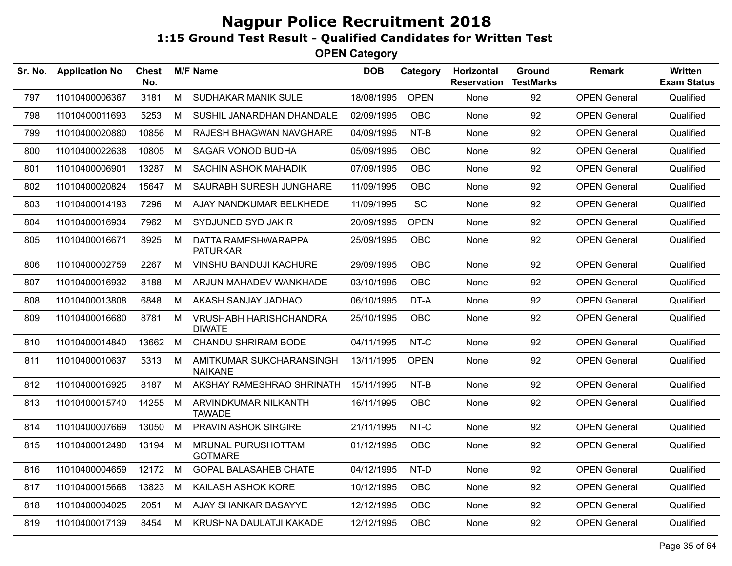| Sr. No. | <b>Application No</b> | <b>Chest</b><br>No. |   | <b>M/F Name</b>                                | <b>DOB</b> | Category    | Horizontal<br><b>Reservation</b> | Ground<br><b>TestMarks</b> | <b>Remark</b>       | Written<br><b>Exam Status</b> |
|---------|-----------------------|---------------------|---|------------------------------------------------|------------|-------------|----------------------------------|----------------------------|---------------------|-------------------------------|
| 797     | 11010400006367        | 3181                | M | SUDHAKAR MANIK SULE                            | 18/08/1995 | <b>OPEN</b> | None                             | 92                         | <b>OPEN General</b> | Qualified                     |
| 798     | 11010400011693        | 5253                | М | SUSHIL JANARDHAN DHANDALE                      | 02/09/1995 | <b>OBC</b>  | None                             | 92                         | <b>OPEN General</b> | Qualified                     |
| 799     | 11010400020880        | 10856               | М | RAJESH BHAGWAN NAVGHARE                        | 04/09/1995 | NT-B        | None                             | 92                         | <b>OPEN General</b> | Qualified                     |
| 800     | 11010400022638        | 10805               | M | <b>SAGAR VONOD BUDHA</b>                       | 05/09/1995 | <b>OBC</b>  | None                             | 92                         | <b>OPEN General</b> | Qualified                     |
| 801     | 11010400006901        | 13287               | M | <b>SACHIN ASHOK MAHADIK</b>                    | 07/09/1995 | <b>OBC</b>  | None                             | 92                         | <b>OPEN General</b> | Qualified                     |
| 802     | 11010400020824        | 15647               | M | SAURABH SURESH JUNGHARE                        | 11/09/1995 | <b>OBC</b>  | None                             | 92                         | <b>OPEN General</b> | Qualified                     |
| 803     | 11010400014193        | 7296                | М | AJAY NANDKUMAR BELKHEDE                        | 11/09/1995 | <b>SC</b>   | None                             | 92                         | <b>OPEN General</b> | Qualified                     |
| 804     | 11010400016934        | 7962                | M | SYDJUNED SYD JAKIR                             | 20/09/1995 | <b>OPEN</b> | None                             | 92                         | <b>OPEN General</b> | Qualified                     |
| 805     | 11010400016671        | 8925                | M | DATTA RAMESHWARAPPA<br><b>PATURKAR</b>         | 25/09/1995 | <b>OBC</b>  | <b>None</b>                      | 92                         | <b>OPEN General</b> | Qualified                     |
| 806     | 11010400002759        | 2267                | M | VINSHU BANDUJI KACHURE                         | 29/09/1995 | <b>OBC</b>  | None                             | 92                         | <b>OPEN General</b> | Qualified                     |
| 807     | 11010400016932        | 8188                | М | ARJUN MAHADEV WANKHADE                         | 03/10/1995 | <b>OBC</b>  | None                             | 92                         | <b>OPEN General</b> | Qualified                     |
| 808     | 11010400013808        | 6848                | M | AKASH SANJAY JADHAO                            | 06/10/1995 | DT-A        | None                             | 92                         | <b>OPEN General</b> | Qualified                     |
| 809     | 11010400016680        | 8781                | M | <b>VRUSHABH HARISHCHANDRA</b><br><b>DIWATE</b> | 25/10/1995 | <b>OBC</b>  | None                             | 92                         | <b>OPEN General</b> | Qualified                     |
| 810     | 11010400014840        | 13662               | M | <b>CHANDU SHRIRAM BODE</b>                     | 04/11/1995 | NT-C        | None                             | 92                         | <b>OPEN General</b> | Qualified                     |
| 811     | 11010400010637        | 5313                | M | AMITKUMAR SUKCHARANSINGH<br><b>NAIKANE</b>     | 13/11/1995 | <b>OPEN</b> | None                             | 92                         | <b>OPEN General</b> | Qualified                     |
| 812     | 11010400016925        | 8187                | M | AKSHAY RAMESHRAO SHRINATH                      | 15/11/1995 | NT-B        | None                             | 92                         | <b>OPEN General</b> | Qualified                     |
| 813     | 11010400015740        | 14255               | M | ARVINDKUMAR NILKANTH<br><b>TAWADE</b>          | 16/11/1995 | <b>OBC</b>  | None                             | 92                         | <b>OPEN General</b> | Qualified                     |
| 814     | 11010400007669        | 13050               | M | PRAVIN ASHOK SIRGIRE                           | 21/11/1995 | NT-C        | None                             | 92                         | <b>OPEN General</b> | Qualified                     |
| 815     | 11010400012490        | 13194               | M | MRUNAL PURUSHOTTAM<br><b>GOTMARE</b>           | 01/12/1995 | <b>OBC</b>  | None                             | 92                         | <b>OPEN General</b> | Qualified                     |
| 816     | 11010400004659        | 12172 M             |   | <b>GOPAL BALASAHEB CHATE</b>                   | 04/12/1995 | NT-D        | None                             | 92                         | <b>OPEN General</b> | Qualified                     |
| 817     | 11010400015668        | 13823               | M | KAILASH ASHOK KORE                             | 10/12/1995 | <b>OBC</b>  | None                             | 92                         | <b>OPEN General</b> | Qualified                     |
| 818     | 11010400004025        | 2051                | M | AJAY SHANKAR BASAYYE                           | 12/12/1995 | <b>OBC</b>  | None                             | 92                         | <b>OPEN General</b> | Qualified                     |
| 819     | 11010400017139        | 8454                | M | KRUSHNA DAULATJI KAKADE                        | 12/12/1995 | <b>OBC</b>  | None                             | 92                         | <b>OPEN General</b> | Qualified                     |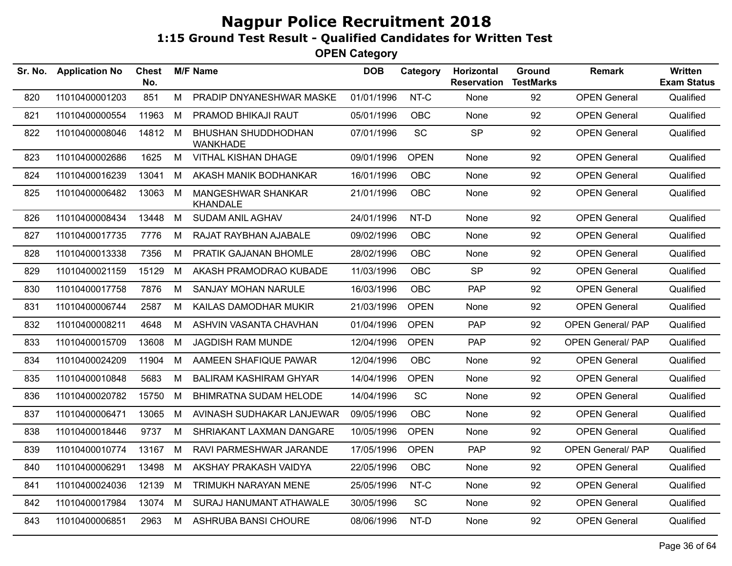| Sr. No. | <b>Application No</b> | <b>Chest</b><br>No. |   | <b>M/F Name</b>                        | <b>DOB</b> | Category    | Horizontal<br><b>Reservation</b> | Ground<br><b>TestMarks</b> | <b>Remark</b>            | <b>Written</b><br><b>Exam Status</b> |
|---------|-----------------------|---------------------|---|----------------------------------------|------------|-------------|----------------------------------|----------------------------|--------------------------|--------------------------------------|
| 820     | 11010400001203        | 851                 | M | PRADIP DNYANESHWAR MASKE               | 01/01/1996 | NT-C        | None                             | 92                         | <b>OPEN General</b>      | Qualified                            |
| 821     | 11010400000554        | 11963               | M | PRAMOD BHIKAJI RAUT                    | 05/01/1996 | <b>OBC</b>  | None                             | 92                         | <b>OPEN General</b>      | Qualified                            |
| 822     | 11010400008046        | 14812 M             |   | BHUSHAN SHUDDHODHAN<br><b>WANKHADE</b> | 07/01/1996 | SC          | <b>SP</b>                        | 92                         | <b>OPEN General</b>      | Qualified                            |
| 823     | 11010400002686        | 1625                | M | VITHAL KISHAN DHAGE                    | 09/01/1996 | <b>OPEN</b> | None                             | 92                         | <b>OPEN General</b>      | Qualified                            |
| 824     | 11010400016239        | 13041               | M | AKASH MANIK BODHANKAR                  | 16/01/1996 | <b>OBC</b>  | None                             | 92                         | <b>OPEN General</b>      | Qualified                            |
| 825     | 11010400006482        | 13063               | М | MANGESHWAR SHANKAR<br><b>KHANDALE</b>  | 21/01/1996 | <b>OBC</b>  | None                             | 92                         | <b>OPEN General</b>      | Qualified                            |
| 826     | 11010400008434        | 13448               | M | <b>SUDAM ANIL AGHAV</b>                | 24/01/1996 | NT-D        | None                             | 92                         | <b>OPEN General</b>      | Qualified                            |
| 827     | 11010400017735        | 7776                | М | RAJAT RAYBHAN AJABALE                  | 09/02/1996 | <b>OBC</b>  | None                             | 92                         | <b>OPEN General</b>      | Qualified                            |
| 828     | 11010400013338        | 7356                | M | <b>PRATIK GAJANAN BHOMLE</b>           | 28/02/1996 | <b>OBC</b>  | None                             | 92                         | <b>OPEN General</b>      | Qualified                            |
| 829     | 11010400021159        | 15129               | M | AKASH PRAMODRAO KUBADE                 | 11/03/1996 | <b>OBC</b>  | <b>SP</b>                        | 92                         | <b>OPEN General</b>      | Qualified                            |
| 830     | 11010400017758        | 7876                | М | SANJAY MOHAN NARULE                    | 16/03/1996 | <b>OBC</b>  | <b>PAP</b>                       | 92                         | <b>OPEN General</b>      | Qualified                            |
| 831     | 11010400006744        | 2587                | M | KAILAS DAMODHAR MUKIR                  | 21/03/1996 | <b>OPEN</b> | None                             | 92                         | <b>OPEN General</b>      | Qualified                            |
| 832     | 11010400008211        | 4648                | M | ASHVIN VASANTA CHAVHAN                 | 01/04/1996 | <b>OPEN</b> | <b>PAP</b>                       | 92                         | <b>OPEN General/ PAP</b> | Qualified                            |
| 833     | 11010400015709        | 13608               | M | <b>JAGDISH RAM MUNDE</b>               | 12/04/1996 | <b>OPEN</b> | <b>PAP</b>                       | 92                         | <b>OPEN General/ PAP</b> | Qualified                            |
| 834     | 11010400024209        | 11904               | M | AAMEEN SHAFIQUE PAWAR                  | 12/04/1996 | <b>OBC</b>  | None                             | 92                         | <b>OPEN General</b>      | Qualified                            |
| 835     | 11010400010848        | 5683                | М | <b>BALIRAM KASHIRAM GHYAR</b>          | 14/04/1996 | <b>OPEN</b> | None                             | 92                         | <b>OPEN General</b>      | Qualified                            |
| 836     | 11010400020782        | 15750               | М | <b>BHIMRATNA SUDAM HELODE</b>          | 14/04/1996 | SC          | None                             | 92                         | <b>OPEN General</b>      | Qualified                            |
| 837     | 11010400006471        | 13065               | M | AVINASH SUDHAKAR LANJEWAR              | 09/05/1996 | <b>OBC</b>  | <b>None</b>                      | 92                         | <b>OPEN General</b>      | Qualified                            |
| 838     | 11010400018446        | 9737                | М | SHRIAKANT LAXMAN DANGARE               | 10/05/1996 | <b>OPEN</b> | None                             | 92                         | <b>OPEN General</b>      | Qualified                            |
| 839     | 11010400010774        | 13167               | M | RAVI PARMESHWAR JARANDE                | 17/05/1996 | <b>OPEN</b> | PAP                              | 92                         | <b>OPEN General/ PAP</b> | Qualified                            |
| 840     | 11010400006291        | 13498               | М | AKSHAY PRAKASH VAIDYA                  | 22/05/1996 | <b>OBC</b>  | None                             | 92                         | <b>OPEN General</b>      | Qualified                            |
| 841     | 11010400024036        | 12139               | М | TRIMUKH NARAYAN MENE                   | 25/05/1996 | NT-C        | None                             | 92                         | <b>OPEN General</b>      | Qualified                            |
| 842     | 11010400017984        | 13074               | M | SURAJ HANUMANT ATHAWALE                | 30/05/1996 | SC          | None                             | 92                         | <b>OPEN General</b>      | Qualified                            |
| 843     | 11010400006851        | 2963                | M | ASHRUBA BANSI CHOURE                   | 08/06/1996 | NT-D        | None                             | 92                         | <b>OPEN General</b>      | Qualified                            |
|         |                       |                     |   |                                        |            |             |                                  |                            |                          |                                      |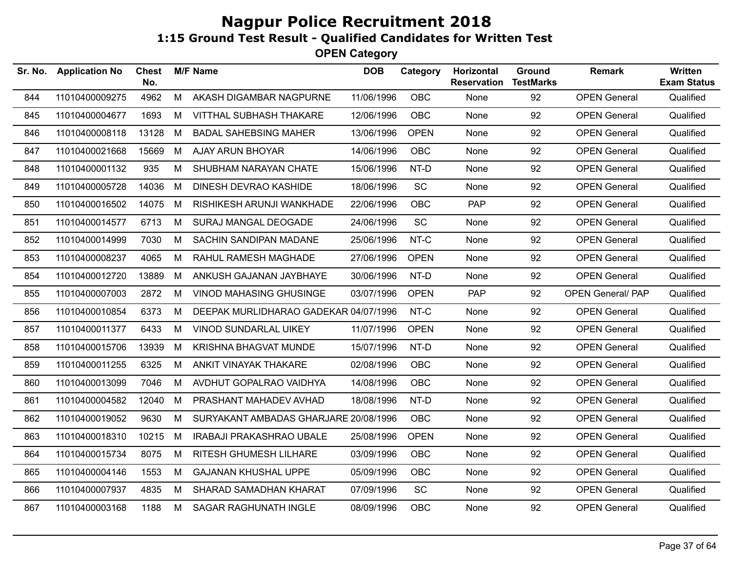| Sr. No. | <b>Application No</b> | <b>Chest</b><br>No. |   | <b>M/F Name</b>                       | <b>DOB</b> | Category    | Horizontal<br><b>Reservation</b> | Ground<br><b>TestMarks</b> | <b>Remark</b>            | Written<br><b>Exam Status</b> |
|---------|-----------------------|---------------------|---|---------------------------------------|------------|-------------|----------------------------------|----------------------------|--------------------------|-------------------------------|
| 844     | 11010400009275        | 4962                | M | AKASH DIGAMBAR NAGPURNE               | 11/06/1996 | <b>OBC</b>  | None                             | 92                         | <b>OPEN General</b>      | Qualified                     |
| 845     | 11010400004677        | 1693                | М | VITTHAL SUBHASH THAKARE               | 12/06/1996 | OBC         | None                             | 92                         | <b>OPEN General</b>      | Qualified                     |
| 846     | 11010400008118        | 13128               | M | <b>BADAL SAHEBSING MAHER</b>          | 13/06/1996 | <b>OPEN</b> | None                             | 92                         | <b>OPEN General</b>      | Qualified                     |
| 847     | 11010400021668        | 15669               | M | AJAY ARUN BHOYAR                      | 14/06/1996 | <b>OBC</b>  | None                             | 92                         | <b>OPEN General</b>      | Qualified                     |
| 848     | 11010400001132        | 935                 | M | SHUBHAM NARAYAN CHATE                 | 15/06/1996 | NT-D        | None                             | 92                         | <b>OPEN General</b>      | Qualified                     |
| 849     | 11010400005728        | 14036               | М | DINESH DEVRAO KASHIDE                 | 18/06/1996 | SC          | None                             | 92                         | <b>OPEN General</b>      | Qualified                     |
| 850     | 11010400016502        | 14075               | M | RISHIKESH ARUNJI WANKHADE             | 22/06/1996 | <b>OBC</b>  | <b>PAP</b>                       | 92                         | <b>OPEN General</b>      | Qualified                     |
| 851     | 11010400014577        | 6713                | М | SURAJ MANGAL DEOGADE                  | 24/06/1996 | <b>SC</b>   | None                             | 92                         | <b>OPEN General</b>      | Qualified                     |
| 852     | 11010400014999        | 7030                | M | SACHIN SANDIPAN MADANE                | 25/06/1996 | NT-C        | None                             | 92                         | <b>OPEN General</b>      | Qualified                     |
| 853     | 11010400008237        | 4065                | М | RAHUL RAMESH MAGHADE                  | 27/06/1996 | <b>OPEN</b> | None                             | 92                         | <b>OPEN General</b>      | Qualified                     |
| 854     | 11010400012720        | 13889               | M | ANKUSH GAJANAN JAYBHAYE               | 30/06/1996 | NT-D        | None                             | 92                         | <b>OPEN General</b>      | Qualified                     |
| 855     | 11010400007003        | 2872                | М | <b>VINOD MAHASING GHUSINGE</b>        | 03/07/1996 | <b>OPEN</b> | <b>PAP</b>                       | 92                         | <b>OPEN General/ PAP</b> | Qualified                     |
| 856     | 11010400010854        | 6373                | M | DEEPAK MURLIDHARAO GADEKAR 04/07/1996 |            | NT-C        | None                             | 92                         | <b>OPEN General</b>      | Qualified                     |
| 857     | 11010400011377        | 6433                | M | VINOD SUNDARLAL UIKEY                 | 11/07/1996 | <b>OPEN</b> | None                             | 92                         | <b>OPEN General</b>      | Qualified                     |
| 858     | 11010400015706        | 13939               | М | <b>KRISHNA BHAGVAT MUNDE</b>          | 15/07/1996 | NT-D        | None                             | 92                         | <b>OPEN General</b>      | Qualified                     |
| 859     | 11010400011255        | 6325                | M | ANKIT VINAYAK THAKARE                 | 02/08/1996 | <b>OBC</b>  | None                             | 92                         | <b>OPEN General</b>      | Qualified                     |
| 860     | 11010400013099        | 7046                | M | AVDHUT GOPALRAO VAIDHYA               | 14/08/1996 | <b>OBC</b>  | None                             | 92                         | <b>OPEN General</b>      | Qualified                     |
| 861     | 11010400004582        | 12040               | M | PRASHANT MAHADEV AVHAD                | 18/08/1996 | NT-D        | None                             | 92                         | <b>OPEN General</b>      | Qualified                     |
| 862     | 11010400019052        | 9630                | M | SURYAKANT AMBADAS GHARJARE 20/08/1996 |            | <b>OBC</b>  | None                             | 92                         | <b>OPEN General</b>      | Qualified                     |
| 863     | 11010400018310        | 10215               | M | <b>IRABAJI PRAKASHRAO UBALE</b>       | 25/08/1996 | <b>OPEN</b> | None                             | 92                         | <b>OPEN General</b>      | Qualified                     |
| 864     | 11010400015734        | 8075                | M | RITESH GHUMESH LILHARE                | 03/09/1996 | OBC         | None                             | 92                         | <b>OPEN General</b>      | Qualified                     |
| 865     | 11010400004146        | 1553                | M | <b>GAJANAN KHUSHAL UPPE</b>           | 05/09/1996 | OBC         | None                             | 92                         | <b>OPEN General</b>      | Qualified                     |
| 866     | 11010400007937        | 4835                | M | SHARAD SAMADHAN KHARAT                | 07/09/1996 | SC          | None                             | 92                         | <b>OPEN General</b>      | Qualified                     |
| 867     | 11010400003168        | 1188                | M | SAGAR RAGHUNATH INGLE                 | 08/09/1996 | <b>OBC</b>  | None                             | 92                         | <b>OPEN General</b>      | Qualified                     |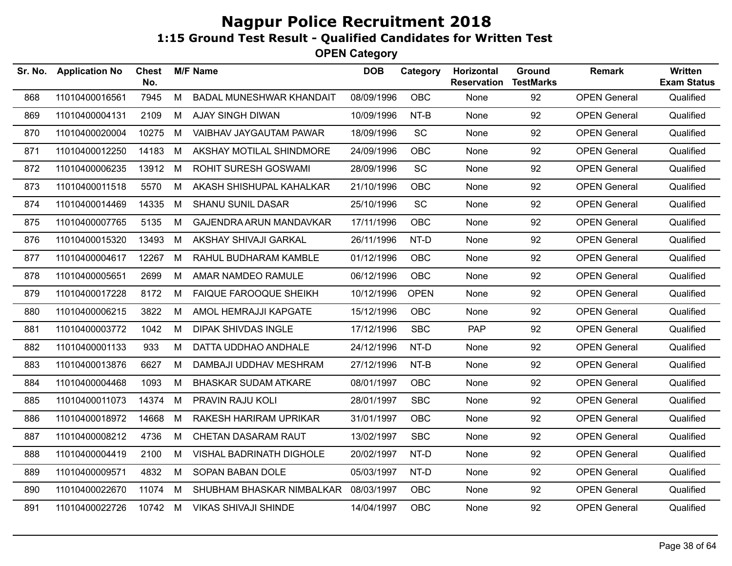**OPEN Category**

| Sr. No. | <b>Application No</b> | Chest<br>No. |   | <b>M/F Name</b>                | <b>DOB</b> | Category    | Horizontal<br><b>Reservation</b> | Ground<br><b>TestMarks</b> | <b>Remark</b>       | <b>Written</b><br><b>Exam Status</b> |
|---------|-----------------------|--------------|---|--------------------------------|------------|-------------|----------------------------------|----------------------------|---------------------|--------------------------------------|
| 868     | 11010400016561        | 7945         | M | BADAL MUNESHWAR KHANDAIT       | 08/09/1996 | OBC         | None                             | 92                         | <b>OPEN General</b> | Qualified                            |
| 869     | 11010400004131        | 2109         | M | <b>AJAY SINGH DIWAN</b>        | 10/09/1996 | NT-B        | None                             | 92                         | <b>OPEN General</b> | Qualified                            |
| 870     | 11010400020004        | 10275        | М | VAIBHAV JAYGAUTAM PAWAR        | 18/09/1996 | <b>SC</b>   | None                             | 92                         | <b>OPEN General</b> | Qualified                            |
| 871     | 11010400012250        | 14183        | M | AKSHAY MOTILAL SHINDMORE       | 24/09/1996 | <b>OBC</b>  | None                             | 92                         | <b>OPEN General</b> | Qualified                            |
| 872     | 11010400006235        | 13912        | M | ROHIT SURESH GOSWAMI           | 28/09/1996 | SC          | None                             | 92                         | <b>OPEN General</b> | Qualified                            |
| 873     | 11010400011518        | 5570         | М | AKASH SHISHUPAL KAHALKAR       | 21/10/1996 | <b>OBC</b>  | None                             | 92                         | <b>OPEN General</b> | Qualified                            |
| 874     | 11010400014469        | 14335        | M | <b>SHANU SUNIL DASAR</b>       | 25/10/1996 | <b>SC</b>   | None                             | 92                         | <b>OPEN General</b> | Qualified                            |
| 875     | 11010400007765        | 5135         | M | <b>GAJENDRA ARUN MANDAVKAR</b> | 17/11/1996 | <b>OBC</b>  | None                             | 92                         | <b>OPEN General</b> | Qualified                            |
| 876     | 11010400015320        | 13493        | M | AKSHAY SHIVAJI GARKAL          | 26/11/1996 | NT-D        | None                             | 92                         | <b>OPEN General</b> | Qualified                            |
| 877     | 11010400004617        | 12267        | М | RAHUL BUDHARAM KAMBLE          | 01/12/1996 | <b>OBC</b>  | None                             | 92                         | <b>OPEN General</b> | Qualified                            |
| 878     | 11010400005651        | 2699         | M | AMAR NAMDEO RAMULE             | 06/12/1996 | <b>OBC</b>  | None                             | 92                         | <b>OPEN General</b> | Qualified                            |
| 879     | 11010400017228        | 8172         | М | FAIQUE FAROOQUE SHEIKH         | 10/12/1996 | <b>OPEN</b> | None                             | 92                         | <b>OPEN General</b> | Qualified                            |
| 880     | 11010400006215        | 3822         | М | AMOL HEMRAJJI KAPGATE          | 15/12/1996 | <b>OBC</b>  | None                             | 92                         | <b>OPEN General</b> | Qualified                            |
| 881     | 11010400003772        | 1042         | M | <b>DIPAK SHIVDAS INGLE</b>     | 17/12/1996 | <b>SBC</b>  | <b>PAP</b>                       | 92                         | <b>OPEN General</b> | Qualified                            |
| 882     | 11010400001133        | 933          | М | DATTA UDDHAO ANDHALE           | 24/12/1996 | NT-D        | None                             | 92                         | <b>OPEN General</b> | Qualified                            |
| 883     | 11010400013876        | 6627         | М | DAMBAJI UDDHAV MESHRAM         | 27/12/1996 | NT-B        | None                             | 92                         | <b>OPEN General</b> | Qualified                            |
| 884     | 11010400004468        | 1093         | м | <b>BHASKAR SUDAM ATKARE</b>    | 08/01/1997 | <b>OBC</b>  | None                             | 92                         | <b>OPEN General</b> | Qualified                            |
| 885     | 11010400011073        | 14374        | M | PRAVIN RAJU KOLI               | 28/01/1997 | <b>SBC</b>  | None                             | 92                         | <b>OPEN General</b> | Qualified                            |
| 886     | 11010400018972        | 14668        | M | RAKESH HARIRAM UPRIKAR         | 31/01/1997 | <b>OBC</b>  | None                             | 92                         | <b>OPEN General</b> | Qualified                            |
| 887     | 11010400008212        | 4736         | М | CHETAN DASARAM RAUT            | 13/02/1997 | <b>SBC</b>  | None                             | 92                         | <b>OPEN General</b> | Qualified                            |
| 888     | 11010400004419        | 2100         | М | VISHAL BADRINATH DIGHOLE       | 20/02/1997 | NT-D        | None                             | 92                         | <b>OPEN General</b> | Qualified                            |
| 889     | 11010400009571        | 4832         | M | SOPAN BABAN DOLE               | 05/03/1997 | NT-D        | None                             | 92                         | <b>OPEN General</b> | Qualified                            |
| 890     | 11010400022670        | 11074        | М | SHUBHAM BHASKAR NIMBALKAR      | 08/03/1997 | <b>OBC</b>  | None                             | 92                         | <b>OPEN General</b> | Qualified                            |
| 891     | 11010400022726        | 10742 M      |   | <b>VIKAS SHIVAJI SHINDE</b>    | 14/04/1997 | <b>OBC</b>  | None                             | 92                         | <b>OPEN General</b> | Qualified                            |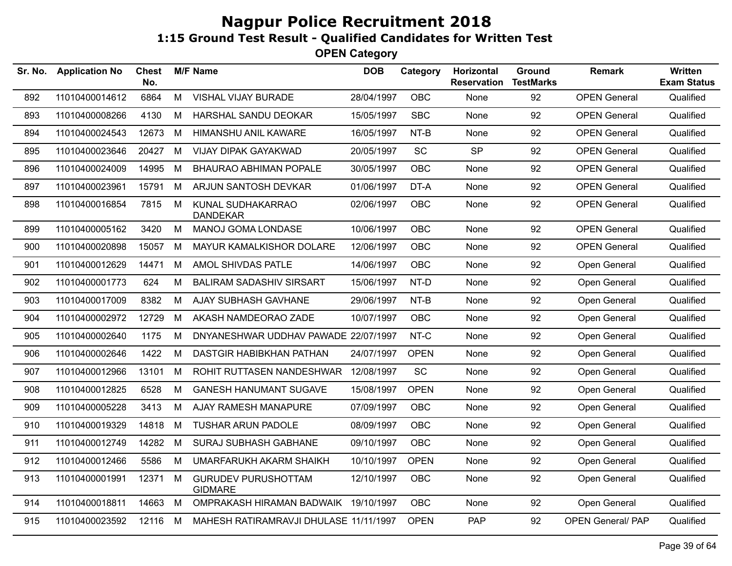| Sr. No. | <b>Application No</b> | Chest<br>No. |   | <b>M/F Name</b>                              | <b>DOB</b> | Category    | Horizontal<br><b>Reservation</b> | Ground<br><b>TestMarks</b> | Remark                   | Written<br><b>Exam Status</b> |
|---------|-----------------------|--------------|---|----------------------------------------------|------------|-------------|----------------------------------|----------------------------|--------------------------|-------------------------------|
| 892     | 11010400014612        | 6864         | M | VISHAL VIJAY BURADE                          | 28/04/1997 | <b>OBC</b>  | None                             | 92                         | <b>OPEN General</b>      | Qualified                     |
| 893     | 11010400008266        | 4130         | M | HARSHAL SANDU DEOKAR                         | 15/05/1997 | <b>SBC</b>  | None                             | 92                         | <b>OPEN General</b>      | Qualified                     |
| 894     | 11010400024543        | 12673        | M | HIMANSHU ANIL KAWARE                         | 16/05/1997 | NT-B        | None                             | 92                         | <b>OPEN General</b>      | Qualified                     |
| 895     | 11010400023646        | 20427        | M | <b>VIJAY DIPAK GAYAKWAD</b>                  | 20/05/1997 | SC          | <b>SP</b>                        | 92                         | <b>OPEN General</b>      | Qualified                     |
| 896     | 11010400024009        | 14995        | М | <b>BHAURAO ABHIMAN POPALE</b>                | 30/05/1997 | <b>OBC</b>  | None                             | 92                         | <b>OPEN General</b>      | Qualified                     |
| 897     | 11010400023961        | 15791        | M | ARJUN SANTOSH DEVKAR                         | 01/06/1997 | DT-A        | None                             | 92                         | <b>OPEN General</b>      | Qualified                     |
| 898     | 11010400016854        | 7815         | M | KUNAL SUDHAKARRAO<br><b>DANDEKAR</b>         | 02/06/1997 | <b>OBC</b>  | None                             | 92                         | <b>OPEN General</b>      | Qualified                     |
| 899     | 11010400005162        | 3420         | М | MANOJ GOMA LONDASE                           | 10/06/1997 | <b>OBC</b>  | None                             | 92                         | <b>OPEN General</b>      | Qualified                     |
| 900     | 11010400020898        | 15057        | M | MAYUR KAMALKISHOR DOLARE                     | 12/06/1997 | OBC         | None                             | 92                         | <b>OPEN General</b>      | Qualified                     |
| 901     | 11010400012629        | 14471        | M | AMOL SHIVDAS PATLE                           | 14/06/1997 | OBC         | None                             | 92                         | Open General             | Qualified                     |
| 902     | 11010400001773        | 624          | M | <b>BALIRAM SADASHIV SIRSART</b>              | 15/06/1997 | NT-D        | None                             | 92                         | Open General             | Qualified                     |
| 903     | 11010400017009        | 8382         | M | AJAY SUBHASH GAVHANE                         | 29/06/1997 | NT-B        | None                             | 92                         | Open General             | Qualified                     |
| 904     | 11010400002972        | 12729        | M | AKASH NAMDEORAO ZADE                         | 10/07/1997 | OBC         | None                             | 92                         | Open General             | Qualified                     |
| 905     | 11010400002640        | 1175         | M | DNYANESHWAR UDDHAV PAWADE 22/07/1997         |            | NT-C        | None                             | 92                         | Open General             | Qualified                     |
| 906     | 11010400002646        | 1422         | M | DASTGIR HABIBKHAN PATHAN                     | 24/07/1997 | <b>OPEN</b> | None                             | 92                         | Open General             | Qualified                     |
| 907     | 11010400012966        | 13101        | M | ROHIT RUTTASEN NANDESHWAR                    | 12/08/1997 | SC          | None                             | 92                         | Open General             | Qualified                     |
| 908     | 11010400012825        | 6528         | М | <b>GANESH HANUMANT SUGAVE</b>                | 15/08/1997 | <b>OPEN</b> | None                             | 92                         | Open General             | Qualified                     |
| 909     | 11010400005228        | 3413         | M | AJAY RAMESH MANAPURE                         | 07/09/1997 | <b>OBC</b>  | None                             | 92                         | Open General             | Qualified                     |
| 910     | 11010400019329        | 14818        | M | <b>TUSHAR ARUN PADOLE</b>                    | 08/09/1997 | <b>OBC</b>  | None                             | 92                         | Open General             | Qualified                     |
| 911     | 11010400012749        | 14282        | M | SURAJ SUBHASH GABHANE                        | 09/10/1997 | <b>OBC</b>  | None                             | 92                         | Open General             | Qualified                     |
| 912     | 11010400012466        | 5586         | M | UMARFARUKH AKARM SHAIKH                      | 10/10/1997 | <b>OPEN</b> | None                             | 92                         | Open General             | Qualified                     |
| 913     | 11010400001991        | 12371        | М | <b>GURUDEV PURUSHOTTAM</b><br><b>GIDMARE</b> | 12/10/1997 | <b>OBC</b>  | None                             | 92                         | Open General             | Qualified                     |
| 914     | 11010400018811        | 14663        | М | OMPRAKASH HIRAMAN BADWAIK                    | 19/10/1997 | <b>OBC</b>  | None                             | 92                         | Open General             | Qualified                     |
| 915     | 11010400023592        | 12116        | M | MAHESH RATIRAMRAVJI DHULASE 11/11/1997       |            | <b>OPEN</b> | PAP                              | 92                         | <b>OPEN General/ PAP</b> | Qualified                     |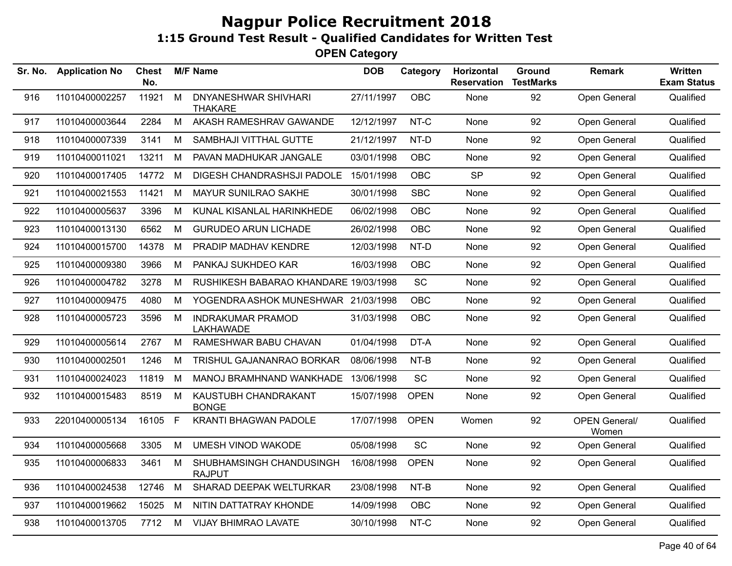| Sr. No. | <b>Application No</b> | <b>Chest</b><br>No. |   | <b>M/F Name</b>                           | <b>DOB</b> | Category    | Horizontal<br><b>Reservation</b> | Ground<br><b>TestMarks</b> | <b>Remark</b>                 | Written<br><b>Exam Status</b> |
|---------|-----------------------|---------------------|---|-------------------------------------------|------------|-------------|----------------------------------|----------------------------|-------------------------------|-------------------------------|
| 916     | 11010400002257        | 11921               | M | DNYANESHWAR SHIVHARI<br><b>THAKARE</b>    | 27/11/1997 | OBC         | None                             | 92                         | Open General                  | Qualified                     |
| 917     | 11010400003644        | 2284                | M | AKASH RAMESHRAV GAWANDE                   | 12/12/1997 | NT-C        | None                             | 92                         | Open General                  | Qualified                     |
| 918     | 11010400007339        | 3141                | M | SAMBHAJI VITTHAL GUTTE                    | 21/12/1997 | NT-D        | None                             | 92                         | Open General                  | Qualified                     |
| 919     | 11010400011021        | 13211               | M | PAVAN MADHUKAR JANGALE                    | 03/01/1998 | <b>OBC</b>  | None                             | 92                         | Open General                  | Qualified                     |
| 920     | 11010400017405        | 14772               | M | DIGESH CHANDRASHSJI PADOLE                | 15/01/1998 | OBC         | <b>SP</b>                        | 92                         | Open General                  | Qualified                     |
| 921     | 11010400021553        | 11421               | M | MAYUR SUNILRAO SAKHE                      | 30/01/1998 | <b>SBC</b>  | None                             | 92                         | Open General                  | Qualified                     |
| 922     | 11010400005637        | 3396                | M | KUNAL KISANLAL HARINKHEDE                 | 06/02/1998 | OBC         | None                             | 92                         | Open General                  | Qualified                     |
| 923     | 11010400013130        | 6562                | M | <b>GURUDEO ARUN LICHADE</b>               | 26/02/1998 | <b>OBC</b>  | None                             | 92                         | Open General                  | Qualified                     |
| 924     | 11010400015700        | 14378               | M | PRADIP MADHAV KENDRE                      | 12/03/1998 | NT-D        | None                             | 92                         | Open General                  | Qualified                     |
| 925     | 11010400009380        | 3966                | M | PANKAJ SUKHDEO KAR                        | 16/03/1998 | <b>OBC</b>  | None                             | 92                         | Open General                  | Qualified                     |
| 926     | 11010400004782        | 3278                | M | RUSHIKESH BABARAO KHANDARE 19/03/1998     |            | SC          | None                             | 92                         | Open General                  | Qualified                     |
| 927     | 11010400009475        | 4080                | M | YOGENDRA ASHOK MUNESHWAR 21/03/1998       |            | OBC         | None                             | 92                         | Open General                  | Qualified                     |
| 928     | 11010400005723        | 3596                | M | <b>INDRAKUMAR PRAMOD</b><br>LAKHAWADE     | 31/03/1998 | OBC         | None                             | 92                         | Open General                  | Qualified                     |
| 929     | 11010400005614        | 2767                | M | RAMESHWAR BABU CHAVAN                     | 01/04/1998 | DT-A        | None                             | 92                         | Open General                  | Qualified                     |
| 930     | 11010400002501        | 1246                | M | TRISHUL GAJANANRAO BORKAR                 | 08/06/1998 | NT-B        | None                             | 92                         | Open General                  | Qualified                     |
| 931     | 11010400024023        | 11819               | M | MANOJ BRAMHNAND WANKHADE 13/06/1998       |            | <b>SC</b>   | None                             | 92                         | Open General                  | Qualified                     |
| 932     | 11010400015483        | 8519                | M | KAUSTUBH CHANDRAKANT<br><b>BONGE</b>      | 15/07/1998 | <b>OPEN</b> | None                             | 92                         | Open General                  | Qualified                     |
| 933     | 22010400005134        | 16105 F             |   | <b>KRANTI BHAGWAN PADOLE</b>              | 17/07/1998 | <b>OPEN</b> | Women                            | 92                         | <b>OPEN General/</b><br>Women | Qualified                     |
| 934     | 11010400005668        | 3305                | M | <b>UMESH VINOD WAKODE</b>                 | 05/08/1998 | SC          | None                             | 92                         | Open General                  | Qualified                     |
| 935     | 11010400006833        | 3461                | M | SHUBHAMSINGH CHANDUSINGH<br><b>RAJPUT</b> | 16/08/1998 | <b>OPEN</b> | None                             | 92                         | Open General                  | Qualified                     |
| 936     | 11010400024538        | 12746               | M | SHARAD DEEPAK WELTURKAR                   | 23/08/1998 | NT-B        | None                             | 92                         | Open General                  | Qualified                     |
| 937     | 11010400019662        | 15025               | M | NITIN DATTATRAY KHONDE                    | 14/09/1998 | OBC         | None                             | 92                         | Open General                  | Qualified                     |
| 938     | 11010400013705        | 7712                | M | <b>VIJAY BHIMRAO LAVATE</b>               | 30/10/1998 | NT-C        | None                             | 92                         | Open General                  | Qualified                     |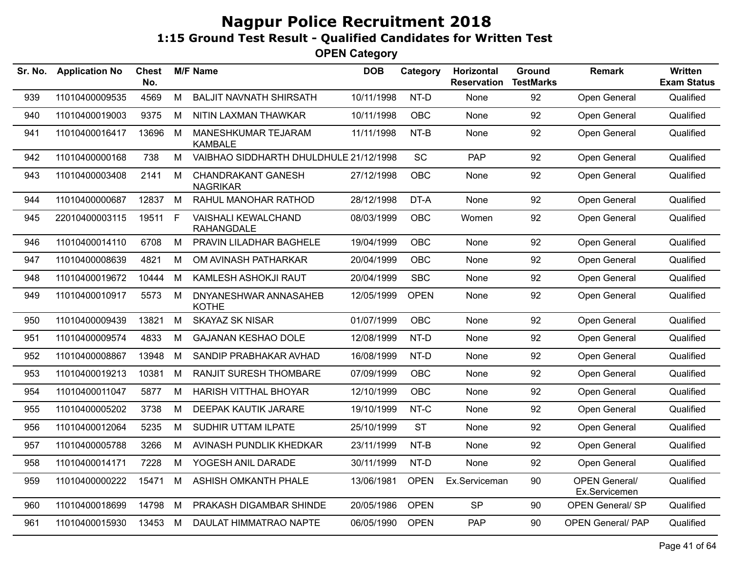| Sr. No. | <b>Application No</b> | <b>Chest</b><br>No. |              | <b>M/F Name</b>                                 | <b>DOB</b> | Category    | Horizontal<br><b>Reservation</b> | Ground<br><b>TestMarks</b> | <b>Remark</b>                         | Written<br><b>Exam Status</b> |
|---------|-----------------------|---------------------|--------------|-------------------------------------------------|------------|-------------|----------------------------------|----------------------------|---------------------------------------|-------------------------------|
| 939     | 11010400009535        | 4569                | M            | <b>BALJIT NAVNATH SHIRSATH</b>                  | 10/11/1998 | NT-D        | None                             | 92                         | Open General                          | Qualified                     |
| 940     | 11010400019003        | 9375                | M            | NITIN LAXMAN THAWKAR                            | 10/11/1998 | OBC         | None                             | 92                         | Open General                          | Qualified                     |
| 941     | 11010400016417        | 13696               | M            | MANESHKUMAR TEJARAM<br><b>KAMBALE</b>           | 11/11/1998 | NT-B        | None                             | 92                         | Open General                          | Qualified                     |
| 942     | 11010400000168        | 738                 | M            | VAIBHAO SIDDHARTH DHULDHULE 21/12/1998          |            | SC          | <b>PAP</b>                       | 92                         | Open General                          | Qualified                     |
| 943     | 11010400003408        | 2141                | M            | <b>CHANDRAKANT GANESH</b><br><b>NAGRIKAR</b>    | 27/12/1998 | <b>OBC</b>  | None                             | 92                         | Open General                          | Qualified                     |
| 944     | 11010400000687        | 12837               | M            | RAHUL MANOHAR RATHOD                            | 28/12/1998 | DT-A        | None                             | 92                         | Open General                          | Qualified                     |
| 945     | 22010400003115        | 19511               | $\mathsf{F}$ | <b>VAISHALI KEWALCHAND</b><br><b>RAHANGDALE</b> | 08/03/1999 | OBC         | Women                            | 92                         | Open General                          | Qualified                     |
| 946     | 11010400014110        | 6708                | М            | PRAVIN LILADHAR BAGHELE                         | 19/04/1999 | <b>OBC</b>  | None                             | 92                         | Open General                          | Qualified                     |
| 947     | 11010400008639        | 4821                | M            | OM AVINASH PATHARKAR                            | 20/04/1999 | <b>OBC</b>  | None                             | 92                         | Open General                          | Qualified                     |
| 948     | 11010400019672        | 10444               | M            | KAMLESH ASHOKJI RAUT                            | 20/04/1999 | <b>SBC</b>  | None                             | 92                         | Open General                          | Qualified                     |
| 949     | 11010400010917        | 5573                | M            | DNYANESHWAR ANNASAHEB<br><b>KOTHE</b>           | 12/05/1999 | <b>OPEN</b> | None                             | 92                         | Open General                          | Qualified                     |
| 950     | 11010400009439        | 13821               | M            | <b>SKAYAZ SK NISAR</b>                          | 01/07/1999 | <b>OBC</b>  | None                             | 92                         | Open General                          | Qualified                     |
| 951     | 11010400009574        | 4833                | M            | <b>GAJANAN KESHAO DOLE</b>                      | 12/08/1999 | NT-D        | None                             | 92                         | Open General                          | Qualified                     |
| 952     | 11010400008867        | 13948               | M            | SANDIP PRABHAKAR AVHAD                          | 16/08/1999 | NT-D        | None                             | 92                         | Open General                          | Qualified                     |
| 953     | 11010400019213        | 10381               | M            | <b>RANJIT SURESH THOMBARE</b>                   | 07/09/1999 | <b>OBC</b>  | None                             | 92                         | Open General                          | Qualified                     |
| 954     | 11010400011047        | 5877                | M            | <b>HARISH VITTHAL BHOYAR</b>                    | 12/10/1999 | OBC         | None                             | 92                         | Open General                          | Qualified                     |
| 955     | 11010400005202        | 3738                | M            | <b>DEEPAK KAUTIK JARARE</b>                     | 19/10/1999 | NT-C        | None                             | 92                         | Open General                          | Qualified                     |
| 956     | 11010400012064        | 5235                | M            | SUDHIR UTTAM ILPATE                             | 25/10/1999 | <b>ST</b>   | None                             | 92                         | Open General                          | Qualified                     |
| 957     | 11010400005788        | 3266                | M            | AVINASH PUNDLIK KHEDKAR                         | 23/11/1999 | NT-B        | None                             | 92                         | Open General                          | Qualified                     |
| 958     | 11010400014171        | 7228                | M            | YOGESH ANIL DARADE                              | 30/11/1999 | NT-D        | None                             | 92                         | Open General                          | Qualified                     |
| 959     | 11010400000222        | 15471               | M            | <b>ASHISH OMKANTH PHALE</b>                     | 13/06/1981 | <b>OPEN</b> | Ex.Serviceman                    | 90                         | <b>OPEN General/</b><br>Ex.Servicemen | Qualified                     |
| 960     | 11010400018699        | 14798               | M            | PRAKASH DIGAMBAR SHINDE                         | 20/05/1986 | <b>OPEN</b> | <b>SP</b>                        | 90                         | <b>OPEN General/ SP</b>               | Qualified                     |
| 961     | 11010400015930        | 13453               | M            | DAULAT HIMMATRAO NAPTE                          | 06/05/1990 | <b>OPEN</b> | PAP                              | 90                         | <b>OPEN General/ PAP</b>              | Qualified                     |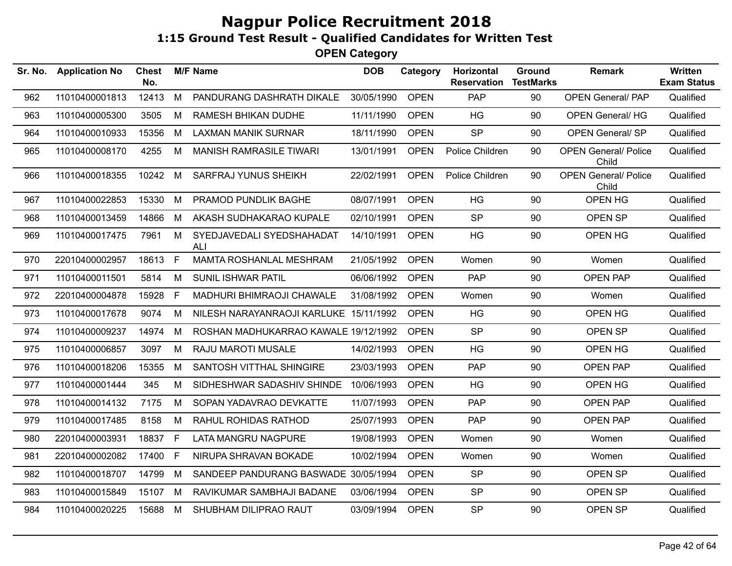| Sr. No. | <b>Application No</b> | <b>Chest</b><br>No. |              | <b>M/F Name</b>                         | <b>DOB</b> | Category    | Horizontal<br><b>Reservation</b> | Ground<br><b>TestMarks</b> | <b>Remark</b>                        | <b>Written</b><br><b>Exam Status</b> |
|---------|-----------------------|---------------------|--------------|-----------------------------------------|------------|-------------|----------------------------------|----------------------------|--------------------------------------|--------------------------------------|
| 962     | 11010400001813        | 12413               | M            | PANDURANG DASHRATH DIKALE               | 30/05/1990 | <b>OPEN</b> | PAP                              | 90                         | <b>OPEN General/ PAP</b>             | Qualified                            |
| 963     | 11010400005300        | 3505                | M            | <b>RAMESH BHIKAN DUDHE</b>              | 11/11/1990 | <b>OPEN</b> | <b>HG</b>                        | 90                         | <b>OPEN General/ HG</b>              | Qualified                            |
| 964     | 11010400010933        | 15356               | M            | <b>LAXMAN MANIK SURNAR</b>              | 18/11/1990 | <b>OPEN</b> | <b>SP</b>                        | 90                         | <b>OPEN General/ SP</b>              | Qualified                            |
| 965     | 11010400008170        | 4255                | М            | <b>MANISH RAMRASILE TIWARI</b>          | 13/01/1991 | <b>OPEN</b> | Police Children                  | 90                         | <b>OPEN General/ Police</b><br>Child | Qualified                            |
| 966     | 11010400018355        | 10242 M             |              | SARFRAJ YUNUS SHEIKH                    | 22/02/1991 | <b>OPEN</b> | Police Children                  | 90                         | <b>OPEN General/ Police</b><br>Child | Qualified                            |
| 967     | 11010400022853        | 15330               | M            | PRAMOD PUNDLIK BAGHE                    | 08/07/1991 | <b>OPEN</b> | HG                               | 90                         | OPEN HG                              | Qualified                            |
| 968     | 11010400013459        | 14866               | M            | AKASH SUDHAKARAO KUPALE                 | 02/10/1991 | <b>OPEN</b> | <b>SP</b>                        | 90                         | OPEN SP                              | Qualified                            |
| 969     | 11010400017475        | 7961                | M            | SYEDJAVEDALI SYEDSHAHADAT<br><b>ALI</b> | 14/10/1991 | <b>OPEN</b> | HG                               | 90                         | OPEN HG                              | Qualified                            |
| 970     | 22010400002957        | 18613 F             |              | <b>MAMTA ROSHANLAL MESHRAM</b>          | 21/05/1992 | <b>OPEN</b> | Women                            | 90                         | Women                                | Qualified                            |
| 971     | 11010400011501        | 5814                | M            | SUNIL ISHWAR PATIL                      | 06/06/1992 | <b>OPEN</b> | <b>PAP</b>                       | 90                         | <b>OPEN PAP</b>                      | Qualified                            |
| 972     | 22010400004878        | 15928               | $\mathsf{F}$ | MADHURI BHIMRAOJI CHAWALE               | 31/08/1992 | <b>OPEN</b> | Women                            | 90                         | Women                                | Qualified                            |
| 973     | 11010400017678        | 9074                | м            | NILESH NARAYANRAOJI KARLUKE 15/11/1992  |            | <b>OPEN</b> | HG                               | 90                         | OPEN HG                              | Qualified                            |
| 974     | 11010400009237        | 14974               | M            | ROSHAN MADHUKARRAO KAWALE 19/12/1992    |            | <b>OPEN</b> | <b>SP</b>                        | 90                         | OPEN SP                              | Qualified                            |
| 975     | 11010400006857        | 3097                | M            | <b>RAJU MAROTI MUSALE</b>               | 14/02/1993 | <b>OPEN</b> | HG                               | 90                         | OPEN HG                              | Qualified                            |
| 976     | 11010400018206        | 15355               | M            | SANTOSH VITTHAL SHINGIRE                | 23/03/1993 | <b>OPEN</b> | <b>PAP</b>                       | 90                         | <b>OPEN PAP</b>                      | Qualified                            |
| 977     | 11010400001444        | 345                 | M            | SIDHESHWAR SADASHIV SHINDE              | 10/06/1993 | <b>OPEN</b> | HG                               | 90                         | OPEN HG                              | Qualified                            |
| 978     | 11010400014132        | 7175                | M            | SOPAN YADAVRAO DEVKATTE                 | 11/07/1993 | <b>OPEN</b> | <b>PAP</b>                       | 90                         | OPEN PAP                             | Qualified                            |
| 979     | 11010400017485        | 8158                | M            | RAHUL ROHIDAS RATHOD                    | 25/07/1993 | <b>OPEN</b> | <b>PAP</b>                       | 90                         | <b>OPEN PAP</b>                      | Qualified                            |
| 980     | 22010400003931        | 18837               | F            | LATA MANGRU NAGPURE                     | 19/08/1993 | <b>OPEN</b> | Women                            | 90                         | Women                                | Qualified                            |
| 981     | 22010400002082        | 17400               | E            | NIRUPA SHRAVAN BOKADE                   | 10/02/1994 | <b>OPEN</b> | Women                            | 90                         | Women                                | Qualified                            |
| 982     | 11010400018707        | 14799               | M            | SANDEEP PANDURANG BASWADE 30/05/1994    |            | <b>OPEN</b> | <b>SP</b>                        | 90                         | OPEN SP                              | Qualified                            |
| 983     | 11010400015849        | 15107               | M            | RAVIKUMAR SAMBHAJI BADANE               | 03/06/1994 | <b>OPEN</b> | <b>SP</b>                        | 90                         | OPEN SP                              | Qualified                            |
| 984     | 11010400020225        | 15688               | M            | SHUBHAM DILIPRAO RAUT                   | 03/09/1994 | <b>OPEN</b> | <b>SP</b>                        | 90                         | OPEN SP                              | Qualified                            |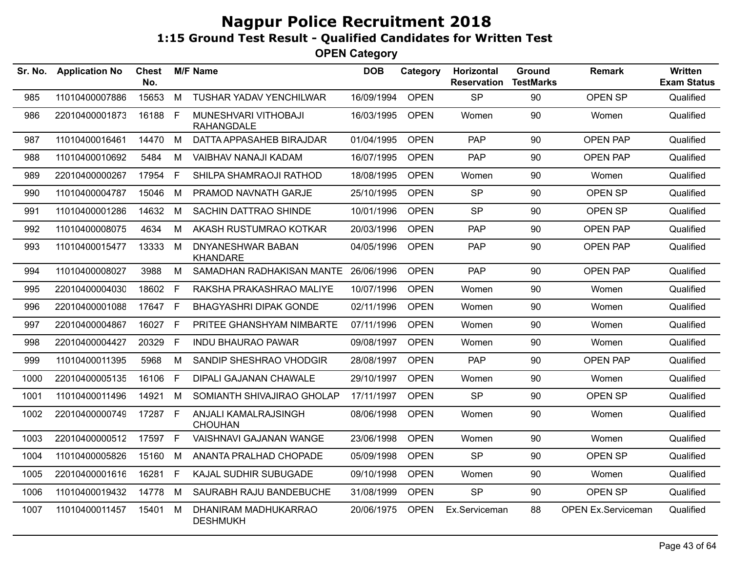| Sr. No. | <b>Application No</b> | <b>Chest</b><br>No. |    | <b>M/F Name</b>                           | <b>DOB</b> | Category    | <b>Horizontal</b><br><b>Reservation</b> | <b>Ground</b><br><b>TestMarks</b> | <b>Remark</b>             | Written<br><b>Exam Status</b> |
|---------|-----------------------|---------------------|----|-------------------------------------------|------------|-------------|-----------------------------------------|-----------------------------------|---------------------------|-------------------------------|
| 985     | 11010400007886        | 15653               | M  | TUSHAR YADAV YENCHILWAR                   | 16/09/1994 | <b>OPEN</b> | <b>SP</b>                               | 90                                | <b>OPEN SP</b>            | Qualified                     |
| 986     | 22010400001873        | 16188               | F  | MUNESHVARI VITHOBAJI<br><b>RAHANGDALE</b> | 16/03/1995 | <b>OPEN</b> | Women                                   | 90                                | Women                     | Qualified                     |
| 987     | 11010400016461        | 14470               | М  | DATTA APPASAHEB BIRAJDAR                  | 01/04/1995 | <b>OPEN</b> | PAP.                                    | 90                                | <b>OPEN PAP</b>           | Qualified                     |
| 988     | 11010400010692        | 5484                | м  | VAIBHAV NANAJI KADAM                      | 16/07/1995 | <b>OPEN</b> | <b>PAP</b>                              | 90                                | <b>OPEN PAP</b>           | Qualified                     |
| 989     | 22010400000267        | 17954               | F. | SHILPA SHAMRAOJI RATHOD                   | 18/08/1995 | <b>OPEN</b> | Women                                   | 90                                | Women                     | Qualified                     |
| 990     | 11010400004787        | 15046               | М  | PRAMOD NAVNATH GARJE                      | 25/10/1995 | <b>OPEN</b> | <b>SP</b>                               | 90                                | OPEN SP                   | Qualified                     |
| 991     | 11010400001286        | 14632               | М  | SACHIN DATTRAO SHINDE                     | 10/01/1996 | <b>OPEN</b> | <b>SP</b>                               | 90                                | OPEN SP                   | Qualified                     |
| 992     | 11010400008075        | 4634                | М  | AKASH RUSTUMRAO KOTKAR                    | 20/03/1996 | <b>OPEN</b> | <b>PAP</b>                              | 90                                | <b>OPEN PAP</b>           | Qualified                     |
| 993     | 11010400015477        | 13333               | М  | DNYANESHWAR BABAN<br><b>KHANDARE</b>      | 04/05/1996 | <b>OPEN</b> | <b>PAP</b>                              | 90                                | OPEN PAP                  | Qualified                     |
| 994     | 11010400008027        | 3988                | М  | SAMADHAN RADHAKISAN MANTE                 | 26/06/1996 | <b>OPEN</b> | <b>PAP</b>                              | 90                                | <b>OPEN PAP</b>           | Qualified                     |
| 995     | 22010400004030        | 18602               | F. | RAKSHA PRAKASHRAO MALIYE                  | 10/07/1996 | <b>OPEN</b> | Women                                   | 90                                | Women                     | Qualified                     |
| 996     | 22010400001088        | 17647 F             |    | <b>BHAGYASHRI DIPAK GONDE</b>             | 02/11/1996 | <b>OPEN</b> | Women                                   | 90                                | Women                     | Qualified                     |
| 997     | 22010400004867        | 16027               | F. | PRITEE GHANSHYAM NIMBARTE                 | 07/11/1996 | <b>OPEN</b> | Women                                   | 90                                | Women                     | Qualified                     |
| 998     | 22010400004427        | 20329               | F. | <b>INDU BHAURAO PAWAR</b>                 | 09/08/1997 | <b>OPEN</b> | Women                                   | 90                                | Women                     | Qualified                     |
| 999     | 11010400011395        | 5968                | м  | SANDIP SHESHRAO VHODGIR                   | 28/08/1997 | <b>OPEN</b> | <b>PAP</b>                              | 90                                | <b>OPEN PAP</b>           | Qualified                     |
| 1000    | 22010400005135        | 16106               | F. | <b>DIPALI GAJANAN CHAWALE</b>             | 29/10/1997 | <b>OPEN</b> | Women                                   | 90                                | Women                     | Qualified                     |
| 1001    | 11010400011496        | 14921               | М  | SOMIANTH SHIVAJIRAO GHOLAP                | 17/11/1997 | <b>OPEN</b> | <b>SP</b>                               | 90                                | OPEN SP                   | Qualified                     |
| 1002    | 22010400000749        | 17287 F             |    | ANJALI KAMALRAJSINGH<br><b>CHOUHAN</b>    | 08/06/1998 | <b>OPEN</b> | Women                                   | 90                                | Women                     | Qualified                     |
| 1003    | 22010400000512        | 17597 F             |    | VAISHNAVI GAJANAN WANGE                   | 23/06/1998 | <b>OPEN</b> | Women                                   | 90                                | Women                     | Qualified                     |
| 1004    | 11010400005826        | 15160               | М  | ANANTA PRALHAD CHOPADE                    | 05/09/1998 | <b>OPEN</b> | <b>SP</b>                               | 90                                | OPEN SP                   | Qualified                     |
| 1005    | 22010400001616        | 16281               | F. | KAJAL SUDHIR SUBUGADE                     | 09/10/1998 | <b>OPEN</b> | Women                                   | 90                                | Women                     | Qualified                     |
| 1006    | 11010400019432        | 14778               | M  | SAURABH RAJU BANDEBUCHE                   | 31/08/1999 | <b>OPEN</b> | <b>SP</b>                               | 90                                | OPEN SP                   | Qualified                     |
| 1007    | 11010400011457        | 15401               | M  | DHANIRAM MADHUKARRAO<br><b>DESHMUKH</b>   | 20/06/1975 | <b>OPEN</b> | Ex.Serviceman                           | 88                                | <b>OPEN Ex.Serviceman</b> | Qualified                     |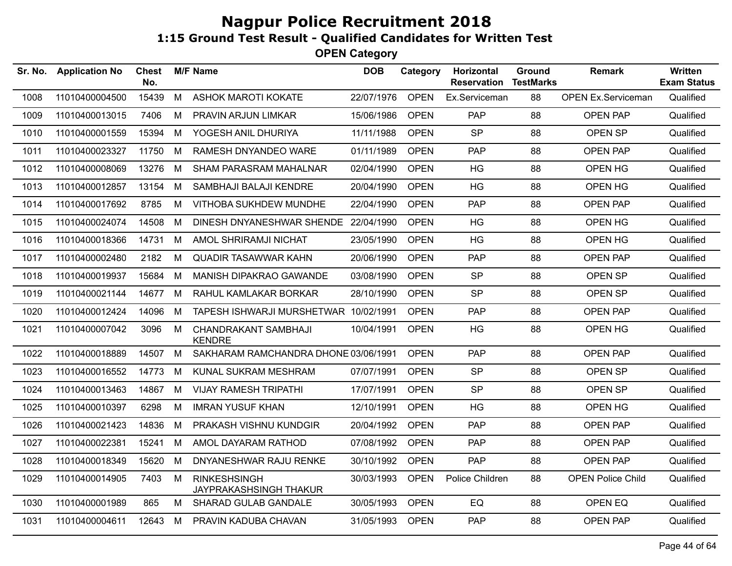| Sr. No. | <b>Application No</b> | <b>Chest</b><br>No. |   | <b>M/F Name</b>                                      | <b>DOB</b> | Category    | Horizontal<br><b>Reservation</b> | Ground<br><b>TestMarks</b> | <b>Remark</b>             | <b>Written</b><br><b>Exam Status</b> |
|---------|-----------------------|---------------------|---|------------------------------------------------------|------------|-------------|----------------------------------|----------------------------|---------------------------|--------------------------------------|
| 1008    | 11010400004500        | 15439               | M | <b>ASHOK MAROTI KOKATE</b>                           | 22/07/1976 | <b>OPEN</b> | Ex.Serviceman                    | 88                         | <b>OPEN Ex.Serviceman</b> | Qualified                            |
| 1009    | 11010400013015        | 7406                | М | PRAVIN ARJUN LIMKAR                                  | 15/06/1986 | <b>OPEN</b> | <b>PAP</b>                       | 88                         | <b>OPEN PAP</b>           | Qualified                            |
| 1010    | 11010400001559        | 15394               | M | YOGESH ANIL DHURIYA                                  | 11/11/1988 | <b>OPEN</b> | <b>SP</b>                        | 88                         | OPEN SP                   | Qualified                            |
| 1011    | 11010400023327        | 11750               | М | RAMESH DNYANDEO WARE                                 | 01/11/1989 | <b>OPEN</b> | PAP                              | 88                         | <b>OPEN PAP</b>           | Qualified                            |
| 1012    | 11010400008069        | 13276               | M | <b>SHAM PARASRAM MAHALNAR</b>                        | 02/04/1990 | <b>OPEN</b> | HG                               | 88                         | OPEN HG                   | Qualified                            |
| 1013    | 11010400012857        | 13154               | М | SAMBHAJI BALAJI KENDRE                               | 20/04/1990 | <b>OPEN</b> | HG                               | 88                         | OPEN HG                   | Qualified                            |
| 1014    | 11010400017692        | 8785                | М | VITHOBA SUKHDEW MUNDHE                               | 22/04/1990 | <b>OPEN</b> | PAP                              | 88                         | <b>OPEN PAP</b>           | Qualified                            |
| 1015    | 11010400024074        | 14508               | М | DINESH DNYANESHWAR SHENDE 22/04/1990                 |            | <b>OPEN</b> | <b>HG</b>                        | 88                         | OPEN HG                   | Qualified                            |
| 1016    | 11010400018366        | 14731               | M | AMOL SHRIRAMJI NICHAT                                | 23/05/1990 | <b>OPEN</b> | HG                               | 88                         | OPEN HG                   | Qualified                            |
| 1017    | 11010400002480        | 2182                | М | <b>QUADIR TASAWWAR KAHN</b>                          | 20/06/1990 | <b>OPEN</b> | PAP                              | 88                         | <b>OPEN PAP</b>           | Qualified                            |
| 1018    | 11010400019937        | 15684               | М | MANISH DIPAKRAO GAWANDE                              | 03/08/1990 | <b>OPEN</b> | <b>SP</b>                        | 88                         | OPEN SP                   | Qualified                            |
| 1019    | 11010400021144        | 14677               | M | RAHUL KAMLAKAR BORKAR                                | 28/10/1990 | <b>OPEN</b> | <b>SP</b>                        | 88                         | OPEN SP                   | Qualified                            |
| 1020    | 11010400012424        | 14096               | М | TAPESH ISHWARJI MURSHETWAR 10/02/1991                |            | <b>OPEN</b> | PAP                              | 88                         | <b>OPEN PAP</b>           | Qualified                            |
| 1021    | 11010400007042        | 3096                | М | CHANDRAKANT SAMBHAJI<br><b>KENDRE</b>                | 10/04/1991 | <b>OPEN</b> | HG                               | 88                         | OPEN HG                   | Qualified                            |
| 1022    | 11010400018889        | 14507               | M | SAKHARAM RAMCHANDRA DHONE 03/06/1991                 |            | <b>OPEN</b> | <b>PAP</b>                       | 88                         | <b>OPEN PAP</b>           | Qualified                            |
| 1023    | 11010400016552        | 14773               | М | KUNAL SUKRAM MESHRAM                                 | 07/07/1991 | <b>OPEN</b> | <b>SP</b>                        | 88                         | OPEN SP                   | Qualified                            |
| 1024    | 11010400013463        | 14867               | M | <b>VIJAY RAMESH TRIPATHI</b>                         | 17/07/1991 | <b>OPEN</b> | <b>SP</b>                        | 88                         | OPEN SP                   | Qualified                            |
| 1025    | 11010400010397        | 6298                | М | <b>IMRAN YUSUF KHAN</b>                              | 12/10/1991 | <b>OPEN</b> | HG                               | 88                         | OPEN HG                   | Qualified                            |
| 1026    | 11010400021423        | 14836               | M | PRAKASH VISHNU KUNDGIR                               | 20/04/1992 | <b>OPEN</b> | PAP                              | 88                         | <b>OPEN PAP</b>           | Qualified                            |
| 1027    | 11010400022381        | 15241               | M | AMOL DAYARAM RATHOD                                  | 07/08/1992 | <b>OPEN</b> | <b>PAP</b>                       | 88                         | <b>OPEN PAP</b>           | Qualified                            |
| 1028    | 11010400018349        | 15620               | М | DNYANESHWAR RAJU RENKE                               | 30/10/1992 | <b>OPEN</b> | <b>PAP</b>                       | 88                         | OPEN PAP                  | Qualified                            |
| 1029    | 11010400014905        | 7403                | M | <b>RINKESHSINGH</b><br><b>JAYPRAKASHSINGH THAKUR</b> | 30/03/1993 | <b>OPEN</b> | Police Children                  | 88                         | <b>OPEN Police Child</b>  | Qualified                            |
| 1030    | 11010400001989        | 865                 | M | SHARAD GULAB GANDALE                                 | 30/05/1993 | <b>OPEN</b> | EQ                               | 88                         | OPEN EQ                   | Qualified                            |
| 1031    | 11010400004611        | 12643               | М | PRAVIN KADUBA CHAVAN                                 | 31/05/1993 | <b>OPEN</b> | PAP                              | 88                         | <b>OPEN PAP</b>           | Qualified                            |
|         |                       |                     |   |                                                      |            |             |                                  |                            |                           |                                      |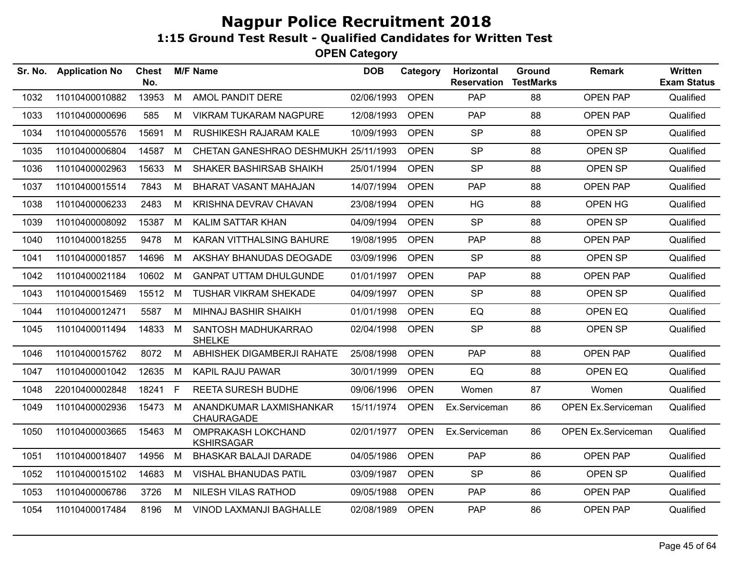| Sr. No. | <b>Application No</b> | Chest<br>No. |    | <b>M/F Name</b>                         | <b>DOB</b> | Category    | Horizontal<br><b>Reservation</b> | Ground<br><b>TestMarks</b> | <b>Remark</b>             | Written<br><b>Exam Status</b> |
|---------|-----------------------|--------------|----|-----------------------------------------|------------|-------------|----------------------------------|----------------------------|---------------------------|-------------------------------|
| 1032    | 11010400010882        | 13953        | M  | AMOL PANDIT DERE                        | 02/06/1993 | <b>OPEN</b> | PAP                              | 88                         | <b>OPEN PAP</b>           | Qualified                     |
| 1033    | 11010400000696        | 585          | М  | <b>VIKRAM TUKARAM NAGPURE</b>           | 12/08/1993 | <b>OPEN</b> | <b>PAP</b>                       | 88                         | <b>OPEN PAP</b>           | Qualified                     |
| 1034    | 11010400005576        | 15691        | M  | <b>RUSHIKESH RAJARAM KALE</b>           | 10/09/1993 | <b>OPEN</b> | <b>SP</b>                        | 88                         | OPEN SP                   | Qualified                     |
| 1035    | 11010400006804        | 14587        | M  | CHETAN GANESHRAO DESHMUKH 25/11/1993    |            | <b>OPEN</b> | <b>SP</b>                        | 88                         | OPEN SP                   | Qualified                     |
| 1036    | 11010400002963        | 15633        | M  | <b>SHAKER BASHIRSAB SHAIKH</b>          | 25/01/1994 | <b>OPEN</b> | <b>SP</b>                        | 88                         | OPEN SP                   | Qualified                     |
| 1037    | 11010400015514        | 7843         | М  | BHARAT VASANT MAHAJAN                   | 14/07/1994 | <b>OPEN</b> | <b>PAP</b>                       | 88                         | <b>OPEN PAP</b>           | Qualified                     |
| 1038    | 11010400006233        | 2483         | M  | KRISHNA DEVRAV CHAVAN                   | 23/08/1994 | <b>OPEN</b> | HG                               | 88                         | OPEN HG                   | Qualified                     |
| 1039    | 11010400008092        | 15387        | M  | KALIM SATTAR KHAN                       | 04/09/1994 | <b>OPEN</b> | <b>SP</b>                        | 88                         | OPEN SP                   | Qualified                     |
| 1040    | 11010400018255        | 9478         | М  | KARAN VITTHALSING BAHURE                | 19/08/1995 | <b>OPEN</b> | PAP                              | 88                         | <b>OPEN PAP</b>           | Qualified                     |
| 1041    | 11010400001857        | 14696        | M  | AKSHAY BHANUDAS DEOGADE                 | 03/09/1996 | <b>OPEN</b> | <b>SP</b>                        | 88                         | OPEN SP                   | Qualified                     |
| 1042    | 11010400021184        | 10602        | М  | <b>GANPAT UTTAM DHULGUNDE</b>           | 01/01/1997 | <b>OPEN</b> | <b>PAP</b>                       | 88                         | <b>OPEN PAP</b>           | Qualified                     |
| 1043    | 11010400015469        | 15512        | M  | <b>TUSHAR VIKRAM SHEKADE</b>            | 04/09/1997 | <b>OPEN</b> | <b>SP</b>                        | 88                         | OPEN SP                   | Qualified                     |
| 1044    | 11010400012471        | 5587         | М  | MIHNAJ BASHIR SHAIKH                    | 01/01/1998 | <b>OPEN</b> | EQ                               | 88                         | OPEN EQ                   | Qualified                     |
| 1045    | 11010400011494        | 14833        | M  | SANTOSH MADHUKARRAO<br><b>SHELKE</b>    | 02/04/1998 | <b>OPEN</b> | <b>SP</b>                        | 88                         | OPEN SP                   | Qualified                     |
| 1046    | 11010400015762        | 8072         | M  | ABHISHEK DIGAMBERJI RAHATE              | 25/08/1998 | <b>OPEN</b> | <b>PAP</b>                       | 88                         | <b>OPEN PAP</b>           | Qualified                     |
| 1047    | 11010400001042        | 12635        | M  | <b>KAPIL RAJU PAWAR</b>                 | 30/01/1999 | <b>OPEN</b> | EQ                               | 88                         | OPEN EQ                   | Qualified                     |
| 1048    | 22010400002848        | 18241        | F. | <b>REETA SURESH BUDHE</b>               | 09/06/1996 | <b>OPEN</b> | Women                            | 87                         | Women                     | Qualified                     |
| 1049    | 11010400002936        | 15473        | M  | ANANDKUMAR LAXMISHANKAR<br>CHAURAGADE   | 15/11/1974 | <b>OPEN</b> | Ex.Serviceman                    | 86                         | <b>OPEN Ex.Serviceman</b> | Qualified                     |
| 1050    | 11010400003665        | 15463        | M  | OMPRAKASH LOKCHAND<br><b>KSHIRSAGAR</b> | 02/01/1977 | <b>OPEN</b> | Ex.Serviceman                    | 86                         | <b>OPEN Ex.Serviceman</b> | Qualified                     |
| 1051    | 11010400018407        | 14956        | М  | <b>BHASKAR BALAJI DARADE</b>            | 04/05/1986 | <b>OPEN</b> | PAP                              | 86                         | <b>OPEN PAP</b>           | Qualified                     |
| 1052    | 11010400015102        | 14683        | М  | <b>VISHAL BHANUDAS PATIL</b>            | 03/09/1987 | <b>OPEN</b> | <b>SP</b>                        | 86                         | OPEN SP                   | Qualified                     |
| 1053    | 11010400006786        | 3726         | М  | NILESH VILAS RATHOD                     | 09/05/1988 | <b>OPEN</b> | <b>PAP</b>                       | 86                         | <b>OPEN PAP</b>           | Qualified                     |
| 1054    | 11010400017484        | 8196         | M  | VINOD LAXMANJI BAGHALLE                 | 02/08/1989 | <b>OPEN</b> | <b>PAP</b>                       | 86                         | <b>OPEN PAP</b>           | Qualified                     |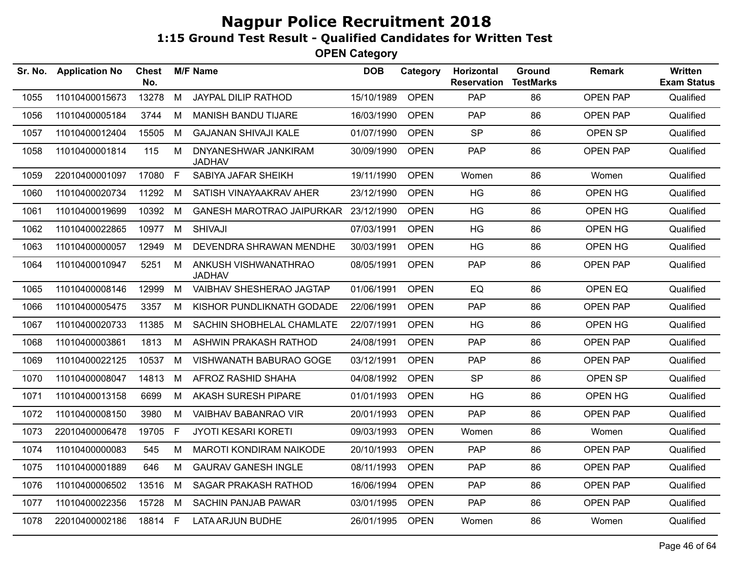| Sr. No. | <b>Application No</b> | <b>Chest</b><br>No. |              | <b>M/F Name</b>                       | <b>DOB</b> | Category    | <b>Horizontal</b><br><b>Reservation</b> | Ground<br><b>TestMarks</b> | <b>Remark</b>   | <b>Written</b><br><b>Exam Status</b> |
|---------|-----------------------|---------------------|--------------|---------------------------------------|------------|-------------|-----------------------------------------|----------------------------|-----------------|--------------------------------------|
| 1055    | 11010400015673        | 13278               | M            | JAYPAL DILIP RATHOD                   | 15/10/1989 | <b>OPEN</b> | <b>PAP</b>                              | 86                         | <b>OPEN PAP</b> | Qualified                            |
| 1056    | 11010400005184        | 3744                | M            | <b>MANISH BANDU TIJARE</b>            | 16/03/1990 | <b>OPEN</b> | <b>PAP</b>                              | 86                         | <b>OPEN PAP</b> | Qualified                            |
| 1057    | 11010400012404        | 15505               | M            | <b>GAJANAN SHIVAJI KALE</b>           | 01/07/1990 | <b>OPEN</b> | <b>SP</b>                               | 86                         | OPEN SP         | Qualified                            |
| 1058    | 11010400001814        | 115                 | M            | DNYANESHWAR JANKIRAM<br><b>JADHAV</b> | 30/09/1990 | <b>OPEN</b> | <b>PAP</b>                              | 86                         | <b>OPEN PAP</b> | Qualified                            |
| 1059    | 22010400001097        | 17080               | $\mathsf{F}$ | SABIYA JAFAR SHEIKH                   | 19/11/1990 | <b>OPEN</b> | Women                                   | 86                         | Women           | Qualified                            |
| 1060    | 11010400020734        | 11292               | M            | SATISH VINAYAAKRAV AHER               | 23/12/1990 | <b>OPEN</b> | <b>HG</b>                               | 86                         | OPEN HG         | Qualified                            |
| 1061    | 11010400019699        | 10392               | M            | <b>GANESH MAROTRAO JAIPURKAR</b>      | 23/12/1990 | <b>OPEN</b> | HG                                      | 86                         | OPEN HG         | Qualified                            |
| 1062    | 11010400022865        | 10977               | M            | <b>SHIVAJI</b>                        | 07/03/1991 | <b>OPEN</b> | HG                                      | 86                         | OPEN HG         | Qualified                            |
| 1063    | 11010400000057        | 12949               | M            | DEVENDRA SHRAWAN MENDHE               | 30/03/1991 | <b>OPEN</b> | HG                                      | 86                         | OPEN HG         | Qualified                            |
| 1064    | 11010400010947        | 5251                | M            | ANKUSH VISHWANATHRAO<br><b>JADHAV</b> | 08/05/1991 | <b>OPEN</b> | PAP                                     | 86                         | OPEN PAP        | Qualified                            |
| 1065    | 11010400008146        | 12999               | M            | VAIBHAV SHESHERAO JAGTAP              | 01/06/1991 | <b>OPEN</b> | EQ                                      | 86                         | OPEN EQ         | Qualified                            |
| 1066    | 11010400005475        | 3357                | M            | KISHOR PUNDLIKNATH GODADE             | 22/06/1991 | <b>OPEN</b> | PAP                                     | 86                         | <b>OPEN PAP</b> | Qualified                            |
| 1067    | 11010400020733        | 11385               | M            | SACHIN SHOBHELAL CHAMLATE             | 22/07/1991 | <b>OPEN</b> | <b>HG</b>                               | 86                         | OPEN HG         | Qualified                            |
| 1068    | 11010400003861        | 1813                | M            | ASHWIN PRAKASH RATHOD                 | 24/08/1991 | <b>OPEN</b> | <b>PAP</b>                              | 86                         | OPEN PAP        | Qualified                            |
| 1069    | 11010400022125        | 10537               | M            | VISHWANATH BABURAO GOGE               | 03/12/1991 | <b>OPEN</b> | <b>PAP</b>                              | 86                         | <b>OPEN PAP</b> | Qualified                            |
| 1070    | 11010400008047        | 14813               | M            | AFROZ RASHID SHAHA                    | 04/08/1992 | <b>OPEN</b> | <b>SP</b>                               | 86                         | OPEN SP         | Qualified                            |
| 1071    | 11010400013158        | 6699                | M            | AKASH SURESH PIPARE                   | 01/01/1993 | <b>OPEN</b> | HG                                      | 86                         | OPEN HG         | Qualified                            |
| 1072    | 11010400008150        | 3980                | M            | <b>VAIBHAV BABANRAO VIR</b>           | 20/01/1993 | <b>OPEN</b> | PAP                                     | 86                         | <b>OPEN PAP</b> | Qualified                            |
| 1073    | 22010400006478        | 19705               | F.           | <b>JYOTI KESARI KORETI</b>            | 09/03/1993 | <b>OPEN</b> | Women                                   | 86                         | Women           | Qualified                            |
| 1074    | 11010400000083        | 545                 | М            | <b>MAROTI KONDIRAM NAIKODE</b>        | 20/10/1993 | <b>OPEN</b> | <b>PAP</b>                              | 86                         | <b>OPEN PAP</b> | Qualified                            |
| 1075    | 11010400001889        | 646                 | M            | <b>GAURAV GANESH INGLE</b>            | 08/11/1993 | <b>OPEN</b> | <b>PAP</b>                              | 86                         | <b>OPEN PAP</b> | Qualified                            |
| 1076    | 11010400006502        | 13516               | M            | SAGAR PRAKASH RATHOD                  | 16/06/1994 | <b>OPEN</b> | <b>PAP</b>                              | 86                         | OPEN PAP        | Qualified                            |
| 1077    | 11010400022356        | 15728               | M            | <b>SACHIN PANJAB PAWAR</b>            | 03/01/1995 | <b>OPEN</b> | <b>PAP</b>                              | 86                         | <b>OPEN PAP</b> | Qualified                            |
| 1078    | 22010400002186        | 18814 F             |              | <b>LATA ARJUN BUDHE</b>               | 26/01/1995 | <b>OPEN</b> | Women                                   | 86                         | Women           | Qualified                            |
|         |                       |                     |              |                                       |            |             |                                         |                            |                 |                                      |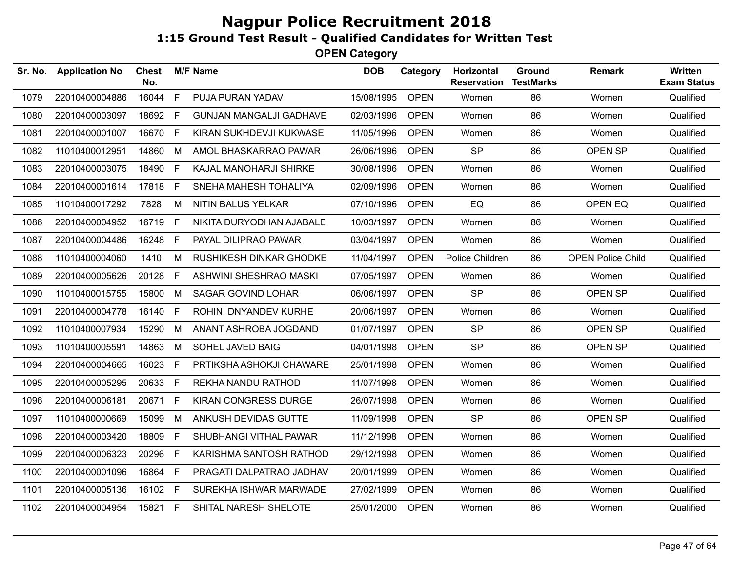| Sr. No. | <b>Application No</b> | Chest<br>No. |    | <b>M/F Name</b>                | <b>DOB</b> | Category    | Horizontal<br><b>Reservation</b> | Ground<br><b>TestMarks</b> | <b>Remark</b>            | Written<br><b>Exam Status</b> |
|---------|-----------------------|--------------|----|--------------------------------|------------|-------------|----------------------------------|----------------------------|--------------------------|-------------------------------|
| 1079    | 22010400004886        | 16044        | F  | PUJA PURAN YADAV               | 15/08/1995 | <b>OPEN</b> | Women                            | 86                         | Women                    | Qualified                     |
| 1080    | 22010400003097        | 18692        | F. | <b>GUNJAN MANGALJI GADHAVE</b> | 02/03/1996 | <b>OPEN</b> | Women                            | 86                         | Women                    | Qualified                     |
| 1081    | 22010400001007        | 16670        | F  | KIRAN SUKHDEVJI KUKWASE        | 11/05/1996 | <b>OPEN</b> | Women                            | 86                         | Women                    | Qualified                     |
| 1082    | 11010400012951        | 14860        | M  | AMOL BHASKARRAO PAWAR          | 26/06/1996 | <b>OPEN</b> | <b>SP</b>                        | 86                         | OPEN SP                  | Qualified                     |
| 1083    | 22010400003075        | 18490        | F. | KAJAL MANOHARJI SHIRKE         | 30/08/1996 | <b>OPEN</b> | Women                            | 86                         | Women                    | Qualified                     |
| 1084    | 22010400001614        | 17818 F      |    | SNEHA MAHESH TOHALIYA          | 02/09/1996 | <b>OPEN</b> | Women                            | 86                         | Women                    | Qualified                     |
| 1085    | 11010400017292        | 7828         | М  | NITIN BALUS YELKAR             | 07/10/1996 | <b>OPEN</b> | EQ                               | 86                         | OPEN EQ                  | Qualified                     |
| 1086    | 22010400004952        | 16719        | F. | NIKITA DURYODHAN AJABALE       | 10/03/1997 | <b>OPEN</b> | Women                            | 86                         | Women                    | Qualified                     |
| 1087    | 22010400004486        | 16248        | F. | PAYAL DILIPRAO PAWAR           | 03/04/1997 | <b>OPEN</b> | Women                            | 86                         | Women                    | Qualified                     |
| 1088    | 11010400004060        | 1410         | M  | RUSHIKESH DINKAR GHODKE        | 11/04/1997 | <b>OPEN</b> | Police Children                  | 86                         | <b>OPEN Police Child</b> | Qualified                     |
| 1089    | 22010400005626        | 20128        | F. | ASHWINI SHESHRAO MASKI         | 07/05/1997 | <b>OPEN</b> | Women                            | 86                         | Women                    | Qualified                     |
| 1090    | 11010400015755        | 15800        | M  | SAGAR GOVIND LOHAR             | 06/06/1997 | <b>OPEN</b> | <b>SP</b>                        | 86                         | OPEN SP                  | Qualified                     |
| 1091    | 22010400004778        | 16140        | F. | ROHINI DNYANDEV KURHE          | 20/06/1997 | <b>OPEN</b> | Women                            | 86                         | Women                    | Qualified                     |
| 1092    | 11010400007934        | 15290        | M  | ANANT ASHROBA JOGDAND          | 01/07/1997 | <b>OPEN</b> | <b>SP</b>                        | 86                         | OPEN SP                  | Qualified                     |
| 1093    | 11010400005591        | 14863        | M  | SOHEL JAVED BAIG               | 04/01/1998 | <b>OPEN</b> | <b>SP</b>                        | 86                         | OPEN SP                  | Qualified                     |
| 1094    | 22010400004665        | 16023        | F. | PRTIKSHA ASHOKJI CHAWARE       | 25/01/1998 | <b>OPEN</b> | Women                            | 86                         | Women                    | Qualified                     |
| 1095    | 22010400005295        | 20633        | F. | REKHA NANDU RATHOD             | 11/07/1998 | <b>OPEN</b> | Women                            | 86                         | Women                    | Qualified                     |
| 1096    | 22010400006181        | 20671        | F. | KIRAN CONGRESS DURGE           | 26/07/1998 | <b>OPEN</b> | Women                            | 86                         | Women                    | Qualified                     |
| 1097    | 11010400000669        | 15099        | M  | ANKUSH DEVIDAS GUTTE           | 11/09/1998 | <b>OPEN</b> | <b>SP</b>                        | 86                         | OPEN SP                  | Qualified                     |
| 1098    | 22010400003420        | 18809        | F. | SHUBHANGI VITHAL PAWAR         | 11/12/1998 | <b>OPEN</b> | Women                            | 86                         | Women                    | Qualified                     |
| 1099    | 22010400006323        | 20296        | F. | KARISHMA SANTOSH RATHOD        | 29/12/1998 | <b>OPEN</b> | Women                            | 86                         | Women                    | Qualified                     |
| 1100    | 22010400001096        | 16864        | F  | PRAGATI DALPATRAO JADHAV       | 20/01/1999 | <b>OPEN</b> | Women                            | 86                         | Women                    | Qualified                     |
| 1101    | 22010400005136        | 16102 F      |    | SUREKHA ISHWAR MARWADE         | 27/02/1999 | <b>OPEN</b> | Women                            | 86                         | Women                    | Qualified                     |
| 1102    | 22010400004954        | 15821 F      |    | SHITAL NARESH SHELOTE          | 25/01/2000 | <b>OPEN</b> | Women                            | 86                         | Women                    | Qualified                     |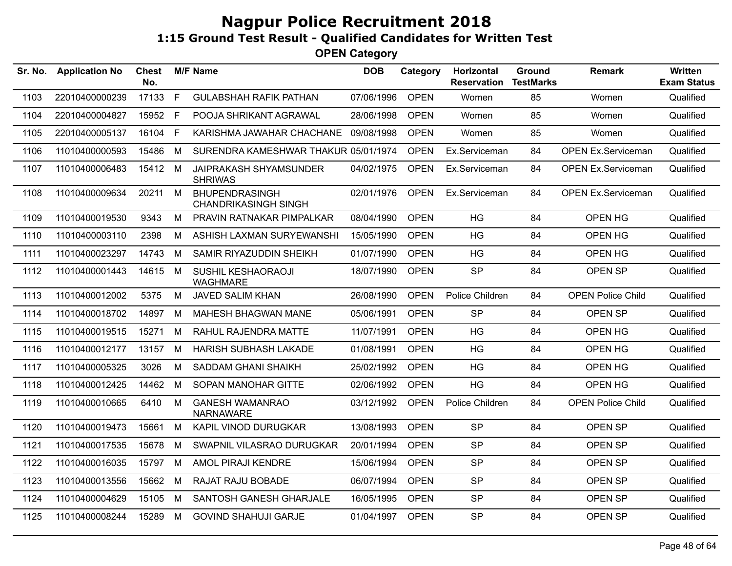| Sr. No. | <b>Application No</b> | Chest<br>No. |    | <b>M/F Name</b>                                      | <b>DOB</b> | Category    | <b>Horizontal</b><br><b>Reservation</b> | Ground<br><b>TestMarks</b> | <b>Remark</b>             | Written<br><b>Exam Status</b> |
|---------|-----------------------|--------------|----|------------------------------------------------------|------------|-------------|-----------------------------------------|----------------------------|---------------------------|-------------------------------|
| 1103    | 22010400000239        | 17133        | F  | <b>GULABSHAH RAFIK PATHAN</b>                        | 07/06/1996 | <b>OPEN</b> | Women                                   | 85                         | Women                     | Qualified                     |
| 1104    | 22010400004827        | 15952        | F. | POOJA SHRIKANT AGRAWAL                               | 28/06/1998 | <b>OPEN</b> | Women                                   | 85                         | Women                     | Qualified                     |
| 1105    | 22010400005137        | 16104        | F  | KARISHMA JAWAHAR CHACHANE                            | 09/08/1998 | <b>OPEN</b> | Women                                   | 85                         | Women                     | Qualified                     |
| 1106    | 11010400000593        | 15486        | M  | SURENDRA KAMESHWAR THAKUR 05/01/1974                 |            | <b>OPEN</b> | Ex.Serviceman                           | 84                         | <b>OPEN Ex.Serviceman</b> | Qualified                     |
| 1107    | 11010400006483        | 15412 M      |    | JAIPRAKASH SHYAMSUNDER<br><b>SHRIWAS</b>             | 04/02/1975 | <b>OPEN</b> | Ex.Serviceman                           | 84                         | <b>OPEN Ex.Serviceman</b> | Qualified                     |
| 1108    | 11010400009634        | 20211        | M  | <b>BHUPENDRASINGH</b><br><b>CHANDRIKASINGH SINGH</b> | 02/01/1976 | <b>OPEN</b> | Ex.Serviceman                           | 84                         | <b>OPEN Ex.Serviceman</b> | Qualified                     |
| 1109    | 11010400019530        | 9343         | M  | PRAVIN RATNAKAR PIMPALKAR                            | 08/04/1990 | <b>OPEN</b> | HG                                      | 84                         | OPEN HG                   | Qualified                     |
| 1110    | 11010400003110        | 2398         | M  | ASHISH LAXMAN SURYEWANSHI                            | 15/05/1990 | <b>OPEN</b> | <b>HG</b>                               | 84                         | OPEN HG                   | Qualified                     |
| 1111    | 11010400023297        | 14743        | M  | SAMIR RIYAZUDDIN SHEIKH                              | 01/07/1990 | <b>OPEN</b> | HG                                      | 84                         | OPEN HG                   | Qualified                     |
| 1112    | 11010400001443        | 14615        | M  | SUSHIL KESHAORAOJI<br><b>WAGHMARE</b>                | 18/07/1990 | <b>OPEN</b> | <b>SP</b>                               | 84                         | OPEN SP                   | Qualified                     |
| 1113    | 11010400012002        | 5375         | M  | <b>JAVED SALIM KHAN</b>                              | 26/08/1990 | <b>OPEN</b> | Police Children                         | 84                         | <b>OPEN Police Child</b>  | Qualified                     |
| 1114    | 11010400018702        | 14897        | M  | <b>MAHESH BHAGWAN MANE</b>                           | 05/06/1991 | <b>OPEN</b> | <b>SP</b>                               | 84                         | OPEN SP                   | Qualified                     |
| 1115    | 11010400019515        | 15271        | M  | RAHUL RAJENDRA MATTE                                 | 11/07/1991 | <b>OPEN</b> | <b>HG</b>                               | 84                         | OPEN HG                   | Qualified                     |
| 1116    | 11010400012177        | 13157        | M  | <b>HARISH SUBHASH LAKADE</b>                         | 01/08/1991 | <b>OPEN</b> | <b>HG</b>                               | 84                         | OPEN HG                   | Qualified                     |
| 1117    | 11010400005325        | 3026         | М  | <b>SADDAM GHANI SHAIKH</b>                           | 25/02/1992 | <b>OPEN</b> | <b>HG</b>                               | 84                         | OPEN HG                   | Qualified                     |
| 1118    | 11010400012425        | 14462        | M  | SOPAN MANOHAR GITTE                                  | 02/06/1992 | <b>OPEN</b> | <b>HG</b>                               | 84                         | OPEN HG                   | Qualified                     |
| 1119    | 11010400010665        | 6410         | M  | <b>GANESH WAMANRAO</b><br><b>NARNAWARE</b>           | 03/12/1992 | <b>OPEN</b> | Police Children                         | 84                         | <b>OPEN Police Child</b>  | Qualified                     |
| 1120    | 11010400019473        | 15661        | M  | KAPIL VINOD DURUGKAR                                 | 13/08/1993 | <b>OPEN</b> | <b>SP</b>                               | 84                         | OPEN SP                   | Qualified                     |
| 1121    | 11010400017535        | 15678        | M  | SWAPNIL VILASRAO DURUGKAR                            | 20/01/1994 | <b>OPEN</b> | <b>SP</b>                               | 84                         | OPEN SP                   | Qualified                     |
| 1122    | 11010400016035        | 15797        | M  | <b>AMOL PIRAJI KENDRE</b>                            | 15/06/1994 | <b>OPEN</b> | <b>SP</b>                               | 84                         | OPEN SP                   | Qualified                     |
| 1123    | 11010400013556        | 15662        | M  | RAJAT RAJU BOBADE                                    | 06/07/1994 | <b>OPEN</b> | <b>SP</b>                               | 84                         | OPEN SP                   | Qualified                     |
| 1124    | 11010400004629        | 15105        | M  | SANTOSH GANESH GHARJALE                              | 16/05/1995 | <b>OPEN</b> | <b>SP</b>                               | 84                         | OPEN SP                   | Qualified                     |
| 1125    | 11010400008244        | 15289        | M  | <b>GOVIND SHAHUJI GARJE</b>                          | 01/04/1997 | <b>OPEN</b> | <b>SP</b>                               | 84                         | <b>OPEN SP</b>            | Qualified                     |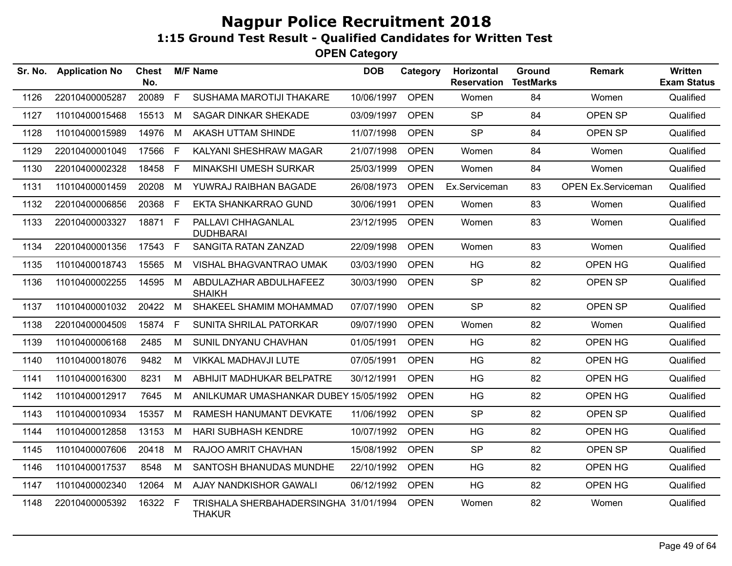| Sr. No. | <b>Application No</b> | <b>Chest</b><br>No. |    | <b>M/F Name</b>                                        | <b>DOB</b> | Category    | Horizontal<br><b>Reservation</b> | <b>Ground</b><br><b>TestMarks</b> | <b>Remark</b>             | Written<br><b>Exam Status</b> |
|---------|-----------------------|---------------------|----|--------------------------------------------------------|------------|-------------|----------------------------------|-----------------------------------|---------------------------|-------------------------------|
| 1126    | 22010400005287        | 20089               | F. | SUSHAMA MAROTIJI THAKARE                               | 10/06/1997 | <b>OPEN</b> | Women                            | 84                                | Women                     | Qualified                     |
| 1127    | 11010400015468        | 15513               | M  | <b>SAGAR DINKAR SHEKADE</b>                            | 03/09/1997 | <b>OPEN</b> | <b>SP</b>                        | 84                                | OPEN SP                   | Qualified                     |
| 1128    | 11010400015989        | 14976               | M  | AKASH UTTAM SHINDE                                     | 11/07/1998 | <b>OPEN</b> | <b>SP</b>                        | 84                                | OPEN SP                   | Qualified                     |
| 1129    | 22010400001049        | 17566               | F  | KALYANI SHESHRAW MAGAR                                 | 21/07/1998 | <b>OPEN</b> | Women                            | 84                                | Women                     | Qualified                     |
| 1130    | 22010400002328        | 18458               | F  | MINAKSHI UMESH SURKAR                                  | 25/03/1999 | <b>OPEN</b> | Women                            | 84                                | Women                     | Qualified                     |
| 1131    | 11010400001459        | 20208               | M  | YUWRAJ RAIBHAN BAGADE                                  | 26/08/1973 | <b>OPEN</b> | Ex.Serviceman                    | 83                                | <b>OPEN Ex.Serviceman</b> | Qualified                     |
| 1132    | 22010400006856        | 20368               | F. | EKTA SHANKARRAO GUND                                   | 30/06/1991 | <b>OPEN</b> | Women                            | 83                                | Women                     | Qualified                     |
| 1133    | 22010400003327        | 18871               | F. | PALLAVI CHHAGANLAL<br><b>DUDHBARAI</b>                 | 23/12/1995 | <b>OPEN</b> | Women                            | 83                                | Women                     | Qualified                     |
| 1134    | 22010400001356        | 17543 F             |    | SANGITA RATAN ZANZAD                                   | 22/09/1998 | <b>OPEN</b> | Women                            | 83                                | Women                     | Qualified                     |
| 1135    | 11010400018743        | 15565               | M  | VISHAL BHAGVANTRAO UMAK                                | 03/03/1990 | <b>OPEN</b> | <b>HG</b>                        | 82                                | OPEN HG                   | Qualified                     |
| 1136    | 11010400002255        | 14595 M             |    | ABDULAZHAR ABDULHAFEEZ<br><b>SHAIKH</b>                | 30/03/1990 | <b>OPEN</b> | <b>SP</b>                        | 82                                | OPEN SP                   | Qualified                     |
| 1137    | 11010400001032        | 20422               | M  | SHAKEEL SHAMIM MOHAMMAD                                | 07/07/1990 | <b>OPEN</b> | <b>SP</b>                        | 82                                | OPEN SP                   | Qualified                     |
| 1138    | 22010400004509        | 15874               | F. | SUNITA SHRILAL PATORKAR                                | 09/07/1990 | <b>OPEN</b> | Women                            | 82                                | Women                     | Qualified                     |
| 1139    | 11010400006168        | 2485                | M  | SUNIL DNYANU CHAVHAN                                   | 01/05/1991 | <b>OPEN</b> | <b>HG</b>                        | 82                                | OPEN HG                   | Qualified                     |
| 1140    | 11010400018076        | 9482                | M  | VIKKAL MADHAVJI LUTE                                   | 07/05/1991 | <b>OPEN</b> | <b>HG</b>                        | 82                                | OPEN HG                   | Qualified                     |
| 1141    | 11010400016300        | 8231                | М  | ABHIJIT MADHUKAR BELPATRE                              | 30/12/1991 | <b>OPEN</b> | HG                               | 82                                | OPEN HG                   | Qualified                     |
| 1142    | 11010400012917        | 7645                | М  | ANILKUMAR UMASHANKAR DUBEY 15/05/1992                  |            | <b>OPEN</b> | <b>HG</b>                        | 82                                | OPEN HG                   | Qualified                     |
| 1143    | 11010400010934        | 15357               | M  | RAMESH HANUMANT DEVKATE                                | 11/06/1992 | <b>OPEN</b> | <b>SP</b>                        | 82                                | OPEN SP                   | Qualified                     |
| 1144    | 11010400012858        | 13153               | М  | HARI SUBHASH KENDRE                                    | 10/07/1992 | <b>OPEN</b> | <b>HG</b>                        | 82                                | OPEN HG                   | Qualified                     |
| 1145    | 11010400007606        | 20418               | M  | RAJOO AMRIT CHAVHAN                                    | 15/08/1992 | <b>OPEN</b> | <b>SP</b>                        | 82                                | OPEN SP                   | Qualified                     |
| 1146    | 11010400017537        | 8548                | М  | SANTOSH BHANUDAS MUNDHE                                | 22/10/1992 | <b>OPEN</b> | HG                               | 82                                | OPEN HG                   | Qualified                     |
| 1147    | 11010400002340        | 12064               | M  | AJAY NANDKISHOR GAWALI                                 | 06/12/1992 | <b>OPEN</b> | HG                               | 82                                | OPEN HG                   | Qualified                     |
| 1148    | 22010400005392        | 16322               | F  | TRISHALA SHERBAHADERSINGHA 31/01/1994<br><b>THAKUR</b> |            | <b>OPEN</b> | Women                            | 82                                | Women                     | Qualified                     |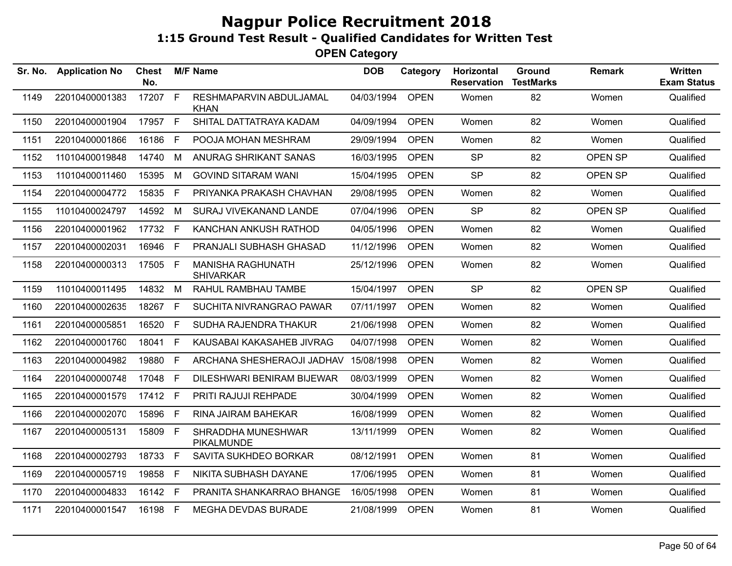| Sr. No. | <b>Application No</b> | <b>Chest</b><br>No. |    | <b>M/F Name</b>                              | <b>DOB</b> | Category    | Horizontal<br><b>Reservation</b> | Ground<br><b>TestMarks</b> | <b>Remark</b>  | <b>Written</b><br><b>Exam Status</b> |
|---------|-----------------------|---------------------|----|----------------------------------------------|------------|-------------|----------------------------------|----------------------------|----------------|--------------------------------------|
| 1149    | 22010400001383        | 17207 F             |    | RESHMAPARVIN ABDULJAMAL<br><b>KHAN</b>       | 04/03/1994 | <b>OPEN</b> | Women                            | 82                         | Women          | Qualified                            |
| 1150    | 22010400001904        | 17957 F             |    | SHITAL DATTATRAYA KADAM                      | 04/09/1994 | <b>OPEN</b> | Women                            | 82                         | Women          | Qualified                            |
| 1151    | 22010400001866        | 16186               | F  | POOJA MOHAN MESHRAM                          | 29/09/1994 | <b>OPEN</b> | Women                            | 82                         | Women          | Qualified                            |
| 1152    | 11010400019848        | 14740               | M  | ANURAG SHRIKANT SANAS                        | 16/03/1995 | <b>OPEN</b> | <b>SP</b>                        | 82                         | OPEN SP        | Qualified                            |
| 1153    | 11010400011460        | 15395               | M  | <b>GOVIND SITARAM WANI</b>                   | 15/04/1995 | <b>OPEN</b> | <b>SP</b>                        | 82                         | <b>OPEN SP</b> | Qualified                            |
| 1154    | 22010400004772        | 15835               | F  | PRIYANKA PRAKASH CHAVHAN                     | 29/08/1995 | <b>OPEN</b> | Women                            | 82                         | Women          | Qualified                            |
| 1155    | 11010400024797        | 14592               | M  | SURAJ VIVEKANAND LANDE                       | 07/04/1996 | <b>OPEN</b> | <b>SP</b>                        | 82                         | <b>OPEN SP</b> | Qualified                            |
| 1156    | 22010400001962        | 17732 F             |    | KANCHAN ANKUSH RATHOD                        | 04/05/1996 | <b>OPEN</b> | Women                            | 82                         | Women          | Qualified                            |
| 1157    | 22010400002031        | 16946               | F. | PRANJALI SUBHASH GHASAD                      | 11/12/1996 | <b>OPEN</b> | Women                            | 82                         | Women          | Qualified                            |
| 1158    | 22010400000313        | 17505 F             |    | <b>MANISHA RAGHUNATH</b><br><b>SHIVARKAR</b> | 25/12/1996 | <b>OPEN</b> | Women                            | 82                         | Women          | Qualified                            |
| 1159    | 11010400011495        | 14832               | M  | RAHUL RAMBHAU TAMBE                          | 15/04/1997 | <b>OPEN</b> | <b>SP</b>                        | 82                         | OPEN SP        | Qualified                            |
| 1160    | 22010400002635        | 18267               | F. | SUCHITA NIVRANGRAO PAWAR                     | 07/11/1997 | <b>OPEN</b> | Women                            | 82                         | Women          | Qualified                            |
| 1161    | 22010400005851        | 16520               | F. | SUDHA RAJENDRA THAKUR                        | 21/06/1998 | <b>OPEN</b> | Women                            | 82                         | Women          | Qualified                            |
| 1162    | 22010400001760        | 18041               | F. | KAUSABAI KAKASAHEB JIVRAG                    | 04/07/1998 | <b>OPEN</b> | Women                            | 82                         | Women          | Qualified                            |
| 1163    | 22010400004982        | 19880               | F. | ARCHANA SHESHERAOJI JADHAV                   | 15/08/1998 | <b>OPEN</b> | Women                            | 82                         | Women          | Qualified                            |
| 1164    | 22010400000748        | 17048               | F. | DILESHWARI BENIRAM BIJEWAR                   | 08/03/1999 | <b>OPEN</b> | Women                            | 82                         | Women          | Qualified                            |
| 1165    | 22010400001579        | 17412 F             |    | PRITI RAJUJI REHPADE                         | 30/04/1999 | <b>OPEN</b> | Women                            | 82                         | Women          | Qualified                            |
| 1166    | 22010400002070        | 15896               | F. | RINA JAIRAM BAHEKAR                          | 16/08/1999 | <b>OPEN</b> | Women                            | 82                         | Women          | Qualified                            |
| 1167    | 22010400005131        | 15809               | F  | SHRADDHA MUNESHWAR<br>PIKALMUNDE             | 13/11/1999 | <b>OPEN</b> | Women                            | 82                         | Women          | Qualified                            |
| 1168    | 22010400002793        | 18733               | F  | SAVITA SUKHDEO BORKAR                        | 08/12/1991 | <b>OPEN</b> | Women                            | 81                         | Women          | Qualified                            |
| 1169    | 22010400005719        | 19858               | F  | NIKITA SUBHASH DAYANE                        | 17/06/1995 | <b>OPEN</b> | Women                            | 81                         | Women          | Qualified                            |
| 1170    | 22010400004833        | 16142               | E  | PRANITA SHANKARRAO BHANGE                    | 16/05/1998 | <b>OPEN</b> | Women                            | 81                         | Women          | Qualified                            |
| 1171    | 22010400001547        | 16198 F             |    | MEGHA DEVDAS BURADE                          | 21/08/1999 | <b>OPEN</b> | Women                            | 81                         | Women          | Qualified                            |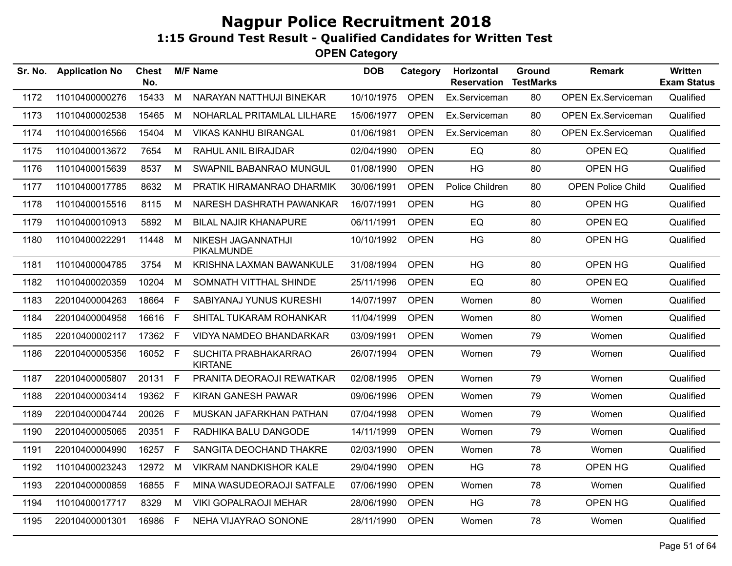| Sr. No. | <b>Application No</b> | <b>Chest</b><br>No. |              | <b>M/F Name</b>                        | <b>DOB</b> | Category    | Horizontal<br><b>Reservation</b> | Ground<br><b>TestMarks</b> | <b>Remark</b>             | <b>Written</b><br><b>Exam Status</b> |
|---------|-----------------------|---------------------|--------------|----------------------------------------|------------|-------------|----------------------------------|----------------------------|---------------------------|--------------------------------------|
| 1172    | 11010400000276        | 15433               | M            | NARAYAN NATTHUJI BINEKAR               | 10/10/1975 | <b>OPEN</b> | Ex.Serviceman                    | 80                         | <b>OPEN Ex.Serviceman</b> | Qualified                            |
| 1173    | 11010400002538        | 15465               | М            | NOHARLAL PRITAMLAL LILHARE             | 15/06/1977 | <b>OPEN</b> | Ex.Serviceman                    | 80                         | <b>OPEN Ex.Serviceman</b> | Qualified                            |
| 1174    | 11010400016566        | 15404               | М            | <b>VIKAS KANHU BIRANGAL</b>            | 01/06/1981 | <b>OPEN</b> | Ex.Serviceman                    | 80                         | <b>OPEN Ex.Serviceman</b> | Qualified                            |
| 1175    | 11010400013672        | 7654                | M            | RAHUL ANIL BIRAJDAR                    | 02/04/1990 | <b>OPEN</b> | EQ                               | 80                         | OPEN EQ                   | Qualified                            |
| 1176    | 11010400015639        | 8537                | М            | SWAPNIL BABANRAO MUNGUL                | 01/08/1990 | <b>OPEN</b> | <b>HG</b>                        | 80                         | OPEN HG                   | Qualified                            |
| 1177    | 11010400017785        | 8632                | M            | PRATIK HIRAMANRAO DHARMIK              | 30/06/1991 | <b>OPEN</b> | Police Children                  | 80                         | <b>OPEN Police Child</b>  | Qualified                            |
| 1178    | 11010400015516        | 8115                | M            | NARESH DASHRATH PAWANKAR               | 16/07/1991 | <b>OPEN</b> | <b>HG</b>                        | 80                         | OPEN HG                   | Qualified                            |
| 1179    | 11010400010913        | 5892                | м            | <b>BILAL NAJIR KHANAPURE</b>           | 06/11/1991 | <b>OPEN</b> | EQ                               | 80                         | OPEN EQ                   | Qualified                            |
| 1180    | 11010400022291        | 11448               | М            | NIKESH JAGANNATHJI<br>PIKALMUNDE       | 10/10/1992 | <b>OPEN</b> | HG                               | 80                         | OPEN HG                   | Qualified                            |
| 1181    | 11010400004785        | 3754                | M            | KRISHNA LAXMAN BAWANKULE               | 31/08/1994 | <b>OPEN</b> | HG                               | 80                         | OPEN HG                   | Qualified                            |
| 1182    | 11010400020359        | 10204               | M            | SOMNATH VITTHAL SHINDE                 | 25/11/1996 | <b>OPEN</b> | EQ                               | 80                         | OPEN EQ                   | Qualified                            |
| 1183    | 22010400004263        | 18664               | F.           | SABIYANAJ YUNUS KURESHI                | 14/07/1997 | <b>OPEN</b> | Women                            | 80                         | Women                     | Qualified                            |
| 1184    | 22010400004958        | 16616               | $\mathsf{F}$ | SHITAL TUKARAM ROHANKAR                | 11/04/1999 | <b>OPEN</b> | Women                            | 80                         | Women                     | Qualified                            |
| 1185    | 22010400002117        | 17362 F             |              | <b>VIDYA NAMDEO BHANDARKAR</b>         | 03/09/1991 | <b>OPEN</b> | Women                            | 79                         | Women                     | Qualified                            |
| 1186    | 22010400005356        | 16052 F             |              | SUCHITA PRABHAKARRAO<br><b>KIRTANE</b> | 26/07/1994 | <b>OPEN</b> | Women                            | 79                         | Women                     | Qualified                            |
| 1187    | 22010400005807        | 20131 F             |              | PRANITA DEORAOJI REWATKAR              | 02/08/1995 | <b>OPEN</b> | Women                            | 79                         | Women                     | Qualified                            |
| 1188    | 22010400003414        | 19362 F             |              | KIRAN GANESH PAWAR                     | 09/06/1996 | <b>OPEN</b> | Women                            | 79                         | Women                     | Qualified                            |
| 1189    | 22010400004744        | 20026               | F.           | MUSKAN JAFARKHAN PATHAN                | 07/04/1998 | <b>OPEN</b> | Women                            | 79                         | Women                     | Qualified                            |
| 1190    | 22010400005065        | 20351               | F            | RADHIKA BALU DANGODE                   | 14/11/1999 | <b>OPEN</b> | Women                            | 79                         | Women                     | Qualified                            |
| 1191    | 22010400004990        | 16257               | $\mathsf F$  | SANGITA DEOCHAND THAKRE                | 02/03/1990 | <b>OPEN</b> | Women                            | 78                         | Women                     | Qualified                            |
| 1192    | 11010400023243        | 12972               | M            | <b>VIKRAM NANDKISHOR KALE</b>          | 29/04/1990 | <b>OPEN</b> | <b>HG</b>                        | 78                         | OPEN HG                   | Qualified                            |
| 1193    | 22010400000859        | 16855               | F            | MINA WASUDEORAOJI SATFALE              | 07/06/1990 | <b>OPEN</b> | Women                            | 78                         | Women                     | Qualified                            |
| 1194    | 11010400017717        | 8329                | M            | <b>VIKI GOPALRAOJI MEHAR</b>           | 28/06/1990 | <b>OPEN</b> | <b>HG</b>                        | 78                         | OPEN HG                   | Qualified                            |
| 1195    | 22010400001301        | 16986               | F            | NEHA VIJAYRAO SONONE                   | 28/11/1990 | <b>OPEN</b> | Women                            | 78                         | Women                     | Qualified                            |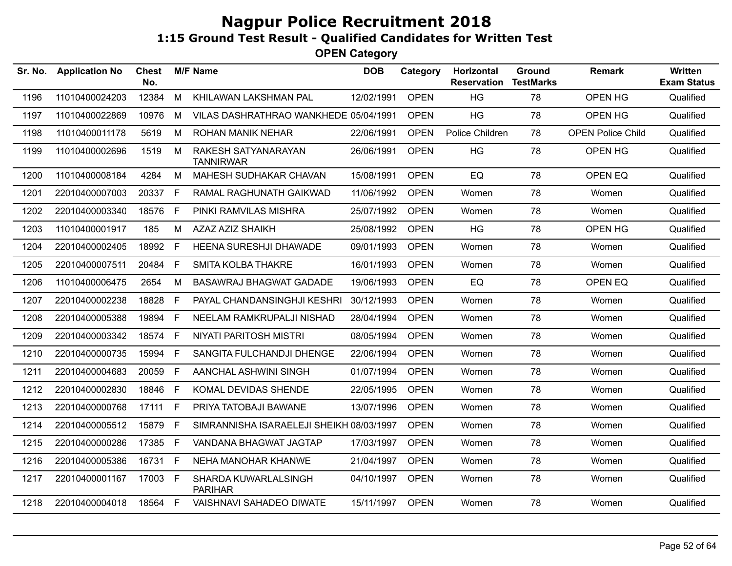| Sr. No. | <b>Application No</b> | Chest<br>No. |    | <b>M/F Name</b>                          | <b>DOB</b> | Category    | Horizontal<br><b>Reservation</b> | Ground<br><b>TestMarks</b> | <b>Remark</b>            | Written<br><b>Exam Status</b> |
|---------|-----------------------|--------------|----|------------------------------------------|------------|-------------|----------------------------------|----------------------------|--------------------------|-------------------------------|
| 1196    | 11010400024203        | 12384        | M  | KHILAWAN LAKSHMAN PAL                    | 12/02/1991 | <b>OPEN</b> | HG                               | 78                         | OPEN HG                  | Qualified                     |
| 1197    | 11010400022869        | 10976        | М  | VILAS DASHRATHRAO WANKHEDE 05/04/1991    |            | <b>OPEN</b> | <b>HG</b>                        | 78                         | OPEN HG                  | Qualified                     |
| 1198    | 11010400011178        | 5619         | M  | ROHAN MANIK NEHAR                        | 22/06/1991 | <b>OPEN</b> | Police Children                  | 78                         | <b>OPEN Police Child</b> | Qualified                     |
| 1199    | 11010400002696        | 1519         | М  | RAKESH SATYANARAYAN<br><b>TANNIRWAR</b>  | 26/06/1991 | <b>OPEN</b> | <b>HG</b>                        | 78                         | OPEN HG                  | Qualified                     |
| 1200    | 11010400008184        | 4284         | м  | MAHESH SUDHAKAR CHAVAN                   | 15/08/1991 | <b>OPEN</b> | EQ                               | 78                         | OPEN EQ                  | Qualified                     |
| 1201    | 22010400007003        | 20337        | F. | RAMAL RAGHUNATH GAIKWAD                  | 11/06/1992 | <b>OPEN</b> | Women                            | 78                         | Women                    | Qualified                     |
| 1202    | 22010400003340        | 18576        | F  | PINKI RAMVILAS MISHRA                    | 25/07/1992 | <b>OPEN</b> | Women                            | 78                         | Women                    | Qualified                     |
| 1203    | 11010400001917        | 185          | M  | <b>AZAZ AZIZ SHAIKH</b>                  | 25/08/1992 | <b>OPEN</b> | <b>HG</b>                        | 78                         | OPEN HG                  | Qualified                     |
| 1204    | 22010400002405        | 18992        | F. | HEENA SURESHJI DHAWADE                   | 09/01/1993 | <b>OPEN</b> | Women                            | 78                         | Women                    | Qualified                     |
| 1205    | 22010400007511        | 20484        | F. | <b>SMITA KOLBA THAKRE</b>                | 16/01/1993 | <b>OPEN</b> | Women                            | 78                         | Women                    | Qualified                     |
| 1206    | 11010400006475        | 2654         | м  | <b>BASAWRAJ BHAGWAT GADADE</b>           | 19/06/1993 | <b>OPEN</b> | EQ                               | 78                         | OPEN EQ                  | Qualified                     |
| 1207    | 22010400002238        | 18828        | F. | PAYAL CHANDANSINGHJI KESHRI              | 30/12/1993 | <b>OPEN</b> | Women                            | 78                         | Women                    | Qualified                     |
| 1208    | 22010400005388        | 19894        | E  | NEELAM RAMKRUPALJI NISHAD                | 28/04/1994 | <b>OPEN</b> | Women                            | 78                         | Women                    | Qualified                     |
| 1209    | 22010400003342        | 18574        | F  | NIYATI PARITOSH MISTRI                   | 08/05/1994 | <b>OPEN</b> | Women                            | 78                         | Women                    | Qualified                     |
| 1210    | 22010400000735        | 15994        | F  | SANGITA FULCHANDJI DHENGE                | 22/06/1994 | <b>OPEN</b> | Women                            | 78                         | Women                    | Qualified                     |
| 1211    | 22010400004683        | 20059        | F  | AANCHAL ASHWINI SINGH                    | 01/07/1994 | <b>OPEN</b> | Women                            | 78                         | Women                    | Qualified                     |
| 1212    | 22010400002830        | 18846        | F. | KOMAL DEVIDAS SHENDE                     | 22/05/1995 | <b>OPEN</b> | Women                            | 78                         | Women                    | Qualified                     |
| 1213    | 22010400000768        | 17111        | F. | PRIYA TATOBAJI BAWANE                    | 13/07/1996 | <b>OPEN</b> | Women                            | 78                         | Women                    | Qualified                     |
| 1214    | 22010400005512        | 15879        | F. | SIMRANNISHA ISARAELEJI SHEIKH 08/03/1997 |            | <b>OPEN</b> | Women                            | 78                         | Women                    | Qualified                     |
| 1215    | 22010400000286        | 17385        | F  | VANDANA BHAGWAT JAGTAP                   | 17/03/1997 | <b>OPEN</b> | Women                            | 78                         | Women                    | Qualified                     |
| 1216    | 22010400005386        | 16731        | F. | NEHA MANOHAR KHANWE                      | 21/04/1997 | <b>OPEN</b> | Women                            | 78                         | Women                    | Qualified                     |
| 1217    | 22010400001167        | 17003 F      |    | SHARDA KUWARLALSINGH<br><b>PARIHAR</b>   | 04/10/1997 | <b>OPEN</b> | Women                            | 78                         | Women                    | Qualified                     |
| 1218    | 22010400004018        | 18564 F      |    | VAISHNAVI SAHADEO DIWATE                 | 15/11/1997 | <b>OPEN</b> | Women                            | 78                         | Women                    | Qualified                     |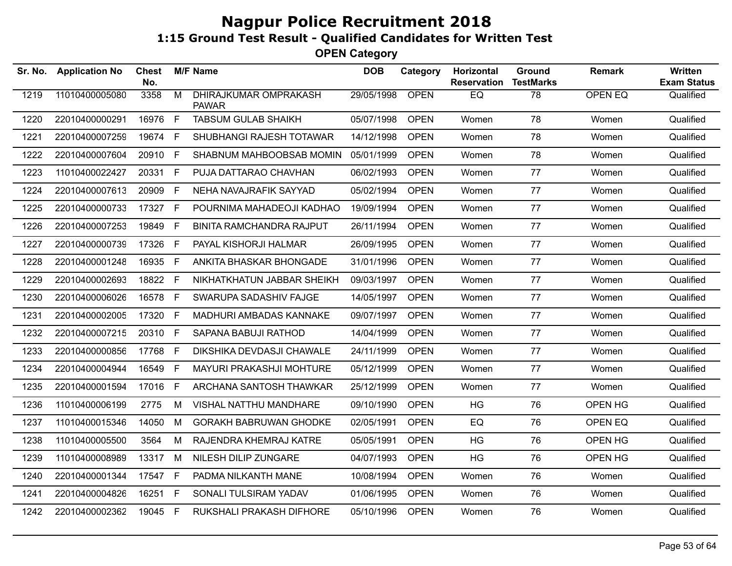| Sr. No. | <b>Application No</b> | Chest<br>No. |             | <b>M/F Name</b>                       | <b>DOB</b> | Category    | Horizontal<br><b>Reservation</b> | Ground<br><b>TestMarks</b> | <b>Remark</b>  | <b>Written</b><br><b>Exam Status</b> |
|---------|-----------------------|--------------|-------------|---------------------------------------|------------|-------------|----------------------------------|----------------------------|----------------|--------------------------------------|
| 1219    | 11010400005080        | 3358         | M           | DHIRAJKUMAR OMPRAKASH<br><b>PAWAR</b> | 29/05/1998 | <b>OPEN</b> | EQ                               | $\overline{78}$            | <b>OPEN EQ</b> | Qualified                            |
| 1220    | 22010400000291        | 16976        | F           | <b>TABSUM GULAB SHAIKH</b>            | 05/07/1998 | <b>OPEN</b> | Women                            | 78                         | Women          | Qualified                            |
| 1221    | 22010400007259        | 19674        | F.          | SHUBHANGI RAJESH TOTAWAR              | 14/12/1998 | <b>OPEN</b> | Women                            | 78                         | Women          | Qualified                            |
| 1222    | 22010400007604        | 20910        | F.          | SHABNUM MAHBOOBSAB MOMIN              | 05/01/1999 | <b>OPEN</b> | Women                            | 78                         | Women          | Qualified                            |
| 1223    | 11010400022427        | 20331        | F.          | PUJA DATTARAO CHAVHAN                 | 06/02/1993 | <b>OPEN</b> | Women                            | 77                         | Women          | Qualified                            |
| 1224    | 22010400007613        | 20909        | F.          | NEHA NAVAJRAFIK SAYYAD                | 05/02/1994 | <b>OPEN</b> | Women                            | 77                         | Women          | Qualified                            |
| 1225    | 22010400000733        | 17327 F      |             | POURNIMA MAHADEOJI KADHAO             | 19/09/1994 | <b>OPEN</b> | Women                            | 77                         | Women          | Qualified                            |
| 1226    | 22010400007253        | 19849        | F.          | <b>BINITA RAMCHANDRA RAJPUT</b>       | 26/11/1994 | <b>OPEN</b> | Women                            | 77                         | Women          | Qualified                            |
| 1227    | 22010400000739        | 17326        | F.          | PAYAL KISHORJI HALMAR                 | 26/09/1995 | <b>OPEN</b> | Women                            | 77                         | Women          | Qualified                            |
| 1228    | 22010400001248        | 16935        | F           | ANKITA BHASKAR BHONGADE               | 31/01/1996 | <b>OPEN</b> | Women                            | 77                         | Women          | Qualified                            |
| 1229    | 22010400002693        | 18822        | $\mathsf F$ | NIKHATKHATUN JABBAR SHEIKH            | 09/03/1997 | <b>OPEN</b> | Women                            | 77                         | Women          | Qualified                            |
| 1230    | 22010400006026        | 16578        | F           | SWARUPA SADASHIV FAJGE                | 14/05/1997 | <b>OPEN</b> | Women                            | 77                         | Women          | Qualified                            |
| 1231    | 22010400002005        | 17320        | F           | MADHURI AMBADAS KANNAKE               | 09/07/1997 | <b>OPEN</b> | Women                            | 77                         | Women          | Qualified                            |
| 1232    | 22010400007215        | 20310 F      |             | SAPANA BABUJI RATHOD                  | 14/04/1999 | <b>OPEN</b> | Women                            | 77                         | Women          | Qualified                            |
| 1233    | 22010400000856        | 17768 F      |             | DIKSHIKA DEVDASJI CHAWALE             | 24/11/1999 | <b>OPEN</b> | Women                            | 77                         | Women          | Qualified                            |
| 1234    | 22010400004944        | 16549        | F.          | MAYURI PRAKASHJI MOHTURE              | 05/12/1999 | <b>OPEN</b> | Women                            | 77                         | Women          | Qualified                            |
| 1235    | 22010400001594        | 17016        | F.          | ARCHANA SANTOSH THAWKAR               | 25/12/1999 | <b>OPEN</b> | Women                            | 77                         | Women          | Qualified                            |
| 1236    | 11010400006199        | 2775         | М           | VISHAL NATTHU MANDHARE                | 09/10/1990 | <b>OPEN</b> | <b>HG</b>                        | 76                         | OPEN HG        | Qualified                            |
| 1237    | 11010400015346        | 14050        | M           | <b>GORAKH BABRUWAN GHODKE</b>         | 02/05/1991 | <b>OPEN</b> | EQ                               | 76                         | OPEN EQ        | Qualified                            |
| 1238    | 11010400005500        | 3564         | М           | RAJENDRA KHEMRAJ KATRE                | 05/05/1991 | <b>OPEN</b> | HG                               | 76                         | OPEN HG        | Qualified                            |
| 1239    | 11010400008989        | 13317 M      |             | NILESH DILIP ZUNGARE                  | 04/07/1993 | <b>OPEN</b> | <b>HG</b>                        | 76                         | OPEN HG        | Qualified                            |
| 1240    | 22010400001344        | 17547 F      |             | PADMA NILKANTH MANE                   | 10/08/1994 | <b>OPEN</b> | Women                            | 76                         | Women          | Qualified                            |
| 1241    | 22010400004826        | 16251        | F           | SONALI TULSIRAM YADAV                 | 01/06/1995 | <b>OPEN</b> | Women                            | 76                         | Women          | Qualified                            |
| 1242    | 22010400002362        | 19045 F      |             | RUKSHALI PRAKASH DIFHORE              | 05/10/1996 | <b>OPEN</b> | Women                            | 76                         | Women          | Qualified                            |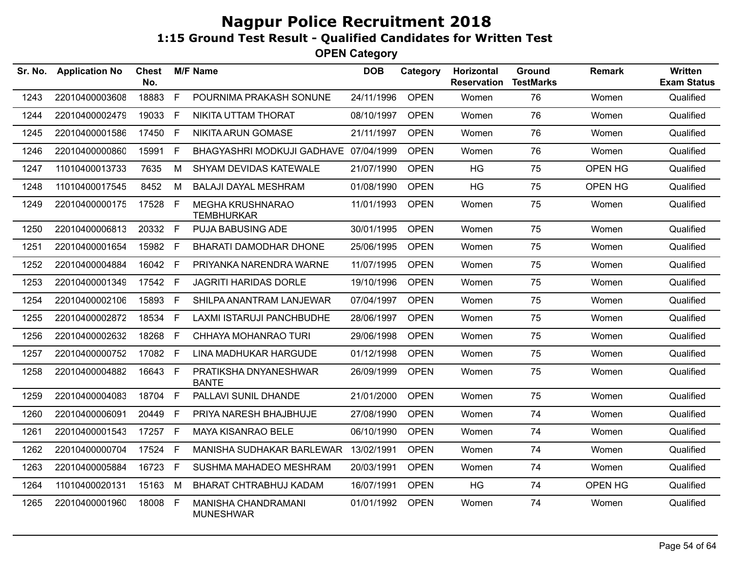| Sr. No. | <b>Application No</b> | Chest<br>No. |    | <b>M/F Name</b>                              | <b>DOB</b> | Category    | Horizontal<br><b>Reservation</b> | Ground<br><b>TestMarks</b> | Remark  | Written<br><b>Exam Status</b> |
|---------|-----------------------|--------------|----|----------------------------------------------|------------|-------------|----------------------------------|----------------------------|---------|-------------------------------|
| 1243    | 22010400003608        | 18883        | F  | POURNIMA PRAKASH SONUNE                      | 24/11/1996 | <b>OPEN</b> | Women                            | 76                         | Women   | Qualified                     |
| 1244    | 22010400002479        | 19033        | F. | NIKITA UTTAM THORAT                          | 08/10/1997 | <b>OPEN</b> | Women                            | 76                         | Women   | Qualified                     |
| 1245    | 22010400001586        | 17450        | F  | NIKITA ARUN GOMASE                           | 21/11/1997 | <b>OPEN</b> | Women                            | 76                         | Women   | Qualified                     |
| 1246    | 22010400000860        | 15991        | F. | BHAGYASHRI MODKUJI GADHAVE 07/04/1999        |            | <b>OPEN</b> | Women                            | 76                         | Women   | Qualified                     |
| 1247    | 11010400013733        | 7635         | М  | SHYAM DEVIDAS KATEWALE                       | 21/07/1990 | <b>OPEN</b> | <b>HG</b>                        | 75                         | OPEN HG | Qualified                     |
| 1248    | 11010400017545        | 8452         | м  | <b>BALAJI DAYAL MESHRAM</b>                  | 01/08/1990 | <b>OPEN</b> | <b>HG</b>                        | 75                         | OPEN HG | Qualified                     |
| 1249    | 22010400000175        | 17528 F      |    | <b>MEGHA KRUSHNARAO</b><br><b>TEMBHURKAR</b> | 11/01/1993 | <b>OPEN</b> | Women                            | 75                         | Women   | Qualified                     |
| 1250    | 22010400006813        | 20332 F      |    | PUJA BABUSING ADE                            | 30/01/1995 | <b>OPEN</b> | Women                            | 75                         | Women   | Qualified                     |
| 1251    | 22010400001654        | 15982 F      |    | <b>BHARATI DAMODHAR DHONE</b>                | 25/06/1995 | <b>OPEN</b> | Women                            | 75                         | Women   | Qualified                     |
| 1252    | 22010400004884        | 16042        | F  | PRIYANKA NARENDRA WARNE                      | 11/07/1995 | <b>OPEN</b> | Women                            | 75                         | Women   | Qualified                     |
| 1253    | 22010400001349        | 17542        | F  | <b>JAGRITI HARIDAS DORLE</b>                 | 19/10/1996 | <b>OPEN</b> | Women                            | 75                         | Women   | Qualified                     |
| 1254    | 22010400002106        | 15893        | F. | SHILPA ANANTRAM LANJEWAR                     | 07/04/1997 | <b>OPEN</b> | Women                            | 75                         | Women   | Qualified                     |
| 1255    | 22010400002872        | 18534        | F. | LAXMI ISTARUJI PANCHBUDHE                    | 28/06/1997 | <b>OPEN</b> | Women                            | 75                         | Women   | Qualified                     |
| 1256    | 22010400002632        | 18268        | F. | CHHAYA MOHANRAO TURI                         | 29/06/1998 | <b>OPEN</b> | Women                            | 75                         | Women   | Qualified                     |
| 1257    | 22010400000752        | 17082 F      |    | LINA MADHUKAR HARGUDE                        | 01/12/1998 | <b>OPEN</b> | Women                            | 75                         | Women   | Qualified                     |
| 1258    | 22010400004882        | 16643 F      |    | PRATIKSHA DNYANESHWAR<br><b>BANTE</b>        | 26/09/1999 | <b>OPEN</b> | Women                            | 75                         | Women   | Qualified                     |
| 1259    | 22010400004083        | 18704        | F. | PALLAVI SUNIL DHANDE                         | 21/01/2000 | <b>OPEN</b> | Women                            | 75                         | Women   | Qualified                     |
| 1260    | 22010400006091        | 20449        | F  | PRIYA NARESH BHAJBHUJE                       | 27/08/1990 | <b>OPEN</b> | Women                            | 74                         | Women   | Qualified                     |
| 1261    | 22010400001543        | 17257 F      |    | MAYA KISANRAO BELE                           | 06/10/1990 | <b>OPEN</b> | Women                            | 74                         | Women   | Qualified                     |
| 1262    | 22010400000704        | 17524        | F. | MANISHA SUDHAKAR BARLEWAR                    | 13/02/1991 | <b>OPEN</b> | Women                            | 74                         | Women   | Qualified                     |
| 1263    | 22010400005884        | 16723        | F  | SUSHMA MAHADEO MESHRAM                       | 20/03/1991 | <b>OPEN</b> | Women                            | 74                         | Women   | Qualified                     |
| 1264    | 11010400020131        | 15163        | M  | BHARAT CHTRABHUJ KADAM                       | 16/07/1991 | <b>OPEN</b> | HG                               | 74                         | OPEN HG | Qualified                     |
| 1265    | 22010400001960        | 18008        | E  | MANISHA CHANDRAMANI<br><b>MUNESHWAR</b>      | 01/01/1992 | <b>OPEN</b> | Women                            | 74                         | Women   | Qualified                     |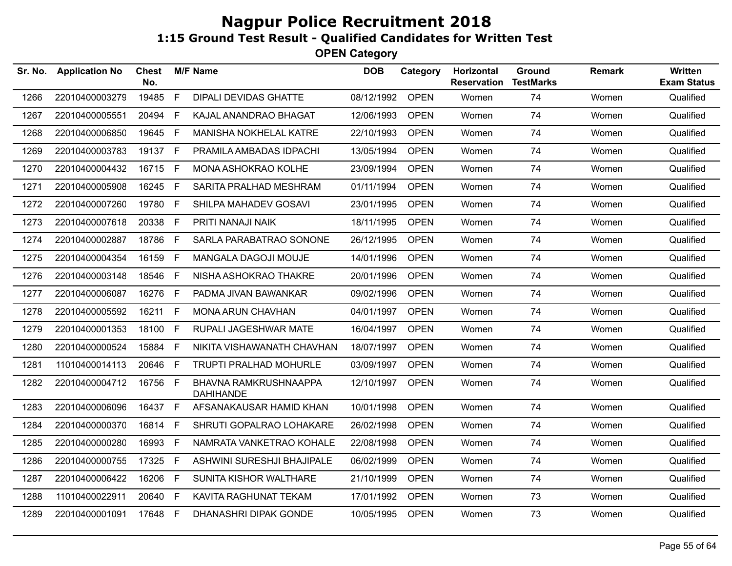| Sr. No. | <b>Application No</b> | <b>Chest</b><br>No. |              | <b>M/F Name</b>                           | <b>DOB</b> | Category    | Horizontal<br><b>Reservation</b> | Ground<br><b>TestMarks</b> | <b>Remark</b> | <b>Written</b><br><b>Exam Status</b> |
|---------|-----------------------|---------------------|--------------|-------------------------------------------|------------|-------------|----------------------------------|----------------------------|---------------|--------------------------------------|
| 1266    | 22010400003279        | 19485               | $\mathsf{F}$ | <b>DIPALI DEVIDAS GHATTE</b>              | 08/12/1992 | <b>OPEN</b> | Women                            | 74                         | Women         | Qualified                            |
| 1267    | 22010400005551        | 20494               | F            | KAJAL ANANDRAO BHAGAT                     | 12/06/1993 | <b>OPEN</b> | Women                            | 74                         | Women         | Qualified                            |
| 1268    | 22010400006850        | 19645               | - F          | <b>MANISHA NOKHELAL KATRE</b>             | 22/10/1993 | <b>OPEN</b> | Women                            | 74                         | Women         | Qualified                            |
| 1269    | 22010400003783        | 19137 F             |              | PRAMILA AMBADAS IDPACHI                   | 13/05/1994 | <b>OPEN</b> | Women                            | 74                         | Women         | Qualified                            |
| 1270    | 22010400004432        | 16715 F             |              | MONA ASHOKRAO KOLHE                       | 23/09/1994 | <b>OPEN</b> | Women                            | 74                         | Women         | Qualified                            |
| 1271    | 22010400005908        | 16245 F             |              | SARITA PRALHAD MESHRAM                    | 01/11/1994 | <b>OPEN</b> | Women                            | 74                         | Women         | Qualified                            |
| 1272    | 22010400007260        | 19780               | -F           | SHILPA MAHADEV GOSAVI                     | 23/01/1995 | <b>OPEN</b> | Women                            | 74                         | Women         | Qualified                            |
| 1273    | 22010400007618        | 20338               | E            | PRITI NANAJI NAIK                         | 18/11/1995 | <b>OPEN</b> | Women                            | 74                         | Women         | Qualified                            |
| 1274    | 22010400002887        | 18786               | $-F$         | SARLA PARABATRAO SONONE                   | 26/12/1995 | <b>OPEN</b> | Women                            | 74                         | Women         | Qualified                            |
| 1275    | 22010400004354        | 16159               | F.           | MANGALA DAGOJI MOUJE                      | 14/01/1996 | <b>OPEN</b> | Women                            | 74                         | Women         | Qualified                            |
| 1276    | 22010400003148        | 18546               | $-F$         | NISHA ASHOKRAO THAKRE                     | 20/01/1996 | <b>OPEN</b> | Women                            | 74                         | Women         | Qualified                            |
| 1277    | 22010400006087        | 16276               | $\mathsf{F}$ | PADMA JIVAN BAWANKAR                      | 09/02/1996 | <b>OPEN</b> | Women                            | 74                         | Women         | Qualified                            |
| 1278    | 22010400005592        | 16211               | F            | <b>MONA ARUN CHAVHAN</b>                  | 04/01/1997 | <b>OPEN</b> | Women                            | 74                         | Women         | Qualified                            |
| 1279    | 22010400001353        | 18100               | - F          | RUPALI JAGESHWAR MATE                     | 16/04/1997 | <b>OPEN</b> | Women                            | 74                         | Women         | Qualified                            |
| 1280    | 22010400000524        | 15884 F             |              | NIKITA VISHAWANATH CHAVHAN                | 18/07/1997 | <b>OPEN</b> | Women                            | 74                         | Women         | Qualified                            |
| 1281    | 11010400014113        | 20646 F             |              | <b>TRUPTI PRALHAD MOHURLE</b>             | 03/09/1997 | <b>OPEN</b> | Women                            | 74                         | Women         | Qualified                            |
| 1282    | 22010400004712        | 16756 F             |              | BHAVNA RAMKRUSHNAAPPA<br><b>DAHIHANDE</b> | 12/10/1997 | <b>OPEN</b> | Women                            | 74                         | Women         | Qualified                            |
| 1283    | 22010400006096        | 16437 F             |              | AFSANAKAUSAR HAMID KHAN                   | 10/01/1998 | <b>OPEN</b> | Women                            | 74                         | Women         | Qualified                            |
| 1284    | 22010400000370        | 16814 F             |              | SHRUTI GOPALRAO LOHAKARE                  | 26/02/1998 | <b>OPEN</b> | Women                            | 74                         | Women         | Qualified                            |
| 1285    | 22010400000280        | 16993 F             |              | NAMRATA VANKETRAO KOHALE                  | 22/08/1998 | <b>OPEN</b> | Women                            | 74                         | Women         | Qualified                            |
| 1286    | 22010400000755        | 17325 F             |              | ASHWINI SURESHJI BHAJIPALE                | 06/02/1999 | <b>OPEN</b> | Women                            | 74                         | Women         | Qualified                            |
| 1287    | 22010400006422        | 16206               | F            | SUNITA KISHOR WALTHARE                    | 21/10/1999 | <b>OPEN</b> | Women                            | 74                         | Women         | Qualified                            |
| 1288    | 11010400022911        | 20640               | F.           | KAVITA RAGHUNAT TEKAM                     | 17/01/1992 | <b>OPEN</b> | Women                            | 73                         | Women         | Qualified                            |
| 1289    | 22010400001091        | 17648 F             |              | DHANASHRI DIPAK GONDE                     | 10/05/1995 | <b>OPEN</b> | Women                            | 73                         | Women         | Qualified                            |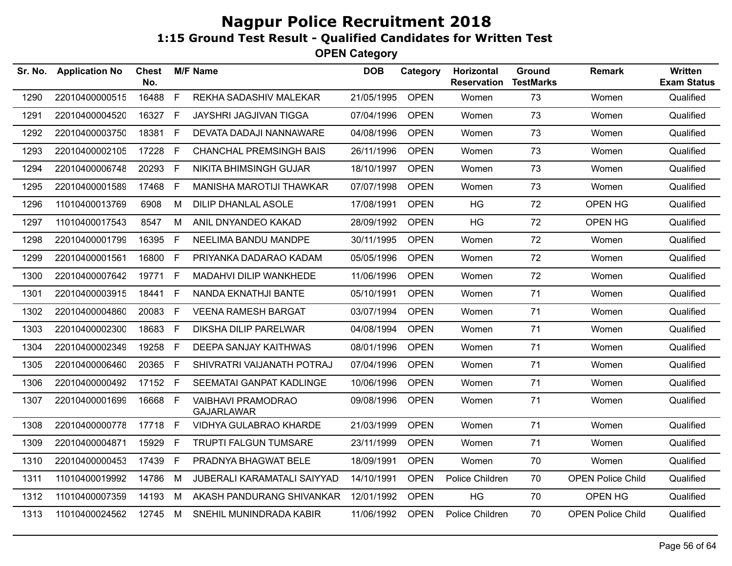| Sr. No. | <b>Application No</b> | Chest<br>No. |              | <b>M/F Name</b>                                | <b>DOB</b> | Category    | Horizontal<br><b>Reservation</b> | Ground<br><b>TestMarks</b> | <b>Remark</b>            | Written<br><b>Exam Status</b> |
|---------|-----------------------|--------------|--------------|------------------------------------------------|------------|-------------|----------------------------------|----------------------------|--------------------------|-------------------------------|
| 1290    | 22010400000515        | 16488        | F            | REKHA SADASHIV MALEKAR                         | 21/05/1995 | <b>OPEN</b> | Women                            | 73                         | Women                    | Qualified                     |
| 1291    | 22010400004520        | 16327 F      |              | <b>JAYSHRI JAGJIVAN TIGGA</b>                  | 07/04/1996 | <b>OPEN</b> | Women                            | 73                         | Women                    | Qualified                     |
| 1292    | 22010400003750        | 18381        | F.           | DEVATA DADAJI NANNAWARE                        | 04/08/1996 | <b>OPEN</b> | Women                            | 73                         | Women                    | Qualified                     |
| 1293    | 22010400002105        | 17228        | - F          | <b>CHANCHAL PREMSINGH BAIS</b>                 | 26/11/1996 | <b>OPEN</b> | Women                            | 73                         | Women                    | Qualified                     |
| 1294    | 22010400006748        | 20293 F      |              | <b>NIKITA BHIMSINGH GUJAR</b>                  | 18/10/1997 | <b>OPEN</b> | Women                            | 73                         | Women                    | Qualified                     |
| 1295    | 22010400001589        | 17468        | F            | MANISHA MAROTIJI THAWKAR                       | 07/07/1998 | <b>OPEN</b> | Women                            | 73                         | Women                    | Qualified                     |
| 1296    | 11010400013769        | 6908         | М            | <b>DILIP DHANLAL ASOLE</b>                     | 17/08/1991 | <b>OPEN</b> | <b>HG</b>                        | 72                         | OPEN HG                  | Qualified                     |
| 1297    | 11010400017543        | 8547         | M            | ANIL DNYANDEO KAKAD                            | 28/09/1992 | <b>OPEN</b> | <b>HG</b>                        | 72                         | OPEN HG                  | Qualified                     |
| 1298    | 22010400001799        | 16395        | -F           | NEELIMA BANDU MANDPE                           | 30/11/1995 | <b>OPEN</b> | Women                            | 72                         | Women                    | Qualified                     |
| 1299    | 22010400001561        | 16800        | F            | PRIYANKA DADARAO KADAM                         | 05/05/1996 | <b>OPEN</b> | Women                            | 72                         | Women                    | Qualified                     |
| 1300    | 22010400007642        | 19771 F      |              | MADAHVI DILIP WANKHEDE                         | 11/06/1996 | <b>OPEN</b> | Women                            | 72                         | Women                    | Qualified                     |
| 1301    | 22010400003915        | 18441        | E            | NANDA EKNATHJI BANTE                           | 05/10/1991 | <b>OPEN</b> | Women                            | 71                         | Women                    | Qualified                     |
| 1302    | 22010400004860        | 20083        | E            | <b>VEENA RAMESH BARGAT</b>                     | 03/07/1994 | <b>OPEN</b> | Women                            | 71                         | Women                    | Qualified                     |
| 1303    | 22010400002300        | 18683        | E            | <b>DIKSHA DILIP PARELWAR</b>                   | 04/08/1994 | <b>OPEN</b> | Women                            | 71                         | Women                    | Qualified                     |
| 1304    | 22010400002349        | 19258        | F            | <b>DEEPA SANJAY KAITHWAS</b>                   | 08/01/1996 | <b>OPEN</b> | Women                            | 71                         | Women                    | Qualified                     |
| 1305    | 22010400006460        | 20365 F      |              | SHIVRATRI VAIJANATH POTRAJ                     | 07/04/1996 | <b>OPEN</b> | Women                            | 71                         | Women                    | Qualified                     |
| 1306    | 22010400000492        | 17152 F      |              | SEEMATAI GANPAT KADLINGE                       | 10/06/1996 | <b>OPEN</b> | Women                            | 71                         | Women                    | Qualified                     |
| 1307    | 22010400001699        | 16668 F      |              | <b>VAIBHAVI PRAMODRAO</b><br><b>GAJARLAWAR</b> | 09/08/1996 | <b>OPEN</b> | Women                            | 71                         | Women                    | Qualified                     |
| 1308    | 22010400000778        | 17718        | F.           | VIDHYA GULABRAO KHARDE                         | 21/03/1999 | <b>OPEN</b> | Women                            | 71                         | Women                    | Qualified                     |
| 1309    | 22010400004871        | 15929        | F.           | <b>TRUPTI FALGUN TUMSARE</b>                   | 23/11/1999 | <b>OPEN</b> | Women                            | 71                         | Women                    | Qualified                     |
| 1310    | 22010400000453        | 17439        | $\mathsf{F}$ | PRADNYA BHAGWAT BELE                           | 18/09/1991 | <b>OPEN</b> | Women                            | 70                         | Women                    | Qualified                     |
| 1311    | 11010400019992        | 14786        | M            | JUBERALI KARAMATALI SAIYYAD                    | 14/10/1991 | <b>OPEN</b> | Police Children                  | 70                         | <b>OPEN Police Child</b> | Qualified                     |
| 1312    | 11010400007359        | 14193        | M            | AKASH PANDURANG SHIVANKAR                      | 12/01/1992 | <b>OPEN</b> | HG                               | 70                         | OPEN HG                  | Qualified                     |
| 1313    | 11010400024562        | 12745 M      |              | SNEHIL MUNINDRADA KABIR                        | 11/06/1992 | <b>OPEN</b> | Police Children                  | 70                         | <b>OPEN Police Child</b> | Qualified                     |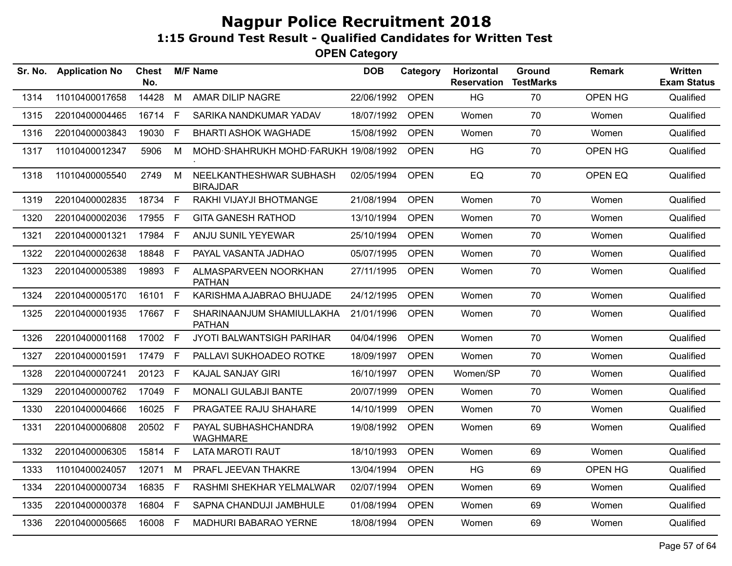| Sr. No. | <b>Application No</b> | <b>Chest</b><br>No. |    | <b>M/F Name</b>                            | <b>DOB</b> | Category    | Horizontal<br><b>Reservation</b> | Ground<br><b>TestMarks</b> | <b>Remark</b> | Written<br><b>Exam Status</b> |
|---------|-----------------------|---------------------|----|--------------------------------------------|------------|-------------|----------------------------------|----------------------------|---------------|-------------------------------|
| 1314    | 11010400017658        | 14428               | M  | AMAR DILIP NAGRE                           | 22/06/1992 | <b>OPEN</b> | HG                               | 70                         | OPEN HG       | Qualified                     |
| 1315    | 22010400004465        | 16714               | F  | SARIKA NANDKUMAR YADAV                     | 18/07/1992 | <b>OPEN</b> | Women                            | 70                         | Women         | Qualified                     |
| 1316    | 22010400003843        | 19030               | F. | <b>BHARTI ASHOK WAGHADE</b>                | 15/08/1992 | <b>OPEN</b> | Women                            | 70                         | Women         | Qualified                     |
| 1317    | 11010400012347        | 5906                | М  | MOHD SHAHRUKH MOHD FARUKH 19/08/1992       |            | <b>OPEN</b> | <b>HG</b>                        | 70                         | OPEN HG       | Qualified                     |
| 1318    | 11010400005540        | 2749                | М  | NEELKANTHESHWAR SUBHASH<br><b>BIRAJDAR</b> | 02/05/1994 | <b>OPEN</b> | EQ                               | 70                         | OPEN EQ       | Qualified                     |
| 1319    | 22010400002835        | 18734 F             |    | RAKHI VIJAYJI BHOTMANGE                    | 21/08/1994 | <b>OPEN</b> | Women                            | 70                         | Women         | Qualified                     |
| 1320    | 22010400002036        | 17955               | F  | <b>GITA GANESH RATHOD</b>                  | 13/10/1994 | <b>OPEN</b> | Women                            | 70                         | Women         | Qualified                     |
| 1321    | 22010400001321        | 17984               | F  | ANJU SUNIL YEYEWAR                         | 25/10/1994 | <b>OPEN</b> | Women                            | 70                         | Women         | Qualified                     |
| 1322    | 22010400002638        | 18848               | F. | PAYAL VASANTA JADHAO                       | 05/07/1995 | <b>OPEN</b> | Women                            | 70                         | Women         | Qualified                     |
| 1323    | 22010400005389        | 19893 F             |    | ALMASPARVEEN NOORKHAN<br><b>PATHAN</b>     | 27/11/1995 | <b>OPEN</b> | Women                            | 70                         | Women         | Qualified                     |
| 1324    | 22010400005170        | 16101               | F  | KARISHMA AJABRAO BHUJADE                   | 24/12/1995 | <b>OPEN</b> | Women                            | 70                         | Women         | Qualified                     |
| 1325    | 22010400001935        | 17667 F             |    | SHARINAANJUM SHAMIULLAKHA<br><b>PATHAN</b> | 21/01/1996 | <b>OPEN</b> | Women                            | 70                         | Women         | Qualified                     |
| 1326    | 22010400001168        | 17002 F             |    | JYOTI BALWANTSIGH PARIHAR                  | 04/04/1996 | <b>OPEN</b> | Women                            | 70                         | Women         | Qualified                     |
| 1327    | 22010400001591        | 17479 F             |    | PALLAVI SUKHOADEO ROTKE                    | 18/09/1997 | <b>OPEN</b> | Women                            | 70                         | Women         | Qualified                     |
| 1328    | 22010400007241        | 20123 F             |    | <b>KAJAL SANJAY GIRI</b>                   | 16/10/1997 | <b>OPEN</b> | Women/SP                         | 70                         | Women         | Qualified                     |
| 1329    | 22010400000762        | 17049 F             |    | MONALI GULABJI BANTE                       | 20/07/1999 | <b>OPEN</b> | Women                            | 70                         | Women         | Qualified                     |
| 1330    | 22010400004666        | 16025               | E  | PRAGATEE RAJU SHAHARE                      | 14/10/1999 | <b>OPEN</b> | Women                            | 70                         | Women         | Qualified                     |
| 1331    | 22010400006808        | 20502 F             |    | PAYAL SUBHASHCHANDRA<br><b>WAGHMARE</b>    | 19/08/1992 | <b>OPEN</b> | Women                            | 69                         | Women         | Qualified                     |
| 1332    | 22010400006305        | 15814 F             |    | LATA MAROTI RAUT                           | 18/10/1993 | <b>OPEN</b> | Women                            | 69                         | Women         | Qualified                     |
| 1333    | 11010400024057        | 12071               | М  | PRAFL JEEVAN THAKRE                        | 13/04/1994 | <b>OPEN</b> | <b>HG</b>                        | 69                         | OPEN HG       | Qualified                     |
| 1334    | 22010400000734        | 16835               | F. | RASHMI SHEKHAR YELMALWAR                   | 02/07/1994 | <b>OPEN</b> | Women                            | 69                         | Women         | Qualified                     |
| 1335    | 22010400000378        | 16804               | F. | SAPNA CHANDUJI JAMBHULE                    | 01/08/1994 | <b>OPEN</b> | Women                            | 69                         | Women         | Qualified                     |
| 1336    | 22010400005665        | 16008 F             |    | MADHURI BABARAO YERNE                      | 18/08/1994 | <b>OPEN</b> | Women                            | 69                         | Women         | Qualified                     |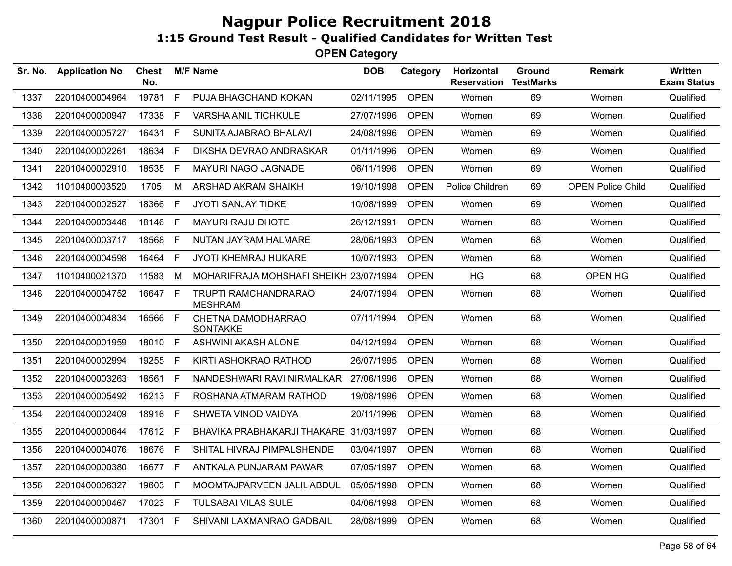| <b>Application No</b> | <b>Chest</b><br>No. |              |                                                                | <b>DOB</b>      | Category    | <b>Horizontal</b><br><b>Reservation</b>                                                                                                                                                                                                                                                                                                                                  | Ground<br><b>TestMarks</b> | <b>Remark</b>            | Written<br><b>Exam Status</b> |
|-----------------------|---------------------|--------------|----------------------------------------------------------------|-----------------|-------------|--------------------------------------------------------------------------------------------------------------------------------------------------------------------------------------------------------------------------------------------------------------------------------------------------------------------------------------------------------------------------|----------------------------|--------------------------|-------------------------------|
| 22010400004964        | 19781               | F            | PUJA BHAGCHAND KOKAN                                           | 02/11/1995      | <b>OPEN</b> | Women                                                                                                                                                                                                                                                                                                                                                                    | 69                         | Women                    | Qualified                     |
| 22010400000947        | 17338               | E            | <b>VARSHA ANIL TICHKULE</b>                                    |                 | <b>OPEN</b> | Women                                                                                                                                                                                                                                                                                                                                                                    | 69                         | Women                    | Qualified                     |
| 22010400005727        |                     |              | SUNITA AJABRAO BHALAVI                                         |                 | <b>OPEN</b> | Women                                                                                                                                                                                                                                                                                                                                                                    | 69                         | Women                    | Qualified                     |
| 22010400002261        | 18634               | E            | DIKSHA DEVRAO ANDRASKAR                                        |                 | <b>OPEN</b> | Women                                                                                                                                                                                                                                                                                                                                                                    | 69                         | Women                    | Qualified                     |
| 22010400002910        | 18535               | E            | MAYURI NAGO JAGNADE                                            |                 | <b>OPEN</b> | Women                                                                                                                                                                                                                                                                                                                                                                    | 69                         | Women                    | Qualified                     |
| 11010400003520        | 1705                | M            | ARSHAD AKRAM SHAIKH                                            |                 | <b>OPEN</b> | Police Children                                                                                                                                                                                                                                                                                                                                                          | 69                         | <b>OPEN Police Child</b> | Qualified                     |
| 22010400002527        | 18366               | F            | JYOTI SANJAY TIDKE                                             |                 | <b>OPEN</b> | Women                                                                                                                                                                                                                                                                                                                                                                    | 69                         | Women                    | Qualified                     |
| 22010400003446        | 18146               | F            | <b>MAYURI RAJU DHOTE</b>                                       | 26/12/1991      | <b>OPEN</b> | Women                                                                                                                                                                                                                                                                                                                                                                    | 68                         | Women                    | Qualified                     |
| 22010400003717        | 18568               | F            | NUTAN JAYRAM HALMARE                                           |                 | <b>OPEN</b> | Women                                                                                                                                                                                                                                                                                                                                                                    | 68                         | Women                    | Qualified                     |
| 22010400004598        | 16464               | F            | JYOTI KHEMRAJ HUKARE                                           |                 | <b>OPEN</b> | Women                                                                                                                                                                                                                                                                                                                                                                    | 68                         | Women                    | Qualified                     |
| 11010400021370        | 11583               | М            |                                                                |                 | <b>OPEN</b> | HG                                                                                                                                                                                                                                                                                                                                                                       | 68                         | OPEN HG                  | Qualified                     |
| 22010400004752        |                     |              | TRUPTI RAMCHANDRARAO<br><b>MESHRAM</b>                         |                 | <b>OPEN</b> | Women                                                                                                                                                                                                                                                                                                                                                                    | 68                         | Women                    | Qualified                     |
| 22010400004834        | 16566               | $\mathsf{F}$ | CHETNA DAMODHARRAO<br><b>SONTAKKE</b>                          |                 | <b>OPEN</b> | Women                                                                                                                                                                                                                                                                                                                                                                    | 68                         | Women                    | Qualified                     |
| 22010400001959        | 18010               | $\mathsf{F}$ | ASHWINI AKASH ALONE                                            |                 | <b>OPEN</b> | Women                                                                                                                                                                                                                                                                                                                                                                    | 68                         | Women                    | Qualified                     |
| 22010400002994        | 19255               | F            | KIRTI ASHOKRAO RATHOD                                          |                 | <b>OPEN</b> | Women                                                                                                                                                                                                                                                                                                                                                                    | 68                         | Women                    | Qualified                     |
| 22010400003263        | 18561               | $\mathsf{F}$ | NANDESHWARI RAVI NIRMALKAR                                     |                 | <b>OPEN</b> | Women                                                                                                                                                                                                                                                                                                                                                                    | 68                         | Women                    | Qualified                     |
| 22010400005492        |                     |              | ROSHANA ATMARAM RATHOD                                         |                 | <b>OPEN</b> | Women                                                                                                                                                                                                                                                                                                                                                                    | 68                         | Women                    | Qualified                     |
| 22010400002409        | 18916               | $\mathsf F$  | SHWETA VINOD VAIDYA                                            |                 | <b>OPEN</b> | Women                                                                                                                                                                                                                                                                                                                                                                    | 68                         | Women                    | Qualified                     |
| 22010400000644        |                     |              |                                                                |                 | <b>OPEN</b> | Women                                                                                                                                                                                                                                                                                                                                                                    | 68                         | Women                    | Qualified                     |
| 22010400004076        | 18676               | $\mathsf F$  | SHITAL HIVRAJ PIMPALSHENDE                                     |                 | <b>OPEN</b> | Women                                                                                                                                                                                                                                                                                                                                                                    | 68                         | Women                    | Qualified                     |
| 22010400000380        |                     |              | ANTKALA PUNJARAM PAWAR                                         |                 | <b>OPEN</b> | Women                                                                                                                                                                                                                                                                                                                                                                    | 68                         | Women                    | Qualified                     |
| 22010400006327        | 19603               | E            | MOOMTAJPARVEEN JALIL ABDUL                                     |                 | <b>OPEN</b> | Women                                                                                                                                                                                                                                                                                                                                                                    | 68                         | Women                    | Qualified                     |
| 22010400000467        | 17023               | F            | <b>TULSABAI VILAS SULE</b>                                     |                 | <b>OPEN</b> | Women                                                                                                                                                                                                                                                                                                                                                                    | 68                         | Women                    | Qualified                     |
| 22010400000871        |                     |              | SHIVANI LAXMANRAO GADBAIL                                      |                 | <b>OPEN</b> | Women                                                                                                                                                                                                                                                                                                                                                                    | 68                         | Women                    | Qualified                     |
|                       |                     |              | 16431 F<br>16647 F<br>16213 F<br>17612 F<br>16677 F<br>17301 F | <b>M/F Name</b> |             | 27/07/1996<br>24/08/1996<br>01/11/1996<br>06/11/1996<br>19/10/1998<br>10/08/1999<br>28/06/1993<br>10/07/1993<br>MOHARIFRAJA MOHSHAFI SHEIKH 23/07/1994<br>24/07/1994<br>07/11/1994<br>04/12/1994<br>26/07/1995<br>27/06/1996<br>19/08/1996<br>20/11/1996<br>BHAVIKA PRABHAKARJI THAKARE 31/03/1997<br>03/04/1997<br>07/05/1997<br>05/05/1998<br>04/06/1998<br>28/08/1999 |                            |                          |                               |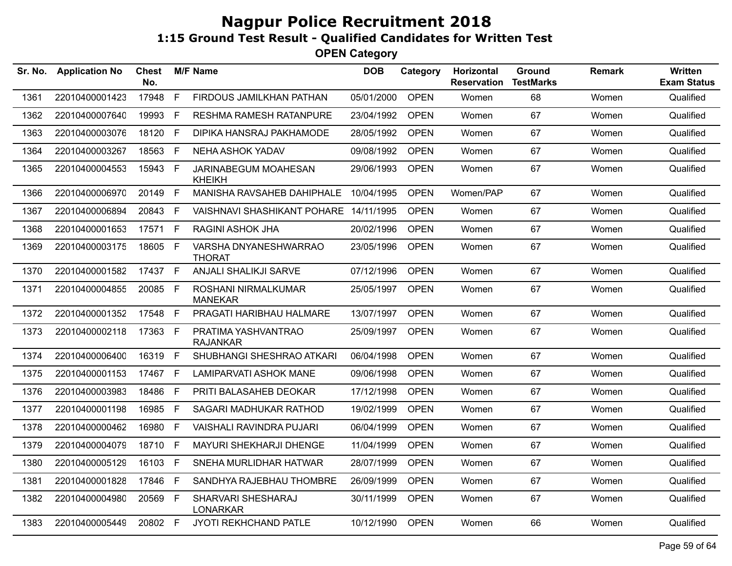| Sr. No. | <b>Application No</b> | <b>Chest</b><br>No. |      | <b>M/F Name</b>                        | <b>DOB</b> | Category    | Horizontal<br><b>Reservation</b> | Ground<br><b>TestMarks</b> | <b>Remark</b> | Written<br><b>Exam Status</b> |
|---------|-----------------------|---------------------|------|----------------------------------------|------------|-------------|----------------------------------|----------------------------|---------------|-------------------------------|
| 1361    | 22010400001423        | 17948               | F.   | FIRDOUS JAMILKHAN PATHAN               | 05/01/2000 | <b>OPEN</b> | Women                            | 68                         | Women         | Qualified                     |
| 1362    | 22010400007640        | 19993               | F.   | RESHMA RAMESH RATANPURE                | 23/04/1992 | <b>OPEN</b> | Women                            | 67                         | Women         | Qualified                     |
| 1363    | 22010400003076        | 18120               | F.   | DIPIKA HANSRAJ PAKHAMODE               | 28/05/1992 | <b>OPEN</b> | Women                            | 67                         | Women         | Qualified                     |
| 1364    | 22010400003267        | 18563               | F.   | NEHA ASHOK YADAV                       | 09/08/1992 | <b>OPEN</b> | Women                            | 67                         | Women         | Qualified                     |
| 1365    | 22010400004553        | 15943 F             |      | JARINABEGUM MOAHESAN<br><b>KHEIKH</b>  | 29/06/1993 | <b>OPEN</b> | Women                            | 67                         | Women         | Qualified                     |
| 1366    | 22010400006970        | 20149               | F    | MANISHA RAVSAHEB DAHIPHALE             | 10/04/1995 | <b>OPEN</b> | Women/PAP                        | 67                         | Women         | Qualified                     |
| 1367    | 22010400006894        | 20843               | F.   | VAISHNAVI SHASHIKANT POHARE 14/11/1995 |            | <b>OPEN</b> | Women                            | 67                         | Women         | Qualified                     |
| 1368    | 22010400001653        | 17571               | F    | <b>RAGINI ASHOK JHA</b>                | 20/02/1996 | <b>OPEN</b> | Women                            | 67                         | Women         | Qualified                     |
| 1369    | 22010400003175        | 18605 F             |      | VARSHA DNYANESHWARRAO<br><b>THORAT</b> | 23/05/1996 | <b>OPEN</b> | Women                            | 67                         | Women         | Qualified                     |
| 1370    | 22010400001582        | 17437 F             |      | ANJALI SHALIKJI SARVE                  | 07/12/1996 | <b>OPEN</b> | Women                            | 67                         | Women         | Qualified                     |
| 1371    | 22010400004855        | 20085 F             |      | ROSHANI NIRMALKUMAR<br><b>MANEKAR</b>  | 25/05/1997 | <b>OPEN</b> | Women                            | 67                         | Women         | Qualified                     |
| 1372    | 22010400001352        | 17548 F             |      | PRAGATI HARIBHAU HALMARE               | 13/07/1997 | <b>OPEN</b> | Women                            | 67                         | Women         | Qualified                     |
| 1373    | 22010400002118        | 17363 F             |      | PRATIMA YASHVANTRAO<br><b>RAJANKAR</b> | 25/09/1997 | <b>OPEN</b> | Women                            | 67                         | Women         | Qualified                     |
| 1374    | 22010400006400        | 16319 F             |      | SHUBHANGI SHESHRAO ATKARI              | 06/04/1998 | <b>OPEN</b> | Women                            | 67                         | Women         | Qualified                     |
| 1375    | 22010400001153        | 17467 F             |      | LAMIPARVATI ASHOK MANE                 | 09/06/1998 | <b>OPEN</b> | Women                            | 67                         | Women         | Qualified                     |
| 1376    | 22010400003983        | 18486               | F.   | PRITI BALASAHEB DEOKAR                 | 17/12/1998 | <b>OPEN</b> | Women                            | 67                         | Women         | Qualified                     |
| 1377    | 22010400001198        | 16985               | F.   | SAGARI MADHUKAR RATHOD                 | 19/02/1999 | <b>OPEN</b> | Women                            | 67                         | Women         | Qualified                     |
| 1378    | 22010400000462        | 16980               | F.   | <b>VAISHALI RAVINDRA PUJARI</b>        | 06/04/1999 | <b>OPEN</b> | Women                            | 67                         | Women         | Qualified                     |
| 1379    | 22010400004079        | 18710               | F.   | MAYURI SHEKHARJI DHENGE                | 11/04/1999 | <b>OPEN</b> | Women                            | 67                         | Women         | Qualified                     |
| 1380    | 22010400005129        | 16103               | E    | SNEHA MURLIDHAR HATWAR                 | 28/07/1999 | <b>OPEN</b> | Women                            | 67                         | Women         | Qualified                     |
| 1381    | 22010400001828        | 17846               | $-F$ | SANDHYA RAJEBHAU THOMBRE               | 26/09/1999 | <b>OPEN</b> | Women                            | 67                         | Women         | Qualified                     |
| 1382    | 22010400004980        | 20569 F             |      | SHARVARI SHESHARAJ<br><b>LONARKAR</b>  | 30/11/1999 | <b>OPEN</b> | Women                            | 67                         | Women         | Qualified                     |
| 1383    | 22010400005449        | 20802 F             |      | JYOTI REKHCHAND PATLE                  | 10/12/1990 | <b>OPEN</b> | Women                            | 66                         | Women         | Qualified                     |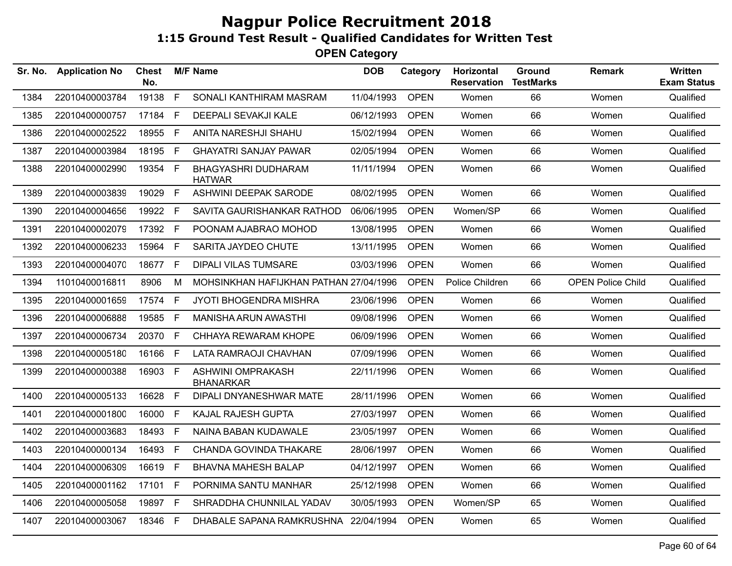| Sr. No. | <b>Application No</b> | <b>Chest</b><br>No. |             | <b>M/F Name</b>                              | <b>DOB</b> | Category    | Horizontal<br><b>Reservation</b> | Ground<br><b>TestMarks</b> | <b>Remark</b>            | Written<br><b>Exam Status</b> |
|---------|-----------------------|---------------------|-------------|----------------------------------------------|------------|-------------|----------------------------------|----------------------------|--------------------------|-------------------------------|
| 1384    | 22010400003784        | 19138               | F           | SONALI KANTHIRAM MASRAM                      | 11/04/1993 | <b>OPEN</b> | Women                            | 66                         | Women                    | Qualified                     |
| 1385    | 22010400000757        | 17184               | E           | DEEPALI SEVAKJI KALE                         | 06/12/1993 | <b>OPEN</b> | Women                            | 66                         | Women                    | Qualified                     |
| 1386    | 22010400002522        | 18955 F             |             | ANITA NARESHJI SHAHU                         | 15/02/1994 | <b>OPEN</b> | Women                            | 66                         | Women                    | Qualified                     |
| 1387    | 22010400003984        | 18195 F             |             | <b>GHAYATRI SANJAY PAWAR</b>                 | 02/05/1994 | <b>OPEN</b> | Women                            | 66                         | Women                    | Qualified                     |
| 1388    | 22010400002990        | 19354 F             |             | <b>BHAGYASHRI DUDHARAM</b><br><b>HATWAR</b>  | 11/11/1994 | <b>OPEN</b> | Women                            | 66                         | Women                    | Qualified                     |
| 1389    | 22010400003839        | 19029               | F           | ASHWINI DEEPAK SARODE                        | 08/02/1995 | <b>OPEN</b> | Women                            | 66                         | Women                    | Qualified                     |
| 1390    | 22010400004656        | 19922               | F.          | SAVITA GAURISHANKAR RATHOD                   | 06/06/1995 | <b>OPEN</b> | Women/SP                         | 66                         | Women                    | Qualified                     |
| 1391    | 22010400002079        | 17392 F             |             | POONAM AJABRAO MOHOD                         | 13/08/1995 | <b>OPEN</b> | Women                            | 66                         | Women                    | Qualified                     |
| 1392    | 22010400006233        | 15964               | $\mathsf F$ | SARITA JAYDEO CHUTE                          | 13/11/1995 | <b>OPEN</b> | Women                            | 66                         | Women                    | Qualified                     |
| 1393    | 22010400004070        | 18677               | F           | <b>DIPALI VILAS TUMSARE</b>                  | 03/03/1996 | <b>OPEN</b> | Women                            | 66                         | Women                    | Qualified                     |
| 1394    | 11010400016811        | 8906                | М           | MOHSINKHAN HAFIJKHAN PATHAN 27/04/1996       |            | <b>OPEN</b> | Police Children                  | 66                         | <b>OPEN Police Child</b> | Qualified                     |
| 1395    | 22010400001659        | 17574               | F.          | JYOTI BHOGENDRA MISHRA                       | 23/06/1996 | <b>OPEN</b> | Women                            | 66                         | Women                    | Qualified                     |
| 1396    | 22010400006888        | 19585 F             |             | MANISHA ARUN AWASTHI                         | 09/08/1996 | <b>OPEN</b> | Women                            | 66                         | Women                    | Qualified                     |
| 1397    | 22010400006734        | 20370               | F           | CHHAYA REWARAM KHOPE                         | 06/09/1996 | <b>OPEN</b> | Women                            | 66                         | Women                    | Qualified                     |
| 1398    | 22010400005180        | 16166               | F           | LATA RAMRAOJI CHAVHAN                        | 07/09/1996 | <b>OPEN</b> | Women                            | 66                         | Women                    | Qualified                     |
| 1399    | 22010400000388        | 16903 F             |             | <b>ASHWINI OMPRAKASH</b><br><b>BHANARKAR</b> | 22/11/1996 | <b>OPEN</b> | Women                            | 66                         | Women                    | Qualified                     |
| 1400    | 22010400005133        | 16628               | F.          | DIPALI DNYANESHWAR MATE                      | 28/11/1996 | <b>OPEN</b> | Women                            | 66                         | Women                    | Qualified                     |
| 1401    | 22010400001800        | 16000               | F.          | <b>KAJAL RAJESH GUPTA</b>                    | 27/03/1997 | <b>OPEN</b> | Women                            | 66                         | Women                    | Qualified                     |
| 1402    | 22010400003683        | 18493               | F           | NAINA BABAN KUDAWALE                         | 23/05/1997 | <b>OPEN</b> | Women                            | 66                         | Women                    | Qualified                     |
| 1403    | 22010400000134        | 16493               | F           | CHANDA GOVINDA THAKARE                       | 28/06/1997 | <b>OPEN</b> | Women                            | 66                         | Women                    | Qualified                     |
| 1404    | 22010400006309        | 16619               | F           | <b>BHAVNA MAHESH BALAP</b>                   | 04/12/1997 | <b>OPEN</b> | Women                            | 66                         | Women                    | Qualified                     |
| 1405    | 22010400001162        | 17101               | F.          | PORNIMA SANTU MANHAR                         | 25/12/1998 | <b>OPEN</b> | Women                            | 66                         | Women                    | Qualified                     |
| 1406    | 22010400005058        | 19897 F             |             | SHRADDHA CHUNNILAL YADAV                     | 30/05/1993 | <b>OPEN</b> | Women/SP                         | 65                         | Women                    | Qualified                     |
| 1407    | 22010400003067        | 18346 F             |             | DHABALE SAPANA RAMKRUSHNA 22/04/1994         |            | <b>OPEN</b> | Women                            | 65                         | Women                    | Qualified                     |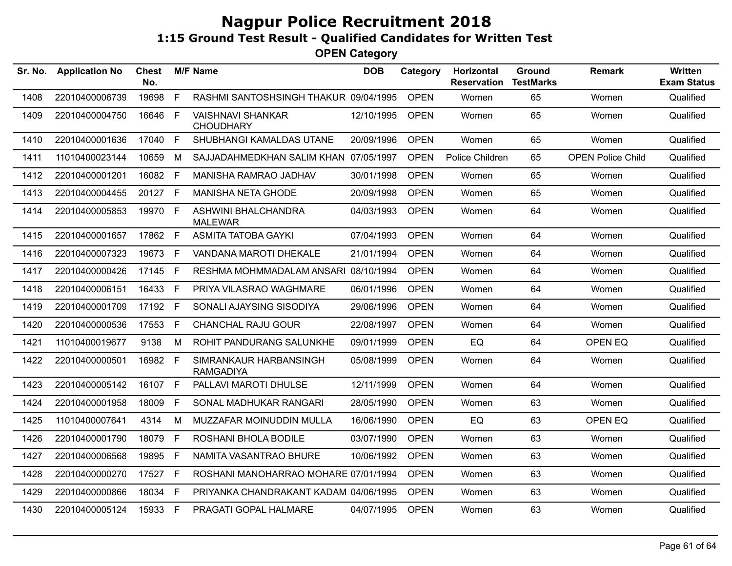| Sr. No. | <b>Application No</b> | <b>Chest</b><br>No. |              | <b>M/F Name</b>                              | <b>DOB</b> | Category    | Horizontal<br><b>Reservation</b> | Ground<br><b>TestMarks</b> | <b>Remark</b>            | Written<br><b>Exam Status</b> |
|---------|-----------------------|---------------------|--------------|----------------------------------------------|------------|-------------|----------------------------------|----------------------------|--------------------------|-------------------------------|
| 1408    | 22010400006739        | 19698               | F            | RASHMI SANTOSHSINGH THAKUR 09/04/1995        |            | <b>OPEN</b> | Women                            | 65                         | Women                    | Qualified                     |
| 1409    | 22010400004750        | 16646               | F            | <b>VAISHNAVI SHANKAR</b><br><b>CHOUDHARY</b> | 12/10/1995 | <b>OPEN</b> | Women                            | 65                         | Women                    | Qualified                     |
| 1410    | 22010400001636        | 17040               | F            | SHUBHANGI KAMALDAS UTANE                     | 20/09/1996 | <b>OPEN</b> | Women                            | 65                         | Women                    | Qualified                     |
| 1411    | 11010400023144        | 10659               | M            | SAJJADAHMEDKHAN SALIM KHAN 07/05/1997        |            | <b>OPEN</b> | Police Children                  | 65                         | <b>OPEN Police Child</b> | Qualified                     |
| 1412    | 22010400001201        | 16082 F             |              | MANISHA RAMRAO JADHAV                        | 30/01/1998 | <b>OPEN</b> | Women                            | 65                         | Women                    | Qualified                     |
| 1413    | 22010400004455        | 20127 F             |              | <b>MANISHA NETA GHODE</b>                    | 20/09/1998 | <b>OPEN</b> | Women                            | 65                         | Women                    | Qualified                     |
| 1414    | 22010400005853        | 19970 F             |              | ASHWINI BHALCHANDRA<br><b>MALEWAR</b>        | 04/03/1993 | <b>OPEN</b> | Women                            | 64                         | Women                    | Qualified                     |
| 1415    | 22010400001657        | 17862 F             |              | <b>ASMITA TATOBA GAYKI</b>                   | 07/04/1993 | <b>OPEN</b> | Women                            | 64                         | Women                    | Qualified                     |
| 1416    | 22010400007323        | 19673 F             |              | VANDANA MAROTI DHEKALE                       | 21/01/1994 | <b>OPEN</b> | Women                            | 64                         | Women                    | Qualified                     |
| 1417    | 22010400000426        | 17145 F             |              | RESHMA MOHMMADALAM ANSARI 08/10/1994         |            | <b>OPEN</b> | Women                            | 64                         | Women                    | Qualified                     |
| 1418    | 22010400006151        | 16433 F             |              | PRIYA VILASRAO WAGHMARE                      | 06/01/1996 | <b>OPEN</b> | Women                            | 64                         | Women                    | Qualified                     |
| 1419    | 22010400001709        | 17192 F             |              | SONALI AJAYSING SISODIYA                     | 29/06/1996 | <b>OPEN</b> | Women                            | 64                         | Women                    | Qualified                     |
| 1420    | 22010400000536        | 17553 F             |              | <b>CHANCHAL RAJU GOUR</b>                    | 22/08/1997 | <b>OPEN</b> | Women                            | 64                         | Women                    | Qualified                     |
| 1421    | 11010400019677        | 9138                | M            | ROHIT PANDURANG SALUNKHE                     | 09/01/1999 | <b>OPEN</b> | EQ                               | 64                         | OPEN EQ                  | Qualified                     |
| 1422    | 22010400000501        | 16982 F             |              | SIMRANKAUR HARBANSINGH<br><b>RAMGADIYA</b>   | 05/08/1999 | <b>OPEN</b> | Women                            | 64                         | Women                    | Qualified                     |
| 1423    | 22010400005142        | 16107 F             |              | PALLAVI MAROTI DHULSE                        | 12/11/1999 | <b>OPEN</b> | Women                            | 64                         | Women                    | Qualified                     |
| 1424    | 22010400001958        | 18009               | F.           | SONAL MADHUKAR RANGARI                       | 28/05/1990 | <b>OPEN</b> | Women                            | 63                         | Women                    | Qualified                     |
| 1425    | 11010400007641        | 4314                | M            | MUZZAFAR MOINUDDIN MULLA                     | 16/06/1990 | <b>OPEN</b> | EQ                               | 63                         | OPEN EQ                  | Qualified                     |
| 1426    | 22010400001790        | 18079               | $\mathsf{F}$ | ROSHANI BHOLA BODILE                         | 03/07/1990 | <b>OPEN</b> | Women                            | 63                         | Women                    | Qualified                     |
| 1427    | 22010400006568        | 19895 F             |              | NAMITA VASANTRAO BHURE                       | 10/06/1992 | <b>OPEN</b> | Women                            | 63                         | Women                    | Qualified                     |
| 1428    | 22010400000270        | 17527 F             |              | ROSHANI MANOHARRAO MOHARE 07/01/1994         |            | <b>OPEN</b> | Women                            | 63                         | Women                    | Qualified                     |
| 1429    | 22010400000866        | 18034 F             |              | PRIYANKA CHANDRAKANT KADAM 04/06/1995        |            | <b>OPEN</b> | Women                            | 63                         | Women                    | Qualified                     |
| 1430    | 22010400005124        | 15933 F             |              | PRAGATI GOPAL HALMARE                        | 04/07/1995 | <b>OPEN</b> | Women                            | 63                         | Women                    | Qualified                     |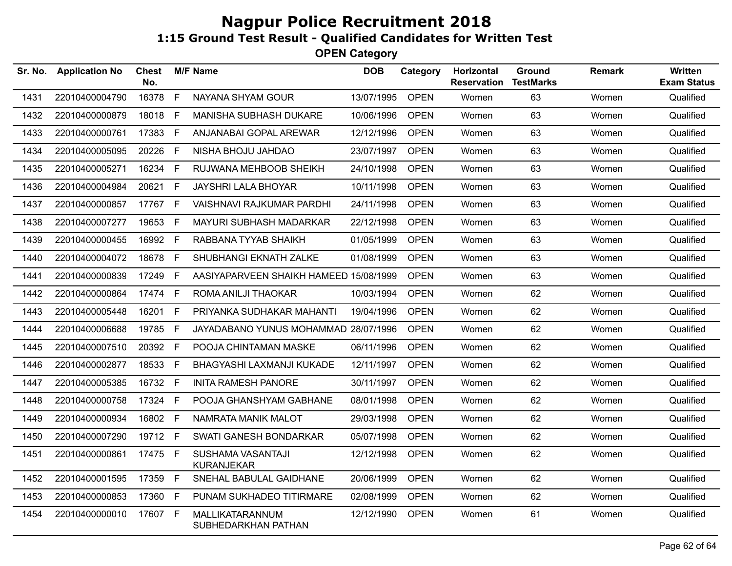| Sr. No. | <b>Application No</b> | <b>Chest</b><br>No. |    | <b>M/F Name</b>                        | <b>DOB</b> | Category    | <b>Horizontal</b><br><b>Reservation</b> | Ground<br><b>TestMarks</b> | <b>Remark</b> | Written<br><b>Exam Status</b> |
|---------|-----------------------|---------------------|----|----------------------------------------|------------|-------------|-----------------------------------------|----------------------------|---------------|-------------------------------|
| 1431    | 22010400004790        | 16378               | F  | NAYANA SHYAM GOUR                      | 13/07/1995 | <b>OPEN</b> | Women                                   | 63                         | Women         | Qualified                     |
| 1432    | 22010400000879        | 18018               | F. | <b>MANISHA SUBHASH DUKARE</b>          | 10/06/1996 | <b>OPEN</b> | Women                                   | 63                         | Women         | Qualified                     |
| 1433    | 22010400000761        | 17383 F             |    | ANJANABAI GOPAL AREWAR                 | 12/12/1996 | <b>OPEN</b> | Women                                   | 63                         | Women         | Qualified                     |
| 1434    | 22010400005095        | 20226               | F. | NISHA BHOJU JAHDAO                     | 23/07/1997 | <b>OPEN</b> | Women                                   | 63                         | Women         | Qualified                     |
| 1435    | 22010400005271        | 16234               | F. | RUJWANA MEHBOOB SHEIKH                 | 24/10/1998 | <b>OPEN</b> | Women                                   | 63                         | Women         | Qualified                     |
| 1436    | 22010400004984        | 20621               | F. | JAYSHRI LALA BHOYAR                    | 10/11/1998 | <b>OPEN</b> | Women                                   | 63                         | Women         | Qualified                     |
| 1437    | 22010400000857        | 17767 F             |    | <b>VAISHNAVI RAJKUMAR PARDHI</b>       | 24/11/1998 | <b>OPEN</b> | Women                                   | 63                         | Women         | Qualified                     |
| 1438    | 22010400007277        | 19653               | F  | MAYURI SUBHASH MADARKAR                | 22/12/1998 | <b>OPEN</b> | Women                                   | 63                         | Women         | Qualified                     |
| 1439    | 22010400000455        | 16992 F             |    | RABBANA TYYAB SHAIKH                   | 01/05/1999 | <b>OPEN</b> | Women                                   | 63                         | Women         | Qualified                     |
| 1440    | 22010400004072        | 18678 F             |    | SHUBHANGI EKNATH ZALKE                 | 01/08/1999 | <b>OPEN</b> | Women                                   | 63                         | Women         | Qualified                     |
| 1441    | 22010400000839        | 17249               | F. | AASIYAPARVEEN SHAIKH HAMEED 15/08/1999 |            | <b>OPEN</b> | Women                                   | 63                         | Women         | Qualified                     |
| 1442    | 22010400000864        | 17474 F             |    | ROMA ANILJI THAOKAR                    | 10/03/1994 | <b>OPEN</b> | Women                                   | 62                         | Women         | Qualified                     |
| 1443    | 22010400005448        | 16201               | F  | PRIYANKA SUDHAKAR MAHANTI              | 19/04/1996 | <b>OPEN</b> | Women                                   | 62                         | Women         | Qualified                     |
| 1444    | 22010400006688        | 19785               | F  | JAYADABANO YUNUS MOHAMMAD 28/07/1996   |            | <b>OPEN</b> | Women                                   | 62                         | Women         | Qualified                     |
| 1445    | 22010400007510        | 20392 F             |    | POOJA CHINTAMAN MASKE                  | 06/11/1996 | <b>OPEN</b> | Women                                   | 62                         | Women         | Qualified                     |
| 1446    | 22010400002877        | 18533               | F  | BHAGYASHI LAXMANJI KUKADE              | 12/11/1997 | <b>OPEN</b> | Women                                   | 62                         | Women         | Qualified                     |
| 1447    | 22010400005385        | 16732 F             |    | <b>INITA RAMESH PANORE</b>             | 30/11/1997 | <b>OPEN</b> | Women                                   | 62                         | Women         | Qualified                     |
| 1448    | 22010400000758        | 17324               | F  | POOJA GHANSHYAM GABHANE                | 08/01/1998 | <b>OPEN</b> | Women                                   | 62                         | Women         | Qualified                     |
| 1449    | 22010400000934        | 16802 F             |    | NAMRATA MANIK MALOT                    | 29/03/1998 | <b>OPEN</b> | Women                                   | 62                         | Women         | Qualified                     |
| 1450    | 22010400007290        | 19712 F             |    | SWATI GANESH BONDARKAR                 | 05/07/1998 | <b>OPEN</b> | Women                                   | 62                         | Women         | Qualified                     |
| 1451    | 22010400000861        | 17475 F             |    | SUSHAMA VASANTAJI<br><b>KURANJEKAR</b> | 12/12/1998 | <b>OPEN</b> | Women                                   | 62                         | Women         | Qualified                     |
| 1452    | 22010400001595        | 17359 F             |    | SNEHAL BABULAL GAIDHANE                | 20/06/1999 | <b>OPEN</b> | Women                                   | 62                         | Women         | Qualified                     |
| 1453    | 22010400000853        | 17360 F             |    | PUNAM SUKHADEO TITIRMARE               | 02/08/1999 | <b>OPEN</b> | Women                                   | 62                         | Women         | Qualified                     |
| 1454    | 22010400000010        | 17607               | F. | MALLIKATARANNUM<br>SUBHEDARKHAN PATHAN | 12/12/1990 | <b>OPEN</b> | Women                                   | 61                         | Women         | Qualified                     |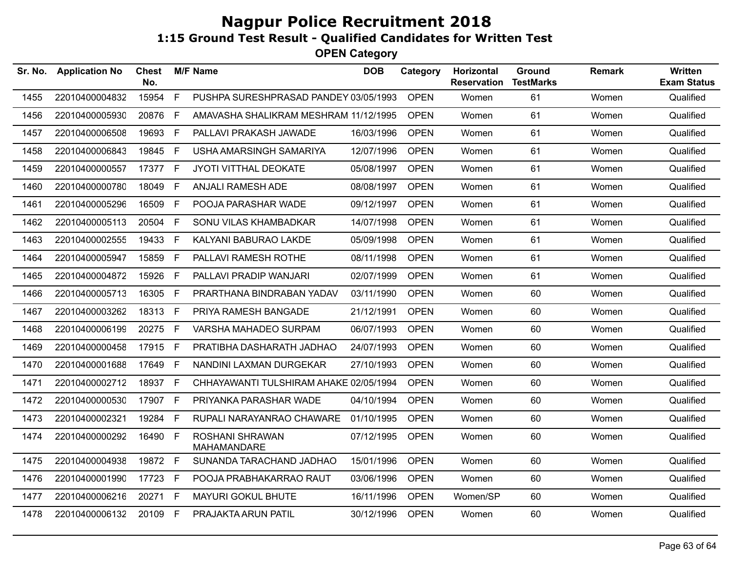**OPEN Category**

| Sr. No. | <b>Application No</b> | <b>Chest</b><br>No. |              | <b>M/F Name</b>                              | <b>DOB</b> | Category    | Horizontal<br><b>Reservation</b> | Ground<br><b>TestMarks</b> | <b>Remark</b> | <b>Written</b><br><b>Exam Status</b> |
|---------|-----------------------|---------------------|--------------|----------------------------------------------|------------|-------------|----------------------------------|----------------------------|---------------|--------------------------------------|
| 1455    | 22010400004832        | 15954               | F            | PUSHPA SURESHPRASAD PANDEY 03/05/1993        |            | <b>OPEN</b> | Women                            | 61                         | Women         | Qualified                            |
| 1456    | 22010400005930        | 20876               | E            | AMAVASHA SHALIKRAM MESHRAM 11/12/1995        |            | <b>OPEN</b> | Women                            | 61                         | Women         | Qualified                            |
| 1457    | 22010400006508        | 19693               | $\mathsf{F}$ | PALLAVI PRAKASH JAWADE                       | 16/03/1996 | <b>OPEN</b> | Women                            | 61                         | Women         | Qualified                            |
| 1458    | 22010400006843        | 19845 F             |              | USHA AMARSINGH SAMARIYA                      | 12/07/1996 | <b>OPEN</b> | Women                            | 61                         | Women         | Qualified                            |
| 1459    | 22010400000557        | 17377 F             |              | JYOTI VITTHAL DEOKATE                        | 05/08/1997 | <b>OPEN</b> | Women                            | 61                         | Women         | Qualified                            |
| 1460    | 22010400000780        | 18049 F             |              | ANJALI RAMESH ADE                            | 08/08/1997 | <b>OPEN</b> | Women                            | 61                         | Women         | Qualified                            |
| 1461    | 22010400005296        | 16509               | -F           | POOJA PARASHAR WADE                          | 09/12/1997 | <b>OPEN</b> | Women                            | 61                         | Women         | Qualified                            |
| 1462    | 22010400005113        | 20504               | F.           | SONU VILAS KHAMBADKAR                        | 14/07/1998 | <b>OPEN</b> | Women                            | 61                         | Women         | Qualified                            |
| 1463    | 22010400002555        | 19433 F             |              | KALYANI BABURAO LAKDE                        | 05/09/1998 | <b>OPEN</b> | Women                            | 61                         | Women         | Qualified                            |
| 1464    | 22010400005947        | 15859 F             |              | PALLAVI RAMESH ROTHE                         | 08/11/1998 | <b>OPEN</b> | Women                            | 61                         | Women         | Qualified                            |
| 1465    | 22010400004872        | 15926 F             |              | PALLAVI PRADIP WANJARI                       | 02/07/1999 | <b>OPEN</b> | Women                            | 61                         | Women         | Qualified                            |
| 1466    | 22010400005713        | 16305               | -F           | PRARTHANA BINDRABAN YADAV                    | 03/11/1990 | <b>OPEN</b> | Women                            | 60                         | Women         | Qualified                            |
| 1467    | 22010400003262        | 18313 F             |              | PRIYA RAMESH BANGADE                         | 21/12/1991 | <b>OPEN</b> | Women                            | 60                         | Women         | Qualified                            |
| 1468    | 22010400006199        | 20275 F             |              | VARSHA MAHADEO SURPAM                        | 06/07/1993 | <b>OPEN</b> | Women                            | 60                         | Women         | Qualified                            |
| 1469    | 22010400000458        | 17915 F             |              | PRATIBHA DASHARATH JADHAO                    | 24/07/1993 | <b>OPEN</b> | Women                            | 60                         | Women         | Qualified                            |
| 1470    | 22010400001688        | 17649 F             |              | NANDINI LAXMAN DURGEKAR                      | 27/10/1993 | <b>OPEN</b> | Women                            | 60                         | Women         | Qualified                            |
| 1471    | 22010400002712        | 18937 F             |              | CHHAYAWANTI TULSHIRAM AHAKE 02/05/1994       |            | <b>OPEN</b> | Women                            | 60                         | Women         | Qualified                            |
| 1472    | 22010400000530        | 17907 F             |              | PRIYANKA PARASHAR WADE                       | 04/10/1994 | <b>OPEN</b> | Women                            | 60                         | Women         | Qualified                            |
| 1473    | 22010400002321        | 19284               | $-F$         | RUPALI NARAYANRAO CHAWARE                    | 01/10/1995 | <b>OPEN</b> | Women                            | 60                         | Women         | Qualified                            |
| 1474    | 22010400000292        | 16490 F             |              | <b>ROSHANI SHRAWAN</b><br><b>MAHAMANDARE</b> | 07/12/1995 | <b>OPEN</b> | Women                            | 60                         | Women         | Qualified                            |
| 1475    | 22010400004938        | 19872 F             |              | SUNANDA TARACHAND JADHAO                     | 15/01/1996 | <b>OPEN</b> | Women                            | 60                         | Women         | Qualified                            |
| 1476    | 22010400001990        | 17723               | $\mathsf{F}$ | POOJA PRABHAKARRAO RAUT                      | 03/06/1996 | <b>OPEN</b> | Women                            | 60                         | Women         | Qualified                            |
| 1477    | 22010400006216        | 20271 F             |              | <b>MAYURI GOKUL BHUTE</b>                    | 16/11/1996 | <b>OPEN</b> | Women/SP                         | 60                         | Women         | Qualified                            |
| 1478    | 22010400006132        | 20109 F             |              | PRAJAKTA ARUN PATIL                          | 30/12/1996 | <b>OPEN</b> | Women                            | 60                         | Women         | Qualified                            |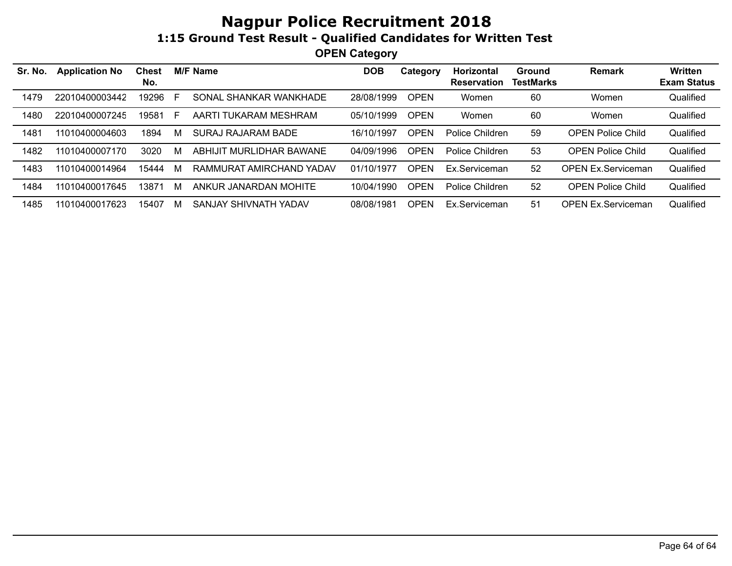| Sr. No. | <b>Application No</b> | <b>Chest</b><br>No. |    | <b>M/F Name</b>          | DOB        | Category    | Horizontal<br><b>Reservation</b> | <b>Ground</b><br><b>TestMarks</b> | <b>Remark</b>             | <b>Written</b><br><b>Exam Status</b> |
|---------|-----------------------|---------------------|----|--------------------------|------------|-------------|----------------------------------|-----------------------------------|---------------------------|--------------------------------------|
| 1479    | 22010400003442        | 19296               | E  | SONAL SHANKAR WANKHADE   | 28/08/1999 | <b>OPEN</b> | Women                            | 60                                | Women                     | Qualified                            |
| 1480    | 22010400007245        | 19581               | F. | AARTI TUKARAM MESHRAM    | 05/10/1999 | <b>OPEN</b> | Women                            | 60                                | Women                     | Qualified                            |
| 1481    | 11010400004603        | 1894                | M  | SURAJ RAJARAM BADE       | 16/10/1997 | <b>OPEN</b> | Police Children                  | 59                                | <b>OPEN Police Child</b>  | Qualified                            |
| 1482    | 11010400007170        | 3020                | M  | ABHIJIT MURLIDHAR BAWANE | 04/09/1996 | <b>OPEN</b> | Police Children                  | 53                                | <b>OPEN Police Child</b>  | Qualified                            |
| 1483    | 11010400014964        | 15444               | M  | RAMMURAT AMIRCHAND YADAV | 01/10/1977 | <b>OPEN</b> | Ex.Serviceman                    | 52                                | <b>OPEN Ex.Serviceman</b> | Qualified                            |
| 1484    | 11010400017645        | 13871               | M  | ANKUR JANARDAN MOHITE    | 10/04/1990 | <b>OPEN</b> | Police Children                  | 52                                | <b>OPEN Police Child</b>  | Qualified                            |
| 1485    | 11010400017623        | 15407               | M  | SANJAY SHIVNATH YADAV    | 08/08/1981 | <b>OPEN</b> | Ex.Serviceman                    | 51                                | <b>OPEN Ex.Serviceman</b> | Qualified                            |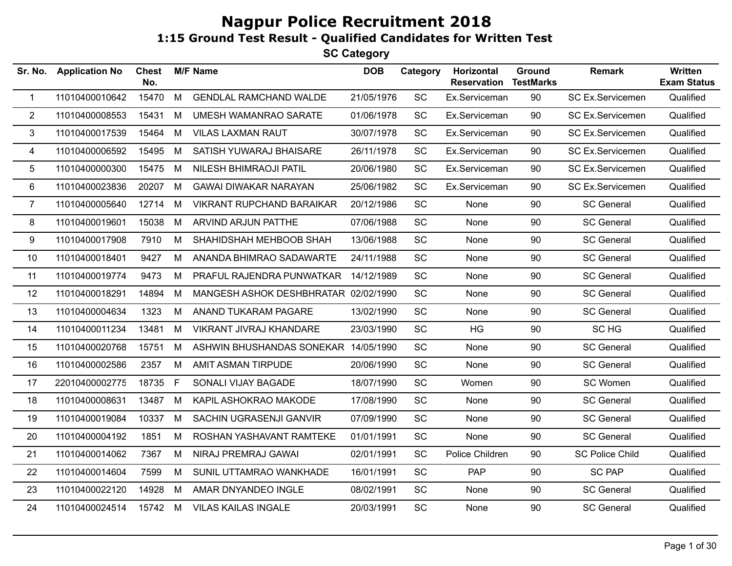| Sr. No.        | <b>Application No</b> | <b>Chest</b><br>No. |   | <b>M/F Name</b>                      | <b>DOB</b> | Category  | Horizontal<br>Reservation | Ground<br><b>TestMarks</b> | <b>Remark</b>          | Written<br><b>Exam Status</b> |
|----------------|-----------------------|---------------------|---|--------------------------------------|------------|-----------|---------------------------|----------------------------|------------------------|-------------------------------|
| $\mathbf{1}$   | 11010400010642        | 15470               | M | <b>GENDLAL RAMCHAND WALDE</b>        | 21/05/1976 | SC        | Ex.Serviceman             | 90                         | SC Ex.Servicemen       | Qualified                     |
| $\overline{2}$ | 11010400008553        | 15431               | M | UMESH WAMANRAO SARATE                | 01/06/1978 | SC        | Ex.Serviceman             | 90                         | SC Ex.Servicemen       | Qualified                     |
| 3              | 11010400017539        | 15464               | M | <b>VILAS LAXMAN RAUT</b>             | 30/07/1978 | SC        | Ex.Serviceman             | 90                         | SC Ex.Servicemen       | Qualified                     |
| 4              | 11010400006592        | 15495               | M | SATISH YUWARAJ BHAISARE              | 26/11/1978 | SC        | Ex.Serviceman             | 90                         | SC Ex.Servicemen       | Qualified                     |
| 5              | 11010400000300        | 15475               | M | <b>NILESH BHIMRAOJI PATIL</b>        | 20/06/1980 | SC        | Ex.Serviceman             | 90                         | SC Ex.Servicemen       | Qualified                     |
| 6              | 11010400023836        | 20207               | M | <b>GAWAI DIWAKAR NARAYAN</b>         | 25/06/1982 | SC        | Ex.Serviceman             | 90                         | SC Ex.Servicemen       | Qualified                     |
| $\overline{7}$ | 11010400005640        | 12714               | M | <b>VIKRANT RUPCHAND BARAIKAR</b>     | 20/12/1986 | SC        | None                      | 90                         | <b>SC General</b>      | Qualified                     |
| 8              | 11010400019601        | 15038               | M | ARVIND ARJUN PATTHE                  | 07/06/1988 | <b>SC</b> | None                      | 90                         | <b>SC General</b>      | Qualified                     |
| 9              | 11010400017908        | 7910                | M | SHAHIDSHAH MEHBOOB SHAH              | 13/06/1988 | SC        | None                      | 90                         | <b>SC General</b>      | Qualified                     |
| 10             | 11010400018401        | 9427                | M | ANANDA BHIMRAO SADAWARTE             | 24/11/1988 | <b>SC</b> | None                      | 90                         | <b>SC General</b>      | Qualified                     |
| 11             | 11010400019774        | 9473                | M | PRAFUL RAJENDRA PUNWATKAR            | 14/12/1989 | SC        | None                      | 90                         | <b>SC General</b>      | Qualified                     |
| 12             | 11010400018291        | 14894               | M | MANGESH ASHOK DESHBHRATAR 02/02/1990 |            | SC        | None                      | 90                         | <b>SC General</b>      | Qualified                     |
| 13             | 11010400004634        | 1323                | M | ANAND TUKARAM PAGARE                 | 13/02/1990 | SC        | None                      | 90                         | <b>SC General</b>      | Qualified                     |
| 14             | 11010400011234        | 13481               | M | VIKRANT JIVRAJ KHANDARE              | 23/03/1990 | SC        | <b>HG</b>                 | 90                         | SC HG                  | Qualified                     |
| 15             | 11010400020768        | 15751               | M | ASHWIN BHUSHANDAS SONEKAR 14/05/1990 |            | <b>SC</b> | None                      | 90                         | <b>SC General</b>      | Qualified                     |
| 16             | 11010400002586        | 2357                | M | AMIT ASMAN TIRPUDE                   | 20/06/1990 | SC        | None                      | 90                         | <b>SC General</b>      | Qualified                     |
| 17             | 22010400002775        | 18735               | F | SONALI VIJAY BAGADE                  | 18/07/1990 | <b>SC</b> | Women                     | 90                         | SC Women               | Qualified                     |
| 18             | 11010400008631        | 13487               | M | KAPIL ASHOKRAO MAKODE                | 17/08/1990 | SC        | None                      | 90                         | <b>SC General</b>      | Qualified                     |
| 19             | 11010400019084        | 10337               | M | SACHIN UGRASENJI GANVIR              | 07/09/1990 | SC        | None                      | 90                         | <b>SC General</b>      | Qualified                     |
| 20             | 11010400004192        | 1851                | M | ROSHAN YASHAVANT RAMTEKE             | 01/01/1991 | SC        | None                      | 90                         | <b>SC General</b>      | Qualified                     |
| 21             | 11010400014062        | 7367                | M | NIRAJ PREMRAJ GAWAI                  | 02/01/1991 | SC        | Police Children           | 90                         | <b>SC Police Child</b> | Qualified                     |
| 22             | 11010400014604        | 7599                | M | SUNIL UTTAMRAO WANKHADE              | 16/01/1991 | SC        | <b>PAP</b>                | 90                         | <b>SC PAP</b>          | Qualified                     |
| 23             | 11010400022120        | 14928               | M | AMAR DNYANDEO INGLE                  | 08/02/1991 | <b>SC</b> | None                      | 90                         | <b>SC General</b>      | Qualified                     |
| 24             | 11010400024514        | 15742               | M | <b>VILAS KAILAS INGALE</b>           | 20/03/1991 | <b>SC</b> | None                      | 90                         | <b>SC General</b>      | Qualified                     |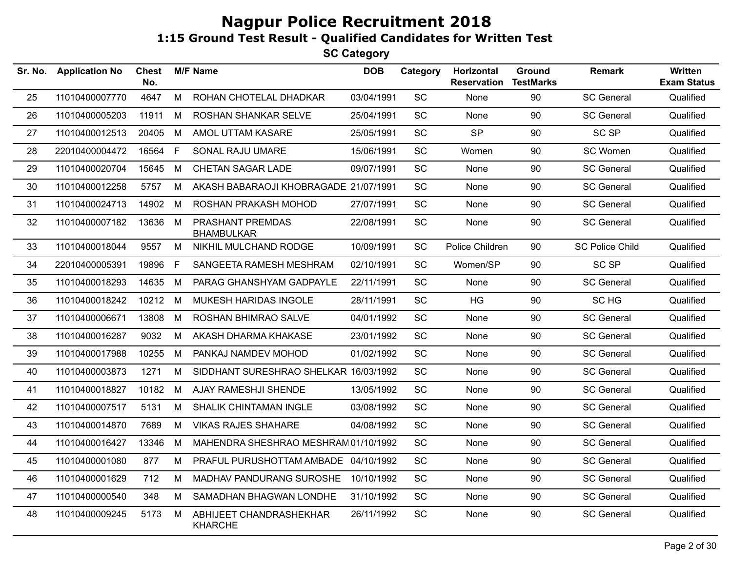| Sr. No. | <b>Application No</b> | <b>Chest</b><br>No. |    | <b>M/F Name</b>                           | <b>DOB</b> | Category  | Horizontal<br><b>Reservation</b> | Ground<br><b>TestMarks</b> | <b>Remark</b>          | Written<br><b>Exam Status</b> |
|---------|-----------------------|---------------------|----|-------------------------------------------|------------|-----------|----------------------------------|----------------------------|------------------------|-------------------------------|
| 25      | 11010400007770        | 4647                | M  | ROHAN CHOTELAL DHADKAR                    | 03/04/1991 | SC        | None                             | 90                         | <b>SC General</b>      | Qualified                     |
| 26      | 11010400005203        | 11911               | M  | ROSHAN SHANKAR SELVE                      | 25/04/1991 | SC        | None                             | 90                         | <b>SC General</b>      | Qualified                     |
| 27      | 11010400012513        | 20405               | M  | AMOL UTTAM KASARE                         | 25/05/1991 | SC        | <b>SP</b>                        | 90                         | <b>SC SP</b>           | Qualified                     |
| 28      | 22010400004472        | 16564 F             |    | SONAL RAJU UMARE                          | 15/06/1991 | <b>SC</b> | Women                            | 90                         | SC Women               | Qualified                     |
| 29      | 11010400020704        | 15645               | M  | CHETAN SAGAR LADE                         | 09/07/1991 | <b>SC</b> | None                             | 90                         | <b>SC General</b>      | Qualified                     |
| 30      | 11010400012258        | 5757                | M  | AKASH BABARAOJI KHOBRAGADE 21/07/1991     |            | <b>SC</b> | None                             | 90                         | <b>SC General</b>      | Qualified                     |
| 31      | 11010400024713        | 14902               | M  | ROSHAN PRAKASH MOHOD                      | 27/07/1991 | SC        | <b>None</b>                      | 90                         | <b>SC General</b>      | Qualified                     |
| 32      | 11010400007182        | 13636               | M  | PRASHANT PREMDAS<br><b>BHAMBULKAR</b>     | 22/08/1991 | SC        | None                             | 90                         | <b>SC General</b>      | Qualified                     |
| 33      | 11010400018044        | 9557                | M  | NIKHIL MULCHAND RODGE                     | 10/09/1991 | SC        | Police Children                  | 90                         | <b>SC Police Child</b> | Qualified                     |
| 34      | 22010400005391        | 19896               | F. | SANGEETA RAMESH MESHRAM                   | 02/10/1991 | SC        | Women/SP                         | 90                         | <b>SC SP</b>           | Qualified                     |
| 35      | 11010400018293        | 14635 M             |    | PARAG GHANSHYAM GADPAYLE                  | 22/11/1991 | <b>SC</b> | None                             | 90                         | <b>SC General</b>      | Qualified                     |
| 36      | 11010400018242        | 10212               | M  | MUKESH HARIDAS INGOLE                     | 28/11/1991 | SC        | <b>HG</b>                        | 90                         | SC HG                  | Qualified                     |
| 37      | 11010400006671        | 13808               | M  | ROSHAN BHIMRAO SALVE                      | 04/01/1992 | <b>SC</b> | None                             | 90                         | <b>SC General</b>      | Qualified                     |
| 38      | 11010400016287        | 9032                | M  | AKASH DHARMA KHAKASE                      | 23/01/1992 | SC        | None                             | 90                         | <b>SC General</b>      | Qualified                     |
| 39      | 11010400017988        | 10255               | M  | PANKAJ NAMDEV MOHOD                       | 01/02/1992 | SC        | None                             | 90                         | <b>SC General</b>      | Qualified                     |
| 40      | 11010400003873        | 1271                | M  | SIDDHANT SURESHRAO SHELKAR 16/03/1992     |            | SC        | None                             | 90                         | <b>SC General</b>      | Qualified                     |
| 41      | 11010400018827        | 10182               | M  | AJAY RAMESHJI SHENDE                      | 13/05/1992 | SC        | None                             | 90                         | <b>SC General</b>      | Qualified                     |
| 42      | 11010400007517        | 5131                | M  | SHALIK CHINTAMAN INGLE                    | 03/08/1992 | <b>SC</b> | None                             | 90                         | <b>SC General</b>      | Qualified                     |
| 43      | 11010400014870        | 7689                | M  | <b>VIKAS RAJES SHAHARE</b>                | 04/08/1992 | <b>SC</b> | None                             | 90                         | <b>SC General</b>      | Qualified                     |
| 44      | 11010400016427        | 13346               | M  | MAHENDRA SHESHRAO MESHRAM01/10/1992       |            | <b>SC</b> | None                             | 90                         | <b>SC General</b>      | Qualified                     |
| 45      | 11010400001080        | 877                 | M  | PRAFUL PURUSHOTTAM AMBADE 04/10/1992      |            | SC        | None                             | 90                         | <b>SC General</b>      | Qualified                     |
| 46      | 11010400001629        | 712                 | М  | MADHAV PANDURANG SUROSHE 10/10/1992       |            | <b>SC</b> | None                             | 90                         | <b>SC General</b>      | Qualified                     |
| 47      | 11010400000540        | 348                 | M  | SAMADHAN BHAGWAN LONDHE                   | 31/10/1992 | SC        | None                             | 90                         | <b>SC General</b>      | Qualified                     |
| 48      | 11010400009245        | 5173                | М  | ABHIJEET CHANDRASHEKHAR<br><b>KHARCHE</b> | 26/11/1992 | SC        | None                             | 90                         | <b>SC General</b>      | Qualified                     |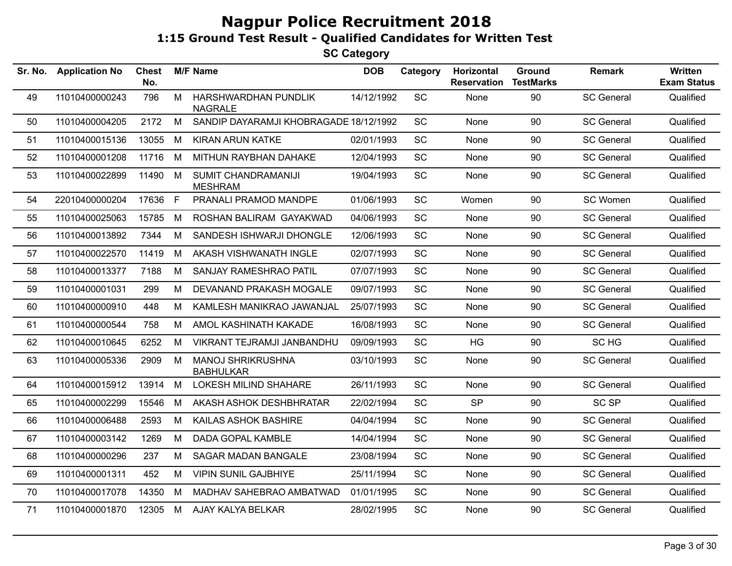| Sr. No. | <b>Application No</b> | <b>Chest</b><br>No. |              | <b>M/F Name</b>                              | <b>DOB</b> | Category  | Horizontal<br><b>Reservation</b> | Ground<br><b>TestMarks</b> | <b>Remark</b>     | <b>Written</b><br><b>Exam Status</b> |
|---------|-----------------------|---------------------|--------------|----------------------------------------------|------------|-----------|----------------------------------|----------------------------|-------------------|--------------------------------------|
| 49      | 11010400000243        | 796                 | M            | HARSHWARDHAN PUNDLIK<br><b>NAGRALE</b>       | 14/12/1992 | SC        | None                             | 90                         | <b>SC General</b> | Qualified                            |
| 50      | 11010400004205        | 2172                | M            | SANDIP DAYARAMJI KHOBRAGADE 18/12/1992       |            | SC        | None                             | 90                         | <b>SC General</b> | Qualified                            |
| 51      | 11010400015136        | 13055               | M            | <b>KIRAN ARUN KATKE</b>                      | 02/01/1993 | SC        | None                             | 90                         | <b>SC General</b> | Qualified                            |
| 52      | 11010400001208        | 11716               | M            | MITHUN RAYBHAN DAHAKE                        | 12/04/1993 | SC        | None                             | 90                         | <b>SC General</b> | Qualified                            |
| 53      | 11010400022899        | 11490               | M            | SUMIT CHANDRAMANIJI<br><b>MESHRAM</b>        | 19/04/1993 | SC        | None                             | 90                         | <b>SC General</b> | Qualified                            |
| 54      | 22010400000204        | 17636               | $\mathsf{F}$ | PRANALI PRAMOD MANDPE                        | 01/06/1993 | <b>SC</b> | Women                            | 90                         | SC Women          | Qualified                            |
| 55      | 11010400025063        | 15785               | M            | ROSHAN BALIRAM GAYAKWAD                      | 04/06/1993 | <b>SC</b> | None                             | 90                         | <b>SC General</b> | Qualified                            |
| 56      | 11010400013892        | 7344                | M            | SANDESH ISHWARJI DHONGLE                     | 12/06/1993 | <b>SC</b> | None                             | 90                         | <b>SC General</b> | Qualified                            |
| 57      | 11010400022570        | 11419               | M            | AKASH VISHWANATH INGLE                       | 02/07/1993 | SC        | None                             | 90                         | <b>SC General</b> | Qualified                            |
| 58      | 11010400013377        | 7188                | M            | <b>SANJAY RAMESHRAO PATIL</b>                | 07/07/1993 | <b>SC</b> | None                             | 90                         | <b>SC General</b> | Qualified                            |
| 59      | 11010400001031        | 299                 | M            | DEVANAND PRAKASH MOGALE                      | 09/07/1993 | SC        | None                             | 90                         | <b>SC General</b> | Qualified                            |
| 60      | 11010400000910        | 448                 | М            | KAMLESH MANIKRAO JAWANJAL                    | 25/07/1993 | SC        | None                             | 90                         | <b>SC General</b> | Qualified                            |
| 61      | 11010400000544        | 758                 | M            | AMOL KASHINATH KAKADE                        | 16/08/1993 | SC        | None                             | 90                         | <b>SC General</b> | Qualified                            |
| 62      | 11010400010645        | 6252                | M            | VIKRANT TEJRAMJI JANBANDHU                   | 09/09/1993 | SC        | HG                               | 90                         | SC HG             | Qualified                            |
| 63      | 11010400005336        | 2909                | M            | <b>MANOJ SHRIKRUSHNA</b><br><b>BABHULKAR</b> | 03/10/1993 | SC        | None                             | 90                         | <b>SC General</b> | Qualified                            |
| 64      | 11010400015912        | 13914               | M            | <b>LOKESH MILIND SHAHARE</b>                 | 26/11/1993 | SC        | None                             | 90                         | <b>SC General</b> | Qualified                            |
| 65      | 11010400002299        | 15546               | M            | AKASH ASHOK DESHBHRATAR                      | 22/02/1994 | SC        | <b>SP</b>                        | 90                         | SC <sub>SP</sub>  | Qualified                            |
| 66      | 11010400006488        | 2593                | M            | KAILAS ASHOK BASHIRE                         | 04/04/1994 | <b>SC</b> | None                             | 90                         | <b>SC General</b> | Qualified                            |
| 67      | 11010400003142        | 1269                | М            | DADA GOPAL KAMBLE                            | 14/04/1994 | SC        | None                             | 90                         | <b>SC General</b> | Qualified                            |
| 68      | 11010400000296        | 237                 | M            | <b>SAGAR MADAN BANGALE</b>                   | 23/08/1994 | SC        | None                             | 90                         | <b>SC General</b> | Qualified                            |
| 69      | 11010400001311        | 452                 | M            | <b>VIPIN SUNIL GAJBHIYE</b>                  | 25/11/1994 | SC        | None                             | 90                         | <b>SC General</b> | Qualified                            |
| 70      | 11010400017078        | 14350               | M            | MADHAV SAHEBRAO AMBATWAD                     | 01/01/1995 | <b>SC</b> | None                             | 90                         | <b>SC General</b> | Qualified                            |
| 71      | 11010400001870        | 12305               | M            | AJAY KALYA BELKAR                            | 28/02/1995 | SC        | None                             | 90                         | <b>SC General</b> | Qualified                            |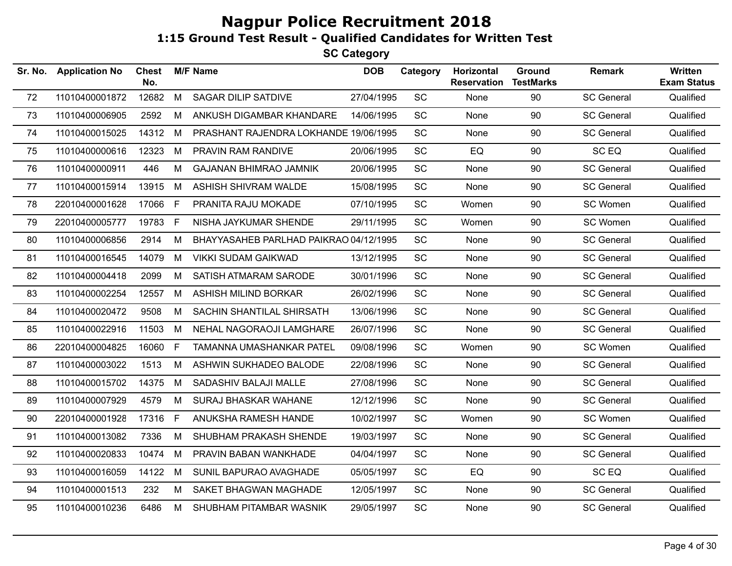| Sr. No. | <b>Application No</b> | <b>Chest</b><br>No. |     | <b>M/F Name</b>                        | <b>DOB</b> | Category  | Horizontal<br><b>Reservation</b> | Ground<br><b>TestMarks</b> | <b>Remark</b>     | Written<br><b>Exam Status</b> |
|---------|-----------------------|---------------------|-----|----------------------------------------|------------|-----------|----------------------------------|----------------------------|-------------------|-------------------------------|
| 72      | 11010400001872        | 12682               | M   | SAGAR DILIP SATDIVE                    | 27/04/1995 | SC        | None                             | 90                         | <b>SC General</b> | Qualified                     |
| 73      | 11010400006905        | 2592                | M   | ANKUSH DIGAMBAR KHANDARE               | 14/06/1995 | SC        | None                             | 90                         | <b>SC General</b> | Qualified                     |
| 74      | 11010400015025        | 14312               | M   | PRASHANT RAJENDRA LOKHANDE 19/06/1995  |            | SC        | None                             | 90                         | <b>SC General</b> | Qualified                     |
| 75      | 11010400000616        | 12323               | M   | PRAVIN RAM RANDIVE                     | 20/06/1995 | <b>SC</b> | EQ                               | 90                         | SC EQ             | Qualified                     |
| 76      | 11010400000911        | 446                 | M   | <b>GAJANAN BHIMRAO JAMNIK</b>          | 20/06/1995 | SC        | None                             | 90                         | <b>SC General</b> | Qualified                     |
| 77      | 11010400015914        | 13915               | M   | ASHISH SHIVRAM WALDE                   | 15/08/1995 | <b>SC</b> | None                             | 90                         | <b>SC General</b> | Qualified                     |
| 78      | 22010400001628        | 17066 F             |     | PRANITA RAJU MOKADE                    | 07/10/1995 | <b>SC</b> | Women                            | 90                         | SC Women          | Qualified                     |
| 79      | 22010400005777        | 19783               | F.  | NISHA JAYKUMAR SHENDE                  | 29/11/1995 | SC        | Women                            | 90                         | SC Women          | Qualified                     |
| 80      | 11010400006856        | 2914                | М   | BHAYYASAHEB PARLHAD PAIKRAO 04/12/1995 |            | <b>SC</b> | None                             | 90                         | <b>SC General</b> | Qualified                     |
| 81      | 11010400016545        | 14079               | M   | <b>VIKKI SUDAM GAIKWAD</b>             | 13/12/1995 | <b>SC</b> | None                             | 90                         | <b>SC General</b> | Qualified                     |
| 82      | 11010400004418        | 2099                | M   | SATISH ATMARAM SARODE                  | 30/01/1996 | SC        | None                             | 90                         | <b>SC General</b> | Qualified                     |
| 83      | 11010400002254        | 12557               | M   | <b>ASHISH MILIND BORKAR</b>            | 26/02/1996 | SC        | None                             | 90                         | <b>SC General</b> | Qualified                     |
| 84      | 11010400020472        | 9508                | M   | SACHIN SHANTILAL SHIRSATH              | 13/06/1996 | SC        | None                             | 90                         | <b>SC General</b> | Qualified                     |
| 85      | 11010400022916        | 11503               | M   | NEHAL NAGORAOJI LAMGHARE               | 26/07/1996 | SC        | None                             | 90                         | <b>SC General</b> | Qualified                     |
| 86      | 22010400004825        | 16060 F             |     | TAMANNA UMASHANKAR PATEL               | 09/08/1996 | <b>SC</b> | Women                            | 90                         | SC Women          | Qualified                     |
| 87      | 11010400003022        | 1513                | M   | ASHWIN SUKHADEO BALODE                 | 22/08/1996 | <b>SC</b> | None                             | 90                         | <b>SC General</b> | Qualified                     |
| 88      | 11010400015702        | 14375               | M   | SADASHIV BALAJI MALLE                  | 27/08/1996 | <b>SC</b> | None                             | 90                         | <b>SC General</b> | Qualified                     |
| 89      | 11010400007929        | 4579                | M   | <b>SURAJ BHASKAR WAHANE</b>            | 12/12/1996 | <b>SC</b> | None                             | 90                         | <b>SC General</b> | Qualified                     |
| 90      | 22010400001928        | 17316               | - F | ANUKSHA RAMESH HANDE                   | 10/02/1997 | SC        | Women                            | 90                         | SC Women          | Qualified                     |
| 91      | 11010400013082        | 7336                | M   | SHUBHAM PRAKASH SHENDE                 | 19/03/1997 | SC        | None                             | 90                         | <b>SC General</b> | Qualified                     |
| 92      | 11010400020833        | 10474               | M   | PRAVIN BABAN WANKHADE                  | 04/04/1997 | SC        | None                             | 90                         | <b>SC General</b> | Qualified                     |
| 93      | 11010400016059        | 14122               | M   | SUNIL BAPURAO AVAGHADE                 | 05/05/1997 | SC        | EQ                               | 90                         | SC EQ             | Qualified                     |
| 94      | 11010400001513        | 232                 | M   | SAKET BHAGWAN MAGHADE                  | 12/05/1997 | SC        | None                             | 90                         | <b>SC General</b> | Qualified                     |
| 95      | 11010400010236        | 6486                | M   | SHUBHAM PITAMBAR WASNIK                | 29/05/1997 | SC        | None                             | 90                         | <b>SC General</b> | Qualified                     |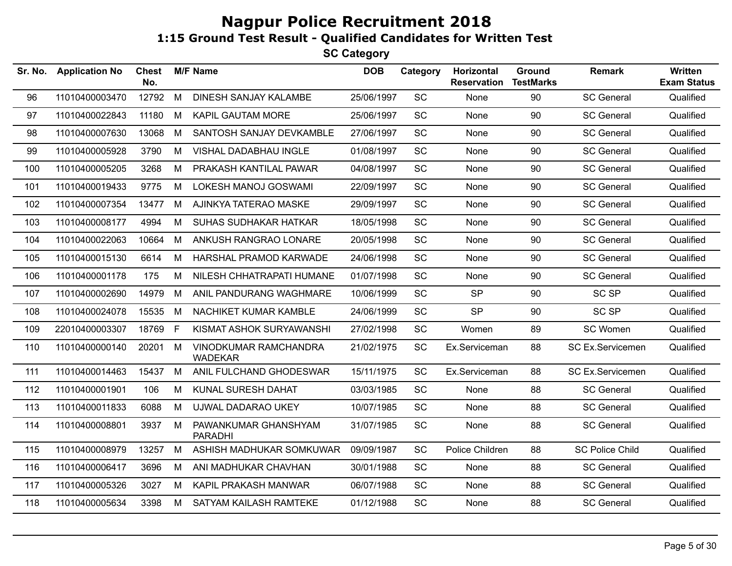**SC Category**

| Sr. No. | <b>Application No</b> | <b>Chest</b><br>No. |   | <b>M/F Name</b>                         | <b>DOB</b> | Category  | Horizontal<br><b>Reservation</b> | Ground<br><b>TestMarks</b> | <b>Remark</b>          | Written<br><b>Exam Status</b> |
|---------|-----------------------|---------------------|---|-----------------------------------------|------------|-----------|----------------------------------|----------------------------|------------------------|-------------------------------|
| 96      | 11010400003470        | 12792               | M | DINESH SANJAY KALAMBE                   | 25/06/1997 | SC        | None                             | 90                         | <b>SC General</b>      | Qualified                     |
| 97      | 11010400022843        | 11180               | M | <b>KAPIL GAUTAM MORE</b>                | 25/06/1997 | SC        | None                             | 90                         | <b>SC General</b>      | Qualified                     |
| 98      | 11010400007630        | 13068               | M | SANTOSH SANJAY DEVKAMBLE                | 27/06/1997 | SC        | None                             | 90                         | <b>SC General</b>      | Qualified                     |
| 99      | 11010400005928        | 3790                | M | VISHAL DADABHAU INGLE                   | 01/08/1997 | SC        | None                             | 90                         | <b>SC General</b>      | Qualified                     |
| 100     | 11010400005205        | 3268                | М | PRAKASH KANTILAL PAWAR                  | 04/08/1997 | SC        | None                             | 90                         | <b>SC General</b>      | Qualified                     |
| 101     | 11010400019433        | 9775                | M | LOKESH MANOJ GOSWAMI                    | 22/09/1997 | SC        | None                             | 90                         | <b>SC General</b>      | Qualified                     |
| 102     | 11010400007354        | 13477               | M | AJINKYA TATERAO MASKE                   | 29/09/1997 | SC        | None                             | 90                         | <b>SC General</b>      | Qualified                     |
| 103     | 11010400008177        | 4994                | М | SUHAS SUDHAKAR HATKAR                   | 18/05/1998 | SC        | None                             | 90                         | <b>SC General</b>      | Qualified                     |
| 104     | 11010400022063        | 10664               | M | ANKUSH RANGRAO LONARE                   | 20/05/1998 | SC        | None                             | 90                         | <b>SC General</b>      | Qualified                     |
| 105     | 11010400015130        | 6614                | М | HARSHAL PRAMOD KARWADE                  | 24/06/1998 | <b>SC</b> | None                             | 90                         | <b>SC General</b>      | Qualified                     |
| 106     | 11010400001178        | 175                 | M | NILESH CHHATRAPATI HUMANE               | 01/07/1998 | SC        | None                             | 90                         | <b>SC General</b>      | Qualified                     |
| 107     | 11010400002690        | 14979               | M | ANIL PANDURANG WAGHMARE                 | 10/06/1999 | SC        | <b>SP</b>                        | 90                         | <b>SC SP</b>           | Qualified                     |
| 108     | 11010400024078        | 15535               | M | NACHIKET KUMAR KAMBLE                   | 24/06/1999 | SC        | <b>SP</b>                        | 90                         | SC <sub>SP</sub>       | Qualified                     |
| 109     | 22010400003307        | 18769               | E | KISMAT ASHOK SURYAWANSHI                | 27/02/1998 | SC        | Women                            | 89                         | SC Women               | Qualified                     |
| 110     | 11010400000140        | 20201               | M | VINODKUMAR RAMCHANDRA<br><b>WADEKAR</b> | 21/02/1975 | SC        | Ex.Serviceman                    | 88                         | SC Ex.Servicemen       | Qualified                     |
| 111     | 11010400014463        | 15437               | M | ANIL FULCHAND GHODESWAR                 | 15/11/1975 | SC        | Ex.Serviceman                    | 88                         | SC Ex.Servicemen       | Qualified                     |
| 112     | 11010400001901        | 106                 | M | KUNAL SURESH DAHAT                      | 03/03/1985 | <b>SC</b> | None                             | 88                         | <b>SC General</b>      | Qualified                     |
| 113     | 11010400011833        | 6088                | M | UJWAL DADARAO UKEY                      | 10/07/1985 | <b>SC</b> | None                             | 88                         | <b>SC General</b>      | Qualified                     |
| 114     | 11010400008801        | 3937                | M | PAWANKUMAR GHANSHYAM<br>PARADHI         | 31/07/1985 | SC        | None                             | 88                         | <b>SC General</b>      | Qualified                     |
| 115     | 11010400008979        | 13257               | M | ASHISH MADHUKAR SOMKUWAR                | 09/09/1987 | SC        | Police Children                  | 88                         | <b>SC Police Child</b> | Qualified                     |
| 116     | 11010400006417        | 3696                | M | ANI MADHUKAR CHAVHAN                    | 30/01/1988 | <b>SC</b> | None                             | 88                         | <b>SC General</b>      | Qualified                     |
| 117     | 11010400005326        | 3027                | M | KAPIL PRAKASH MANWAR                    | 06/07/1988 | SC        | None                             | 88                         | <b>SC General</b>      | Qualified                     |
| 118     | 11010400005634        | 3398                | М | SATYAM KAILASH RAMTEKE                  | 01/12/1988 | SC        | None                             | 88                         | <b>SC General</b>      | Qualified                     |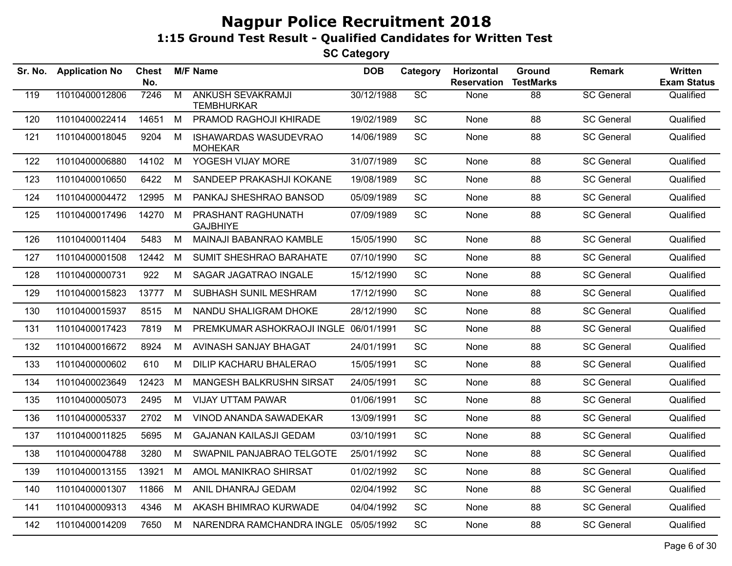| Sr. No. | <b>Application No</b> | <b>Chest</b><br>No. |                | <b>M/F Name</b>                               | <b>DOB</b> | Category        | Horizontal<br><b>Reservation</b> | Ground<br><b>TestMarks</b> | <b>Remark</b>     | Written<br><b>Exam Status</b> |
|---------|-----------------------|---------------------|----------------|-----------------------------------------------|------------|-----------------|----------------------------------|----------------------------|-------------------|-------------------------------|
| 119     | 11010400012806        | 7246                | $\overline{M}$ | <b>ANKUSH SEVAKRAMJI</b><br><b>TEMBHURKAR</b> | 30/12/1988 | $\overline{SC}$ | None                             | 88                         | <b>SC General</b> | Qualified                     |
| 120     | 11010400022414        | 14651               | M              | PRAMOD RAGHOJI KHIRADE                        | 19/02/1989 | SC              | None                             | 88                         | <b>SC General</b> | Qualified                     |
| 121     | 11010400018045        | 9204                | M              | <b>ISHAWARDAS WASUDEVRAO</b><br>MOHEKAR       | 14/06/1989 | <b>SC</b>       | None                             | 88                         | <b>SC General</b> | Qualified                     |
| 122     | 11010400006880        | 14102               | M              | YOGESH VIJAY MORE                             | 31/07/1989 | SC              | None                             | 88                         | <b>SC General</b> | Qualified                     |
| 123     | 11010400010650        | 6422                | M              | SANDEEP PRAKASHJI KOKANE                      | 19/08/1989 | <b>SC</b>       | None                             | 88                         | <b>SC General</b> | Qualified                     |
| 124     | 11010400004472        | 12995               | M              | PANKAJ SHESHRAO BANSOD                        | 05/09/1989 | <b>SC</b>       | None                             | 88                         | <b>SC General</b> | Qualified                     |
| 125     | 11010400017496        | 14270               | M              | PRASHANT RAGHUNATH<br><b>GAJBHIYE</b>         | 07/09/1989 | SC              | None                             | 88                         | <b>SC General</b> | Qualified                     |
| 126     | 11010400011404        | 5483                | M              | MAINAJI BABANRAO KAMBLE                       | 15/05/1990 | <b>SC</b>       | None                             | 88                         | <b>SC General</b> | Qualified                     |
| 127     | 11010400001508        | 12442               | M              | <b>SUMIT SHESHRAO BARAHATE</b>                | 07/10/1990 | <b>SC</b>       | None                             | 88                         | <b>SC General</b> | Qualified                     |
| 128     | 11010400000731        | 922                 | M              | SAGAR JAGATRAO INGALE                         | 15/12/1990 | SC              | None                             | 88                         | <b>SC General</b> | Qualified                     |
| 129     | 11010400015823        | 13777               | M              | SUBHASH SUNIL MESHRAM                         | 17/12/1990 | <b>SC</b>       | None                             | 88                         | <b>SC General</b> | Qualified                     |
| 130     | 11010400015937        | 8515                | M              | NANDU SHALIGRAM DHOKE                         | 28/12/1990 | <b>SC</b>       | None                             | 88                         | <b>SC General</b> | Qualified                     |
| 131     | 11010400017423        | 7819                | M              | PREMKUMAR ASHOKRAOJI INGLE 06/01/1991         |            | SC              | None                             | 88                         | <b>SC General</b> | Qualified                     |
| 132     | 11010400016672        | 8924                | M              | AVINASH SANJAY BHAGAT                         | 24/01/1991 | <b>SC</b>       | None                             | 88                         | <b>SC General</b> | Qualified                     |
| 133     | 11010400000602        | 610                 | M              | DILIP KACHARU BHALERAO                        | 15/05/1991 | SC              | None                             | 88                         | <b>SC General</b> | Qualified                     |
| 134     | 11010400023649        | 12423               | M              | MANGESH BALKRUSHN SIRSAT                      | 24/05/1991 | SC              | None                             | 88                         | <b>SC General</b> | Qualified                     |
| 135     | 11010400005073        | 2495                | M              | <b>VIJAY UTTAM PAWAR</b>                      | 01/06/1991 | <b>SC</b>       | None                             | 88                         | <b>SC General</b> | Qualified                     |
| 136     | 11010400005337        | 2702                | M              | VINOD ANANDA SAWADEKAR                        | 13/09/1991 | SC              | None                             | 88                         | <b>SC General</b> | Qualified                     |
| 137     | 11010400011825        | 5695                | M              | <b>GAJANAN KAILASJI GEDAM</b>                 | 03/10/1991 | SC              | None                             | 88                         | <b>SC General</b> | Qualified                     |
| 138     | 11010400004788        | 3280                | M              | SWAPNIL PANJABRAO TELGOTE                     | 25/01/1992 | SC              | None                             | 88                         | <b>SC General</b> | Qualified                     |
| 139     | 11010400013155        | 13921               | M              | AMOL MANIKRAO SHIRSAT                         | 01/02/1992 | <b>SC</b>       | None                             | 88                         | <b>SC General</b> | Qualified                     |
| 140     | 11010400001307        | 11866               | M              | ANIL DHANRAJ GEDAM                            | 02/04/1992 | SC              | None                             | 88                         | <b>SC General</b> | Qualified                     |
| 141     | 11010400009313        | 4346                | M              | AKASH BHIMRAO KURWADE                         | 04/04/1992 | <b>SC</b>       | None                             | 88                         | <b>SC General</b> | Qualified                     |
| 142     | 11010400014209        | 7650                | M              | NARENDRA RAMCHANDRA INGLE 05/05/1992          |            | <b>SC</b>       | None                             | 88                         | <b>SC General</b> | Qualified                     |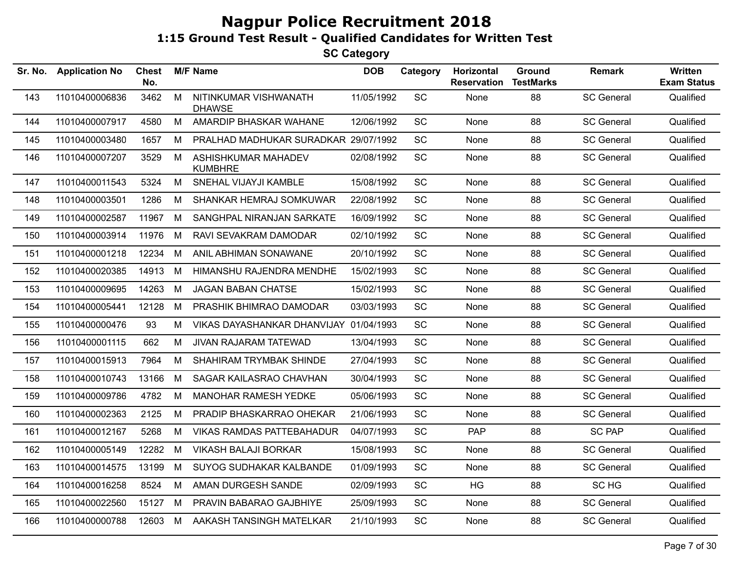| Sr. No. | <b>Application No</b> | <b>Chest</b><br>No. |   | <b>M/F Name</b>                        | <b>DOB</b> | Category  | Horizontal<br><b>Reservation</b> | Ground<br><b>TestMarks</b> | Remark            | <b>Written</b><br><b>Exam Status</b> |
|---------|-----------------------|---------------------|---|----------------------------------------|------------|-----------|----------------------------------|----------------------------|-------------------|--------------------------------------|
| 143     | 11010400006836        | 3462                | M | NITINKUMAR VISHWANATH<br><b>DHAWSE</b> | 11/05/1992 | SC        | None                             | 88                         | <b>SC General</b> | Qualified                            |
| 144     | 11010400007917        | 4580                | M | AMARDIP BHASKAR WAHANE                 | 12/06/1992 | <b>SC</b> | None                             | 88                         | <b>SC General</b> | Qualified                            |
| 145     | 11010400003480        | 1657                | M | PRALHAD MADHUKAR SURADKAR 29/07/1992   |            | <b>SC</b> | None                             | 88                         | <b>SC General</b> | Qualified                            |
| 146     | 11010400007207        | 3529                | M | ASHISHKUMAR MAHADEV<br><b>KUMBHRE</b>  | 02/08/1992 | SC        | None                             | 88                         | <b>SC General</b> | Qualified                            |
| 147     | 11010400011543        | 5324                | M | SNEHAL VIJAYJI KAMBLE                  | 15/08/1992 | <b>SC</b> | None                             | 88                         | <b>SC General</b> | Qualified                            |
| 148     | 11010400003501        | 1286                | М | SHANKAR HEMRAJ SOMKUWAR                | 22/08/1992 | <b>SC</b> | None                             | 88                         | <b>SC General</b> | Qualified                            |
| 149     | 11010400002587        | 11967               | M | SANGHPAL NIRANJAN SARKATE              | 16/09/1992 | <b>SC</b> | None                             | 88                         | <b>SC General</b> | Qualified                            |
| 150     | 11010400003914        | 11976               | M | RAVI SEVAKRAM DAMODAR                  | 02/10/1992 | <b>SC</b> | None                             | 88                         | <b>SC General</b> | Qualified                            |
| 151     | 11010400001218        | 12234               | M | ANIL ABHIMAN SONAWANE                  | 20/10/1992 | <b>SC</b> | None                             | 88                         | <b>SC General</b> | Qualified                            |
| 152     | 11010400020385        | 14913               | M | HIMANSHU RAJENDRA MENDHE               | 15/02/1993 | <b>SC</b> | None                             | 88                         | <b>SC General</b> | Qualified                            |
| 153     | 11010400009695        | 14263               | M | <b>JAGAN BABAN CHATSE</b>              | 15/02/1993 | <b>SC</b> | None                             | 88                         | <b>SC General</b> | Qualified                            |
| 154     | 11010400005441        | 12128               | M | PRASHIK BHIMRAO DAMODAR                | 03/03/1993 | <b>SC</b> | None                             | 88                         | <b>SC General</b> | Qualified                            |
| 155     | 11010400000476        | 93                  | м | VIKAS DAYASHANKAR DHANVIJAY 01/04/1993 |            | <b>SC</b> | None                             | 88                         | <b>SC General</b> | Qualified                            |
| 156     | 11010400001115        | 662                 | M | JIVAN RAJARAM TATEWAD                  | 13/04/1993 | SC        | None                             | 88                         | <b>SC General</b> | Qualified                            |
| 157     | 11010400015913        | 7964                | M | SHAHIRAM TRYMBAK SHINDE                | 27/04/1993 | <b>SC</b> | None                             | 88                         | <b>SC General</b> | Qualified                            |
| 158     | 11010400010743        | 13166               | M | SAGAR KAILASRAO CHAVHAN                | 30/04/1993 | <b>SC</b> | None                             | 88                         | <b>SC General</b> | Qualified                            |
| 159     | 11010400009786        | 4782                | M | <b>MANOHAR RAMESH YEDKE</b>            | 05/06/1993 | <b>SC</b> | None                             | 88                         | <b>SC General</b> | Qualified                            |
| 160     | 11010400002363        | 2125                | M | PRADIP BHASKARRAO OHEKAR               | 21/06/1993 | SC        | None                             | 88                         | <b>SC General</b> | Qualified                            |
| 161     | 11010400012167        | 5268                | M | <b>VIKAS RAMDAS PATTEBAHADUR</b>       | 04/07/1993 | <b>SC</b> | <b>PAP</b>                       | 88                         | <b>SC PAP</b>     | Qualified                            |
| 162     | 11010400005149        | 12282               | M | <b>VIKASH BALAJI BORKAR</b>            | 15/08/1993 | SC        | None                             | 88                         | <b>SC General</b> | Qualified                            |
| 163     | 11010400014575        | 13199               | M | SUYOG SUDHAKAR KALBANDE                | 01/09/1993 | <b>SC</b> | None                             | 88                         | <b>SC General</b> | Qualified                            |
| 164     | 11010400016258        | 8524                | M | AMAN DURGESH SANDE                     | 02/09/1993 | <b>SC</b> | HG                               | 88                         | SC HG             | Qualified                            |
| 165     | 11010400022560        | 15127               | M | PRAVIN BABARAO GAJBHIYE                | 25/09/1993 | <b>SC</b> | None                             | 88                         | <b>SC General</b> | Qualified                            |
| 166     | 11010400000788        | 12603 M             |   | AAKASH TANSINGH MATELKAR               | 21/10/1993 | <b>SC</b> | None                             | 88                         | <b>SC General</b> | Qualified                            |
|         |                       |                     |   |                                        |            |           |                                  |                            |                   |                                      |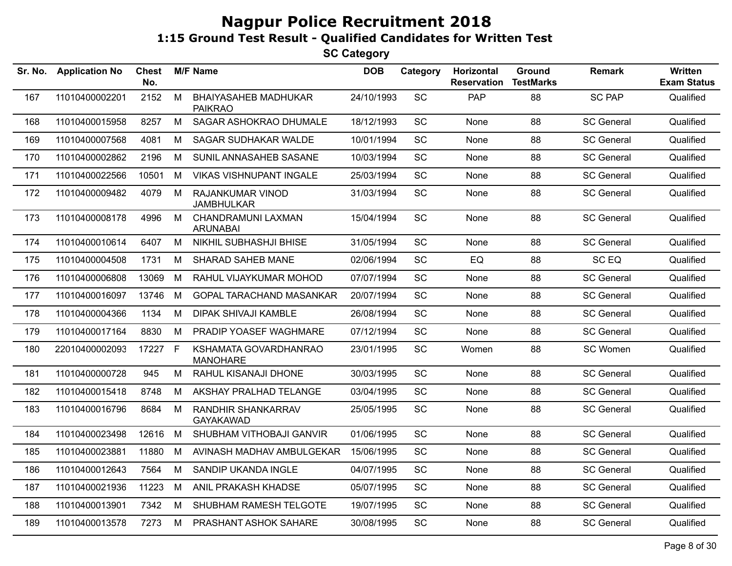| Sr. No. | <b>Application No</b> | <b>Chest</b><br>No. |   | <b>M/F Name</b>                               | <b>DOB</b> | Category  | Horizontal<br><b>Reservation</b> | Ground<br><b>TestMarks</b> | <b>Remark</b>     | <b>Written</b><br><b>Exam Status</b> |
|---------|-----------------------|---------------------|---|-----------------------------------------------|------------|-----------|----------------------------------|----------------------------|-------------------|--------------------------------------|
| 167     | 11010400002201        | 2152                | M | <b>BHAIYASAHEB MADHUKAR</b><br><b>PAIKRAO</b> | 24/10/1993 | SC        | PAP                              | 88                         | <b>SC PAP</b>     | Qualified                            |
| 168     | 11010400015958        | 8257                | M | SAGAR ASHOKRAO DHUMALE                        | 18/12/1993 | SC        | None                             | 88                         | <b>SC General</b> | Qualified                            |
| 169     | 11010400007568        | 4081                | M | <b>SAGAR SUDHAKAR WALDE</b>                   | 10/01/1994 | SC        | None                             | 88                         | <b>SC General</b> | Qualified                            |
| 170     | 11010400002862        | 2196                | M | SUNIL ANNASAHEB SASANE                        | 10/03/1994 | SC        | None                             | 88                         | <b>SC General</b> | Qualified                            |
| 171     | 11010400022566        | 10501               | M | <b>VIKAS VISHNUPANT INGALE</b>                | 25/03/1994 | SC        | None                             | 88                         | <b>SC General</b> | Qualified                            |
| 172     | 11010400009482        | 4079                | M | <b>RAJANKUMAR VINOD</b><br><b>JAMBHULKAR</b>  | 31/03/1994 | SC        | None                             | 88                         | <b>SC General</b> | Qualified                            |
| 173     | 11010400008178        | 4996                | M | CHANDRAMUNI LAXMAN<br><b>ARUNABAI</b>         | 15/04/1994 | SC        | None                             | 88                         | <b>SC General</b> | Qualified                            |
| 174     | 11010400010614        | 6407                | M | <b>NIKHIL SUBHASHJI BHISE</b>                 | 31/05/1994 | SC        | None                             | 88                         | <b>SC General</b> | Qualified                            |
| 175     | 11010400004508        | 1731                | M | SHARAD SAHEB MANE                             | 02/06/1994 | SC        | EQ                               | 88                         | SC EQ             | Qualified                            |
| 176     | 11010400006808        | 13069               | M | RAHUL VIJAYKUMAR MOHOD                        | 07/07/1994 | SC        | None                             | 88                         | <b>SC General</b> | Qualified                            |
| 177     | 11010400016097        | 13746               | M | <b>GOPAL TARACHAND MASANKAR</b>               | 20/07/1994 | SC        | None                             | 88                         | <b>SC General</b> | Qualified                            |
| 178     | 11010400004366        | 1134                | M | <b>DIPAK SHIVAJI KAMBLE</b>                   | 26/08/1994 | <b>SC</b> | None                             | 88                         | <b>SC General</b> | Qualified                            |
| 179     | 11010400017164        | 8830                | M | PRADIP YOASEF WAGHMARE                        | 07/12/1994 | SC        | <b>None</b>                      | 88                         | <b>SC General</b> | Qualified                            |
| 180     | 22010400002093        | 17227 F             |   | KSHAMATA GOVARDHANRAO<br><b>MANOHARE</b>      | 23/01/1995 | SC        | Women                            | 88                         | SC Women          | Qualified                            |
| 181     | 11010400000728        | 945                 | M | RAHUL KISANAJI DHONE                          | 30/03/1995 | SC        | None                             | 88                         | <b>SC General</b> | Qualified                            |
| 182     | 11010400015418        | 8748                | M | AKSHAY PRALHAD TELANGE                        | 03/04/1995 | SC        | None                             | 88                         | <b>SC General</b> | Qualified                            |
| 183     | 11010400016796        | 8684                | M | RANDHIR SHANKARRAV<br><b>GAYAKAWAD</b>        | 25/05/1995 | SC        | None                             | 88                         | <b>SC General</b> | Qualified                            |
| 184     | 11010400023498        | 12616               | M | SHUBHAM VITHOBAJI GANVIR                      | 01/06/1995 | SC        | None                             | 88                         | <b>SC General</b> | Qualified                            |
| 185     | 11010400023881        | 11880               | M | AVINASH MADHAV AMBULGEKAR                     | 15/06/1995 | SC        | None                             | 88                         | <b>SC General</b> | Qualified                            |
| 186     | 11010400012643        | 7564                | M | SANDIP UKANDA INGLE                           | 04/07/1995 | SC        | None                             | 88                         | <b>SC General</b> | Qualified                            |
| 187     | 11010400021936        | 11223               | M | ANIL PRAKASH KHADSE                           | 05/07/1995 | SC        | None                             | 88                         | <b>SC General</b> | Qualified                            |
| 188     | 11010400013901        | 7342                | M | SHUBHAM RAMESH TELGOTE                        | 19/07/1995 | SC        | None                             | 88                         | <b>SC General</b> | Qualified                            |
| 189     | 11010400013578        | 7273                | M | PRASHANT ASHOK SAHARE                         | 30/08/1995 | SC        | None                             | 88                         | <b>SC General</b> | Qualified                            |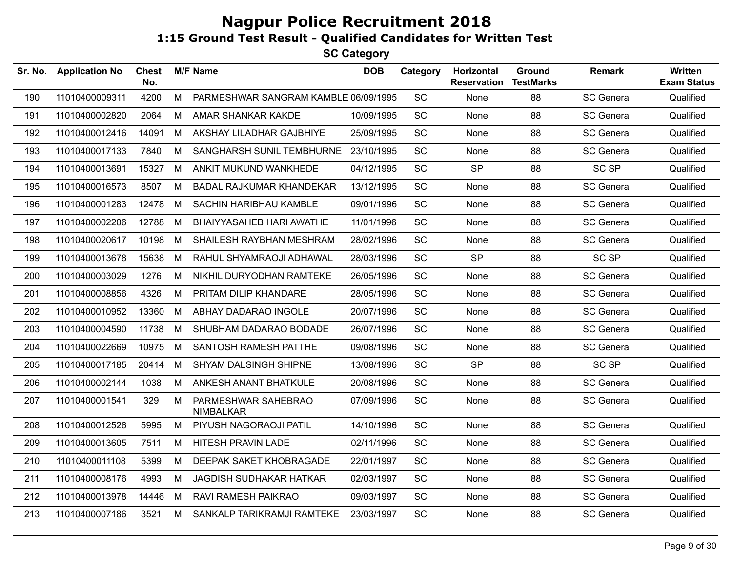| Sr. No. | <b>Application No</b> | <b>Chest</b><br>No. |   | <b>M/F Name</b>                         | <b>DOB</b> | Category  | Horizontal<br><b>Reservation</b> | Ground<br><b>TestMarks</b> | Remark            | Written<br><b>Exam Status</b> |
|---------|-----------------------|---------------------|---|-----------------------------------------|------------|-----------|----------------------------------|----------------------------|-------------------|-------------------------------|
| 190     | 11010400009311        | 4200                | M | PARMESHWAR SANGRAM KAMBLE 06/09/1995    |            | SC        | None                             | 88                         | <b>SC General</b> | Qualified                     |
| 191     | 11010400002820        | 2064                | M | AMAR SHANKAR KAKDE                      | 10/09/1995 | SC        | None                             | 88                         | <b>SC General</b> | Qualified                     |
| 192     | 11010400012416        | 14091               | M | AKSHAY LILADHAR GAJBHIYE                | 25/09/1995 | SC        | None                             | 88                         | <b>SC General</b> | Qualified                     |
| 193     | 11010400017133        | 7840                | М | SANGHARSH SUNIL TEMBHURNE               | 23/10/1995 | SC        | None                             | 88                         | <b>SC General</b> | Qualified                     |
| 194     | 11010400013691        | 15327               | M | ANKIT MUKUND WANKHEDE                   | 04/12/1995 | SC        | <b>SP</b>                        | 88                         | SC <sub>SP</sub>  | Qualified                     |
| 195     | 11010400016573        | 8507                | M | BADAL RAJKUMAR KHANDEKAR                | 13/12/1995 | SC        | None                             | 88                         | <b>SC General</b> | Qualified                     |
| 196     | 11010400001283        | 12478               | M | SACHIN HARIBHAU KAMBLE                  | 09/01/1996 | SC        | None                             | 88                         | <b>SC General</b> | Qualified                     |
| 197     | 11010400002206        | 12788               | M | BHAIYYASAHEB HARI AWATHE                | 11/01/1996 | SC        | None                             | 88                         | <b>SC General</b> | Qualified                     |
| 198     | 11010400020617        | 10198               | M | SHAILESH RAYBHAN MESHRAM                | 28/02/1996 | SC        | None                             | 88                         | <b>SC General</b> | Qualified                     |
| 199     | 11010400013678        | 15638               | M | RAHUL SHYAMRAOJI ADHAWAL                | 28/03/1996 | SC        | <b>SP</b>                        | 88                         | <b>SC SP</b>      | Qualified                     |
| 200     | 11010400003029        | 1276                | M | NIKHIL DURYODHAN RAMTEKE                | 26/05/1996 | SC        | None                             | 88                         | <b>SC General</b> | Qualified                     |
| 201     | 11010400008856        | 4326                | M | PRITAM DILIP KHANDARE                   | 28/05/1996 | SC        | None                             | 88                         | <b>SC General</b> | Qualified                     |
| 202     | 11010400010952        | 13360               | M | <b>ABHAY DADARAO INGOLE</b>             | 20/07/1996 | <b>SC</b> | None                             | 88                         | <b>SC General</b> | Qualified                     |
| 203     | 11010400004590        | 11738               | M | SHUBHAM DADARAO BODADE                  | 26/07/1996 | SC        | None                             | 88                         | <b>SC General</b> | Qualified                     |
| 204     | 11010400022669        | 10975               | M | SANTOSH RAMESH PATTHE                   | 09/08/1996 | SC        | None                             | 88                         | <b>SC General</b> | Qualified                     |
| 205     | 11010400017185        | 20414               | M | <b>SHYAM DALSINGH SHIPNE</b>            | 13/08/1996 | <b>SC</b> | <b>SP</b>                        | 88                         | SC SP             | Qualified                     |
| 206     | 11010400002144        | 1038                | М | ANKESH ANANT BHATKULE                   | 20/08/1996 | SC        | None                             | 88                         | <b>SC General</b> | Qualified                     |
| 207     | 11010400001541        | 329                 | М | PARMESHWAR SAHEBRAO<br><b>NIMBALKAR</b> | 07/09/1996 | SC        | None                             | 88                         | <b>SC General</b> | Qualified                     |
| 208     | 11010400012526        | 5995                | М | PIYUSH NAGORAOJI PATIL                  | 14/10/1996 | SC        | None                             | 88                         | <b>SC General</b> | Qualified                     |
| 209     | 11010400013605        | 7511                | М | HITESH PRAVIN LADE                      | 02/11/1996 | SC        | None                             | 88                         | <b>SC General</b> | Qualified                     |
| 210     | 11010400011108        | 5399                | M | DEEPAK SAKET KHOBRAGADE                 | 22/01/1997 | SC        | None                             | 88                         | <b>SC General</b> | Qualified                     |
| 211     | 11010400008176        | 4993                | М | JAGDISH SUDHAKAR HATKAR                 | 02/03/1997 | SC        | None                             | 88                         | <b>SC General</b> | Qualified                     |
| 212     | 11010400013978        | 14446               | M | RAVI RAMESH PAIKRAO                     | 09/03/1997 | SC        | None                             | 88                         | <b>SC General</b> | Qualified                     |
| 213     | 11010400007186        | 3521                | M | SANKALP TARIKRAMJI RAMTEKE              | 23/03/1997 | SC        | None                             | 88                         | <b>SC General</b> | Qualified                     |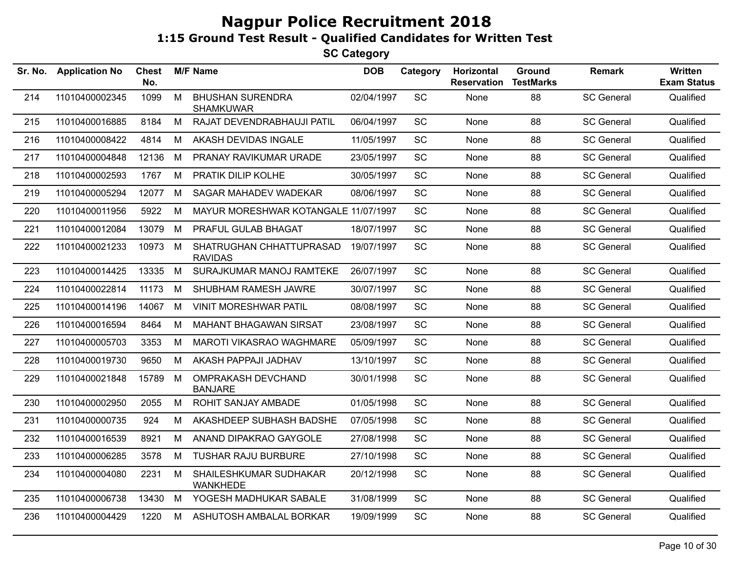| Sr. No. | <b>Application No</b> | <b>Chest</b><br>No. |   | <b>M/F Name</b>                             | <b>DOB</b> | Category  | Horizontal<br><b>Reservation</b> | Ground<br><b>TestMarks</b> | <b>Remark</b>     | Written<br><b>Exam Status</b> |
|---------|-----------------------|---------------------|---|---------------------------------------------|------------|-----------|----------------------------------|----------------------------|-------------------|-------------------------------|
| 214     | 11010400002345        | 1099                | M | <b>BHUSHAN SURENDRA</b><br><b>SHAMKUWAR</b> | 02/04/1997 | SC        | None                             | 88                         | <b>SC General</b> | Qualified                     |
| 215     | 11010400016885        | 8184                | М | RAJAT DEVENDRABHAUJI PATIL                  | 06/04/1997 | <b>SC</b> | None                             | 88                         | <b>SC General</b> | Qualified                     |
| 216     | 11010400008422        | 4814                | М | AKASH DEVIDAS INGALE                        | 11/05/1997 | <b>SC</b> | None                             | 88                         | <b>SC General</b> | Qualified                     |
| 217     | 11010400004848        | 12136               | M | PRANAY RAVIKUMAR URADE                      | 23/05/1997 | SC        | None                             | 88                         | <b>SC General</b> | Qualified                     |
| 218     | 11010400002593        | 1767                | M | PRATIK DILIP KOLHE                          | 30/05/1997 | SC        | <b>None</b>                      | 88                         | <b>SC General</b> | Qualified                     |
| 219     | 11010400005294        | 12077               | M | SAGAR MAHADEV WADEKAR                       | 08/06/1997 | SC        | None                             | 88                         | <b>SC General</b> | Qualified                     |
| 220     | 11010400011956        | 5922                | м | MAYUR MORESHWAR KOTANGALE 11/07/1997        |            | <b>SC</b> | <b>None</b>                      | 88                         | <b>SC General</b> | Qualified                     |
| 221     | 11010400012084        | 13079               | M | PRAFUL GULAB BHAGAT                         | 18/07/1997 | SC        | None                             | 88                         | <b>SC General</b> | Qualified                     |
| 222     | 11010400021233        | 10973               | M | SHATRUGHAN CHHATTUPRASAD<br><b>RAVIDAS</b>  | 19/07/1997 | SC        | None                             | 88                         | <b>SC General</b> | Qualified                     |
| 223     | 11010400014425        | 13335               | M | SURAJKUMAR MANOJ RAMTEKE                    | 26/07/1997 | SC        | None                             | 88                         | <b>SC General</b> | Qualified                     |
| 224     | 11010400022814        | 11173               | M | SHUBHAM RAMESH JAWRE                        | 30/07/1997 | SC        | None                             | 88                         | <b>SC General</b> | Qualified                     |
| 225     | 11010400014196        | 14067               | M | <b>VINIT MORESHWAR PATIL</b>                | 08/08/1997 | SC        | None                             | 88                         | <b>SC General</b> | Qualified                     |
| 226     | 11010400016594        | 8464                | M | <b>MAHANT BHAGAWAN SIRSAT</b>               | 23/08/1997 | <b>SC</b> | <b>None</b>                      | 88                         | <b>SC General</b> | Qualified                     |
| 227     | 11010400005703        | 3353                | М | MAROTI VIKASRAO WAGHMARE                    | 05/09/1997 | SC        | None                             | 88                         | <b>SC General</b> | Qualified                     |
| 228     | 11010400019730        | 9650                | М | AKASH PAPPAJI JADHAV                        | 13/10/1997 | <b>SC</b> | None                             | 88                         | <b>SC General</b> | Qualified                     |
| 229     | 11010400021848        | 15789               | M | OMPRAKASH DEVCHAND<br><b>BANJARE</b>        | 30/01/1998 | SC        | None                             | 88                         | <b>SC General</b> | Qualified                     |
| 230     | 11010400002950        | 2055                | M | ROHIT SANJAY AMBADE                         | 01/05/1998 | <b>SC</b> | None                             | 88                         | <b>SC General</b> | Qualified                     |
| 231     | 11010400000735        | 924                 | M | AKASHDEEP SUBHASH BADSHE                    | 07/05/1998 | SC        | None                             | 88                         | <b>SC General</b> | Qualified                     |
| 232     | 11010400016539        | 8921                | M | ANAND DIPAKRAO GAYGOLE                      | 27/08/1998 | SC        | None                             | 88                         | <b>SC General</b> | Qualified                     |
| 233     | 11010400006285        | 3578                | M | <b>TUSHAR RAJU BURBURE</b>                  | 27/10/1998 | SC        | None                             | 88                         | <b>SC General</b> | Qualified                     |
| 234     | 11010400004080        | 2231                | M | SHAILESHKUMAR SUDHAKAR<br><b>WANKHEDE</b>   | 20/12/1998 | SC        | None                             | 88                         | <b>SC General</b> | Qualified                     |
| 235     | 11010400006738        | 13430               | M | YOGESH MADHUKAR SABALE                      | 31/08/1999 | SC        | None                             | 88                         | <b>SC General</b> | Qualified                     |
| 236     | 11010400004429        | 1220                | M | ASHUTOSH AMBALAL BORKAR                     | 19/09/1999 | SC        | None                             | 88                         | <b>SC General</b> | Qualified                     |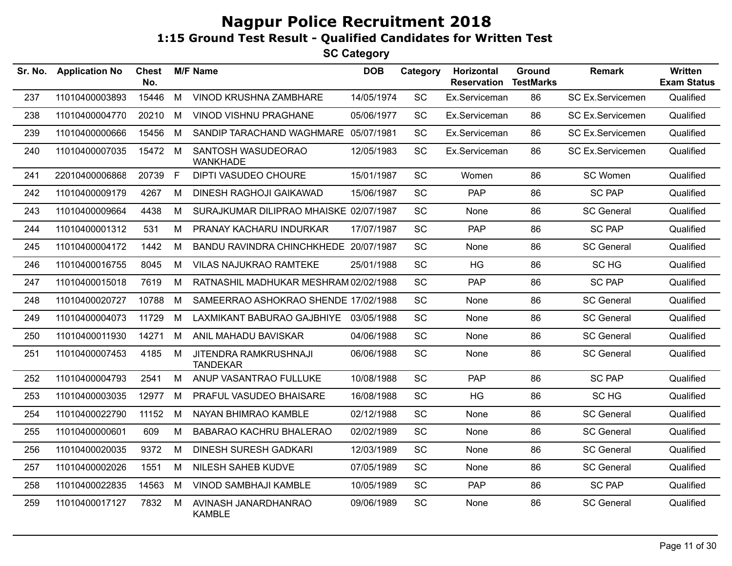| Sr. No. | <b>Application No</b> | <b>Chest</b><br>No. |   | <b>M/F Name</b>                          | <b>DOB</b> | Category  | Horizontal<br><b>Reservation</b> | Ground<br><b>TestMarks</b> | <b>Remark</b>           | <b>Written</b><br><b>Exam Status</b> |
|---------|-----------------------|---------------------|---|------------------------------------------|------------|-----------|----------------------------------|----------------------------|-------------------------|--------------------------------------|
| 237     | 11010400003893        | 15446               | M | VINOD KRUSHNA ZAMBHARE                   | 14/05/1974 | <b>SC</b> | Ex.Serviceman                    | 86                         | <b>SC Ex.Servicemen</b> | Qualified                            |
| 238     | 11010400004770        | 20210               | M | VINOD VISHNU PRAGHANE                    | 05/06/1977 | <b>SC</b> | Ex.Serviceman                    | 86                         | <b>SC Ex.Servicemen</b> | Qualified                            |
| 239     | 11010400000666        | 15456               | M | SANDIP TARACHAND WAGHMARE 05/07/1981     |            | SC        | Ex.Serviceman                    | 86                         | SC Ex.Servicemen        | Qualified                            |
| 240     | 11010400007035        | 15472 M             |   | SANTOSH WASUDEORAO<br><b>WANKHADE</b>    | 12/05/1983 | SC        | Ex.Serviceman                    | 86                         | SC Ex.Servicemen        | Qualified                            |
| 241     | 22010400006868        | 20739               | F | <b>DIPTI VASUDEO CHOURE</b>              | 15/01/1987 | <b>SC</b> | Women                            | 86                         | SC Women                | Qualified                            |
| 242     | 11010400009179        | 4267                | M | <b>DINESH RAGHOJI GAIKAWAD</b>           | 15/06/1987 | <b>SC</b> | <b>PAP</b>                       | 86                         | <b>SC PAP</b>           | Qualified                            |
| 243     | 11010400009664        | 4438                | M | SURAJKUMAR DILIPRAO MHAISKE 02/07/1987   |            | <b>SC</b> | None                             | 86                         | <b>SC General</b>       | Qualified                            |
| 244     | 11010400001312        | 531                 | M | PRANAY KACHARU INDURKAR                  | 17/07/1987 | SC        | <b>PAP</b>                       | 86                         | <b>SC PAP</b>           | Qualified                            |
| 245     | 11010400004172        | 1442                | М | BANDU RAVINDRA CHINCHKHEDE 20/07/1987    |            | SC        | None                             | 86                         | <b>SC General</b>       | Qualified                            |
| 246     | 11010400016755        | 8045                | M | <b>VILAS NAJUKRAO RAMTEKE</b>            | 25/01/1988 | <b>SC</b> | HG                               | 86                         | SC HG                   | Qualified                            |
| 247     | 11010400015018        | 7619                | M | RATNASHIL MADHUKAR MESHRAM 02/02/1988    |            | SC        | PAP                              | 86                         | <b>SC PAP</b>           | Qualified                            |
| 248     | 11010400020727        | 10788               | M | SAMEERRAO ASHOKRAO SHENDE 17/02/1988     |            | <b>SC</b> | None                             | 86                         | <b>SC General</b>       | Qualified                            |
| 249     | 11010400004073        | 11729               | M | LAXMIKANT BABURAO GAJBHIYE 03/05/1988    |            | SC        | None                             | 86                         | <b>SC General</b>       | Qualified                            |
| 250     | 11010400011930        | 14271               | M | ANIL MAHADU BAVISKAR                     | 04/06/1988 | SC        | None                             | 86                         | <b>SC General</b>       | Qualified                            |
| 251     | 11010400007453        | 4185                | M | JITENDRA RAMKRUSHNAJI<br><b>TANDEKAR</b> | 06/06/1988 | <b>SC</b> | None                             | 86                         | <b>SC General</b>       | Qualified                            |
| 252     | 11010400004793        | 2541                | M | ANUP VASANTRAO FULLUKE                   | 10/08/1988 | <b>SC</b> | <b>PAP</b>                       | 86                         | <b>SC PAP</b>           | Qualified                            |
| 253     | 11010400003035        | 12977               | M | PRAFUL VASUDEO BHAISARE                  | 16/08/1988 | <b>SC</b> | <b>HG</b>                        | 86                         | SC HG                   | Qualified                            |
| 254     | 11010400022790        | 11152               | M | NAYAN BHIMRAO KAMBLE                     | 02/12/1988 | SC        | None                             | 86                         | <b>SC General</b>       | Qualified                            |
| 255     | 11010400000601        | 609                 | M | <b>BABARAO KACHRU BHALERAO</b>           | 02/02/1989 | SC        | None                             | 86                         | <b>SC General</b>       | Qualified                            |
| 256     | 11010400020035        | 9372                | M | <b>DINESH SURESH GADKARI</b>             | 12/03/1989 | <b>SC</b> | None                             | 86                         | <b>SC General</b>       | Qualified                            |
| 257     | 11010400002026        | 1551                | M | NILESH SAHEB KUDVE                       | 07/05/1989 | SC        | None                             | 86                         | <b>SC General</b>       | Qualified                            |
| 258     | 11010400022835        | 14563               | M | <b>VINOD SAMBHAJI KAMBLE</b>             | 10/05/1989 | <b>SC</b> | PAP                              | 86                         | <b>SC PAP</b>           | Qualified                            |
| 259     | 11010400017127        | 7832                | M | AVINASH JANARDHANRAO<br><b>KAMBLE</b>    | 09/06/1989 | <b>SC</b> | None                             | 86                         | <b>SC General</b>       | Qualified                            |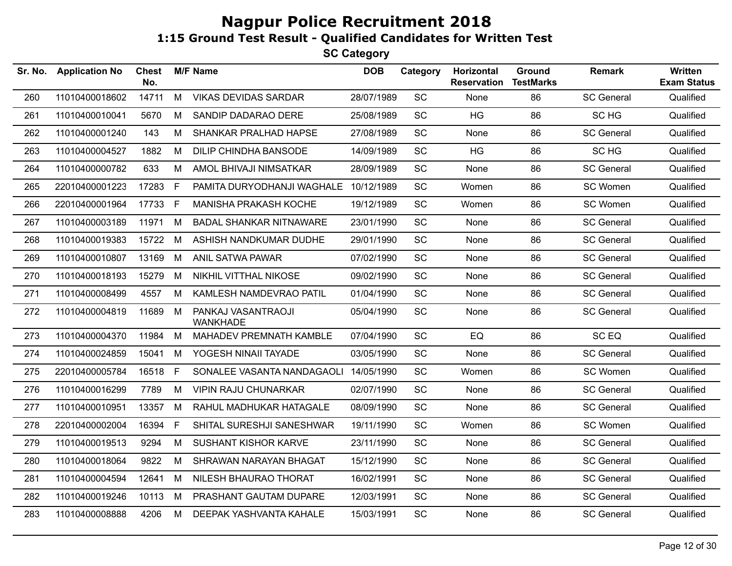| Sr. No. | <b>Application No</b> | <b>Chest</b><br>No. |    | <b>M/F Name</b>                       | <b>DOB</b> | Category  | Horizontal<br><b>Reservation</b> | Ground<br><b>TestMarks</b> | <b>Remark</b>     | Written<br><b>Exam Status</b> |
|---------|-----------------------|---------------------|----|---------------------------------------|------------|-----------|----------------------------------|----------------------------|-------------------|-------------------------------|
| 260     | 11010400018602        | 14711               | M  | <b>VIKAS DEVIDAS SARDAR</b>           | 28/07/1989 | SC        | None                             | 86                         | <b>SC General</b> | Qualified                     |
| 261     | 11010400010041        | 5670                | M  | SANDIP DADARAO DERE                   | 25/08/1989 | <b>SC</b> | HG                               | 86                         | SC HG             | Qualified                     |
| 262     | 11010400001240        | 143                 | M  | SHANKAR PRALHAD HAPSE                 | 27/08/1989 | <b>SC</b> | None                             | 86                         | <b>SC General</b> | Qualified                     |
| 263     | 11010400004527        | 1882                | M  | <b>DILIP CHINDHA BANSODE</b>          | 14/09/1989 | SC        | HG                               | 86                         | SC HG             | Qualified                     |
| 264     | 11010400000782        | 633                 | М  | AMOL BHIVAJI NIMSATKAR                | 28/09/1989 | SC        | None                             | 86                         | <b>SC General</b> | Qualified                     |
| 265     | 22010400001223        | 17283               | F. | PAMITA DURYODHANJI WAGHALE            | 10/12/1989 | SC        | Women                            | 86                         | SC Women          | Qualified                     |
| 266     | 22010400001964        | 17733 F             |    | <b>MANISHA PRAKASH KOCHE</b>          | 19/12/1989 | SC        | Women                            | 86                         | SC Women          | Qualified                     |
| 267     | 11010400003189        | 11971               | M  | <b>BADAL SHANKAR NITNAWARE</b>        | 23/01/1990 | <b>SC</b> | None                             | 86                         | <b>SC General</b> | Qualified                     |
| 268     | 11010400019383        | 15722 M             |    | ASHISH NANDKUMAR DUDHE                | 29/01/1990 | <b>SC</b> | None                             | 86                         | <b>SC General</b> | Qualified                     |
| 269     | 11010400010807        | 13169               | M  | <b>ANIL SATWA PAWAR</b>               | 07/02/1990 | SC        | None                             | 86                         | <b>SC General</b> | Qualified                     |
| 270     | 11010400018193        | 15279               | M  | NIKHIL VITTHAL NIKOSE                 | 09/02/1990 | SC        | None                             | 86                         | <b>SC General</b> | Qualified                     |
| 271     | 11010400008499        | 4557                | M  | KAMLESH NAMDEVRAO PATIL               | 01/04/1990 | SC        | None                             | 86                         | <b>SC General</b> | Qualified                     |
| 272     | 11010400004819        | 11689               | M  | PANKAJ VASANTRAOJI<br><b>WANKHADE</b> | 05/04/1990 | SC        | None                             | 86                         | <b>SC General</b> | Qualified                     |
| 273     | 11010400004370        | 11984               | M  | MAHADEV PREMNATH KAMBLE               | 07/04/1990 | <b>SC</b> | EQ                               | 86                         | SC <sub>EQ</sub>  | Qualified                     |
| 274     | 11010400024859        | 15041               | M  | YOGESH NINAII TAYADE                  | 03/05/1990 | <b>SC</b> | None                             | 86                         | <b>SC General</b> | Qualified                     |
| 275     | 22010400005784        | 16518               | F  | SONALEE VASANTA NANDAGAOLI            | 14/05/1990 | SC        | Women                            | 86                         | SC Women          | Qualified                     |
| 276     | 11010400016299        | 7789                | M  | <b>VIPIN RAJU CHUNARKAR</b>           | 02/07/1990 | SC        | None                             | 86                         | <b>SC General</b> | Qualified                     |
| 277     | 11010400010951        | 13357               | M  | RAHUL MADHUKAR HATAGALE               | 08/09/1990 | SC        | None                             | 86                         | <b>SC General</b> | Qualified                     |
| 278     | 22010400002004        | 16394               | F. | SHITAL SURESHJI SANESHWAR             | 19/11/1990 | SC        | Women                            | 86                         | SC Women          | Qualified                     |
| 279     | 11010400019513        | 9294                | M  | <b>SUSHANT KISHOR KARVE</b>           | 23/11/1990 | SC        | None                             | 86                         | <b>SC General</b> | Qualified                     |
| 280     | 11010400018064        | 9822                | M  | SHRAWAN NARAYAN BHAGAT                | 15/12/1990 | <b>SC</b> | None                             | 86                         | <b>SC General</b> | Qualified                     |
| 281     | 11010400004594        | 12641               | M  | NILESH BHAURAO THORAT                 | 16/02/1991 | SC        | None                             | 86                         | <b>SC General</b> | Qualified                     |
| 282     | 11010400019246        | 10113               | M  | PRASHANT GAUTAM DUPARE                | 12/03/1991 | SC        | None                             | 86                         | <b>SC General</b> | Qualified                     |
| 283     | 11010400008888        | 4206                | M  | DEEPAK YASHVANTA KAHALE               | 15/03/1991 | SC        | None                             | 86                         | <b>SC General</b> | Qualified                     |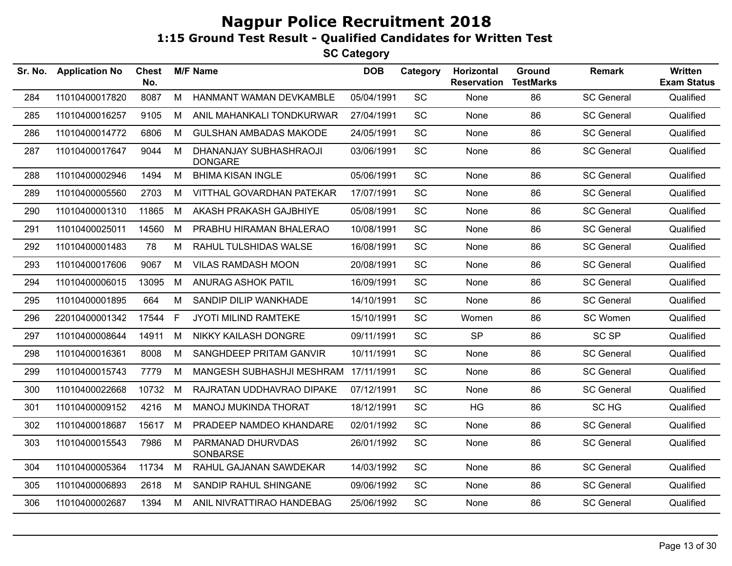| Sr. No. | <b>Application No</b> | <b>Chest</b><br>No. |    | <b>M/F Name</b>                          | <b>DOB</b> | Category  | Horizontal<br><b>Reservation</b> | Ground<br><b>TestMarks</b> | <b>Remark</b>     | Written<br><b>Exam Status</b> |
|---------|-----------------------|---------------------|----|------------------------------------------|------------|-----------|----------------------------------|----------------------------|-------------------|-------------------------------|
| 284     | 11010400017820        | 8087                | м  | HANMANT WAMAN DEVKAMBLE                  | 05/04/1991 | SC        | None                             | 86                         | <b>SC General</b> | Qualified                     |
| 285     | 11010400016257        | 9105                | М  | ANIL MAHANKALI TONDKURWAR                | 27/04/1991 | <b>SC</b> | None                             | 86                         | <b>SC General</b> | Qualified                     |
| 286     | 11010400014772        | 6806                | M  | <b>GULSHAN AMBADAS MAKODE</b>            | 24/05/1991 | SC        | None                             | 86                         | <b>SC General</b> | Qualified                     |
| 287     | 11010400017647        | 9044                | M  | DHANANJAY SUBHASHRAOJI<br><b>DONGARE</b> | 03/06/1991 | SC        | None                             | 86                         | <b>SC General</b> | Qualified                     |
| 288     | 11010400002946        | 1494                | M  | <b>BHIMA KISAN INGLE</b>                 | 05/06/1991 | SC        | None                             | 86                         | <b>SC General</b> | Qualified                     |
| 289     | 11010400005560        | 2703                | M  | VITTHAL GOVARDHAN PATEKAR                | 17/07/1991 | SC        | None                             | 86                         | <b>SC General</b> | Qualified                     |
| 290     | 11010400001310        | 11865               | M  | AKASH PRAKASH GAJBHIYE                   | 05/08/1991 | SC        | None                             | 86                         | <b>SC General</b> | Qualified                     |
| 291     | 11010400025011        | 14560               | M  | PRABHU HIRAMAN BHALERAO                  | 10/08/1991 | SC        | None                             | 86                         | <b>SC General</b> | Qualified                     |
| 292     | 11010400001483        | 78                  | М  | RAHUL TULSHIDAS WALSE                    | 16/08/1991 | <b>SC</b> | None                             | 86                         | <b>SC General</b> | Qualified                     |
| 293     | 11010400017606        | 9067                | М  | <b>VILAS RAMDASH MOON</b>                | 20/08/1991 | SC        | None                             | 86                         | <b>SC General</b> | Qualified                     |
| 294     | 11010400006015        | 13095               | M  | <b>ANURAG ASHOK PATIL</b>                | 16/09/1991 | SC        | None                             | 86                         | <b>SC General</b> | Qualified                     |
| 295     | 11010400001895        | 664                 | M  | SANDIP DILIP WANKHADE                    | 14/10/1991 | <b>SC</b> | None                             | 86                         | <b>SC General</b> | Qualified                     |
| 296     | 22010400001342        | 17544               | F. | JYOTI MILIND RAMTEKE                     | 15/10/1991 | <b>SC</b> | Women                            | 86                         | SC Women          | Qualified                     |
| 297     | 11010400008644        | 14911               | M  | NIKKY KAILASH DONGRE                     | 09/11/1991 | <b>SC</b> | <b>SP</b>                        | 86                         | <b>SC SP</b>      | Qualified                     |
| 298     | 11010400016361        | 8008                | м  | SANGHDEEP PRITAM GANVIR                  | 10/11/1991 | <b>SC</b> | None                             | 86                         | <b>SC General</b> | Qualified                     |
| 299     | 11010400015743        | 7779                | м  | MANGESH SUBHASHJI MESHRAM                | 17/11/1991 | SC        | None                             | 86                         | <b>SC General</b> | Qualified                     |
| 300     | 11010400022668        | 10732               | M  | RAJRATAN UDDHAVRAO DIPAKE                | 07/12/1991 | <b>SC</b> | None                             | 86                         | <b>SC General</b> | Qualified                     |
| 301     | 11010400009152        | 4216                | M  | <b>MANOJ MUKINDA THORAT</b>              | 18/12/1991 | <b>SC</b> | <b>HG</b>                        | 86                         | SC HG             | Qualified                     |
| 302     | 11010400018687        | 15617               | M  | PRADEEP NAMDEO KHANDARE                  | 02/01/1992 | <b>SC</b> | None                             | 86                         | <b>SC General</b> | Qualified                     |
| 303     | 11010400015543        | 7986                | M  | PARMANAD DHURVDAS<br><b>SONBARSE</b>     | 26/01/1992 | SC        | None                             | 86                         | <b>SC General</b> | Qualified                     |
| 304     | 11010400005364        | 11734               | M  | RAHUL GAJANAN SAWDEKAR                   | 14/03/1992 | <b>SC</b> | None                             | 86                         | <b>SC General</b> | Qualified                     |
| 305     | 11010400006893        | 2618                | М  | SANDIP RAHUL SHINGANE                    | 09/06/1992 | <b>SC</b> | None                             | 86                         | <b>SC General</b> | Qualified                     |
| 306     | 11010400002687        | 1394                | М  | ANIL NIVRATTIRAO HANDEBAG                | 25/06/1992 | SC        | None                             | 86                         | <b>SC General</b> | Qualified                     |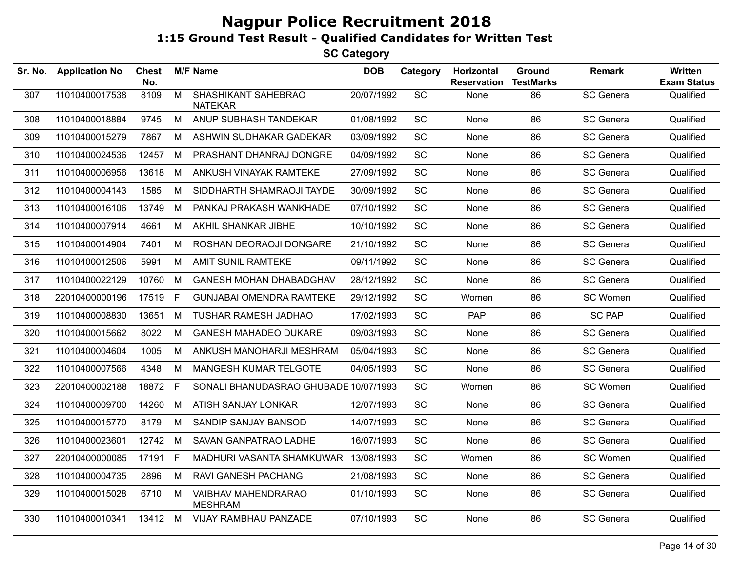| Sr. No. | <b>Application No</b> | <b>Chest</b><br>No. |                | <b>M/F Name</b>                              | <b>DOB</b> | Category  | Horizontal<br><b>Reservation</b> | Ground<br><b>TestMarks</b> | <b>Remark</b>     | Written<br><b>Exam Status</b> |
|---------|-----------------------|---------------------|----------------|----------------------------------------------|------------|-----------|----------------------------------|----------------------------|-------------------|-------------------------------|
| 307     | 11010400017538        | 8109                | $\overline{M}$ | <b>SHASHIKANT SAHEBRAO</b><br><b>NATEKAR</b> | 20/07/1992 | SC        | None                             | 86                         | <b>SC General</b> | Qualified                     |
| 308     | 11010400018884        | 9745                | M              | ANUP SUBHASH TANDEKAR                        | 01/08/1992 | SC        | None                             | 86                         | <b>SC General</b> | Qualified                     |
| 309     | 11010400015279        | 7867                | M              | ASHWIN SUDHAKAR GADEKAR                      | 03/09/1992 | SC        | None                             | 86                         | <b>SC General</b> | Qualified                     |
| 310     | 11010400024536        | 12457               | M              | PRASHANT DHANRAJ DONGRE                      | 04/09/1992 | SC        | None                             | 86                         | <b>SC General</b> | Qualified                     |
| 311     | 11010400006956        | 13618               | M              | ANKUSH VINAYAK RAMTEKE                       | 27/09/1992 | SC        | None                             | 86                         | <b>SC General</b> | Qualified                     |
| 312     | 11010400004143        | 1585                | M              | SIDDHARTH SHAMRAOJI TAYDE                    | 30/09/1992 | <b>SC</b> | None                             | 86                         | <b>SC General</b> | Qualified                     |
| 313     | 11010400016106        | 13749               | M              | PANKAJ PRAKASH WANKHADE                      | 07/10/1992 | SC        | None                             | 86                         | <b>SC General</b> | Qualified                     |
| 314     | 11010400007914        | 4661                | M              | AKHIL SHANKAR JIBHE                          | 10/10/1992 | SC        | None                             | 86                         | <b>SC General</b> | Qualified                     |
| 315     | 11010400014904        | 7401                | M              | ROSHAN DEORAOJI DONGARE                      | 21/10/1992 | SC        | <b>None</b>                      | 86                         | <b>SC General</b> | Qualified                     |
| 316     | 11010400012506        | 5991                | M              | AMIT SUNIL RAMTEKE                           | 09/11/1992 | SC        | None                             | 86                         | <b>SC General</b> | Qualified                     |
| 317     | 11010400022129        | 10760               | M              | <b>GANESH MOHAN DHABADGHAV</b>               | 28/12/1992 | SC        | None                             | 86                         | <b>SC General</b> | Qualified                     |
| 318     | 22010400000196        | 17519               | F              | <b>GUNJABAI OMENDRA RAMTEKE</b>              | 29/12/1992 | SC        | Women                            | 86                         | SC Women          | Qualified                     |
| 319     | 11010400008830        | 13651               | M              | <b>TUSHAR RAMESH JADHAO</b>                  | 17/02/1993 | SC        | <b>PAP</b>                       | 86                         | <b>SC PAP</b>     | Qualified                     |
| 320     | 11010400015662        | 8022                | M              | <b>GANESH MAHADEO DUKARE</b>                 | 09/03/1993 | SC        | None                             | 86                         | <b>SC General</b> | Qualified                     |
| 321     | 11010400004604        | 1005                | М              | ANKUSH MANOHARJI MESHRAM                     | 05/04/1993 | SC        | None                             | 86                         | <b>SC General</b> | Qualified                     |
| 322     | 11010400007566        | 4348                | М              | MANGESH KUMAR TELGOTE                        | 04/05/1993 | <b>SC</b> | <b>None</b>                      | 86                         | <b>SC General</b> | Qualified                     |
| 323     | 22010400002188        | 18872               | E              | SONALI BHANUDASRAO GHUBADE 10/07/1993        |            | SC        | Women                            | 86                         | SC Women          | Qualified                     |
| 324     | 11010400009700        | 14260               | M              | ATISH SANJAY LONKAR                          | 12/07/1993 | SC        | None                             | 86                         | <b>SC General</b> | Qualified                     |
| 325     | 11010400015770        | 8179                | M              | SANDIP SANJAY BANSOD                         | 14/07/1993 | SC        | None                             | 86                         | <b>SC General</b> | Qualified                     |
| 326     | 11010400023601        | 12742               | M              | SAVAN GANPATRAO LADHE                        | 16/07/1993 | SC        | None                             | 86                         | <b>SC General</b> | Qualified                     |
| 327     | 22010400000085        | 17191               | F              | MADHURI VASANTA SHAMKUWAR 13/08/1993         |            | SC        | Women                            | 86                         | SC Women          | Qualified                     |
| 328     | 11010400004735        | 2896                | М              | RAVI GANESH PACHANG                          | 21/08/1993 | SC        | None                             | 86                         | <b>SC General</b> | Qualified                     |
| 329     | 11010400015028        | 6710                | M              | VAIBHAV MAHENDRARAO<br><b>MESHRAM</b>        | 01/10/1993 | <b>SC</b> | <b>None</b>                      | 86                         | <b>SC General</b> | Qualified                     |
| 330     | 11010400010341        | 13412 M             |                | <b>VIJAY RAMBHAU PANZADE</b>                 | 07/10/1993 | <b>SC</b> | None                             | 86                         | <b>SC General</b> | Qualified                     |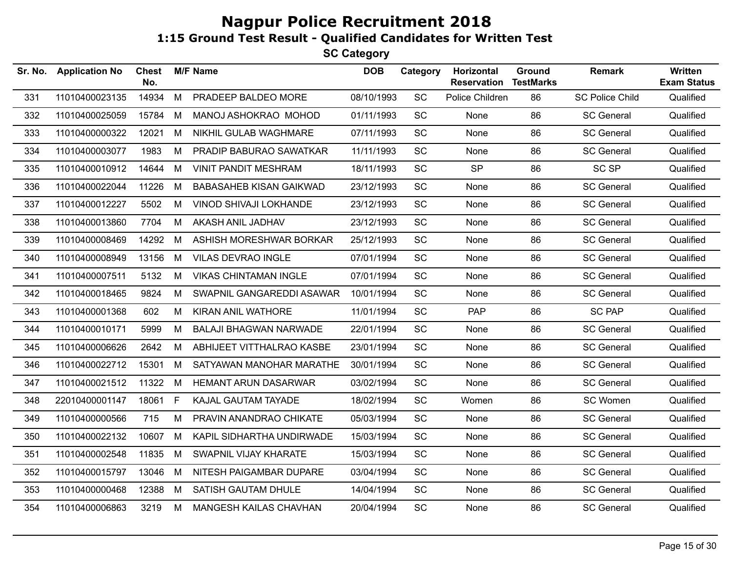| Sr. No. | <b>Application No</b> | <b>Chest</b><br>No. |   | <b>M/F Name</b>                | <b>DOB</b> | Category  | Horizontal<br><b>Reservation</b> | Ground<br><b>TestMarks</b> | <b>Remark</b>          | Written<br><b>Exam Status</b> |
|---------|-----------------------|---------------------|---|--------------------------------|------------|-----------|----------------------------------|----------------------------|------------------------|-------------------------------|
| 331     | 11010400023135        | 14934               | M | PRADEEP BALDEO MORE            | 08/10/1993 | SC        | Police Children                  | 86                         | <b>SC Police Child</b> | Qualified                     |
| 332     | 11010400025059        | 15784               | M | MANOJ ASHOKRAO MOHOD           | 01/11/1993 | SC        | None                             | 86                         | <b>SC General</b>      | Qualified                     |
| 333     | 11010400000322        | 12021               | M | NIKHIL GULAB WAGHMARE          | 07/11/1993 | SC        | None                             | 86                         | <b>SC General</b>      | Qualified                     |
| 334     | 11010400003077        | 1983                | M | PRADIP BABURAO SAWATKAR        | 11/11/1993 | <b>SC</b> | None                             | 86                         | <b>SC General</b>      | Qualified                     |
| 335     | 11010400010912        | 14644               | M | <b>VINIT PANDIT MESHRAM</b>    | 18/11/1993 | SC        | <b>SP</b>                        | 86                         | <b>SC SP</b>           | Qualified                     |
| 336     | 11010400022044        | 11226               | M | <b>BABASAHEB KISAN GAIKWAD</b> | 23/12/1993 | SC        | None                             | 86                         | <b>SC General</b>      | Qualified                     |
| 337     | 11010400012227        | 5502                | М | VINOD SHIVAJI LOKHANDE         | 23/12/1993 | <b>SC</b> | None                             | 86                         | <b>SC General</b>      | Qualified                     |
| 338     | 11010400013860        | 7704                | M | AKASH ANIL JADHAV              | 23/12/1993 | SC        | None                             | 86                         | <b>SC General</b>      | Qualified                     |
| 339     | 11010400008469        | 14292               | М | ASHISH MORESHWAR BORKAR        | 25/12/1993 | <b>SC</b> | None                             | 86                         | <b>SC General</b>      | Qualified                     |
| 340     | 11010400008949        | 13156               | M | <b>VILAS DEVRAO INGLE</b>      | 07/01/1994 | <b>SC</b> | None                             | 86                         | <b>SC General</b>      | Qualified                     |
| 341     | 11010400007511        | 5132                | M | <b>VIKAS CHINTAMAN INGLE</b>   | 07/01/1994 | SC        | None                             | 86                         | <b>SC General</b>      | Qualified                     |
| 342     | 11010400018465        | 9824                | M | SWAPNIL GANGAREDDI ASAWAR      | 10/01/1994 | SC        | None                             | 86                         | <b>SC General</b>      | Qualified                     |
| 343     | 11010400001368        | 602                 | M | KIRAN ANIL WATHORE             | 11/01/1994 | SC        | PAP                              | 86                         | <b>SC PAP</b>          | Qualified                     |
| 344     | 11010400010171        | 5999                | М | <b>BALAJI BHAGWAN NARWADE</b>  | 22/01/1994 | SC        | None                             | 86                         | <b>SC General</b>      | Qualified                     |
| 345     | 11010400006626        | 2642                | М | ABHIJEET VITTHALRAO KASBE      | 23/01/1994 | <b>SC</b> | None                             | 86                         | <b>SC General</b>      | Qualified                     |
| 346     | 11010400022712        | 15301               | M | SATYAWAN MANOHAR MARATHE       | 30/01/1994 | <b>SC</b> | None                             | 86                         | <b>SC General</b>      | Qualified                     |
| 347     | 11010400021512        | 11322               | M | <b>HEMANT ARUN DASARWAR</b>    | 03/02/1994 | <b>SC</b> | None                             | 86                         | <b>SC General</b>      | Qualified                     |
| 348     | 22010400001147        | 18061               | F | KAJAL GAUTAM TAYADE            | 18/02/1994 | <b>SC</b> | Women                            | 86                         | SC Women               | Qualified                     |
| 349     | 11010400000566        | 715                 | м | PRAVIN ANANDRAO CHIKATE        | 05/03/1994 | SC        | None                             | 86                         | <b>SC General</b>      | Qualified                     |
| 350     | 11010400022132        | 10607               | M | KAPIL SIDHARTHA UNDIRWADE      | 15/03/1994 | SC        | None                             | 86                         | <b>SC General</b>      | Qualified                     |
| 351     | 11010400002548        | 11835               | M | SWAPNIL VIJAY KHARATE          | 15/03/1994 | SC        | None                             | 86                         | <b>SC General</b>      | Qualified                     |
| 352     | 11010400015797        | 13046               | M | NITESH PAIGAMBAR DUPARE        | 03/04/1994 | SC        | None                             | 86                         | <b>SC General</b>      | Qualified                     |
| 353     | 11010400000468        | 12388               | M | SATISH GAUTAM DHULE            | 14/04/1994 | SC        | None                             | 86                         | <b>SC General</b>      | Qualified                     |
| 354     | 11010400006863        | 3219                | M | <b>MANGESH KAILAS CHAVHAN</b>  | 20/04/1994 | <b>SC</b> | None                             | 86                         | <b>SC General</b>      | Qualified                     |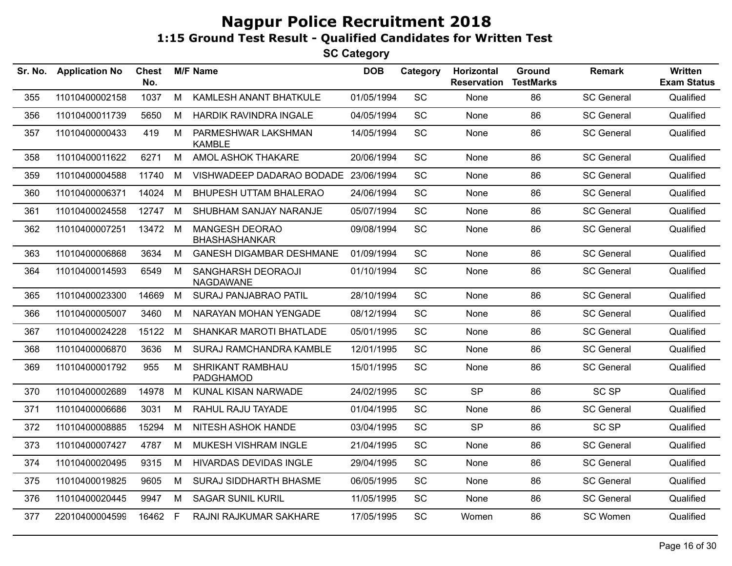| Sr. No. | <b>Application No</b> | <b>Chest</b><br>No. |   | <b>M/F Name</b>                               | <b>DOB</b> | Category  | Horizontal<br><b>Reservation</b> | Ground<br><b>TestMarks</b> | <b>Remark</b>     | Written<br><b>Exam Status</b> |
|---------|-----------------------|---------------------|---|-----------------------------------------------|------------|-----------|----------------------------------|----------------------------|-------------------|-------------------------------|
| 355     | 11010400002158        | 1037                | M | KAMLESH ANANT BHATKULE                        | 01/05/1994 | SC        | None                             | 86                         | <b>SC General</b> | Qualified                     |
| 356     | 11010400011739        | 5650                | М | HARDIK RAVINDRA INGALE                        | 04/05/1994 | SC        | None                             | 86                         | <b>SC General</b> | Qualified                     |
| 357     | 11010400000433        | 419                 | M | PARMESHWAR LAKSHMAN<br><b>KAMBLE</b>          | 14/05/1994 | SC        | None                             | 86                         | <b>SC General</b> | Qualified                     |
| 358     | 11010400011622        | 6271                | M | AMOL ASHOK THAKARE                            | 20/06/1994 | <b>SC</b> | None                             | 86                         | <b>SC General</b> | Qualified                     |
| 359     | 11010400004588        | 11740               | M | VISHWADEEP DADARAO BODADE 23/06/1994          |            | <b>SC</b> | None                             | 86                         | <b>SC General</b> | Qualified                     |
| 360     | 11010400006371        | 14024               | M | <b>BHUPESH UTTAM BHALERAO</b>                 | 24/06/1994 | SC        | None                             | 86                         | <b>SC General</b> | Qualified                     |
| 361     | 11010400024558        | 12747               | M | SHUBHAM SANJAY NARANJE                        | 05/07/1994 | SC        | None                             | 86                         | <b>SC General</b> | Qualified                     |
| 362     | 11010400007251        | 13472 M             |   | <b>MANGESH DEORAO</b><br><b>BHASHASHANKAR</b> | 09/08/1994 | SC        | None                             | 86                         | <b>SC General</b> | Qualified                     |
| 363     | 11010400006868        | 3634                | M | <b>GANESH DIGAMBAR DESHMANE</b>               | 01/09/1994 | SC        | None                             | 86                         | <b>SC General</b> | Qualified                     |
| 364     | 11010400014593        | 6549                | М | SANGHARSH DEORAOJI<br>NAGDAWANE               | 01/10/1994 | SC        | <b>None</b>                      | 86                         | <b>SC General</b> | Qualified                     |
| 365     | 11010400023300        | 14669               | M | SURAJ PANJABRAO PATIL                         | 28/10/1994 | <b>SC</b> | None                             | 86                         | <b>SC General</b> | Qualified                     |
| 366     | 11010400005007        | 3460                | М | NARAYAN MOHAN YENGADE                         | 08/12/1994 | SC        | None                             | 86                         | <b>SC General</b> | Qualified                     |
| 367     | 11010400024228        | 15122               | M | SHANKAR MAROTI BHATLADE                       | 05/01/1995 | SC        | None                             | 86                         | <b>SC General</b> | Qualified                     |
| 368     | 11010400006870        | 3636                | M | SURAJ RAMCHANDRA KAMBLE                       | 12/01/1995 | <b>SC</b> | None                             | 86                         | <b>SC General</b> | Qualified                     |
| 369     | 11010400001792        | 955                 | M | <b>SHRIKANT RAMBHAU</b><br><b>PADGHAMOD</b>   | 15/01/1995 | SC        | None                             | 86                         | <b>SC General</b> | Qualified                     |
| 370     | 11010400002689        | 14978               | M | KUNAL KISAN NARWADE                           | 24/02/1995 | SC        | <b>SP</b>                        | 86                         | SC <sub>SP</sub>  | Qualified                     |
| 371     | 11010400006686        | 3031                | M | RAHUL RAJU TAYADE                             | 01/04/1995 | SC        | None                             | 86                         | <b>SC General</b> | Qualified                     |
| 372     | 11010400008885        | 15294               | M | <b>NITESH ASHOK HANDE</b>                     | 03/04/1995 | SC        | <b>SP</b>                        | 86                         | <b>SC SP</b>      | Qualified                     |
| 373     | 11010400007427        | 4787                | M | MUKESH VISHRAM INGLE                          | 21/04/1995 | SC        | None                             | 86                         | <b>SC General</b> | Qualified                     |
| 374     | 11010400020495        | 9315                | M | <b>HIVARDAS DEVIDAS INGLE</b>                 | 29/04/1995 | SC        | None                             | 86                         | <b>SC General</b> | Qualified                     |
| 375     | 11010400019825        | 9605                | M | SURAJ SIDDHARTH BHASME                        | 06/05/1995 | <b>SC</b> | None                             | 86                         | <b>SC General</b> | Qualified                     |
| 376     | 11010400020445        | 9947                | M | <b>SAGAR SUNIL KURIL</b>                      | 11/05/1995 | SC        | None                             | 86                         | <b>SC General</b> | Qualified                     |
| 377     | 22010400004599        | 16462               | F | RAJNI RAJKUMAR SAKHARE                        | 17/05/1995 | <b>SC</b> | Women                            | 86                         | SC Women          | Qualified                     |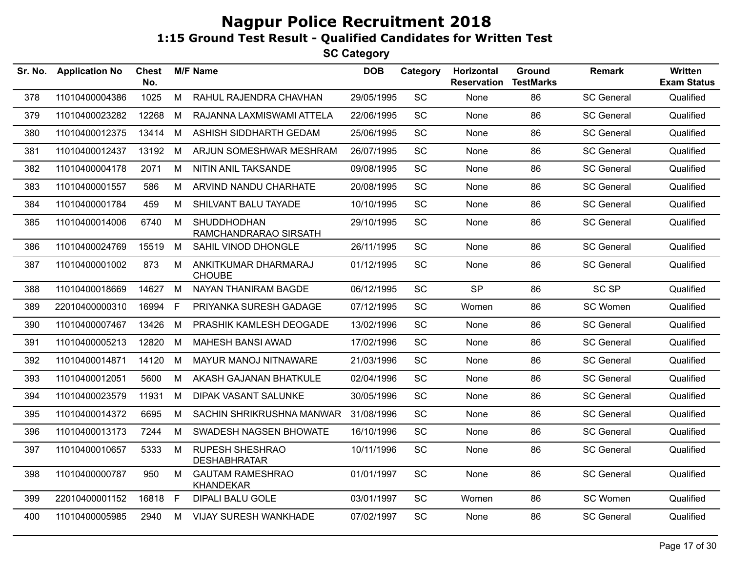| Sr. No. | <b>Application No</b> | <b>Chest</b><br>No. |    | <b>M/F Name</b>                               | <b>DOB</b> | Category  | Horizontal<br><b>Reservation</b> | Ground<br><b>TestMarks</b> | <b>Remark</b>     | Written<br><b>Exam Status</b> |
|---------|-----------------------|---------------------|----|-----------------------------------------------|------------|-----------|----------------------------------|----------------------------|-------------------|-------------------------------|
| 378     | 11010400004386        | 1025                | M  | RAHUL RAJENDRA CHAVHAN                        | 29/05/1995 | SC        | None                             | 86                         | <b>SC General</b> | Qualified                     |
| 379     | 11010400023282        | 12268               | M  | RAJANNA LAXMISWAMI ATTELA                     | 22/06/1995 | <b>SC</b> | None                             | 86                         | <b>SC General</b> | Qualified                     |
| 380     | 11010400012375        | 13414               | M  | ASHISH SIDDHARTH GEDAM                        | 25/06/1995 | <b>SC</b> | None                             | 86                         | <b>SC General</b> | Qualified                     |
| 381     | 11010400012437        | 13192               | М  | ARJUN SOMESHWAR MESHRAM                       | 26/07/1995 | <b>SC</b> | None                             | 86                         | <b>SC General</b> | Qualified                     |
| 382     | 11010400004178        | 2071                | M  | NITIN ANIL TAKSANDE                           | 09/08/1995 | SC        | None                             | 86                         | <b>SC General</b> | Qualified                     |
| 383     | 11010400001557        | 586                 | M  | ARVIND NANDU CHARHATE                         | 20/08/1995 | <b>SC</b> | <b>None</b>                      | 86                         | <b>SC General</b> | Qualified                     |
| 384     | 11010400001784        | 459                 | М  | SHILVANT BALU TAYADE                          | 10/10/1995 | SC        | None                             | 86                         | <b>SC General</b> | Qualified                     |
| 385     | 11010400014006        | 6740                | М  | <b>SHUDDHODHAN</b><br>RAMCHANDRARAO SIRSATH   | 29/10/1995 | <b>SC</b> | None                             | 86                         | <b>SC General</b> | Qualified                     |
| 386     | 11010400024769        | 15519               | M  | SAHIL VINOD DHONGLE                           | 26/11/1995 | SC        | None                             | 86                         | <b>SC General</b> | Qualified                     |
| 387     | 11010400001002        | 873                 | M  | ANKITKUMAR DHARMARAJ<br><b>CHOUBE</b>         | 01/12/1995 | <b>SC</b> | None                             | 86                         | <b>SC General</b> | Qualified                     |
| 388     | 11010400018669        | 14627               | M  | NAYAN THANIRAM BAGDE                          | 06/12/1995 | <b>SC</b> | <b>SP</b>                        | 86                         | <b>SC SP</b>      | Qualified                     |
| 389     | 22010400000310        | 16994               | F  | PRIYANKA SURESH GADAGE                        | 07/12/1995 | <b>SC</b> | Women                            | 86                         | SC Women          | Qualified                     |
| 390     | 11010400007467        | 13426               | M  | PRASHIK KAMLESH DEOGADE                       | 13/02/1996 | SC        | None                             | 86                         | <b>SC General</b> | Qualified                     |
| 391     | 11010400005213        | 12820               | М  | <b>MAHESH BANSI AWAD</b>                      | 17/02/1996 | <b>SC</b> | None                             | 86                         | <b>SC General</b> | Qualified                     |
| 392     | 11010400014871        | 14120               | М  | MAYUR MANOJ NITNAWARE                         | 21/03/1996 | <b>SC</b> | <b>None</b>                      | 86                         | <b>SC General</b> | Qualified                     |
| 393     | 11010400012051        | 5600                | М  | AKASH GAJANAN BHATKULE                        | 02/04/1996 | SC        | None                             | 86                         | <b>SC General</b> | Qualified                     |
| 394     | 11010400023579        | 11931               | M  | <b>DIPAK VASANT SALUNKE</b>                   | 30/05/1996 | <b>SC</b> | None                             | 86                         | <b>SC General</b> | Qualified                     |
| 395     | 11010400014372        | 6695                | M  | SACHIN SHRIKRUSHNA MANWAR                     | 31/08/1996 | SC        | None                             | 86                         | <b>SC General</b> | Qualified                     |
| 396     | 11010400013173        | 7244                | M  | SWADESH NAGSEN BHOWATE                        | 16/10/1996 | <b>SC</b> | None                             | 86                         | <b>SC General</b> | Qualified                     |
| 397     | 11010400010657        | 5333                | М  | <b>RUPESH SHESHRAO</b><br><b>DESHABHRATAR</b> | 10/11/1996 | SC        | None                             | 86                         | <b>SC General</b> | Qualified                     |
| 398     | 11010400000787        | 950                 | M  | <b>GAUTAM RAMESHRAO</b><br><b>KHANDEKAR</b>   | 01/01/1997 | SC        | None                             | 86                         | <b>SC General</b> | Qualified                     |
| 399     | 22010400001152        | 16818               | F. | <b>DIPALI BALU GOLE</b>                       | 03/01/1997 | <b>SC</b> | Women                            | 86                         | SC Women          | Qualified                     |
| 400     | 11010400005985        | 2940                | М  | <b>VIJAY SURESH WANKHADE</b>                  | 07/02/1997 | SC        | None                             | 86                         | <b>SC General</b> | Qualified                     |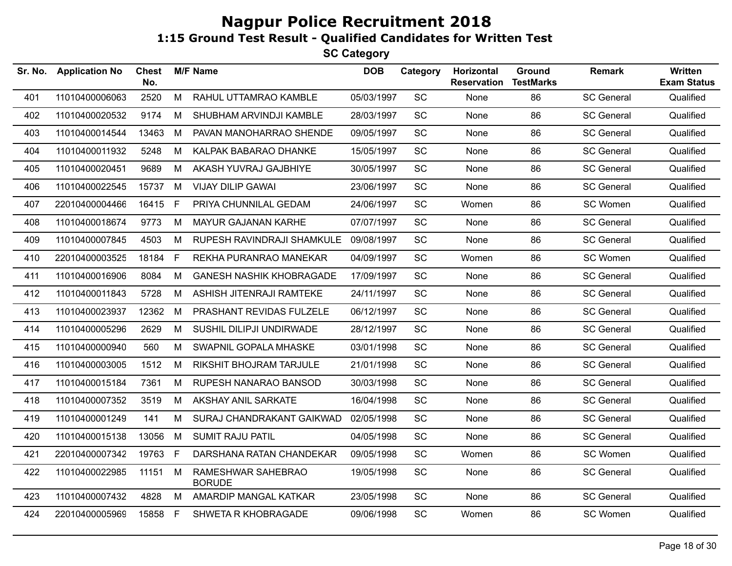| Sr. No. | <b>Application No</b> | <b>Chest</b><br>No. |    | <b>M/F Name</b>                     | <b>DOB</b> | Category  | Horizontal<br><b>Reservation</b> | Ground<br><b>TestMarks</b> | <b>Remark</b>     | Written<br><b>Exam Status</b> |
|---------|-----------------------|---------------------|----|-------------------------------------|------------|-----------|----------------------------------|----------------------------|-------------------|-------------------------------|
| 401     | 11010400006063        | 2520                | M  | RAHUL UTTAMRAO KAMBLE               | 05/03/1997 | SC        | None                             | 86                         | <b>SC General</b> | Qualified                     |
| 402     | 11010400020532        | 9174                | М  | SHUBHAM ARVINDJI KAMBLE             | 28/03/1997 | SC        | None                             | 86                         | <b>SC General</b> | Qualified                     |
| 403     | 11010400014544        | 13463               | M  | PAVAN MANOHARRAO SHENDE             | 09/05/1997 | SC        | None                             | 86                         | <b>SC General</b> | Qualified                     |
| 404     | 11010400011932        | 5248                | M  | KALPAK BABARAO DHANKE               | 15/05/1997 | SC        | None                             | 86                         | <b>SC General</b> | Qualified                     |
| 405     | 11010400020451        | 9689                | M  | AKASH YUVRAJ GAJBHIYE               | 30/05/1997 | SC        | None                             | 86                         | <b>SC General</b> | Qualified                     |
| 406     | 11010400022545        | 15737               | M  | <b>VIJAY DILIP GAWAI</b>            | 23/06/1997 | SC        | None                             | 86                         | <b>SC General</b> | Qualified                     |
| 407     | 22010400004466        | 16415 F             |    | PRIYA CHUNNILAL GEDAM               | 24/06/1997 | SC        | Women                            | 86                         | SC Women          | Qualified                     |
| 408     | 11010400018674        | 9773                | M  | <b>MAYUR GAJANAN KARHE</b>          | 07/07/1997 | <b>SC</b> | None                             | 86                         | <b>SC General</b> | Qualified                     |
| 409     | 11010400007845        | 4503                | М  | RUPESH RAVINDRAJI SHAMKULE          | 09/08/1997 | SC        | None                             | 86                         | <b>SC General</b> | Qualified                     |
| 410     | 22010400003525        | 18184               | F  | REKHA PURANRAO MANEKAR              | 04/09/1997 | SC        | Women                            | 86                         | SC Women          | Qualified                     |
| 411     | 11010400016906        | 8084                | M  | <b>GANESH NASHIK KHOBRAGADE</b>     | 17/09/1997 | SC        | None                             | 86                         | <b>SC General</b> | Qualified                     |
| 412     | 11010400011843        | 5728                | М  | ASHISH JITENRAJI RAMTEKE            | 24/11/1997 | SC        | None                             | 86                         | <b>SC General</b> | Qualified                     |
| 413     | 11010400023937        | 12362               | M  | PRASHANT REVIDAS FULZELE            | 06/12/1997 | <b>SC</b> | None                             | 86                         | <b>SC General</b> | Qualified                     |
| 414     | 11010400005296        | 2629                | M  | SUSHIL DILIPJI UNDIRWADE            | 28/12/1997 | SC        | None                             | 86                         | <b>SC General</b> | Qualified                     |
| 415     | 11010400000940        | 560                 | M  | SWAPNIL GOPALA MHASKE               | 03/01/1998 | SC        | None                             | 86                         | <b>SC General</b> | Qualified                     |
| 416     | 11010400003005        | 1512                | M  | RIKSHIT BHOJRAM TARJULE             | 21/01/1998 | SC        | None                             | 86                         | <b>SC General</b> | Qualified                     |
| 417     | 11010400015184        | 7361                | М  | RUPESH NANARAO BANSOD               | 30/03/1998 | SC        | None                             | 86                         | <b>SC General</b> | Qualified                     |
| 418     | 11010400007352        | 3519                | M  | AKSHAY ANIL SARKATE                 | 16/04/1998 | <b>SC</b> | None                             | 86                         | <b>SC General</b> | Qualified                     |
| 419     | 11010400001249        | 141                 | M  | SURAJ CHANDRAKANT GAIKWAD           | 02/05/1998 | SC        | None                             | 86                         | <b>SC General</b> | Qualified                     |
| 420     | 11010400015138        | 13056               | M  | <b>SUMIT RAJU PATIL</b>             | 04/05/1998 | SC        | None                             | 86                         | <b>SC General</b> | Qualified                     |
| 421     | 22010400007342        | 19763               | F  | DARSHANA RATAN CHANDEKAR            | 09/05/1998 | SC        | Women                            | 86                         | SC Women          | Qualified                     |
| 422     | 11010400022985        | 11151               | M  | RAMESHWAR SAHEBRAO<br><b>BORUDE</b> | 19/05/1998 | SC        | None                             | 86                         | <b>SC General</b> | Qualified                     |
| 423     | 11010400007432        | 4828                | M  | AMARDIP MANGAL KATKAR               | 23/05/1998 | SC        | None                             | 86                         | <b>SC General</b> | Qualified                     |
| 424     | 22010400005969        | 15858               | -F | SHWETA R KHOBRAGADE                 | 09/06/1998 | SC        | Women                            | 86                         | SC Women          | Qualified                     |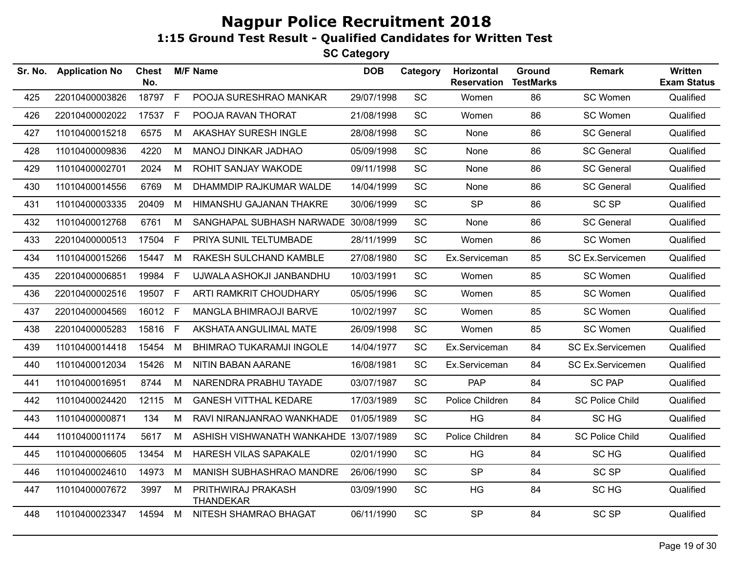| Sr. No. | <b>Application No</b> | <b>Chest</b><br>No. |   | <b>M/F Name</b>                        | <b>DOB</b> | Category  | Horizontal<br><b>Reservation</b> | Ground<br><b>TestMarks</b> | <b>Remark</b>           | <b>Written</b><br><b>Exam Status</b> |
|---------|-----------------------|---------------------|---|----------------------------------------|------------|-----------|----------------------------------|----------------------------|-------------------------|--------------------------------------|
| 425     | 22010400003826        | 18797 F             |   | POOJA SURESHRAO MANKAR                 | 29/07/1998 | SC        | Women                            | 86                         | SC Women                | Qualified                            |
| 426     | 22010400002022        | 17537 F             |   | POOJA RAVAN THORAT                     | 21/08/1998 | SC        | Women                            | 86                         | SC Women                | Qualified                            |
| 427     | 11010400015218        | 6575                | M | AKASHAY SURESH INGLE                   | 28/08/1998 | <b>SC</b> | None                             | 86                         | <b>SC General</b>       | Qualified                            |
| 428     | 11010400009836        | 4220                | M | MANOJ DINKAR JADHAO                    | 05/09/1998 | <b>SC</b> | None                             | 86                         | <b>SC General</b>       | Qualified                            |
| 429     | 11010400002701        | 2024                | M | ROHIT SANJAY WAKODE                    | 09/11/1998 | SC        | None                             | 86                         | <b>SC General</b>       | Qualified                            |
| 430     | 11010400014556        | 6769                | M | DHAMMDIP RAJKUMAR WALDE                | 14/04/1999 | <b>SC</b> | None                             | 86                         | <b>SC General</b>       | Qualified                            |
| 431     | 11010400003335        | 20409               | M | HIMANSHU GAJANAN THAKRE                | 30/06/1999 | SC        | <b>SP</b>                        | 86                         | <b>SC SP</b>            | Qualified                            |
| 432     | 11010400012768        | 6761                | M | SANGHAPAL SUBHASH NARWADE 30/08/1999   |            | <b>SC</b> | None                             | 86                         | <b>SC General</b>       | Qualified                            |
| 433     | 22010400000513        | 17504               | F | PRIYA SUNIL TELTUMBADE                 | 28/11/1999 | SC        | Women                            | 86                         | SC Women                | Qualified                            |
| 434     | 11010400015266        | 15447               | M | RAKESH SULCHAND KAMBLE                 | 27/08/1980 | SC        | Ex.Serviceman                    | 85                         | <b>SC Ex.Servicemen</b> | Qualified                            |
| 435     | 22010400006851        | 19984               | F | UJWALA ASHOKJI JANBANDHU               | 10/03/1991 | <b>SC</b> | Women                            | 85                         | SC Women                | Qualified                            |
| 436     | 22010400002516        | 19507 F             |   | ARTI RAMKRIT CHOUDHARY                 | 05/05/1996 | SC        | Women                            | 85                         | SC Women                | Qualified                            |
| 437     | 22010400004569        | 16012 F             |   | <b>MANGLA BHIMRAOJI BARVE</b>          | 10/02/1997 | <b>SC</b> | Women                            | 85                         | SC Women                | Qualified                            |
| 438     | 22010400005283        | 15816 F             |   | AKSHATA ANGULIMAL MATE                 | 26/09/1998 | <b>SC</b> | Women                            | 85                         | SC Women                | Qualified                            |
| 439     | 11010400014418        | 15454               | M | <b>BHIMRAO TUKARAMJI INGOLE</b>        | 14/04/1977 | SC        | Ex.Serviceman                    | 84                         | SC Ex.Servicemen        | Qualified                            |
| 440     | 11010400012034        | 15426               | M | <b>NITIN BABAN AARANE</b>              | 16/08/1981 | <b>SC</b> | Ex.Serviceman                    | 84                         | <b>SC Ex.Servicemen</b> | Qualified                            |
| 441     | 11010400016951        | 8744                | М | NARENDRA PRABHU TAYADE                 | 03/07/1987 | SC        | <b>PAP</b>                       | 84                         | <b>SC PAP</b>           | Qualified                            |
| 442     | 11010400024420        | 12115               | M | <b>GANESH VITTHAL KEDARE</b>           | 17/03/1989 | <b>SC</b> | Police Children                  | 84                         | <b>SC Police Child</b>  | Qualified                            |
| 443     | 11010400000871        | 134                 | M | RAVI NIRANJANRAO WANKHADE              | 01/05/1989 | <b>SC</b> | HG                               | 84                         | SC HG                   | Qualified                            |
| 444     | 11010400011174        | 5617                | M | ASHISH VISHWANATH WANKAHDE 13/07/1989  |            | SC        | Police Children                  | 84                         | <b>SC Police Child</b>  | Qualified                            |
| 445     | 11010400006605        | 13454               | М | HARESH VILAS SAPAKALE                  | 02/01/1990 | <b>SC</b> | HG                               | 84                         | SC HG                   | Qualified                            |
| 446     | 11010400024610        | 14973               | M | <b>MANISH SUBHASHRAO MANDRE</b>        | 26/06/1990 | SC        | <b>SP</b>                        | 84                         | <b>SC SP</b>            | Qualified                            |
| 447     | 11010400007672        | 3997                | M | PRITHWIRAJ PRAKASH<br><b>THANDEKAR</b> | 03/09/1990 | SC        | HG                               | 84                         | SC HG                   | Qualified                            |
| 448     | 11010400023347        | 14594               | M | NITESH SHAMRAO BHAGAT                  | 06/11/1990 | SC        | <b>SP</b>                        | 84                         | <b>SC SP</b>            | Qualified                            |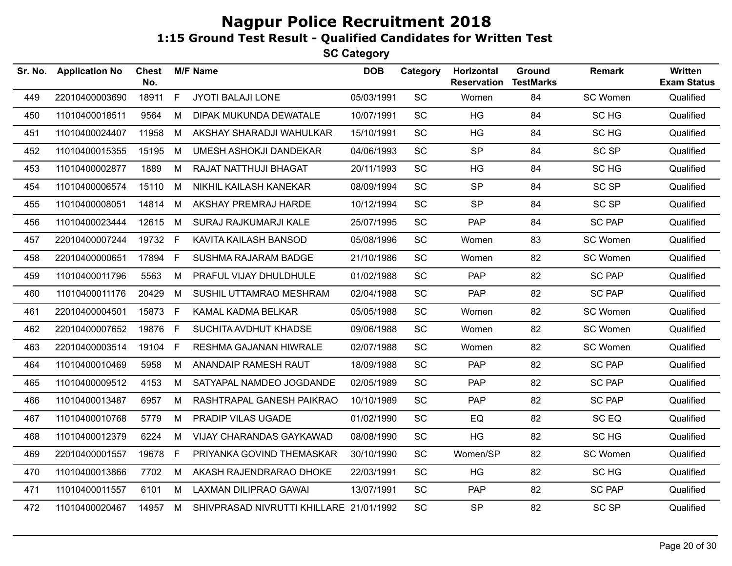**SC Category**

| Sr. No. | <b>Application No</b> | <b>Chest</b><br>No. |              | <b>M/F Name</b>                         | <b>DOB</b> | Category  | Horizontal<br><b>Reservation</b> | Ground<br><b>TestMarks</b> | <b>Remark</b>    | Written<br><b>Exam Status</b> |
|---------|-----------------------|---------------------|--------------|-----------------------------------------|------------|-----------|----------------------------------|----------------------------|------------------|-------------------------------|
| 449     | 22010400003690        | 18911               | $\mathsf{F}$ | JYOTI BALAJI LONE                       | 05/03/1991 | SC        | Women                            | 84                         | SC Women         | Qualified                     |
| 450     | 11010400018511        | 9564                | М            | DIPAK MUKUNDA DEWATALE                  | 10/07/1991 | <b>SC</b> | HG                               | 84                         | SC HG            | Qualified                     |
| 451     | 11010400024407        | 11958               | M            | AKSHAY SHARADJI WAHULKAR                | 15/10/1991 | SC        | HG                               | 84                         | SC <sub>HG</sub> | Qualified                     |
| 452     | 11010400015355        | 15195               | M            | UMESH ASHOKJI DANDEKAR                  | 04/06/1993 | <b>SC</b> | <b>SP</b>                        | 84                         | SC SP            | Qualified                     |
| 453     | 11010400002877        | 1889                | M            | RAJAT NATTHUJI BHAGAT                   | 20/11/1993 | <b>SC</b> | HG                               | 84                         | SC HG            | Qualified                     |
| 454     | 11010400006574        | 15110               | M            | NIKHIL KAILASH KANEKAR                  | 08/09/1994 | <b>SC</b> | <b>SP</b>                        | 84                         | <b>SC SP</b>     | Qualified                     |
| 455     | 11010400008051        | 14814               | M            | AKSHAY PREMRAJ HARDE                    | 10/12/1994 | SC        | <b>SP</b>                        | 84                         | <b>SC SP</b>     | Qualified                     |
| 456     | 11010400023444        | 12615               | M            | SURAJ RAJKUMARJI KALE                   | 25/07/1995 | <b>SC</b> | <b>PAP</b>                       | 84                         | <b>SC PAP</b>    | Qualified                     |
| 457     | 22010400007244        | 19732 F             |              | KAVITA KAILASH BANSOD                   | 05/08/1996 | <b>SC</b> | Women                            | 83                         | SC Women         | Qualified                     |
| 458     | 22010400000651        | 17894               | -F.          | SUSHMA RAJARAM BADGE                    | 21/10/1986 | SC        | Women                            | 82                         | SC Women         | Qualified                     |
| 459     | 11010400011796        | 5563                | M            | PRAFUL VIJAY DHULDHULE                  | 01/02/1988 | SC        | <b>PAP</b>                       | 82                         | <b>SC PAP</b>    | Qualified                     |
| 460     | 11010400011176        | 20429               | M            | SUSHIL UTTAMRAO MESHRAM                 | 02/04/1988 | <b>SC</b> | <b>PAP</b>                       | 82                         | <b>SC PAP</b>    | Qualified                     |
| 461     | 22010400004501        | 15873 F             |              | KAMAL KADMA BELKAR                      | 05/05/1988 | <b>SC</b> | Women                            | 82                         | SC Women         | Qualified                     |
| 462     | 22010400007652        | 19876               | - F          | SUCHITA AVDHUT KHADSE                   | 09/06/1988 | SC        | Women                            | 82                         | SC Women         | Qualified                     |
| 463     | 22010400003514        | 19104               | $\mathsf{F}$ | RESHMA GAJANAN HIWRALE                  | 02/07/1988 | <b>SC</b> | Women                            | 82                         | SC Women         | Qualified                     |
| 464     | 11010400010469        | 5958                | M            | ANANDAIP RAMESH RAUT                    | 18/09/1988 | <b>SC</b> | PAP                              | 82                         | <b>SC PAP</b>    | Qualified                     |
| 465     | 11010400009512        | 4153                | M            | SATYAPAL NAMDEO JOGDANDE                | 02/05/1989 | <b>SC</b> | <b>PAP</b>                       | 82                         | <b>SC PAP</b>    | Qualified                     |
| 466     | 11010400013487        | 6957                | M            | RASHTRAPAL GANESH PAIKRAO               | 10/10/1989 | <b>SC</b> | PAP                              | 82                         | <b>SC PAP</b>    | Qualified                     |
| 467     | 11010400010768        | 5779                | M            | PRADIP VILAS UGADE                      | 01/02/1990 | SC        | EQ                               | 82                         | SC <sub>EQ</sub> | Qualified                     |
| 468     | 11010400012379        | 6224                | М            | VIJAY CHARANDAS GAYKAWAD                | 08/08/1990 | SC        | <b>HG</b>                        | 82                         | SC HG            | Qualified                     |
| 469     | 22010400001557        | 19678 F             |              | PRIYANKA GOVIND THEMASKAR               | 30/10/1990 | SC        | Women/SP                         | 82                         | SC Women         | Qualified                     |
| 470     | 11010400013866        | 7702                | M            | AKASH RAJENDRARAO DHOKE                 | 22/03/1991 | <b>SC</b> | HG                               | 82                         | SC HG            | Qualified                     |
| 471     | 11010400011557        | 6101                | M            | <b>LAXMAN DILIPRAO GAWAI</b>            | 13/07/1991 | <b>SC</b> | PAP                              | 82                         | <b>SC PAP</b>    | Qualified                     |
| 472     | 11010400020467        | 14957 M             |              | SHIVPRASAD NIVRUTTI KHILLARE 21/01/1992 |            | SC        | <b>SP</b>                        | 82                         | <b>SC SP</b>     | Qualified                     |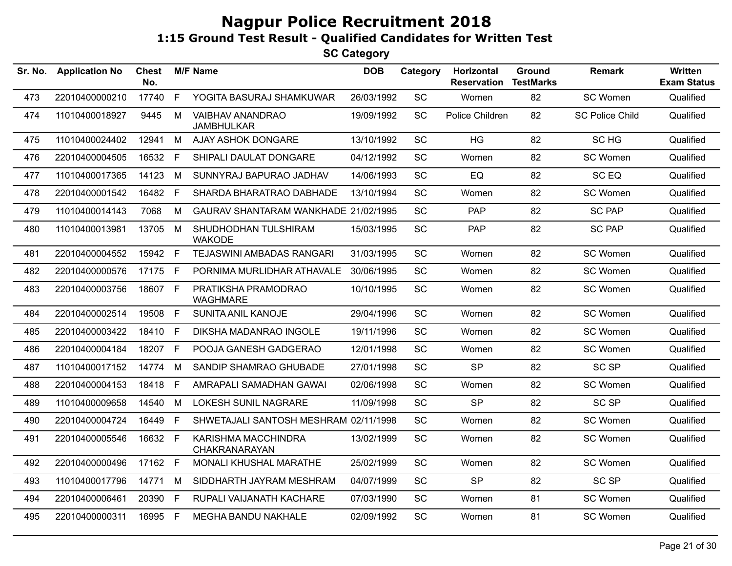| Sr. No. | <b>Application No</b> | Chest<br>No. |              | <b>M/F Name</b>                        | <b>DOB</b> | Category  | Horizontal<br><b>Reservation</b> | Ground<br><b>TestMarks</b> | <b>Remark</b>          | <b>Written</b><br><b>Exam Status</b> |
|---------|-----------------------|--------------|--------------|----------------------------------------|------------|-----------|----------------------------------|----------------------------|------------------------|--------------------------------------|
| 473     | 22010400000210        | 17740        | F            | YOGITA BASURAJ SHAMKUWAR               | 26/03/1992 | <b>SC</b> | Women                            | 82                         | SC Women               | Qualified                            |
| 474     | 11010400018927        | 9445         | M            | VAIBHAV ANANDRAO<br><b>JAMBHULKAR</b>  | 19/09/1992 | <b>SC</b> | Police Children                  | 82                         | <b>SC Police Child</b> | Qualified                            |
| 475     | 11010400024402        | 12941        | M            | <b>AJAY ASHOK DONGARE</b>              | 13/10/1992 | <b>SC</b> | <b>HG</b>                        | 82                         | SC HG                  | Qualified                            |
| 476     | 22010400004505        | 16532        | E            | SHIPALI DAULAT DONGARE                 | 04/12/1992 | SC        | Women                            | 82                         | SC Women               | Qualified                            |
| 477     | 11010400017365        | 14123        | M            | SUNNYRAJ BAPURAO JADHAV                | 14/06/1993 | SC        | EQ                               | 82                         | SC EQ                  | Qualified                            |
| 478     | 22010400001542        | 16482        | F.           | SHARDA BHARATRAO DABHADE               | 13/10/1994 | SC        | Women                            | 82                         | SC Women               | Qualified                            |
| 479     | 11010400014143        | 7068         | M            | GAURAV SHANTARAM WANKHADE 21/02/1995   |            | SC        | PAP                              | 82                         | <b>SC PAP</b>          | Qualified                            |
| 480     | 11010400013981        | 13705        | M            | SHUDHODHAN TULSHIRAM<br><b>WAKODE</b>  | 15/03/1995 | SC        | PAP                              | 82                         | <b>SC PAP</b>          | Qualified                            |
| 481     | 22010400004552        | 15942 F      |              | TEJASWINI AMBADAS RANGARI              | 31/03/1995 | SC        | Women                            | 82                         | SC Women               | Qualified                            |
| 482     | 22010400000576        | 17175        | F            | PORNIMA MURLIDHAR ATHAVALE             | 30/06/1995 | SC        | Women                            | 82                         | SC Women               | Qualified                            |
| 483     | 22010400003756        | 18607 F      |              | PRATIKSHA PRAMODRAO<br><b>WAGHMARE</b> | 10/10/1995 | SC        | Women                            | 82                         | SC Women               | Qualified                            |
| 484     | 22010400002514        | 19508        | F            | SUNITA ANIL KANOJE                     | 29/04/1996 | <b>SC</b> | Women                            | 82                         | SC Women               | Qualified                            |
| 485     | 22010400003422        | 18410        | E            | DIKSHA MADANRAO INGOLE                 | 19/11/1996 | SC        | Women                            | 82                         | SC Women               | Qualified                            |
| 486     | 22010400004184        | 18207 F      |              | POOJA GANESH GADGERAO                  | 12/01/1998 | <b>SC</b> | Women                            | 82                         | SC Women               | Qualified                            |
| 487     | 11010400017152        | 14774        | M            | SANDIP SHAMRAO GHUBADE                 | 27/01/1998 | SC        | <b>SP</b>                        | 82                         | <b>SC SP</b>           | Qualified                            |
| 488     | 22010400004153        | 18418        | $\mathsf{F}$ | AMRAPALI SAMADHAN GAWAI                | 02/06/1998 | SC        | Women                            | 82                         | SC Women               | Qualified                            |
| 489     | 11010400009658        | 14540        | M            | <b>LOKESH SUNIL NAGRARE</b>            | 11/09/1998 | SC        | <b>SP</b>                        | 82                         | SC <sub>SP</sub>       | Qualified                            |
| 490     | 22010400004724        | 16449        | F            | SHWETAJALI SANTOSH MESHRAM 02/11/1998  |            | SC        | Women                            | 82                         | SC Women               | Qualified                            |
| 491     | 22010400005546        | 16632 F      |              | KARISHMA MACCHINDRA<br>CHAKRANARAYAN   | 13/02/1999 | SC        | Women                            | 82                         | SC Women               | Qualified                            |
| 492     | 22010400000496        | 17162 F      |              | MONALI KHUSHAL MARATHE                 | 25/02/1999 | <b>SC</b> | Women                            | 82                         | SC Women               | Qualified                            |
| 493     | 11010400017796        | 14771        | M            | SIDDHARTH JAYRAM MESHRAM               | 04/07/1999 | SC        | <b>SP</b>                        | 82                         | <b>SC SP</b>           | Qualified                            |
| 494     | 22010400006461        | 20390        | F.           | RUPALI VAIJANATH KACHARE               | 07/03/1990 | <b>SC</b> | Women                            | 81                         | SC Women               | Qualified                            |
| 495     | 22010400000311        | 16995 F      |              | <b>MEGHA BANDU NAKHALE</b>             | 02/09/1992 | SC        | Women                            | 81                         | SC Women               | Qualified                            |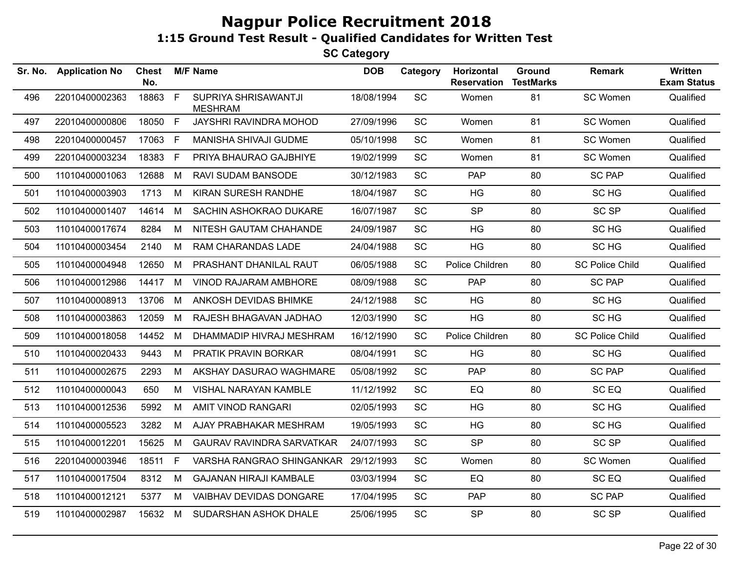| Sr. No. | <b>Application No</b> | <b>Chest</b><br>No. |              | <b>M/F Name</b>                        | <b>DOB</b> | Category  | Horizontal<br><b>Reservation</b> | Ground<br><b>TestMarks</b> | <b>Remark</b>          | <b>Written</b><br><b>Exam Status</b> |
|---------|-----------------------|---------------------|--------------|----------------------------------------|------------|-----------|----------------------------------|----------------------------|------------------------|--------------------------------------|
| 496     | 22010400002363        | 18863               | $\mathsf{F}$ | SUPRIYA SHRISAWANTJI<br><b>MESHRAM</b> | 18/08/1994 | SC        | Women                            | 81                         | SC Women               | Qualified                            |
| 497     | 22010400000806        | 18050 F             |              | JAYSHRI RAVINDRA MOHOD                 | 27/09/1996 | SC        | Women                            | 81                         | SC Women               | Qualified                            |
| 498     | 22010400000457        | 17063               | F            | MANISHA SHIVAJI GUDME                  | 05/10/1998 | SC        | Women                            | 81                         | SC Women               | Qualified                            |
| 499     | 22010400003234        | 18383               | F            | PRIYA BHAURAO GAJBHIYE                 | 19/02/1999 | <b>SC</b> | Women                            | 81                         | SC Women               | Qualified                            |
| 500     | 11010400001063        | 12688               | M            | RAVI SUDAM BANSODE                     | 30/12/1983 | SC        | <b>PAP</b>                       | 80                         | <b>SC PAP</b>          | Qualified                            |
| 501     | 11010400003903        | 1713                | M            | KIRAN SURESH RANDHE                    | 18/04/1987 | SC        | HG                               | 80                         | SC HG                  | Qualified                            |
| 502     | 11010400001407        | 14614               | M            | SACHIN ASHOKRAO DUKARE                 | 16/07/1987 | <b>SC</b> | <b>SP</b>                        | 80                         | <b>SC SP</b>           | Qualified                            |
| 503     | 11010400017674        | 8284                | М            | NITESH GAUTAM CHAHANDE                 | 24/09/1987 | SC        | <b>HG</b>                        | 80                         | SC HG                  | Qualified                            |
| 504     | 11010400003454        | 2140                | М            | RAM CHARANDAS LADE                     | 24/04/1988 | SC        | HG                               | 80                         | SC HG                  | Qualified                            |
| 505     | 11010400004948        | 12650               | M            | PRASHANT DHANILAL RAUT                 | 06/05/1988 | <b>SC</b> | Police Children                  | 80                         | <b>SC Police Child</b> | Qualified                            |
| 506     | 11010400012986        | 14417               | M            | VINOD RAJARAM AMBHORE                  | 08/09/1988 | <b>SC</b> | <b>PAP</b>                       | 80                         | <b>SC PAP</b>          | Qualified                            |
| 507     | 11010400008913        | 13706               | M            | ANKOSH DEVIDAS BHIMKE                  | 24/12/1988 | <b>SC</b> | HG                               | 80                         | SC HG                  | Qualified                            |
| 508     | 11010400003863        | 12059               | M            | RAJESH BHAGAVAN JADHAO                 | 12/03/1990 | SC        | HG                               | 80                         | SC HG                  | Qualified                            |
| 509     | 11010400018058        | 14452               | M            | DHAMMADIP HIVRAJ MESHRAM               | 16/12/1990 | SC        | Police Children                  | 80                         | <b>SC Police Child</b> | Qualified                            |
| 510     | 11010400020433        | 9443                | M            | PRATIK PRAVIN BORKAR                   | 08/04/1991 | SC        | HG                               | 80                         | SC HG                  | Qualified                            |
| 511     | 11010400002675        | 2293                | M            | AKSHAY DASURAO WAGHMARE                | 05/08/1992 | <b>SC</b> | <b>PAP</b>                       | 80                         | <b>SC PAP</b>          | Qualified                            |
| 512     | 11010400000043        | 650                 | M            | <b>VISHAL NARAYAN KAMBLE</b>           | 11/12/1992 | SC        | EQ                               | 80                         | SC <sub>EQ</sub>       | Qualified                            |
| 513     | 11010400012536        | 5992                | М            | AMIT VINOD RANGARI                     | 02/05/1993 | SC        | HG                               | 80                         | SC HG                  | Qualified                            |
| 514     | 11010400005523        | 3282                | M            | AJAY PRABHAKAR MESHRAM                 | 19/05/1993 | SC        | HG                               | 80                         | SC HG                  | Qualified                            |
| 515     | 11010400012201        | 15625               | M            | <b>GAURAV RAVINDRA SARVATKAR</b>       | 24/07/1993 | SC        | <b>SP</b>                        | 80                         | <b>SC SP</b>           | Qualified                            |
| 516     | 22010400003946        | 18511               | F            | VARSHA RANGRAO SHINGANKAR              | 29/12/1993 | SC        | Women                            | 80                         | SC Women               | Qualified                            |
| 517     | 11010400017504        | 8312                | М            | <b>GAJANAN HIRAJI KAMBALE</b>          | 03/03/1994 | SC        | EQ                               | 80                         | SC <sub>EQ</sub>       | Qualified                            |
| 518     | 11010400012121        | 5377                | M            | VAIBHAV DEVIDAS DONGARE                | 17/04/1995 | SC        | <b>PAP</b>                       | 80                         | <b>SC PAP</b>          | Qualified                            |
| 519     | 11010400002987        | 15632 M             |              | SUDARSHAN ASHOK DHALE                  | 25/06/1995 | SC        | <b>SP</b>                        | 80                         | <b>SC SP</b>           | Qualified                            |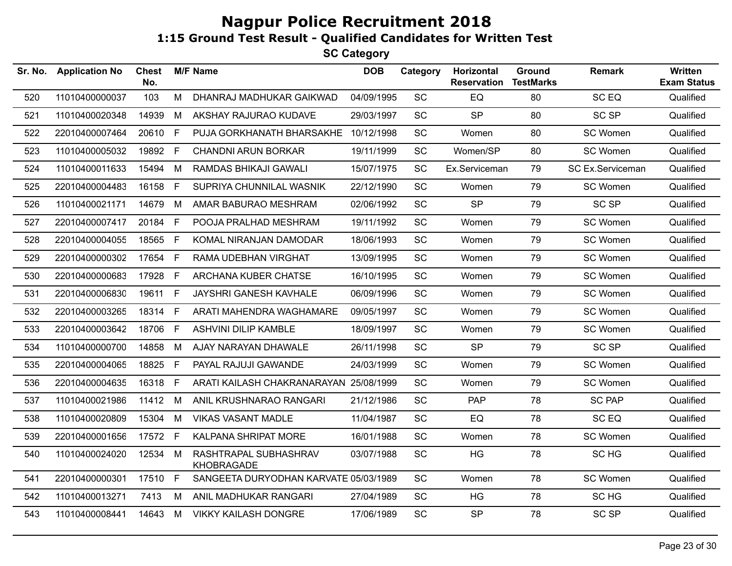| Sr. No. | <b>Application No</b> | <b>Chest</b><br>No. |      | <b>M/F Name</b>                        | <b>DOB</b> | Category  | Horizontal<br><b>Reservation</b> | Ground<br><b>TestMarks</b> | <b>Remark</b>    | <b>Written</b><br><b>Exam Status</b> |
|---------|-----------------------|---------------------|------|----------------------------------------|------------|-----------|----------------------------------|----------------------------|------------------|--------------------------------------|
| 520     | 11010400000037        | 103                 | M    | DHANRAJ MADHUKAR GAIKWAD               | 04/09/1995 | SC        | EQ                               | 80                         | SC <sub>EQ</sub> | Qualified                            |
| 521     | 11010400020348        | 14939               | M    | AKSHAY RAJURAO KUDAVE                  | 29/03/1997 | <b>SC</b> | <b>SP</b>                        | 80                         | <b>SC SP</b>     | Qualified                            |
| 522     | 22010400007464        | 20610 F             |      | PUJA GORKHANATH BHARSAKHE              | 10/12/1998 | SC        | Women                            | 80                         | SC Women         | Qualified                            |
| 523     | 11010400005032        | 19892 F             |      | <b>CHANDNI ARUN BORKAR</b>             | 19/11/1999 | SC        | Women/SP                         | 80                         | SC Women         | Qualified                            |
| 524     | 11010400011633        | 15494               | M    | RAMDAS BHIKAJI GAWALI                  | 15/07/1975 | <b>SC</b> | Ex.Serviceman                    | 79                         | SC Ex.Serviceman | Qualified                            |
| 525     | 22010400004483        | 16158 F             |      | SUPRIYA CHUNNILAL WASNIK               | 22/12/1990 | <b>SC</b> | Women                            | 79                         | SC Women         | Qualified                            |
| 526     | 11010400021171        | 14679               | M    | AMAR BABURAO MESHRAM                   | 02/06/1992 | <b>SC</b> | <b>SP</b>                        | 79                         | <b>SC SP</b>     | Qualified                            |
| 527     | 22010400007417        | 20184               | $-F$ | POOJA PRALHAD MESHRAM                  | 19/11/1992 | SC        | Women                            | 79                         | SC Women         | Qualified                            |
| 528     | 22010400004055        | 18565 F             |      | KOMAL NIRANJAN DAMODAR                 | 18/06/1993 | SC        | Women                            | 79                         | SC Women         | Qualified                            |
| 529     | 22010400000302        | 17654               | F    | RAMA UDEBHAN VIRGHAT                   | 13/09/1995 | <b>SC</b> | Women                            | 79                         | SC Women         | Qualified                            |
| 530     | 22010400000683        | 17928 F             |      | ARCHANA KUBER CHATSE                   | 16/10/1995 | <b>SC</b> | Women                            | 79                         | SC Women         | Qualified                            |
| 531     | 22010400006830        | 19611 F             |      | JAYSHRI GANESH KAVHALE                 | 06/09/1996 | <b>SC</b> | Women                            | 79                         | SC Women         | Qualified                            |
| 532     | 22010400003265        | 18314 F             |      | ARATI MAHENDRA WAGHAMARE               | 09/05/1997 | <b>SC</b> | Women                            | 79                         | SC Women         | Qualified                            |
| 533     | 22010400003642        | 18706               | F    | ASHVINI DILIP KAMBLE                   | 18/09/1997 | SC        | Women                            | 79                         | SC Women         | Qualified                            |
| 534     | 11010400000700        | 14858               | M    | AJAY NARAYAN DHAWALE                   | 26/11/1998 | <b>SC</b> | <b>SP</b>                        | 79                         | <b>SC SP</b>     | Qualified                            |
| 535     | 22010400004065        | 18825 F             |      | PAYAL RAJUJI GAWANDE                   | 24/03/1999 | <b>SC</b> | Women                            | 79                         | SC Women         | Qualified                            |
| 536     | 22010400004635        | 16318 F             |      | ARATI KAILASH CHAKRANARAYAN 25/08/1999 |            | <b>SC</b> | Women                            | 79                         | SC Women         | Qualified                            |
| 537     | 11010400021986        | 11412 M             |      | ANIL KRUSHNARAO RANGARI                | 21/12/1986 | SC        | PAP                              | 78                         | <b>SC PAP</b>    | Qualified                            |
| 538     | 11010400020809        | 15304               | M    | <b>VIKAS VASANT MADLE</b>              | 11/04/1987 | SC        | EQ                               | 78                         | SC <sub>EQ</sub> | Qualified                            |
| 539     | 22010400001656        | 17572 F             |      | KALPANA SHRIPAT MORE                   | 16/01/1988 | <b>SC</b> | Women                            | 78                         | SC Women         | Qualified                            |
| 540     | 11010400024020        | 12534               | M    | RASHTRAPAL SUBHASHRAV<br>KHOBRAGADE    | 03/07/1988 | <b>SC</b> | <b>HG</b>                        | 78                         | SC HG            | Qualified                            |
| 541     | 22010400000301        | 17510 F             |      | SANGEETA DURYODHAN KARVATE 05/03/1989  |            | <b>SC</b> | Women                            | 78                         | SC Women         | Qualified                            |
| 542     | 11010400013271        | 7413                | M    | ANIL MADHUKAR RANGARI                  | 27/04/1989 | SC        | HG                               | 78                         | SC <sub>HG</sub> | Qualified                            |
| 543     | 11010400008441        | 14643               | M    | <b>VIKKY KAILASH DONGRE</b>            | 17/06/1989 | SC        | <b>SP</b>                        | 78                         | <b>SC SP</b>     | Qualified                            |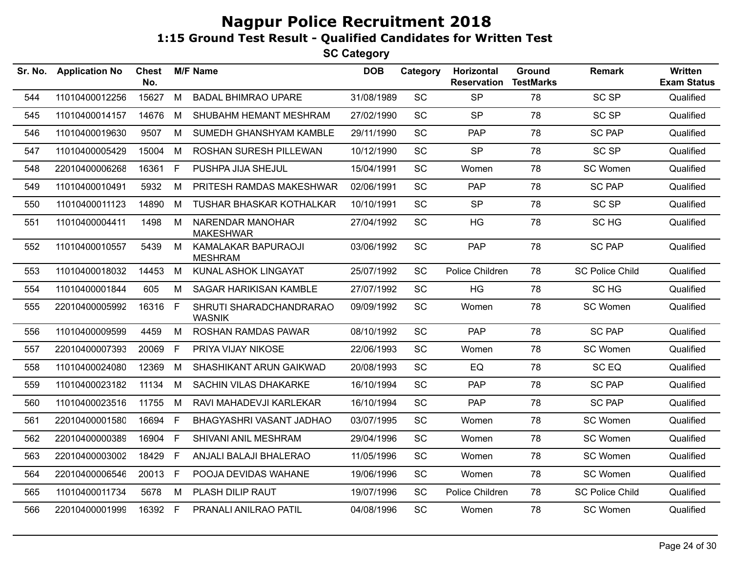| Sr. No. | <b>Application No</b> | <b>Chest</b><br>No. |    | <b>M/F Name</b>                          | <b>DOB</b> | Category  | Horizontal<br><b>Reservation</b> | <b>Ground</b><br><b>TestMarks</b> | <b>Remark</b>          | <b>Written</b><br><b>Exam Status</b> |
|---------|-----------------------|---------------------|----|------------------------------------------|------------|-----------|----------------------------------|-----------------------------------|------------------------|--------------------------------------|
| 544     | 11010400012256        | 15627               | M  | <b>BADAL BHIMRAO UPARE</b>               | 31/08/1989 | SC        | <b>SP</b>                        | 78                                | <b>SC SP</b>           | Qualified                            |
| 545     | 11010400014157        | 14676               | M  | SHUBAHM HEMANT MESHRAM                   | 27/02/1990 | SC        | <b>SP</b>                        | 78                                | <b>SC SP</b>           | Qualified                            |
| 546     | 11010400019630        | 9507                | M  | SUMEDH GHANSHYAM KAMBLE                  | 29/11/1990 | <b>SC</b> | <b>PAP</b>                       | 78                                | <b>SC PAP</b>          | Qualified                            |
| 547     | 11010400005429        | 15004               | М  | <b>ROSHAN SURESH PILLEWAN</b>            | 10/12/1990 | SC        | <b>SP</b>                        | 78                                | <b>SC SP</b>           | Qualified                            |
| 548     | 22010400006268        | 16361               | F  | PUSHPA JIJA SHEJUL                       | 15/04/1991 | <b>SC</b> | Women                            | 78                                | SC Women               | Qualified                            |
| 549     | 11010400010491        | 5932                | м  | PRITESH RAMDAS MAKESHWAR                 | 02/06/1991 | <b>SC</b> | <b>PAP</b>                       | 78                                | <b>SC PAP</b>          | Qualified                            |
| 550     | 11010400011123        | 14890               | M  | <b>TUSHAR BHASKAR KOTHALKAR</b>          | 10/10/1991 | SC        | <b>SP</b>                        | 78                                | <b>SC SP</b>           | Qualified                            |
| 551     | 11010400004411        | 1498                | М  | NARENDAR MANOHAR<br><b>MAKESHWAR</b>     | 27/04/1992 | SC        | HG                               | 78                                | SC HG                  | Qualified                            |
| 552     | 11010400010557        | 5439                | M  | KAMALAKAR BAPURAOJI<br><b>MESHRAM</b>    | 03/06/1992 | SC        | <b>PAP</b>                       | 78                                | <b>SC PAP</b>          | Qualified                            |
| 553     | 11010400018032        | 14453               | M  | KUNAL ASHOK LINGAYAT                     | 25/07/1992 | <b>SC</b> | Police Children                  | 78                                | <b>SC Police Child</b> | Qualified                            |
| 554     | 11010400001844        | 605                 | М  | <b>SAGAR HARIKISAN KAMBLE</b>            | 27/07/1992 | SC        | HG                               | 78                                | SC HG                  | Qualified                            |
| 555     | 22010400005992        | 16316               | F. | SHRUTI SHARADCHANDRARAO<br><b>WASNIK</b> | 09/09/1992 | <b>SC</b> | Women                            | 78                                | SC Women               | Qualified                            |
| 556     | 11010400009599        | 4459                | M  | ROSHAN RAMDAS PAWAR                      | 08/10/1992 | <b>SC</b> | <b>PAP</b>                       | 78                                | <b>SC PAP</b>          | Qualified                            |
| 557     | 22010400007393        | 20069               | F. | PRIYA VIJAY NIKOSE                       | 22/06/1993 | <b>SC</b> | Women                            | 78                                | SC Women               | Qualified                            |
| 558     | 11010400024080        | 12369               | M  | SHASHIKANT ARUN GAIKWAD                  | 20/08/1993 | SC        | EQ                               | 78                                | SC EQ                  | Qualified                            |
| 559     | 11010400023182        | 11134               | M  | <b>SACHIN VILAS DHAKARKE</b>             | 16/10/1994 | <b>SC</b> | <b>PAP</b>                       | 78                                | <b>SC PAP</b>          | Qualified                            |
| 560     | 11010400023516        | 11755               | М  | RAVI MAHADEVJI KARLEKAR                  | 16/10/1994 | SC        | <b>PAP</b>                       | 78                                | <b>SC PAP</b>          | Qualified                            |
| 561     | 22010400001580        | 16694               | F. | BHAGYASHRI VASANT JADHAO                 | 03/07/1995 | <b>SC</b> | Women                            | 78                                | SC Women               | Qualified                            |
| 562     | 22010400000389        | 16904               | F. | SHIVANI ANIL MESHRAM                     | 29/04/1996 | <b>SC</b> | Women                            | 78                                | SC Women               | Qualified                            |
| 563     | 22010400003002        | 18429               | F  | <b>ANJALI BALAJI BHALERAO</b>            | 11/05/1996 | SC        | Women                            | 78                                | SC Women               | Qualified                            |
| 564     | 22010400006546        | 20013               | F. | POOJA DEVIDAS WAHANE                     | 19/06/1996 | <b>SC</b> | Women                            | 78                                | SC Women               | Qualified                            |
| 565     | 11010400011734        | 5678                | М  | PLASH DILIP RAUT                         | 19/07/1996 | <b>SC</b> | Police Children                  | 78                                | <b>SC Police Child</b> | Qualified                            |
| 566     | 22010400001999        | 16392 F             |    | PRANALI ANILRAO PATIL                    | 04/08/1996 | <b>SC</b> | Women                            | 78                                | SC Women               | Qualified                            |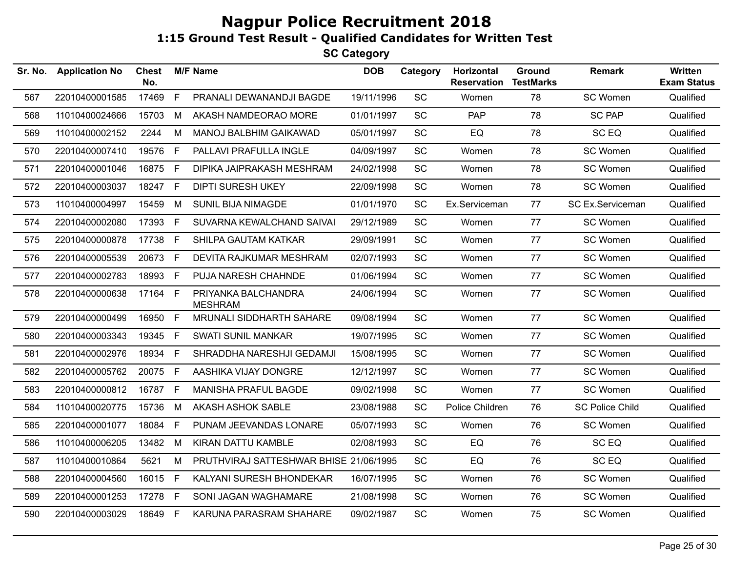| Sr. No. | <b>Application No</b> | Chest<br>No. |              | <b>M/F Name</b>                        | <b>DOB</b> | Category  | Horizontal<br><b>Reservation</b> | Ground<br><b>TestMarks</b> | <b>Remark</b>          | <b>Written</b><br><b>Exam Status</b> |
|---------|-----------------------|--------------|--------------|----------------------------------------|------------|-----------|----------------------------------|----------------------------|------------------------|--------------------------------------|
| 567     | 22010400001585        | 17469        | F            | PRANALI DEWANANDJI BAGDE               | 19/11/1996 | SC        | Women                            | 78                         | SC Women               | Qualified                            |
| 568     | 11010400024666        | 15703        | M            | AKASH NAMDEORAO MORE                   | 01/01/1997 | SC        | <b>PAP</b>                       | 78                         | <b>SC PAP</b>          | Qualified                            |
| 569     | 11010400002152        | 2244         | M            | MANOJ BALBHIM GAIKAWAD                 | 05/01/1997 | SC        | EQ                               | 78                         | SC <sub>EQ</sub>       | Qualified                            |
| 570     | 22010400007410        | 19576        | $\mathsf{F}$ | PALLAVI PRAFULLA INGLE                 | 04/09/1997 | <b>SC</b> | Women                            | 78                         | SC Women               | Qualified                            |
| 571     | 22010400001046        | 16875        | F            | DIPIKA JAIPRAKASH MESHRAM              | 24/02/1998 | SC        | Women                            | 78                         | SC Women               | Qualified                            |
| 572     | 22010400003037        | 18247 F      |              | <b>DIPTI SURESH UKEY</b>               | 22/09/1998 | <b>SC</b> | Women                            | 78                         | SC Women               | Qualified                            |
| 573     | 11010400004997        | 15459        | M            | <b>SUNIL BIJA NIMAGDE</b>              | 01/01/1970 | SC        | Ex.Serviceman                    | 77                         | SC Ex.Serviceman       | Qualified                            |
| 574     | 22010400002080        | 17393        | E            | SUVARNA KEWALCHAND SAIVAI              | 29/12/1989 | SC        | Women                            | 77                         | SC Women               | Qualified                            |
| 575     | 22010400000878        | 17738        | F            | SHILPA GAUTAM KATKAR                   | 29/09/1991 | SC        | Women                            | 77                         | SC Women               | Qualified                            |
| 576     | 22010400005539        | 20673        | F            | DEVITA RAJKUMAR MESHRAM                | 02/07/1993 | <b>SC</b> | Women                            | 77                         | SC Women               | Qualified                            |
| 577     | 22010400002783        | 18993        | F            | PUJA NARESH CHAHNDE                    | 01/06/1994 | SC        | Women                            | 77                         | SC Women               | Qualified                            |
| 578     | 22010400000638        | 17164 F      |              | PRIYANKA BALCHANDRA<br><b>MESHRAM</b>  | 24/06/1994 | SC        | Women                            | 77                         | SC Women               | Qualified                            |
| 579     | 22010400000499        | 16950        | F            | MRUNALI SIDDHARTH SAHARE               | 09/08/1994 | SC        | Women                            | 77                         | SC Women               | Qualified                            |
| 580     | 22010400003343        | 19345        | F            | <b>SWATI SUNIL MANKAR</b>              | 19/07/1995 | <b>SC</b> | Women                            | 77                         | SC Women               | Qualified                            |
| 581     | 22010400002976        | 18934 F      |              | SHRADDHA NARESHJI GEDAMJI              | 15/08/1995 | SC        | Women                            | 77                         | SC Women               | Qualified                            |
| 582     | 22010400005762        | 20075 F      |              | AASHIKA VIJAY DONGRE                   | 12/12/1997 | <b>SC</b> | Women                            | 77                         | SC Women               | Qualified                            |
| 583     | 22010400000812        | 16787 F      |              | <b>MANISHA PRAFUL BAGDE</b>            | 09/02/1998 | SC        | Women                            | 77                         | SC Women               | Qualified                            |
| 584     | 11010400020775        | 15736        | M            | AKASH ASHOK SABLE                      | 23/08/1988 | SC        | Police Children                  | 76                         | <b>SC Police Child</b> | Qualified                            |
| 585     | 22010400001077        | 18084        | $\mathsf{F}$ | PUNAM JEEVANDAS LONARE                 | 05/07/1993 | <b>SC</b> | Women                            | 76                         | SC Women               | Qualified                            |
| 586     | 11010400006205        | 13482        | M            | KIRAN DATTU KAMBLE                     | 02/08/1993 | <b>SC</b> | EQ                               | 76                         | SC <sub>EQ</sub>       | Qualified                            |
| 587     | 11010400010864        | 5621         | M            | PRUTHVIRAJ SATTESHWAR BHISE 21/06/1995 |            | <b>SC</b> | EQ                               | 76                         | SC EQ                  | Qualified                            |
| 588     | 22010400004560        | 16015 F      |              | KALYANI SURESH BHONDEKAR               | 16/07/1995 | SC        | Women                            | 76                         | SC Women               | Qualified                            |
| 589     | 22010400001253        | 17278 F      |              | SONI JAGAN WAGHAMARE                   | 21/08/1998 | SC        | Women                            | 76                         | SC Women               | Qualified                            |
| 590     | 22010400003029        | 18649        | F            | KARUNA PARASRAM SHAHARE                | 09/02/1987 | SC        | Women                            | 75                         | SC Women               | Qualified                            |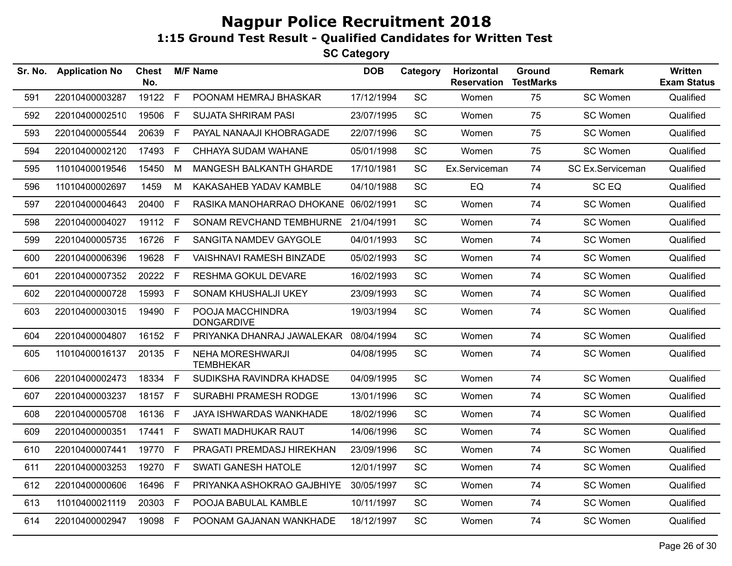| F<br>19122<br>SC<br>75<br>22010400003287<br>POONAM HEMRAJ BHASKAR<br>17/12/1994<br>591<br>Women<br>F<br>SC<br>75<br>592<br>22010400002510<br>19506<br><b>SUJATA SHRIRAM PASI</b><br>23/07/1995<br>Women<br>SC<br>75<br>22010400005544<br>20639<br>F.<br>PAYAL NANAAJI KHOBRAGADE<br>22/07/1996<br>593<br>Women<br>22010400002120<br>17493 F<br>CHHAYA SUDAM WAHANE<br>05/01/1998<br>SC<br>Women<br>75<br>594<br><b>SC</b><br>11010400019546<br>15450<br>M<br>MANGESH BALKANTH GHARDE<br>17/10/1981<br>Ex.Serviceman<br>74<br>595<br>EQ<br>11010400002697<br>1459<br>M<br>KAKASAHEB YADAV KAMBLE<br>04/10/1988<br><b>SC</b><br>74<br>596<br>E<br>RASIKA MANOHARRAO DHOKANE 06/02/1991<br><b>SC</b><br>74<br>597<br>22010400004643<br>20400<br>Women<br>19112 F<br><b>SC</b><br>22010400004027<br>SONAM REVCHAND TEMBHURNE 21/04/1991<br>74<br>598<br>Women<br>F<br>SC<br>22010400005735<br>16726<br>SANGITA NAMDEV GAYGOLE<br>04/01/1993<br>74<br>599<br>Women | SC Women<br>Qualified<br>SC Women<br>Qualified<br>SC Women<br>Qualified<br>SC Women<br>Qualified<br>SC Ex.Serviceman<br>Qualified<br>SC <sub>EQ</sub><br>Qualified<br>SC Women<br>Qualified<br>SC Women<br>Qualified<br>SC Women<br>Qualified |
|---------------------------------------------------------------------------------------------------------------------------------------------------------------------------------------------------------------------------------------------------------------------------------------------------------------------------------------------------------------------------------------------------------------------------------------------------------------------------------------------------------------------------------------------------------------------------------------------------------------------------------------------------------------------------------------------------------------------------------------------------------------------------------------------------------------------------------------------------------------------------------------------------------------------------------------------------------------|-----------------------------------------------------------------------------------------------------------------------------------------------------------------------------------------------------------------------------------------------|
|                                                                                                                                                                                                                                                                                                                                                                                                                                                                                                                                                                                                                                                                                                                                                                                                                                                                                                                                                               |                                                                                                                                                                                                                                               |
|                                                                                                                                                                                                                                                                                                                                                                                                                                                                                                                                                                                                                                                                                                                                                                                                                                                                                                                                                               |                                                                                                                                                                                                                                               |
|                                                                                                                                                                                                                                                                                                                                                                                                                                                                                                                                                                                                                                                                                                                                                                                                                                                                                                                                                               |                                                                                                                                                                                                                                               |
|                                                                                                                                                                                                                                                                                                                                                                                                                                                                                                                                                                                                                                                                                                                                                                                                                                                                                                                                                               |                                                                                                                                                                                                                                               |
|                                                                                                                                                                                                                                                                                                                                                                                                                                                                                                                                                                                                                                                                                                                                                                                                                                                                                                                                                               |                                                                                                                                                                                                                                               |
|                                                                                                                                                                                                                                                                                                                                                                                                                                                                                                                                                                                                                                                                                                                                                                                                                                                                                                                                                               |                                                                                                                                                                                                                                               |
|                                                                                                                                                                                                                                                                                                                                                                                                                                                                                                                                                                                                                                                                                                                                                                                                                                                                                                                                                               |                                                                                                                                                                                                                                               |
|                                                                                                                                                                                                                                                                                                                                                                                                                                                                                                                                                                                                                                                                                                                                                                                                                                                                                                                                                               |                                                                                                                                                                                                                                               |
|                                                                                                                                                                                                                                                                                                                                                                                                                                                                                                                                                                                                                                                                                                                                                                                                                                                                                                                                                               |                                                                                                                                                                                                                                               |
| 19628<br>F<br>SC<br>74<br>600<br>22010400006396<br><b>VAISHNAVI RAMESH BINZADE</b><br>05/02/1993<br>Women                                                                                                                                                                                                                                                                                                                                                                                                                                                                                                                                                                                                                                                                                                                                                                                                                                                     | SC Women<br>Qualified                                                                                                                                                                                                                         |
| F<br><b>SC</b><br>22010400007352<br>20222<br><b>RESHMA GOKUL DEVARE</b><br>16/02/1993<br>74<br>601<br>Women                                                                                                                                                                                                                                                                                                                                                                                                                                                                                                                                                                                                                                                                                                                                                                                                                                                   | SC Women<br>Qualified                                                                                                                                                                                                                         |
| SC<br>74<br>602<br>22010400000728<br>15993<br>-F<br>SONAM KHUSHALJI UKEY<br>23/09/1993<br>Women                                                                                                                                                                                                                                                                                                                                                                                                                                                                                                                                                                                                                                                                                                                                                                                                                                                               | SC Women<br>Qualified                                                                                                                                                                                                                         |
| 19490 F<br>SC<br>74<br>603<br>22010400003015<br>POOJA MACCHINDRA<br>19/03/1994<br>Women<br><b>DONGARDIVE</b>                                                                                                                                                                                                                                                                                                                                                                                                                                                                                                                                                                                                                                                                                                                                                                                                                                                  | SC Women<br>Qualified                                                                                                                                                                                                                         |
| 16152 F<br>PRIYANKA DHANRAJ JAWALEKAR<br>SC<br>74<br>22010400004807<br>08/04/1994<br>604<br>Women                                                                                                                                                                                                                                                                                                                                                                                                                                                                                                                                                                                                                                                                                                                                                                                                                                                             | SC Women<br>Qualified                                                                                                                                                                                                                         |
| SC<br>20135 F<br><b>NEHA MORESHWARJI</b><br>74<br>605<br>11010400016137<br>04/08/1995<br>Women<br><b>TEMBHEKAR</b>                                                                                                                                                                                                                                                                                                                                                                                                                                                                                                                                                                                                                                                                                                                                                                                                                                            | SC Women<br>Qualified                                                                                                                                                                                                                         |
| 18334 F<br><b>SC</b><br>22010400002473<br>SUDIKSHA RAVINDRA KHADSE<br>04/09/1995<br>Women<br>74<br>606                                                                                                                                                                                                                                                                                                                                                                                                                                                                                                                                                                                                                                                                                                                                                                                                                                                        | Qualified<br>SC Women                                                                                                                                                                                                                         |
| 18157 F<br>SURABHI PRAMESH RODGE<br>SC<br>74<br>22010400003237<br>13/01/1996<br>Women<br>607                                                                                                                                                                                                                                                                                                                                                                                                                                                                                                                                                                                                                                                                                                                                                                                                                                                                  | SC Women<br>Qualified                                                                                                                                                                                                                         |
| 16136<br>F<br><b>SC</b><br>74<br>608<br>22010400005708<br>JAYA ISHWARDAS WANKHADE<br>18/02/1996<br>Women                                                                                                                                                                                                                                                                                                                                                                                                                                                                                                                                                                                                                                                                                                                                                                                                                                                      | Qualified<br>SC Women                                                                                                                                                                                                                         |
| $\mathsf{F}$<br>SC<br>74<br>609<br>22010400000351<br>17441<br>SWATI MADHUKAR RAUT<br>14/06/1996<br>Women                                                                                                                                                                                                                                                                                                                                                                                                                                                                                                                                                                                                                                                                                                                                                                                                                                                      | SC Women<br>Qualified                                                                                                                                                                                                                         |
| 19770<br>E<br>PRAGATI PREMDASJ HIREKHAN<br>SC<br>74<br>610<br>22010400007441<br>23/09/1996<br>Women                                                                                                                                                                                                                                                                                                                                                                                                                                                                                                                                                                                                                                                                                                                                                                                                                                                           | SC Women<br>Qualified                                                                                                                                                                                                                         |
| 22010400003253<br>19270<br>F<br><b>SWATI GANESH HATOLE</b><br><b>SC</b><br>74<br>12/01/1997<br>Women<br>611                                                                                                                                                                                                                                                                                                                                                                                                                                                                                                                                                                                                                                                                                                                                                                                                                                                   | SC Women<br>Qualified                                                                                                                                                                                                                         |
| $\mathsf{F}$<br>SC<br>612<br>22010400000606<br>16496<br>PRIYANKA ASHOKRAO GAJBHIYE<br>30/05/1997<br>Women<br>74                                                                                                                                                                                                                                                                                                                                                                                                                                                                                                                                                                                                                                                                                                                                                                                                                                               | SC Women<br>Qualified                                                                                                                                                                                                                         |
| F<br>POOJA BABULAL KAMBLE<br>SC<br>74<br>613<br>11010400021119<br>20303<br>10/11/1997<br>Women                                                                                                                                                                                                                                                                                                                                                                                                                                                                                                                                                                                                                                                                                                                                                                                                                                                                | SC Women<br>Qualified                                                                                                                                                                                                                         |
| SC<br>74<br>614<br>22010400002947<br>19098 F<br>POONAM GAJANAN WANKHADE<br>18/12/1997<br>Women                                                                                                                                                                                                                                                                                                                                                                                                                                                                                                                                                                                                                                                                                                                                                                                                                                                                | SC Women<br>Qualified                                                                                                                                                                                                                         |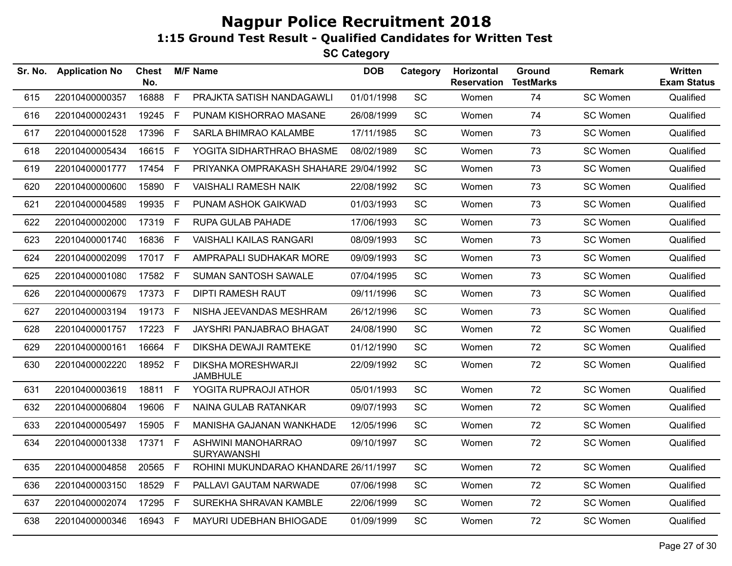| Sr. No. | <b>Application No</b> | Chest<br>No. |              | <b>M/F Name</b>                              | <b>DOB</b> | Category  | Horizontal<br><b>Reservation</b> | Ground<br><b>TestMarks</b> | <b>Remark</b> | Written<br><b>Exam Status</b> |
|---------|-----------------------|--------------|--------------|----------------------------------------------|------------|-----------|----------------------------------|----------------------------|---------------|-------------------------------|
| 615     | 22010400000357        | 16888        | $\mathsf{F}$ | PRAJKTA SATISH NANDAGAWLI                    | 01/01/1998 | SC        | Women                            | 74                         | SC Women      | Qualified                     |
| 616     | 22010400002431        | 19245        | F            | PUNAM KISHORRAO MASANE                       | 26/08/1999 | <b>SC</b> | Women                            | 74                         | SC Women      | Qualified                     |
| 617     | 22010400001528        | 17396        | F.           | SARLA BHIMRAO KALAMBE                        | 17/11/1985 | <b>SC</b> | Women                            | 73                         | SC Women      | Qualified                     |
| 618     | 22010400005434        | 16615        | F.           | YOGITA SIDHARTHRAO BHASME                    | 08/02/1989 | SC        | Women                            | 73                         | SC Women      | Qualified                     |
| 619     | 22010400001777        | 17454 F      |              | PRIYANKA OMPRAKASH SHAHARE 29/04/1992        |            | SC        | Women                            | 73                         | SC Women      | Qualified                     |
| 620     | 22010400000600        | 15890        | F.           | <b>VAISHALI RAMESH NAIK</b>                  | 22/08/1992 | <b>SC</b> | Women                            | 73                         | SC Women      | Qualified                     |
| 621     | 22010400004589        | 19935 F      |              | PUNAM ASHOK GAIKWAD                          | 01/03/1993 | SC        | Women                            | 73                         | SC Women      | Qualified                     |
| 622     | 22010400002000        | 17319        | F            | <b>RUPA GULAB PAHADE</b>                     | 17/06/1993 | SC        | Women                            | 73                         | SC Women      | Qualified                     |
| 623     | 22010400001740        | 16836        | F.           | <b>VAISHALI KAILAS RANGARI</b>               | 08/09/1993 | SC        | Women                            | 73                         | SC Women      | Qualified                     |
| 624     | 22010400002099        | 17017 F      |              | AMPRAPALI SUDHAKAR MORE                      | 09/09/1993 | SC        | Women                            | 73                         | SC Women      | Qualified                     |
| 625     | 22010400001080        | 17582        | F.           | <b>SUMAN SANTOSH SAWALE</b>                  | 07/04/1995 | SC        | Women                            | 73                         | SC Women      | Qualified                     |
| 626     | 22010400000679        | 17373 F      |              | <b>DIPTI RAMESH RAUT</b>                     | 09/11/1996 | SC        | Women                            | 73                         | SC Women      | Qualified                     |
| 627     | 22010400003194        | 19173        | F.           | NISHA JEEVANDAS MESHRAM                      | 26/12/1996 | SC        | Women                            | 73                         | SC Women      | Qualified                     |
| 628     | 22010400001757        | 17223        | F            | JAYSHRI PANJABRAO BHAGAT                     | 24/08/1990 | <b>SC</b> | Women                            | 72                         | SC Women      | Qualified                     |
| 629     | 22010400000161        | 16664        | F.           | DIKSHA DEWAJI RAMTEKE                        | 01/12/1990 | <b>SC</b> | Women                            | 72                         | SC Women      | Qualified                     |
| 630     | 22010400002220        | 18952 F      |              | <b>DIKSHA MORESHWARJI</b><br><b>JAMBHULE</b> | 22/09/1992 | <b>SC</b> | Women                            | 72                         | SC Women      | Qualified                     |
| 631     | 22010400003619        | 18811        | F.           | YOGITA RUPRAOJI ATHOR                        | 05/01/1993 | SC        | Women                            | 72                         | SC Women      | Qualified                     |
| 632     | 22010400006804        | 19606        | F.           | NAINA GULAB RATANKAR                         | 09/07/1993 | <b>SC</b> | Women                            | 72                         | SC Women      | Qualified                     |
| 633     | 22010400005497        | 15905        | F.           | MANISHA GAJANAN WANKHADE                     | 12/05/1996 | SC        | Women                            | 72                         | SC Women      | Qualified                     |
| 634     | 22010400001338        | 17371        | $\mathsf F$  | ASHWINI MANOHARRAO<br><b>SURYAWANSHI</b>     | 09/10/1997 | SC        | Women                            | 72                         | SC Women      | Qualified                     |
| 635     | 22010400004858        | 20565        | F            | ROHINI MUKUNDARAO KHANDARE 26/11/1997        |            | SC        | Women                            | 72                         | SC Women      | Qualified                     |
| 636     | 22010400003150        | 18529        | F            | PALLAVI GAUTAM NARWADE                       | 07/06/1998 | SC        | Women                            | 72                         | SC Women      | Qualified                     |
| 637     | 22010400002074        | 17295        | F            | SUREKHA SHRAVAN KAMBLE                       | 22/06/1999 | <b>SC</b> | Women                            | 72                         | SC Women      | Qualified                     |
| 638     | 22010400000346        | 16943 F      |              | MAYURI UDEBHAN BHIOGADE                      | 01/09/1999 | SC        | Women                            | 72                         | SC Women      | Qualified                     |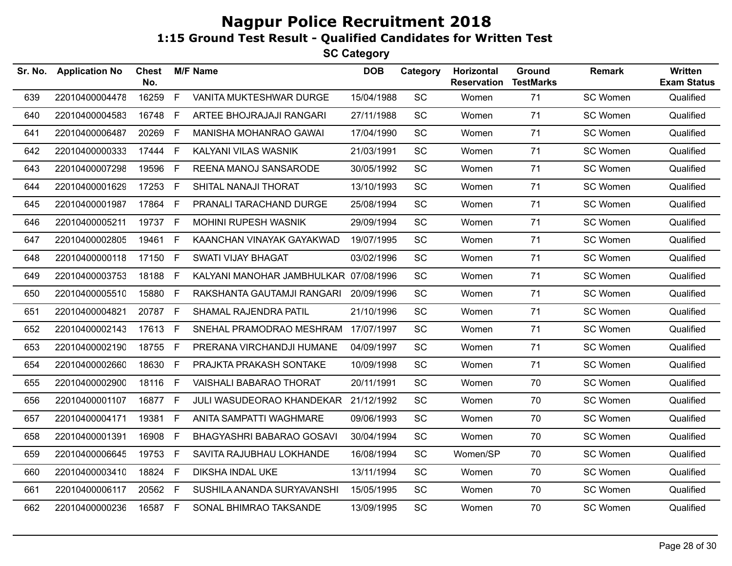| Sr. No. | <b>Application No</b> | <b>Chest</b><br>No. |             | <b>M/F Name</b>                       | <b>DOB</b> | Category  | Horizontal<br><b>Reservation</b> | Ground<br><b>TestMarks</b> | <b>Remark</b> | Written<br><b>Exam Status</b> |
|---------|-----------------------|---------------------|-------------|---------------------------------------|------------|-----------|----------------------------------|----------------------------|---------------|-------------------------------|
| 639     | 22010400004478        | 16259               | F.          | VANITA MUKTESHWAR DURGE               | 15/04/1988 | <b>SC</b> | Women                            | 71                         | SC Women      | Qualified                     |
| 640     | 22010400004583        | 16748               | F.          | ARTEE BHOJRAJAJI RANGARI              | 27/11/1988 | SC        | Women                            | 71                         | SC Women      | Qualified                     |
| 641     | 22010400006487        | 20269               | F           | MANISHA MOHANRAO GAWAI                | 17/04/1990 | SC        | Women                            | 71                         | SC Women      | Qualified                     |
| 642     | 22010400000333        | 17444               | F.          | KALYANI VILAS WASNIK                  | 21/03/1991 | SC        | Women                            | 71                         | SC Women      | Qualified                     |
| 643     | 22010400007298        | 19596               | F           | REENA MANOJ SANSARODE                 | 30/05/1992 | <b>SC</b> | Women                            | 71                         | SC Women      | Qualified                     |
| 644     | 22010400001629        | 17253               | F.          | SHITAL NANAJI THORAT                  | 13/10/1993 | SC        | Women                            | 71                         | SC Women      | Qualified                     |
| 645     | 22010400001987        | 17864               | F           | PRANALI TARACHAND DURGE               | 25/08/1994 | <b>SC</b> | Women                            | 71                         | SC Women      | Qualified                     |
| 646     | 22010400005211        | 19737               | F.          | <b>MOHINI RUPESH WASNIK</b>           | 29/09/1994 | <b>SC</b> | Women                            | 71                         | SC Women      | Qualified                     |
| 647     | 22010400002805        | 19461               | F.          | KAANCHAN VINAYAK GAYAKWAD             | 19/07/1995 | SC        | Women                            | 71                         | SC Women      | Qualified                     |
| 648     | 22010400000118        | 17150               | F.          | <b>SWATI VIJAY BHAGAT</b>             | 03/02/1996 | <b>SC</b> | Women                            | 71                         | SC Women      | Qualified                     |
| 649     | 22010400003753        | 18188 F             |             | KALYANI MANOHAR JAMBHULKAR 07/08/1996 |            | SC        | Women                            | 71                         | SC Women      | Qualified                     |
| 650     | 22010400005510        | 15880               | F.          | RAKSHANTA GAUTAMJI RANGARI            | 20/09/1996 | <b>SC</b> | Women                            | 71                         | SC Women      | Qualified                     |
| 651     | 22010400004821        | 20787 F             |             | SHAMAL RAJENDRA PATIL                 | 21/10/1996 | SC        | Women                            | 71                         | SC Women      | Qualified                     |
| 652     | 22010400002143        | 17613               | F.          | SNEHAL PRAMODRAO MESHRAM 17/07/1997   |            | SC        | Women                            | 71                         | SC Women      | Qualified                     |
| 653     | 22010400002190        | 18755               | F.          | PRERANA VIRCHANDJI HUMANE             | 04/09/1997 | <b>SC</b> | Women                            | 71                         | SC Women      | Qualified                     |
| 654     | 22010400002660        | 18630               | F.          | PRAJKTA PRAKASH SONTAKE               | 10/09/1998 | SC        | Women                            | 71                         | SC Women      | Qualified                     |
| 655     | 22010400002900        | 18116               | F.          | <b>VAISHALI BABARAO THORAT</b>        | 20/11/1991 | <b>SC</b> | Women                            | 70                         | SC Women      | Qualified                     |
| 656     | 22010400001107        | 16877               | F.          | JULI WASUDEORAO KHANDEKAR             | 21/12/1992 | SC        | Women                            | 70                         | SC Women      | Qualified                     |
| 657     | 22010400004171        | 19381               | F           | ANITA SAMPATTI WAGHMARE               | 09/06/1993 | <b>SC</b> | Women                            | 70                         | SC Women      | Qualified                     |
| 658     | 22010400001391        | 16908               | F.          | BHAGYASHRI BABARAO GOSAVI             | 30/04/1994 | <b>SC</b> | Women                            | 70                         | SC Women      | Qualified                     |
| 659     | 22010400006645        | 19753               | $\mathsf F$ | SAVITA RAJUBHAU LOKHANDE              | 16/08/1994 | <b>SC</b> | Women/SP                         | 70                         | SC Women      | Qualified                     |
| 660     | 22010400003410        | 18824               | F.          | DIKSHA INDAL UKE                      | 13/11/1994 | SC        | Women                            | 70                         | SC Women      | Qualified                     |
| 661     | 22010400006117        | 20562 F             |             | SUSHILA ANANDA SURYAVANSHI            | 15/05/1995 | <b>SC</b> | Women                            | 70                         | SC Women      | Qualified                     |
| 662     | 22010400000236        | 16587 F             |             | SONAL BHIMRAO TAKSANDE                | 13/09/1995 | <b>SC</b> | Women                            | 70                         | SC Women      | Qualified                     |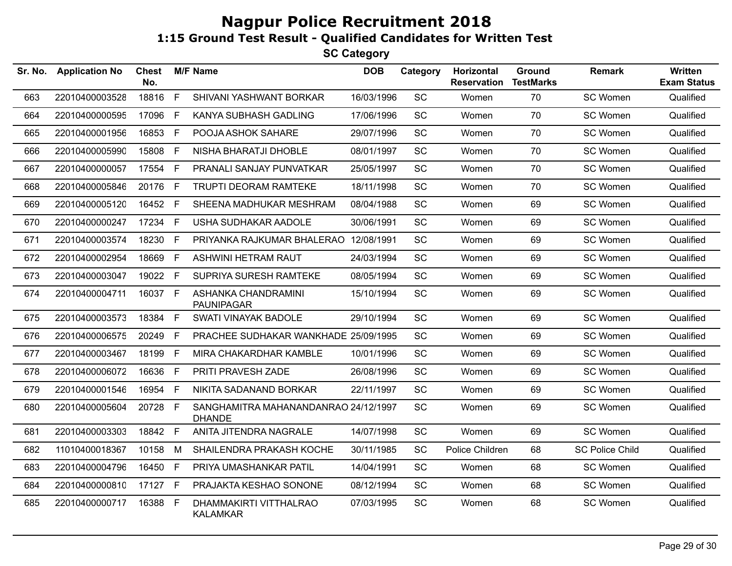| Sr. No. | <b>Application No</b> | <b>Chest</b><br>No. |    | <b>M/F Name</b>                                       | <b>DOB</b> | Category  | Horizontal<br><b>Reservation</b> | <b>Ground</b><br><b>TestMarks</b> | <b>Remark</b>          | <b>Written</b><br><b>Exam Status</b> |
|---------|-----------------------|---------------------|----|-------------------------------------------------------|------------|-----------|----------------------------------|-----------------------------------|------------------------|--------------------------------------|
| 663     | 22010400003528        | 18816               | F  | SHIVANI YASHWANT BORKAR                               | 16/03/1996 | <b>SC</b> | Women                            | 70                                | SC Women               | Qualified                            |
| 664     | 22010400000595        | 17096               | F  | KANYA SUBHASH GADLING                                 | 17/06/1996 | <b>SC</b> | Women                            | 70                                | SC Women               | Qualified                            |
| 665     | 22010400001956        | 16853               | F  | POOJA ASHOK SAHARE                                    | 29/07/1996 | SC        | Women                            | 70                                | SC Women               | Qualified                            |
| 666     | 22010400005990        | 15808               | F. | NISHA BHARATJI DHOBLE                                 | 08/01/1997 | <b>SC</b> | Women                            | 70                                | SC Women               | Qualified                            |
| 667     | 22010400000057        | 17554               | F. | PRANALI SANJAY PUNVATKAR                              | 25/05/1997 | <b>SC</b> | Women                            | 70                                | SC Women               | Qualified                            |
| 668     | 22010400005846        | 20176               | F  | TRUPTI DEORAM RAMTEKE                                 | 18/11/1998 | SC        | Women                            | 70                                | SC Women               | Qualified                            |
| 669     | 22010400005120        | 16452 F             |    | SHEENA MADHUKAR MESHRAM                               | 08/04/1988 | <b>SC</b> | Women                            | 69                                | SC Women               | Qualified                            |
| 670     | 22010400000247        | 17234               | F. | USHA SUDHAKAR AADOLE                                  | 30/06/1991 | <b>SC</b> | Women                            | 69                                | SC Women               | Qualified                            |
| 671     | 22010400003574        | 18230               | F. | PRIYANKA RAJKUMAR BHALERAO                            | 12/08/1991 | <b>SC</b> | Women                            | 69                                | SC Women               | Qualified                            |
| 672     | 22010400002954        | 18669               | F  | ASHWINI HETRAM RAUT                                   | 24/03/1994 | SC        | Women                            | 69                                | SC Women               | Qualified                            |
| 673     | 22010400003047        | 19022 F             |    | SUPRIYA SURESH RAMTEKE                                | 08/05/1994 | <b>SC</b> | Women                            | 69                                | SC Women               | Qualified                            |
| 674     | 22010400004711        | 16037 F             |    | ASHANKA CHANDRAMINI<br><b>PAUNIPAGAR</b>              | 15/10/1994 | <b>SC</b> | Women                            | 69                                | SC Women               | Qualified                            |
| 675     | 22010400003573        | 18384               | F  | <b>SWATI VINAYAK BADOLE</b>                           | 29/10/1994 | SC        | Women                            | 69                                | SC Women               | Qualified                            |
| 676     | 22010400006575        | 20249               | F. | PRACHEE SUDHAKAR WANKHADE 25/09/1995                  |            | <b>SC</b> | Women                            | 69                                | SC Women               | Qualified                            |
| 677     | 22010400003467        | 18199               | F  | MIRA CHAKARDHAR KAMBLE                                | 10/01/1996 | <b>SC</b> | Women                            | 69                                | SC Women               | Qualified                            |
| 678     | 22010400006072        | 16636               | F. | PRITI PRAVESH ZADE                                    | 26/08/1996 | <b>SC</b> | Women                            | 69                                | SC Women               | Qualified                            |
| 679     | 22010400001546        | 16954               | F  | NIKITA SADANAND BORKAR                                | 22/11/1997 | SC        | Women                            | 69                                | SC Women               | Qualified                            |
| 680     | 22010400005604        | 20728 F             |    | SANGHAMITRA MAHANANDANRAO 24/12/1997<br><b>DHANDE</b> |            | <b>SC</b> | Women                            | 69                                | SC Women               | Qualified                            |
| 681     | 22010400003303        | 18842               | F  | ANITA JITENDRA NAGRALE                                | 14/07/1998 | <b>SC</b> | Women                            | 69                                | SC Women               | Qualified                            |
| 682     | 11010400018367        | 10158               | М  | SHAILENDRA PRAKASH KOCHE                              | 30/11/1985 | <b>SC</b> | Police Children                  | 68                                | <b>SC Police Child</b> | Qualified                            |
| 683     | 22010400004796        | 16450               | F  | PRIYA UMASHANKAR PATIL                                | 14/04/1991 | SC        | Women                            | 68                                | SC Women               | Qualified                            |
| 684     | 22010400000810        | 17127 F             |    | PRAJAKTA KESHAO SONONE                                | 08/12/1994 | <b>SC</b> | Women                            | 68                                | SC Women               | Qualified                            |
| 685     | 22010400000717        | 16388               | E  | DHAMMAKIRTI VITTHALRAO<br>KALAMKAR                    | 07/03/1995 | <b>SC</b> | Women                            | 68                                | SC Women               | Qualified                            |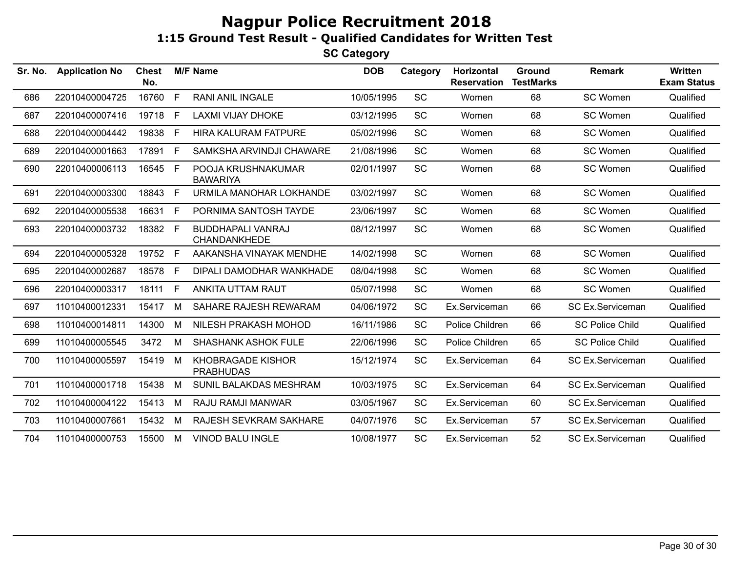| Sr. No. | <b>Application No</b> | <b>Chest</b><br>No. |              | <b>M/F Name</b>                                 | <b>DOB</b> | Category  | <b>Horizontal</b><br><b>Reservation</b> | <b>Ground</b><br><b>TestMarks</b> | <b>Remark</b>           | <b>Written</b><br><b>Exam Status</b> |
|---------|-----------------------|---------------------|--------------|-------------------------------------------------|------------|-----------|-----------------------------------------|-----------------------------------|-------------------------|--------------------------------------|
| 686     | 22010400004725        | 16760               | E            | <b>RANI ANIL INGALE</b>                         | 10/05/1995 | SC        | Women                                   | 68                                | SC Women                | Qualified                            |
| 687     | 22010400007416        | 19718               | -F           | <b>LAXMI VIJAY DHOKE</b>                        | 03/12/1995 | SC        | Women                                   | 68                                | SC Women                | Qualified                            |
| 688     | 22010400004442        | 19838               | - F          | <b>HIRA KALURAM FATPURE</b>                     | 05/02/1996 | <b>SC</b> | Women                                   | 68                                | SC Women                | Qualified                            |
| 689     | 22010400001663        | 17891               | $\mathsf{F}$ | SAMKSHA ARVINDJI CHAWARE                        | 21/08/1996 | <b>SC</b> | Women                                   | 68                                | SC Women                | Qualified                            |
| 690     | 22010400006113        | 16545               | F            | POOJA KRUSHNAKUMAR<br><b>BAWARIYA</b>           | 02/01/1997 | SC        | Women                                   | 68                                | SC Women                | Qualified                            |
| 691     | 22010400003300        | 18843               | $\mathsf{F}$ | URMILA MANOHAR LOKHANDE                         | 03/02/1997 | <b>SC</b> | Women                                   | 68                                | SC Women                | Qualified                            |
| 692     | 22010400005538        | 16631               | -F           | PORNIMA SANTOSH TAYDE                           | 23/06/1997 | SC        | Women                                   | 68                                | <b>SC Women</b>         | Qualified                            |
| 693     | 22010400003732        | 18382               | F.           | <b>BUDDHAPALI VANRAJ</b><br><b>CHANDANKHEDE</b> | 08/12/1997 | <b>SC</b> | Women                                   | 68                                | SC Women                | Qualified                            |
| 694     | 22010400005328        | 19752               | -F           | AAKANSHA VINAYAK MENDHE                         | 14/02/1998 | SC        | Women                                   | 68                                | SC Women                | Qualified                            |
| 695     | 22010400002687        | 18578               | - F          | DIPALI DAMODHAR WANKHADE                        | 08/04/1998 | <b>SC</b> | Women                                   | 68                                | <b>SC Women</b>         | Qualified                            |
| 696     | 22010400003317        | 18111               | E            | ANKITA UTTAM RAUT                               | 05/07/1998 | SC        | Women                                   | 68                                | <b>SC Women</b>         | Qualified                            |
| 697     | 11010400012331        | 15417               | M            | SAHARE RAJESH REWARAM                           | 04/06/1972 | <b>SC</b> | Ex.Serviceman                           | 66                                | SC Ex.Serviceman        | Qualified                            |
| 698     | 11010400014811        | 14300               | M            | NILESH PRAKASH MOHOD                            | 16/11/1986 | <b>SC</b> | Police Children                         | 66                                | <b>SC Police Child</b>  | Qualified                            |
| 699     | 11010400005545        | 3472                | M            | <b>SHASHANK ASHOK FULE</b>                      | 22/06/1996 | <b>SC</b> | Police Children                         | 65                                | <b>SC Police Child</b>  | Qualified                            |
| 700     | 11010400005597        | 15419               | M            | KHOBRAGADE KISHOR<br><b>PRABHUDAS</b>           | 15/12/1974 | <b>SC</b> | Ex.Serviceman                           | 64                                | <b>SC Ex.Serviceman</b> | Qualified                            |
| 701     | 11010400001718        | 15438               | M            | SUNIL BALAKDAS MESHRAM                          | 10/03/1975 | <b>SC</b> | Ex.Serviceman                           | 64                                | SC Ex.Serviceman        | Qualified                            |
| 702     | 11010400004122        | 15413               | M            | RAJU RAMJI MANWAR                               | 03/05/1967 | SC        | Ex.Serviceman                           | 60                                | SC Ex.Serviceman        | Qualified                            |
| 703     | 11010400007661        | 15432               | M            | RAJESH SEVKRAM SAKHARE                          | 04/07/1976 | SC        | Ex.Serviceman                           | 57                                | SC Ex.Serviceman        | Qualified                            |
| 704     | 11010400000753        | 15500               | M            | <b>VINOD BALU INGLE</b>                         | 10/08/1977 | <b>SC</b> | Ex.Serviceman                           | 52                                | <b>SC Ex.Serviceman</b> | Qualified                            |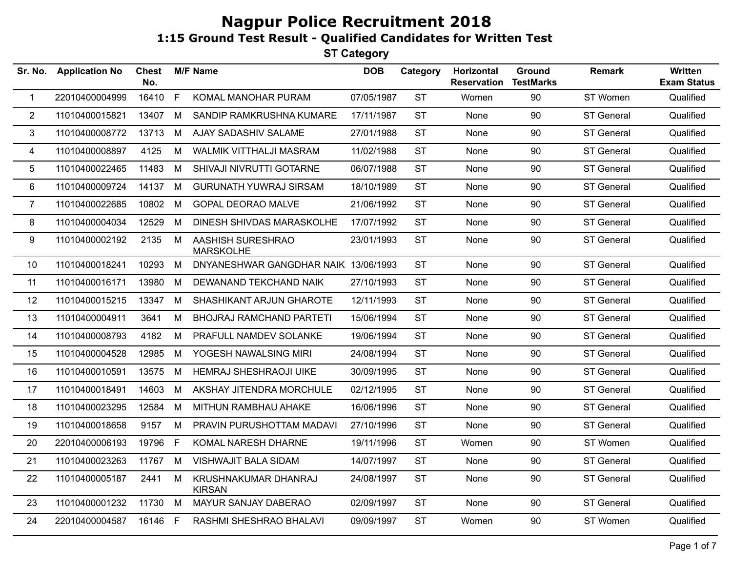| Sr. No.        | <b>Application No</b> | <b>Chest</b><br>No. |              | <b>M/F Name</b>                       | <b>DOB</b> | Category  | Horizontal<br><b>Reservation</b> | Ground<br><b>TestMarks</b> | <b>Remark</b>     | Written<br><b>Exam Status</b> |
|----------------|-----------------------|---------------------|--------------|---------------------------------------|------------|-----------|----------------------------------|----------------------------|-------------------|-------------------------------|
| $\mathbf{1}$   | 22010400004999        | 16410               | $\mathsf{F}$ | KOMAL MANOHAR PURAM                   | 07/05/1987 | <b>ST</b> | Women                            | 90                         | ST Women          | Qualified                     |
| $\overline{2}$ | 11010400015821        | 13407               | M            | SANDIP RAMKRUSHNA KUMARE              | 17/11/1987 | <b>ST</b> | None                             | 90                         | <b>ST General</b> | Qualified                     |
| 3              | 11010400008772        | 13713               | M            | AJAY SADASHIV SALAME                  | 27/01/1988 | <b>ST</b> | None                             | 90                         | <b>ST General</b> | Qualified                     |
| 4              | 11010400008897        | 4125                | M            | <b>WALMIK VITTHALJI MASRAM</b>        | 11/02/1988 | <b>ST</b> | None                             | 90                         | <b>ST General</b> | Qualified                     |
| 5              | 11010400022465        | 11483               | M            | SHIVAJI NIVRUTTI GOTARNE              | 06/07/1988 | <b>ST</b> | None                             | 90                         | <b>ST General</b> | Qualified                     |
| 6              | 11010400009724        | 14137               | M            | <b>GURUNATH YUWRAJ SIRSAM</b>         | 18/10/1989 | <b>ST</b> | None                             | 90                         | ST General        | Qualified                     |
| $\overline{7}$ | 11010400022685        | 10802               | M            | <b>GOPAL DEORAO MALVE</b>             | 21/06/1992 | <b>ST</b> | None                             | 90                         | <b>ST General</b> | Qualified                     |
| 8              | 11010400004034        | 12529               | M            | DINESH SHIVDAS MARASKOLHE             | 17/07/1992 | <b>ST</b> | None                             | 90                         | <b>ST General</b> | Qualified                     |
| 9              | 11010400002192        | 2135                | M            | AASHISH SURESHRAO<br><b>MARSKOLHE</b> | 23/01/1993 | <b>ST</b> | None                             | 90                         | <b>ST General</b> | Qualified                     |
| 10             | 11010400018241        | 10293               | M            | DNYANESHWAR GANGDHAR NAIK 13/06/1993  |            | <b>ST</b> | None                             | 90                         | <b>ST General</b> | Qualified                     |
| 11             | 11010400016171        | 13980               | M            | DEWANAND TEKCHAND NAIK                | 27/10/1993 | <b>ST</b> | None                             | 90                         | <b>ST General</b> | Qualified                     |
| 12             | 11010400015215        | 13347               | M            | SHASHIKANT ARJUN GHAROTE              | 12/11/1993 | <b>ST</b> | None                             | 90                         | <b>ST General</b> | Qualified                     |
| 13             | 11010400004911        | 3641                | M            | <b>BHOJRAJ RAMCHAND PARTETI</b>       | 15/06/1994 | <b>ST</b> | None                             | 90                         | <b>ST General</b> | Qualified                     |
| 14             | 11010400008793        | 4182                | M            | PRAFULL NAMDEV SOLANKE                | 19/06/1994 | <b>ST</b> | None                             | 90                         | <b>ST General</b> | Qualified                     |
| 15             | 11010400004528        | 12985               | M            | YOGESH NAWALSING MIRI                 | 24/08/1994 | <b>ST</b> | None                             | 90                         | <b>ST General</b> | Qualified                     |
| 16             | 11010400010591        | 13575               | M            | <b>HEMRAJ SHESHRAOJI UIKE</b>         | 30/09/1995 | <b>ST</b> | None                             | 90                         | ST General        | Qualified                     |
| 17             | 11010400018491        | 14603               | M            | AKSHAY JITENDRA MORCHULE              | 02/12/1995 | <b>ST</b> | None                             | 90                         | <b>ST General</b> | Qualified                     |
| 18             | 11010400023295        | 12584               | M            | MITHUN RAMBHAU AHAKE                  | 16/06/1996 | <b>ST</b> | None                             | 90                         | <b>ST General</b> | Qualified                     |
| 19             | 11010400018658        | 9157                | M            | PRAVIN PURUSHOTTAM MADAVI             | 27/10/1996 | <b>ST</b> | None                             | 90                         | <b>ST General</b> | Qualified                     |
| 20             | 22010400006193        | 19796 F             |              | KOMAL NARESH DHARNE                   | 19/11/1996 | <b>ST</b> | Women                            | 90                         | ST Women          | Qualified                     |
| 21             | 11010400023263        | 11767               | M            | <b>VISHWAJIT BALA SIDAM</b>           | 14/07/1997 | <b>ST</b> | None                             | 90                         | <b>ST General</b> | Qualified                     |
| 22             | 11010400005187        | 2441                | M            | KRUSHNAKUMAR DHANRAJ<br><b>KIRSAN</b> | 24/08/1997 | <b>ST</b> | None                             | 90                         | <b>ST General</b> | Qualified                     |
| 23             | 11010400001232        | 11730               | M            | MAYUR SANJAY DABERAO                  | 02/09/1997 | <b>ST</b> | None                             | 90                         | ST General        | Qualified                     |
| 24             | 22010400004587        | 16146 F             |              | RASHMI SHESHRAO BHALAVI               | 09/09/1997 | <b>ST</b> | Women                            | 90                         | ST Women          | Qualified                     |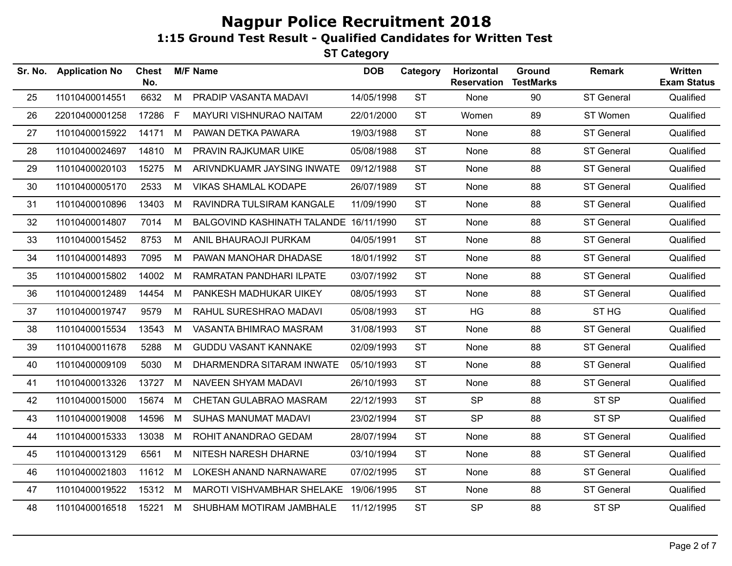| Sr. No. | <b>Application No</b> | <b>Chest</b><br>No. |    | <b>M/F Name</b>                        | <b>DOB</b> | Category  | Horizontal<br><b>Reservation</b> | Ground<br><b>TestMarks</b> | <b>Remark</b>     | <b>Written</b><br><b>Exam Status</b> |
|---------|-----------------------|---------------------|----|----------------------------------------|------------|-----------|----------------------------------|----------------------------|-------------------|--------------------------------------|
| 25      | 11010400014551        | 6632                | M  | PRADIP VASANTA MADAVI                  | 14/05/1998 | <b>ST</b> | None                             | 90                         | ST General        | Qualified                            |
| 26      | 22010400001258        | 17286               | F. | MAYURI VISHNURAO NAITAM                | 22/01/2000 | <b>ST</b> | Women                            | 89                         | ST Women          | Qualified                            |
| 27      | 11010400015922        | 14171               | M  | PAWAN DETKA PAWARA                     | 19/03/1988 | <b>ST</b> | None                             | 88                         | <b>ST General</b> | Qualified                            |
| 28      | 11010400024697        | 14810               | М  | PRAVIN RAJKUMAR UIKE                   | 05/08/1988 | <b>ST</b> | None                             | 88                         | <b>ST General</b> | Qualified                            |
| 29      | 11010400020103        | 15275               | M  | ARIVNDKUAMR JAYSING INWATE             | 09/12/1988 | <b>ST</b> | None                             | 88                         | <b>ST General</b> | Qualified                            |
| 30      | 11010400005170        | 2533                | M  | <b>VIKAS SHAMLAL KODAPE</b>            | 26/07/1989 | <b>ST</b> | None                             | 88                         | ST General        | Qualified                            |
| 31      | 11010400010896        | 13403               | M  | RAVINDRA TULSIRAM KANGALE              | 11/09/1990 | <b>ST</b> | None                             | 88                         | <b>ST General</b> | Qualified                            |
| 32      | 11010400014807        | 7014                | M  | BALGOVIND KASHINATH TALANDE 16/11/1990 |            | <b>ST</b> | None                             | 88                         | ST General        | Qualified                            |
| 33      | 11010400015452        | 8753                | М  | ANIL BHAURAOJI PURKAM                  | 04/05/1991 | <b>ST</b> | None                             | 88                         | <b>ST General</b> | Qualified                            |
| 34      | 11010400014893        | 7095                | М  | PAWAN MANOHAR DHADASE                  | 18/01/1992 | <b>ST</b> | None                             | 88                         | <b>ST General</b> | Qualified                            |
| 35      | 11010400015802        | 14002               | М  | RAMRATAN PANDHARI ILPATE               | 03/07/1992 | <b>ST</b> | None                             | 88                         | <b>ST General</b> | Qualified                            |
| 36      | 11010400012489        | 14454               | M  | PANKESH MADHUKAR UIKEY                 | 08/05/1993 | <b>ST</b> | None                             | 88                         | ST General        | Qualified                            |
| 37      | 11010400019747        | 9579                | М  | RAHUL SURESHRAO MADAVI                 | 05/08/1993 | <b>ST</b> | HG                               | 88                         | ST <sub>HG</sub>  | Qualified                            |
| 38      | 11010400015534        | 13543               | M  | VASANTA BHIMRAO MASRAM                 | 31/08/1993 | <b>ST</b> | None                             | 88                         | <b>ST General</b> | Qualified                            |
| 39      | 11010400011678        | 5288                | М  | <b>GUDDU VASANT KANNAKE</b>            | 02/09/1993 | <b>ST</b> | None                             | 88                         | <b>ST General</b> | Qualified                            |
| 40      | 11010400009109        | 5030                | м  | DHARMENDRA SITARAM INWATE              | 05/10/1993 | <b>ST</b> | None                             | 88                         | <b>ST General</b> | Qualified                            |
| 41      | 11010400013326        | 13727               | М  | NAVEEN SHYAM MADAVI                    | 26/10/1993 | <b>ST</b> | None                             | 88                         | <b>ST General</b> | Qualified                            |
| 42      | 11010400015000        | 15674               | М  | CHETAN GULABRAO MASRAM                 | 22/12/1993 | <b>ST</b> | <b>SP</b>                        | 88                         | ST <sub>SP</sub>  | Qualified                            |
| 43      | 11010400019008        | 14596               | M  | SUHAS MANUMAT MADAVI                   | 23/02/1994 | <b>ST</b> | <b>SP</b>                        | 88                         | ST SP             | Qualified                            |
| 44      | 11010400015333        | 13038               | M  | ROHIT ANANDRAO GEDAM                   | 28/07/1994 | <b>ST</b> | None                             | 88                         | <b>ST General</b> | Qualified                            |
| 45      | 11010400013129        | 6561                | M  | NITESH NARESH DHARNE                   | 03/10/1994 | <b>ST</b> | None                             | 88                         | ST General        | Qualified                            |
| 46      | 11010400021803        | 11612               | M  | LOKESH ANAND NARNAWARE                 | 07/02/1995 | <b>ST</b> | None                             | 88                         | <b>ST General</b> | Qualified                            |
| 47      | 11010400019522        | 15312               | M  | MAROTI VISHVAMBHAR SHELAKE             | 19/06/1995 | <b>ST</b> | None                             | 88                         | <b>ST General</b> | Qualified                            |
| 48      | 11010400016518        | 15221               | M  | SHUBHAM MOTIRAM JAMBHALE               | 11/12/1995 | <b>ST</b> | <b>SP</b>                        | 88                         | ST <sub>SP</sub>  | Qualified                            |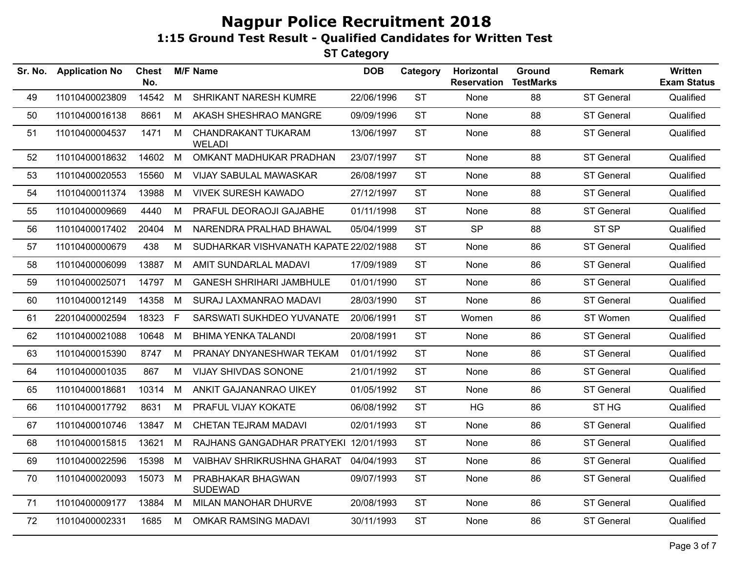| <b>Application No</b> | <b>Chest</b><br>No. |    |                                      | <b>DOB</b>      | Category                                                                        | Horizontal<br><b>Reservation</b> | Ground<br><b>TestMarks</b> | <b>Remark</b>     | Written<br><b>Exam Status</b> |
|-----------------------|---------------------|----|--------------------------------------|-----------------|---------------------------------------------------------------------------------|----------------------------------|----------------------------|-------------------|-------------------------------|
| 11010400023809        | 14542               | M  | SHRIKANT NARESH KUMRE                | 22/06/1996      | <b>ST</b>                                                                       | None                             | 88                         | ST General        | Qualified                     |
| 11010400016138        | 8661                | M  | AKASH SHESHRAO MANGRE                | 09/09/1996      | <b>ST</b>                                                                       | None                             | 88                         | <b>ST General</b> | Qualified                     |
| 11010400004537        | 1471                | М  | CHANDRAKANT TUKARAM<br><b>WELADI</b> | 13/06/1997      | <b>ST</b>                                                                       | None                             | 88                         | <b>ST General</b> | Qualified                     |
| 11010400018632        | 14602               | M  | OMKANT MADHUKAR PRADHAN              | 23/07/1997      | <b>ST</b>                                                                       | None                             | 88                         | <b>ST General</b> | Qualified                     |
| 11010400020553        | 15560               | М  | VIJAY SABULAL MAWASKAR               | 26/08/1997      | <b>ST</b>                                                                       | None                             | 88                         | <b>ST General</b> | Qualified                     |
| 11010400011374        | 13988               | M  | <b>VIVEK SURESH KAWADO</b>           | 27/12/1997      | <b>ST</b>                                                                       | None                             | 88                         | <b>ST General</b> | Qualified                     |
| 11010400009669        | 4440                | M  | PRAFUL DEORAOJI GAJABHE              | 01/11/1998      | <b>ST</b>                                                                       | None                             | 88                         | <b>ST General</b> | Qualified                     |
| 11010400017402        | 20404               | M  | NARENDRA PRALHAD BHAWAL              | 05/04/1999      | <b>ST</b>                                                                       | <b>SP</b>                        | 88                         | ST <sub>SP</sub>  | Qualified                     |
| 11010400000679        | 438                 | M  |                                      |                 | <b>ST</b>                                                                       | None                             | 86                         | <b>ST General</b> | Qualified                     |
| 11010400006099        | 13887               | M  | AMIT SUNDARLAL MADAVI                | 17/09/1989      | <b>ST</b>                                                                       | None                             | 86                         | <b>ST General</b> | Qualified                     |
| 11010400025071        |                     | M  | <b>GANESH SHRIHARI JAMBHULE</b>      | 01/01/1990      | <b>ST</b>                                                                       | None                             | 86                         | <b>ST General</b> | Qualified                     |
| 11010400012149        | 14358               | M  | SURAJ LAXMANRAO MADAVI               | 28/03/1990      | <b>ST</b>                                                                       | None                             | 86                         | <b>ST General</b> | Qualified                     |
| 22010400002594        | 18323               | F. | SARSWATI SUKHDEO YUVANATE            | 20/06/1991      | <b>ST</b>                                                                       | Women                            | 86                         | ST Women          | Qualified                     |
| 11010400021088        | 10648               | M  | <b>BHIMA YENKA TALANDI</b>           | 20/08/1991      | <b>ST</b>                                                                       | None                             | 86                         | ST General        | Qualified                     |
| 11010400015390        | 8747                | M  | PRANAY DNYANESHWAR TEKAM             | 01/01/1992      | <b>ST</b>                                                                       | None                             | 86                         | <b>ST General</b> | Qualified                     |
| 11010400001035        | 867                 | M  | <b>VIJAY SHIVDAS SONONE</b>          | 21/01/1992      | <b>ST</b>                                                                       | None                             | 86                         | <b>ST General</b> | Qualified                     |
| 11010400018681        | 10314               | M  | ANKIT GAJANANRAO UIKEY               | 01/05/1992      | <b>ST</b>                                                                       | None                             | 86                         | ST General        | Qualified                     |
| 11010400017792        | 8631                | M  | PRAFUL VIJAY KOKATE                  | 06/08/1992      | <b>ST</b>                                                                       | HG                               | 86                         | ST <sub>HG</sub>  | Qualified                     |
| 11010400010746        | 13847               | М  | CHETAN TEJRAM MADAVI                 | 02/01/1993      | <b>ST</b>                                                                       | None                             | 86                         | <b>ST General</b> | Qualified                     |
| 11010400015815        | 13621               | M  |                                      |                 | <b>ST</b>                                                                       | None                             | 86                         | <b>ST General</b> | Qualified                     |
| 11010400022596        | 15398               | M  | VAIBHAV SHRIKRUSHNA GHARAT           | 04/04/1993      | <b>ST</b>                                                                       | None                             | 86                         | ST General        | Qualified                     |
| 11010400020093        | 15073               | M  | PRABHAKAR BHAGWAN<br><b>SUDEWAD</b>  | 09/07/1993      | <b>ST</b>                                                                       | None                             | 86                         | <b>ST General</b> | Qualified                     |
| 11010400009177        | 13884               | M  | MILAN MANOHAR DHURVE                 | 20/08/1993      | <b>ST</b>                                                                       | None                             | 86                         | <b>ST General</b> | Qualified                     |
| 11010400002331        | 1685                | М  | <b>OMKAR RAMSING MADAVI</b>          | 30/11/1993      | <b>ST</b>                                                                       | None                             | 86                         | <b>ST General</b> | Qualified                     |
|                       |                     |    | 14797                                | <b>M/F Name</b> | SUDHARKAR VISHVANATH KAPATE 22/02/1988<br>RAJHANS GANGADHAR PRATYEKI 12/01/1993 |                                  |                            |                   |                               |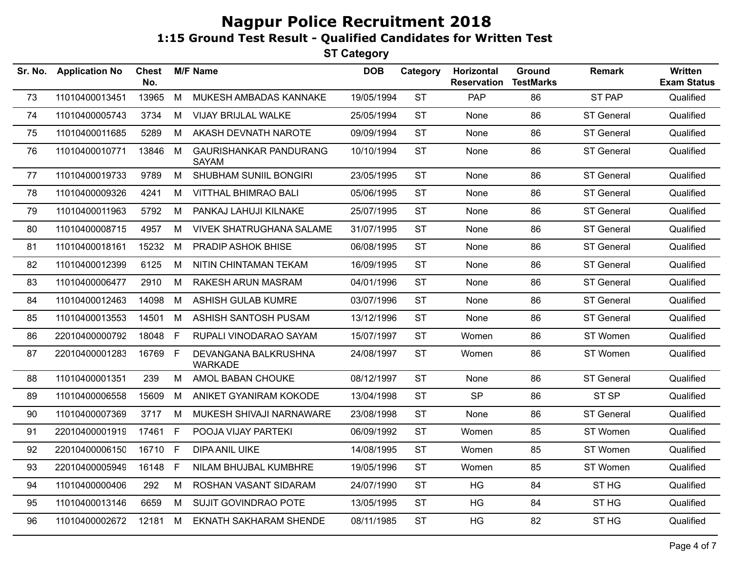|    |                | <b>Chest</b><br>No. |              | <b>M/F Name</b>                               | <b>DOB</b> | Category  | Horizontal<br><b>Reservation</b> | Ground<br><b>TestMarks</b> | <b>Remark</b>     | Written<br><b>Exam Status</b> |
|----|----------------|---------------------|--------------|-----------------------------------------------|------------|-----------|----------------------------------|----------------------------|-------------------|-------------------------------|
| 73 | 11010400013451 | 13965               | M            | MUKESH AMBADAS KANNAKE                        | 19/05/1994 | <b>ST</b> | PAP                              | 86                         | ST PAP            | Qualified                     |
| 74 | 11010400005743 | 3734                | М            | VIJAY BRIJLAL WALKE                           | 25/05/1994 | <b>ST</b> | None                             | 86                         | <b>ST General</b> | Qualified                     |
| 75 | 11010400011685 | 5289                | M            | AKASH DEVNATH NAROTE                          | 09/09/1994 | <b>ST</b> | None                             | 86                         | <b>ST General</b> | Qualified                     |
| 76 | 11010400010771 | 13846               | M            | <b>GAURISHANKAR PANDURANG</b><br><b>SAYAM</b> | 10/10/1994 | <b>ST</b> | None                             | 86                         | <b>ST General</b> | Qualified                     |
| 77 | 11010400019733 | 9789                | M            | SHUBHAM SUNIIL BONGIRI                        | 23/05/1995 | <b>ST</b> | None                             | 86                         | <b>ST General</b> | Qualified                     |
| 78 | 11010400009326 | 4241                | M            | <b>VITTHAL BHIMRAO BALI</b>                   | 05/06/1995 | <b>ST</b> | None                             | 86                         | <b>ST General</b> | Qualified                     |
| 79 | 11010400011963 | 5792                | M            | PANKAJ LAHUJI KILNAKE                         | 25/07/1995 | <b>ST</b> | None                             | 86                         | ST General        | Qualified                     |
| 80 | 11010400008715 | 4957                | M            | <b>VIVEK SHATRUGHANA SALAME</b>               | 31/07/1995 | <b>ST</b> | None                             | 86                         | <b>ST General</b> | Qualified                     |
| 81 | 11010400018161 | 15232               | M            | PRADIP ASHOK BHISE                            | 06/08/1995 | <b>ST</b> | None                             | 86                         | <b>ST General</b> | Qualified                     |
| 82 | 11010400012399 | 6125                | M            | NITIN CHINTAMAN TEKAM                         | 16/09/1995 | <b>ST</b> | None                             | 86                         | ST General        | Qualified                     |
| 83 | 11010400006477 | 2910                | M            | RAKESH ARUN MASRAM                            | 04/01/1996 | <b>ST</b> | None                             | 86                         | <b>ST General</b> | Qualified                     |
| 84 | 11010400012463 | 14098               | M            | ASHISH GULAB KUMRE                            | 03/07/1996 | <b>ST</b> | None                             | 86                         | <b>ST General</b> | Qualified                     |
| 85 | 11010400013553 | 14501               | M            | ASHISH SANTOSH PUSAM                          | 13/12/1996 | <b>ST</b> | None                             | 86                         | <b>ST General</b> | Qualified                     |
| 86 | 22010400000792 | 18048               | $\mathsf{F}$ | RUPALI VINODARAO SAYAM                        | 15/07/1997 | <b>ST</b> | Women                            | 86                         | ST Women          | Qualified                     |
| 87 | 22010400001283 | 16769               | F            | DEVANGANA BALKRUSHNA<br><b>WARKADE</b>        | 24/08/1997 | <b>ST</b> | Women                            | 86                         | ST Women          | Qualified                     |
| 88 | 11010400001351 | 239                 | M            | AMOL BABAN CHOUKE                             | 08/12/1997 | <b>ST</b> | None                             | 86                         | <b>ST General</b> | Qualified                     |
| 89 | 11010400006558 | 15609               | M            | ANIKET GYANIRAM KOKODE                        | 13/04/1998 | <b>ST</b> | <b>SP</b>                        | 86                         | ST <sub>SP</sub>  | Qualified                     |
| 90 | 11010400007369 | 3717                | M            | MUKESH SHIVAJI NARNAWARE                      | 23/08/1998 | <b>ST</b> | None                             | 86                         | <b>ST General</b> | Qualified                     |
| 91 | 22010400001919 | 17461               | F            | POOJA VIJAY PARTEKI                           | 06/09/1992 | <b>ST</b> | Women                            | 85                         | ST Women          | Qualified                     |
| 92 | 22010400006150 | 16710               | $\mathsf{F}$ | <b>DIPA ANIL UIKE</b>                         | 14/08/1995 | <b>ST</b> | Women                            | 85                         | ST Women          | Qualified                     |
| 93 | 22010400005949 | 16148               | F            | NILAM BHUJBAL KUMBHRE                         | 19/05/1996 | <b>ST</b> | Women                            | 85                         | ST Women          | Qualified                     |
| 94 | 11010400000406 | 292                 | M            | ROSHAN VASANT SIDARAM                         | 24/07/1990 | <b>ST</b> | HG                               | 84                         | ST <sub>HG</sub>  | Qualified                     |
| 95 | 11010400013146 | 6659                | M            | SUJIT GOVINDRAO POTE                          | 13/05/1995 | <b>ST</b> | HG                               | 84                         | ST <sub>HG</sub>  | Qualified                     |
| 96 | 11010400002672 | 12181               | M            | <b>EKNATH SAKHARAM SHENDE</b>                 | 08/11/1985 | <b>ST</b> | HG                               | 82                         | ST <sub>HG</sub>  | Qualified                     |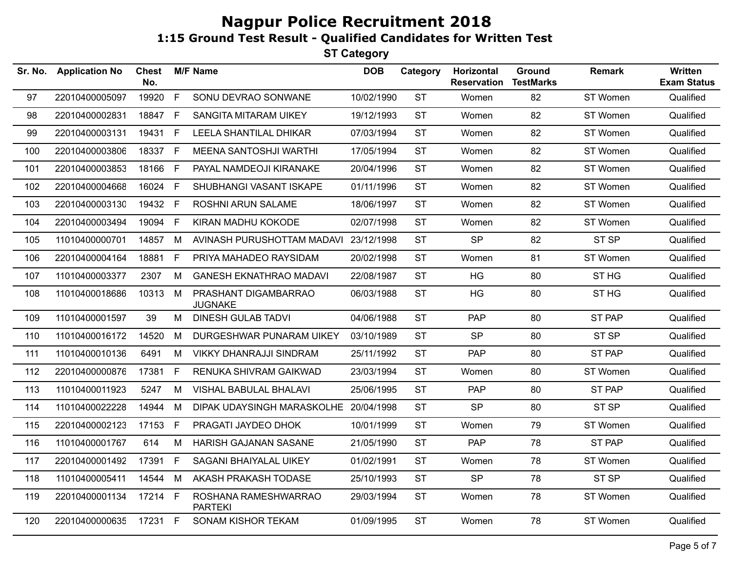| Sr. No. | <b>Application No</b> | <b>Chest</b><br>No. |             | <b>M/F Name</b>                        | <b>DOB</b> | Category  | Horizontal<br><b>Reservation</b> | Ground<br><b>TestMarks</b> | <b>Remark</b>    | <b>Written</b><br><b>Exam Status</b> |
|---------|-----------------------|---------------------|-------------|----------------------------------------|------------|-----------|----------------------------------|----------------------------|------------------|--------------------------------------|
| 97      | 22010400005097        | 19920               | F           | SONU DEVRAO SONWANE                    | 10/02/1990 | <b>ST</b> | Women                            | 82                         | ST Women         | Qualified                            |
| 98      | 22010400002831        | 18847               | F           | <b>SANGITA MITARAM UIKEY</b>           | 19/12/1993 | <b>ST</b> | Women                            | 82                         | ST Women         | Qualified                            |
| 99      | 22010400003131        | 19431               | E           | LEELA SHANTILAL DHIKAR                 | 07/03/1994 | <b>ST</b> | Women                            | 82                         | ST Women         | Qualified                            |
| 100     | 22010400003806        | 18337               | F           | MEENA SANTOSHJI WARTHI                 | 17/05/1994 | <b>ST</b> | Women                            | 82                         | ST Women         | Qualified                            |
| 101     | 22010400003853        | 18166               | F           | PAYAL NAMDEOJI KIRANAKE                | 20/04/1996 | <b>ST</b> | Women                            | 82                         | ST Women         | Qualified                            |
| 102     | 22010400004668        | 16024               | E           | SHUBHANGI VASANT ISKAPE                | 01/11/1996 | <b>ST</b> | Women                            | 82                         | ST Women         | Qualified                            |
| 103     | 22010400003130        | 19432               | $\mathsf F$ | ROSHNI ARUN SALAME                     | 18/06/1997 | <b>ST</b> | Women                            | 82                         | ST Women         | Qualified                            |
| 104     | 22010400003494        | 19094               | F           | KIRAN MADHU KOKODE                     | 02/07/1998 | <b>ST</b> | Women                            | 82                         | ST Women         | Qualified                            |
| 105     | 11010400000701        | 14857               | M           | AVINASH PURUSHOTTAM MADAVI 23/12/1998  |            | <b>ST</b> | <b>SP</b>                        | 82                         | ST <sub>SP</sub> | Qualified                            |
| 106     | 22010400004164        | 18881               | F           | PRIYA MAHADEO RAYSIDAM                 | 20/02/1998 | <b>ST</b> | Women                            | 81                         | ST Women         | Qualified                            |
| 107     | 11010400003377        | 2307                | M           | <b>GANESH EKNATHRAO MADAVI</b>         | 22/08/1987 | <b>ST</b> | HG                               | 80                         | ST <sub>HG</sub> | Qualified                            |
| 108     | 11010400018686        | 10313               | M           | PRASHANT DIGAMBARRAO<br><b>JUGNAKE</b> | 06/03/1988 | <b>ST</b> | <b>HG</b>                        | 80                         | ST <sub>HG</sub> | Qualified                            |
| 109     | 11010400001597        | 39                  | M           | <b>DINESH GULAB TADVI</b>              | 04/06/1988 | <b>ST</b> | PAP                              | 80                         | <b>ST PAP</b>    | Qualified                            |
| 110     | 11010400016172        | 14520               | M           | DURGESHWAR PUNARAM UIKEY               | 03/10/1989 | <b>ST</b> | <b>SP</b>                        | 80                         | ST <sub>SP</sub> | Qualified                            |
| 111     | 11010400010136        | 6491                | M           | <b>VIKKY DHANRAJJI SINDRAM</b>         | 25/11/1992 | <b>ST</b> | <b>PAP</b>                       | 80                         | ST PAP           | Qualified                            |
| 112     | 22010400000876        | 17381               | F           | RENUKA SHIVRAM GAIKWAD                 | 23/03/1994 | <b>ST</b> | Women                            | 80                         | ST Women         | Qualified                            |
| 113     | 11010400011923        | 5247                | M           | VISHAL BABULAL BHALAVI                 | 25/06/1995 | <b>ST</b> | PAP                              | 80                         | ST PAP           | Qualified                            |
| 114     | 11010400022228        | 14944               | M           | DIPAK UDAYSINGH MARASKOLHE 20/04/1998  |            | <b>ST</b> | <b>SP</b>                        | 80                         | ST <sub>SP</sub> | Qualified                            |
| 115     | 22010400002123        | 17153               | $\mathsf F$ | PRAGATI JAYDEO DHOK                    | 10/01/1999 | <b>ST</b> | Women                            | 79                         | ST Women         | Qualified                            |
| 116     | 11010400001767        | 614                 | M           | <b>HARISH GAJANAN SASANE</b>           | 21/05/1990 | <b>ST</b> | <b>PAP</b>                       | 78                         | <b>ST PAP</b>    | Qualified                            |
| 117     | 22010400001492        | 17391               | F           | SAGANI BHAIYALAL UIKEY                 | 01/02/1991 | <b>ST</b> | Women                            | 78                         | ST Women         | Qualified                            |
| 118     | 11010400005411        | 14544               | M           | AKASH PRAKASH TODASE                   | 25/10/1993 | <b>ST</b> | <b>SP</b>                        | 78                         | ST SP            | Qualified                            |
| 119     | 22010400001134        | 17214 F             |             | ROSHANA RAMESHWARRAO<br><b>PARTEKI</b> | 29/03/1994 | <b>ST</b> | Women                            | 78                         | ST Women         | Qualified                            |
| 120     | 22010400000635        | 17231 F             |             | <b>SONAM KISHOR TEKAM</b>              | 01/09/1995 | <b>ST</b> | Women                            | 78                         | ST Women         | Qualified                            |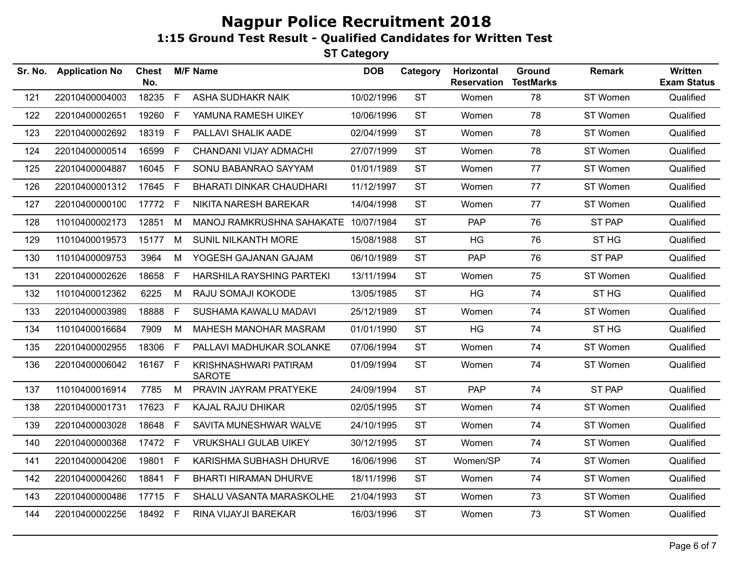| Sr. No. | <b>Application No</b> | <b>Chest</b><br>No. |    | <b>M/F Name</b>                        | <b>DOB</b> | Category  | Horizontal<br><b>Reservation</b> | <b>Ground</b><br><b>TestMarks</b> | <b>Remark</b>    | <b>Written</b><br><b>Exam Status</b> |
|---------|-----------------------|---------------------|----|----------------------------------------|------------|-----------|----------------------------------|-----------------------------------|------------------|--------------------------------------|
| 121     | 22010400004003        | 18235               | F  | <b>ASHA SUDHAKR NAIK</b>               | 10/02/1996 | <b>ST</b> | Women                            | 78                                | ST Women         | Qualified                            |
| 122     | 22010400002651        | 19260               | F. | YAMUNA RAMESH UIKEY                    | 10/06/1996 | <b>ST</b> | Women                            | 78                                | ST Women         | Qualified                            |
| 123     | 22010400002692        | 18319               | F  | PALLAVI SHALIK AADE                    | 02/04/1999 | <b>ST</b> | Women                            | 78                                | ST Women         | Qualified                            |
| 124     | 22010400000514        | 16599               | F  | CHANDANI VIJAY ADMACHI                 | 27/07/1999 | <b>ST</b> | Women                            | 78                                | ST Women         | Qualified                            |
| 125     | 22010400004887        | 16045               | F  | SONU BABANRAO SAYYAM                   | 01/01/1989 | <b>ST</b> | Women                            | 77                                | ST Women         | Qualified                            |
| 126     | 22010400001312        | 17645 F             |    | <b>BHARATI DINKAR CHAUDHARI</b>        | 11/12/1997 | <b>ST</b> | Women                            | 77                                | ST Women         | Qualified                            |
| 127     | 22010400000100        | 17772 F             |    | NIKITA NARESH BAREKAR                  | 14/04/1998 | <b>ST</b> | Women                            | 77                                | ST Women         | Qualified                            |
| 128     | 11010400002173        | 12851               | М  | MANOJ RAMKRUSHNA SAHAKATE 10/07/1984   |            | <b>ST</b> | PAP                              | 76                                | ST PAP           | Qualified                            |
| 129     | 11010400019573        | 15177               | M  | SUNIL NILKANTH MORE                    | 15/08/1988 | <b>ST</b> | HG                               | 76                                | ST <sub>HG</sub> | Qualified                            |
| 130     | 11010400009753        | 3964                | М  | YOGESH GAJANAN GAJAM                   | 06/10/1989 | <b>ST</b> | <b>PAP</b>                       | 76                                | <b>ST PAP</b>    | Qualified                            |
| 131     | 22010400002626        | 18658               | F. | HARSHILA RAYSHING PARTEKI              | 13/11/1994 | <b>ST</b> | Women                            | 75                                | ST Women         | Qualified                            |
| 132     | 11010400012362        | 6225                | M  | RAJU SOMAJI KOKODE                     | 13/05/1985 | <b>ST</b> | <b>HG</b>                        | 74                                | ST <sub>HG</sub> | Qualified                            |
| 133     | 22010400003989        | 18888               | F. | SUSHAMA KAWALU MADAVI                  | 25/12/1989 | <b>ST</b> | Women                            | 74                                | ST Women         | Qualified                            |
| 134     | 11010400016684        | 7909                | М  | MAHESH MANOHAR MASRAM                  | 01/01/1990 | <b>ST</b> | HG                               | 74                                | ST <sub>HG</sub> | Qualified                            |
| 135     | 22010400002955        | 18306               | F. | PALLAVI MADHUKAR SOLANKE               | 07/06/1994 | <b>ST</b> | Women                            | 74                                | ST Women         | Qualified                            |
| 136     | 22010400006042        | 16167 F             |    | KRISHNASHWARI PATIRAM<br><b>SAROTE</b> | 01/09/1994 | <b>ST</b> | Women                            | 74                                | ST Women         | Qualified                            |
| 137     | 11010400016914        | 7785                | M  | PRAVIN JAYRAM PRATYEKE                 | 24/09/1994 | <b>ST</b> | PAP                              | 74                                | <b>ST PAP</b>    | Qualified                            |
| 138     | 22010400001731        | 17623               | F. | KAJAL RAJU DHIKAR                      | 02/05/1995 | <b>ST</b> | Women                            | 74                                | ST Women         | Qualified                            |
| 139     | 22010400003028        | 18648               | F. | SAVITA MUNESHWAR WALVE                 | 24/10/1995 | <b>ST</b> | Women                            | 74                                | ST Women         | Qualified                            |
| 140     | 22010400000368        | 17472               | F. | <b>VRUKSHALI GULAB UIKEY</b>           | 30/12/1995 | <b>ST</b> | Women                            | 74                                | ST Women         | Qualified                            |
| 141     | 22010400004206        | 19801               | F  | KARISHMA SUBHASH DHURVE                | 16/06/1996 | <b>ST</b> | Women/SP                         | 74                                | ST Women         | Qualified                            |
| 142     | 22010400004260        | 18841               | F  | <b>BHARTI HIRAMAN DHURVE</b>           | 18/11/1996 | <b>ST</b> | Women                            | 74                                | ST Women         | Qualified                            |
| 143     | 22010400000486        | 17715 F             |    | SHALU VASANTA MARASKOLHE               | 21/04/1993 | <b>ST</b> | Women                            | 73                                | ST Women         | Qualified                            |
| 144     | 22010400002256        | 18492 F             |    | RINA VIJAYJI BAREKAR                   | 16/03/1996 | <b>ST</b> | Women                            | 73                                | ST Women         | Qualified                            |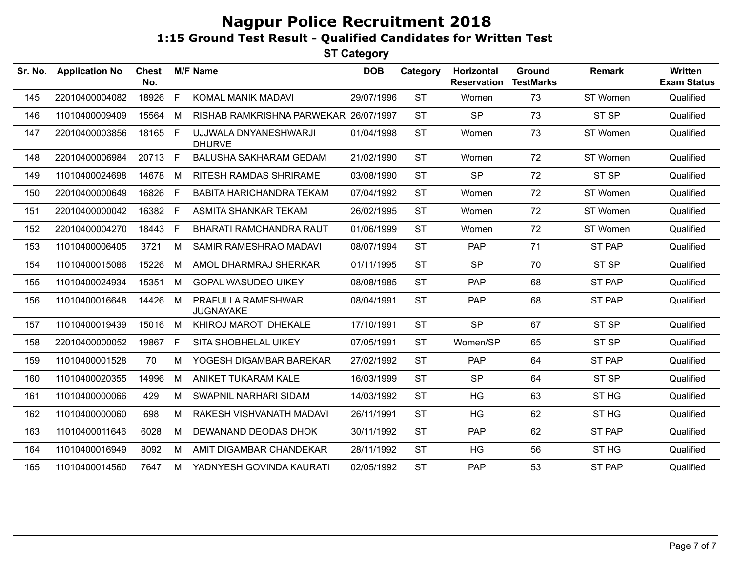| Sr. No. | <b>Application No</b> | <b>Chest</b><br>No. |    | <b>M/F Name</b>                        | <b>DOB</b> | Category  | Horizontal<br><b>Reservation</b> | Ground<br><b>TestMarks</b> | Remark           | <b>Written</b><br><b>Exam Status</b> |
|---------|-----------------------|---------------------|----|----------------------------------------|------------|-----------|----------------------------------|----------------------------|------------------|--------------------------------------|
| 145     | 22010400004082        | 18926               | F. | KOMAL MANIK MADAVI                     | 29/07/1996 | <b>ST</b> | Women                            | 73                         | ST Women         | Qualified                            |
| 146     | 11010400009409        | 15564               | М  | RISHAB RAMKRISHNA PARWEKAR 26/07/1997  |            | <b>ST</b> | <b>SP</b>                        | 73                         | ST <sub>SP</sub> | Qualified                            |
| 147     | 22010400003856        | 18165 F             |    | UJJWALA DNYANESHWARJI<br><b>DHURVE</b> | 01/04/1998 | <b>ST</b> | Women                            | 73                         | ST Women         | Qualified                            |
| 148     | 22010400006984        | 20713 F             |    | <b>BALUSHA SAKHARAM GEDAM</b>          | 21/02/1990 | <b>ST</b> | Women                            | 72                         | ST Women         | Qualified                            |
| 149     | 11010400024698        | 14678               | M  | <b>RITESH RAMDAS SHRIRAME</b>          | 03/08/1990 | <b>ST</b> | <b>SP</b>                        | 72                         | ST <sub>SP</sub> | Qualified                            |
| 150     | 22010400000649        | 16826               | F. | <b>BABITA HARICHANDRA TEKAM</b>        | 07/04/1992 | <b>ST</b> | Women                            | 72                         | ST Women         | Qualified                            |
| 151     | 22010400000042        | 16382               | F. | ASMITA SHANKAR TEKAM                   | 26/02/1995 | <b>ST</b> | Women                            | 72                         | ST Women         | Qualified                            |
| 152     | 22010400004270        | 18443               | F  | <b>BHARATI RAMCHANDRA RAUT</b>         | 01/06/1999 | <b>ST</b> | Women                            | 72                         | ST Women         | Qualified                            |
| 153     | 11010400006405        | 3721                | м  | SAMIR RAMESHRAO MADAVI                 | 08/07/1994 | <b>ST</b> | <b>PAP</b>                       | 71                         | ST PAP           | Qualified                            |
| 154     | 11010400015086        | 15226               | M  | AMOL DHARMRAJ SHERKAR                  | 01/11/1995 | <b>ST</b> | <b>SP</b>                        | 70                         | ST <sub>SP</sub> | Qualified                            |
| 155     | 11010400024934        | 15351               | M  | <b>GOPAL WASUDEO UIKEY</b>             | 08/08/1985 | <b>ST</b> | <b>PAP</b>                       | 68                         | ST PAP           | Qualified                            |
| 156     | 11010400016648        | 14426               | M  | PRAFULLA RAMESHWAR<br><b>JUGNAYAKE</b> | 08/04/1991 | <b>ST</b> | <b>PAP</b>                       | 68                         | ST PAP           | Qualified                            |
| 157     | 11010400019439        | 15016               | M  | KHIROJ MAROTI DHEKALE                  | 17/10/1991 | <b>ST</b> | <b>SP</b>                        | 67                         | ST <sub>SP</sub> | Qualified                            |
| 158     | 22010400000052        | 19867               | F. | SITA SHOBHELAL UIKEY                   | 07/05/1991 | <b>ST</b> | Women/SP                         | 65                         | ST <sub>SP</sub> | Qualified                            |
| 159     | 11010400001528        | 70                  | M  | YOGESH DIGAMBAR BAREKAR                | 27/02/1992 | <b>ST</b> | <b>PAP</b>                       | 64                         | ST PAP           | Qualified                            |
| 160     | 11010400020355        | 14996               | M  | ANIKET TUKARAM KALE                    | 16/03/1999 | <b>ST</b> | <b>SP</b>                        | 64                         | ST SP            | Qualified                            |
| 161     | 11010400000066        | 429                 | м  | SWAPNIL NARHARI SIDAM                  | 14/03/1992 | <b>ST</b> | <b>HG</b>                        | 63                         | ST <sub>HG</sub> | Qualified                            |
| 162     | 11010400000060        | 698                 | M  | RAKESH VISHVANATH MADAVI               | 26/11/1991 | <b>ST</b> | <b>HG</b>                        | 62                         | ST <sub>HG</sub> | Qualified                            |
| 163     | 11010400011646        | 6028                | М  | DEWANAND DEODAS DHOK                   | 30/11/1992 | <b>ST</b> | PAP                              | 62                         | ST PAP           | Qualified                            |
| 164     | 11010400016949        | 8092                | м  | AMIT DIGAMBAR CHANDEKAR                | 28/11/1992 | <b>ST</b> | <b>HG</b>                        | 56                         | ST <sub>HG</sub> | Qualified                            |
| 165     | 11010400014560        | 7647                | M  | YADNYESH GOVINDA KAURATI               | 02/05/1992 | <b>ST</b> | <b>PAP</b>                       | 53                         | <b>ST PAP</b>    | Qualified                            |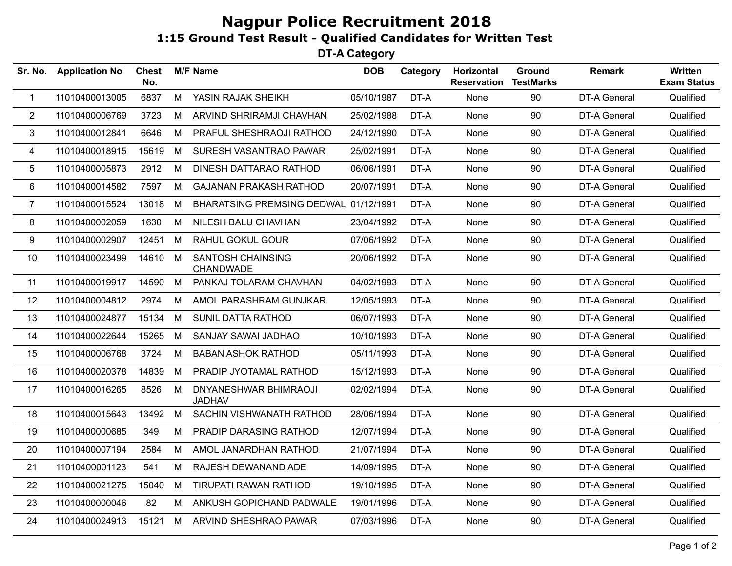**DT-A Category**

| <b>Application No</b> | <b>Chest</b><br>No. |   |                                        | <b>DOB</b>      | Category                              | Horizontal<br><b>Reservation</b>                                                                                                                                                                                                                                                                                 | <b>Ground</b><br><b>TestMarks</b> | Remark              | <b>Written</b><br><b>Exam Status</b> |
|-----------------------|---------------------|---|----------------------------------------|-----------------|---------------------------------------|------------------------------------------------------------------------------------------------------------------------------------------------------------------------------------------------------------------------------------------------------------------------------------------------------------------|-----------------------------------|---------------------|--------------------------------------|
| 11010400013005        | 6837                | M | YASIN RAJAK SHEIKH                     |                 | DT-A                                  | None                                                                                                                                                                                                                                                                                                             | 90                                | <b>DT-A General</b> | Qualified                            |
| 11010400006769        | 3723                | М | ARVIND SHRIRAMJI CHAVHAN               |                 | DT-A                                  | None                                                                                                                                                                                                                                                                                                             | 90                                | DT-A General        | Qualified                            |
| 11010400012841        | 6646                | M | PRAFUL SHESHRAOJI RATHOD               |                 | DT-A                                  | None                                                                                                                                                                                                                                                                                                             | 90                                | DT-A General        | Qualified                            |
| 11010400018915        | 15619               | M | SURESH VASANTRAO PAWAR                 |                 | DT-A                                  | None                                                                                                                                                                                                                                                                                                             | 90                                | DT-A General        | Qualified                            |
| 11010400005873        | 2912                | М | DINESH DATTARAO RATHOD                 | 06/06/1991      | DT-A                                  | None                                                                                                                                                                                                                                                                                                             | 90                                | <b>DT-A General</b> | Qualified                            |
| 11010400014582        | 7597                | М | <b>GAJANAN PRAKASH RATHOD</b>          |                 | DT-A                                  | <b>None</b>                                                                                                                                                                                                                                                                                                      | 90                                | DT-A General        | Qualified                            |
| 11010400015524        | 13018               | M |                                        |                 | DT-A                                  | None                                                                                                                                                                                                                                                                                                             | 90                                | DT-A General        | Qualified                            |
| 11010400002059        | 1630                | M | NILESH BALU CHAVHAN                    |                 | DT-A                                  | <b>None</b>                                                                                                                                                                                                                                                                                                      | 90                                | DT-A General        | Qualified                            |
| 11010400002907        | 12451               | M | <b>RAHUL GOKUL GOUR</b>                |                 | DT-A                                  | None                                                                                                                                                                                                                                                                                                             | 90                                | DT-A General        | Qualified                            |
| 11010400023499        |                     | M | <b>SANTOSH CHAINSING</b><br>CHANDWADE  |                 | DT-A                                  | None                                                                                                                                                                                                                                                                                                             | 90                                | DT-A General        | Qualified                            |
| 11010400019917        | 14590               | M | PANKAJ TOLARAM CHAVHAN                 |                 | DT-A                                  | None                                                                                                                                                                                                                                                                                                             | 90                                | <b>DT-A General</b> | Qualified                            |
| 11010400004812        | 2974                | М | AMOL PARASHRAM GUNJKAR                 |                 | DT-A                                  | None                                                                                                                                                                                                                                                                                                             | 90                                | DT-A General        | Qualified                            |
| 11010400024877        |                     | M | <b>SUNIL DATTA RATHOD</b>              |                 | DT-A                                  | <b>None</b>                                                                                                                                                                                                                                                                                                      | 90                                | DT-A General        | Qualified                            |
| 11010400022644        | 15265               | M | SANJAY SAWAI JADHAO                    |                 | DT-A                                  | None                                                                                                                                                                                                                                                                                                             | 90                                | <b>DT-A General</b> | Qualified                            |
| 11010400006768        | 3724                | M | <b>BABAN ASHOK RATHOD</b>              |                 | DT-A                                  | <b>None</b>                                                                                                                                                                                                                                                                                                      | 90                                | DT-A General        | Qualified                            |
| 11010400020378        | 14839               | M | PRADIP JYOTAMAL RATHOD                 |                 | DT-A                                  | None                                                                                                                                                                                                                                                                                                             | 90                                | DT-A General        | Qualified                            |
| 11010400016265        | 8526                | M | DNYANESHWAR BHIMRAOJI<br><b>JADHAV</b> |                 | DT-A                                  | None                                                                                                                                                                                                                                                                                                             | 90                                | DT-A General        | Qualified                            |
| 11010400015643        | 13492               | M | SACHIN VISHWANATH RATHOD               |                 | DT-A                                  | None                                                                                                                                                                                                                                                                                                             | 90                                | DT-A General        | Qualified                            |
| 11010400000685        | 349                 | M | PRADIP DARASING RATHOD                 |                 | DT-A                                  | None                                                                                                                                                                                                                                                                                                             | 90                                | DT-A General        | Qualified                            |
| 11010400007194        | 2584                | M | AMOL JANARDHAN RATHOD                  |                 | DT-A                                  | <b>None</b>                                                                                                                                                                                                                                                                                                      | 90                                | DT-A General        | Qualified                            |
| 11010400001123        | 541                 | М | RAJESH DEWANAND ADE                    |                 | DT-A                                  | None                                                                                                                                                                                                                                                                                                             | 90                                | <b>DT-A General</b> | Qualified                            |
| 11010400021275        | 15040               | M | <b>TIRUPATI RAWAN RATHOD</b>           |                 | DT-A                                  | None                                                                                                                                                                                                                                                                                                             | 90                                | DT-A General        | Qualified                            |
| 11010400000046        | 82                  | М | ANKUSH GOPICHAND PADWALE               |                 | DT-A                                  | None                                                                                                                                                                                                                                                                                                             | 90                                | DT-A General        | Qualified                            |
| 11010400024913        | 15121               | M | ARVIND SHESHRAO PAWAR                  |                 | DT-A                                  | None                                                                                                                                                                                                                                                                                                             | 90                                | <b>DT-A General</b> | Qualified                            |
|                       |                     |   | 14610<br>15134                         | <b>M/F Name</b> | BHARATSING PREMSING DEDWAL 01/12/1991 | 05/10/1987<br>25/02/1988<br>24/12/1990<br>25/02/1991<br>20/07/1991<br>23/04/1992<br>07/06/1992<br>20/06/1992<br>04/02/1993<br>12/05/1993<br>06/07/1993<br>10/10/1993<br>05/11/1993<br>15/12/1993<br>02/02/1994<br>28/06/1994<br>12/07/1994<br>21/07/1994<br>14/09/1995<br>19/10/1995<br>19/01/1996<br>07/03/1996 |                                   |                     |                                      |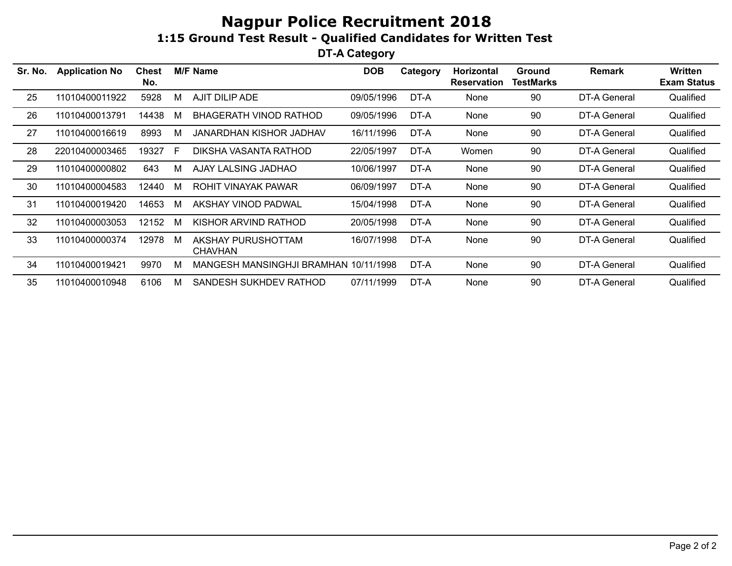**DT-A Category**

| Sr. No. | <b>Application No</b> | Chest<br>No. |   | <b>M/F Name</b>                       | <b>DOB</b> | Category | <b>Horizontal</b><br><b>Reservation</b> | <b>Ground</b><br><b>TestMarks</b> | Remark       | Written<br><b>Exam Status</b> |
|---------|-----------------------|--------------|---|---------------------------------------|------------|----------|-----------------------------------------|-----------------------------------|--------------|-------------------------------|
| 25      | 11010400011922        | 5928         | M | AJIT DILIP ADE                        | 09/05/1996 | DT-A     | None                                    | 90                                | DT-A General | Qualified                     |
| 26      | 11010400013791        | 14438        | M | BHAGERATH VINOD RATHOD                | 09/05/1996 | DT-A     | None                                    | 90                                | DT-A General | Qualified                     |
| 27      | 11010400016619        | 8993         | M | <b>JANARDHAN KISHOR JADHAV</b>        | 16/11/1996 | DT-A     | None                                    | 90                                | DT-A General | Qualified                     |
| 28      | 22010400003465        | 19327        | E | DIKSHA VASANTA RATHOD                 | 22/05/1997 | DT-A     | Women                                   | 90                                | DT-A General | Qualified                     |
| 29      | 11010400000802        | 643          | M | AJAY LALSING JADHAO                   | 10/06/1997 | DT-A     | None                                    | 90                                | DT-A General | Qualified                     |
| 30      | 11010400004583        | 12440        | M | ROHIT VINAYAK PAWAR                   | 06/09/1997 | DT-A     | None                                    | 90                                | DT-A General | Qualified                     |
| 31      | 11010400019420        | 14653        | M | AKSHAY VINOD PADWAL                   | 15/04/1998 | DT-A     | None                                    | 90                                | DT-A General | Qualified                     |
| 32      | 11010400003053        | 12152        | M | KISHOR ARVIND RATHOD                  | 20/05/1998 | DT-A     | None                                    | 90                                | DT-A General | Qualified                     |
| 33      | 11010400000374        | 12978        | M | AKSHAY PURUSHOTTAM<br><b>CHAVHAN</b>  | 16/07/1998 | DT-A     | None                                    | 90                                | DT-A General | Qualified                     |
| 34      | 11010400019421        | 9970         | M | MANGESH MANSINGHJI BRAMHAN 10/11/1998 |            | DT-A     | None                                    | 90                                | DT-A General | Qualified                     |
| 35      | 11010400010948        | 6106         | M | SANDESH SUKHDEV RATHOD                | 07/11/1999 | DT-A     | None                                    | 90                                | DT-A General | Qualified                     |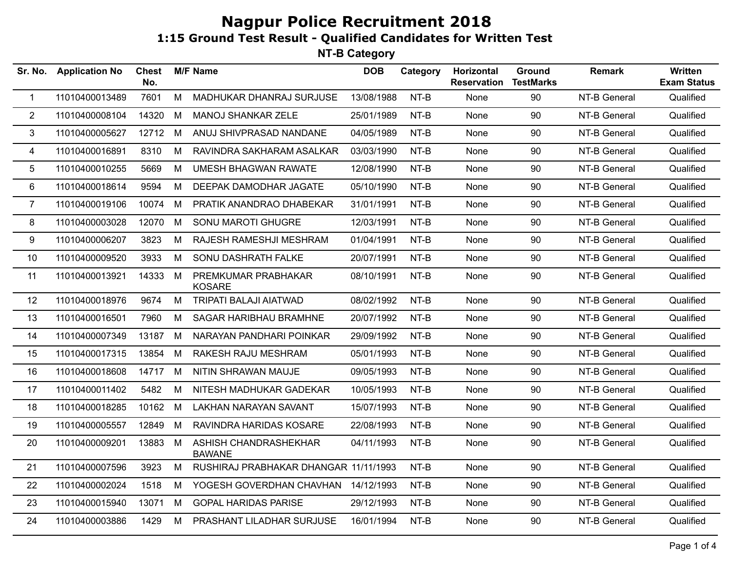| <b>Application No</b> | <b>Chest</b><br>No. |   |                                        | <b>DOB</b>      | Category | Horizontal<br><b>Reservation</b>                                                                                                                                                                                                                                                                                                                                                                 | Ground<br><b>TestMarks</b> | Remark       | Written<br><b>Exam Status</b> |
|-----------------------|---------------------|---|----------------------------------------|-----------------|----------|--------------------------------------------------------------------------------------------------------------------------------------------------------------------------------------------------------------------------------------------------------------------------------------------------------------------------------------------------------------------------------------------------|----------------------------|--------------|-------------------------------|
| 11010400013489        | 7601                | M | MADHUKAR DHANRAJ SURJUSE               |                 | NT-B     | None                                                                                                                                                                                                                                                                                                                                                                                             | 90                         | NT-B General | Qualified                     |
| 11010400008104        | 14320               | M | <b>MANOJ SHANKAR ZELE</b>              |                 | NT-B     | None                                                                                                                                                                                                                                                                                                                                                                                             | 90                         | NT-B General | Qualified                     |
| 11010400005627        |                     | M | ANUJ SHIVPRASAD NANDANE                |                 | NT-B     | None                                                                                                                                                                                                                                                                                                                                                                                             | 90                         | NT-B General | Qualified                     |
| 11010400016891        | 8310                | M | RAVINDRA SAKHARAM ASALKAR              |                 | NT-B     | None                                                                                                                                                                                                                                                                                                                                                                                             | 90                         | NT-B General | Qualified                     |
| 11010400010255        | 5669                | M | <b>UMESH BHAGWAN RAWATE</b>            |                 | NT-B     | None                                                                                                                                                                                                                                                                                                                                                                                             | 90                         | NT-B General | Qualified                     |
| 11010400018614        | 9594                | M | DEEPAK DAMODHAR JAGATE                 |                 | NT-B     | None                                                                                                                                                                                                                                                                                                                                                                                             | 90                         | NT-B General | Qualified                     |
| 11010400019106        | 10074               | M | PRATIK ANANDRAO DHABEKAR               |                 | NT-B     | None                                                                                                                                                                                                                                                                                                                                                                                             | 90                         | NT-B General | Qualified                     |
| 11010400003028        | 12070               | M | SONU MAROTI GHUGRE                     |                 | NT-B     | None                                                                                                                                                                                                                                                                                                                                                                                             | 90                         | NT-B General | Qualified                     |
| 11010400006207        | 3823                | М | RAJESH RAMESHJI MESHRAM                |                 | NT-B     | None                                                                                                                                                                                                                                                                                                                                                                                             | 90                         | NT-B General | Qualified                     |
| 11010400009520        | 3933                | M | SONU DASHRATH FALKE                    |                 | NT-B     | None                                                                                                                                                                                                                                                                                                                                                                                             | 90                         | NT-B General | Qualified                     |
| 11010400013921        | 14333               | M | PREMKUMAR PRABHAKAR<br><b>KOSARE</b>   |                 | NT-B     | None                                                                                                                                                                                                                                                                                                                                                                                             | 90                         | NT-B General | Qualified                     |
| 11010400018976        | 9674                | M | TRIPATI BALAJI AIATWAD                 |                 | NT-B     | None                                                                                                                                                                                                                                                                                                                                                                                             | 90                         | NT-B General | Qualified                     |
| 11010400016501        | 7960                | M | SAGAR HARIBHAU BRAMHNE                 |                 | NT-B     | None                                                                                                                                                                                                                                                                                                                                                                                             | 90                         | NT-B General | Qualified                     |
| 11010400007349        | 13187               | M | NARAYAN PANDHARI POINKAR               |                 | NT-B     | None                                                                                                                                                                                                                                                                                                                                                                                             | 90                         | NT-B General | Qualified                     |
| 11010400017315        | 13854               | M | RAKESH RAJU MESHRAM                    |                 | NT-B     | None                                                                                                                                                                                                                                                                                                                                                                                             | 90                         | NT-B General | Qualified                     |
| 11010400018608        | 14717               | M | NITIN SHRAWAN MAUJE                    |                 | NT-B     | None                                                                                                                                                                                                                                                                                                                                                                                             | 90                         | NT-B General | Qualified                     |
| 11010400011402        | 5482                | M | NITESH MADHUKAR GADEKAR                |                 | $NT-B$   | None                                                                                                                                                                                                                                                                                                                                                                                             | 90                         | NT-B General | Qualified                     |
| 11010400018285        |                     | M | <b>LAKHAN NARAYAN SAVANT</b>           |                 | $NT-B$   | None                                                                                                                                                                                                                                                                                                                                                                                             | 90                         | NT-B General | Qualified                     |
| 11010400005557        | 12849               | M | RAVINDRA HARIDAS KOSARE                |                 | NT-B     | None                                                                                                                                                                                                                                                                                                                                                                                             | 90                         | NT-B General | Qualified                     |
| 11010400009201        | 13883               | M | ASHISH CHANDRASHEKHAR<br><b>BAWANE</b> |                 | NT-B     | None                                                                                                                                                                                                                                                                                                                                                                                             | 90                         | NT-B General | Qualified                     |
| 11010400007596        | 3923                | M |                                        |                 | NT-B     | None                                                                                                                                                                                                                                                                                                                                                                                             | 90                         | NT-B General | Qualified                     |
| 11010400002024        | 1518                | M |                                        |                 | NT-B     | None                                                                                                                                                                                                                                                                                                                                                                                             | 90                         | NT-B General | Qualified                     |
| 11010400015940        | 13071               | M | <b>GOPAL HARIDAS PARISE</b>            |                 | NT-B     | None                                                                                                                                                                                                                                                                                                                                                                                             | 90                         | NT-B General | Qualified                     |
| 11010400003886        | 1429                | M | PRASHANT LILADHAR SURJUSE              |                 | NT-B     | None                                                                                                                                                                                                                                                                                                                                                                                             | 90                         | NT-B General | Qualified                     |
|                       | Sr. No.             |   | 12712<br>10162                         | <b>M/F Name</b> |          | 13/08/1988<br>25/01/1989<br>04/05/1989<br>03/03/1990<br>12/08/1990<br>05/10/1990<br>31/01/1991<br>12/03/1991<br>01/04/1991<br>20/07/1991<br>08/10/1991<br>08/02/1992<br>20/07/1992<br>29/09/1992<br>05/01/1993<br>09/05/1993<br>10/05/1993<br>15/07/1993<br>22/08/1993<br>04/11/1993<br>RUSHIRAJ PRABHAKAR DHANGAR 11/11/1993<br>YOGESH GOVERDHAN CHAVHAN 14/12/1993<br>29/12/1993<br>16/01/1994 |                            |              |                               |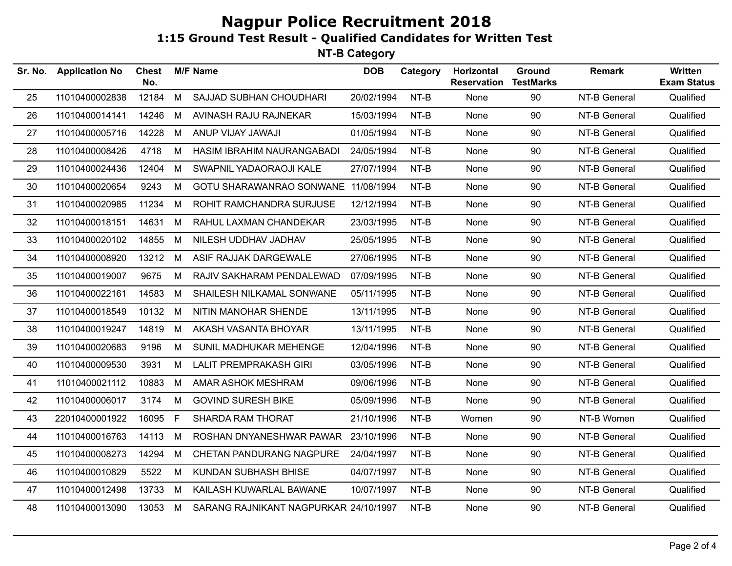| Sr. No. | <b>Application No</b> | <b>Chest</b><br>No. |    | <b>M/F Name</b>                       | <b>DOB</b> | Category | Horizontal<br><b>Reservation</b> | Ground<br><b>TestMarks</b> | <b>Remark</b> | Written<br><b>Exam Status</b> |
|---------|-----------------------|---------------------|----|---------------------------------------|------------|----------|----------------------------------|----------------------------|---------------|-------------------------------|
| 25      | 11010400002838        | 12184               | M  | SAJJAD SUBHAN CHOUDHARI               | 20/02/1994 | NT-B     | None                             | 90                         | NT-B General  | Qualified                     |
| 26      | 11010400014141        | 14246               | M  | AVINASH RAJU RAJNEKAR                 | 15/03/1994 | NT-B     | None                             | 90                         | NT-B General  | Qualified                     |
| 27      | 11010400005716        | 14228               | M  | ANUP VIJAY JAWAJI                     | 01/05/1994 | NT-B     | None                             | 90                         | NT-B General  | Qualified                     |
| 28      | 11010400008426        | 4718                | M  | HASIM IBRAHIM NAURANGABADI            | 24/05/1994 | NT-B     | None                             | 90                         | NT-B General  | Qualified                     |
| 29      | 11010400024436        | 12404               | M  | SWAPNIL YADAORAOJI KALE               | 27/07/1994 | NT-B     | None                             | 90                         | NT-B General  | Qualified                     |
| 30      | 11010400020654        | 9243                | М  | GOTU SHARAWANRAO SONWANE 11/08/1994   |            | NT-B     | None                             | 90                         | NT-B General  | Qualified                     |
| 31      | 11010400020985        | 11234               | M  | ROHIT RAMCHANDRA SURJUSE              | 12/12/1994 | NT-B     | None                             | 90                         | NT-B General  | Qualified                     |
| 32      | 11010400018151        | 14631               | M  | RAHUL LAXMAN CHANDEKAR                | 23/03/1995 | NT-B     | None                             | 90                         | NT-B General  | Qualified                     |
| 33      | 11010400020102        | 14855               | М  | NILESH UDDHAV JADHAV                  | 25/05/1995 | NT-B     | None                             | 90                         | NT-B General  | Qualified                     |
| 34      | 11010400008920        | 13212               | M  | ASIF RAJJAK DARGEWALE                 | 27/06/1995 | NT-B     | None                             | 90                         | NT-B General  | Qualified                     |
| 35      | 11010400019007        | 9675                | M  | RAJIV SAKHARAM PENDALEWAD             | 07/09/1995 | NT-B     | None                             | 90                         | NT-B General  | Qualified                     |
| 36      | 11010400022161        | 14583               | M  | SHAILESH NILKAMAL SONWANE             | 05/11/1995 | NT-B     | None                             | 90                         | NT-B General  | Qualified                     |
| 37      | 11010400018549        | 10132               | M  | NITIN MANOHAR SHENDE                  | 13/11/1995 | NT-B     | None                             | 90                         | NT-B General  | Qualified                     |
| 38      | 11010400019247        | 14819               | M  | AKASH VASANTA BHOYAR                  | 13/11/1995 | NT-B     | None                             | 90                         | NT-B General  | Qualified                     |
| 39      | 11010400020683        | 9196                | M  | SUNIL MADHUKAR MEHENGE                | 12/04/1996 | NT-B     | None                             | 90                         | NT-B General  | Qualified                     |
| 40      | 11010400009530        | 3931                | M  | <b>LALIT PREMPRAKASH GIRI</b>         | 03/05/1996 | NT-B     | None                             | 90                         | NT-B General  | Qualified                     |
| 41      | 11010400021112        | 10883               | M  | AMAR ASHOK MESHRAM                    | 09/06/1996 | NT-B     | None                             | 90                         | NT-B General  | Qualified                     |
| 42      | 11010400006017        | 3174                | М  | <b>GOVIND SURESH BIKE</b>             | 05/09/1996 | NT-B     | None                             | 90                         | NT-B General  | Qualified                     |
| 43      | 22010400001922        | 16095               | F. | <b>SHARDA RAM THORAT</b>              | 21/10/1996 | NT-B     | Women                            | 90                         | NT-B Women    | Qualified                     |
| 44      | 11010400016763        | 14113               | М  | ROSHAN DNYANESHWAR PAWAR              | 23/10/1996 | NT-B     | None                             | 90                         | NT-B General  | Qualified                     |
| 45      | 11010400008273        | 14294               | М  | CHETAN PANDURANG NAGPURE              | 24/04/1997 | NT-B     | None                             | 90                         | NT-B General  | Qualified                     |
| 46      | 11010400010829        | 5522                | M  | KUNDAN SUBHASH BHISE                  | 04/07/1997 | NT-B     | None                             | 90                         | NT-B General  | Qualified                     |
| 47      | 11010400012498        | 13733               | М  | KAILASH KUWARLAL BAWANE               | 10/07/1997 | NT-B     | None                             | 90                         | NT-B General  | Qualified                     |
| 48      | 11010400013090        | 13053 M             |    | SARANG RAJNIKANT NAGPURKAR 24/10/1997 |            | NT-B     | None                             | 90                         | NT-B General  | Qualified                     |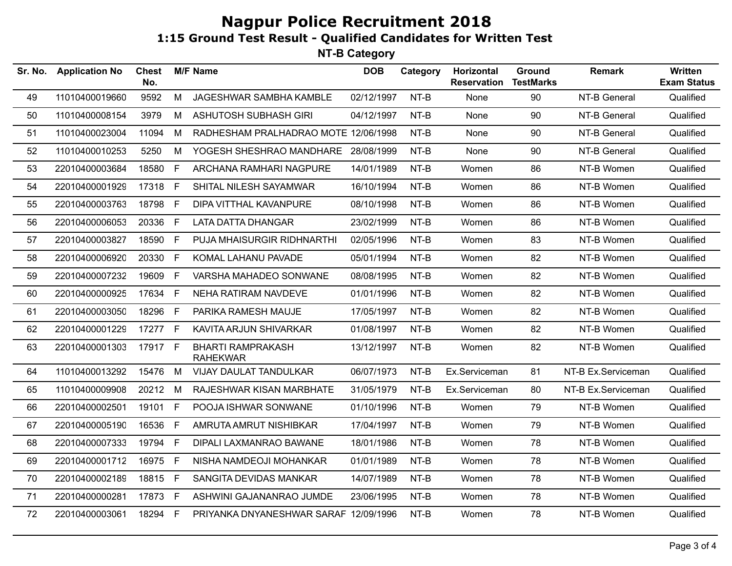| Sr. No. | <b>Application No</b> | <b>Chest</b><br>No. |              | <b>M/F Name</b>                             | <b>DOB</b> | Category | Horizontal<br><b>Reservation</b> | Ground<br><b>TestMarks</b> | <b>Remark</b>      | Written<br><b>Exam Status</b> |
|---------|-----------------------|---------------------|--------------|---------------------------------------------|------------|----------|----------------------------------|----------------------------|--------------------|-------------------------------|
| 49      | 11010400019660        | 9592                | M            | JAGESHWAR SAMBHA KAMBLE                     | 02/12/1997 | NT-B     | None                             | 90                         | NT-B General       | Qualified                     |
| 50      | 11010400008154        | 3979                | M            | <b>ASHUTOSH SUBHASH GIRI</b>                | 04/12/1997 | NT-B     | None                             | 90                         | NT-B General       | Qualified                     |
| 51      | 11010400023004        | 11094               | M            | RADHESHAM PRALHADRAO MOTE 12/06/1998        |            | NT-B     | None                             | 90                         | NT-B General       | Qualified                     |
| 52      | 11010400010253        | 5250                | M            | YOGESH SHESHRAO MANDHARE                    | 28/08/1999 | NT-B     | None                             | 90                         | NT-B General       | Qualified                     |
| 53      | 22010400003684        | 18580               | E            | ARCHANA RAMHARI NAGPURE                     | 14/01/1989 | NT-B     | Women                            | 86                         | NT-B Women         | Qualified                     |
| 54      | 22010400001929        | 17318 F             |              | SHITAL NILESH SAYAMWAR                      | 16/10/1994 | NT-B     | Women                            | 86                         | NT-B Women         | Qualified                     |
| 55      | 22010400003763        | 18798               | F            | DIPA VITTHAL KAVANPURE                      | 08/10/1998 | NT-B     | Women                            | 86                         | NT-B Women         | Qualified                     |
| 56      | 22010400006053        | 20336               | F.           | LATA DATTA DHANGAR                          | 23/02/1999 | NT-B     | Women                            | 86                         | NT-B Women         | Qualified                     |
| 57      | 22010400003827        | 18590               | F.           | PUJA MHAISURGIR RIDHNARTHI                  | 02/05/1996 | NT-B     | Women                            | 83                         | NT-B Women         | Qualified                     |
| 58      | 22010400006920        | 20330               | $\mathsf{F}$ | KOMAL LAHANU PAVADE                         | 05/01/1994 | NT-B     | Women                            | 82                         | NT-B Women         | Qualified                     |
| 59      | 22010400007232        | 19609               | $\mathsf{F}$ | VARSHA MAHADEO SONWANE                      | 08/08/1995 | NT-B     | Women                            | 82                         | NT-B Women         | Qualified                     |
| 60      | 22010400000925        | 17634 F             |              | NEHA RATIRAM NAVDEVE                        | 01/01/1996 | NT-B     | Women                            | 82                         | NT-B Women         | Qualified                     |
| 61      | 22010400003050        | 18296               | E            | PARIKA RAMESH MAUJE                         | 17/05/1997 | NT-B     | Women                            | 82                         | NT-B Women         | Qualified                     |
| 62      | 22010400001229        | 17277 F             |              | KAVITA ARJUN SHIVARKAR                      | 01/08/1997 | NT-B     | Women                            | 82                         | NT-B Women         | Qualified                     |
| 63      | 22010400001303        | 17917 F             |              | <b>BHARTI RAMPRAKASH</b><br><b>RAHEKWAR</b> | 13/12/1997 | NT-B     | Women                            | 82                         | NT-B Women         | Qualified                     |
| 64      | 11010400013292        | 15476 M             |              | <b>VIJAY DAULAT TANDULKAR</b>               | 06/07/1973 | NT-B     | Ex.Serviceman                    | 81                         | NT-B Ex.Serviceman | Qualified                     |
| 65      | 11010400009908        | 20212               | M            | RAJESHWAR KISAN MARBHATE                    | 31/05/1979 | NT-B     | Ex.Serviceman                    | 80                         | NT-B Ex.Serviceman | Qualified                     |
| 66      | 22010400002501        | 19101               | F            | POOJA ISHWAR SONWANE                        | 01/10/1996 | NT-B     | Women                            | 79                         | NT-B Women         | Qualified                     |
| 67      | 22010400005190        | 16536               | F            | AMRUTA AMRUT NISHIBKAR                      | 17/04/1997 | NT-B     | Women                            | 79                         | NT-B Women         | Qualified                     |
| 68      | 22010400007333        | 19794               | - F          | DIPALI LAXMANRAO BAWANE                     | 18/01/1986 | NT-B     | Women                            | 78                         | NT-B Women         | Qualified                     |
| 69      | 22010400001712        | 16975 F             |              | NISHA NAMDEOJI MOHANKAR                     | 01/01/1989 | NT-B     | Women                            | 78                         | NT-B Women         | Qualified                     |
| 70      | 22010400002189        | 18815 F             |              | SANGITA DEVIDAS MANKAR                      | 14/07/1989 | $NT-B$   | Women                            | 78                         | NT-B Women         | Qualified                     |
| 71      | 22010400000281        | 17873 F             |              | ASHWINI GAJANANRAO JUMDE                    | 23/06/1995 | NT-B     | Women                            | 78                         | NT-B Women         | Qualified                     |
| 72      | 22010400003061        | 18294 F             |              | PRIYANKA DNYANESHWAR SARAF 12/09/1996       |            | NT-B     | Women                            | 78                         | NT-B Women         | Qualified                     |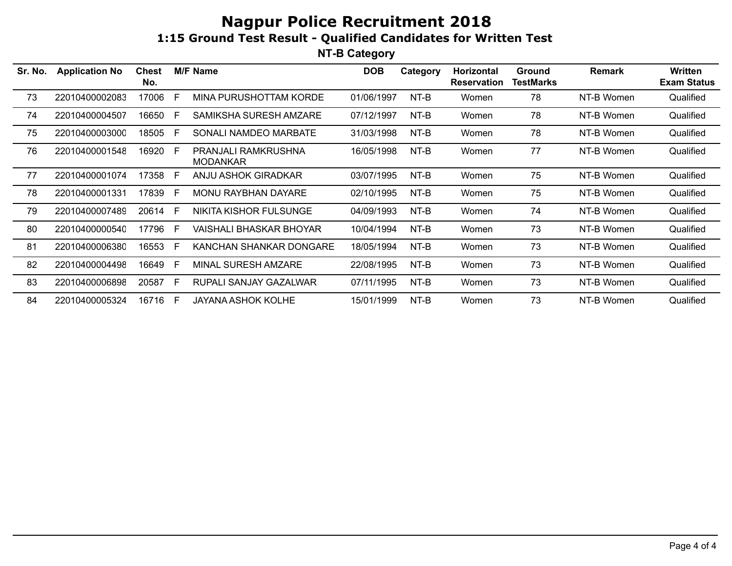| Sr. No. | <b>Application No</b> | <b>Chest</b><br>No. |     | <b>M/F Name</b>                        | <b>DOB</b> | Category | <b>Horizontal</b><br><b>Reservation</b> | <b>Ground</b><br><b>TestMarks</b> | <b>Remark</b> | Written<br><b>Exam Status</b> |
|---------|-----------------------|---------------------|-----|----------------------------------------|------------|----------|-----------------------------------------|-----------------------------------|---------------|-------------------------------|
| 73      | 22010400002083        | 17006               |     | MINA PURUSHOTTAM KORDE                 | 01/06/1997 | NT-B     | Women                                   | 78                                | NT-B Women    | Qualified                     |
| 74      | 22010400004507        | 16650               | E   | SAMIKSHA SURESH AMZARE                 | 07/12/1997 | NT-B     | Women                                   | 78                                | NT-B Women    | Qualified                     |
| 75      | 22010400003000        | 18505               | F.  | SONALI NAMDEO MARBATE                  | 31/03/1998 | NT-B     | Women                                   | 78                                | NT-B Women    | Qualified                     |
| 76      | 22010400001548        | 16920               | - F | PRANJALI RAMKRUSHNA<br><b>MODANKAR</b> | 16/05/1998 | NT-B     | Women                                   | 77                                | NT-B Women    | Qualified                     |
| 77      | 22010400001074        | 17358               | E   | ANJU ASHOK GIRADKAR                    | 03/07/1995 | NT-B     | Women                                   | 75                                | NT-B Women    | Qualified                     |
| 78      | 22010400001331        | 17839               | F.  | <b>MONU RAYBHAN DAYARE</b>             | 02/10/1995 | NT-B     | Women                                   | 75                                | NT-B Women    | Qualified                     |
| 79      | 22010400007489        | 20614               | - F | NIKITA KISHOR FULSUNGE                 | 04/09/1993 | NT-B     | Women                                   | 74                                | NT-B Women    | Qualified                     |
| 80      | 22010400000540        | 17796               | - F | VAISHALI BHASKAR BHOYAR                | 10/04/1994 | NT-B     | Women                                   | 73                                | NT-B Women    | Qualified                     |
| 81      | 22010400006380        | 16553               | F.  | KANCHAN SHANKAR DONGARE                | 18/05/1994 | NT-B     | Women                                   | 73                                | NT-B Women    | Qualified                     |
| 82      | 22010400004498        | 16649               | E   | <b>MINAL SURESH AMZARE</b>             | 22/08/1995 | NT-B     | Women                                   | 73                                | NT-B Women    | Qualified                     |
| 83      | 22010400006898        | 20587               | E   | RUPALI SANJAY GAZALWAR                 | 07/11/1995 | NT-B     | Women                                   | 73                                | NT-B Women    | Qualified                     |
| 84      | 22010400005324        | 16716 F             |     | <b>JAYANA ASHOK KOLHE</b>              | 15/01/1999 | NT-B     | Women                                   | 73                                | NT-B Women    | Qualified                     |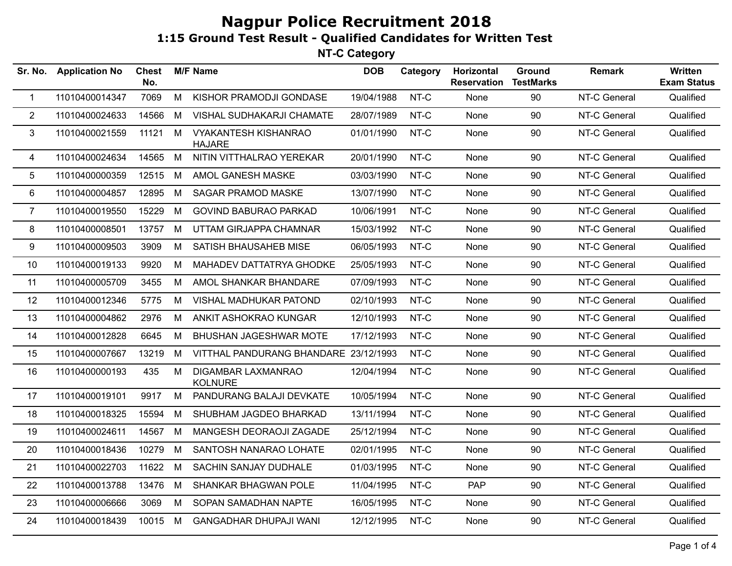| Sr. No.        | <b>Application No</b> | <b>Chest</b><br>No. |   | <b>M/F Name</b>                              | <b>DOB</b> | Category | Horizontal<br><b>Reservation</b> | Ground<br><b>TestMarks</b> | Remark       | <b>Written</b><br><b>Exam Status</b> |
|----------------|-----------------------|---------------------|---|----------------------------------------------|------------|----------|----------------------------------|----------------------------|--------------|--------------------------------------|
| $\mathbf{1}$   | 11010400014347        | 7069                | M | KISHOR PRAMODJI GONDASE                      | 19/04/1988 | NT-C     | None                             | 90                         | NT-C General | Qualified                            |
| $\overline{2}$ | 11010400024633        | 14566               | M | VISHAL SUDHAKARJI CHAMATE                    | 28/07/1989 | NT-C     | None                             | 90                         | NT-C General | Qualified                            |
| 3              | 11010400021559        | 11121               | M | <b>VYAKANTESH KISHANRAO</b><br><b>HAJARE</b> | 01/01/1990 | NT-C     | None                             | 90                         | NT-C General | Qualified                            |
| 4              | 11010400024634        | 14565               | M | NITIN VITTHALRAO YEREKAR                     | 20/01/1990 | NT-C     | None                             | 90                         | NT-C General | Qualified                            |
| 5              | 11010400000359        | 12515               | M | AMOL GANESH MASKE                            | 03/03/1990 | NT-C     | None                             | 90                         | NT-C General | Qualified                            |
| 6              | 11010400004857        | 12895               | M | <b>SAGAR PRAMOD MASKE</b>                    | 13/07/1990 | NT-C     | None                             | 90                         | NT-C General | Qualified                            |
| $\overline{7}$ | 11010400019550        | 15229               | M | <b>GOVIND BABURAO PARKAD</b>                 | 10/06/1991 | NT-C     | None                             | 90                         | NT-C General | Qualified                            |
| 8              | 11010400008501        | 13757               | M | UTTAM GIRJAPPA CHAMNAR                       | 15/03/1992 | NT-C     | None                             | 90                         | NT-C General | Qualified                            |
| 9              | 11010400009503        | 3909                | M | SATISH BHAUSAHEB MISE                        | 06/05/1993 | NT-C     | None                             | 90                         | NT-C General | Qualified                            |
| 10             | 11010400019133        | 9920                | M | <b>MAHADEV DATTATRYA GHODKE</b>              | 25/05/1993 | NT-C     | None                             | 90                         | NT-C General | Qualified                            |
| 11             | 11010400005709        | 3455                | M | AMOL SHANKAR BHANDARE                        | 07/09/1993 | NT-C     | None                             | 90                         | NT-C General | Qualified                            |
| 12             | 11010400012346        | 5775                | M | <b>VISHAL MADHUKAR PATOND</b>                | 02/10/1993 | NT-C     | None                             | 90                         | NT-C General | Qualified                            |
| 13             | 11010400004862        | 2976                | M | ANKIT ASHOKRAO KUNGAR                        | 12/10/1993 | NT-C     | None                             | 90                         | NT-C General | Qualified                            |
| 14             | 11010400012828        | 6645                | M | BHUSHAN JAGESHWAR MOTE                       | 17/12/1993 | NT-C     | None                             | 90                         | NT-C General | Qualified                            |
| 15             | 11010400007667        | 13219               | M | VITTHAL PANDURANG BHANDARE 23/12/1993        |            | NT-C     | None                             | 90                         | NT-C General | Qualified                            |
| 16             | 11010400000193        | 435                 | M | DIGAMBAR LAXMANRAO<br><b>KOLNURE</b>         | 12/04/1994 | NT-C     | None                             | 90                         | NT-C General | Qualified                            |
| 17             | 11010400019101        | 9917                | M | PANDURANG BALAJI DEVKATE                     | 10/05/1994 | NT-C     | None                             | 90                         | NT-C General | Qualified                            |
| 18             | 11010400018325        | 15594               | M | SHUBHAM JAGDEO BHARKAD                       | 13/11/1994 | NT-C     | None                             | 90                         | NT-C General | Qualified                            |
| 19             | 11010400024611        | 14567               | M | MANGESH DEORAOJI ZAGADE                      | 25/12/1994 | NT-C     | None                             | 90                         | NT-C General | Qualified                            |
| 20             | 11010400018436        | 10279               | M | SANTOSH NANARAO LOHATE                       | 02/01/1995 | NT-C     | None                             | 90                         | NT-C General | Qualified                            |
| 21             | 11010400022703        | 11622               | M | SACHIN SANJAY DUDHALE                        | 01/03/1995 | NT-C     | None                             | 90                         | NT-C General | Qualified                            |
| 22             | 11010400013788        | 13476               | M | <b>SHANKAR BHAGWAN POLE</b>                  | 11/04/1995 | NT-C     | <b>PAP</b>                       | 90                         | NT-C General | Qualified                            |
| 23             | 11010400006666        | 3069                | M | SOPAN SAMADHAN NAPTE                         | 16/05/1995 | NT-C     | None                             | 90                         | NT-C General | Qualified                            |
| 24             | 11010400018439        | 10015 M             |   | <b>GANGADHAR DHUPAJI WANI</b>                | 12/12/1995 | NT-C     | None                             | 90                         | NT-C General | Qualified                            |
|                |                       |                     |   |                                              |            |          |                                  |                            |              |                                      |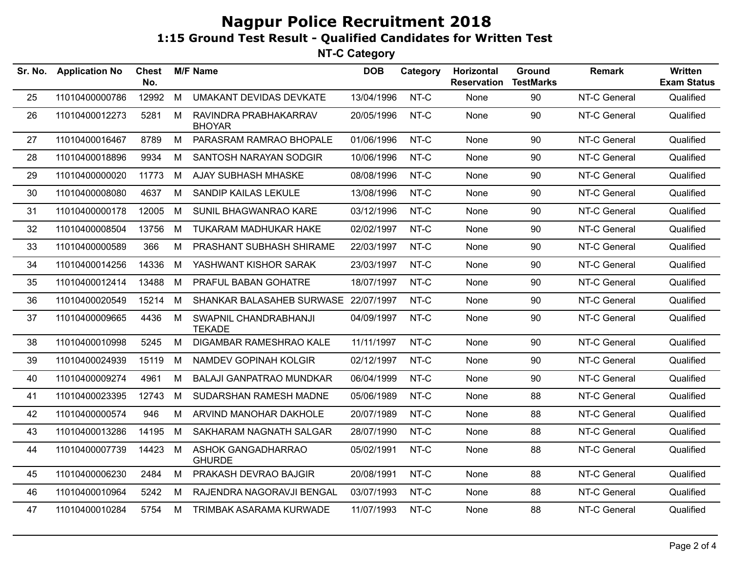| Sr. No. | <b>Application No</b> | <b>Chest</b><br>No. |   | <b>M/F Name</b>                        | <b>DOB</b> | Category | Horizontal<br><b>Reservation</b> | Ground<br><b>TestMarks</b> | <b>Remark</b> | Written<br><b>Exam Status</b> |
|---------|-----------------------|---------------------|---|----------------------------------------|------------|----------|----------------------------------|----------------------------|---------------|-------------------------------|
| 25      | 11010400000786        | 12992               | M | <b>UMAKANT DEVIDAS DEVKATE</b>         | 13/04/1996 | NT-C     | None                             | 90                         | NT-C General  | Qualified                     |
| 26      | 11010400012273        | 5281                | M | RAVINDRA PRABHAKARRAV<br><b>BHOYAR</b> | 20/05/1996 | NT-C     | None                             | 90                         | NT-C General  | Qualified                     |
| 27      | 11010400016467        | 8789                | M | PARASRAM RAMRAO BHOPALE                | 01/06/1996 | NT-C     | None                             | 90                         | NT-C General  | Qualified                     |
| 28      | 11010400018896        | 9934                | M | SANTOSH NARAYAN SODGIR                 | 10/06/1996 | NT-C     | None                             | 90                         | NT-C General  | Qualified                     |
| 29      | 11010400000020        | 11773               | M | <b>AJAY SUBHASH MHASKE</b>             | 08/08/1996 | NT-C     | None                             | 90                         | NT-C General  | Qualified                     |
| 30      | 11010400008080        | 4637                | M | SANDIP KAILAS LEKULE                   | 13/08/1996 | NT-C     | None                             | 90                         | NT-C General  | Qualified                     |
| 31      | 11010400000178        | 12005               | M | SUNIL BHAGWANRAO KARE                  | 03/12/1996 | NT-C     | None                             | 90                         | NT-C General  | Qualified                     |
| 32      | 11010400008504        | 13756               | M | TUKARAM MADHUKAR HAKE                  | 02/02/1997 | NT-C     | None                             | 90                         | NT-C General  | Qualified                     |
| 33      | 11010400000589        | 366                 | M | PRASHANT SUBHASH SHIRAME               | 22/03/1997 | NT-C     | None                             | 90                         | NT-C General  | Qualified                     |
| 34      | 11010400014256        | 14336               | M | YASHWANT KISHOR SARAK                  | 23/03/1997 | NT-C     | None                             | 90                         | NT-C General  | Qualified                     |
| 35      | 11010400012414        | 13488               | M | PRAFUL BABAN GOHATRE                   | 18/07/1997 | NT-C     | None                             | 90                         | NT-C General  | Qualified                     |
| 36      | 11010400020549        | 15214               | M | SHANKAR BALASAHEB SURWASE 22/07/1997   |            | NT-C     | None                             | 90                         | NT-C General  | Qualified                     |
| 37      | 11010400009665        | 4436                | M | SWAPNIL CHANDRABHANJI<br><b>TEKADE</b> | 04/09/1997 | NT-C     | None                             | 90                         | NT-C General  | Qualified                     |
| 38      | 11010400010998        | 5245                | M | DIGAMBAR RAMESHRAO KALE                | 11/11/1997 | NT-C     | None                             | 90                         | NT-C General  | Qualified                     |
| 39      | 11010400024939        | 15119               | M | <b>NAMDEV GOPINAH KOLGIR</b>           | 02/12/1997 | NT-C     | None                             | 90                         | NT-C General  | Qualified                     |
| 40      | 11010400009274        | 4961                | M | <b>BALAJI GANPATRAO MUNDKAR</b>        | 06/04/1999 | NT-C     | None                             | 90                         | NT-C General  | Qualified                     |
| 41      | 11010400023395        | 12743               | M | SUDARSHAN RAMESH MADNE                 | 05/06/1989 | NT-C     | None                             | 88                         | NT-C General  | Qualified                     |
| 42      | 11010400000574        | 946                 | M | ARVIND MANOHAR DAKHOLE                 | 20/07/1989 | NT-C     | None                             | 88                         | NT-C General  | Qualified                     |
| 43      | 11010400013286        | 14195               | M | SAKHARAM NAGNATH SALGAR                | 28/07/1990 | NT-C     | None                             | 88                         | NT-C General  | Qualified                     |
| 44      | 11010400007739        | 14423               | M | ASHOK GANGADHARRAO<br><b>GHURDE</b>    | 05/02/1991 | NT-C     | None                             | 88                         | NT-C General  | Qualified                     |
| 45      | 11010400006230        | 2484                | М | PRAKASH DEVRAO BAJGIR                  | 20/08/1991 | NT-C     | None                             | 88                         | NT-C General  | Qualified                     |
| 46      | 11010400010964        | 5242                | м | RAJENDRA NAGORAVJI BENGAL              | 03/07/1993 | NT-C     | None                             | 88                         | NT-C General  | Qualified                     |
| 47      | 11010400010284        | 5754                | M | TRIMBAK ASARAMA KURWADE                | 11/07/1993 | NT-C     | None                             | 88                         | NT-C General  | Qualified                     |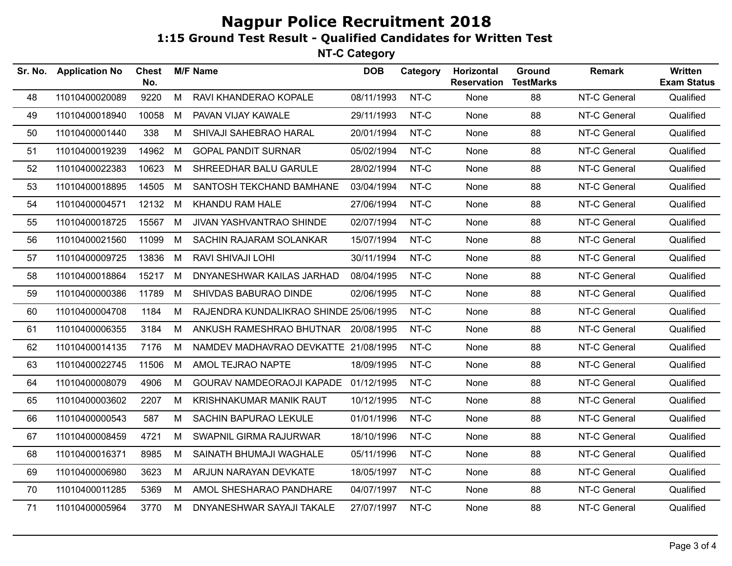| Sr. No. | <b>Application No</b> | Chest<br>No. |   | <b>M/F Name</b>                        | <b>DOB</b> | Category | Horizontal<br><b>Reservation</b> | <b>Ground</b><br><b>TestMarks</b> | <b>Remark</b> | Written<br><b>Exam Status</b> |
|---------|-----------------------|--------------|---|----------------------------------------|------------|----------|----------------------------------|-----------------------------------|---------------|-------------------------------|
| 48      | 11010400020089        | 9220         | M | RAVI KHANDERAO KOPALE                  | 08/11/1993 | NT-C     | None                             | 88                                | NT-C General  | Qualified                     |
| 49      | 11010400018940        | 10058        | M | PAVAN VIJAY KAWALE                     | 29/11/1993 | NT-C     | None                             | 88                                | NT-C General  | Qualified                     |
| 50      | 11010400001440        | 338          | M | SHIVAJI SAHEBRAO HARAL                 | 20/01/1994 | NT-C     | None                             | 88                                | NT-C General  | Qualified                     |
| 51      | 11010400019239        | 14962        | M | <b>GOPAL PANDIT SURNAR</b>             | 05/02/1994 | NT-C     | None                             | 88                                | NT-C General  | Qualified                     |
| 52      | 11010400022383        | 10623        | M | SHREEDHAR BALU GARULE                  | 28/02/1994 | NT-C     | None                             | 88                                | NT-C General  | Qualified                     |
| 53      | 11010400018895        | 14505        | M | SANTOSH TEKCHAND BAMHANE               | 03/04/1994 | NT-C     | None                             | 88                                | NT-C General  | Qualified                     |
| 54      | 11010400004571        | 12132        | M | KHANDU RAM HALE                        | 27/06/1994 | NT-C     | None                             | 88                                | NT-C General  | Qualified                     |
| 55      | 11010400018725        | 15567        | M | JIVAN YASHVANTRAO SHINDE               | 02/07/1994 | NT-C     | None                             | 88                                | NT-C General  | Qualified                     |
| 56      | 11010400021560        | 11099        | М | SACHIN RAJARAM SOLANKAR                | 15/07/1994 | NT-C     | None                             | 88                                | NT-C General  | Qualified                     |
| 57      | 11010400009725        | 13836        | M | RAVI SHIVAJI LOHI                      | 30/11/1994 | NT-C     | None                             | 88                                | NT-C General  | Qualified                     |
| 58      | 11010400018864        | 15217        | M | DNYANESHWAR KAILAS JARHAD              | 08/04/1995 | NT-C     | None                             | 88                                | NT-C General  | Qualified                     |
| 59      | 11010400000386        | 11789        | М | SHIVDAS BABURAO DINDE                  | 02/06/1995 | NT-C     | None                             | 88                                | NT-C General  | Qualified                     |
| 60      | 11010400004708        | 1184         | M | RAJENDRA KUNDALIKRAO SHINDE 25/06/1995 |            | NT-C     | None                             | 88                                | NT-C General  | Qualified                     |
| 61      | 11010400006355        | 3184         | M | ANKUSH RAMESHRAO BHUTNAR 20/08/1995    |            | NT-C     | None                             | 88                                | NT-C General  | Qualified                     |
| 62      | 11010400014135        | 7176         | M | NAMDEV MADHAVRAO DEVKATTE 21/08/1995   |            | NT-C     | None                             | 88                                | NT-C General  | Qualified                     |
| 63      | 11010400022745        | 11506        | M | AMOL TEJRAO NAPTE                      | 18/09/1995 | NT-C     | None                             | 88                                | NT-C General  | Qualified                     |
| 64      | 11010400008079        | 4906         | М | GOURAV NAMDEORAOJI KAPADE 01/12/1995   |            | NT-C     | None                             | 88                                | NT-C General  | Qualified                     |
| 65      | 11010400003602        | 2207         | м | KRISHNAKUMAR MANIK RAUT                | 10/12/1995 | NT-C     | None                             | 88                                | NT-C General  | Qualified                     |
| 66      | 11010400000543        | 587          | M | <b>SACHIN BAPURAO LEKULE</b>           | 01/01/1996 | NT-C     | None                             | 88                                | NT-C General  | Qualified                     |
| 67      | 11010400008459        | 4721         | M | SWAPNIL GIRMA RAJURWAR                 | 18/10/1996 | NT-C     | None                             | 88                                | NT-C General  | Qualified                     |
| 68      | 11010400016371        | 8985         | M | SAINATH BHUMAJI WAGHALE                | 05/11/1996 | NT-C     | None                             | 88                                | NT-C General  | Qualified                     |
| 69      | 11010400006980        | 3623         | M | ARJUN NARAYAN DEVKATE                  | 18/05/1997 | NT-C     | None                             | 88                                | NT-C General  | Qualified                     |
| 70      | 11010400011285        | 5369         | M | AMOL SHESHARAO PANDHARE                | 04/07/1997 | NT-C     | None                             | 88                                | NT-C General  | Qualified                     |
| 71      | 11010400005964        | 3770         | M | DNYANESHWAR SAYAJI TAKALE              | 27/07/1997 | NT-C     | None                             | 88                                | NT-C General  | Qualified                     |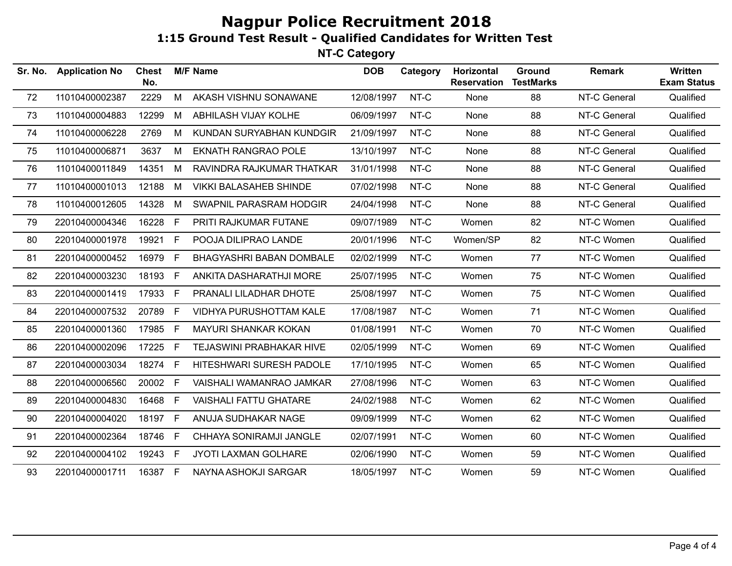| Sr. No. | <b>Application No</b> | <b>Chest</b><br>No. |              | <b>M/F Name</b>                 | <b>DOB</b> | Category | Horizontal<br><b>Reservation</b> | Ground<br><b>TestMarks</b> | <b>Remark</b> | Written<br><b>Exam Status</b> |
|---------|-----------------------|---------------------|--------------|---------------------------------|------------|----------|----------------------------------|----------------------------|---------------|-------------------------------|
| 72      | 11010400002387        | 2229                | M            | AKASH VISHNU SONAWANE           | 12/08/1997 | NT-C     | None                             | 88                         | NT-C General  | Qualified                     |
| 73      | 11010400004883        | 12299               | M            | ABHILASH VIJAY KOLHE            | 06/09/1997 | NT-C     | None                             | 88                         | NT-C General  | Qualified                     |
| 74      | 11010400006228        | 2769                | М            | KUNDAN SURYABHAN KUNDGIR        | 21/09/1997 | NT-C     | None                             | 88                         | NT-C General  | Qualified                     |
| 75      | 11010400006871        | 3637                | М            | <b>EKNATH RANGRAO POLE</b>      | 13/10/1997 | NT-C     | None                             | 88                         | NT-C General  | Qualified                     |
| 76      | 11010400011849        | 14351               | M            | RAVINDRA RAJKUMAR THATKAR       | 31/01/1998 | NT-C     | None                             | 88                         | NT-C General  | Qualified                     |
| 77      | 11010400001013        | 12188               | M            | <b>VIKKI BALASAHEB SHINDE</b>   | 07/02/1998 | NT-C     | None                             | 88                         | NT-C General  | Qualified                     |
| 78      | 11010400012605        | 14328               | M            | SWAPNIL PARASRAM HODGIR         | 24/04/1998 | NT-C     | None                             | 88                         | NT-C General  | Qualified                     |
| 79      | 22010400004346        | 16228               | F            | PRITI RAJKUMAR FUTANE           | 09/07/1989 | NT-C     | Women                            | 82                         | NT-C Women    | Qualified                     |
| 80      | 22010400001978        | 19921               | F.           | POOJA DILIPRAO LANDE            | 20/01/1996 | NT-C     | Women/SP                         | 82                         | NT-C Women    | Qualified                     |
| 81      | 22010400000452        | 16979 F             |              | <b>BHAGYASHRI BABAN DOMBALE</b> | 02/02/1999 | NT-C     | Women                            | 77                         | NT-C Women    | Qualified                     |
| 82      | 22010400003230        | 18193 F             |              | ANKITA DASHARATHJI MORE         | 25/07/1995 | NT-C     | Women                            | 75                         | NT-C Women    | Qualified                     |
| 83      | 22010400001419        | 17933 F             |              | PRANALI LILADHAR DHOTE          | 25/08/1997 | NT-C     | Women                            | 75                         | NT-C Women    | Qualified                     |
| 84      | 22010400007532        | 20789               | $\mathsf{F}$ | VIDHYA PURUSHOTTAM KALE         | 17/08/1987 | NT-C     | Women                            | 71                         | NT-C Women    | Qualified                     |
| 85      | 22010400001360        | 17985               | F.           | MAYURI SHANKAR KOKAN            | 01/08/1991 | NT-C     | Women                            | 70                         | NT-C Women    | Qualified                     |
| 86      | 22010400002096        | 17225               | - F          | TEJASWINI PRABHAKAR HIVE        | 02/05/1999 | NT-C     | Women                            | 69                         | NT-C Women    | Qualified                     |
| 87      | 22010400003034        | 18274               | -F.          | HITESHWARI SURESH PADOLE        | 17/10/1995 | NT-C     | Women                            | 65                         | NT-C Women    | Qualified                     |
| 88      | 22010400006560        | 20002 F             |              | VAISHALI WAMANRAO JAMKAR        | 27/08/1996 | NT-C     | Women                            | 63                         | NT-C Women    | Qualified                     |
| 89      | 22010400004830        | 16468               | E            | <b>VAISHALI FATTU GHATARE</b>   | 24/02/1988 | NT-C     | Women                            | 62                         | NT-C Women    | Qualified                     |
| 90      | 22010400004020        | 18197 F             |              | ANUJA SUDHAKAR NAGE             | 09/09/1999 | NT-C     | Women                            | 62                         | NT-C Women    | Qualified                     |
| 91      | 22010400002364        | 18746 F             |              | CHHAYA SONIRAMJI JANGLE         | 02/07/1991 | NT-C     | Women                            | 60                         | NT-C Women    | Qualified                     |
| 92      | 22010400004102        | 19243 F             |              | JYOTI LAXMAN GOLHARE            | 02/06/1990 | NT-C     | Women                            | 59                         | NT-C Women    | Qualified                     |
| 93      | 22010400001711        | 16387 F             |              | NAYNA ASHOKJI SARGAR            | 18/05/1997 | NT-C     | Women                            | 59                         | NT-C Women    | Qualified                     |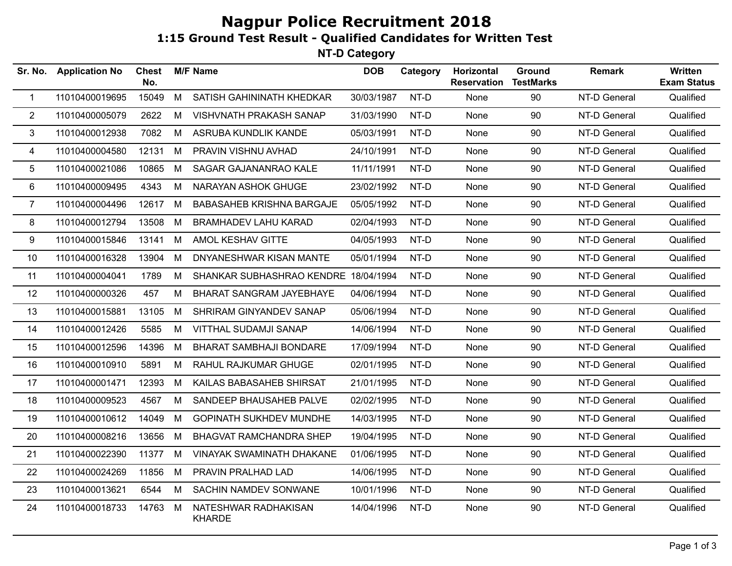**NT-D Category**

| Sr. No.        | <b>Application No</b> | <b>Chest</b><br>No. |   | <b>M/F Name</b>                       | <b>DOB</b> | Category | Horizontal<br><b>Reservation</b> | Ground<br><b>TestMarks</b> | <b>Remark</b> | Written<br><b>Exam Status</b> |
|----------------|-----------------------|---------------------|---|---------------------------------------|------------|----------|----------------------------------|----------------------------|---------------|-------------------------------|
| 1              | 11010400019695        | 15049               | M | SATISH GAHININATH KHEDKAR             | 30/03/1987 | NT-D     | None                             | 90                         | NT-D General  | Qualified                     |
| 2              | 11010400005079        | 2622                | M | VISHVNATH PRAKASH SANAP               | 31/03/1990 | NT-D     | None                             | 90                         | NT-D General  | Qualified                     |
| 3              | 11010400012938        | 7082                | M | ASRUBA KUNDLIK KANDE                  | 05/03/1991 | NT-D     | None                             | 90                         | NT-D General  | Qualified                     |
| 4              | 11010400004580        | 12131 M             |   | PRAVIN VISHNU AVHAD                   | 24/10/1991 | NT-D     | None                             | 90                         | NT-D General  | Qualified                     |
| 5              | 11010400021086        | 10865               | M | SAGAR GAJANANRAO KALE                 | 11/11/1991 | NT-D     | None                             | 90                         | NT-D General  | Qualified                     |
| 6              | 11010400009495        | 4343                | M | NARAYAN ASHOK GHUGE                   | 23/02/1992 | NT-D     | None                             | 90                         | NT-D General  | Qualified                     |
| $\overline{7}$ | 11010400004496        | 12617               | M | <b>BABASAHEB KRISHNA BARGAJE</b>      | 05/05/1992 | NT-D     | None                             | 90                         | NT-D General  | Qualified                     |
| 8              | 11010400012794        | 13508               | M | <b>BRAMHADEV LAHU KARAD</b>           | 02/04/1993 | NT-D     | None                             | 90                         | NT-D General  | Qualified                     |
| 9              | 11010400015846        | 13141 M             |   | AMOL KESHAV GITTE                     | 04/05/1993 | NT-D     | None                             | 90                         | NT-D General  | Qualified                     |
| 10             | 11010400016328        | 13904               | M | DNYANESHWAR KISAN MANTE               | 05/01/1994 | NT-D     | None                             | 90                         | NT-D General  | Qualified                     |
| 11             | 11010400004041        | 1789                | M | SHANKAR SUBHASHRAO KENDRE             | 18/04/1994 | NT-D     | None                             | 90                         | NT-D General  | Qualified                     |
| 12             | 11010400000326        | 457                 | M | BHARAT SANGRAM JAYEBHAYE              | 04/06/1994 | NT-D     | None                             | 90                         | NT-D General  | Qualified                     |
| 13             | 11010400015881        | 13105               | M | SHRIRAM GINYANDEV SANAP               | 05/06/1994 | NT-D     | None                             | 90                         | NT-D General  | Qualified                     |
| 14             | 11010400012426        | 5585                | M | VITTHAL SUDAMJI SANAP                 | 14/06/1994 | NT-D     | None                             | 90                         | NT-D General  | Qualified                     |
| 15             | 11010400012596        | 14396               | M | <b>BHARAT SAMBHAJI BONDARE</b>        | 17/09/1994 | NT-D     | None                             | 90                         | NT-D General  | Qualified                     |
| 16             | 11010400010910        | 5891                | M | RAHUL RAJKUMAR GHUGE                  | 02/01/1995 | NT-D     | None                             | 90                         | NT-D General  | Qualified                     |
| 17             | 11010400001471        | 12393               | M | KAILAS BABASAHEB SHIRSAT              | 21/01/1995 | NT-D     | None                             | 90                         | NT-D General  | Qualified                     |
| 18             | 11010400009523        | 4567                | M | SANDEEP BHAUSAHEB PALVE               | 02/02/1995 | NT-D     | None                             | 90                         | NT-D General  | Qualified                     |
| 19             | 11010400010612        | 14049               | M | <b>GOPINATH SUKHDEV MUNDHE</b>        | 14/03/1995 | NT-D     | None                             | 90                         | NT-D General  | Qualified                     |
| 20             | 11010400008216        | 13656               | M | <b>BHAGVAT RAMCHANDRA SHEP</b>        | 19/04/1995 | NT-D     | None                             | 90                         | NT-D General  | Qualified                     |
| 21             | 11010400022390        | 11377               | M | VINAYAK SWAMINATH DHAKANE             | 01/06/1995 | NT-D     | None                             | 90                         | NT-D General  | Qualified                     |
| 22             | 11010400024269        | 11856               | M | PRAVIN PRALHAD LAD                    | 14/06/1995 | NT-D     | None                             | 90                         | NT-D General  | Qualified                     |
| 23             | 11010400013621        | 6544                | M | SACHIN NAMDEV SONWANE                 | 10/01/1996 | NT-D     | None                             | 90                         | NT-D General  | Qualified                     |
| 24             | 11010400018733        | 14763               | M | NATESHWAR RADHAKISAN<br><b>KHARDE</b> | 14/04/1996 | NT-D     | None                             | 90                         | NT-D General  | Qualified                     |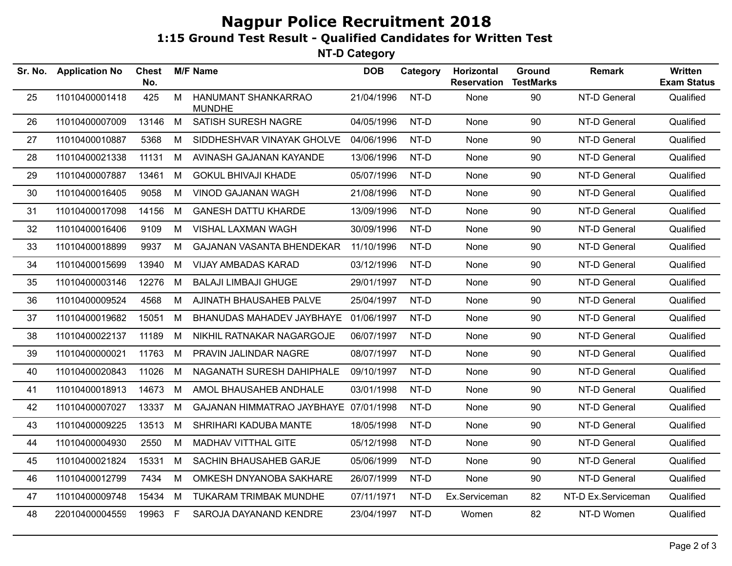| Sr. No. | <b>Application No</b> | <b>Chest</b><br>No. |   | <b>M/F Name</b>                       | <b>DOB</b> | Category | Horizontal<br><b>Reservation</b> | Ground<br><b>TestMarks</b> | <b>Remark</b>      | <b>Written</b><br><b>Exam Status</b> |
|---------|-----------------------|---------------------|---|---------------------------------------|------------|----------|----------------------------------|----------------------------|--------------------|--------------------------------------|
| 25      | 11010400001418        | 425                 | M | HANUMANT SHANKARRAO<br><b>MUNDHE</b>  | 21/04/1996 | NT-D     | None                             | 90                         | NT-D General       | Qualified                            |
| 26      | 11010400007009        | 13146               | M | SATISH SURESH NAGRE                   | 04/05/1996 | NT-D     | None                             | 90                         | NT-D General       | Qualified                            |
| 27      | 11010400010887        | 5368                | М | SIDDHESHVAR VINAYAK GHOLVE            | 04/06/1996 | NT-D     | None                             | 90                         | NT-D General       | Qualified                            |
| 28      | 11010400021338        | 11131               | M | AVINASH GAJANAN KAYANDE               | 13/06/1996 | NT-D     | None                             | 90                         | NT-D General       | Qualified                            |
| 29      | 11010400007887        | 13461               | M | <b>GOKUL BHIVAJI KHADE</b>            | 05/07/1996 | NT-D     | None                             | 90                         | NT-D General       | Qualified                            |
| 30      | 11010400016405        | 9058                | M | VINOD GAJANAN WAGH                    | 21/08/1996 | NT-D     | None                             | 90                         | NT-D General       | Qualified                            |
| 31      | 11010400017098        | 14156               | M | <b>GANESH DATTU KHARDE</b>            | 13/09/1996 | NT-D     | None                             | 90                         | NT-D General       | Qualified                            |
| 32      | 11010400016406        | 9109                | M | VISHAL LAXMAN WAGH                    | 30/09/1996 | NT-D     | None                             | 90                         | NT-D General       | Qualified                            |
| 33      | 11010400018899        | 9937                | М | GAJANAN VASANTA BHENDEKAR             | 11/10/1996 | NT-D     | None                             | 90                         | NT-D General       | Qualified                            |
| 34      | 11010400015699        | 13940               | М | <b>VIJAY AMBADAS KARAD</b>            | 03/12/1996 | NT-D     | None                             | 90                         | NT-D General       | Qualified                            |
| 35      | 11010400003146        | 12276               | М | <b>BALAJI LIMBAJI GHUGE</b>           | 29/01/1997 | NT-D     | None                             | 90                         | NT-D General       | Qualified                            |
| 36      | 11010400009524        | 4568                | М | AJINATH BHAUSAHEB PALVE               | 25/04/1997 | NT-D     | None                             | 90                         | NT-D General       | Qualified                            |
| 37      | 11010400019682        | 15051               | M | BHANUDAS MAHADEV JAYBHAYE             | 01/06/1997 | NT-D     | None                             | 90                         | NT-D General       | Qualified                            |
| 38      | 11010400022137        | 11189               | М | NIKHIL RATNAKAR NAGARGOJE             | 06/07/1997 | NT-D     | None                             | 90                         | NT-D General       | Qualified                            |
| 39      | 11010400000021        | 11763               | M | PRAVIN JALINDAR NAGRE                 | 08/07/1997 | NT-D     | None                             | 90                         | NT-D General       | Qualified                            |
| 40      | 11010400020843        | 11026               | M | NAGANATH SURESH DAHIPHALE             | 09/10/1997 | NT-D     | None                             | 90                         | NT-D General       | Qualified                            |
| 41      | 11010400018913        | 14673               | M | AMOL BHAUSAHEB ANDHALE                | 03/01/1998 | NT-D     | None                             | 90                         | NT-D General       | Qualified                            |
| 42      | 11010400007027        | 13337               | M | GAJANAN HIMMATRAO JAYBHAYE 07/01/1998 |            | NT-D     | None                             | 90                         | NT-D General       | Qualified                            |
| 43      | 11010400009225        | 13513               | M | SHRIHARI KADUBA MANTE                 | 18/05/1998 | NT-D     | None                             | 90                         | NT-D General       | Qualified                            |
| 44      | 11010400004930        | 2550                | М | MADHAV VITTHAL GITE                   | 05/12/1998 | NT-D     | None                             | 90                         | NT-D General       | Qualified                            |
| 45      | 11010400021824        | 15331               | M | SACHIN BHAUSAHEB GARJE                | 05/06/1999 | NT-D     | None                             | 90                         | NT-D General       | Qualified                            |
| 46      | 11010400012799        | 7434                | M | OMKESH DNYANOBA SAKHARE               | 26/07/1999 | NT-D     | None                             | 90                         | NT-D General       | Qualified                            |
| 47      | 11010400009748        | 15434               | M | TUKARAM TRIMBAK MUNDHE                | 07/11/1971 | NT-D     | Ex.Serviceman                    | 82                         | NT-D Ex.Serviceman | Qualified                            |
| 48      | 22010400004559        | 19963               | F | SAROJA DAYANAND KENDRE                | 23/04/1997 | NT-D     | Women                            | 82                         | NT-D Women         | Qualified                            |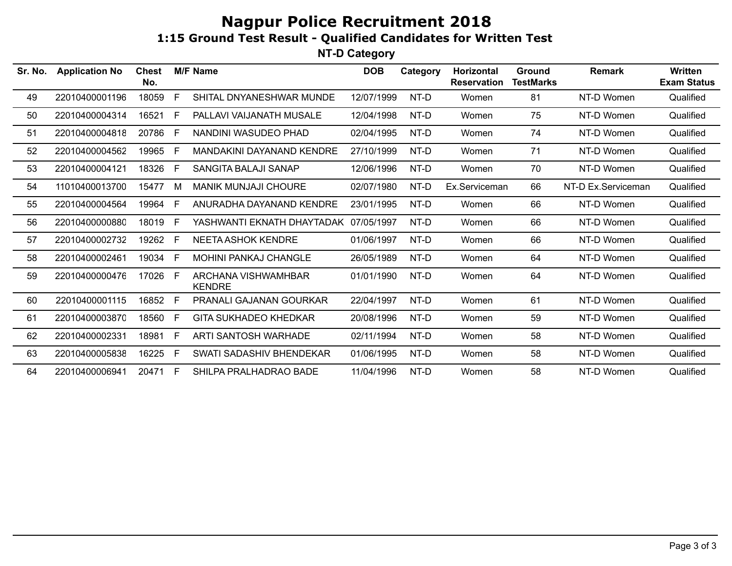| Sr. No. | <b>Application No</b> | <b>Chest</b><br>No. |   | <b>M/F Name</b>                      | <b>DOB</b> | Category | Horizontal<br><b>Reservation</b> | Ground<br><b>TestMarks</b> | <b>Remark</b>      | Written<br><b>Exam Status</b> |
|---------|-----------------------|---------------------|---|--------------------------------------|------------|----------|----------------------------------|----------------------------|--------------------|-------------------------------|
| 49      | 22010400001196        | 18059               | E | SHITAL DNYANESHWAR MUNDE             | 12/07/1999 | NT-D     | Women                            | 81                         | NT-D Women         | Qualified                     |
| 50      | 22010400004314        | 16521               | E | PALLAVI VAIJANATH MUSALE             | 12/04/1998 | NT-D     | Women                            | 75                         | NT-D Women         | Qualified                     |
| 51      | 22010400004818        | 20786               | E | NANDINI WASUDEO PHAD                 | 02/04/1995 | NT-D     | Women                            | 74                         | NT-D Women         | Qualified                     |
| 52      | 22010400004562        | 19965               | F | MANDAKINI DAYANAND KENDRE            | 27/10/1999 | NT-D     | Women                            | 71                         | NT-D Women         | Qualified                     |
| 53      | 22010400004121        | 18326               | E | SANGITA BALAJI SANAP                 | 12/06/1996 | NT-D     | Women                            | 70                         | NT-D Women         | Qualified                     |
| 54      | 11010400013700        | 15477               | М | <b>MANIK MUNJAJI CHOURE</b>          | 02/07/1980 | NT-D     | Ex.Serviceman                    | 66                         | NT-D Ex.Serviceman | Qualified                     |
| 55      | 22010400004564        | 19964               | E | ANURADHA DAYANAND KENDRE             | 23/01/1995 | NT-D     | Women                            | 66                         | NT-D Women         | Qualified                     |
| 56      | 22010400000880        | 18019               | E | YASHWANTI EKNATH DHAYTADAK           | 07/05/1997 | NT-D     | Women                            | 66                         | NT-D Women         | Qualified                     |
| 57      | 22010400002732        | 19262               | E | <b>NEETA ASHOK KENDRE</b>            | 01/06/1997 | NT-D     | Women                            | 66                         | NT-D Women         | Qualified                     |
| 58      | 22010400002461        | 19034               | E | <b>MOHINI PANKAJ CHANGLE</b>         | 26/05/1989 | NT-D     | Women                            | 64                         | NT-D Women         | Qualified                     |
| 59      | 22010400000476        | 17026               | E | ARCHANA VISHWAMHBAR<br><b>KENDRE</b> | 01/01/1990 | NT-D     | Women                            | 64                         | NT-D Women         | Qualified                     |
| 60      | 22010400001115        | 16852               | E | PRANALI GAJANAN GOURKAR              | 22/04/1997 | NT-D     | Women                            | 61                         | NT-D Women         | Qualified                     |
| 61      | 22010400003870        | 18560               | E | <b>GITA SUKHADEO KHEDKAR</b>         | 20/08/1996 | NT-D     | Women                            | 59                         | NT-D Women         | Qualified                     |
| 62      | 22010400002331        | 18981               | E | ARTI SANTOSH WARHADE                 | 02/11/1994 | NT-D     | Women                            | 58                         | NT-D Women         | Qualified                     |
| 63      | 22010400005838        | 16225               | E | SWATI SADASHIV BHENDEKAR             | 01/06/1995 | NT-D     | Women                            | 58                         | NT-D Women         | Qualified                     |
| 64      | 22010400006941        | 20471               | E | SHILPA PRALHADRAO BADE               | 11/04/1996 | NT-D     | Women                            | 58                         | NT-D Women         | Qualified                     |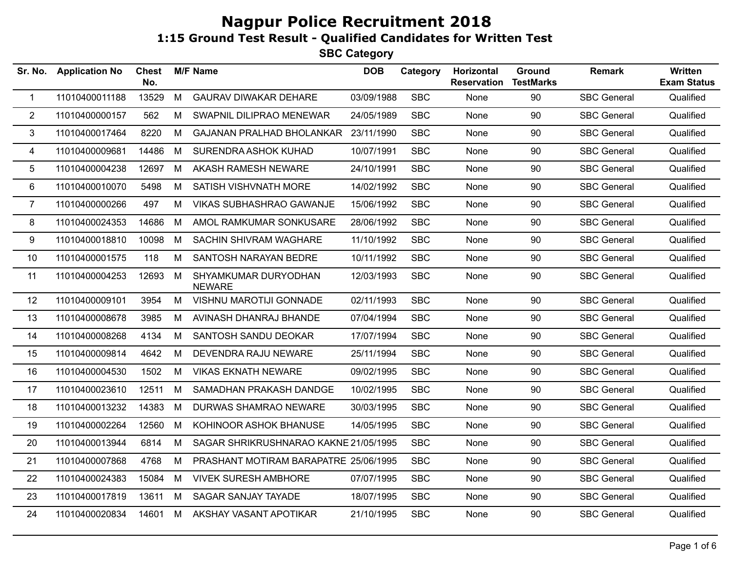| Sr. No.        | <b>Application No</b> | <b>Chest</b><br>No. |   | <b>M/F Name</b>                       | <b>DOB</b> | Category   | Horizontal<br><b>Reservation</b> | Ground<br><b>TestMarks</b> | <b>Remark</b>      | Written<br><b>Exam Status</b> |
|----------------|-----------------------|---------------------|---|---------------------------------------|------------|------------|----------------------------------|----------------------------|--------------------|-------------------------------|
| $\mathbf 1$    | 11010400011188        | 13529               | M | <b>GAURAV DIWAKAR DEHARE</b>          | 03/09/1988 | <b>SBC</b> | None                             | 90                         | <b>SBC General</b> | Qualified                     |
| $\overline{2}$ | 11010400000157        | 562                 | M | SWAPNIL DILIPRAO MENEWAR              | 24/05/1989 | <b>SBC</b> | None                             | 90                         | <b>SBC General</b> | Qualified                     |
| 3              | 11010400017464        | 8220                | M | GAJANAN PRALHAD BHOLANKAR             | 23/11/1990 | <b>SBC</b> | None                             | 90                         | <b>SBC General</b> | Qualified                     |
| 4              | 11010400009681        | 14486               | M | SURENDRA ASHOK KUHAD                  | 10/07/1991 | <b>SBC</b> | None                             | 90                         | <b>SBC General</b> | Qualified                     |
| 5              | 11010400004238        | 12697               | M | AKASH RAMESH NEWARE                   | 24/10/1991 | <b>SBC</b> | None                             | 90                         | <b>SBC General</b> | Qualified                     |
| 6              | 11010400010070        | 5498                | M | SATISH VISHVNATH MORE                 | 14/02/1992 | <b>SBC</b> | None                             | 90                         | <b>SBC General</b> | Qualified                     |
| $\overline{7}$ | 11010400000266        | 497                 | M | VIKAS SUBHASHRAO GAWANJE              | 15/06/1992 | <b>SBC</b> | None                             | 90                         | <b>SBC General</b> | Qualified                     |
| 8              | 11010400024353        | 14686               | M | AMOL RAMKUMAR SONKUSARE               | 28/06/1992 | <b>SBC</b> | None                             | 90                         | <b>SBC General</b> | Qualified                     |
| 9              | 11010400018810        | 10098               | M | SACHIN SHIVRAM WAGHARE                | 11/10/1992 | <b>SBC</b> | None                             | 90                         | <b>SBC General</b> | Qualified                     |
| 10             | 11010400001575        | 118                 | M | SANTOSH NARAYAN BEDRE                 | 10/11/1992 | <b>SBC</b> | None                             | 90                         | <b>SBC General</b> | Qualified                     |
| 11             | 11010400004253        | 12693               | M | SHYAMKUMAR DURYODHAN<br><b>NEWARE</b> | 12/03/1993 | <b>SBC</b> | None                             | 90                         | <b>SBC General</b> | Qualified                     |
| 12             | 11010400009101        | 3954                | M | <b>VISHNU MAROTIJI GONNADE</b>        | 02/11/1993 | <b>SBC</b> | None                             | 90                         | <b>SBC General</b> | Qualified                     |
| 13             | 11010400008678        | 3985                | M | AVINASH DHANRAJ BHANDE                | 07/04/1994 | <b>SBC</b> | None                             | 90                         | <b>SBC General</b> | Qualified                     |
| 14             | 11010400008268        | 4134                | M | <b>SANTOSH SANDU DEOKAR</b>           | 17/07/1994 | <b>SBC</b> | None                             | 90                         | <b>SBC General</b> | Qualified                     |
| 15             | 11010400009814        | 4642                | M | DEVENDRA RAJU NEWARE                  | 25/11/1994 | <b>SBC</b> | None                             | 90                         | <b>SBC General</b> | Qualified                     |
| 16             | 11010400004530        | 1502                | M | <b>VIKAS EKNATH NEWARE</b>            | 09/02/1995 | <b>SBC</b> | None                             | 90                         | <b>SBC General</b> | Qualified                     |
| 17             | 11010400023610        | 12511               | M | SAMADHAN PRAKASH DANDGE               | 10/02/1995 | <b>SBC</b> | None                             | 90                         | <b>SBC General</b> | Qualified                     |
| 18             | 11010400013232        | 14383               | M | DURWAS SHAMRAO NEWARE                 | 30/03/1995 | <b>SBC</b> | None                             | 90                         | <b>SBC General</b> | Qualified                     |
| 19             | 11010400002264        | 12560               | M | KOHINOOR ASHOK BHANUSE                | 14/05/1995 | <b>SBC</b> | None                             | 90                         | <b>SBC General</b> | Qualified                     |
| 20             | 11010400013944        | 6814                | М | SAGAR SHRIKRUSHNARAO KAKNE 21/05/1995 |            | <b>SBC</b> | None                             | 90                         | <b>SBC General</b> | Qualified                     |
| 21             | 11010400007868        | 4768                | M | PRASHANT MOTIRAM BARAPATRE 25/06/1995 |            | <b>SBC</b> | None                             | 90                         | <b>SBC General</b> | Qualified                     |
| 22             | 11010400024383        | 15084               | M | <b>VIVEK SURESH AMBHORE</b>           | 07/07/1995 | <b>SBC</b> | None                             | 90                         | <b>SBC General</b> | Qualified                     |
| 23             | 11010400017819        | 13611               | M | SAGAR SANJAY TAYADE                   | 18/07/1995 | <b>SBC</b> | None                             | 90                         | <b>SBC General</b> | Qualified                     |
| 24             | 11010400020834        | 14601               | M | AKSHAY VASANT APOTIKAR                | 21/10/1995 | <b>SBC</b> | None                             | 90                         | <b>SBC General</b> | Qualified                     |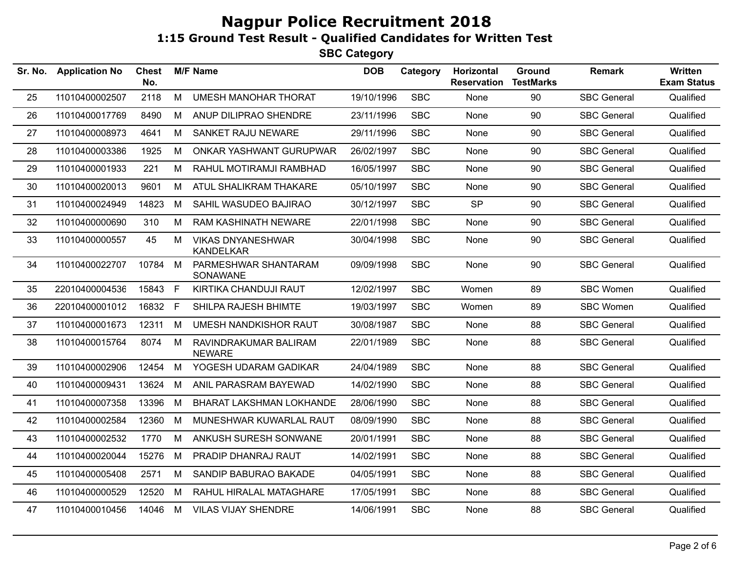| Sr. No. | <b>Application No</b> | <b>Chest</b><br>No. |    | <b>M/F Name</b>                              | <b>DOB</b> | Category   | Horizontal<br><b>Reservation</b> | Ground<br><b>TestMarks</b> | <b>Remark</b>      | <b>Written</b><br><b>Exam Status</b> |
|---------|-----------------------|---------------------|----|----------------------------------------------|------------|------------|----------------------------------|----------------------------|--------------------|--------------------------------------|
| 25      | 11010400002507        | 2118                | M  | <b>UMESH MANOHAR THORAT</b>                  | 19/10/1996 | <b>SBC</b> | None                             | 90                         | <b>SBC General</b> | Qualified                            |
| 26      | 11010400017769        | 8490                | M  | ANUP DILIPRAO SHENDRE                        | 23/11/1996 | <b>SBC</b> | None                             | 90                         | <b>SBC General</b> | Qualified                            |
| 27      | 11010400008973        | 4641                | M  | SANKET RAJU NEWARE                           | 29/11/1996 | <b>SBC</b> | None                             | 90                         | <b>SBC General</b> | Qualified                            |
| 28      | 11010400003386        | 1925                | M  | ONKAR YASHWANT GURUPWAR                      | 26/02/1997 | <b>SBC</b> | None                             | 90                         | <b>SBC General</b> | Qualified                            |
| 29      | 11010400001933        | 221                 | M  | RAHUL MOTIRAMJI RAMBHAD                      | 16/05/1997 | <b>SBC</b> | None                             | 90                         | <b>SBC General</b> | Qualified                            |
| 30      | 11010400020013        | 9601                | М  | ATUL SHALIKRAM THAKARE                       | 05/10/1997 | <b>SBC</b> | None                             | 90                         | <b>SBC General</b> | Qualified                            |
| 31      | 11010400024949        | 14823               | M  | SAHIL WASUDEO BAJIRAO                        | 30/12/1997 | <b>SBC</b> | <b>SP</b>                        | 90                         | <b>SBC General</b> | Qualified                            |
| 32      | 11010400000690        | 310                 | M  | RAM KASHINATH NEWARE                         | 22/01/1998 | <b>SBC</b> | None                             | 90                         | <b>SBC General</b> | Qualified                            |
| 33      | 11010400000557        | 45                  | М  | <b>VIKAS DNYANESHWAR</b><br><b>KANDELKAR</b> | 30/04/1998 | <b>SBC</b> | None                             | 90                         | <b>SBC General</b> | Qualified                            |
| 34      | 11010400022707        | 10784               | M  | PARMESHWAR SHANTARAM<br>SONAWANE             | 09/09/1998 | <b>SBC</b> | None                             | 90                         | <b>SBC General</b> | Qualified                            |
| 35      | 22010400004536        | 15843 F             |    | KIRTIKA CHANDUJI RAUT                        | 12/02/1997 | <b>SBC</b> | Women                            | 89                         | <b>SBC Women</b>   | Qualified                            |
| 36      | 22010400001012        | 16832               | F. | SHILPA RAJESH BHIMTE                         | 19/03/1997 | <b>SBC</b> | Women                            | 89                         | <b>SBC Women</b>   | Qualified                            |
| 37      | 11010400001673        | 12311               | M  | <b>UMESH NANDKISHOR RAUT</b>                 | 30/08/1987 | <b>SBC</b> | None                             | 88                         | <b>SBC General</b> | Qualified                            |
| 38      | 11010400015764        | 8074                | M  | RAVINDRAKUMAR BALIRAM<br><b>NEWARE</b>       | 22/01/1989 | <b>SBC</b> | None                             | 88                         | <b>SBC General</b> | Qualified                            |
| 39      | 11010400002906        | 12454               | M  | YOGESH UDARAM GADIKAR                        | 24/04/1989 | <b>SBC</b> | None                             | 88                         | <b>SBC General</b> | Qualified                            |
| 40      | 11010400009431        | 13624               | M  | ANIL PARASRAM BAYEWAD                        | 14/02/1990 | <b>SBC</b> | None                             | 88                         | <b>SBC General</b> | Qualified                            |
| 41      | 11010400007358        | 13396               | М  | <b>BHARAT LAKSHMAN LOKHANDE</b>              | 28/06/1990 | <b>SBC</b> | None                             | 88                         | <b>SBC General</b> | Qualified                            |
| 42      | 11010400002584        | 12360               | М  | MUNESHWAR KUWARLAL RAUT                      | 08/09/1990 | <b>SBC</b> | None                             | 88                         | <b>SBC General</b> | Qualified                            |
| 43      | 11010400002532        | 1770                | M  | ANKUSH SURESH SONWANE                        | 20/01/1991 | <b>SBC</b> | None                             | 88                         | <b>SBC General</b> | Qualified                            |
| 44      | 11010400020044        | 15276               | M  | PRADIP DHANRAJ RAUT                          | 14/02/1991 | <b>SBC</b> | None                             | 88                         | <b>SBC General</b> | Qualified                            |
| 45      | 11010400005408        | 2571                | M  | SANDIP BABURAO BAKADE                        | 04/05/1991 | <b>SBC</b> | None                             | 88                         | <b>SBC General</b> | Qualified                            |
| 46      | 11010400000529        | 12520               | М  | RAHUL HIRALAL MATAGHARE                      | 17/05/1991 | <b>SBC</b> | None                             | 88                         | <b>SBC General</b> | Qualified                            |
| 47      | 11010400010456        | 14046               | M  | <b>VILAS VIJAY SHENDRE</b>                   | 14/06/1991 | <b>SBC</b> | None                             | 88                         | <b>SBC General</b> | Qualified                            |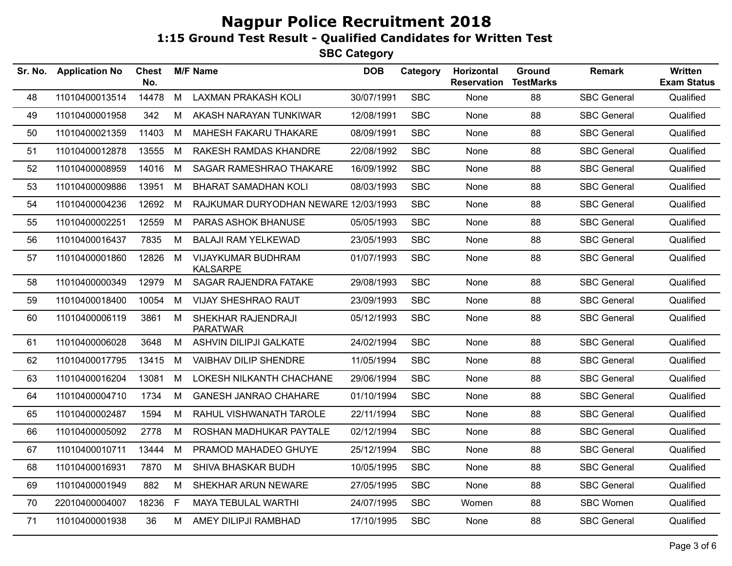| Sr. No. | <b>Application No</b> | <b>Chest</b><br>No. |   | <b>M/F Name</b>                              | <b>DOB</b> | Category   | Horizontal<br><b>Reservation</b> | Ground<br><b>TestMarks</b> | <b>Remark</b>      | <b>Written</b><br><b>Exam Status</b> |
|---------|-----------------------|---------------------|---|----------------------------------------------|------------|------------|----------------------------------|----------------------------|--------------------|--------------------------------------|
| 48      | 11010400013514        | 14478               | M | <b>LAXMAN PRAKASH KOLI</b>                   | 30/07/1991 | <b>SBC</b> | <b>None</b>                      | 88                         | <b>SBC General</b> | Qualified                            |
| 49      | 11010400001958        | 342                 | M | AKASH NARAYAN TUNKIWAR                       | 12/08/1991 | <b>SBC</b> | None                             | 88                         | <b>SBC General</b> | Qualified                            |
| 50      | 11010400021359        | 11403               | M | MAHESH FAKARU THAKARE                        | 08/09/1991 | <b>SBC</b> | None                             | 88                         | <b>SBC General</b> | Qualified                            |
| 51      | 11010400012878        | 13555               | M | RAKESH RAMDAS KHANDRE                        | 22/08/1992 | <b>SBC</b> | None                             | 88                         | <b>SBC General</b> | Qualified                            |
| 52      | 11010400008959        | 14016               | M | SAGAR RAMESHRAO THAKARE                      | 16/09/1992 | <b>SBC</b> | None                             | 88                         | <b>SBC General</b> | Qualified                            |
| 53      | 11010400009886        | 13951               | M | <b>BHARAT SAMADHAN KOLI</b>                  | 08/03/1993 | <b>SBC</b> | None                             | 88                         | <b>SBC General</b> | Qualified                            |
| 54      | 11010400004236        | 12692               | M | RAJKUMAR DURYODHAN NEWARE 12/03/1993         |            | <b>SBC</b> | None                             | 88                         | <b>SBC General</b> | Qualified                            |
| 55      | 11010400002251        | 12559               | M | PARAS ASHOK BHANUSE                          | 05/05/1993 | <b>SBC</b> | None                             | 88                         | <b>SBC General</b> | Qualified                            |
| 56      | 11010400016437        | 7835                | M | <b>BALAJI RAM YELKEWAD</b>                   | 23/05/1993 | <b>SBC</b> | None                             | 88                         | <b>SBC General</b> | Qualified                            |
| 57      | 11010400001860        | 12826               | M | <b>VIJAYKUMAR BUDHRAM</b><br><b>KALSARPE</b> | 01/07/1993 | <b>SBC</b> | None                             | 88                         | <b>SBC General</b> | Qualified                            |
| 58      | 11010400000349        | 12979               | M | <b>SAGAR RAJENDRA FATAKE</b>                 | 29/08/1993 | <b>SBC</b> | None                             | 88                         | <b>SBC General</b> | Qualified                            |
| 59      | 11010400018400        | 10054               | M | <b>VIJAY SHESHRAO RAUT</b>                   | 23/09/1993 | <b>SBC</b> | None                             | 88                         | <b>SBC General</b> | Qualified                            |
| 60      | 11010400006119        | 3861                | M | SHEKHAR RAJENDRAJI<br><b>PARATWAR</b>        | 05/12/1993 | <b>SBC</b> | None                             | 88                         | <b>SBC General</b> | Qualified                            |
| 61      | 11010400006028        | 3648                | M | <b>ASHVIN DILIPJI GALKATE</b>                | 24/02/1994 | <b>SBC</b> | None                             | 88                         | <b>SBC General</b> | Qualified                            |
| 62      | 11010400017795        | 13415               | M | VAIBHAV DILIP SHENDRE                        | 11/05/1994 | <b>SBC</b> | None                             | 88                         | <b>SBC General</b> | Qualified                            |
| 63      | 11010400016204        | 13081               | M | LOKESH NILKANTH CHACHANE                     | 29/06/1994 | <b>SBC</b> | None                             | 88                         | <b>SBC General</b> | Qualified                            |
| 64      | 11010400004710        | 1734                | M | <b>GANESH JANRAO CHAHARE</b>                 | 01/10/1994 | <b>SBC</b> | None                             | 88                         | <b>SBC General</b> | Qualified                            |
| 65      | 11010400002487        | 1594                | M | RAHUL VISHWANATH TAROLE                      | 22/11/1994 | <b>SBC</b> | None                             | 88                         | <b>SBC General</b> | Qualified                            |
| 66      | 11010400005092        | 2778                | М | ROSHAN MADHUKAR PAYTALE                      | 02/12/1994 | <b>SBC</b> | None                             | 88                         | <b>SBC General</b> | Qualified                            |
| 67      | 11010400010711        | 13444               | M | PRAMOD MAHADEO GHUYE                         | 25/12/1994 | <b>SBC</b> | <b>None</b>                      | 88                         | <b>SBC General</b> | Qualified                            |
| 68      | 11010400016931        | 7870                | M | <b>SHIVA BHASKAR BUDH</b>                    | 10/05/1995 | <b>SBC</b> | None                             | 88                         | <b>SBC General</b> | Qualified                            |
| 69      | 11010400001949        | 882                 | M | SHEKHAR ARUN NEWARE                          | 27/05/1995 | <b>SBC</b> | None                             | 88                         | <b>SBC General</b> | Qualified                            |
| 70      | 22010400004007        | 18236               | F | <b>MAYA TEBULAL WARTHI</b>                   | 24/07/1995 | <b>SBC</b> | Women                            | 88                         | <b>SBC Women</b>   | Qualified                            |
| 71      | 11010400001938        | 36                  | M | AMEY DILIPJI RAMBHAD                         | 17/10/1995 | <b>SBC</b> | None                             | 88                         | <b>SBC General</b> | Qualified                            |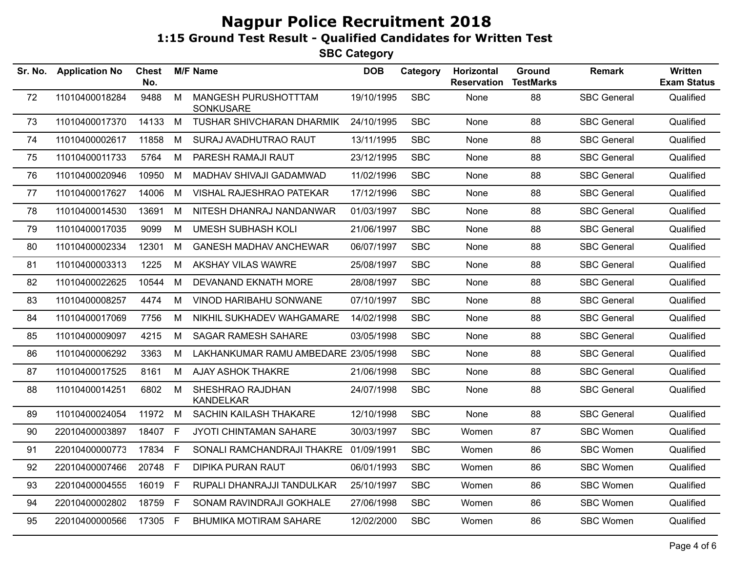| <b>Application No</b> | <b>Chest</b><br>No. |    |                                                                                  | <b>DOB</b>      | Category                                                                      | Horizontal<br><b>Reservation</b>                                                                                                                                                                                             | Ground<br><b>TestMarks</b> | Remark             | Written<br><b>Exam Status</b> |
|-----------------------|---------------------|----|----------------------------------------------------------------------------------|-----------------|-------------------------------------------------------------------------------|------------------------------------------------------------------------------------------------------------------------------------------------------------------------------------------------------------------------------|----------------------------|--------------------|-------------------------------|
| 11010400018284        | 9488                | M  | MANGESH PURUSHOTTTAM<br>SONKUSARE                                                |                 | <b>SBC</b>                                                                    | None                                                                                                                                                                                                                         | 88                         | <b>SBC General</b> | Qualified                     |
| 11010400017370        |                     |    | TUSHAR SHIVCHARAN DHARMIK                                                        |                 | <b>SBC</b>                                                                    | None                                                                                                                                                                                                                         | 88                         | <b>SBC General</b> | Qualified                     |
| 11010400002617        | 11858               | M  | SURAJ AVADHUTRAO RAUT                                                            | 13/11/1995      | <b>SBC</b>                                                                    | None                                                                                                                                                                                                                         | 88                         | <b>SBC General</b> | Qualified                     |
| 11010400011733        | 5764                | M  | PARESH RAMAJI RAUT                                                               |                 | <b>SBC</b>                                                                    | None                                                                                                                                                                                                                         | 88                         | <b>SBC General</b> | Qualified                     |
| 11010400020946        | 10950               | M  | MADHAV SHIVAJI GADAMWAD                                                          |                 | <b>SBC</b>                                                                    | None                                                                                                                                                                                                                         | 88                         | <b>SBC General</b> | Qualified                     |
| 11010400017627        | 14006               | M  | VISHAL RAJESHRAO PATEKAR                                                         |                 | <b>SBC</b>                                                                    | None                                                                                                                                                                                                                         | 88                         | <b>SBC General</b> | Qualified                     |
| 11010400014530        | 13691               | M  | NITESH DHANRAJ NANDANWAR                                                         | 01/03/1997      | <b>SBC</b>                                                                    | None                                                                                                                                                                                                                         | 88                         | <b>SBC General</b> | Qualified                     |
| 11010400017035        | 9099                | M  | <b>UMESH SUBHASH KOLI</b>                                                        |                 | <b>SBC</b>                                                                    | None                                                                                                                                                                                                                         | 88                         | <b>SBC General</b> | Qualified                     |
| 11010400002334        | 12301               | M  | <b>GANESH MADHAV ANCHEWAR</b>                                                    | 06/07/1997      | <b>SBC</b>                                                                    | None                                                                                                                                                                                                                         | 88                         | <b>SBC General</b> | Qualified                     |
| 11010400003313        | 1225                | M  | AKSHAY VILAS WAWRE                                                               |                 | <b>SBC</b>                                                                    | None                                                                                                                                                                                                                         | 88                         | <b>SBC General</b> | Qualified                     |
| 11010400022625        | 10544               | M  | DEVANAND EKNATH MORE                                                             | 28/08/1997      | <b>SBC</b>                                                                    | None                                                                                                                                                                                                                         | 88                         | <b>SBC General</b> | Qualified                     |
| 11010400008257        | 4474                | М  | VINOD HARIBAHU SONWANE                                                           |                 | <b>SBC</b>                                                                    | None                                                                                                                                                                                                                         | 88                         | <b>SBC General</b> | Qualified                     |
| 11010400017069        | 7756                | M  | NIKHIL SUKHADEV WAHGAMARE                                                        |                 | <b>SBC</b>                                                                    | None                                                                                                                                                                                                                         | 88                         | <b>SBC General</b> | Qualified                     |
| 11010400009097        | 4215                | M  | <b>SAGAR RAMESH SAHARE</b>                                                       |                 | <b>SBC</b>                                                                    | None                                                                                                                                                                                                                         | 88                         | <b>SBC General</b> | Qualified                     |
| 11010400006292        | 3363                | M  |                                                                                  |                 | <b>SBC</b>                                                                    | None                                                                                                                                                                                                                         | 88                         | <b>SBC General</b> | Qualified                     |
| 11010400017525        | 8161                | M  | <b>AJAY ASHOK THAKRE</b>                                                         |                 | <b>SBC</b>                                                                    | None                                                                                                                                                                                                                         | 88                         | <b>SBC General</b> | Qualified                     |
| 11010400014251        | 6802                | M  | SHESHRAO RAJDHAN<br><b>KANDELKAR</b>                                             |                 | <b>SBC</b>                                                                    | None                                                                                                                                                                                                                         | 88                         | <b>SBC General</b> | Qualified                     |
| 11010400024054        |                     | M  | <b>SACHIN KAILASH THAKARE</b>                                                    |                 | <b>SBC</b>                                                                    | None                                                                                                                                                                                                                         | 88                         | <b>SBC General</b> | Qualified                     |
| 22010400003897        |                     |    | JYOTI CHINTAMAN SAHARE                                                           | 30/03/1997      | <b>SBC</b>                                                                    | Women                                                                                                                                                                                                                        | 87                         | <b>SBC Women</b>   | Qualified                     |
| 22010400000773        |                     | -F |                                                                                  |                 | <b>SBC</b>                                                                    | Women                                                                                                                                                                                                                        | 86                         | SBC Women          | Qualified                     |
| 22010400007466        |                     |    | <b>DIPIKA PURAN RAUT</b>                                                         |                 | <b>SBC</b>                                                                    | Women                                                                                                                                                                                                                        | 86                         | <b>SBC Women</b>   | Qualified                     |
| 22010400004555        |                     |    | RUPALI DHANRAJJI TANDULKAR                                                       | 25/10/1997      | <b>SBC</b>                                                                    | Women                                                                                                                                                                                                                        | 86                         | <b>SBC Women</b>   | Qualified                     |
| 22010400002802        |                     |    | SONAM RAVINDRAJI GOKHALE                                                         |                 | <b>SBC</b>                                                                    | Women                                                                                                                                                                                                                        | 86                         | <b>SBC Women</b>   | Qualified                     |
| 22010400000566        |                     |    | BHUMIKA MOTIRAM SAHARE                                                           |                 | <b>SBC</b>                                                                    | Women                                                                                                                                                                                                                        | 86                         | <b>SBC Women</b>   | Qualified                     |
|                       | Sr. No.             |    | 14133 M<br>11972<br>18407 F<br>17834<br>20748 F<br>16019 F<br>18759 F<br>17305 F | <b>M/F Name</b> | LAKHANKUMAR RAMU AMBEDARE 23/05/1998<br>SONALI RAMCHANDRAJI THAKRE 01/09/1991 | 19/10/1995<br>24/10/1995<br>23/12/1995<br>11/02/1996<br>17/12/1996<br>21/06/1997<br>25/08/1997<br>07/10/1997<br>14/02/1998<br>03/05/1998<br>21/06/1998<br>24/07/1998<br>12/10/1998<br>06/01/1993<br>27/06/1998<br>12/02/2000 |                            |                    |                               |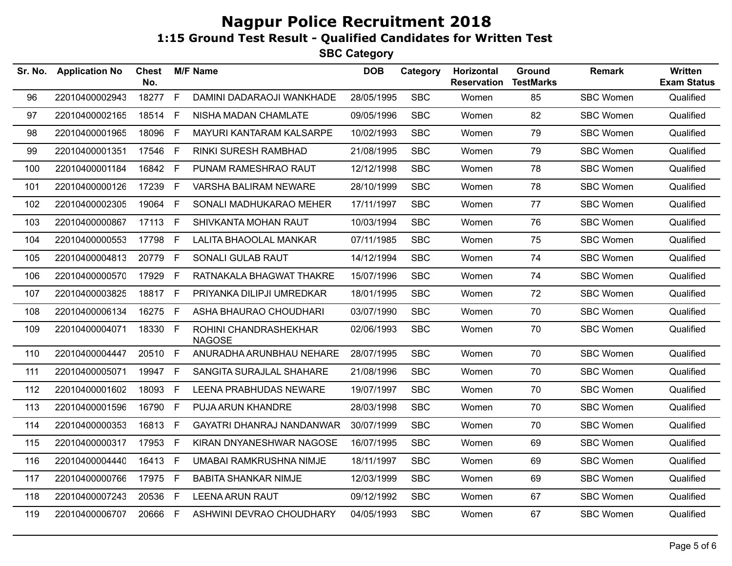| Sr. No. | <b>Application No</b> | <b>Chest</b><br>No. |              | <b>M/F Name</b>                        | <b>DOB</b> | Category   | Horizontal<br><b>Reservation</b> | Ground<br><b>TestMarks</b> | <b>Remark</b>    | Written<br><b>Exam Status</b> |
|---------|-----------------------|---------------------|--------------|----------------------------------------|------------|------------|----------------------------------|----------------------------|------------------|-------------------------------|
| 96      | 22010400002943        | 18277 F             |              | DAMINI DADARAOJI WANKHADE              | 28/05/1995 | <b>SBC</b> | Women                            | 85                         | <b>SBC Women</b> | Qualified                     |
| 97      | 22010400002165        | 18514 F             |              | NISHA MADAN CHAMLATE                   | 09/05/1996 | <b>SBC</b> | Women                            | 82                         | <b>SBC Women</b> | Qualified                     |
| 98      | 22010400001965        | 18096               | -F           | MAYURI KANTARAM KALSARPE               | 10/02/1993 | <b>SBC</b> | Women                            | 79                         | <b>SBC Women</b> | Qualified                     |
| 99      | 22010400001351        | 17546               | - F          | RINKI SURESH RAMBHAD                   | 21/08/1995 | <b>SBC</b> | Women                            | 79                         | <b>SBC Women</b> | Qualified                     |
| 100     | 22010400001184        | 16842 F             |              | PUNAM RAMESHRAO RAUT                   | 12/12/1998 | <b>SBC</b> | Women                            | 78                         | <b>SBC Women</b> | Qualified                     |
| 101     | 22010400000126        | 17239               | F            | VARSHA BALIRAM NEWARE                  | 28/10/1999 | <b>SBC</b> | Women                            | 78                         | <b>SBC Women</b> | Qualified                     |
| 102     | 22010400002305        | 19064 F             |              | SONALI MADHUKARAO MEHER                | 17/11/1997 | <b>SBC</b> | Women                            | 77                         | <b>SBC Women</b> | Qualified                     |
| 103     | 22010400000867        | 17113 F             |              | SHIVKANTA MOHAN RAUT                   | 10/03/1994 | <b>SBC</b> | Women                            | 76                         | <b>SBC Women</b> | Qualified                     |
| 104     | 22010400000553        | 17798               | F            | <b>LALITA BHAOOLAL MANKAR</b>          | 07/11/1985 | <b>SBC</b> | Women                            | 75                         | <b>SBC Women</b> | Qualified                     |
| 105     | 22010400004813        | 20779               | $\mathsf{F}$ | SONALI GULAB RAUT                      | 14/12/1994 | <b>SBC</b> | Women                            | 74                         | <b>SBC Women</b> | Qualified                     |
| 106     | 22010400000570        | 17929 F             |              | RATNAKALA BHAGWAT THAKRE               | 15/07/1996 | <b>SBC</b> | Women                            | 74                         | <b>SBC Women</b> | Qualified                     |
| 107     | 22010400003825        | 18817 F             |              | PRIYANKA DILIPJI UMREDKAR              | 18/01/1995 | <b>SBC</b> | Women                            | 72                         | <b>SBC Women</b> | Qualified                     |
| 108     | 22010400006134        | 16275 F             |              | ASHA BHAURAO CHOUDHARI                 | 03/07/1990 | <b>SBC</b> | Women                            | 70                         | <b>SBC Women</b> | Qualified                     |
| 109     | 22010400004071        | 18330 F             |              | ROHINI CHANDRASHEKHAR<br><b>NAGOSE</b> | 02/06/1993 | <b>SBC</b> | Women                            | 70                         | <b>SBC Women</b> | Qualified                     |
| 110     | 22010400004447        | 20510 F             |              | ANURADHA ARUNBHAU NEHARE               | 28/07/1995 | <b>SBC</b> | Women                            | 70                         | <b>SBC Women</b> | Qualified                     |
| 111     | 22010400005071        | 19947 F             |              | SANGITA SURAJLAL SHAHARE               | 21/08/1996 | <b>SBC</b> | Women                            | 70                         | <b>SBC Women</b> | Qualified                     |
| 112     | 22010400001602        | 18093               | F            | <b>LEENA PRABHUDAS NEWARE</b>          | 19/07/1997 | <b>SBC</b> | Women                            | 70                         | <b>SBC Women</b> | Qualified                     |
| 113     | 22010400001596        | 16790               | E            | PUJA ARUN KHANDRE                      | 28/03/1998 | <b>SBC</b> | Women                            | 70                         | <b>SBC Women</b> | Qualified                     |
| 114     | 22010400000353        | 16813 F             |              | GAYATRI DHANRAJ NANDANWAR              | 30/07/1999 | <b>SBC</b> | Women                            | 70                         | <b>SBC Women</b> | Qualified                     |
| 115     | 22010400000317        | 17953               | - F          | KIRAN DNYANESHWAR NAGOSE               | 16/07/1995 | <b>SBC</b> | Women                            | 69                         | <b>SBC Women</b> | Qualified                     |
| 116     | 22010400004440        | 16413 F             |              | UMABAI RAMKRUSHNA NIMJE                | 18/11/1997 | <b>SBC</b> | Women                            | 69                         | <b>SBC Women</b> | Qualified                     |
| 117     | 22010400000766        | 17975 F             |              | <b>BABITA SHANKAR NIMJE</b>            | 12/03/1999 | <b>SBC</b> | Women                            | 69                         | <b>SBC Women</b> | Qualified                     |
| 118     | 22010400007243        | 20536               | - F          | <b>LEENA ARUN RAUT</b>                 | 09/12/1992 | <b>SBC</b> | Women                            | 67                         | <b>SBC Women</b> | Qualified                     |
| 119     | 22010400006707        | 20666 F             |              | ASHWINI DEVRAO CHOUDHARY               | 04/05/1993 | <b>SBC</b> | Women                            | 67                         | <b>SBC Women</b> | Qualified                     |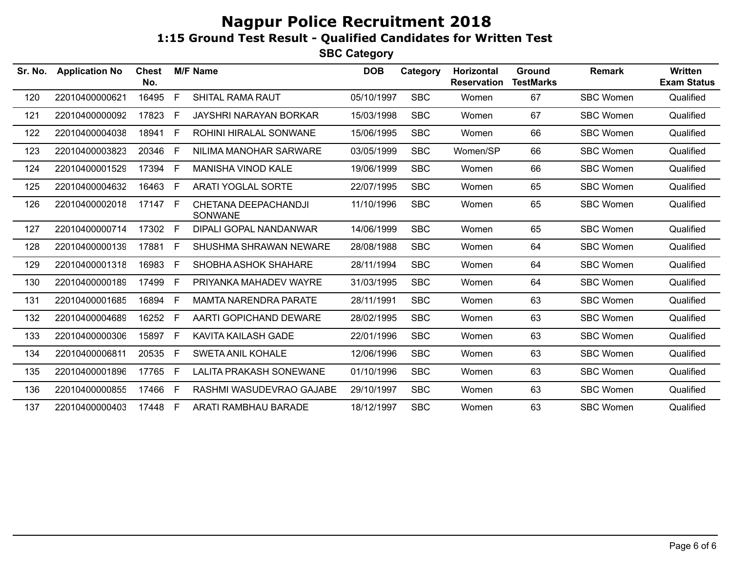| Sr. No. | <b>Application No</b> | <b>Chest</b><br>No. |              | <b>M/F Name</b>                 | <b>DOB</b> | Category   | Horizontal<br><b>Reservation</b> | Ground<br><b>TestMarks</b> | <b>Remark</b>    | Written<br><b>Exam Status</b> |
|---------|-----------------------|---------------------|--------------|---------------------------------|------------|------------|----------------------------------|----------------------------|------------------|-------------------------------|
| 120     | 22010400000621        | 16495               | E            | <b>SHITAL RAMA RAUT</b>         | 05/10/1997 | <b>SBC</b> | Women                            | 67                         | <b>SBC Women</b> | Qualified                     |
| 121     | 22010400000092        | 17823               | E            | JAYSHRI NARAYAN BORKAR          | 15/03/1998 | <b>SBC</b> | Women                            | 67                         | <b>SBC Women</b> | Qualified                     |
| 122     | 22010400004038        | 18941               | -F           | ROHINI HIRALAL SONWANE          | 15/06/1995 | <b>SBC</b> | Women                            | 66                         | <b>SBC Women</b> | Qualified                     |
| 123     | 22010400003823        | 20346               | F            | NILIMA MANOHAR SARWARE          | 03/05/1999 | <b>SBC</b> | Women/SP                         | 66                         | <b>SBC Women</b> | Qualified                     |
| 124     | 22010400001529        | 17394               | E            | <b>MANISHA VINOD KALE</b>       | 19/06/1999 | <b>SBC</b> | Women                            | 66                         | <b>SBC Women</b> | Qualified                     |
| 125     | 22010400004632        | 16463               | E            | <b>ARATI YOGLAL SORTE</b>       | 22/07/1995 | <b>SBC</b> | Women                            | 65                         | <b>SBC Women</b> | Qualified                     |
| 126     | 22010400002018        | 17147 F             |              | CHETANA DEEPACHANDJI<br>SONWANE | 11/10/1996 | <b>SBC</b> | Women                            | 65                         | <b>SBC Women</b> | Qualified                     |
| 127     | 22010400000714        | 17302               | E            | DIPALI GOPAL NANDANWAR          | 14/06/1999 | <b>SBC</b> | Women                            | 65                         | <b>SBC Women</b> | Qualified                     |
| 128     | 22010400000139        | 17881               | F.           | SHUSHMA SHRAWAN NEWARE          | 28/08/1988 | <b>SBC</b> | Women                            | 64                         | <b>SBC Women</b> | Qualified                     |
| 129     | 22010400001318        | 16983               | F            | SHOBHA ASHOK SHAHARE            | 28/11/1994 | <b>SBC</b> | Women                            | 64                         | <b>SBC Women</b> | Qualified                     |
| 130     | 22010400000189        | 17499               | F            | PRIYANKA MAHADEV WAYRE          | 31/03/1995 | <b>SBC</b> | Women                            | 64                         | <b>SBC Women</b> | Qualified                     |
| 131     | 22010400001685        | 16894               | E            | <b>MAMTA NARENDRA PARATE</b>    | 28/11/1991 | <b>SBC</b> | Women                            | 63                         | <b>SBC Women</b> | Qualified                     |
| 132     | 22010400004689        | 16252               | E            | AARTI GOPICHAND DEWARE          | 28/02/1995 | <b>SBC</b> | Women                            | 63                         | <b>SBC Women</b> | Qualified                     |
| 133     | 22010400000306        | 15897               | $\mathsf{F}$ | KAVITA KAILASH GADE             | 22/01/1996 | <b>SBC</b> | Women                            | 63                         | <b>SBC Women</b> | Qualified                     |
| 134     | 22010400006811        | 20535               | - F          | <b>SWETA ANIL KOHALE</b>        | 12/06/1996 | <b>SBC</b> | Women                            | 63                         | <b>SBC Women</b> | Qualified                     |
| 135     | 22010400001896        | 17765               | -F           | LALITA PRAKASH SONEWANE         | 01/10/1996 | <b>SBC</b> | Women                            | 63                         | SBC Women        | Qualified                     |
| 136     | 22010400000855        | 17466               | -F           | RASHMI WASUDEVRAO GAJABE        | 29/10/1997 | <b>SBC</b> | Women                            | 63                         | <b>SBC Women</b> | Qualified                     |
| 137     | 22010400000403        | 17448 F             |              | ARATI RAMBHAU BARADE            | 18/12/1997 | <b>SBC</b> | Women                            | 63                         | <b>SBC Women</b> | Qualified                     |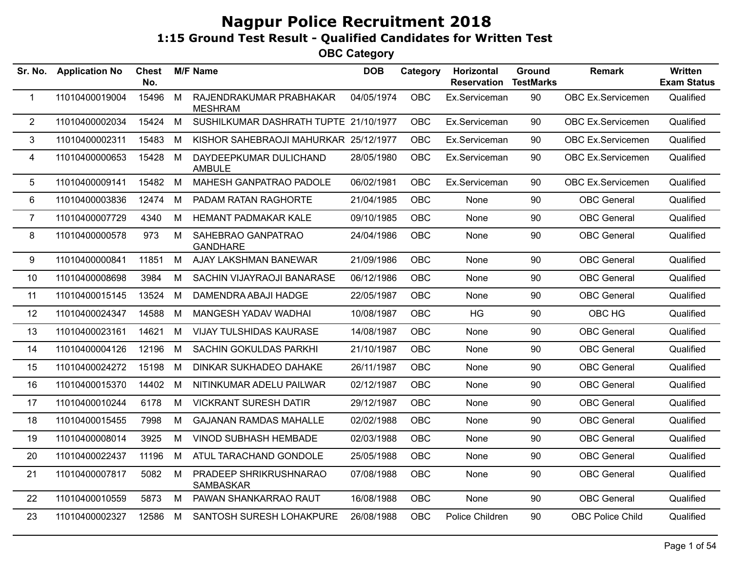| Sr. No.        | <b>Application No</b> | <b>Chest</b><br>No. |   | <b>M/F Name</b>                           | <b>DOB</b> | Category   | Horizontal<br><b>Reservation</b> | Ground<br><b>TestMarks</b> | <b>Remark</b>           | Written<br><b>Exam Status</b> |
|----------------|-----------------------|---------------------|---|-------------------------------------------|------------|------------|----------------------------------|----------------------------|-------------------------|-------------------------------|
| $\mathbf 1$    | 11010400019004        | 15496               | M | RAJENDRAKUMAR PRABHAKAR<br><b>MESHRAM</b> | 04/05/1974 | <b>OBC</b> | Ex.Serviceman                    | 90                         | OBC Ex.Servicemen       | Qualified                     |
| $\overline{2}$ | 11010400002034        | 15424               | M | SUSHILKUMAR DASHRATH TUPTE 21/10/1977     |            | OBC        | Ex.Serviceman                    | 90                         | OBC Ex.Servicemen       | Qualified                     |
| 3              | 11010400002311        | 15483               | M | KISHOR SAHEBRAOJI MAHURKAR 25/12/1977     |            | OBC        | Ex.Serviceman                    | 90                         | OBC Ex.Servicemen       | Qualified                     |
| 4              | 11010400000653        | 15428               | M | DAYDEEPKUMAR DULICHAND<br><b>AMBULE</b>   | 28/05/1980 | OBC        | Ex.Serviceman                    | 90                         | OBC Ex.Servicemen       | Qualified                     |
| 5              | 11010400009141        | 15482               | M | MAHESH GANPATRAO PADOLE                   | 06/02/1981 | OBC        | Ex.Serviceman                    | 90                         | OBC Ex.Servicemen       | Qualified                     |
| 6              | 11010400003836        | 12474               | M | PADAM RATAN RAGHORTE                      | 21/04/1985 | OBC        | None                             | 90                         | <b>OBC</b> General      | Qualified                     |
| $\overline{7}$ | 11010400007729        | 4340                | M | <b>HEMANT PADMAKAR KALE</b>               | 09/10/1985 | OBC        | None                             | 90                         | <b>OBC</b> General      | Qualified                     |
| 8              | 11010400000578        | 973                 | M | SAHEBRAO GANPATRAO<br><b>GANDHARE</b>     | 24/04/1986 | <b>OBC</b> | None                             | 90                         | <b>OBC</b> General      | Qualified                     |
| 9              | 11010400000841        | 11851               | M | AJAY LAKSHMAN BANEWAR                     | 21/09/1986 | OBC        | None                             | 90                         | <b>OBC</b> General      | Qualified                     |
| 10             | 11010400008698        | 3984                | M | SACHIN VIJAYRAOJI BANARASE                | 06/12/1986 | <b>OBC</b> | None                             | 90                         | <b>OBC</b> General      | Qualified                     |
| 11             | 11010400015145        | 13524               | M | DAMENDRA ABAJI HADGE                      | 22/05/1987 | OBC        | None                             | 90                         | <b>OBC</b> General      | Qualified                     |
| 12             | 11010400024347        | 14588               | M | MANGESH YADAV WADHAI                      | 10/08/1987 | <b>OBC</b> | HG                               | 90                         | OBC HG                  | Qualified                     |
| 13             | 11010400023161        | 14621               | M | <b>VIJAY TULSHIDAS KAURASE</b>            | 14/08/1987 | OBC        | None                             | 90                         | <b>OBC</b> General      | Qualified                     |
| 14             | 11010400004126        | 12196               | M | SACHIN GOKULDAS PARKHI                    | 21/10/1987 | OBC        | None                             | 90                         | <b>OBC</b> General      | Qualified                     |
| 15             | 11010400024272        | 15198               | M | DINKAR SUKHADEO DAHAKE                    | 26/11/1987 | OBC        | None                             | 90                         | <b>OBC</b> General      | Qualified                     |
| 16             | 11010400015370        | 14402               | M | NITINKUMAR ADELU PAILWAR                  | 02/12/1987 | OBC        | None                             | 90                         | <b>OBC</b> General      | Qualified                     |
| 17             | 11010400010244        | 6178                | M | <b>VICKRANT SURESH DATIR</b>              | 29/12/1987 | <b>OBC</b> | None                             | 90                         | <b>OBC</b> General      | Qualified                     |
| 18             | 11010400015455        | 7998                | M | <b>GAJANAN RAMDAS MAHALLE</b>             | 02/02/1988 | OBC        | None                             | 90                         | <b>OBC</b> General      | Qualified                     |
| 19             | 11010400008014        | 3925                | M | <b>VINOD SUBHASH HEMBADE</b>              | 02/03/1988 | <b>OBC</b> | None                             | 90                         | <b>OBC</b> General      | Qualified                     |
| 20             | 11010400022437        | 11196               | M | ATUL TARACHAND GONDOLE                    | 25/05/1988 | OBC        | None                             | 90                         | <b>OBC</b> General      | Qualified                     |
| 21             | 11010400007817        | 5082                | M | PRADEEP SHRIKRUSHNARAO<br>SAMBASKAR       | 07/08/1988 | <b>OBC</b> | None                             | 90                         | <b>OBC</b> General      | Qualified                     |
| 22             | 11010400010559        | 5873                | M | PAWAN SHANKARRAO RAUT                     | 16/08/1988 | OBC        | None                             | 90                         | <b>OBC</b> General      | Qualified                     |
| 23             | 11010400002327        | 12586               | M | SANTOSH SURESH LOHAKPURE                  | 26/08/1988 | OBC        | Police Children                  | 90                         | <b>OBC Police Child</b> | Qualified                     |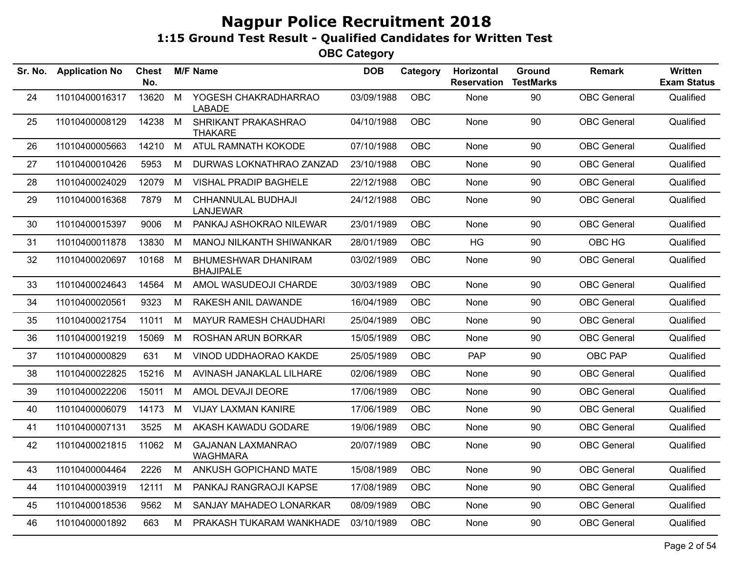| <b>Application No</b> | <b>Chest</b><br>No. |   |                                             | <b>DOB</b>      | Category   | Horizontal<br><b>Reservation</b> | <b>Ground</b><br><b>TestMarks</b> | <b>Remark</b>      | Written<br><b>Exam Status</b> |
|-----------------------|---------------------|---|---------------------------------------------|-----------------|------------|----------------------------------|-----------------------------------|--------------------|-------------------------------|
| 11010400016317        | 13620               | M | YOGESH CHAKRADHARRAO<br><b>LABADE</b>       | 03/09/1988      | <b>OBC</b> | None                             | 90                                | <b>OBC</b> General | Qualified                     |
| 11010400008129        |                     |   | SHRIKANT PRAKASHRAO<br><b>THAKARE</b>       |                 | OBC        | None                             | 90                                | <b>OBC</b> General | Qualified                     |
| 11010400005663        | 14210               | M | ATUL RAMNATH KOKODE                         | 07/10/1988      | OBC        | None                             | 90                                | <b>OBC</b> General | Qualified                     |
| 11010400010426        | 5953                | М | DURWAS LOKNATHRAO ZANZAD                    | 23/10/1988      | <b>OBC</b> | <b>None</b>                      | 90                                | <b>OBC</b> General | Qualified                     |
| 11010400024029        | 12079               | М | <b>VISHAL PRADIP BAGHELE</b>                | 22/12/1988      | <b>OBC</b> | None                             | 90                                | <b>OBC</b> General | Qualified                     |
| 11010400016368        | 7879                | M | CHHANNULAL BUDHAJI<br><b>LANJEWAR</b>       | 24/12/1988      | <b>OBC</b> | None                             | 90                                | <b>OBC</b> General | Qualified                     |
| 11010400015397        | 9006                | M | PANKAJ ASHOKRAO NILEWAR                     | 23/01/1989      | <b>OBC</b> | None                             | 90                                | <b>OBC</b> General | Qualified                     |
| 11010400011878        | 13830               | М | MANOJ NILKANTH SHIWANKAR                    | 28/01/1989      | OBC        | HG                               | 90                                | OBC HG             | Qualified                     |
| 11010400020697        | 10168               | M | BHUMESHWAR DHANIRAM<br><b>BHAJIPALE</b>     | 03/02/1989      | OBC        | None                             | 90                                | <b>OBC</b> General | Qualified                     |
| 11010400024643        | 14564               | M | AMOL WASUDEOJI CHARDE                       | 30/03/1989      | <b>OBC</b> | None                             | 90                                | <b>OBC</b> General | Qualified                     |
| 11010400020561        | 9323                | M | RAKESH ANIL DAWANDE                         | 16/04/1989      | OBC        | None                             | 90                                | <b>OBC</b> General | Qualified                     |
| 11010400021754        | 11011               | М | <b>MAYUR RAMESH CHAUDHARI</b>               | 25/04/1989      | <b>OBC</b> | None                             | 90                                | <b>OBC</b> General | Qualified                     |
| 11010400019219        | 15069               | М | ROSHAN ARUN BORKAR                          | 15/05/1989      | OBC        | None                             | 90                                | <b>OBC</b> General | Qualified                     |
| 11010400000829        | 631                 | M | VINOD UDDHAORAO KAKDE                       | 25/05/1989      | <b>OBC</b> | PAP                              | 90                                | OBC PAP            | Qualified                     |
| 11010400022825        | 15216               | М | AVINASH JANAKLAL LILHARE                    | 02/06/1989      | <b>OBC</b> | None                             | 90                                | <b>OBC</b> General | Qualified                     |
| 11010400022206        | 15011               | M | AMOL DEVAJI DEORE                           | 17/06/1989      | <b>OBC</b> | None                             | 90                                | <b>OBC</b> General | Qualified                     |
| 11010400006079        | 14173               | M | <b>VIJAY LAXMAN KANIRE</b>                  | 17/06/1989      | <b>OBC</b> | None                             | 90                                | <b>OBC</b> General | Qualified                     |
| 11010400007131        | 3525                | М | AKASH KAWADU GODARE                         | 19/06/1989      | <b>OBC</b> | None                             | 90                                | <b>OBC</b> General | Qualified                     |
| 11010400021815        | 11062               | М | <b>GAJANAN LAXMANRAO</b><br><b>WAGHMARA</b> | 20/07/1989      | <b>OBC</b> | None                             | 90                                | <b>OBC</b> General | Qualified                     |
| 11010400004464        | 2226                | M | ANKUSH GOPICHAND MATE                       | 15/08/1989      | OBC        | None                             | 90                                | <b>OBC</b> General | Qualified                     |
| 11010400003919        | 12111               | М | PANKAJ RANGRAOJI KAPSE                      | 17/08/1989      | OBC        | None                             | 90                                | <b>OBC</b> General | Qualified                     |
| 11010400018536        | 9562                | М | SANJAY MAHADEO LONARKAR                     | 08/09/1989      | <b>OBC</b> | None                             | 90                                | <b>OBC</b> General | Qualified                     |
| 11010400001892        | 663                 | М | PRAKASH TUKARAM WANKHADE                    | 03/10/1989      | <b>OBC</b> | None                             | 90                                | <b>OBC</b> General | Qualified                     |
|                       |                     |   | 14238 M                                     | <b>M/F Name</b> |            | 04/10/1988                       |                                   |                    |                               |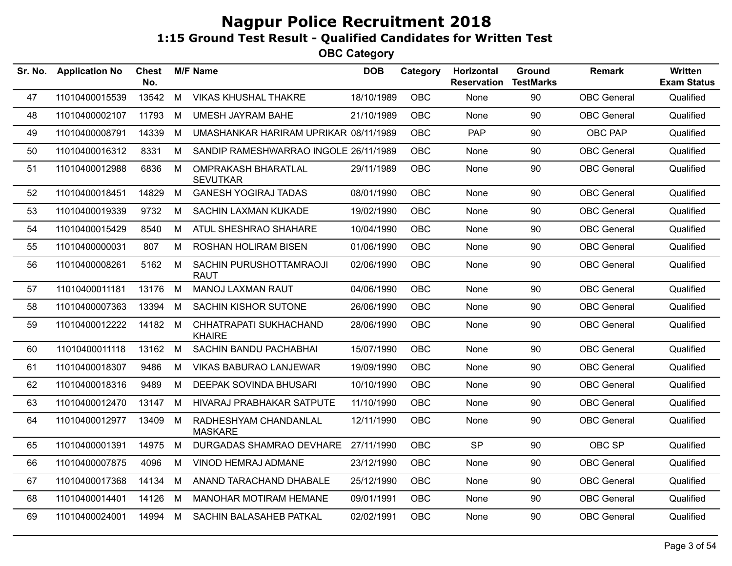| Sr. No. | <b>Application No</b> | <b>Chest</b><br>No. |   | <b>M/F Name</b>                               | <b>DOB</b> | Category   | Horizontal<br><b>Reservation</b> | Ground<br><b>TestMarks</b> | <b>Remark</b>      | <b>Written</b><br><b>Exam Status</b> |
|---------|-----------------------|---------------------|---|-----------------------------------------------|------------|------------|----------------------------------|----------------------------|--------------------|--------------------------------------|
| 47      | 11010400015539        | 13542               | M | <b>VIKAS KHUSHAL THAKRE</b>                   | 18/10/1989 | <b>OBC</b> | None                             | 90                         | <b>OBC</b> General | Qualified                            |
| 48      | 11010400002107        | 11793               | M | <b>UMESH JAYRAM BAHE</b>                      | 21/10/1989 | OBC        | None                             | 90                         | <b>OBC</b> General | Qualified                            |
| 49      | 11010400008791        | 14339               | М | UMASHANKAR HARIRAM UPRIKAR 08/11/1989         |            | <b>OBC</b> | <b>PAP</b>                       | 90                         | OBC PAP            | Qualified                            |
| 50      | 11010400016312        | 8331                | M | SANDIP RAMESHWARRAO INGOLE 26/11/1989         |            | OBC        | None                             | 90                         | <b>OBC</b> General | Qualified                            |
| 51      | 11010400012988        | 6836                | M | <b>OMPRAKASH BHARATLAL</b><br><b>SEVUTKAR</b> | 29/11/1989 | <b>OBC</b> | None                             | 90                         | <b>OBC</b> General | Qualified                            |
| 52      | 11010400018451        | 14829               | M | <b>GANESH YOGIRAJ TADAS</b>                   | 08/01/1990 | OBC        | None                             | 90                         | <b>OBC</b> General | Qualified                            |
| 53      | 11010400019339        | 9732                | M | <b>SACHIN LAXMAN KUKADE</b>                   | 19/02/1990 | <b>OBC</b> | None                             | 90                         | <b>OBC</b> General | Qualified                            |
| 54      | 11010400015429        | 8540                | M | ATUL SHESHRAO SHAHARE                         | 10/04/1990 | <b>OBC</b> | <b>None</b>                      | 90                         | <b>OBC</b> General | Qualified                            |
| 55      | 11010400000031        | 807                 | M | ROSHAN HOLIRAM BISEN                          | 01/06/1990 | OBC        | None                             | 90                         | <b>OBC</b> General | Qualified                            |
| 56      | 11010400008261        | 5162                | M | SACHIN PURUSHOTTAMRAOJI<br>RAUT               | 02/06/1990 | <b>OBC</b> | None                             | 90                         | <b>OBC</b> General | Qualified                            |
| 57      | 11010400011181        | 13176               | M | <b>MANOJ LAXMAN RAUT</b>                      | 04/06/1990 | <b>OBC</b> | None                             | 90                         | <b>OBC</b> General | Qualified                            |
| 58      | 11010400007363        | 13394               | M | <b>SACHIN KISHOR SUTONE</b>                   | 26/06/1990 | <b>OBC</b> | None                             | 90                         | <b>OBC</b> General | Qualified                            |
| 59      | 11010400012222        | 14182 M             |   | CHHATRAPATI SUKHACHAND<br><b>KHAIRE</b>       | 28/06/1990 | OBC        | None                             | 90                         | <b>OBC</b> General | Qualified                            |
| 60      | 11010400011118        | 13162               | M | SACHIN BANDU PACHABHAI                        | 15/07/1990 | <b>OBC</b> | None                             | 90                         | <b>OBC</b> General | Qualified                            |
| 61      | 11010400018307        | 9486                | M | VIKAS BABURAO LANJEWAR                        | 19/09/1990 | OBC        | None                             | 90                         | <b>OBC</b> General | Qualified                            |
| 62      | 11010400018316        | 9489                | M | <b>DEEPAK SOVINDA BHUSARI</b>                 | 10/10/1990 | <b>OBC</b> | None                             | 90                         | <b>OBC</b> General | Qualified                            |
| 63      | 11010400012470        | 13147               | M | HIVARAJ PRABHAKAR SATPUTE                     | 11/10/1990 | OBC        | None                             | 90                         | <b>OBC</b> General | Qualified                            |
| 64      | 11010400012977        | 13409               | М | RADHESHYAM CHANDANLAL<br><b>MASKARE</b>       | 12/11/1990 | OBC        | None                             | 90                         | <b>OBC</b> General | Qualified                            |
| 65      | 11010400001391        | 14975               | M | DURGADAS SHAMRAO DEVHARE                      | 27/11/1990 | <b>OBC</b> | <b>SP</b>                        | 90                         | OBC SP             | Qualified                            |
| 66      | 11010400007875        | 4096                | M | VINOD HEMRAJ ADMANE                           | 23/12/1990 | OBC        | None                             | 90                         | <b>OBC</b> General | Qualified                            |
| 67      | 11010400017368        | 14134               | M | ANAND TARACHAND DHABALE                       | 25/12/1990 | <b>OBC</b> | None                             | 90                         | <b>OBC</b> General | Qualified                            |
| 68      | 11010400014401        | 14126               | M | <b>MANOHAR MOTIRAM HEMANE</b>                 | 09/01/1991 | OBC        | None                             | 90                         | <b>OBC</b> General | Qualified                            |
| 69      | 11010400024001        | 14994               | M | SACHIN BALASAHEB PATKAL                       | 02/02/1991 | OBC        | None                             | 90                         | <b>OBC</b> General | Qualified                            |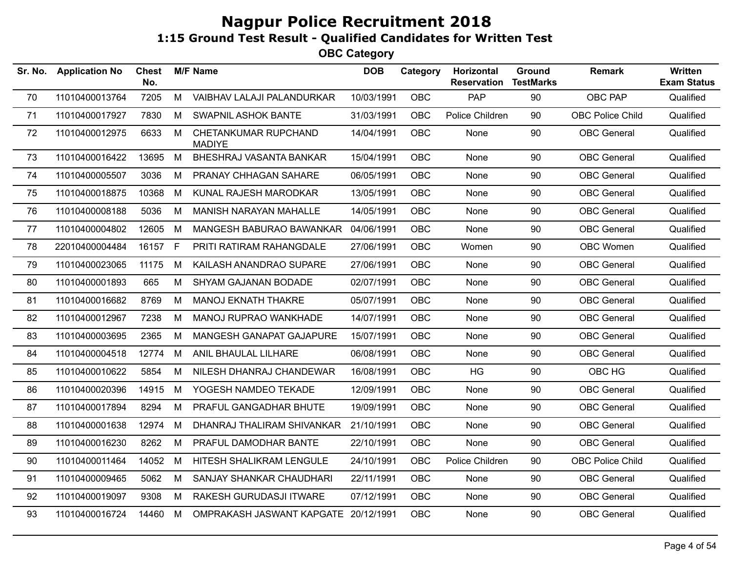| Sr. No. | <b>Application No</b> | <b>Chest</b><br>No. |    | <b>M/F Name</b>                       | <b>DOB</b> | Category   | Horizontal<br><b>Reservation</b> | Ground<br><b>TestMarks</b> | <b>Remark</b>      | <b>Written</b><br><b>Exam Status</b> |
|---------|-----------------------|---------------------|----|---------------------------------------|------------|------------|----------------------------------|----------------------------|--------------------|--------------------------------------|
| 70      | 11010400013764        | 7205                | M  | VAIBHAV LALAJI PALANDURKAR            | 10/03/1991 | <b>OBC</b> | PAP                              | 90                         | OBC PAP            | Qualified                            |
| 71      | 11010400017927        | 7830                | M  | <b>SWAPNIL ASHOK BANTE</b>            | 31/03/1991 | <b>OBC</b> | Police Children                  | 90                         | OBC Police Child   | Qualified                            |
| 72      | 11010400012975        | 6633                | М  | CHETANKUMAR RUPCHAND<br><b>MADIYE</b> | 14/04/1991 | OBC        | None                             | 90                         | <b>OBC</b> General | Qualified                            |
| 73      | 11010400016422        | 13695               | М  | BHESHRAJ VASANTA BANKAR               | 15/04/1991 | <b>OBC</b> | None                             | 90                         | <b>OBC</b> General | Qualified                            |
| 74      | 11010400005507        | 3036                | м  | PRANAY CHHAGAN SAHARE                 | 06/05/1991 | <b>OBC</b> | None                             | 90                         | <b>OBC</b> General | Qualified                            |
| 75      | 11010400018875        | 10368               | М  | KUNAL RAJESH MARODKAR                 | 13/05/1991 | OBC        | None                             | 90                         | <b>OBC</b> General | Qualified                            |
| 76      | 11010400008188        | 5036                | M  | MANISH NARAYAN MAHALLE                | 14/05/1991 | OBC        | None                             | 90                         | <b>OBC</b> General | Qualified                            |
| 77      | 11010400004802        | 12605               | М  | MANGESH BABURAO BAWANKAR              | 04/06/1991 | <b>OBC</b> | None                             | 90                         | <b>OBC</b> General | Qualified                            |
| 78      | 22010400004484        | 16157               | F. | PRITI RATIRAM RAHANGDALE              | 27/06/1991 | <b>OBC</b> | Women                            | 90                         | OBC Women          | Qualified                            |
| 79      | 11010400023065        | 11175               | М  | KAILASH ANANDRAO SUPARE               | 27/06/1991 | <b>OBC</b> | None                             | 90                         | <b>OBC</b> General | Qualified                            |
| 80      | 11010400001893        | 665                 | M  | SHYAM GAJANAN BODADE                  | 02/07/1991 | <b>OBC</b> | None                             | 90                         | <b>OBC</b> General | Qualified                            |
| 81      | 11010400016682        | 8769                | M  | <b>MANOJ EKNATH THAKRE</b>            | 05/07/1991 | <b>OBC</b> | None                             | 90                         | <b>OBC</b> General | Qualified                            |
| 82      | 11010400012967        | 7238                | M  | MANOJ RUPRAO WANKHADE                 | 14/07/1991 | <b>OBC</b> | None                             | 90                         | <b>OBC</b> General | Qualified                            |
| 83      | 11010400003695        | 2365                | M  | MANGESH GANAPAT GAJAPURE              | 15/07/1991 | <b>OBC</b> | None                             | 90                         | <b>OBC</b> General | Qualified                            |
| 84      | 11010400004518        | 12774               | M  | ANIL BHAULAL LILHARE                  | 06/08/1991 | <b>OBC</b> | None                             | 90                         | <b>OBC</b> General | Qualified                            |
| 85      | 11010400010622        | 5854                | M  | NILESH DHANRAJ CHANDEWAR              | 16/08/1991 | <b>OBC</b> | <b>HG</b>                        | 90                         | OBC HG             | Qualified                            |
| 86      | 11010400020396        | 14915               | M  | YOGESH NAMDEO TEKADE                  | 12/09/1991 | OBC        | None                             | 90                         | <b>OBC</b> General | Qualified                            |
| 87      | 11010400017894        | 8294                | М  | PRAFUL GANGADHAR BHUTE                | 19/09/1991 | <b>OBC</b> | None                             | 90                         | <b>OBC</b> General | Qualified                            |
| 88      | 11010400001638        | 12974               | М  | DHANRAJ THALIRAM SHIVANKAR            | 21/10/1991 | <b>OBC</b> | None                             | 90                         | <b>OBC</b> General | Qualified                            |
| 89      | 11010400016230        | 8262                | M  | PRAFUL DAMODHAR BANTE                 | 22/10/1991 | <b>OBC</b> | None                             | 90                         | <b>OBC</b> General | Qualified                            |
| 90      | 11010400011464        | 14052               | М  | HITESH SHALIKRAM LENGULE              | 24/10/1991 | OBC        | Police Children                  | 90                         | OBC Police Child   | Qualified                            |
| 91      | 11010400009465        | 5062                | M  | SANJAY SHANKAR CHAUDHARI              | 22/11/1991 | OBC        | None                             | 90                         | <b>OBC</b> General | Qualified                            |
| 92      | 11010400019097        | 9308                | М  | RAKESH GURUDASJI ITWARE               | 07/12/1991 | <b>OBC</b> | None                             | 90                         | <b>OBC</b> General | Qualified                            |
| 93      | 11010400016724        | 14460               | M  | OMPRAKASH JASWANT KAPGATE 20/12/1991  |            | <b>OBC</b> | None                             | 90                         | <b>OBC</b> General | Qualified                            |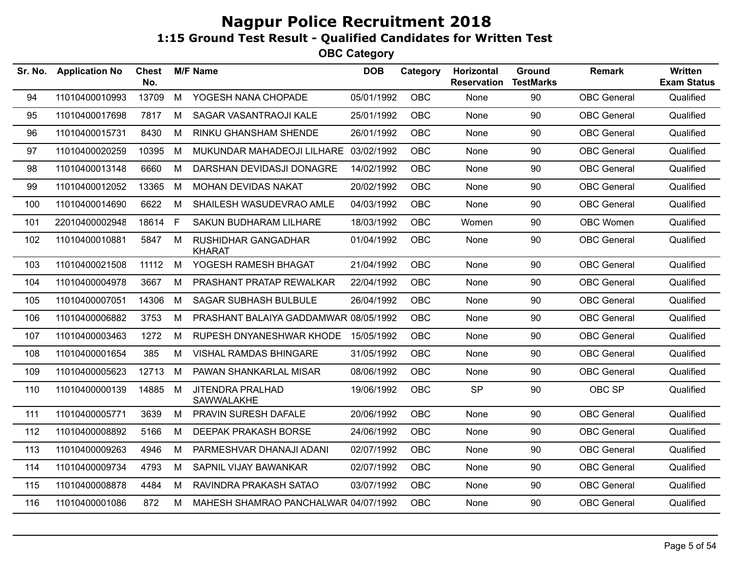| Sr. No. | <b>Application No</b> | <b>Chest</b><br>No. |   | <b>M/F Name</b>                             | <b>DOB</b> | Category   | Horizontal<br><b>Reservation</b> | Ground<br><b>TestMarks</b> | <b>Remark</b>      | Written<br><b>Exam Status</b> |
|---------|-----------------------|---------------------|---|---------------------------------------------|------------|------------|----------------------------------|----------------------------|--------------------|-------------------------------|
| 94      | 11010400010993        | 13709               | M | YOGESH NANA CHOPADE                         | 05/01/1992 | OBC        | None                             | 90                         | <b>OBC</b> General | Qualified                     |
| 95      | 11010400017698        | 7817                | M | SAGAR VASANTRAOJI KALE                      | 25/01/1992 | OBC        | None                             | 90                         | <b>OBC</b> General | Qualified                     |
| 96      | 11010400015731        | 8430                | M | RINKU GHANSHAM SHENDE                       | 26/01/1992 | OBC        | None                             | 90                         | <b>OBC</b> General | Qualified                     |
| 97      | 11010400020259        | 10395               | M | MUKUNDAR MAHADEOJI LILHARE                  | 03/02/1992 | <b>OBC</b> | None                             | 90                         | <b>OBC</b> General | Qualified                     |
| 98      | 11010400013148        | 6660                | M | DARSHAN DEVIDASJI DONAGRE                   | 14/02/1992 | OBC        | None                             | 90                         | <b>OBC</b> General | Qualified                     |
| 99      | 11010400012052        | 13365               | M | MOHAN DEVIDAS NAKAT                         | 20/02/1992 | OBC        | None                             | 90                         | <b>OBC</b> General | Qualified                     |
| 100     | 11010400014690        | 6622                | M | SHAILESH WASUDEVRAO AMLE                    | 04/03/1992 | OBC        | None                             | 90                         | <b>OBC</b> General | Qualified                     |
| 101     | 22010400002948        | 18614               | F | SAKUN BUDHARAM LILHARE                      | 18/03/1992 | OBC        | Women                            | 90                         | OBC Women          | Qualified                     |
| 102     | 11010400010881        | 5847                | M | <b>RUSHIDHAR GANGADHAR</b><br><b>KHARAT</b> | 01/04/1992 | OBC        | None                             | 90                         | <b>OBC</b> General | Qualified                     |
| 103     | 11010400021508        | 11112               | M | YOGESH RAMESH BHAGAT                        | 21/04/1992 | OBC        | None                             | 90                         | <b>OBC</b> General | Qualified                     |
| 104     | 11010400004978        | 3667                | M | PRASHANT PRATAP REWALKAR                    | 22/04/1992 | <b>OBC</b> | None                             | 90                         | <b>OBC</b> General | Qualified                     |
| 105     | 11010400007051        | 14306               | M | <b>SAGAR SUBHASH BULBULE</b>                | 26/04/1992 | OBC        | None                             | 90                         | <b>OBC</b> General | Qualified                     |
| 106     | 11010400006882        | 3753                | M | PRASHANT BALAIYA GADDAMWAR 08/05/1992       |            | <b>OBC</b> | None                             | 90                         | <b>OBC</b> General | Qualified                     |
| 107     | 11010400003463        | 1272                | M | RUPESH DNYANESHWAR KHODE                    | 15/05/1992 | OBC        | None                             | 90                         | <b>OBC</b> General | Qualified                     |
| 108     | 11010400001654        | 385                 | M | <b>VISHAL RAMDAS BHINGARE</b>               | 31/05/1992 | <b>OBC</b> | None                             | 90                         | <b>OBC</b> General | Qualified                     |
| 109     | 11010400005623        | 12713               | M | PAWAN SHANKARLAL MISAR                      | 08/06/1992 | <b>OBC</b> | None                             | 90                         | <b>OBC</b> General | Qualified                     |
| 110     | 11010400000139        | 14885               | M | <b>JITENDRA PRALHAD</b><br>SAWWALAKHE       | 19/06/1992 | OBC        | <b>SP</b>                        | 90                         | OBC SP             | Qualified                     |
| 111     | 11010400005771        | 3639                | M | PRAVIN SURESH DAFALE                        | 20/06/1992 | <b>OBC</b> | None                             | 90                         | <b>OBC</b> General | Qualified                     |
| 112     | 11010400008892        | 5166                | M | <b>DEEPAK PRAKASH BORSE</b>                 | 24/06/1992 | <b>OBC</b> | None                             | 90                         | <b>OBC</b> General | Qualified                     |
| 113     | 11010400009263        | 4946                | M | PARMESHVAR DHANAJI ADANI                    | 02/07/1992 | <b>OBC</b> | None                             | 90                         | <b>OBC</b> General | Qualified                     |
| 114     | 11010400009734        | 4793                | M | SAPNIL VIJAY BAWANKAR                       | 02/07/1992 | <b>OBC</b> | None                             | 90                         | <b>OBC</b> General | Qualified                     |
| 115     | 11010400008878        | 4484                | M | RAVINDRA PRAKASH SATAO                      | 03/07/1992 | <b>OBC</b> | None                             | 90                         | <b>OBC</b> General | Qualified                     |
| 116     | 11010400001086        | 872                 | M | MAHESH SHAMRAO PANCHALWAR 04/07/1992        |            | <b>OBC</b> | None                             | 90                         | <b>OBC</b> General | Qualified                     |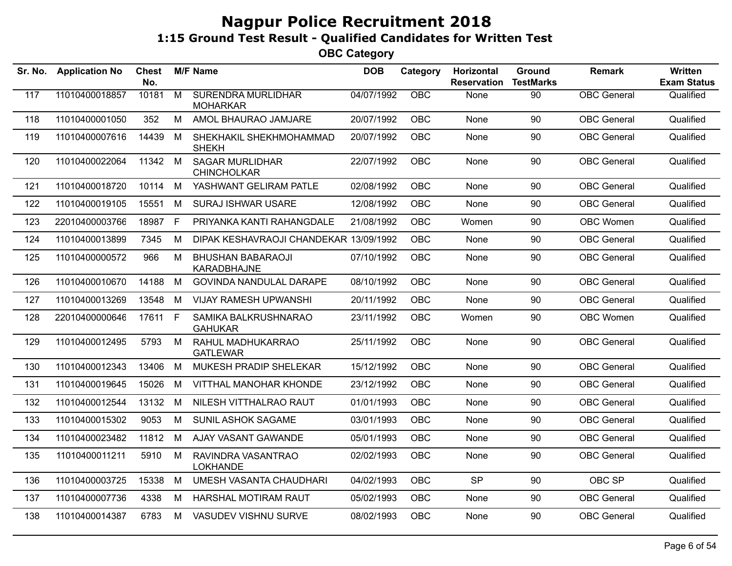| Sr. No. | <b>Application No</b> | Chest<br>No. |                | <b>M/F Name</b>                              | <b>DOB</b> | Category   | Horizontal<br><b>Reservation</b> | Ground<br><b>TestMarks</b> | <b>Remark</b>      | Written<br><b>Exam Status</b> |
|---------|-----------------------|--------------|----------------|----------------------------------------------|------------|------------|----------------------------------|----------------------------|--------------------|-------------------------------|
| 117     | 11010400018857        | 10181        | $\overline{M}$ | <b>SURENDRA MURLIDHAR</b><br><b>MOHARKAR</b> | 04/07/1992 | OBC        | None                             | 90                         | <b>OBC</b> General | Qualified                     |
| 118     | 11010400001050        | 352          | M              | AMOL BHAURAO JAMJARE                         | 20/07/1992 | <b>OBC</b> | None                             | 90                         | <b>OBC</b> General | Qualified                     |
| 119     | 11010400007616        | 14439        | M              | SHEKHAKIL SHEKHMOHAMMAD<br><b>SHEKH</b>      | 20/07/1992 | <b>OBC</b> | None                             | 90                         | <b>OBC</b> General | Qualified                     |
| 120     | 11010400022064        | 11342 M      |                | <b>SAGAR MURLIDHAR</b><br><b>CHINCHOLKAR</b> | 22/07/1992 | <b>OBC</b> | None                             | 90                         | <b>OBC</b> General | Qualified                     |
| 121     | 11010400018720        | 10114        | M              | YASHWANT GELIRAM PATLE                       | 02/08/1992 | <b>OBC</b> | None                             | 90                         | <b>OBC</b> General | Qualified                     |
| 122     | 11010400019105        | 15551        | M              | <b>SURAJ ISHWAR USARE</b>                    | 12/08/1992 | <b>OBC</b> | <b>None</b>                      | 90                         | <b>OBC</b> General | Qualified                     |
| 123     | 22010400003766        | 18987        | F              | PRIYANKA KANTI RAHANGDALE                    | 21/08/1992 | <b>OBC</b> | Women                            | 90                         | OBC Women          | Qualified                     |
| 124     | 11010400013899        | 7345         | M              | DIPAK KESHAVRAOJI CHANDEKAR 13/09/1992       |            | <b>OBC</b> | None                             | 90                         | <b>OBC</b> General | Qualified                     |
| 125     | 11010400000572        | 966          | M              | <b>BHUSHAN BABARAOJI</b><br>KARADBHAJNE      | 07/10/1992 | <b>OBC</b> | None                             | 90                         | <b>OBC</b> General | Qualified                     |
| 126     | 11010400010670        | 14188        | M              | <b>GOVINDA NANDULAL DARAPE</b>               | 08/10/1992 | <b>OBC</b> | None                             | 90                         | <b>OBC</b> General | Qualified                     |
| 127     | 11010400013269        | 13548        | M              | <b>VIJAY RAMESH UPWANSHI</b>                 | 20/11/1992 | <b>OBC</b> | None                             | 90                         | <b>OBC</b> General | Qualified                     |
| 128     | 22010400000646        | 17611 F      |                | SAMIKA BALKRUSHNARAO<br><b>GAHUKAR</b>       | 23/11/1992 | OBC        | Women                            | 90                         | OBC Women          | Qualified                     |
| 129     | 11010400012495        | 5793         | M              | RAHUL MADHUKARRAO<br><b>GATLEWAR</b>         | 25/11/1992 | <b>OBC</b> | None                             | 90                         | <b>OBC</b> General | Qualified                     |
| 130     | 11010400012343        | 13406        | M              | MUKESH PRADIP SHELEKAR                       | 15/12/1992 | <b>OBC</b> | None                             | 90                         | <b>OBC</b> General | Qualified                     |
| 131     | 11010400019645        | 15026        | M              | <b>VITTHAL MANOHAR KHONDE</b>                | 23/12/1992 | <b>OBC</b> | None                             | 90                         | <b>OBC</b> General | Qualified                     |
| 132     | 11010400012544        | 13132        | M              | NILESH VITTHALRAO RAUT                       | 01/01/1993 | <b>OBC</b> | None                             | 90                         | <b>OBC</b> General | Qualified                     |
| 133     | 11010400015302        | 9053         | M              | SUNIL ASHOK SAGAME                           | 03/01/1993 | <b>OBC</b> | None                             | 90                         | <b>OBC</b> General | Qualified                     |
| 134     | 11010400023482        | 11812        | M              | AJAY VASANT GAWANDE                          | 05/01/1993 | <b>OBC</b> | None                             | 90                         | <b>OBC</b> General | Qualified                     |
| 135     | 11010400011211        | 5910         | M              | RAVINDRA VASANTRAO<br><b>LOKHANDE</b>        | 02/02/1993 | <b>OBC</b> | None                             | 90                         | <b>OBC</b> General | Qualified                     |
| 136     | 11010400003725        | 15338        | M              | UMESH VASANTA CHAUDHARI                      | 04/02/1993 | OBC        | <b>SP</b>                        | 90                         | OBC SP             | Qualified                     |
| 137     | 11010400007736        | 4338         | M              | <b>HARSHAL MOTIRAM RAUT</b>                  | 05/02/1993 | <b>OBC</b> | None                             | 90                         | <b>OBC</b> General | Qualified                     |
| 138     | 11010400014387        | 6783         | M              | VASUDEV VISHNU SURVE                         | 08/02/1993 | <b>OBC</b> | None                             | 90                         | <b>OBC</b> General | Qualified                     |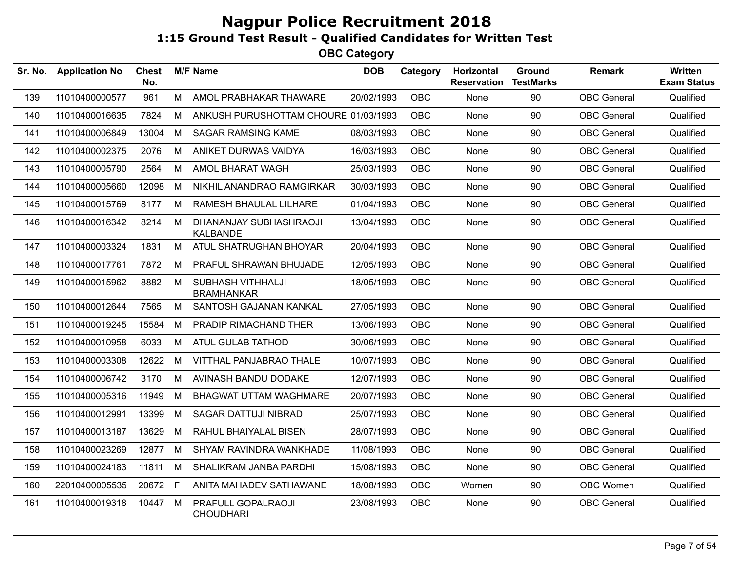| Sr. No. | <b>Application No</b> | Chest<br>No. |   | <b>M/F Name</b>                           | <b>DOB</b> | Category   | Horizontal<br><b>Reservation</b> | Ground<br><b>TestMarks</b> | <b>Remark</b>      | Written<br><b>Exam Status</b> |
|---------|-----------------------|--------------|---|-------------------------------------------|------------|------------|----------------------------------|----------------------------|--------------------|-------------------------------|
| 139     | 11010400000577        | 961          | M | AMOL PRABHAKAR THAWARE                    | 20/02/1993 | <b>OBC</b> | None                             | 90                         | <b>OBC</b> General | Qualified                     |
| 140     | 11010400016635        | 7824         | M | ANKUSH PURUSHOTTAM CHOURE 01/03/1993      |            | <b>OBC</b> | None                             | 90                         | <b>OBC</b> General | Qualified                     |
| 141     | 11010400006849        | 13004        | M | <b>SAGAR RAMSING KAME</b>                 | 08/03/1993 | <b>OBC</b> | None                             | 90                         | <b>OBC</b> General | Qualified                     |
| 142     | 11010400002375        | 2076         | M | ANIKET DURWAS VAIDYA                      | 16/03/1993 | <b>OBC</b> | None                             | 90                         | <b>OBC</b> General | Qualified                     |
| 143     | 11010400005790        | 2564         | M | AMOL BHARAT WAGH                          | 25/03/1993 | <b>OBC</b> | None                             | 90                         | <b>OBC</b> General | Qualified                     |
| 144     | 11010400005660        | 12098        | М | NIKHIL ANANDRAO RAMGIRKAR                 | 30/03/1993 | <b>OBC</b> | None                             | 90                         | <b>OBC</b> General | Qualified                     |
| 145     | 11010400015769        | 8177         | M | RAMESH BHAULAL LILHARE                    | 01/04/1993 | <b>OBC</b> | <b>None</b>                      | 90                         | <b>OBC</b> General | Qualified                     |
| 146     | 11010400016342        | 8214         | М | DHANANJAY SUBHASHRAOJI<br><b>KALBANDE</b> | 13/04/1993 | <b>OBC</b> | None                             | 90                         | <b>OBC</b> General | Qualified                     |
| 147     | 11010400003324        | 1831         | M | ATUL SHATRUGHAN BHOYAR                    | 20/04/1993 | <b>OBC</b> | None                             | 90                         | <b>OBC</b> General | Qualified                     |
| 148     | 11010400017761        | 7872         | М | PRAFUL SHRAWAN BHUJADE                    | 12/05/1993 | <b>OBC</b> | None                             | 90                         | <b>OBC</b> General | Qualified                     |
| 149     | 11010400015962        | 8882         | M | SUBHASH VITHHALJI<br><b>BRAMHANKAR</b>    | 18/05/1993 | <b>OBC</b> | None                             | 90                         | <b>OBC</b> General | Qualified                     |
| 150     | 11010400012644        | 7565         | M | SANTOSH GAJANAN KANKAL                    | 27/05/1993 | <b>OBC</b> | None                             | 90                         | <b>OBC</b> General | Qualified                     |
| 151     | 11010400019245        | 15584        | М | PRADIP RIMACHAND THER                     | 13/06/1993 | <b>OBC</b> | None                             | 90                         | <b>OBC</b> General | Qualified                     |
| 152     | 11010400010958        | 6033         | M | ATUL GULAB TATHOD                         | 30/06/1993 | <b>OBC</b> | None                             | 90                         | <b>OBC</b> General | Qualified                     |
| 153     | 11010400003308        | 12622        | М | VITTHAL PANJABRAO THALE                   | 10/07/1993 | <b>OBC</b> | None                             | 90                         | <b>OBC</b> General | Qualified                     |
| 154     | 11010400006742        | 3170         | M | AVINASH BANDU DODAKE                      | 12/07/1993 | <b>OBC</b> | None                             | 90                         | <b>OBC</b> General | Qualified                     |
| 155     | 11010400005316        | 11949        | M | <b>BHAGWAT UTTAM WAGHMARE</b>             | 20/07/1993 | <b>OBC</b> | None                             | 90                         | <b>OBC</b> General | Qualified                     |
| 156     | 11010400012991        | 13399        | М | SAGAR DATTUJI NIBRAD                      | 25/07/1993 | <b>OBC</b> | None                             | 90                         | <b>OBC</b> General | Qualified                     |
| 157     | 11010400013187        | 13629        | М | RAHUL BHAIYALAL BISEN                     | 28/07/1993 | <b>OBC</b> | None                             | 90                         | <b>OBC</b> General | Qualified                     |
| 158     | 11010400023269        | 12877        | M | SHYAM RAVINDRA WANKHADE                   | 11/08/1993 | <b>OBC</b> | None                             | 90                         | <b>OBC</b> General | Qualified                     |
| 159     | 11010400024183        | 11811        | М | SHALIKRAM JANBA PARDHI                    | 15/08/1993 | <b>OBC</b> | None                             | 90                         | <b>OBC</b> General | Qualified                     |
| 160     | 22010400005535        | 20672 F      |   | ANITA MAHADEV SATHAWANE                   | 18/08/1993 | <b>OBC</b> | Women                            | 90                         | OBC Women          | Qualified                     |
| 161     | 11010400019318        | 10447        | M | PRAFULL GOPALRAOJI<br><b>CHOUDHARI</b>    | 23/08/1993 | <b>OBC</b> | None                             | 90                         | <b>OBC</b> General | Qualified                     |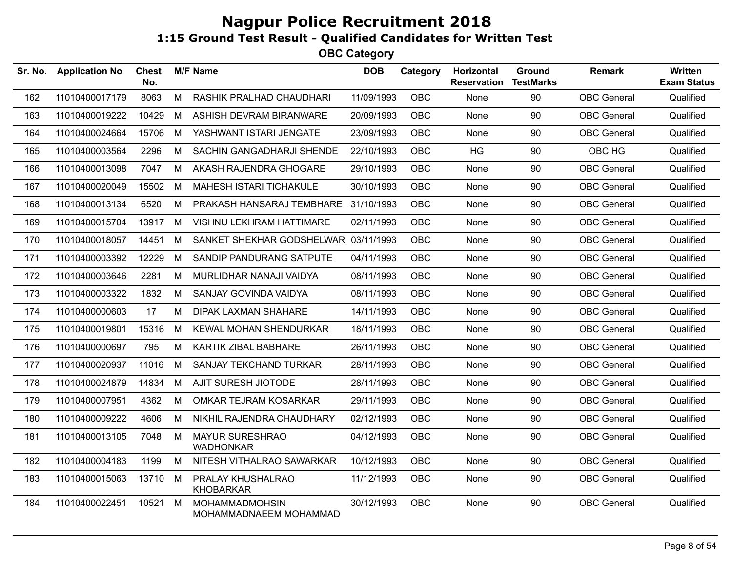| Sr. No. | <b>Application No</b> | <b>Chest</b><br>No. |   | <b>M/F Name</b>                                 | <b>DOB</b> | Category   | Horizontal<br><b>Reservation</b> | Ground<br><b>TestMarks</b> | <b>Remark</b>      | Written<br><b>Exam Status</b> |
|---------|-----------------------|---------------------|---|-------------------------------------------------|------------|------------|----------------------------------|----------------------------|--------------------|-------------------------------|
| 162     | 11010400017179        | 8063                | M | RASHIK PRALHAD CHAUDHARI                        | 11/09/1993 | <b>OBC</b> | None                             | 90                         | <b>OBC</b> General | Qualified                     |
| 163     | 11010400019222        | 10429               | M | ASHISH DEVRAM BIRANWARE                         | 20/09/1993 | <b>OBC</b> | None                             | 90                         | <b>OBC</b> General | Qualified                     |
| 164     | 11010400024664        | 15706               | M | YASHWANT ISTARI JENGATE                         | 23/09/1993 | <b>OBC</b> | None                             | 90                         | <b>OBC</b> General | Qualified                     |
| 165     | 11010400003564        | 2296                | M | SACHIN GANGADHARJI SHENDE                       | 22/10/1993 | <b>OBC</b> | <b>HG</b>                        | 90                         | OBC HG             | Qualified                     |
| 166     | 11010400013098        | 7047                | M | AKASH RAJENDRA GHOGARE                          | 29/10/1993 | <b>OBC</b> | None                             | 90                         | <b>OBC</b> General | Qualified                     |
| 167     | 11010400020049        | 15502               | М | MAHESH ISTARI TICHAKULE                         | 30/10/1993 | <b>OBC</b> | None                             | 90                         | <b>OBC</b> General | Qualified                     |
| 168     | 11010400013134        | 6520                | М | PRAKASH HANSARAJ TEMBHARE 31/10/1993            |            | <b>OBC</b> | None                             | 90                         | <b>OBC</b> General | Qualified                     |
| 169     | 11010400015704        | 13917               | M | VISHNU LEKHRAM HATTIMARE                        | 02/11/1993 | <b>OBC</b> | None                             | 90                         | <b>OBC</b> General | Qualified                     |
| 170     | 11010400018057        | 14451               | M | SANKET SHEKHAR GODSHELWAR 03/11/1993            |            | <b>OBC</b> | None                             | 90                         | <b>OBC</b> General | Qualified                     |
| 171     | 11010400003392        | 12229               | М | SANDIP PANDURANG SATPUTE                        | 04/11/1993 | <b>OBC</b> | None                             | 90                         | <b>OBC</b> General | Qualified                     |
| 172     | 11010400003646        | 2281                | M | MURLIDHAR NANAJI VAIDYA                         | 08/11/1993 | <b>OBC</b> | None                             | 90                         | <b>OBC</b> General | Qualified                     |
| 173     | 11010400003322        | 1832                | M | SANJAY GOVINDA VAIDYA                           | 08/11/1993 | <b>OBC</b> | None                             | 90                         | <b>OBC</b> General | Qualified                     |
| 174     | 11010400000603        | 17                  | M | <b>DIPAK LAXMAN SHAHARE</b>                     | 14/11/1993 | <b>OBC</b> | None                             | 90                         | <b>OBC</b> General | Qualified                     |
| 175     | 11010400019801        | 15316               | М | <b>KEWAL MOHAN SHENDURKAR</b>                   | 18/11/1993 | <b>OBC</b> | None                             | 90                         | <b>OBC</b> General | Qualified                     |
| 176     | 11010400000697        | 795                 | M | KARTIK ZIBAL BABHARE                            | 26/11/1993 | <b>OBC</b> | None                             | 90                         | <b>OBC</b> General | Qualified                     |
| 177     | 11010400020937        | 11016               | M | SANJAY TEKCHAND TURKAR                          | 28/11/1993 | OBC        | None                             | 90                         | <b>OBC</b> General | Qualified                     |
| 178     | 11010400024879        | 14834               | M | AJIT SURESH JIOTODE                             | 28/11/1993 | <b>OBC</b> | None                             | 90                         | <b>OBC</b> General | Qualified                     |
| 179     | 11010400007951        | 4362                | M | OMKAR TEJRAM KOSARKAR                           | 29/11/1993 | OBC        | None                             | 90                         | <b>OBC</b> General | Qualified                     |
| 180     | 11010400009222        | 4606                | м | NIKHIL RAJENDRA CHAUDHARY                       | 02/12/1993 | <b>OBC</b> | None                             | 90                         | <b>OBC</b> General | Qualified                     |
| 181     | 11010400013105        | 7048                | M | <b>MAYUR SURESHRAO</b><br><b>WADHONKAR</b>      | 04/12/1993 | <b>OBC</b> | None                             | 90                         | <b>OBC</b> General | Qualified                     |
| 182     | 11010400004183        | 1199                | M | NITESH VITHALRAO SAWARKAR                       | 10/12/1993 | <b>OBC</b> | None                             | 90                         | <b>OBC</b> General | Qualified                     |
| 183     | 11010400015063        | 13710               | M | PRALAY KHUSHALRAO<br><b>KHOBARKAR</b>           | 11/12/1993 | <b>OBC</b> | None                             | 90                         | <b>OBC</b> General | Qualified                     |
| 184     | 11010400022451        | 10521               | М | <b>MOHAMMADMOHSIN</b><br>MOHAMMADNAEEM MOHAMMAD | 30/12/1993 | OBC        | None                             | 90                         | <b>OBC</b> General | Qualified                     |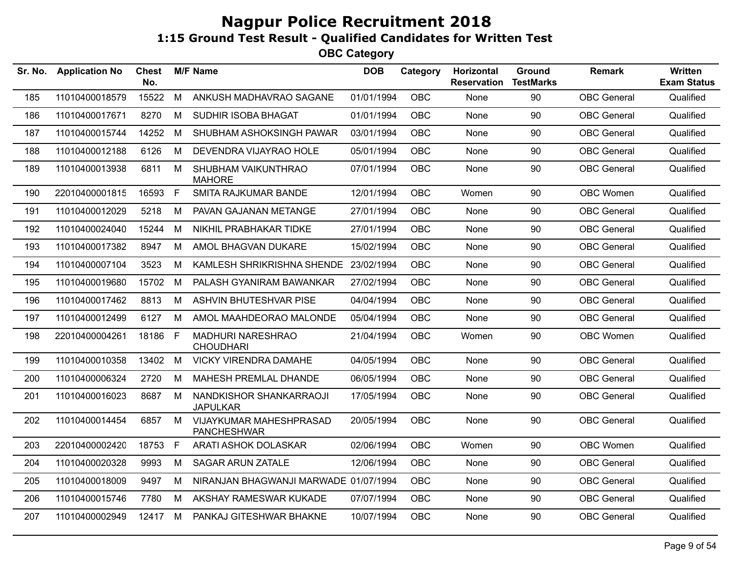| Sr. No. | <b>Application No</b> | <b>Chest</b><br>No. |              | <b>M/F Name</b>                               | <b>DOB</b> | Category   | Horizontal<br><b>Reservation</b> | Ground<br><b>TestMarks</b> | <b>Remark</b>      | Written<br><b>Exam Status</b> |
|---------|-----------------------|---------------------|--------------|-----------------------------------------------|------------|------------|----------------------------------|----------------------------|--------------------|-------------------------------|
| 185     | 11010400018579        | 15522               | M            | ANKUSH MADHAVRAO SAGANE                       | 01/01/1994 | OBC        | None                             | 90                         | <b>OBC</b> General | Qualified                     |
| 186     | 11010400017671        | 8270                | M            | <b>SUDHIR ISOBA BHAGAT</b>                    | 01/01/1994 | <b>OBC</b> | None                             | 90                         | <b>OBC</b> General | Qualified                     |
| 187     | 11010400015744        | 14252               | M            | SHUBHAM ASHOKSINGH PAWAR                      | 03/01/1994 | <b>OBC</b> | None                             | 90                         | <b>OBC</b> General | Qualified                     |
| 188     | 11010400012188        | 6126                | M            | DEVENDRA VIJAYRAO HOLE                        | 05/01/1994 | <b>OBC</b> | None                             | 90                         | <b>OBC</b> General | Qualified                     |
| 189     | 11010400013938        | 6811                | M            | SHUBHAM VAIKUNTHRAO<br><b>MAHORE</b>          | 07/01/1994 | <b>OBC</b> | None                             | 90                         | <b>OBC</b> General | Qualified                     |
| 190     | 22010400001815        | 16593               | $\mathsf{F}$ | SMITA RAJKUMAR BANDE                          | 12/01/1994 | OBC        | Women                            | 90                         | OBC Women          | Qualified                     |
| 191     | 11010400012029        | 5218                | M            | PAVAN GAJANAN METANGE                         | 27/01/1994 | <b>OBC</b> | None                             | 90                         | <b>OBC</b> General | Qualified                     |
| 192     | 11010400024040        | 15244               | M            | NIKHIL PRABHAKAR TIDKE                        | 27/01/1994 | OBC        | None                             | 90                         | <b>OBC</b> General | Qualified                     |
| 193     | 11010400017382        | 8947                | M            | AMOL BHAGVAN DUKARE                           | 15/02/1994 | <b>OBC</b> | None                             | 90                         | <b>OBC</b> General | Qualified                     |
| 194     | 11010400007104        | 3523                | M            | KAMLESH SHRIKRISHNA SHENDE                    | 23/02/1994 | OBC        | None                             | 90                         | <b>OBC</b> General | Qualified                     |
| 195     | 11010400019680        | 15702               | M            | PALASH GYANIRAM BAWANKAR                      | 27/02/1994 | OBC        | None                             | 90                         | <b>OBC</b> General | Qualified                     |
| 196     | 11010400017462        | 8813                | M            | ASHVIN BHUTESHVAR PISE                        | 04/04/1994 | <b>OBC</b> | None                             | 90                         | <b>OBC</b> General | Qualified                     |
| 197     | 11010400012499        | 6127                | M            | AMOL MAAHDEORAO MALONDE                       | 05/04/1994 | <b>OBC</b> | None                             | 90                         | <b>OBC</b> General | Qualified                     |
| 198     | 22010400004261        | 18186               | $\mathsf F$  | <b>MADHURI NARESHRAO</b><br><b>CHOUDHARI</b>  | 21/04/1994 | OBC        | Women                            | 90                         | OBC Women          | Qualified                     |
| 199     | 11010400010358        | 13402               | M            | VICKY VIRENDRA DAMAHE                         | 04/05/1994 | OBC        | None                             | 90                         | <b>OBC</b> General | Qualified                     |
| 200     | 11010400006324        | 2720                | M            | MAHESH PREMLAL DHANDE                         | 06/05/1994 | <b>OBC</b> | <b>None</b>                      | 90                         | <b>OBC</b> General | Qualified                     |
| 201     | 11010400016023        | 8687                | M            | NANDKISHOR SHANKARRAOJI<br><b>JAPULKAR</b>    | 17/05/1994 | <b>OBC</b> | None                             | 90                         | <b>OBC</b> General | Qualified                     |
| 202     | 11010400014454        | 6857                | M            | VIJAYKUMAR MAHESHPRASAD<br><b>PANCHESHWAR</b> | 20/05/1994 | <b>OBC</b> | <b>None</b>                      | 90                         | <b>OBC</b> General | Qualified                     |
| 203     | 22010400002420        | 18753               | $\mathsf{F}$ | ARATI ASHOK DOLASKAR                          | 02/06/1994 | <b>OBC</b> | Women                            | 90                         | OBC Women          | Qualified                     |
| 204     | 11010400020328        | 9993                | M            | <b>SAGAR ARUN ZATALE</b>                      | 12/06/1994 | <b>OBC</b> | None                             | 90                         | <b>OBC</b> General | Qualified                     |
| 205     | 11010400018009        | 9497                | M            | NIRANJAN BHAGWANJI MARWADE 01/07/1994         |            | OBC        | None                             | 90                         | <b>OBC</b> General | Qualified                     |
| 206     | 11010400015746        | 7780                | M            | AKSHAY RAMESWAR KUKADE                        | 07/07/1994 | OBC        | None                             | 90                         | <b>OBC</b> General | Qualified                     |
| 207     | 11010400002949        | 12417               | M            | PANKAJ GITESHWAR BHAKNE                       | 10/07/1994 | <b>OBC</b> | None                             | 90                         | <b>OBC</b> General | Qualified                     |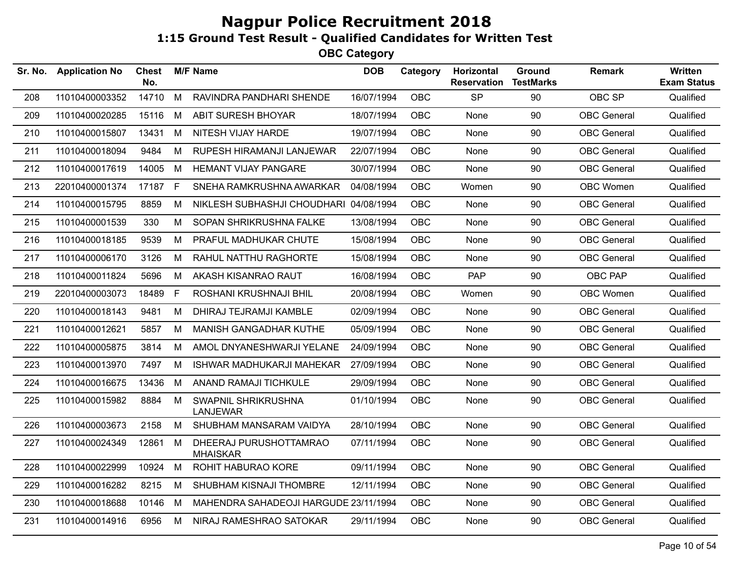| <b>Application No</b> | <b>Chest</b><br>No. |    |                                           | <b>DOB</b>      | Category                              | Horizontal<br><b>Reservation</b>                                                                                                                                                                                                                                                                                 | <b>Ground</b><br><b>TestMarks</b> | <b>Remark</b>      | Written<br><b>Exam Status</b> |
|-----------------------|---------------------|----|-------------------------------------------|-----------------|---------------------------------------|------------------------------------------------------------------------------------------------------------------------------------------------------------------------------------------------------------------------------------------------------------------------------------------------------------------|-----------------------------------|--------------------|-------------------------------|
| 11010400003352        | 14710               | M  | RAVINDRA PANDHARI SHENDE                  |                 | <b>OBC</b>                            | <b>SP</b>                                                                                                                                                                                                                                                                                                        | 90                                | OBC SP             | Qualified                     |
| 11010400020285        | 15116               | M  | <b>ABIT SURESH BHOYAR</b>                 |                 | <b>OBC</b>                            | None                                                                                                                                                                                                                                                                                                             | 90                                | <b>OBC</b> General | Qualified                     |
| 11010400015807        | 13431               | M  | NITESH VIJAY HARDE                        |                 | <b>OBC</b>                            | None                                                                                                                                                                                                                                                                                                             | 90                                | <b>OBC</b> General | Qualified                     |
| 11010400018094        | 9484                | М  | RUPESH HIRAMANJI LANJEWAR                 |                 | <b>OBC</b>                            | None                                                                                                                                                                                                                                                                                                             | 90                                | <b>OBC</b> General | Qualified                     |
| 11010400017619        | 14005               | M  | <b>HEMANT VIJAY PANGARE</b>               |                 | <b>OBC</b>                            | None                                                                                                                                                                                                                                                                                                             | 90                                | <b>OBC</b> General | Qualified                     |
| 22010400001374        |                     |    | SNEHA RAMKRUSHNA AWARKAR                  |                 | <b>OBC</b>                            | Women                                                                                                                                                                                                                                                                                                            | 90                                | OBC Women          | Qualified                     |
| 11010400015795        | 8859                | M  | NIKLESH SUBHASHJI CHOUDHARI               |                 | <b>OBC</b>                            | None                                                                                                                                                                                                                                                                                                             | 90                                | <b>OBC</b> General | Qualified                     |
| 11010400001539        | 330                 | M  | SOPAN SHRIKRUSHNA FALKE                   |                 | <b>OBC</b>                            | None                                                                                                                                                                                                                                                                                                             | 90                                | <b>OBC</b> General | Qualified                     |
| 11010400018185        | 9539                | М  | PRAFUL MADHUKAR CHUTE                     |                 | OBC                                   | None                                                                                                                                                                                                                                                                                                             | 90                                | <b>OBC</b> General | Qualified                     |
| 11010400006170        | 3126                | M  | RAHUL NATTHU RAGHORTE                     |                 | <b>OBC</b>                            | None                                                                                                                                                                                                                                                                                                             | 90                                | OBC General        | Qualified                     |
| 11010400011824        | 5696                | M  | AKASH KISANRAO RAUT                       |                 | <b>OBC</b>                            | <b>PAP</b>                                                                                                                                                                                                                                                                                                       | 90                                | OBC PAP            | Qualified                     |
| 22010400003073        | 18489               | F. | ROSHANI KRUSHNAJI BHIL                    |                 | <b>OBC</b>                            | Women                                                                                                                                                                                                                                                                                                            | 90                                | OBC Women          | Qualified                     |
| 11010400018143        | 9481                | М  | DHIRAJ TEJRAMJI KAMBLE                    |                 | <b>OBC</b>                            | None                                                                                                                                                                                                                                                                                                             | 90                                | <b>OBC</b> General | Qualified                     |
| 11010400012621        | 5857                | M  | <b>MANISH GANGADHAR KUTHE</b>             |                 | <b>OBC</b>                            | None                                                                                                                                                                                                                                                                                                             | 90                                | <b>OBC</b> General | Qualified                     |
| 11010400005875        | 3814                | M  | AMOL DNYANESHWARJI YELANE                 |                 | <b>OBC</b>                            | None                                                                                                                                                                                                                                                                                                             | 90                                | <b>OBC</b> General | Qualified                     |
| 11010400013970        | 7497                | М  | <b>ISHWAR MADHUKARJI MAHEKAR</b>          |                 | <b>OBC</b>                            | None                                                                                                                                                                                                                                                                                                             | 90                                | <b>OBC</b> General | Qualified                     |
| 11010400016675        | 13436               | M  | ANAND RAMAJI TICHKULE                     |                 | OBC                                   | None                                                                                                                                                                                                                                                                                                             | 90                                | <b>OBC</b> General | Qualified                     |
| 11010400015982        | 8884                | M  | SWAPNIL SHRIKRUSHNA<br>LANJEWAR           |                 | <b>OBC</b>                            | None                                                                                                                                                                                                                                                                                                             | 90                                | <b>OBC</b> General | Qualified                     |
| 11010400003673        | 2158                | M  | SHUBHAM MANSARAM VAIDYA                   |                 | <b>OBC</b>                            | None                                                                                                                                                                                                                                                                                                             | 90                                | <b>OBC</b> General | Qualified                     |
| 11010400024349        | 12861               | M  | DHEERAJ PURUSHOTTAMRAO<br><b>MHAISKAR</b> |                 | <b>OBC</b>                            | None                                                                                                                                                                                                                                                                                                             | 90                                | <b>OBC</b> General | Qualified                     |
| 11010400022999        | 10924               | M  | ROHIT HABURAO KORE                        | 09/11/1994      | <b>OBC</b>                            | None                                                                                                                                                                                                                                                                                                             | 90                                | <b>OBC</b> General | Qualified                     |
| 11010400016282        | 8215                | М  | SHUBHAM KISNAJI THOMBRE                   |                 | <b>OBC</b>                            | None                                                                                                                                                                                                                                                                                                             | 90                                | <b>OBC</b> General | Qualified                     |
| 11010400018688        | 10146               | M  |                                           |                 | <b>OBC</b>                            | None                                                                                                                                                                                                                                                                                                             | 90                                | <b>OBC</b> General | Qualified                     |
| 11010400014916        | 6956                | M  | NIRAJ RAMESHRAO SATOKAR                   |                 | OBC                                   | None                                                                                                                                                                                                                                                                                                             | 90                                | <b>OBC</b> General | Qualified                     |
|                       |                     |    | 17187 F                                   | <b>M/F Name</b> | MAHENDRA SAHADEOJI HARGUDE 23/11/1994 | 16/07/1994<br>18/07/1994<br>19/07/1994<br>22/07/1994<br>30/07/1994<br>04/08/1994<br>04/08/1994<br>13/08/1994<br>15/08/1994<br>15/08/1994<br>16/08/1994<br>20/08/1994<br>02/09/1994<br>05/09/1994<br>24/09/1994<br>27/09/1994<br>29/09/1994<br>01/10/1994<br>28/10/1994<br>07/11/1994<br>12/11/1994<br>29/11/1994 |                                   |                    |                               |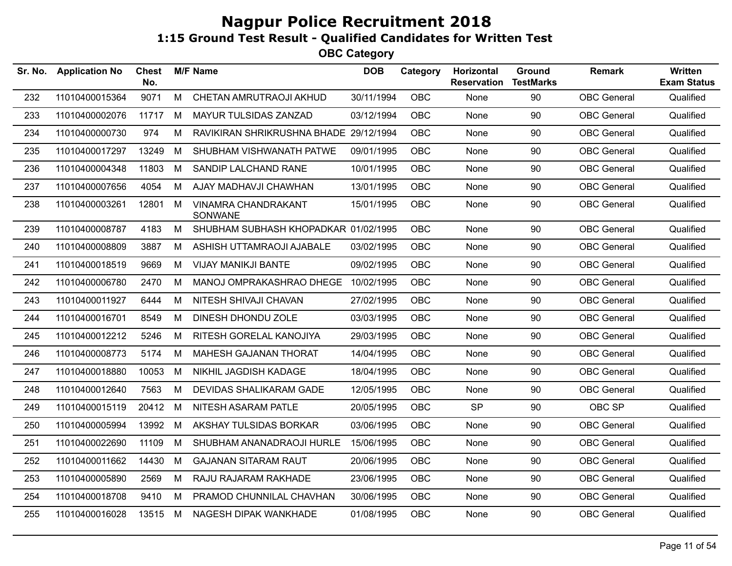| Sr. No. | <b>Application No</b> | <b>Chest</b><br>No. |   | <b>M/F Name</b>                        | <b>DOB</b> | Category   | Horizontal<br><b>Reservation</b> | Ground<br><b>TestMarks</b> | <b>Remark</b>      | Written<br><b>Exam Status</b> |
|---------|-----------------------|---------------------|---|----------------------------------------|------------|------------|----------------------------------|----------------------------|--------------------|-------------------------------|
| 232     | 11010400015364        | 9071                | M | CHETAN AMRUTRAOJI AKHUD                | 30/11/1994 | <b>OBC</b> | None                             | 90                         | <b>OBC</b> General | Qualified                     |
| 233     | 11010400002076        | 11717               | M | MAYUR TULSIDAS ZANZAD                  | 03/12/1994 | OBC        | None                             | 90                         | <b>OBC</b> General | Qualified                     |
| 234     | 11010400000730        | 974                 | М | RAVIKIRAN SHRIKRUSHNA BHADE 29/12/1994 |            | <b>OBC</b> | None                             | 90                         | <b>OBC</b> General | Qualified                     |
| 235     | 11010400017297        | 13249               | M | SHUBHAM VISHWANATH PATWE               | 09/01/1995 | <b>OBC</b> | None                             | 90                         | <b>OBC</b> General | Qualified                     |
| 236     | 11010400004348        | 11803               | M | SANDIP LALCHAND RANE                   | 10/01/1995 | <b>OBC</b> | None                             | 90                         | <b>OBC</b> General | Qualified                     |
| 237     | 11010400007656        | 4054                | M | AJAY MADHAVJI CHAWHAN                  | 13/01/1995 | <b>OBC</b> | None                             | 90                         | <b>OBC</b> General | Qualified                     |
| 238     | 11010400003261        | 12801               | M | VINAMRA CHANDRAKANT<br>SONWANE         | 15/01/1995 | <b>OBC</b> | None                             | 90                         | <b>OBC</b> General | Qualified                     |
| 239     | 11010400008787        | 4183                | M | SHUBHAM SUBHASH KHOPADKAR 01/02/1995   |            | <b>OBC</b> | None                             | 90                         | <b>OBC</b> General | Qualified                     |
| 240     | 11010400008809        | 3887                | М | ASHISH UTTAMRAOJI AJABALE              | 03/02/1995 | <b>OBC</b> | None                             | 90                         | <b>OBC</b> General | Qualified                     |
| 241     | 11010400018519        | 9669                | M | <b>VIJAY MANIKJI BANTE</b>             | 09/02/1995 | <b>OBC</b> | None                             | 90                         | <b>OBC</b> General | Qualified                     |
| 242     | 11010400006780        | 2470                | M | MANOJ OMPRAKASHRAO DHEGE 10/02/1995    |            | <b>OBC</b> | None                             | 90                         | <b>OBC</b> General | Qualified                     |
| 243     | 11010400011927        | 6444                | М | NITESH SHIVAJI CHAVAN                  | 27/02/1995 | OBC        | None                             | 90                         | <b>OBC</b> General | Qualified                     |
| 244     | 11010400016701        | 8549                | M | DINESH DHONDU ZOLE                     | 03/03/1995 | <b>OBC</b> | None                             | 90                         | <b>OBC</b> General | Qualified                     |
| 245     | 11010400012212        | 5246                | М | RITESH GORELAL KANOJIYA                | 29/03/1995 | <b>OBC</b> | None                             | 90                         | <b>OBC</b> General | Qualified                     |
| 246     | 11010400008773        | 5174                | М | MAHESH GAJANAN THORAT                  | 14/04/1995 | <b>OBC</b> | None                             | 90                         | <b>OBC</b> General | Qualified                     |
| 247     | 11010400018880        | 10053               | M | NIKHIL JAGDISH KADAGE                  | 18/04/1995 | <b>OBC</b> | None                             | 90                         | <b>OBC</b> General | Qualified                     |
| 248     | 11010400012640        | 7563                | M | DEVIDAS SHALIKARAM GADE                | 12/05/1995 | <b>OBC</b> | None                             | 90                         | <b>OBC</b> General | Qualified                     |
| 249     | 11010400015119        | 20412               | M | NITESH ASARAM PATLE                    | 20/05/1995 | <b>OBC</b> | <b>SP</b>                        | 90                         | OBC SP             | Qualified                     |
| 250     | 11010400005994        | 13992               | M | AKSHAY TULSIDAS BORKAR                 | 03/06/1995 | OBC        | None                             | 90                         | <b>OBC</b> General | Qualified                     |
| 251     | 11010400022690        | 11109               | M | SHUBHAM ANANADRAOJI HURLE              | 15/06/1995 | <b>OBC</b> | None                             | 90                         | <b>OBC</b> General | Qualified                     |
| 252     | 11010400011662        | 14430               | M | <b>GAJANAN SITARAM RAUT</b>            | 20/06/1995 | <b>OBC</b> | None                             | 90                         | <b>OBC</b> General | Qualified                     |
| 253     | 11010400005890        | 2569                | М | RAJU RAJARAM RAKHADE                   | 23/06/1995 | <b>OBC</b> | None                             | 90                         | <b>OBC</b> General | Qualified                     |
| 254     | 11010400018708        | 9410                | M | PRAMOD CHUNNILAL CHAVHAN               | 30/06/1995 | <b>OBC</b> | None                             | 90                         | <b>OBC</b> General | Qualified                     |
| 255     | 11010400016028        | 13515 M             |   | NAGESH DIPAK WANKHADE                  | 01/08/1995 | OBC        | None                             | 90                         | <b>OBC</b> General | Qualified                     |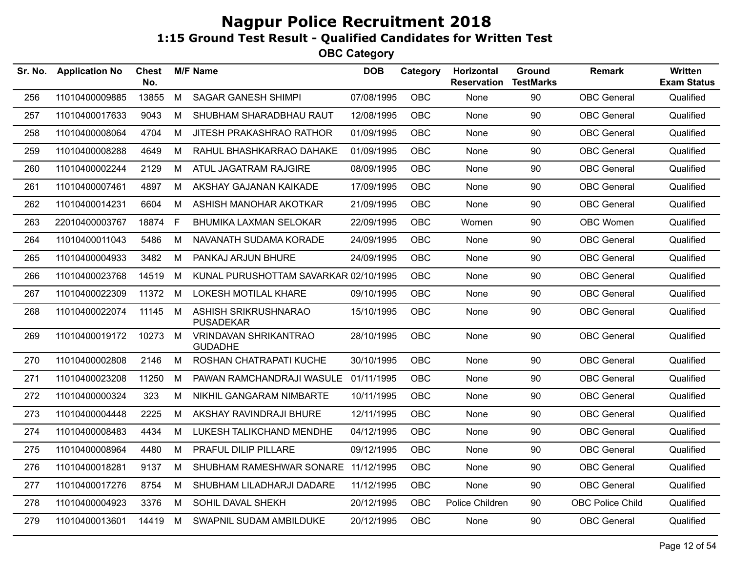| Sr. No. | <b>Application No</b> | <b>Chest</b><br>No. |   | <b>M/F Name</b>                          | <b>DOB</b> | Category   | <b>Horizontal</b><br><b>Reservation</b> | Ground<br><b>TestMarks</b> | <b>Remark</b>           | Written<br><b>Exam Status</b> |
|---------|-----------------------|---------------------|---|------------------------------------------|------------|------------|-----------------------------------------|----------------------------|-------------------------|-------------------------------|
| 256     | 11010400009885        | 13855               | M | <b>SAGAR GANESH SHIMPI</b>               | 07/08/1995 | OBC        | None                                    | 90                         | <b>OBC</b> General      | Qualified                     |
| 257     | 11010400017633        | 9043                | M | SHUBHAM SHARADBHAU RAUT                  | 12/08/1995 | <b>OBC</b> | None                                    | 90                         | <b>OBC</b> General      | Qualified                     |
| 258     | 11010400008064        | 4704                | M | JITESH PRAKASHRAO RATHOR                 | 01/09/1995 | OBC        | None                                    | 90                         | <b>OBC</b> General      | Qualified                     |
| 259     | 11010400008288        | 4649                | M | RAHUL BHASHKARRAO DAHAKE                 | 01/09/1995 | <b>OBC</b> | None                                    | 90                         | <b>OBC</b> General      | Qualified                     |
| 260     | 11010400002244        | 2129                | M | ATUL JAGATRAM RAJGIRE                    | 08/09/1995 | <b>OBC</b> | None                                    | 90                         | <b>OBC</b> General      | Qualified                     |
| 261     | 11010400007461        | 4897                | M | AKSHAY GAJANAN KAIKADE                   | 17/09/1995 | <b>OBC</b> | None                                    | 90                         | <b>OBC</b> General      | Qualified                     |
| 262     | 11010400014231        | 6604                | M | ASHISH MANOHAR AKOTKAR                   | 21/09/1995 | <b>OBC</b> | None                                    | 90                         | <b>OBC</b> General      | Qualified                     |
| 263     | 22010400003767        | 18874               | F | <b>BHUMIKA LAXMAN SELOKAR</b>            | 22/09/1995 | <b>OBC</b> | Women                                   | 90                         | OBC Women               | Qualified                     |
| 264     | 11010400011043        | 5486                | M | NAVANATH SUDAMA KORADE                   | 24/09/1995 | <b>OBC</b> | None                                    | 90                         | <b>OBC</b> General      | Qualified                     |
| 265     | 11010400004933        | 3482                | M | PANKAJ ARJUN BHURE                       | 24/09/1995 | OBC        | None                                    | 90                         | <b>OBC</b> General      | Qualified                     |
| 266     | 11010400023768        | 14519               | М | KUNAL PURUSHOTTAM SAVARKAR 02/10/1995    |            | <b>OBC</b> | None                                    | 90                         | <b>OBC</b> General      | Qualified                     |
| 267     | 11010400022309        | 11372               | M | LOKESH MOTILAL KHARE                     | 09/10/1995 | <b>OBC</b> | None                                    | 90                         | <b>OBC</b> General      | Qualified                     |
| 268     | 11010400022074        | 11145               | M | ASHISH SRIKRUSHNARAO<br><b>PUSADEKAR</b> | 15/10/1995 | <b>OBC</b> | None                                    | 90                         | <b>OBC</b> General      | Qualified                     |
| 269     | 11010400019172        | 10273               | M | <b>VRINDAVAN SHRIKANTRAO</b><br>GUDADHE  | 28/10/1995 | OBC        | None                                    | 90                         | <b>OBC</b> General      | Qualified                     |
| 270     | 11010400002808        | 2146                | M | ROSHAN CHATRAPATI KUCHE                  | 30/10/1995 | OBC        | None                                    | 90                         | <b>OBC</b> General      | Qualified                     |
| 271     | 11010400023208        | 11250               | М | PAWAN RAMCHANDRAJI WASULE                | 01/11/1995 | <b>OBC</b> | None                                    | 90                         | <b>OBC</b> General      | Qualified                     |
| 272     | 11010400000324        | 323                 | М | NIKHIL GANGARAM NIMBARTE                 | 10/11/1995 | OBC        | None                                    | 90                         | <b>OBC</b> General      | Qualified                     |
| 273     | 11010400004448        | 2225                | M | AKSHAY RAVINDRAJI BHURE                  | 12/11/1995 | OBC        | None                                    | 90                         | <b>OBC</b> General      | Qualified                     |
| 274     | 11010400008483        | 4434                | M | LUKESH TALIKCHAND MENDHE                 | 04/12/1995 | <b>OBC</b> | None                                    | 90                         | <b>OBC General</b>      | Qualified                     |
| 275     | 11010400008964        | 4480                | M | PRAFUL DILIP PILLARE                     | 09/12/1995 | OBC        | None                                    | 90                         | <b>OBC</b> General      | Qualified                     |
| 276     | 11010400018281        | 9137                | M | SHUBHAM RAMESHWAR SONARE 11/12/1995      |            | <b>OBC</b> | None                                    | 90                         | <b>OBC</b> General      | Qualified                     |
| 277     | 11010400017276        | 8754                | M | SHUBHAM LILADHARJI DADARE                | 11/12/1995 | OBC        | None                                    | 90                         | <b>OBC</b> General      | Qualified                     |
| 278     | 11010400004923        | 3376                | M | SOHIL DAVAL SHEKH                        | 20/12/1995 | OBC        | Police Children                         | 90                         | <b>OBC Police Child</b> | Qualified                     |
| 279     | 11010400013601        | 14419               | M | SWAPNIL SUDAM AMBILDUKE                  | 20/12/1995 | OBC        | None                                    | 90                         | <b>OBC</b> General      | Qualified                     |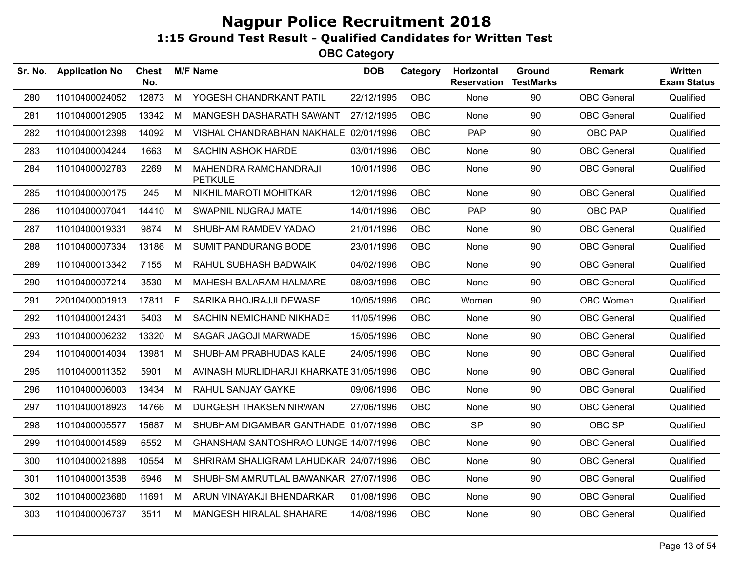| Sr. No. | <b>Application No</b> | <b>Chest</b><br>No. |    | <b>M/F Name</b>                         | <b>DOB</b> | Category   | Horizontal<br><b>Reservation</b> | Ground<br><b>TestMarks</b> | <b>Remark</b>      | <b>Written</b><br><b>Exam Status</b> |
|---------|-----------------------|---------------------|----|-----------------------------------------|------------|------------|----------------------------------|----------------------------|--------------------|--------------------------------------|
| 280     | 11010400024052        | 12873               | M  | YOGESH CHANDRKANT PATIL                 | 22/12/1995 | OBC        | None                             | 90                         | <b>OBC</b> General | Qualified                            |
| 281     | 11010400012905        | 13342               | М  | MANGESH DASHARATH SAWANT                | 27/12/1995 | OBC        | None                             | 90                         | <b>OBC</b> General | Qualified                            |
| 282     | 11010400012398        | 14092               | M  | VISHAL CHANDRABHAN NAKHALE 02/01/1996   |            | <b>OBC</b> | <b>PAP</b>                       | 90                         | OBC PAP            | Qualified                            |
| 283     | 11010400004244        | 1663                | М  | <b>SACHIN ASHOK HARDE</b>               | 03/01/1996 | <b>OBC</b> | None                             | 90                         | <b>OBC</b> General | Qualified                            |
| 284     | 11010400002783        | 2269                | М  | MAHENDRA RAMCHANDRAJI<br><b>PETKULE</b> | 10/01/1996 | OBC        | None                             | 90                         | <b>OBC</b> General | Qualified                            |
| 285     | 11010400000175        | 245                 | M  | NIKHIL MAROTI MOHITKAR                  | 12/01/1996 | OBC        | None                             | 90                         | <b>OBC</b> General | Qualified                            |
| 286     | 11010400007041        | 14410               | М  | SWAPNIL NUGRAJ MATE                     | 14/01/1996 | <b>OBC</b> | <b>PAP</b>                       | 90                         | OBC PAP            | Qualified                            |
| 287     | 11010400019331        | 9874                | M  | SHUBHAM RAMDEV YADAO                    | 21/01/1996 | <b>OBC</b> | None                             | 90                         | <b>OBC</b> General | Qualified                            |
| 288     | 11010400007334        | 13186               | М  | <b>SUMIT PANDURANG BODE</b>             | 23/01/1996 | <b>OBC</b> | None                             | 90                         | <b>OBC</b> General | Qualified                            |
| 289     | 11010400013342        | 7155                | М  | RAHUL SUBHASH BADWAIK                   | 04/02/1996 | <b>OBC</b> | None                             | 90                         | <b>OBC</b> General | Qualified                            |
| 290     | 11010400007214        | 3530                | M  | MAHESH BALARAM HALMARE                  | 08/03/1996 | OBC        | None                             | 90                         | <b>OBC</b> General | Qualified                            |
| 291     | 22010400001913        | 17811               | F. | SARIKA BHOJRAJJI DEWASE                 | 10/05/1996 | OBC        | Women                            | 90                         | OBC Women          | Qualified                            |
| 292     | 11010400012431        | 5403                | M  | SACHIN NEMICHAND NIKHADE                | 11/05/1996 | <b>OBC</b> | None                             | 90                         | <b>OBC</b> General | Qualified                            |
| 293     | 11010400006232        | 13320               | M  | SAGAR JAGOJI MARWADE                    | 15/05/1996 | <b>OBC</b> | None                             | 90                         | <b>OBC</b> General | Qualified                            |
| 294     | 11010400014034        | 13981               | M  | SHUBHAM PRABHUDAS KALE                  | 24/05/1996 | <b>OBC</b> | None                             | 90                         | <b>OBC</b> General | Qualified                            |
| 295     | 11010400011352        | 5901                | М  | AVINASH MURLIDHARJI KHARKATE 31/05/1996 |            | <b>OBC</b> | None                             | 90                         | <b>OBC</b> General | Qualified                            |
| 296     | 11010400006003        | 13434               | М  | RAHUL SANJAY GAYKE                      | 09/06/1996 | <b>OBC</b> | None                             | 90                         | <b>OBC</b> General | Qualified                            |
| 297     | 11010400018923        | 14766               | М  | DURGESH THAKSEN NIRWAN                  | 27/06/1996 | <b>OBC</b> | None                             | 90                         | <b>OBC</b> General | Qualified                            |
| 298     | 11010400005577        | 15687               | M  | SHUBHAM DIGAMBAR GANTHADE 01/07/1996    |            | <b>OBC</b> | <b>SP</b>                        | 90                         | OBC SP             | Qualified                            |
| 299     | 11010400014589        | 6552                | М  | GHANSHAM SANTOSHRAO LUNGE 14/07/1996    |            | <b>OBC</b> | None                             | 90                         | <b>OBC</b> General | Qualified                            |
| 300     | 11010400021898        | 10554               | М  | SHRIRAM SHALIGRAM LAHUDKAR 24/07/1996   |            | <b>OBC</b> | None                             | 90                         | <b>OBC</b> General | Qualified                            |
| 301     | 11010400013538        | 6946                | М  | SHUBHSM AMRUTLAL BAWANKAR 27/07/1996    |            | OBC        | None                             | 90                         | <b>OBC</b> General | Qualified                            |
| 302     | 11010400023680        | 11691               | M  | ARUN VINAYAKJI BHENDARKAR               | 01/08/1996 | OBC        | None                             | 90                         | <b>OBC</b> General | Qualified                            |
| 303     | 11010400006737        | 3511                | М  | MANGESH HIRALAL SHAHARE                 | 14/08/1996 | <b>OBC</b> | None                             | 90                         | <b>OBC</b> General | Qualified                            |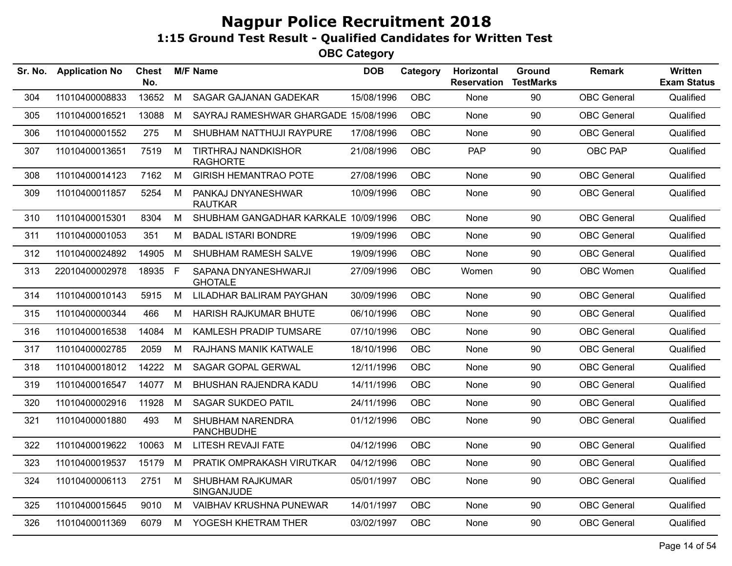| Sr. No. | <b>Application No</b> | <b>Chest</b><br>No. |   | <b>M/F Name</b>                               | <b>DOB</b> | Category   | Horizontal<br><b>Reservation</b> | Ground<br><b>TestMarks</b> | <b>Remark</b>      | <b>Written</b><br><b>Exam Status</b> |
|---------|-----------------------|---------------------|---|-----------------------------------------------|------------|------------|----------------------------------|----------------------------|--------------------|--------------------------------------|
| 304     | 11010400008833        | 13652               | M | SAGAR GAJANAN GADEKAR                         | 15/08/1996 | <b>OBC</b> | None                             | 90                         | <b>OBC</b> General | Qualified                            |
| 305     | 11010400016521        | 13088               | M | SAYRAJ RAMESHWAR GHARGADE 15/08/1996          |            | <b>OBC</b> | None                             | 90                         | <b>OBC</b> General | Qualified                            |
| 306     | 11010400001552        | 275                 | M | SHUBHAM NATTHUJI RAYPURE                      | 17/08/1996 | <b>OBC</b> | None                             | 90                         | <b>OBC</b> General | Qualified                            |
| 307     | 11010400013651        | 7519                | M | <b>TIRTHRAJ NANDKISHOR</b><br><b>RAGHORTE</b> | 21/08/1996 | <b>OBC</b> | <b>PAP</b>                       | 90                         | <b>OBC PAP</b>     | Qualified                            |
| 308     | 11010400014123        | 7162                | M | <b>GIRISH HEMANTRAO POTE</b>                  | 27/08/1996 | <b>OBC</b> | None                             | 90                         | <b>OBC</b> General | Qualified                            |
| 309     | 11010400011857        | 5254                | M | PANKAJ DNYANESHWAR<br><b>RAUTKAR</b>          | 10/09/1996 | OBC        | None                             | 90                         | <b>OBC</b> General | Qualified                            |
| 310     | 11010400015301        | 8304                | M | SHUBHAM GANGADHAR KARKALE 10/09/1996          |            | <b>OBC</b> | None                             | 90                         | <b>OBC</b> General | Qualified                            |
| 311     | 11010400001053        | 351                 | M | <b>BADAL ISTARI BONDRE</b>                    | 19/09/1996 | <b>OBC</b> | None                             | 90                         | <b>OBC</b> General | Qualified                            |
| 312     | 11010400024892        | 14905               | M | SHUBHAM RAMESH SALVE                          | 19/09/1996 | <b>OBC</b> | None                             | 90                         | <b>OBC</b> General | Qualified                            |
| 313     | 22010400002978        | 18935 F             |   | SAPANA DNYANESHWARJI<br><b>GHOTALE</b>        | 27/09/1996 | <b>OBC</b> | Women                            | 90                         | OBC Women          | Qualified                            |
| 314     | 11010400010143        | 5915                | M | LILADHAR BALIRAM PAYGHAN                      | 30/09/1996 | <b>OBC</b> | None                             | 90                         | <b>OBC</b> General | Qualified                            |
| 315     | 11010400000344        | 466                 | M | HARISH RAJKUMAR BHUTE                         | 06/10/1996 | OBC.       | None                             | 90                         | <b>OBC</b> General | Qualified                            |
| 316     | 11010400016538        | 14084               | M | KAMLESH PRADIP TUMSARE                        | 07/10/1996 | OBC        | None                             | 90                         | <b>OBC</b> General | Qualified                            |
| 317     | 11010400002785        | 2059                | M | RAJHANS MANIK KATWALE                         | 18/10/1996 | OBC        | None                             | 90                         | <b>OBC</b> General | Qualified                            |
| 318     | 11010400018012        | 14222               | M | SAGAR GOPAL GERWAL                            | 12/11/1996 | <b>OBC</b> | None                             | 90                         | <b>OBC</b> General | Qualified                            |
| 319     | 11010400016547        | 14077               | M | BHUSHAN RAJENDRA KADU                         | 14/11/1996 | <b>OBC</b> | None                             | 90                         | <b>OBC</b> General | Qualified                            |
| 320     | 11010400002916        | 11928               | M | <b>SAGAR SUKDEO PATIL</b>                     | 24/11/1996 | <b>OBC</b> | <b>None</b>                      | 90                         | <b>OBC</b> General | Qualified                            |
| 321     | 11010400001880        | 493                 | M | <b>SHUBHAM NARENDRA</b><br><b>PANCHBUDHE</b>  | 01/12/1996 | <b>OBC</b> | <b>None</b>                      | 90                         | <b>OBC</b> General | Qualified                            |
| 322     | 11010400019622        | 10063               | M | LITESH REVAJI FATE                            | 04/12/1996 | <b>OBC</b> | None                             | 90                         | OBC General        | Qualified                            |
| 323     | 11010400019537        | 15179               | M | PRATIK OMPRAKASH VIRUTKAR                     | 04/12/1996 | OBC        | None                             | 90                         | <b>OBC</b> General | Qualified                            |
| 324     | 11010400006113        | 2751                | M | <b>SHUBHAM RAJKUMAR</b><br>SINGANJUDE         | 05/01/1997 | <b>OBC</b> | None                             | 90                         | <b>OBC</b> General | Qualified                            |
| 325     | 11010400015645        | 9010                | M | <b>VAIBHAV KRUSHNA PUNEWAR</b>                | 14/01/1997 | <b>OBC</b> | None                             | 90                         | <b>OBC</b> General | Qualified                            |
| 326     | 11010400011369        | 6079                | M | YOGESH KHETRAM THER                           | 03/02/1997 | <b>OBC</b> | None                             | 90                         | <b>OBC</b> General | Qualified                            |
|         |                       |                     |   |                                               |            |            |                                  |                            |                    |                                      |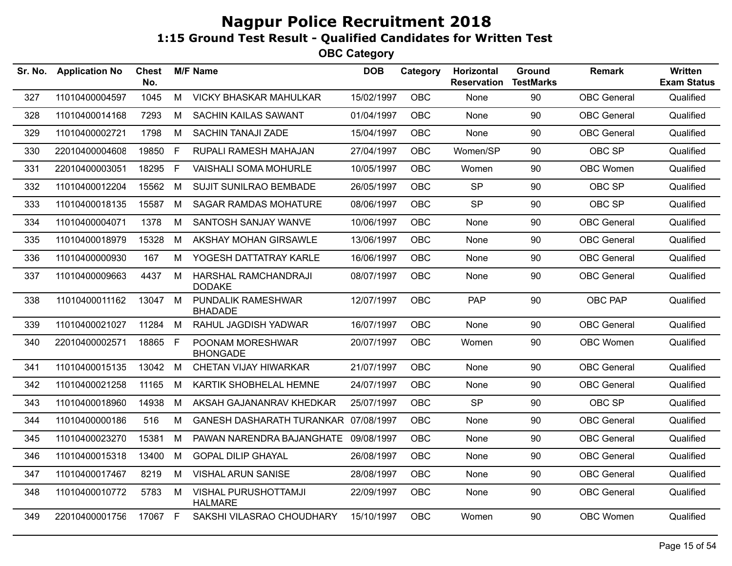| Sr. No. | <b>Application No</b> | <b>Chest</b><br>No. |    | <b>M/F Name</b>                               | <b>DOB</b> | Category   | Horizontal<br><b>Reservation</b> | Ground<br><b>TestMarks</b> | <b>Remark</b>      | Written<br><b>Exam Status</b> |
|---------|-----------------------|---------------------|----|-----------------------------------------------|------------|------------|----------------------------------|----------------------------|--------------------|-------------------------------|
| 327     | 11010400004597        | 1045                | M  | <b>VICKY BHASKAR MAHULKAR</b>                 | 15/02/1997 | <b>OBC</b> | None                             | 90                         | <b>OBC</b> General | Qualified                     |
| 328     | 11010400014168        | 7293                | М  | <b>SACHIN KAILAS SAWANT</b>                   | 01/04/1997 | <b>OBC</b> | None                             | 90                         | <b>OBC</b> General | Qualified                     |
| 329     | 11010400002721        | 1798                | M  | <b>SACHIN TANAJI ZADE</b>                     | 15/04/1997 | <b>OBC</b> | None                             | 90                         | <b>OBC</b> General | Qualified                     |
| 330     | 22010400004608        | 19850               | F. | RUPALI RAMESH MAHAJAN                         | 27/04/1997 | <b>OBC</b> | Women/SP                         | 90                         | OBC SP             | Qualified                     |
| 331     | 22010400003051        | 18295               | F. | <b>VAISHALI SOMA MOHURLE</b>                  | 10/05/1997 | <b>OBC</b> | Women                            | 90                         | OBC Women          | Qualified                     |
| 332     | 11010400012204        | 15562               | М  | <b>SUJIT SUNILRAO BEMBADE</b>                 | 26/05/1997 | <b>OBC</b> | <b>SP</b>                        | 90                         | OBC SP             | Qualified                     |
| 333     | 11010400018135        | 15587               | M  | <b>SAGAR RAMDAS MOHATURE</b>                  | 08/06/1997 | <b>OBC</b> | <b>SP</b>                        | 90                         | OBC SP             | Qualified                     |
| 334     | 11010400004071        | 1378                | M  | SANTOSH SANJAY WANVE                          | 10/06/1997 | <b>OBC</b> | None                             | 90                         | <b>OBC</b> General | Qualified                     |
| 335     | 11010400018979        | 15328               | M  | AKSHAY MOHAN GIRSAWLE                         | 13/06/1997 | <b>OBC</b> | None                             | 90                         | <b>OBC</b> General | Qualified                     |
| 336     | 11010400000930        | 167                 | M  | YOGESH DATTATRAY KARLE                        | 16/06/1997 | <b>OBC</b> | None                             | 90                         | <b>OBC</b> General | Qualified                     |
| 337     | 11010400009663        | 4437                | M  | HARSHAL RAMCHANDRAJI<br><b>DODAKE</b>         | 08/07/1997 | <b>OBC</b> | None                             | 90                         | <b>OBC</b> General | Qualified                     |
| 338     | 11010400011162        | 13047 M             |    | PUNDALIK RAMESHWAR<br><b>BHADADE</b>          | 12/07/1997 | OBC        | PAP                              | 90                         | OBC PAP            | Qualified                     |
| 339     | 11010400021027        | 11284               | M  | RAHUL JAGDISH YADWAR                          | 16/07/1997 | <b>OBC</b> | None                             | 90                         | <b>OBC</b> General | Qualified                     |
| 340     | 22010400002571        | 18865 F             |    | POONAM MORESHWAR<br><b>BHONGADE</b>           | 20/07/1997 | OBC        | Women                            | 90                         | OBC Women          | Qualified                     |
| 341     | 11010400015135        | 13042               | M  | CHETAN VIJAY HIWARKAR                         | 21/07/1997 | <b>OBC</b> | None                             | 90                         | <b>OBC</b> General | Qualified                     |
| 342     | 11010400021258        | 11165               | М  | KARTIK SHOBHELAL HEMNE                        | 24/07/1997 | OBC        | None                             | 90                         | <b>OBC</b> General | Qualified                     |
| 343     | 11010400018960        | 14938               | M  | AKSAH GAJANANRAV KHEDKAR                      | 25/07/1997 | <b>OBC</b> | <b>SP</b>                        | 90                         | OBC SP             | Qualified                     |
| 344     | 11010400000186        | 516                 | М  | GANESH DASHARATH TURANKAR 07/08/1997          |            | <b>OBC</b> | None                             | 90                         | <b>OBC</b> General | Qualified                     |
| 345     | 11010400023270        | 15381               | М  | PAWAN NARENDRA BAJANGHATE 09/08/1997          |            | <b>OBC</b> | None                             | 90                         | <b>OBC</b> General | Qualified                     |
| 346     | 11010400015318        | 13400               | M  | <b>GOPAL DILIP GHAYAL</b>                     | 26/08/1997 | <b>OBC</b> | <b>None</b>                      | 90                         | <b>OBC</b> General | Qualified                     |
| 347     | 11010400017467        | 8219                | M  | <b>VISHAL ARUN SANISE</b>                     | 28/08/1997 | <b>OBC</b> | None                             | 90                         | OBC General        | Qualified                     |
| 348     | 11010400010772        | 5783                | M  | <b>VISHAL PURUSHOTTAMJI</b><br><b>HALMARE</b> | 22/09/1997 | <b>OBC</b> | <b>None</b>                      | 90                         | <b>OBC</b> General | Qualified                     |
| 349     | 22010400001756        | 17067 F             |    | SAKSHI VILASRAO CHOUDHARY                     | 15/10/1997 | OBC        | Women                            | 90                         | OBC Women          | Qualified                     |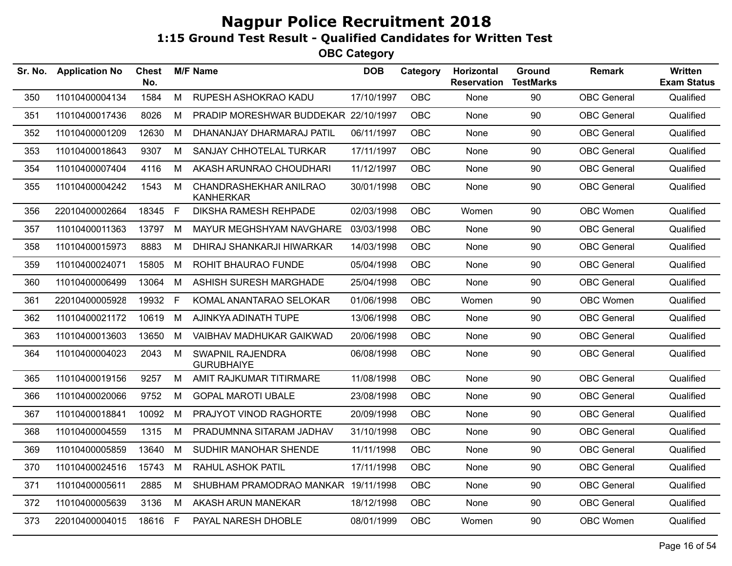| Sr. No. | <b>Application No</b> | <b>Chest</b><br>No. |   | <b>M/F Name</b>                              | <b>DOB</b> | Category   | <b>Horizontal</b><br><b>Reservation</b> | Ground<br><b>TestMarks</b> | <b>Remark</b>      | <b>Written</b><br><b>Exam Status</b> |
|---------|-----------------------|---------------------|---|----------------------------------------------|------------|------------|-----------------------------------------|----------------------------|--------------------|--------------------------------------|
| 350     | 11010400004134        | 1584                | M | RUPESH ASHOKRAO KADU                         | 17/10/1997 | OBC        | None                                    | 90                         | <b>OBC</b> General | Qualified                            |
| 351     | 11010400017436        | 8026                | M | PRADIP MORESHWAR BUDDEKAR 22/10/1997         |            | <b>OBC</b> | None                                    | 90                         | <b>OBC</b> General | Qualified                            |
| 352     | 11010400001209        | 12630               | M | DHANANJAY DHARMARAJ PATIL                    | 06/11/1997 | OBC        | None                                    | 90                         | <b>OBC</b> General | Qualified                            |
| 353     | 11010400018643        | 9307                | М | SANJAY CHHOTELAL TURKAR                      | 17/11/1997 | <b>OBC</b> | None                                    | 90                         | <b>OBC</b> General | Qualified                            |
| 354     | 11010400007404        | 4116                | M | AKASH ARUNRAO CHOUDHARI                      | 11/12/1997 | <b>OBC</b> | None                                    | 90                         | <b>OBC</b> General | Qualified                            |
| 355     | 11010400004242        | 1543                | M | CHANDRASHEKHAR ANILRAO<br><b>KANHERKAR</b>   | 30/01/1998 | OBC        | None                                    | 90                         | <b>OBC</b> General | Qualified                            |
| 356     | 22010400002664        | 18345 F             |   | <b>DIKSHA RAMESH REHPADE</b>                 | 02/03/1998 | <b>OBC</b> | Women                                   | 90                         | OBC Women          | Qualified                            |
| 357     | 11010400011363        | 13797               | M | MAYUR MEGHSHYAM NAVGHARE                     | 03/03/1998 | <b>OBC</b> | None                                    | 90                         | <b>OBC</b> General | Qualified                            |
| 358     | 11010400015973        | 8883                | M | DHIRAJ SHANKARJI HIWARKAR                    | 14/03/1998 | <b>OBC</b> | None                                    | 90                         | <b>OBC</b> General | Qualified                            |
| 359     | 11010400024071        | 15805               | M | ROHIT BHAURAO FUNDE                          | 05/04/1998 | <b>OBC</b> | None                                    | 90                         | <b>OBC</b> General | Qualified                            |
| 360     | 11010400006499        | 13064               | M | ASHISH SURESH MARGHADE                       | 25/04/1998 | <b>OBC</b> | None                                    | 90                         | <b>OBC</b> General | Qualified                            |
| 361     | 22010400005928        | 19932 F             |   | KOMAL ANANTARAO SELOKAR                      | 01/06/1998 | <b>OBC</b> | Women                                   | 90                         | OBC Women          | Qualified                            |
| 362     | 11010400021172        | 10619               | M | AJINKYA ADINATH TUPE                         | 13/06/1998 | OBC        | None                                    | 90                         | <b>OBC</b> General | Qualified                            |
| 363     | 11010400013603        | 13650               | M | VAIBHAV MADHUKAR GAIKWAD                     | 20/06/1998 | OBC        | None                                    | 90                         | <b>OBC</b> General | Qualified                            |
| 364     | 11010400004023        | 2043                | M | <b>SWAPNIL RAJENDRA</b><br><b>GURUBHAIYE</b> | 06/08/1998 | <b>OBC</b> | None                                    | 90                         | <b>OBC</b> General | Qualified                            |
| 365     | 11010400019156        | 9257                | M | AMIT RAJKUMAR TITIRMARE                      | 11/08/1998 | OBC        | None                                    | 90                         | <b>OBC</b> General | Qualified                            |
| 366     | 11010400020066        | 9752                | M | <b>GOPAL MAROTI UBALE</b>                    | 23/08/1998 | <b>OBC</b> | None                                    | 90                         | <b>OBC</b> General | Qualified                            |
| 367     | 11010400018841        | 10092               | M | PRAJYOT VINOD RAGHORTE                       | 20/09/1998 | <b>OBC</b> | None                                    | 90                         | <b>OBC</b> General | Qualified                            |
| 368     | 11010400004559        | 1315                | M | PRADUMNNA SITARAM JADHAV                     | 31/10/1998 | <b>OBC</b> | None                                    | 90                         | <b>OBC</b> General | Qualified                            |
| 369     | 11010400005859        | 13640               | M | SUDHIR MANOHAR SHENDE                        | 11/11/1998 | <b>OBC</b> | None                                    | 90                         | <b>OBC</b> General | Qualified                            |
| 370     | 11010400024516        | 15743               | M | <b>RAHUL ASHOK PATIL</b>                     | 17/11/1998 | <b>OBC</b> | None                                    | 90                         | <b>OBC</b> General | Qualified                            |
| 371     | 11010400005611        | 2885                | M | SHUBHAM PRAMODRAO MANKAR 19/11/1998          |            | <b>OBC</b> | None                                    | 90                         | <b>OBC</b> General | Qualified                            |
| 372     | 11010400005639        | 3136                | M | AKASH ARUN MANEKAR                           | 18/12/1998 | <b>OBC</b> | None                                    | 90                         | <b>OBC</b> General | Qualified                            |
| 373     | 22010400004015        | 18616 F             |   | PAYAL NARESH DHOBLE                          | 08/01/1999 | <b>OBC</b> | Women                                   | 90                         | OBC Women          | Qualified                            |
|         |                       |                     |   |                                              |            |            |                                         |                            |                    |                                      |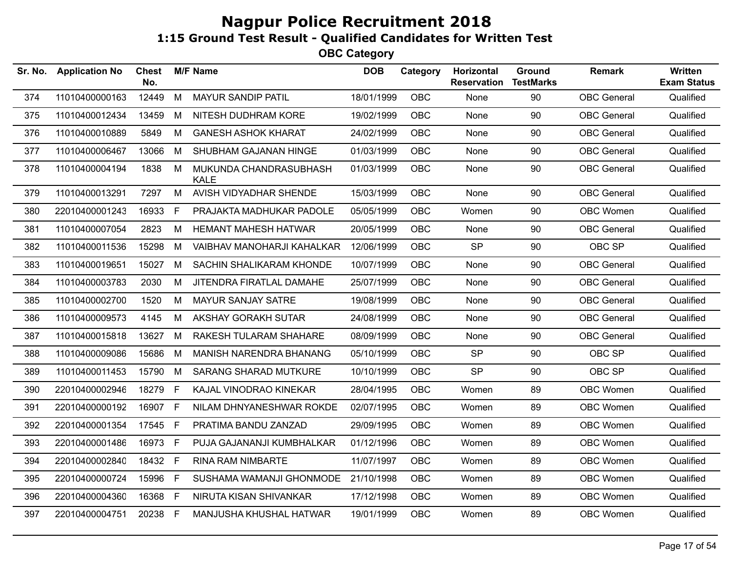| Sr. No. | <b>Application No</b> | <b>Chest</b><br>No. |    | <b>M/F Name</b>                       | <b>DOB</b> | Category   | Horizontal<br><b>Reservation</b> | Ground<br><b>TestMarks</b> | <b>Remark</b>      | <b>Written</b><br><b>Exam Status</b> |
|---------|-----------------------|---------------------|----|---------------------------------------|------------|------------|----------------------------------|----------------------------|--------------------|--------------------------------------|
| 374     | 11010400000163        | 12449               | M  | MAYUR SANDIP PATIL                    | 18/01/1999 | <b>OBC</b> | None                             | 90                         | <b>OBC</b> General | Qualified                            |
| 375     | 11010400012434        | 13459               | M  | NITESH DUDHRAM KORE                   | 19/02/1999 | <b>OBC</b> | None                             | 90                         | <b>OBC</b> General | Qualified                            |
| 376     | 11010400010889        | 5849                | М  | <b>GANESH ASHOK KHARAT</b>            | 24/02/1999 | OBC        | None                             | 90                         | <b>OBC</b> General | Qualified                            |
| 377     | 11010400006467        | 13066               | M  | SHUBHAM GAJANAN HINGE                 | 01/03/1999 | <b>OBC</b> | None                             | 90                         | <b>OBC</b> General | Qualified                            |
| 378     | 11010400004194        | 1838                | M  | MUKUNDA CHANDRASUBHASH<br><b>KALE</b> | 01/03/1999 | OBC        | None                             | 90                         | <b>OBC</b> General | Qualified                            |
| 379     | 11010400013291        | 7297                | M  | AVISH VIDYADHAR SHENDE                | 15/03/1999 | OBC        | None                             | 90                         | <b>OBC</b> General | Qualified                            |
| 380     | 22010400001243        | 16933               | E  | PRAJAKTA MADHUKAR PADOLE              | 05/05/1999 | <b>OBC</b> | Women                            | 90                         | OBC Women          | Qualified                            |
| 381     | 11010400007054        | 2823                | М  | <b>HEMANT MAHESH HATWAR</b>           | 20/05/1999 | <b>OBC</b> | None                             | 90                         | <b>OBC</b> General | Qualified                            |
| 382     | 11010400011536        | 15298               | M  | VAIBHAV MANOHARJI KAHALKAR            | 12/06/1999 | <b>OBC</b> | <b>SP</b>                        | 90                         | OBC SP             | Qualified                            |
| 383     | 11010400019651        | 15027               | M  | SACHIN SHALIKARAM KHONDE              | 10/07/1999 | <b>OBC</b> | None                             | 90                         | <b>OBC</b> General | Qualified                            |
| 384     | 11010400003783        | 2030                | М  | JITENDRA FIRATLAL DAMAHE              | 25/07/1999 | OBC        | None                             | 90                         | <b>OBC</b> General | Qualified                            |
| 385     | 11010400002700        | 1520                | M  | <b>MAYUR SANJAY SATRE</b>             | 19/08/1999 | <b>OBC</b> | None                             | 90                         | <b>OBC</b> General | Qualified                            |
| 386     | 11010400009573        | 4145                | M  | AKSHAY GORAKH SUTAR                   | 24/08/1999 | <b>OBC</b> | None                             | 90                         | <b>OBC</b> General | Qualified                            |
| 387     | 11010400015818        | 13627               | M  | RAKESH TULARAM SHAHARE                | 08/09/1999 | <b>OBC</b> | None                             | 90                         | <b>OBC</b> General | Qualified                            |
| 388     | 11010400009086        | 15686               | M  | <b>MANISH NARENDRA BHANANG</b>        | 05/10/1999 | <b>OBC</b> | <b>SP</b>                        | 90                         | OBC SP             | Qualified                            |
| 389     | 11010400011453        | 15790               | M  | <b>SARANG SHARAD MUTKURE</b>          | 10/10/1999 | <b>OBC</b> | <b>SP</b>                        | 90                         | OBC SP             | Qualified                            |
| 390     | 22010400002946        | 18279               | F. | KAJAL VINODRAO KINEKAR                | 28/04/1995 | <b>OBC</b> | Women                            | 89                         | OBC Women          | Qualified                            |
| 391     | 22010400000192        | 16907 F             |    | NILAM DHNYANESHWAR ROKDE              | 02/07/1995 | <b>OBC</b> | Women                            | 89                         | OBC Women          | Qualified                            |
| 392     | 22010400001354        | 17545               | F  | PRATIMA BANDU ZANZAD                  | 29/09/1995 | <b>OBC</b> | Women                            | 89                         | OBC Women          | Qualified                            |
| 393     | 22010400001486        | 16973               | F  | PUJA GAJANANJI KUMBHALKAR             | 01/12/1996 | <b>OBC</b> | Women                            | 89                         | OBC Women          | Qualified                            |
| 394     | 22010400002840        | 18432 F             |    | <b>RINA RAM NIMBARTE</b>              | 11/07/1997 | <b>OBC</b> | Women                            | 89                         | <b>OBC Women</b>   | Qualified                            |
| 395     | 22010400000724        | 15996               | F  | SUSHAMA WAMANJI GHONMODE              | 21/10/1998 | <b>OBC</b> | Women                            | 89                         | OBC Women          | Qualified                            |
| 396     | 22010400004360        | 16368               | F  | NIRUTA KISAN SHIVANKAR                | 17/12/1998 | <b>OBC</b> | Women                            | 89                         | OBC Women          | Qualified                            |
| 397     | 22010400004751        | 20238 F             |    | MANJUSHA KHUSHAL HATWAR               | 19/01/1999 | OBC        | Women                            | 89                         | <b>OBC Women</b>   | Qualified                            |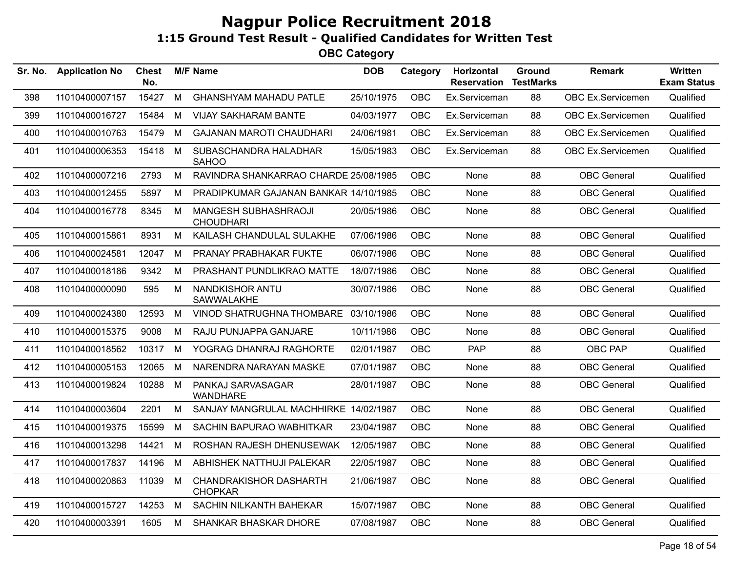| Sr. No. | <b>Application No</b> | <b>Chest</b><br>No. |   | <b>M/F Name</b>                                 | <b>DOB</b> | Category   | <b>Horizontal</b><br><b>Reservation</b> | Ground<br><b>TestMarks</b> | <b>Remark</b>      | Written<br><b>Exam Status</b> |
|---------|-----------------------|---------------------|---|-------------------------------------------------|------------|------------|-----------------------------------------|----------------------------|--------------------|-------------------------------|
| 398     | 11010400007157        | 15427               | M | <b>GHANSHYAM MAHADU PATLE</b>                   | 25/10/1975 | OBC        | Ex.Serviceman                           | 88                         | OBC Ex.Servicemen  | Qualified                     |
| 399     | 11010400016727        | 15484               | M | <b>VIJAY SAKHARAM BANTE</b>                     | 04/03/1977 | <b>OBC</b> | Ex.Serviceman                           | 88                         | OBC Ex.Servicemen  | Qualified                     |
| 400     | 11010400010763        | 15479               | M | <b>GAJANAN MAROTI CHAUDHARI</b>                 | 24/06/1981 | OBC        | Ex.Serviceman                           | 88                         | OBC Ex.Servicemen  | Qualified                     |
| 401     | 11010400006353        | 15418               | M | SUBASCHANDRA HALADHAR<br><b>SAHOO</b>           | 15/05/1983 | <b>OBC</b> | Ex.Serviceman                           | 88                         | OBC Ex.Servicemen  | Qualified                     |
| 402     | 11010400007216        | 2793                | M | RAVINDRA SHANKARRAO CHARDE 25/08/1985           |            | OBC        | None                                    | 88                         | <b>OBC</b> General | Qualified                     |
| 403     | 11010400012455        | 5897                | M | PRADIPKUMAR GAJANAN BANKAR 14/10/1985           |            | OBC        | None                                    | 88                         | <b>OBC</b> General | Qualified                     |
| 404     | 11010400016778        | 8345                | M | MANGESH SUBHASHRAOJI<br><b>CHOUDHARI</b>        | 20/05/1986 | OBC        | None                                    | 88                         | <b>OBC</b> General | Qualified                     |
| 405     | 11010400015861        | 8931                | M | KAILASH CHANDULAL SULAKHE                       | 07/06/1986 | <b>OBC</b> | None                                    | 88                         | <b>OBC</b> General | Qualified                     |
| 406     | 11010400024581        | 12047               | М | PRANAY PRABHAKAR FUKTE                          | 06/07/1986 | OBC        | None                                    | 88                         | <b>OBC</b> General | Qualified                     |
| 407     | 11010400018186        | 9342                | М | PRASHANT PUNDLIKRAO MATTE                       | 18/07/1986 | OBC        | None                                    | 88                         | <b>OBC</b> General | Qualified                     |
| 408     | 11010400000090        | 595                 | M | NANDKISHOR ANTU<br>SAWWALAKHE                   | 30/07/1986 | OBC        | None                                    | 88                         | <b>OBC</b> General | Qualified                     |
| 409     | 11010400024380        | 12593               | M | VINOD SHATRUGHNA THOMBARE 03/10/1986            |            | <b>OBC</b> | None                                    | 88                         | <b>OBC</b> General | Qualified                     |
| 410     | 11010400015375        | 9008                | M | RAJU PUNJAPPA GANJARE                           | 10/11/1986 | OBC        | None                                    | 88                         | <b>OBC</b> General | Qualified                     |
| 411     | 11010400018562        | 10317               | M | YOGRAG DHANRAJ RAGHORTE                         | 02/01/1987 | OBC        | <b>PAP</b>                              | 88                         | OBC PAP            | Qualified                     |
| 412     | 11010400005153        | 12065               | M | NARENDRA NARAYAN MASKE                          | 07/01/1987 | <b>OBC</b> | None                                    | 88                         | <b>OBC</b> General | Qualified                     |
| 413     | 11010400019824        | 10288               | M | PANKAJ SARVASAGAR<br><b>WANDHARE</b>            | 28/01/1987 | OBC        | None                                    | 88                         | <b>OBC</b> General | Qualified                     |
| 414     | 11010400003604        | 2201                | M | SANJAY MANGRULAL MACHHIRKE 14/02/1987           |            | OBC        | None                                    | 88                         | <b>OBC</b> General | Qualified                     |
| 415     | 11010400019375        | 15599               | М | SACHIN BAPURAO WABHITKAR                        | 23/04/1987 | OBC        | None                                    | 88                         | <b>OBC</b> General | Qualified                     |
| 416     | 11010400013298        | 14421               | M | ROSHAN RAJESH DHENUSEWAK                        | 12/05/1987 | OBC        | None                                    | 88                         | <b>OBC</b> General | Qualified                     |
| 417     | 11010400017837        | 14196               | M | ABHISHEK NATTHUJI PALEKAR                       | 22/05/1987 | OBC        | None                                    | 88                         | <b>OBC</b> General | Qualified                     |
| 418     | 11010400020863        | 11039               | M | <b>CHANDRAKISHOR DASHARTH</b><br><b>CHOPKAR</b> | 21/06/1987 | <b>OBC</b> | None                                    | 88                         | <b>OBC</b> General | Qualified                     |
| 419     | 11010400015727        | 14253               | M | SACHIN NILKANTH BAHEKAR                         | 15/07/1987 | OBC        | None                                    | 88                         | <b>OBC</b> General | Qualified                     |
| 420     | 11010400003391        | 1605                | M | SHANKAR BHASKAR DHORE                           | 07/08/1987 | OBC        | None                                    | 88                         | <b>OBC</b> General | Qualified                     |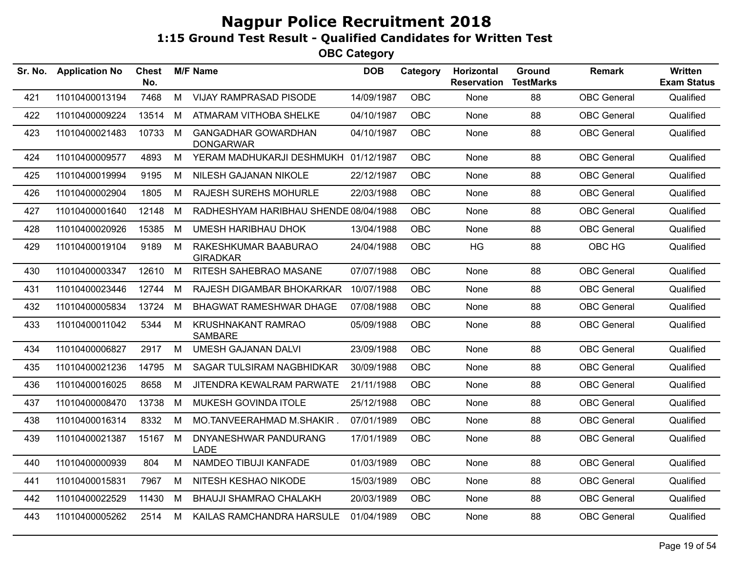| Sr. No. | <b>Application No</b> | <b>Chest</b><br>No. |   | <b>M/F Name</b>                                | <b>DOB</b> | Category   | Horizontal<br><b>Reservation</b> | Ground<br><b>TestMarks</b> | <b>Remark</b>      | Written<br><b>Exam Status</b> |
|---------|-----------------------|---------------------|---|------------------------------------------------|------------|------------|----------------------------------|----------------------------|--------------------|-------------------------------|
| 421     | 11010400013194        | 7468                | M | <b>VIJAY RAMPRASAD PISODE</b>                  | 14/09/1987 | <b>OBC</b> | None                             | 88                         | <b>OBC</b> General | Qualified                     |
| 422     | 11010400009224        | 13514               | M | ATMARAM VITHOBA SHELKE                         | 04/10/1987 | <b>OBC</b> | None                             | 88                         | <b>OBC</b> General | Qualified                     |
| 423     | 11010400021483        | 10733               | M | <b>GANGADHAR GOWARDHAN</b><br><b>DONGARWAR</b> | 04/10/1987 | OBC        | None                             | 88                         | <b>OBC</b> General | Qualified                     |
| 424     | 11010400009577        | 4893                | M | YERAM MADHUKARJI DESHMUKH 01/12/1987           |            | <b>OBC</b> | None                             | 88                         | <b>OBC</b> General | Qualified                     |
| 425     | 11010400019994        | 9195                | M | NILESH GAJANAN NIKOLE                          | 22/12/1987 | OBC        | None                             | 88                         | <b>OBC</b> General | Qualified                     |
| 426     | 11010400002904        | 1805                | M | <b>RAJESH SUREHS MOHURLE</b>                   | 22/03/1988 | <b>OBC</b> | None                             | 88                         | <b>OBC</b> General | Qualified                     |
| 427     | 11010400001640        | 12148               | М | RADHESHYAM HARIBHAU SHENDE 08/04/1988          |            | <b>OBC</b> | None                             | 88                         | <b>OBC</b> General | Qualified                     |
| 428     | 11010400020926        | 15385               | M | <b>UMESH HARIBHAU DHOK</b>                     | 13/04/1988 | OBC        | None                             | 88                         | <b>OBC</b> General | Qualified                     |
| 429     | 11010400019104        | 9189                | M | RAKESHKUMAR BAABURAO<br><b>GIRADKAR</b>        | 24/04/1988 | <b>OBC</b> | <b>HG</b>                        | 88                         | OBC HG             | Qualified                     |
| 430     | 11010400003347        | 12610               | M | RITESH SAHEBRAO MASANE                         | 07/07/1988 | OBC        | None                             | 88                         | <b>OBC</b> General | Qualified                     |
| 431     | 11010400023446        | 12744               | M | RAJESH DIGAMBAR BHOKARKAR                      | 10/07/1988 | <b>OBC</b> | None                             | 88                         | <b>OBC</b> General | Qualified                     |
| 432     | 11010400005834        | 13724               | M | BHAGWAT RAMESHWAR DHAGE                        | 07/08/1988 | <b>OBC</b> | None                             | 88                         | <b>OBC</b> General | Qualified                     |
| 433     | 11010400011042        | 5344                | M | KRUSHNAKANT RAMRAO<br><b>SAMBARE</b>           | 05/09/1988 | OBC        | None                             | 88                         | <b>OBC</b> General | Qualified                     |
| 434     | 11010400006827        | 2917                | M | <b>UMESH GAJANAN DALVI</b>                     | 23/09/1988 | <b>OBC</b> | None                             | 88                         | <b>OBC</b> General | Qualified                     |
| 435     | 11010400021236        | 14795               | M | SAGAR TULSIRAM NAGBHIDKAR                      | 30/09/1988 | <b>OBC</b> | None                             | 88                         | <b>OBC</b> General | Qualified                     |
| 436     | 11010400016025        | 8658                | M | JITENDRA KEWALRAM PARWATE                      | 21/11/1988 | OBC        | None                             | 88                         | <b>OBC</b> General | Qualified                     |
| 437     | 11010400008470        | 13738               | M | MUKESH GOVINDA ITOLE                           | 25/12/1988 | <b>OBC</b> | None                             | 88                         | <b>OBC</b> General | Qualified                     |
| 438     | 11010400016314        | 8332                | M | MO.TANVEERAHMAD M.SHAKIR.                      | 07/01/1989 | <b>OBC</b> | None                             | 88                         | <b>OBC</b> General | Qualified                     |
| 439     | 11010400021387        | 15167               | M | DNYANESHWAR PANDURANG<br><b>LADE</b>           | 17/01/1989 | <b>OBC</b> | None                             | 88                         | <b>OBC</b> General | Qualified                     |
| 440     | 11010400000939        | 804                 | M | NAMDEO TIBUJI KANFADE                          | 01/03/1989 | <b>OBC</b> | None                             | 88                         | <b>OBC</b> General | Qualified                     |
| 441     | 11010400015831        | 7967                | M | NITESH KESHAO NIKODE                           | 15/03/1989 | OBC        | None                             | 88                         | <b>OBC</b> General | Qualified                     |
| 442     | 11010400022529        | 11430               | M | <b>BHAUJI SHAMRAO CHALAKH</b>                  | 20/03/1989 | <b>OBC</b> | None                             | 88                         | <b>OBC</b> General | Qualified                     |
| 443     | 11010400005262        | 2514                | М | KAILAS RAMCHANDRA HARSULE                      | 01/04/1989 | <b>OBC</b> | None                             | 88                         | <b>OBC</b> General | Qualified                     |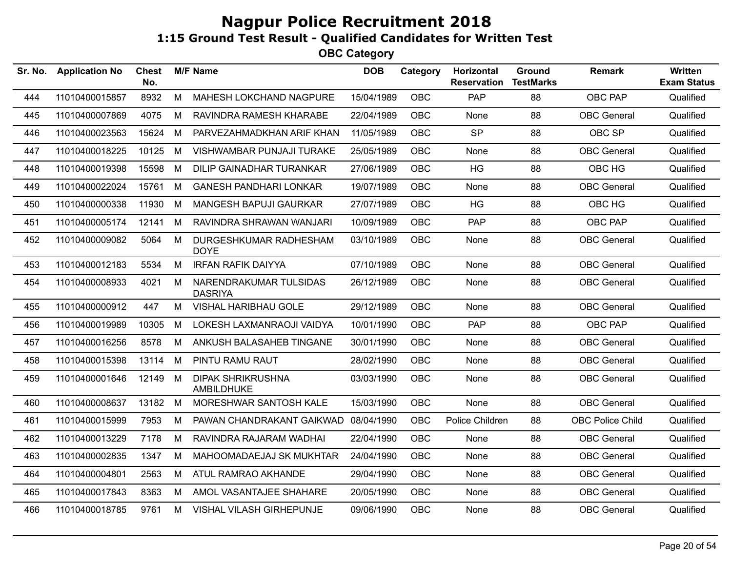| Sr. No. | <b>Application No</b> | <b>Chest</b><br>No. |   | <b>M/F Name</b>                          | <b>DOB</b> | Category   | Horizontal<br><b>Reservation</b> | Ground<br><b>TestMarks</b> | <b>Remark</b>      | <b>Written</b><br><b>Exam Status</b> |
|---------|-----------------------|---------------------|---|------------------------------------------|------------|------------|----------------------------------|----------------------------|--------------------|--------------------------------------|
| 444     | 11010400015857        | 8932                | M | MAHESH LOKCHAND NAGPURE                  | 15/04/1989 | <b>OBC</b> | PAP                              | 88                         | <b>OBC PAP</b>     | Qualified                            |
| 445     | 11010400007869        | 4075                | M | RAVINDRA RAMESH KHARABE                  | 22/04/1989 | <b>OBC</b> | None                             | 88                         | <b>OBC</b> General | Qualified                            |
| 446     | 11010400023563        | 15624               | M | PARVEZAHMADKHAN ARIF KHAN                | 11/05/1989 | <b>OBC</b> | <b>SP</b>                        | 88                         | OBC SP             | Qualified                            |
| 447     | 11010400018225        | 10125               | М | VISHWAMBAR PUNJAJI TURAKE                | 25/05/1989 | <b>OBC</b> | None                             | 88                         | <b>OBC</b> General | Qualified                            |
| 448     | 11010400019398        | 15598               | M | DILIP GAINADHAR TURANKAR                 | 27/06/1989 | <b>OBC</b> | <b>HG</b>                        | 88                         | OBC HG             | Qualified                            |
| 449     | 11010400022024        | 15761               | M | <b>GANESH PANDHARI LONKAR</b>            | 19/07/1989 | <b>OBC</b> | None                             | 88                         | <b>OBC</b> General | Qualified                            |
| 450     | 11010400000338        | 11930               | М | MANGESH BAPUJI GAURKAR                   | 27/07/1989 | <b>OBC</b> | <b>HG</b>                        | 88                         | OBC HG             | Qualified                            |
| 451     | 11010400005174        | 12141               | М | RAVINDRA SHRAWAN WANJARI                 | 10/09/1989 | <b>OBC</b> | <b>PAP</b>                       | 88                         | OBC PAP            | Qualified                            |
| 452     | 11010400009082        | 5064                | M | DURGESHKUMAR RADHESHAM<br><b>DOYE</b>    | 03/10/1989 | <b>OBC</b> | None                             | 88                         | <b>OBC</b> General | Qualified                            |
| 453     | 11010400012183        | 5534                | М | <b>IRFAN RAFIK DAIYYA</b>                | 07/10/1989 | <b>OBC</b> | None                             | 88                         | <b>OBC</b> General | Qualified                            |
| 454     | 11010400008933        | 4021                | M | NARENDRAKUMAR TULSIDAS<br><b>DASRIYA</b> | 26/12/1989 | OBC        | None                             | 88                         | <b>OBC</b> General | Qualified                            |
| 455     | 11010400000912        | 447                 | M | <b>VISHAL HARIBHAU GOLE</b>              | 29/12/1989 | <b>OBC</b> | None                             | 88                         | <b>OBC</b> General | Qualified                            |
| 456     | 11010400019989        | 10305               | М | LOKESH LAXMANRAOJI VAIDYA                | 10/01/1990 | <b>OBC</b> | <b>PAP</b>                       | 88                         | OBC PAP            | Qualified                            |
| 457     | 11010400016256        | 8578                | М | ANKUSH BALASAHEB TINGANE                 | 30/01/1990 | <b>OBC</b> | None                             | 88                         | <b>OBC</b> General | Qualified                            |
| 458     | 11010400015398        | 13114               | M | PINTU RAMU RAUT                          | 28/02/1990 | <b>OBC</b> | None                             | 88                         | <b>OBC</b> General | Qualified                            |
| 459     | 11010400001646        | 12149               | M | <b>DIPAK SHRIKRUSHNA</b><br>AMBILDHUKE   | 03/03/1990 | <b>OBC</b> | None                             | 88                         | <b>OBC</b> General | Qualified                            |
| 460     | 11010400008637        | 13182               | M | MORESHWAR SANTOSH KALE                   | 15/03/1990 | <b>OBC</b> | None                             | 88                         | <b>OBC</b> General | Qualified                            |
| 461     | 11010400015999        | 7953                | М | PAWAN CHANDRAKANT GAIKWAD                | 08/04/1990 | OBC        | Police Children                  | 88                         | OBC Police Child   | Qualified                            |
| 462     | 11010400013229        | 7178                | М | RAVINDRA RAJARAM WADHAI                  | 22/04/1990 | <b>OBC</b> | None                             | 88                         | <b>OBC</b> General | Qualified                            |
| 463     | 11010400002835        | 1347                | M | MAHOOMADAEJAJ SK MUKHTAR                 | 24/04/1990 | <b>OBC</b> | None                             | 88                         | <b>OBC</b> General | Qualified                            |
| 464     | 11010400004801        | 2563                | M | ATUL RAMRAO AKHANDE                      | 29/04/1990 | <b>OBC</b> | None                             | 88                         | <b>OBC</b> General | Qualified                            |
| 465     | 11010400017843        | 8363                | М | AMOL VASANTAJEE SHAHARE                  | 20/05/1990 | <b>OBC</b> | None                             | 88                         | <b>OBC</b> General | Qualified                            |
| 466     | 11010400018785        | 9761                | М | VISHAL VILASH GIRHEPUNJE                 | 09/06/1990 | <b>OBC</b> | None                             | 88                         | <b>OBC</b> General | Qualified                            |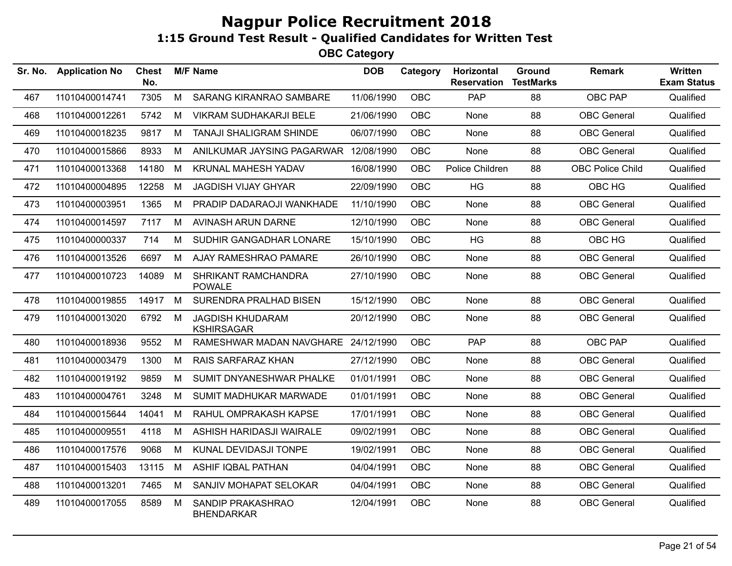| Sr. No. | <b>Application No</b> | Chest<br>No. |   | <b>M/F Name</b>                              | <b>DOB</b> | Category   | Horizontal<br><b>Reservation</b> | Ground<br><b>TestMarks</b> | <b>Remark</b>           | <b>Written</b><br><b>Exam Status</b> |
|---------|-----------------------|--------------|---|----------------------------------------------|------------|------------|----------------------------------|----------------------------|-------------------------|--------------------------------------|
| 467     | 11010400014741        | 7305         | M | SARANG KIRANRAO SAMBARE                      | 11/06/1990 | OBC        | PAP                              | 88                         | <b>OBC PAP</b>          | Qualified                            |
| 468     | 11010400012261        | 5742         | M | <b>VIKRAM SUDHAKARJI BELE</b>                | 21/06/1990 | OBC        | None                             | 88                         | <b>OBC</b> General      | Qualified                            |
| 469     | 11010400018235        | 9817         | М | <b>TANAJI SHALIGRAM SHINDE</b>               | 06/07/1990 | <b>OBC</b> | None                             | 88                         | <b>OBC</b> General      | Qualified                            |
| 470     | 11010400015866        | 8933         | M | ANILKUMAR JAYSING PAGARWAR 12/08/1990        |            | <b>OBC</b> | <b>None</b>                      | 88                         | <b>OBC</b> General      | Qualified                            |
| 471     | 11010400013368        | 14180        | M | KRUNAL MAHESH YADAV                          | 16/08/1990 | <b>OBC</b> | Police Children                  | 88                         | <b>OBC Police Child</b> | Qualified                            |
| 472     | 11010400004895        | 12258        | M | <b>JAGDISH VIJAY GHYAR</b>                   | 22/09/1990 | <b>OBC</b> | HG                               | 88                         | OBC HG                  | Qualified                            |
| 473     | 11010400003951        | 1365         | M | PRADIP DADARAOJI WANKHADE                    | 11/10/1990 | <b>OBC</b> | None                             | 88                         | <b>OBC</b> General      | Qualified                            |
| 474     | 11010400014597        | 7117         | М | AVINASH ARUN DARNE                           | 12/10/1990 | <b>OBC</b> | None                             | 88                         | <b>OBC</b> General      | Qualified                            |
| 475     | 11010400000337        | 714          | M | SUDHIR GANGADHAR LONARE                      | 15/10/1990 | OBC.       | <b>HG</b>                        | 88                         | OBC HG                  | Qualified                            |
| 476     | 11010400013526        | 6697         | M | AJAY RAMESHRAO PAMARE                        | 26/10/1990 | <b>OBC</b> | None                             | 88                         | <b>OBC</b> General      | Qualified                            |
| 477     | 11010400010723        | 14089        | M | SHRIKANT RAMCHANDRA<br><b>POWALE</b>         | 27/10/1990 | OBC        | None                             | 88                         | <b>OBC</b> General      | Qualified                            |
| 478     | 11010400019855        | 14917        | M | <b>SURENDRA PRALHAD BISEN</b>                | 15/12/1990 | OBC        | None                             | 88                         | <b>OBC</b> General      | Qualified                            |
| 479     | 11010400013020        | 6792         | M | <b>JAGDISH KHUDARAM</b><br><b>KSHIRSAGAR</b> | 20/12/1990 | <b>OBC</b> | None                             | 88                         | <b>OBC</b> General      | Qualified                            |
| 480     | 11010400018936        | 9552         | М | RAMESHWAR MADAN NAVGHARE                     | 24/12/1990 | OBC        | <b>PAP</b>                       | 88                         | OBC PAP                 | Qualified                            |
| 481     | 11010400003479        | 1300         | M | RAIS SARFARAZ KHAN                           | 27/12/1990 | <b>OBC</b> | None                             | 88                         | <b>OBC</b> General      | Qualified                            |
| 482     | 11010400019192        | 9859         | M | SUMIT DNYANESHWAR PHALKE                     | 01/01/1991 | <b>OBC</b> | None                             | 88                         | <b>OBC</b> General      | Qualified                            |
| 483     | 11010400004761        | 3248         | М | SUMIT MADHUKAR MARWADE                       | 01/01/1991 | <b>OBC</b> | None                             | 88                         | <b>OBC</b> General      | Qualified                            |
| 484     | 11010400015644        | 14041        | M | RAHUL OMPRAKASH KAPSE                        | 17/01/1991 | <b>OBC</b> | None                             | 88                         | <b>OBC</b> General      | Qualified                            |
| 485     | 11010400009551        | 4118         | M | ASHISH HARIDASJI WAIRALE                     | 09/02/1991 | <b>OBC</b> | <b>None</b>                      | 88                         | <b>OBC</b> General      | Qualified                            |
| 486     | 11010400017576        | 9068         | М | KUNAL DEVIDASJI TONPE                        | 19/02/1991 | <b>OBC</b> | None                             | 88                         | <b>OBC</b> General      | Qualified                            |
| 487     | 11010400015403        | 13115        | M | <b>ASHIF IQBAL PATHAN</b>                    | 04/04/1991 | <b>OBC</b> | None                             | 88                         | <b>OBC</b> General      | Qualified                            |
| 488     | 11010400013201        | 7465         | M | SANJIV MOHAPAT SELOKAR                       | 04/04/1991 | <b>OBC</b> | None                             | 88                         | <b>OBC</b> General      | Qualified                            |
| 489     | 11010400017055        | 8589         | M | SANDIP PRAKASHRAO<br><b>BHENDARKAR</b>       | 12/04/1991 | OBC        | None                             | 88                         | <b>OBC</b> General      | Qualified                            |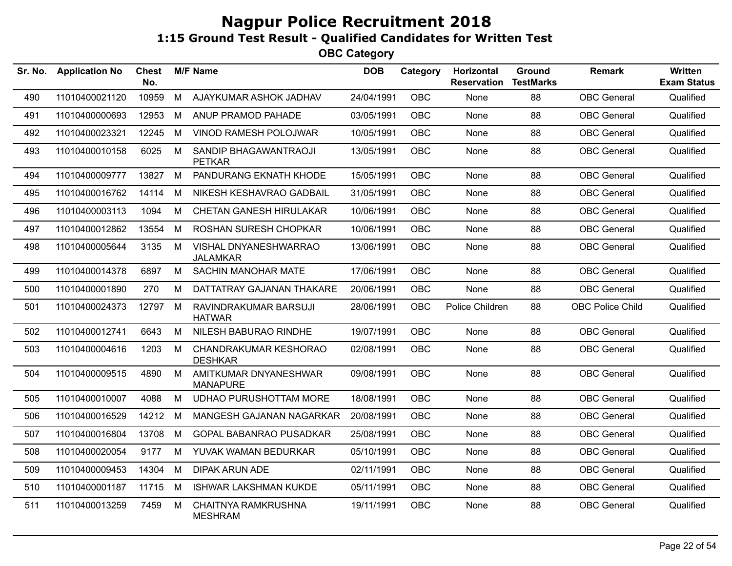| Sr. No. | <b>Application No</b> | <b>Chest</b><br>No. |   | <b>M/F Name</b>                              | <b>DOB</b> | Category   | Horizontal<br><b>Reservation</b> | Ground<br><b>TestMarks</b> | <b>Remark</b>           | <b>Written</b><br><b>Exam Status</b> |
|---------|-----------------------|---------------------|---|----------------------------------------------|------------|------------|----------------------------------|----------------------------|-------------------------|--------------------------------------|
| 490     | 11010400021120        | 10959               | M | AJAYKUMAR ASHOK JADHAV                       | 24/04/1991 | <b>OBC</b> | None                             | 88                         | <b>OBC</b> General      | Qualified                            |
| 491     | 11010400000693        | 12953               | M | ANUP PRAMOD PAHADE                           | 03/05/1991 | <b>OBC</b> | None                             | 88                         | <b>OBC</b> General      | Qualified                            |
| 492     | 11010400023321        | 12245               | М | VINOD RAMESH POLOJWAR                        | 10/05/1991 | <b>OBC</b> | None                             | 88                         | <b>OBC</b> General      | Qualified                            |
| 493     | 11010400010158        | 6025                | M | SANDIP BHAGAWANTRAOJI<br><b>PETKAR</b>       | 13/05/1991 | <b>OBC</b> | None                             | 88                         | <b>OBC</b> General      | Qualified                            |
| 494     | 11010400009777        | 13827               | М | PANDURANG EKNATH KHODE                       | 15/05/1991 | <b>OBC</b> | None                             | 88                         | <b>OBC</b> General      | Qualified                            |
| 495     | 11010400016762        | 14114               | М | NIKESH KESHAVRAO GADBAIL                     | 31/05/1991 | <b>OBC</b> | None                             | 88                         | <b>OBC</b> General      | Qualified                            |
| 496     | 11010400003113        | 1094                | М | CHETAN GANESH HIRULAKAR                      | 10/06/1991 | <b>OBC</b> | <b>None</b>                      | 88                         | <b>OBC</b> General      | Qualified                            |
| 497     | 11010400012862        | 13554               | М | ROSHAN SURESH CHOPKAR                        | 10/06/1991 | <b>OBC</b> | None                             | 88                         | <b>OBC</b> General      | Qualified                            |
| 498     | 11010400005644        | 3135                | M | VISHAL DNYANESHWARRAO<br><b>JALAMKAR</b>     | 13/06/1991 | <b>OBC</b> | None                             | 88                         | <b>OBC</b> General      | Qualified                            |
| 499     | 11010400014378        | 6897                | М | <b>SACHIN MANOHAR MATE</b>                   | 17/06/1991 | <b>OBC</b> | None                             | 88                         | <b>OBC</b> General      | Qualified                            |
| 500     | 11010400001890        | 270                 | м | DATTATRAY GAJANAN THAKARE                    | 20/06/1991 | <b>OBC</b> | None                             | 88                         | <b>OBC</b> General      | Qualified                            |
| 501     | 11010400024373        | 12797               | М | RAVINDRAKUMAR BARSUJI<br><b>HATWAR</b>       | 28/06/1991 | <b>OBC</b> | Police Children                  | 88                         | <b>OBC Police Child</b> | Qualified                            |
| 502     | 11010400012741        | 6643                | M | NILESH BABURAO RINDHE                        | 19/07/1991 | <b>OBC</b> | None                             | 88                         | <b>OBC</b> General      | Qualified                            |
| 503     | 11010400004616        | 1203                | М | CHANDRAKUMAR KESHORAO<br><b>DESHKAR</b>      | 02/08/1991 | <b>OBC</b> | None                             | 88                         | <b>OBC</b> General      | Qualified                            |
| 504     | 11010400009515        | 4890                | М | AMITKUMAR DNYANESHWAR<br><b>MANAPURE</b>     | 09/08/1991 | <b>OBC</b> | None                             | 88                         | <b>OBC</b> General      | Qualified                            |
| 505     | 11010400010007        | 4088                | м | <b>UDHAO PURUSHOTTAM MORE</b>                | 18/08/1991 | <b>OBC</b> | None                             | 88                         | <b>OBC</b> General      | Qualified                            |
| 506     | 11010400016529        | 14212               | M | MANGESH GAJANAN NAGARKAR                     | 20/08/1991 | <b>OBC</b> | None                             | 88                         | <b>OBC</b> General      | Qualified                            |
| 507     | 11010400016804        | 13708               | м | GOPAL BABANRAO PUSADKAR                      | 25/08/1991 | <b>OBC</b> | None                             | 88                         | <b>OBC</b> General      | Qualified                            |
| 508     | 11010400020054        | 9177                | M | YUVAK WAMAN BEDURKAR                         | 05/10/1991 | <b>OBC</b> | None                             | 88                         | <b>OBC</b> General      | Qualified                            |
| 509     | 11010400009453        | 14304               | M | <b>DIPAK ARUN ADE</b>                        | 02/11/1991 | <b>OBC</b> | None                             | 88                         | <b>OBC</b> General      | Qualified                            |
| 510     | 11010400001187        | 11715               | М | <b>ISHWAR LAKSHMAN KUKDE</b>                 | 05/11/1991 | <b>OBC</b> | None                             | 88                         | <b>OBC</b> General      | Qualified                            |
| 511     | 11010400013259        | 7459                | M | <b>CHAITNYA RAMKRUSHNA</b><br><b>MESHRAM</b> | 19/11/1991 | <b>OBC</b> | None                             | 88                         | <b>OBC</b> General      | Qualified                            |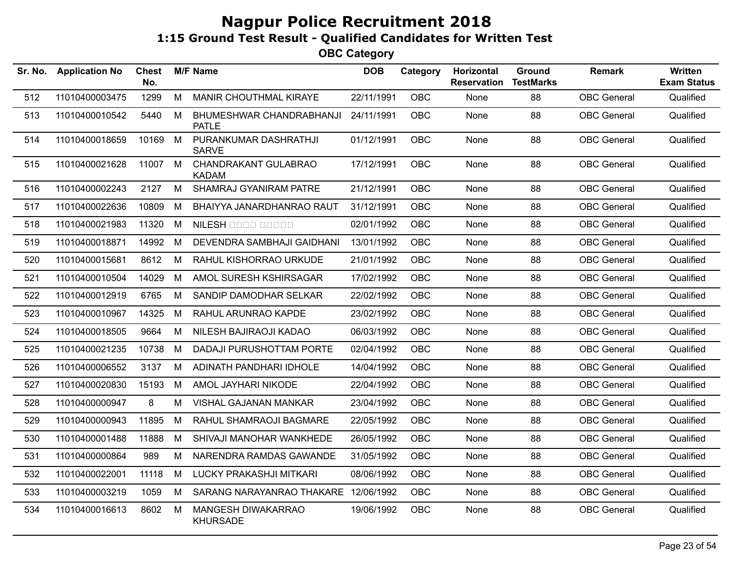| Sr. No. | <b>Application No</b> | <b>Chest</b><br>No. |   | <b>M/F Name</b>                          | <b>DOB</b> | Category   | Horizontal<br><b>Reservation</b> | Ground<br><b>TestMarks</b> | <b>Remark</b>      | Written<br><b>Exam Status</b> |
|---------|-----------------------|---------------------|---|------------------------------------------|------------|------------|----------------------------------|----------------------------|--------------------|-------------------------------|
| 512     | 11010400003475        | 1299                | M | MANIR CHOUTHMAL KIRAYE                   | 22/11/1991 | <b>OBC</b> | None                             | 88                         | <b>OBC</b> General | Qualified                     |
| 513     | 11010400010542        | 5440                | M | BHUMESHWAR CHANDRABHANJI<br><b>PATLE</b> | 24/11/1991 | OBC        | None                             | 88                         | <b>OBC</b> General | Qualified                     |
| 514     | 11010400018659        | 10169               | M | PURANKUMAR DASHRATHJI<br><b>SARVE</b>    | 01/12/1991 | OBC        | None                             | 88                         | <b>OBC</b> General | Qualified                     |
| 515     | 11010400021628        | 11007               | M | CHANDRAKANT GULABRAO<br><b>KADAM</b>     | 17/12/1991 | <b>OBC</b> | None                             | 88                         | <b>OBC</b> General | Qualified                     |
| 516     | 11010400002243        | 2127                | M | SHAMRAJ GYANIRAM PATRE                   | 21/12/1991 | <b>OBC</b> | None                             | 88                         | <b>OBC</b> General | Qualified                     |
| 517     | 11010400022636        | 10809               | M | BHAIYYA JANARDHANRAO RAUT                | 31/12/1991 | <b>OBC</b> | None                             | 88                         | <b>OBC</b> General | Qualified                     |
| 518     | 11010400021983        | 11320               | M | NILESH 0000 00000                        | 02/01/1992 | <b>OBC</b> | None                             | 88                         | <b>OBC</b> General | Qualified                     |
| 519     | 11010400018871        | 14992               | M | DEVENDRA SAMBHAJI GAIDHANI               | 13/01/1992 | <b>OBC</b> | None                             | 88                         | <b>OBC</b> General | Qualified                     |
| 520     | 11010400015681        | 8612                | М | RAHUL KISHORRAO URKUDE                   | 21/01/1992 | OBC        | None                             | 88                         | <b>OBC</b> General | Qualified                     |
| 521     | 11010400010504        | 14029               | M | AMOL SURESH KSHIRSAGAR                   | 17/02/1992 | <b>OBC</b> | None                             | 88                         | <b>OBC</b> General | Qualified                     |
| 522     | 11010400012919        | 6765                | M | SANDIP DAMODHAR SELKAR                   | 22/02/1992 | OBC        | None                             | 88                         | <b>OBC</b> General | Qualified                     |
| 523     | 11010400010967        | 14325               | M | RAHUL ARUNRAO KAPDE                      | 23/02/1992 | OBC        | None                             | 88                         | <b>OBC</b> General | Qualified                     |
| 524     | 11010400018505        | 9664                | M | NILESH BAJIRAOJI KADAO                   | 06/03/1992 | <b>OBC</b> | None                             | 88                         | <b>OBC</b> General | Qualified                     |
| 525     | 11010400021235        | 10738               | M | DADAJI PURUSHOTTAM PORTE                 | 02/04/1992 | OBC        | None                             | 88                         | <b>OBC</b> General | Qualified                     |
| 526     | 11010400006552        | 3137                | M | ADINATH PANDHARI IDHOLE                  | 14/04/1992 | OBC        | None                             | 88                         | <b>OBC</b> General | Qualified                     |
| 527     | 11010400020830        | 15193               | М | AMOL JAYHARI NIKODE                      | 22/04/1992 | <b>OBC</b> | None                             | 88                         | <b>OBC</b> General | Qualified                     |
| 528     | 11010400000947        | 8                   | M | <b>VISHAL GAJANAN MANKAR</b>             | 23/04/1992 | <b>OBC</b> | None                             | 88                         | <b>OBC</b> General | Qualified                     |
| 529     | 11010400000943        | 11895               | M | RAHUL SHAMRAOJI BAGMARE                  | 22/05/1992 | <b>OBC</b> | None                             | 88                         | <b>OBC</b> General | Qualified                     |
| 530     | 11010400001488        | 11888               | M | SHIVAJI MANOHAR WANKHEDE                 | 26/05/1992 | <b>OBC</b> | None                             | 88                         | <b>OBC</b> General | Qualified                     |
| 531     | 11010400000864        | 989                 | M | NARENDRA RAMDAS GAWANDE                  | 31/05/1992 | OBC        | None                             | 88                         | <b>OBC General</b> | Qualified                     |
| 532     | 11010400022001        | 11118               | M | LUCKY PRAKASHJI MITKARI                  | 08/06/1992 | <b>OBC</b> | None                             | 88                         | <b>OBC</b> General | Qualified                     |
| 533     | 11010400003219        | 1059                | M | SARANG NARAYANRAO THAKARE 12/06/1992     |            | <b>OBC</b> | None                             | 88                         | <b>OBC</b> General | Qualified                     |
| 534     | 11010400016613        | 8602                | M | MANGESH DIWAKARRAO<br><b>KHURSADE</b>    | 19/06/1992 | OBC        | None                             | 88                         | <b>OBC</b> General | Qualified                     |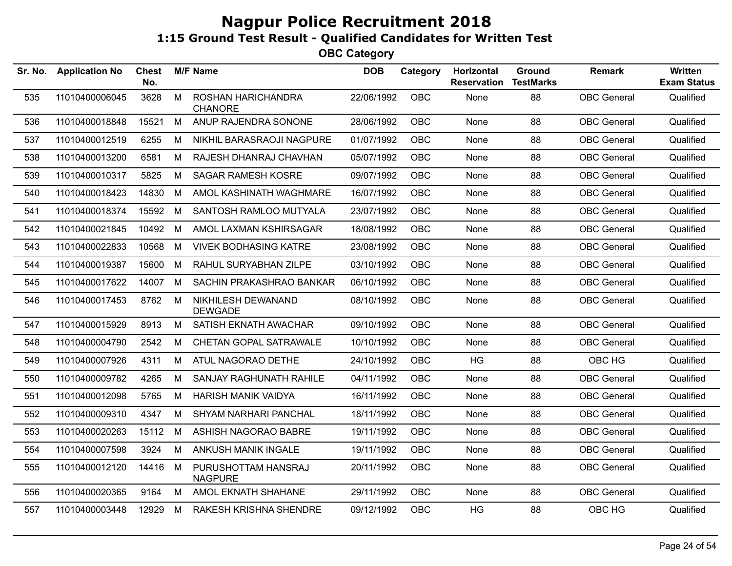| Sr. No. | <b>Application No</b> | <b>Chest</b><br>No. |   | <b>M/F Name</b>                       | <b>DOB</b> | Category   | Horizontal<br><b>Reservation</b> | Ground<br><b>TestMarks</b> | <b>Remark</b>      | <b>Written</b><br><b>Exam Status</b> |
|---------|-----------------------|---------------------|---|---------------------------------------|------------|------------|----------------------------------|----------------------------|--------------------|--------------------------------------|
| 535     | 11010400006045        | 3628                | M | ROSHAN HARICHANDRA<br><b>CHANORE</b>  | 22/06/1992 | OBC        | None                             | 88                         | <b>OBC</b> General | Qualified                            |
| 536     | 11010400018848        | 15521               | M | ANUP RAJENDRA SONONE                  | 28/06/1992 | OBC        | None                             | 88                         | <b>OBC</b> General | Qualified                            |
| 537     | 11010400012519        | 6255                | M | NIKHIL BARASRAOJI NAGPURE             | 01/07/1992 | <b>OBC</b> | None                             | 88                         | <b>OBC</b> General | Qualified                            |
| 538     | 11010400013200        | 6581                | М | RAJESH DHANRAJ CHAVHAN                | 05/07/1992 | <b>OBC</b> | None                             | 88                         | <b>OBC</b> General | Qualified                            |
| 539     | 11010400010317        | 5825                | M | <b>SAGAR RAMESH KOSRE</b>             | 09/07/1992 | <b>OBC</b> | None                             | 88                         | <b>OBC</b> General | Qualified                            |
| 540     | 11010400018423        | 14830               | M | AMOL KASHINATH WAGHMARE               | 16/07/1992 | <b>OBC</b> | None                             | 88                         | <b>OBC</b> General | Qualified                            |
| 541     | 11010400018374        | 15592               | М | SANTOSH RAMLOO MUTYALA                | 23/07/1992 | <b>OBC</b> | None                             | 88                         | <b>OBC</b> General | Qualified                            |
| 542     | 11010400021845        | 10492               | M | AMOL LAXMAN KSHIRSAGAR                | 18/08/1992 | <b>OBC</b> | None                             | 88                         | <b>OBC</b> General | Qualified                            |
| 543     | 11010400022833        | 10568               | M | <b>VIVEK BODHASING KATRE</b>          | 23/08/1992 | <b>OBC</b> | None                             | 88                         | <b>OBC</b> General | Qualified                            |
| 544     | 11010400019387        | 15600               | M | RAHUL SURYABHAN ZILPE                 | 03/10/1992 | <b>OBC</b> | None                             | 88                         | <b>OBC</b> General | Qualified                            |
| 545     | 11010400017622        | 14007               | М | SACHIN PRAKASHRAO BANKAR              | 06/10/1992 | <b>OBC</b> | None                             | 88                         | <b>OBC</b> General | Qualified                            |
| 546     | 11010400017453        | 8762                | M | NIKHILESH DEWANAND<br><b>DEWGADE</b>  | 08/10/1992 | <b>OBC</b> | None                             | 88                         | <b>OBC</b> General | Qualified                            |
| 547     | 11010400015929        | 8913                | M | SATISH EKNATH AWACHAR                 | 09/10/1992 | <b>OBC</b> | None                             | 88                         | <b>OBC</b> General | Qualified                            |
| 548     | 11010400004790        | 2542                | М | CHETAN GOPAL SATRAWALE                | 10/10/1992 | <b>OBC</b> | None                             | 88                         | <b>OBC</b> General | Qualified                            |
| 549     | 11010400007926        | 4311                | M | ATUL NAGORAO DETHE                    | 24/10/1992 | <b>OBC</b> | <b>HG</b>                        | 88                         | OBC HG             | Qualified                            |
| 550     | 11010400009782        | 4265                | М | SANJAY RAGHUNATH RAHILE               | 04/11/1992 | <b>OBC</b> | None                             | 88                         | <b>OBC</b> General | Qualified                            |
| 551     | 11010400012098        | 5765                | М | <b>HARISH MANIK VAIDYA</b>            | 16/11/1992 | <b>OBC</b> | None                             | 88                         | <b>OBC</b> General | Qualified                            |
| 552     | 11010400009310        | 4347                | M | SHYAM NARHARI PANCHAL                 | 18/11/1992 | <b>OBC</b> | None                             | 88                         | <b>OBC</b> General | Qualified                            |
| 553     | 11010400020263        | 15112               | M | ASHISH NAGORAO BABRE                  | 19/11/1992 | <b>OBC</b> | None                             | 88                         | <b>OBC</b> General | Qualified                            |
| 554     | 11010400007598        | 3924                | М | ANKUSH MANIK INGALE                   | 19/11/1992 | <b>OBC</b> | None                             | 88                         | <b>OBC</b> General | Qualified                            |
| 555     | 11010400012120        | 14416               | M | PURUSHOTTAM HANSRAJ<br><b>NAGPURE</b> | 20/11/1992 | OBC        | None                             | 88                         | <b>OBC</b> General | Qualified                            |
| 556     | 11010400020365        | 9164                | M | AMOL EKNATH SHAHANE                   | 29/11/1992 | <b>OBC</b> | None                             | 88                         | <b>OBC</b> General | Qualified                            |
| 557     | 11010400003448        | 12929               | M | RAKESH KRISHNA SHENDRE                | 09/12/1992 | <b>OBC</b> | HG                               | 88                         | OBC HG             | Qualified                            |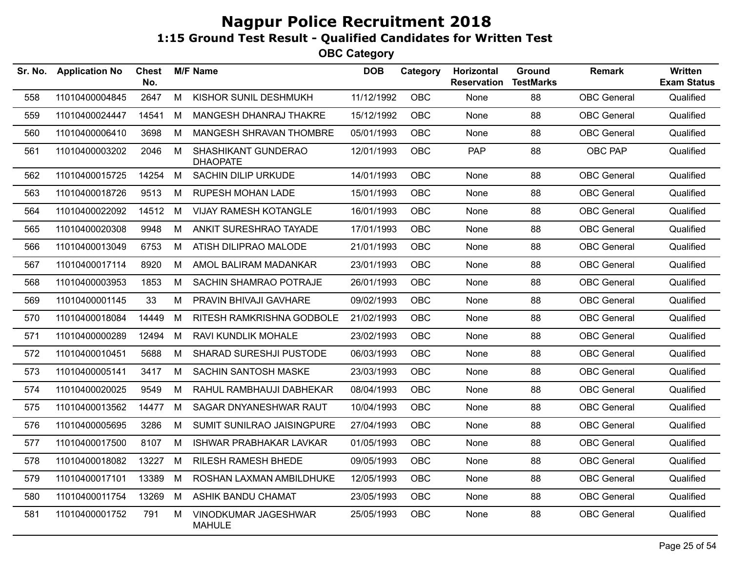| Sr. No. | <b>Application No</b> | <b>Chest</b><br>No. |   | <b>M/F Name</b>                        | <b>DOB</b> | Category   | Horizontal<br><b>Reservation</b> | Ground<br><b>TestMarks</b> | <b>Remark</b>      | Written<br><b>Exam Status</b> |
|---------|-----------------------|---------------------|---|----------------------------------------|------------|------------|----------------------------------|----------------------------|--------------------|-------------------------------|
| 558     | 11010400004845        | 2647                | M | KISHOR SUNIL DESHMUKH                  | 11/12/1992 | OBC        | None                             | 88                         | <b>OBC</b> General | Qualified                     |
| 559     | 11010400024447        | 14541               | M | MANGESH DHANRAJ THAKRE                 | 15/12/1992 | OBC        | None                             | 88                         | <b>OBC</b> General | Qualified                     |
| 560     | 11010400006410        | 3698                | M | MANGESH SHRAVAN THOMBRE                | 05/01/1993 | <b>OBC</b> | None                             | 88                         | <b>OBC</b> General | Qualified                     |
| 561     | 11010400003202        | 2046                | M | SHASHIKANT GUNDERAO<br><b>DHAOPATE</b> | 12/01/1993 | <b>OBC</b> | <b>PAP</b>                       | 88                         | <b>OBC PAP</b>     | Qualified                     |
| 562     | 11010400015725        | 14254               | M | SACHIN DILIP URKUDE                    | 14/01/1993 | <b>OBC</b> | None                             | 88                         | <b>OBC</b> General | Qualified                     |
| 563     | 11010400018726        | 9513                | M | <b>RUPESH MOHAN LADE</b>               | 15/01/1993 | <b>OBC</b> | None                             | 88                         | <b>OBC</b> General | Qualified                     |
| 564     | 11010400022092        | 14512               | M | <b>VIJAY RAMESH KOTANGLE</b>           | 16/01/1993 | <b>OBC</b> | None                             | 88                         | <b>OBC</b> General | Qualified                     |
| 565     | 11010400020308        | 9948                | M | ANKIT SURESHRAO TAYADE                 | 17/01/1993 | <b>OBC</b> | None                             | 88                         | <b>OBC</b> General | Qualified                     |
| 566     | 11010400013049        | 6753                | M | ATISH DILIPRAO MALODE                  | 21/01/1993 | <b>OBC</b> | None                             | 88                         | <b>OBC</b> General | Qualified                     |
| 567     | 11010400017114        | 8920                | M | AMOL BALIRAM MADANKAR                  | 23/01/1993 | <b>OBC</b> | None                             | 88                         | <b>OBC</b> General | Qualified                     |
| 568     | 11010400003953        | 1853                | M | SACHIN SHAMRAO POTRAJE                 | 26/01/1993 | <b>OBC</b> | None                             | 88                         | <b>OBC</b> General | Qualified                     |
| 569     | 11010400001145        | 33                  | M | PRAVIN BHIVAJI GAVHARE                 | 09/02/1993 | <b>OBC</b> | None                             | 88                         | <b>OBC</b> General | Qualified                     |
| 570     | 11010400018084        | 14449               | М | RITESH RAMKRISHNA GODBOLE              | 21/02/1993 | <b>OBC</b> | None                             | 88                         | <b>OBC</b> General | Qualified                     |
| 571     | 11010400000289        | 12494               | M | RAVI KUNDLIK MOHALE                    | 23/02/1993 | <b>OBC</b> | None                             | 88                         | <b>OBC</b> General | Qualified                     |
| 572     | 11010400010451        | 5688                | M | SHARAD SURESHJI PUSTODE                | 06/03/1993 | <b>OBC</b> | None                             | 88                         | <b>OBC</b> General | Qualified                     |
| 573     | 11010400005141        | 3417                | M | <b>SACHIN SANTOSH MASKE</b>            | 23/03/1993 | <b>OBC</b> | None                             | 88                         | <b>OBC</b> General | Qualified                     |
| 574     | 11010400020025        | 9549                | М | RAHUL RAMBHAUJI DABHEKAR               | 08/04/1993 | <b>OBC</b> | None                             | 88                         | <b>OBC</b> General | Qualified                     |
| 575     | 11010400013562        | 14477               | M | SAGAR DNYANESHWAR RAUT                 | 10/04/1993 | <b>OBC</b> | None                             | 88                         | <b>OBC</b> General | Qualified                     |
| 576     | 11010400005695        | 3286                | M | SUMIT SUNILRAO JAISINGPURE             | 27/04/1993 | <b>OBC</b> | None                             | 88                         | <b>OBC</b> General | Qualified                     |
| 577     | 11010400017500        | 8107                | M | <b>ISHWAR PRABHAKAR LAVKAR</b>         | 01/05/1993 | OBC        | None                             | 88                         | <b>OBC</b> General | Qualified                     |
| 578     | 11010400018082        | 13227               | M | <b>RILESH RAMESH BHEDE</b>             | 09/05/1993 | <b>OBC</b> | None                             | 88                         | <b>OBC</b> General | Qualified                     |
| 579     | 11010400017101        | 13389               | M | ROSHAN LAXMAN AMBILDHUKE               | 12/05/1993 | OBC        | None                             | 88                         | <b>OBC</b> General | Qualified                     |
| 580     | 11010400011754        | 13269               | M | <b>ASHIK BANDU CHAMAT</b>              | 23/05/1993 | OBC        | None                             | 88                         | <b>OBC</b> General | Qualified                     |
| 581     | 11010400001752        | 791                 | M | VINODKUMAR JAGESHWAR<br><b>MAHULE</b>  | 25/05/1993 | <b>OBC</b> | None                             | 88                         | <b>OBC</b> General | Qualified                     |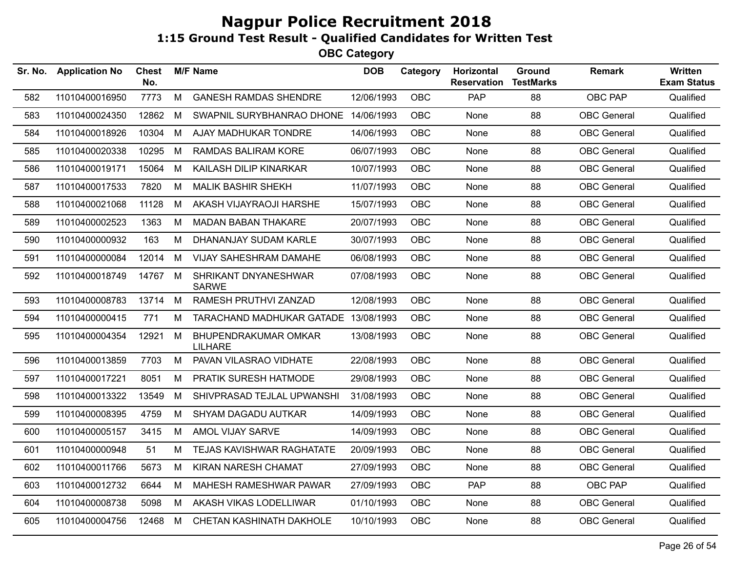| Sr. No. | <b>Application No</b> | <b>Chest</b><br>No. |   | <b>M/F Name</b>                        | <b>DOB</b> | Category   | Horizontal<br><b>Reservation</b> | Ground<br><b>TestMarks</b> | <b>Remark</b>      | Written<br><b>Exam Status</b> |
|---------|-----------------------|---------------------|---|----------------------------------------|------------|------------|----------------------------------|----------------------------|--------------------|-------------------------------|
| 582     | 11010400016950        | 7773                | M | <b>GANESH RAMDAS SHENDRE</b>           | 12/06/1993 | <b>OBC</b> | <b>PAP</b>                       | 88                         | <b>OBC PAP</b>     | Qualified                     |
| 583     | 11010400024350        | 12862               | M | SWAPNIL SURYBHANRAO DHONE 14/06/1993   |            | <b>OBC</b> | None                             | 88                         | <b>OBC</b> General | Qualified                     |
| 584     | 11010400018926        | 10304               | M | AJAY MADHUKAR TONDRE                   | 14/06/1993 | <b>OBC</b> | None                             | 88                         | <b>OBC</b> General | Qualified                     |
| 585     | 11010400020338        | 10295               | M | RAMDAS BALIRAM KORE                    | 06/07/1993 | OBC        | None                             | 88                         | <b>OBC</b> General | Qualified                     |
| 586     | 11010400019171        | 15064               | M | KAILASH DILIP KINARKAR                 | 10/07/1993 | <b>OBC</b> | None                             | 88                         | <b>OBC</b> General | Qualified                     |
| 587     | 11010400017533        | 7820                | M | <b>MALIK BASHIR SHEKH</b>              | 11/07/1993 | OBC        | None                             | 88                         | <b>OBC</b> General | Qualified                     |
| 588     | 11010400021068        | 11128               | M | AKASH VIJAYRAOJI HARSHE                | 15/07/1993 | OBC        | None                             | 88                         | <b>OBC</b> General | Qualified                     |
| 589     | 11010400002523        | 1363                | M | <b>MADAN BABAN THAKARE</b>             | 20/07/1993 | OBC        | None                             | 88                         | <b>OBC</b> General | Qualified                     |
| 590     | 11010400000932        | 163                 | M | DHANANJAY SUDAM KARLE                  | 30/07/1993 | OBC        | None                             | 88                         | <b>OBC</b> General | Qualified                     |
| 591     | 11010400000084        | 12014               | М | VIJAY SAHESHRAM DAMAHE                 | 06/08/1993 | OBC        | None                             | 88                         | <b>OBC</b> General | Qualified                     |
| 592     | 11010400018749        | 14767               | M | SHRIKANT DNYANESHWAR<br><b>SARWE</b>   | 07/08/1993 | OBC        | None                             | 88                         | <b>OBC</b> General | Qualified                     |
| 593     | 11010400008783        | 13714               | M | RAMESH PRUTHVI ZANZAD                  | 12/08/1993 | OBC        | None                             | 88                         | <b>OBC</b> General | Qualified                     |
| 594     | 11010400000415        | 771                 | M | TARACHAND MADHUKAR GATADE 13/08/1993   |            | OBC        | None                             | 88                         | <b>OBC</b> General | Qualified                     |
| 595     | 11010400004354        | 12921               | M | BHUPENDRAKUMAR OMKAR<br><b>LILHARE</b> | 13/08/1993 | OBC        | None                             | 88                         | <b>OBC</b> General | Qualified                     |
| 596     | 11010400013859        | 7703                | M | PAVAN VILASRAO VIDHATE                 | 22/08/1993 | OBC        | None                             | 88                         | <b>OBC</b> General | Qualified                     |
| 597     | 11010400017221        | 8051                | M | PRATIK SURESH HATMODE                  | 29/08/1993 | OBC        | None                             | 88                         | <b>OBC</b> General | Qualified                     |
| 598     | 11010400013322        | 13549               | M | SHIVPRASAD TEJLAL UPWANSHI             | 31/08/1993 | OBC        | None                             | 88                         | <b>OBC</b> General | Qualified                     |
| 599     | 11010400008395        | 4759                | M | <b>SHYAM DAGADU AUTKAR</b>             | 14/09/1993 | <b>OBC</b> | None                             | 88                         | <b>OBC</b> General | Qualified                     |
| 600     | 11010400005157        | 3415                | M | AMOL VIJAY SARVE                       | 14/09/1993 | <b>OBC</b> | None                             | 88                         | <b>OBC</b> General | Qualified                     |
| 601     | 11010400000948        | 51                  | М | TEJAS KAVISHWAR RAGHATATE              | 20/09/1993 | <b>OBC</b> | <b>None</b>                      | 88                         | <b>OBC</b> General | Qualified                     |
| 602     | 11010400011766        | 5673                | M | <b>KIRAN NARESH CHAMAT</b>             | 27/09/1993 | <b>OBC</b> | None                             | 88                         | <b>OBC</b> General | Qualified                     |
| 603     | 11010400012732        | 6644                | M | MAHESH RAMESHWAR PAWAR                 | 27/09/1993 | OBC        | PAP                              | 88                         | OBC PAP            | Qualified                     |
| 604     | 11010400008738        | 5098                | M | AKASH VIKAS LODELLIWAR                 | 01/10/1993 | OBC        | None                             | 88                         | <b>OBC</b> General | Qualified                     |
| 605     | 11010400004756        | 12468               | M | CHETAN KASHINATH DAKHOLE               | 10/10/1993 | OBC        | None                             | 88                         | <b>OBC</b> General | Qualified                     |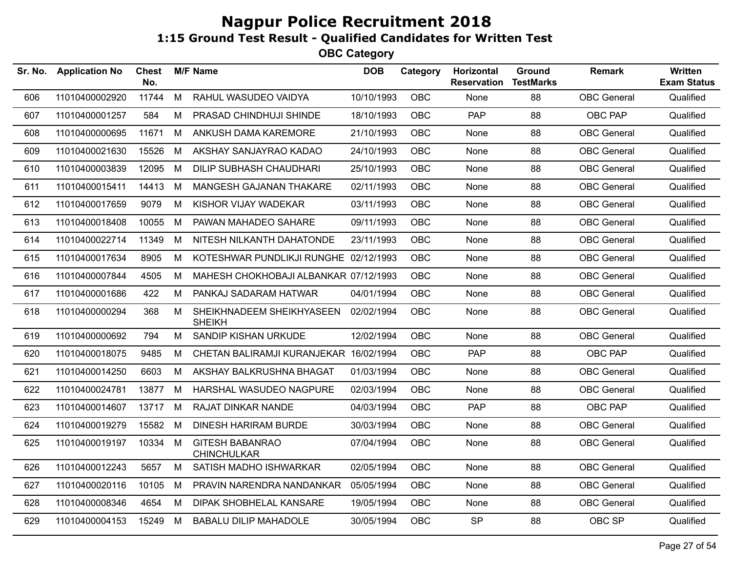| Sr. No. | <b>Application No</b> | <b>Chest</b><br>No. |   | <b>M/F Name</b>                              | <b>DOB</b> | Category   | <b>Horizontal</b><br><b>Reservation</b> | Ground<br><b>TestMarks</b> | <b>Remark</b>      | <b>Written</b><br><b>Exam Status</b> |
|---------|-----------------------|---------------------|---|----------------------------------------------|------------|------------|-----------------------------------------|----------------------------|--------------------|--------------------------------------|
| 606     | 11010400002920        | 11744               | M | RAHUL WASUDEO VAIDYA                         | 10/10/1993 | OBC        | None                                    | 88                         | <b>OBC</b> General | Qualified                            |
| 607     | 11010400001257        | 584                 | M | PRASAD CHINDHUJI SHINDE                      | 18/10/1993 | <b>OBC</b> | <b>PAP</b>                              | 88                         | OBC PAP            | Qualified                            |
| 608     | 11010400000695        | 11671               | M | ANKUSH DAMA KAREMORE                         | 21/10/1993 | OBC        | None                                    | 88                         | <b>OBC</b> General | Qualified                            |
| 609     | 11010400021630        | 15526               | M | AKSHAY SANJAYRAO KADAO                       | 24/10/1993 | <b>OBC</b> | None                                    | 88                         | <b>OBC</b> General | Qualified                            |
| 610     | 11010400003839        | 12095               | M | <b>DILIP SUBHASH CHAUDHARI</b>               | 25/10/1993 | <b>OBC</b> | None                                    | 88                         | <b>OBC</b> General | Qualified                            |
| 611     | 11010400015411        | 14413               | M | MANGESH GAJANAN THAKARE                      | 02/11/1993 | OBC        | None                                    | 88                         | <b>OBC</b> General | Qualified                            |
| 612     | 11010400017659        | 9079                | М | KISHOR VIJAY WADEKAR                         | 03/11/1993 | <b>OBC</b> | None                                    | 88                         | <b>OBC</b> General | Qualified                            |
| 613     | 11010400018408        | 10055               | M | PAWAN MAHADEO SAHARE                         | 09/11/1993 | OBC        | None                                    | 88                         | <b>OBC</b> General | Qualified                            |
| 614     | 11010400022714        | 11349               | M | NITESH NILKANTH DAHATONDE                    | 23/11/1993 | <b>OBC</b> | <b>None</b>                             | 88                         | <b>OBC</b> General | Qualified                            |
| 615     | 11010400017634        | 8905                | M | KOTESHWAR PUNDLIKJI RUNGHE 02/12/1993        |            | <b>OBC</b> | None                                    | 88                         | <b>OBC</b> General | Qualified                            |
| 616     | 11010400007844        | 4505                | M | MAHESH CHOKHOBAJI ALBANKAR 07/12/1993        |            | OBC        | None                                    | 88                         | <b>OBC</b> General | Qualified                            |
| 617     | 11010400001686        | 422                 | M | PANKAJ SADARAM HATWAR                        | 04/01/1994 | <b>OBC</b> | None                                    | 88                         | <b>OBC</b> General | Qualified                            |
| 618     | 11010400000294        | 368                 | M | SHEIKHNADEEM SHEIKHYASEEN<br><b>SHEIKH</b>   | 02/02/1994 | <b>OBC</b> | None                                    | 88                         | <b>OBC</b> General | Qualified                            |
| 619     | 11010400000692        | 794                 | M | SANDIP KISHAN URKUDE                         | 12/02/1994 | OBC        | None                                    | 88                         | <b>OBC</b> General | Qualified                            |
| 620     | 11010400018075        | 9485                | М | CHETAN BALIRAMJI KURANJEKAR 16/02/1994       |            | <b>OBC</b> | <b>PAP</b>                              | 88                         | OBC PAP            | Qualified                            |
| 621     | 11010400014250        | 6603                | М | AKSHAY BALKRUSHNA BHAGAT                     | 01/03/1994 | OBC        | None                                    | 88                         | <b>OBC</b> General | Qualified                            |
| 622     | 11010400024781        | 13877               | M | HARSHAL WASUDEO NAGPURE                      | 02/03/1994 | OBC        | None                                    | 88                         | <b>OBC</b> General | Qualified                            |
| 623     | 11010400014607        | 13717               | M | <b>RAJAT DINKAR NANDE</b>                    | 04/03/1994 | OBC        | <b>PAP</b>                              | 88                         | OBC PAP            | Qualified                            |
| 624     | 11010400019279        | 15582               | M | <b>DINESH HARIRAM BURDE</b>                  | 30/03/1994 | OBC        | None                                    | 88                         | <b>OBC</b> General | Qualified                            |
| 625     | 11010400019197        | 10334 M             |   | <b>GITESH BABANRAO</b><br><b>CHINCHULKAR</b> | 07/04/1994 | <b>OBC</b> | None                                    | 88                         | <b>OBC</b> General | Qualified                            |
| 626     | 11010400012243        | 5657                | M | SATISH MADHO ISHWARKAR                       | 02/05/1994 | <b>OBC</b> | None                                    | 88                         | <b>OBC</b> General | Qualified                            |
| 627     | 11010400020116        | 10105               | M | PRAVIN NARENDRA NANDANKAR                    | 05/05/1994 | <b>OBC</b> | None                                    | 88                         | <b>OBC</b> General | Qualified                            |
| 628     | 11010400008346        | 4654                | M | DIPAK SHOBHELAL KANSARE                      | 19/05/1994 | <b>OBC</b> | None                                    | 88                         | <b>OBC</b> General | Qualified                            |
| 629     | 11010400004153        | 15249               | M | <b>BABALU DILIP MAHADOLE</b>                 | 30/05/1994 | <b>OBC</b> | <b>SP</b>                               | 88                         | OBC SP             | Qualified                            |
|         |                       |                     |   |                                              |            |            |                                         |                            |                    |                                      |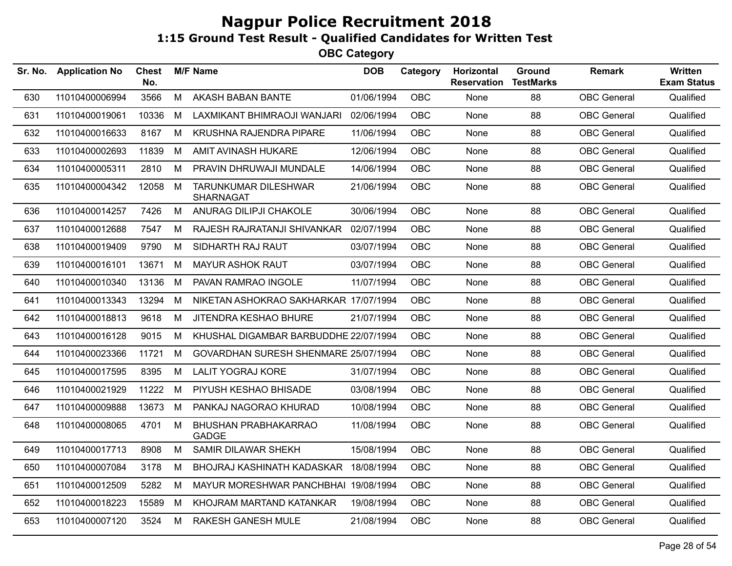| Sr. No. | <b>Application No</b> | <b>Chest</b><br>No. |   | <b>M/F Name</b>                                 | <b>DOB</b> | Category   | Horizontal<br><b>Reservation</b> | <b>Ground</b><br><b>TestMarks</b> | <b>Remark</b>      | Written<br><b>Exam Status</b> |
|---------|-----------------------|---------------------|---|-------------------------------------------------|------------|------------|----------------------------------|-----------------------------------|--------------------|-------------------------------|
| 630     | 11010400006994        | 3566                | M | AKASH BABAN BANTE                               | 01/06/1994 | <b>OBC</b> | None                             | 88                                | <b>OBC</b> General | Qualified                     |
| 631     | 11010400019061        | 10336               | M | LAXMIKANT BHIMRAOJI WANJARI                     | 02/06/1994 | <b>OBC</b> | None                             | 88                                | <b>OBC</b> General | Qualified                     |
| 632     | 11010400016633        | 8167                | M | KRUSHNA RAJENDRA PIPARE                         | 11/06/1994 | <b>OBC</b> | None                             | 88                                | <b>OBC</b> General | Qualified                     |
| 633     | 11010400002693        | 11839               | М | AMIT AVINASH HUKARE                             | 12/06/1994 | <b>OBC</b> | None                             | 88                                | <b>OBC</b> General | Qualified                     |
| 634     | 11010400005311        | 2810                | M | PRAVIN DHRUWAJI MUNDALE                         | 14/06/1994 | <b>OBC</b> | None                             | 88                                | <b>OBC</b> General | Qualified                     |
| 635     | 11010400004342        | 12058               | М | <b>TARUNKUMAR DILESHWAR</b><br><b>SHARNAGAT</b> | 21/06/1994 | <b>OBC</b> | None                             | 88                                | <b>OBC</b> General | Qualified                     |
| 636     | 11010400014257        | 7426                | M | ANURAG DILIPJI CHAKOLE                          | 30/06/1994 | <b>OBC</b> | None                             | 88                                | <b>OBC</b> General | Qualified                     |
| 637     | 11010400012688        | 7547                | M | RAJESH RAJRATANJI SHIVANKAR                     | 02/07/1994 | <b>OBC</b> | None                             | 88                                | <b>OBC</b> General | Qualified                     |
| 638     | 11010400019409        | 9790                | M | SIDHARTH RAJ RAUT                               | 03/07/1994 | <b>OBC</b> | None                             | 88                                | <b>OBC</b> General | Qualified                     |
| 639     | 11010400016101        | 13671               | М | <b>MAYUR ASHOK RAUT</b>                         | 03/07/1994 | <b>OBC</b> | None                             | 88                                | <b>OBC</b> General | Qualified                     |
| 640     | 11010400010340        | 13136               | M | PAVAN RAMRAO INGOLE                             | 11/07/1994 | <b>OBC</b> | None                             | 88                                | <b>OBC</b> General | Qualified                     |
| 641     | 11010400013343        | 13294               | М | NIKETAN ASHOKRAO SAKHARKAR 17/07/1994           |            | OBC.       | None                             | 88                                | <b>OBC</b> General | Qualified                     |
| 642     | 11010400018813        | 9618                | M | JITENDRA KESHAO BHURE                           | 21/07/1994 | <b>OBC</b> | None                             | 88                                | <b>OBC</b> General | Qualified                     |
| 643     | 11010400016128        | 9015                | M | KHUSHAL DIGAMBAR BARBUDDHE 22/07/1994           |            | <b>OBC</b> | None                             | 88                                | <b>OBC</b> General | Qualified                     |
| 644     | 11010400023366        | 11721               | M | GOVARDHAN SURESH SHENMARE 25/07/1994            |            | <b>OBC</b> | None                             | 88                                | <b>OBC</b> General | Qualified                     |
| 645     | 11010400017595        | 8395                | М | <b>LALIT YOGRAJ KORE</b>                        | 31/07/1994 | <b>OBC</b> | None                             | 88                                | <b>OBC</b> General | Qualified                     |
| 646     | 11010400021929        | 11222               | М | PIYUSH KESHAO BHISADE                           | 03/08/1994 | <b>OBC</b> | None                             | 88                                | <b>OBC</b> General | Qualified                     |
| 647     | 11010400009888        | 13673               | M | PANKAJ NAGORAO KHURAD                           | 10/08/1994 | <b>OBC</b> | None                             | 88                                | <b>OBC</b> General | Qualified                     |
| 648     | 11010400008065        | 4701                | М | <b>BHUSHAN PRABHAKARRAO</b><br><b>GADGE</b>     | 11/08/1994 | <b>OBC</b> | None                             | 88                                | <b>OBC</b> General | Qualified                     |
| 649     | 11010400017713        | 8908                | M | SAMIR DILAWAR SHEKH                             | 15/08/1994 | <b>OBC</b> | None                             | 88                                | <b>OBC</b> General | Qualified                     |
| 650     | 11010400007084        | 3178                | M | <b>BHOJRAJ KASHINATH KADASKAR</b>               | 18/08/1994 | <b>OBC</b> | None                             | 88                                | <b>OBC</b> General | Qualified                     |
| 651     | 11010400012509        | 5282                | м | MAYUR MORESHWAR PANCHBHAI 19/08/1994            |            | <b>OBC</b> | None                             | 88                                | <b>OBC</b> General | Qualified                     |
| 652     | 11010400018223        | 15589               | М | KHOJRAM MARTAND KATANKAR                        | 19/08/1994 | <b>OBC</b> | None                             | 88                                | <b>OBC</b> General | Qualified                     |
| 653     | 11010400007120        | 3524                | М | RAKESH GANESH MULE                              | 21/08/1994 | <b>OBC</b> | None                             | 88                                | <b>OBC</b> General | Qualified                     |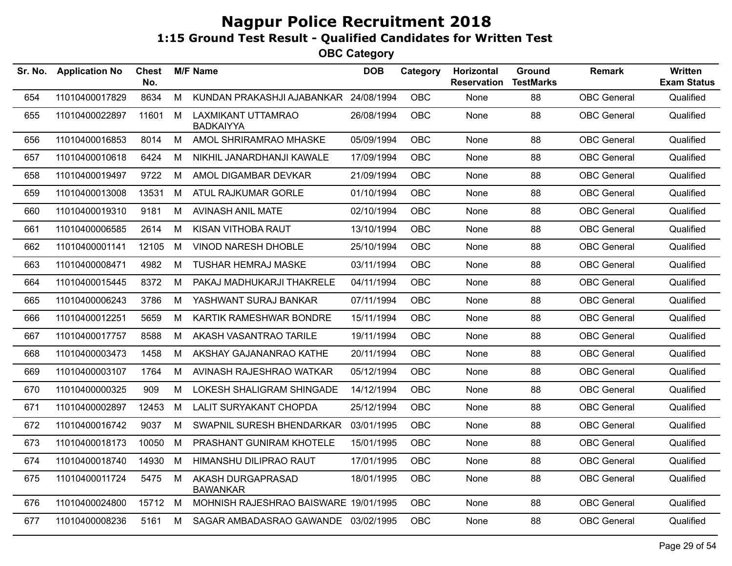| Sr. No. | <b>Application No</b> | <b>Chest</b><br>No. |   | <b>M/F Name</b>                               | <b>DOB</b> | Category   | Horizontal<br><b>Reservation</b> | <b>Ground</b><br><b>TestMarks</b> | <b>Remark</b>      | Written<br><b>Exam Status</b> |
|---------|-----------------------|---------------------|---|-----------------------------------------------|------------|------------|----------------------------------|-----------------------------------|--------------------|-------------------------------|
| 654     | 11010400017829        | 8634                | M | KUNDAN PRAKASHJI AJABANKAR                    | 24/08/1994 | <b>OBC</b> | None                             | 88                                | <b>OBC</b> General | Qualified                     |
| 655     | 11010400022897        | 11601               | M | <b>LAXMIKANT UTTAMRAO</b><br><b>BADKAIYYA</b> | 26/08/1994 | <b>OBC</b> | None                             | 88                                | <b>OBC</b> General | Qualified                     |
| 656     | 11010400016853        | 8014                | M | AMOL SHRIRAMRAO MHASKE                        | 05/09/1994 | <b>OBC</b> | None                             | 88                                | <b>OBC</b> General | Qualified                     |
| 657     | 11010400010618        | 6424                | М | NIKHIL JANARDHANJI KAWALE                     | 17/09/1994 | <b>OBC</b> | None                             | 88                                | <b>OBC</b> General | Qualified                     |
| 658     | 11010400019497        | 9722                | M | AMOL DIGAMBAR DEVKAR                          | 21/09/1994 | <b>OBC</b> | None                             | 88                                | <b>OBC</b> General | Qualified                     |
| 659     | 11010400013008        | 13531               | M | ATUL RAJKUMAR GORLE                           | 01/10/1994 | <b>OBC</b> | None                             | 88                                | <b>OBC</b> General | Qualified                     |
| 660     | 11010400019310        | 9181                | M | <b>AVINASH ANIL MATE</b>                      | 02/10/1994 | OBC        | None                             | 88                                | <b>OBC</b> General | Qualified                     |
| 661     | 11010400006585        | 2614                | M | KISAN VITHOBA RAUT                            | 13/10/1994 | OBC        | None                             | 88                                | <b>OBC</b> General | Qualified                     |
| 662     | 11010400001141        | 12105               | M | VINOD NARESH DHOBLE                           | 25/10/1994 | <b>OBC</b> | None                             | 88                                | <b>OBC</b> General | Qualified                     |
| 663     | 11010400008471        | 4982                | М | <b>TUSHAR HEMRAJ MASKE</b>                    | 03/11/1994 | OBC        | None                             | 88                                | <b>OBC</b> General | Qualified                     |
| 664     | 11010400015445        | 8372                | M | PAKAJ MADHUKARJI THAKRELE                     | 04/11/1994 | OBC        | None                             | 88                                | <b>OBC</b> General | Qualified                     |
| 665     | 11010400006243        | 3786                | M | YASHWANT SURAJ BANKAR                         | 07/11/1994 | <b>OBC</b> | None                             | 88                                | <b>OBC</b> General | Qualified                     |
| 666     | 11010400012251        | 5659                | M | KARTIK RAMESHWAR BONDRE                       | 15/11/1994 | <b>OBC</b> | None                             | 88                                | <b>OBC</b> General | Qualified                     |
| 667     | 11010400017757        | 8588                | M | AKASH VASANTRAO TARILE                        | 19/11/1994 | <b>OBC</b> | None                             | 88                                | <b>OBC</b> General | Qualified                     |
| 668     | 11010400003473        | 1458                | M | AKSHAY GAJANANRAO KATHE                       | 20/11/1994 | <b>OBC</b> | None                             | 88                                | <b>OBC</b> General | Qualified                     |
| 669     | 11010400003107        | 1764                | M | AVINASH RAJESHRAO WATKAR                      | 05/12/1994 | <b>OBC</b> | None                             | 88                                | <b>OBC</b> General | Qualified                     |
| 670     | 11010400000325        | 909                 | M | LOKESH SHALIGRAM SHINGADE                     | 14/12/1994 | <b>OBC</b> | None                             | 88                                | <b>OBC</b> General | Qualified                     |
| 671     | 11010400002897        | 12453               | M | <b>LALIT SURYAKANT CHOPDA</b>                 | 25/12/1994 | <b>OBC</b> | None                             | 88                                | <b>OBC</b> General | Qualified                     |
| 672     | 11010400016742        | 9037                | М | SWAPNIL SURESH BHENDARKAR                     | 03/01/1995 | <b>OBC</b> | None                             | 88                                | <b>OBC</b> General | Qualified                     |
| 673     | 11010400018173        | 10050               | M | PRASHANT GUNIRAM KHOTELE                      | 15/01/1995 | <b>OBC</b> | None                             | 88                                | <b>OBC</b> General | Qualified                     |
| 674     | 11010400018740        | 14930               | M | HIMANSHU DILIPRAO RAUT                        | 17/01/1995 | <b>OBC</b> | None                             | 88                                | <b>OBC</b> General | Qualified                     |
| 675     | 11010400011724        | 5475                | M | AKASH DURGAPRASAD<br><b>BAWANKAR</b>          | 18/01/1995 | <b>OBC</b> | None                             | 88                                | <b>OBC</b> General | Qualified                     |
| 676     | 11010400024800        | 15712 M             |   | MOHNISH RAJESHRAO BAISWARE 19/01/1995         |            | <b>OBC</b> | None                             | 88                                | <b>OBC</b> General | Qualified                     |
| 677     | 11010400008236        | 5161                | M | SAGAR AMBADASRAO GAWANDE 03/02/1995           |            | <b>OBC</b> | None                             | 88                                | <b>OBC</b> General | Qualified                     |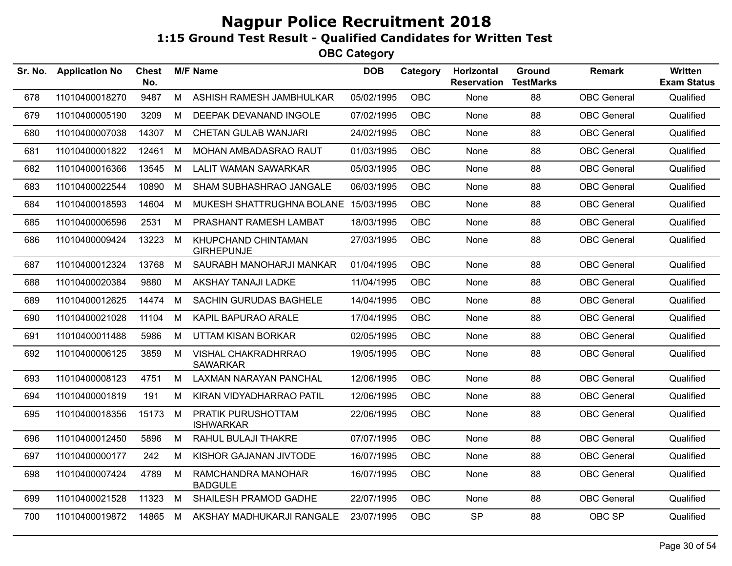| Sr. No. | <b>Application No</b> | <b>Chest</b><br>No. |   | <b>M/F Name</b>                               | <b>DOB</b> | Category   | Horizontal<br><b>Reservation</b> | Ground<br><b>TestMarks</b> | Remark             | <b>Written</b><br><b>Exam Status</b> |
|---------|-----------------------|---------------------|---|-----------------------------------------------|------------|------------|----------------------------------|----------------------------|--------------------|--------------------------------------|
| 678     | 11010400018270        | 9487                | M | ASHISH RAMESH JAMBHULKAR                      | 05/02/1995 | <b>OBC</b> | None                             | 88                         | <b>OBC</b> General | Qualified                            |
| 679     | 11010400005190        | 3209                | M | DEEPAK DEVANAND INGOLE                        | 07/02/1995 | <b>OBC</b> | None                             | 88                         | <b>OBC</b> General | Qualified                            |
| 680     | 11010400007038        | 14307               | M | <b>CHETAN GULAB WANJARI</b>                   | 24/02/1995 | <b>OBC</b> | None                             | 88                         | <b>OBC</b> General | Qualified                            |
| 681     | 11010400001822        | 12461               | M | MOHAN AMBADASRAO RAUT                         | 01/03/1995 | <b>OBC</b> | None                             | 88                         | <b>OBC</b> General | Qualified                            |
| 682     | 11010400016366        | 13545               | M | <b>LALIT WAMAN SAWARKAR</b>                   | 05/03/1995 | OBC        | None                             | 88                         | <b>OBC</b> General | Qualified                            |
| 683     | 11010400022544        | 10890               | M | SHAM SUBHASHRAO JANGALE                       | 06/03/1995 | OBC        | None                             | 88                         | <b>OBC</b> General | Qualified                            |
| 684     | 11010400018593        | 14604               | M | MUKESH SHATTRUGHNA BOLANE 15/03/1995          |            | <b>OBC</b> | None                             | 88                         | <b>OBC</b> General | Qualified                            |
| 685     | 11010400006596        | 2531                | M | PRASHANT RAMESH LAMBAT                        | 18/03/1995 | <b>OBC</b> | None                             | 88                         | <b>OBC</b> General | Qualified                            |
| 686     | 11010400009424        | 13223               | M | KHUPCHAND CHINTAMAN<br><b>GIRHEPUNJE</b>      | 27/03/1995 | OBC        | None                             | 88                         | <b>OBC</b> General | Qualified                            |
| 687     | 11010400012324        | 13768               | M | SAURABH MANOHARJI MANKAR                      | 01/04/1995 | <b>OBC</b> | None                             | 88                         | <b>OBC</b> General | Qualified                            |
| 688     | 11010400020384        | 9880                | M | <b>AKSHAY TANAJI LADKE</b>                    | 11/04/1995 | OBC        | None                             | 88                         | <b>OBC</b> General | Qualified                            |
| 689     | 11010400012625        | 14474               | M | SACHIN GURUDAS BAGHELE                        | 14/04/1995 | <b>OBC</b> | None                             | 88                         | <b>OBC</b> General | Qualified                            |
| 690     | 11010400021028        | 11104               | M | KAPIL BAPURAO ARALE                           | 17/04/1995 | <b>OBC</b> | None                             | 88                         | <b>OBC</b> General | Qualified                            |
| 691     | 11010400011488        | 5986                | M | <b>UTTAM KISAN BORKAR</b>                     | 02/05/1995 | OBC        | None                             | 88                         | <b>OBC</b> General | Qualified                            |
| 692     | 11010400006125        | 3859                | M | <b>VISHAL CHAKRADHRRAO</b><br><b>SAWARKAR</b> | 19/05/1995 | <b>OBC</b> | None                             | 88                         | <b>OBC</b> General | Qualified                            |
| 693     | 11010400008123        | 4751                | M | <b>LAXMAN NARAYAN PANCHAL</b>                 | 12/06/1995 | <b>OBC</b> | None                             | 88                         | <b>OBC</b> General | Qualified                            |
| 694     | 11010400001819        | 191                 | M | KIRAN VIDYADHARRAO PATIL                      | 12/06/1995 | OBC        | None                             | 88                         | <b>OBC</b> General | Qualified                            |
| 695     | 11010400018356        | 15173               | M | PRATIK PURUSHOTTAM<br><b>ISHWARKAR</b>        | 22/06/1995 | <b>OBC</b> | None                             | 88                         | <b>OBC</b> General | Qualified                            |
| 696     | 11010400012450        | 5896                | M | RAHUL BULAJI THAKRE                           | 07/07/1995 | <b>OBC</b> | None                             | 88                         | <b>OBC</b> General | Qualified                            |
| 697     | 11010400000177        | 242                 | M | KISHOR GAJANAN JIVTODE                        | 16/07/1995 | OBC        | None                             | 88                         | <b>OBC</b> General | Qualified                            |
| 698     | 11010400007424        | 4789                | M | RAMCHANDRA MANOHAR<br><b>BADGULE</b>          | 16/07/1995 | OBC        | None                             | 88                         | <b>OBC</b> General | Qualified                            |
| 699     | 11010400021528        | 11323               | M | SHAILESH PRAMOD GADHE                         | 22/07/1995 | <b>OBC</b> | None                             | 88                         | <b>OBC</b> General | Qualified                            |
| 700     | 11010400019872        | 14865               | M | AKSHAY MADHUKARJI RANGALE                     | 23/07/1995 | <b>OBC</b> | <b>SP</b>                        | 88                         | OBC SP             | Qualified                            |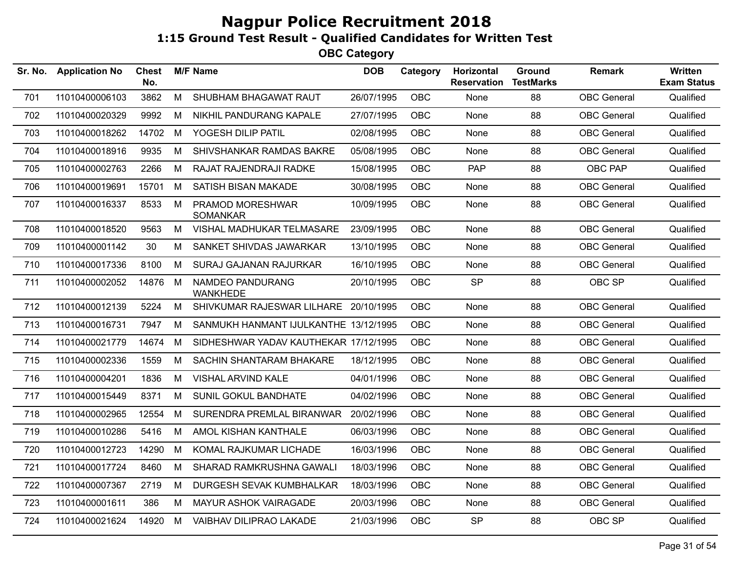| Sr. No. | <b>Application No</b> | Chest<br>No. |   | <b>M/F Name</b>                       | <b>DOB</b> | Category   | Horizontal<br><b>Reservation</b> | Ground<br><b>TestMarks</b> | <b>Remark</b>      | <b>Written</b><br><b>Exam Status</b> |
|---------|-----------------------|--------------|---|---------------------------------------|------------|------------|----------------------------------|----------------------------|--------------------|--------------------------------------|
| 701     | 11010400006103        | 3862         | М | SHUBHAM BHAGAWAT RAUT                 | 26/07/1995 | <b>OBC</b> | None                             | 88                         | <b>OBC</b> General | Qualified                            |
| 702     | 11010400020329        | 9992         | м | NIKHIL PANDURANG KAPALE               | 27/07/1995 | <b>OBC</b> | None                             | 88                         | <b>OBC</b> General | Qualified                            |
| 703     | 11010400018262        | 14702        | M | YOGESH DILIP PATIL                    | 02/08/1995 | <b>OBC</b> | None                             | 88                         | <b>OBC</b> General | Qualified                            |
| 704     | 11010400018916        | 9935         | М | SHIVSHANKAR RAMDAS BAKRE              | 05/08/1995 | <b>OBC</b> | <b>None</b>                      | 88                         | <b>OBC</b> General | Qualified                            |
| 705     | 11010400002763        | 2266         | М | RAJAT RAJENDRAJI RADKE                | 15/08/1995 | <b>OBC</b> | <b>PAP</b>                       | 88                         | OBC PAP            | Qualified                            |
| 706     | 11010400019691        | 15701        | M | SATISH BISAN MAKADE                   | 30/08/1995 | <b>OBC</b> | None                             | 88                         | <b>OBC</b> General | Qualified                            |
| 707     | 11010400016337        | 8533         | M | PRAMOD MORESHWAR<br><b>SOMANKAR</b>   | 10/09/1995 | <b>OBC</b> | None                             | 88                         | <b>OBC</b> General | Qualified                            |
| 708     | 11010400018520        | 9563         | М | VISHAL MADHUKAR TELMASARE             | 23/09/1995 | <b>OBC</b> | None                             | 88                         | <b>OBC</b> General | Qualified                            |
| 709     | 11010400001142        | 30           | М | SANKET SHIVDAS JAWARKAR               | 13/10/1995 | OBC        | None                             | 88                         | <b>OBC</b> General | Qualified                            |
| 710     | 11010400017336        | 8100         | M | SURAJ GAJANAN RAJURKAR                | 16/10/1995 | <b>OBC</b> | None                             | 88                         | <b>OBC</b> General | Qualified                            |
| 711     | 11010400002052        | 14876        | M | NAMDEO PANDURANG<br><b>WANKHEDE</b>   | 20/10/1995 | OBC        | <b>SP</b>                        | 88                         | OBC SP             | Qualified                            |
| 712     | 11010400012139        | 5224         | M | SHIVKUMAR RAJESWAR LILHARE 20/10/1995 |            | OBC        | None                             | 88                         | <b>OBC</b> General | Qualified                            |
| 713     | 11010400016731        | 7947         | М | SANMUKH HANMANT IJULKANTHE 13/12/1995 |            | <b>OBC</b> | None                             | 88                         | <b>OBC</b> General | Qualified                            |
| 714     | 11010400021779        | 14674        | М | SIDHESHWAR YADAV KAUTHEKAR 17/12/1995 |            | OBC        | None                             | 88                         | <b>OBC</b> General | Qualified                            |
| 715     | 11010400002336        | 1559         | M | SACHIN SHANTARAM BHAKARE              | 18/12/1995 | OBC        | None                             | 88                         | <b>OBC</b> General | Qualified                            |
| 716     | 11010400004201        | 1836         | M | <b>VISHAL ARVIND KALE</b>             | 04/01/1996 | OBC.       | None                             | 88                         | <b>OBC General</b> | Qualified                            |
| 717     | 11010400015449        | 8371         | M | SUNIL GOKUL BANDHATE                  | 04/02/1996 | OBC        | None                             | 88                         | <b>OBC</b> General | Qualified                            |
| 718     | 11010400002965        | 12554        | м | SURENDRA PREMLAL BIRANWAR             | 20/02/1996 | <b>OBC</b> | <b>None</b>                      | 88                         | <b>OBC</b> General | Qualified                            |
| 719     | 11010400010286        | 5416         | М | AMOL KISHAN KANTHALE                  | 06/03/1996 | <b>OBC</b> | None                             | 88                         | <b>OBC</b> General | Qualified                            |
| 720     | 11010400012723        | 14290        | М | KOMAL RAJKUMAR LICHADE                | 16/03/1996 | <b>OBC</b> | None                             | 88                         | <b>OBC</b> General | Qualified                            |
| 721     | 11010400017724        | 8460         | М | SHARAD RAMKRUSHNA GAWALI              | 18/03/1996 | <b>OBC</b> | None                             | 88                         | <b>OBC</b> General | Qualified                            |
| 722     | 11010400007367        | 2719         | М | DURGESH SEVAK KUMBHALKAR              | 18/03/1996 | <b>OBC</b> | None                             | 88                         | <b>OBC</b> General | Qualified                            |
| 723     | 11010400001611        | 386          | М | MAYUR ASHOK VAIRAGADE                 | 20/03/1996 | <b>OBC</b> | None                             | 88                         | <b>OBC</b> General | Qualified                            |
| 724     | 11010400021624        | 14920        | M | VAIBHAV DILIPRAO LAKADE               | 21/03/1996 | <b>OBC</b> | <b>SP</b>                        | 88                         | OBC SP             | Qualified                            |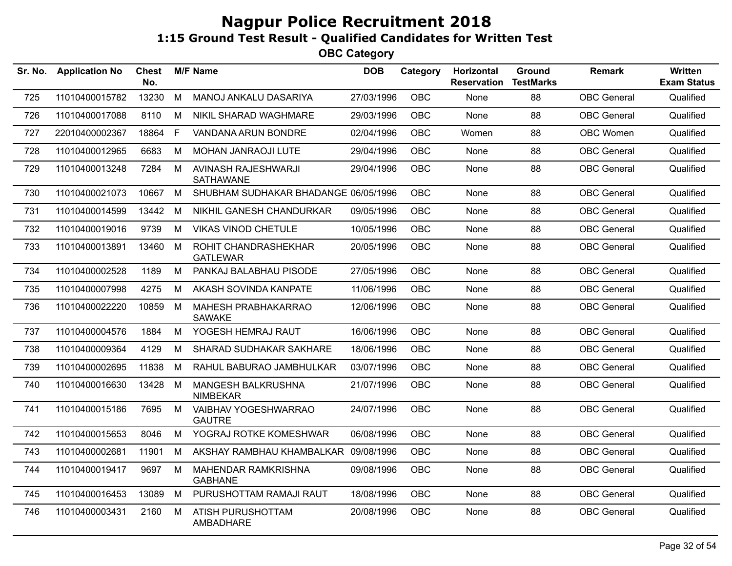| Sr. No. | <b>Application No</b> | <b>Chest</b><br>No. |    | <b>M/F Name</b>                         | <b>DOB</b> | Category   | Horizontal<br><b>Reservation</b> | Ground<br><b>TestMarks</b> | <b>Remark</b>      | Written<br><b>Exam Status</b> |
|---------|-----------------------|---------------------|----|-----------------------------------------|------------|------------|----------------------------------|----------------------------|--------------------|-------------------------------|
| 725     | 11010400015782        | 13230               | M  | MANOJ ANKALU DASARIYA                   | 27/03/1996 | <b>OBC</b> | None                             | 88                         | <b>OBC</b> General | Qualified                     |
| 726     | 11010400017088        | 8110                | M  | NIKIL SHARAD WAGHMARE                   | 29/03/1996 | <b>OBC</b> | None                             | 88                         | <b>OBC</b> General | Qualified                     |
| 727     | 22010400002367        | 18864               | F. | VANDANA ARUN BONDRE                     | 02/04/1996 | <b>OBC</b> | Women                            | 88                         | OBC Women          | Qualified                     |
| 728     | 11010400012965        | 6683                | М  | MOHAN JANRAOJI LUTE                     | 29/04/1996 | <b>OBC</b> | None                             | 88                         | <b>OBC</b> General | Qualified                     |
| 729     | 11010400013248        | 7284                | M  | AVINASH RAJESHWARJI<br><b>SATHAWANE</b> | 29/04/1996 | <b>OBC</b> | None                             | 88                         | <b>OBC</b> General | Qualified                     |
| 730     | 11010400021073        | 10667               | M  | SHUBHAM SUDHAKAR BHADANGE 06/05/1996    |            | <b>OBC</b> | None                             | 88                         | <b>OBC</b> General | Qualified                     |
| 731     | 11010400014599        | 13442               | M  | NIKHIL GANESH CHANDURKAR                | 09/05/1996 | <b>OBC</b> | None                             | 88                         | <b>OBC</b> General | Qualified                     |
| 732     | 11010400019016        | 9739                | М  | <b>VIKAS VINOD CHETULE</b>              | 10/05/1996 | <b>OBC</b> | None                             | 88                         | <b>OBC</b> General | Qualified                     |
| 733     | 11010400013891        | 13460               | M  | ROHIT CHANDRASHEKHAR<br><b>GATLEWAR</b> | 20/05/1996 | <b>OBC</b> | None                             | 88                         | <b>OBC</b> General | Qualified                     |
| 734     | 11010400002528        | 1189                | M  | PANKAJ BALABHAU PISODE                  | 27/05/1996 | <b>OBC</b> | None                             | 88                         | <b>OBC</b> General | Qualified                     |
| 735     | 11010400007998        | 4275                | M  | AKASH SOVINDA KANPATE                   | 11/06/1996 | <b>OBC</b> | None                             | 88                         | <b>OBC</b> General | Qualified                     |
| 736     | 11010400022220        | 10859               | M  | MAHESH PRABHAKARRAO<br><b>SAWAKE</b>    | 12/06/1996 | <b>OBC</b> | None                             | 88                         | <b>OBC</b> General | Qualified                     |
| 737     | 11010400004576        | 1884                | M  | YOGESH HEMRAJ RAUT                      | 16/06/1996 | <b>OBC</b> | None                             | 88                         | <b>OBC</b> General | Qualified                     |
| 738     | 11010400009364        | 4129                | М  | SHARAD SUDHAKAR SAKHARE                 | 18/06/1996 | <b>OBC</b> | None                             | 88                         | <b>OBC</b> General | Qualified                     |
| 739     | 11010400002695        | 11838               | M  | RAHUL BABURAO JAMBHULKAR                | 03/07/1996 | OBC.       | None                             | 88                         | <b>OBC</b> General | Qualified                     |
| 740     | 11010400016630        | 13428               | M  | MANGESH BALKRUSHNA<br><b>NIMBEKAR</b>   | 21/07/1996 | <b>OBC</b> | None                             | 88                         | <b>OBC</b> General | Qualified                     |
| 741     | 11010400015186        | 7695                | M  | VAIBHAV YOGESHWARRAO<br><b>GAUTRE</b>   | 24/07/1996 | <b>OBC</b> | None                             | 88                         | <b>OBC</b> General | Qualified                     |
| 742     | 11010400015653        | 8046                | M  | YOGRAJ ROTKE KOMESHWAR                  | 06/08/1996 | <b>OBC</b> | None                             | 88                         | <b>OBC</b> General | Qualified                     |
| 743     | 11010400002681        | 11901               | M  | AKSHAY RAMBHAU KHAMBALKAR               | 09/08/1996 | <b>OBC</b> | None                             | 88                         | <b>OBC</b> General | Qualified                     |
| 744     | 11010400019417        | 9697                | M  | MAHENDAR RAMKRISHNA<br><b>GABHANE</b>   | 09/08/1996 | <b>OBC</b> | None                             | 88                         | <b>OBC</b> General | Qualified                     |
| 745     | 11010400016453        | 13089               | M  | PURUSHOTTAM RAMAJI RAUT                 | 18/08/1996 | <b>OBC</b> | None                             | 88                         | <b>OBC</b> General | Qualified                     |
| 746     | 11010400003431        | 2160                | M  | ATISH PURUSHOTTAM<br>AMBADHARE          | 20/08/1996 | <b>OBC</b> | None                             | 88                         | <b>OBC</b> General | Qualified                     |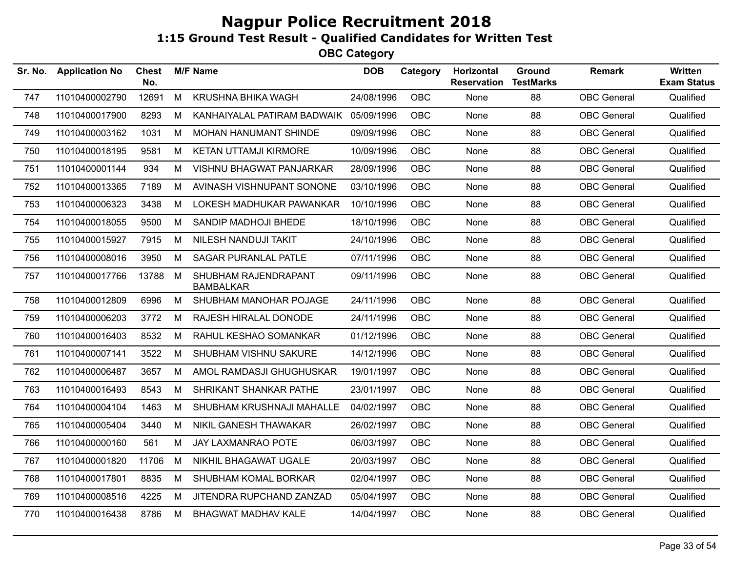| Sr. No. | <b>Application No</b> | <b>Chest</b><br>No. |   | <b>M/F Name</b>                          | <b>DOB</b> | Category   | Horizontal<br><b>Reservation</b> | Ground<br><b>TestMarks</b> | Remark             | <b>Written</b><br><b>Exam Status</b> |
|---------|-----------------------|---------------------|---|------------------------------------------|------------|------------|----------------------------------|----------------------------|--------------------|--------------------------------------|
| 747     | 11010400002790        | 12691               | M | <b>KRUSHNA BHIKA WAGH</b>                | 24/08/1996 | <b>OBC</b> | None                             | 88                         | <b>OBC</b> General | Qualified                            |
| 748     | 11010400017900        | 8293                | M | KANHAIYALAL PATIRAM BADWAIK              | 05/09/1996 | <b>OBC</b> | None                             | 88                         | <b>OBC</b> General | Qualified                            |
| 749     | 11010400003162        | 1031                | M | MOHAN HANUMANT SHINDE                    | 09/09/1996 | <b>OBC</b> | None                             | 88                         | <b>OBC</b> General | Qualified                            |
| 750     | 11010400018195        | 9581                | M | <b>KETAN UTTAMJI KIRMORE</b>             | 10/09/1996 | <b>OBC</b> | None                             | 88                         | <b>OBC</b> General | Qualified                            |
| 751     | 11010400001144        | 934                 | M | <b>VISHNU BHAGWAT PANJARKAR</b>          | 28/09/1996 | <b>OBC</b> | None                             | 88                         | <b>OBC</b> General | Qualified                            |
| 752     | 11010400013365        | 7189                | M | AVINASH VISHNUPANT SONONE                | 03/10/1996 | <b>OBC</b> | None                             | 88                         | <b>OBC</b> General | Qualified                            |
| 753     | 11010400006323        | 3438                | M | LOKESH MADHUKAR PAWANKAR                 | 10/10/1996 | <b>OBC</b> | None                             | 88                         | <b>OBC</b> General | Qualified                            |
| 754     | 11010400018055        | 9500                | М | SANDIP MADHOJI BHEDE                     | 18/10/1996 | <b>OBC</b> | None                             | 88                         | <b>OBC</b> General | Qualified                            |
| 755     | 11010400015927        | 7915                | M | NILESH NANDUJI TAKIT                     | 24/10/1996 | OBC        | None                             | 88                         | <b>OBC</b> General | Qualified                            |
| 756     | 11010400008016        | 3950                | M | SAGAR PURANLAL PATLE                     | 07/11/1996 | OBC        | None                             | 88                         | <b>OBC</b> General | Qualified                            |
| 757     | 11010400017766        | 13788               | M | SHUBHAM RAJENDRAPANT<br><b>BAMBALKAR</b> | 09/11/1996 | <b>OBC</b> | None                             | 88                         | <b>OBC</b> General | Qualified                            |
| 758     | 11010400012809        | 6996                | M | SHUBHAM MANOHAR POJAGE                   | 24/11/1996 | <b>OBC</b> | None                             | 88                         | <b>OBC</b> General | Qualified                            |
| 759     | 11010400006203        | 3772                | М | RAJESH HIRALAL DONODE                    | 24/11/1996 | OBC        | None                             | 88                         | <b>OBC</b> General | Qualified                            |
| 760     | 11010400016403        | 8532                | M | RAHUL KESHAO SOMANKAR                    | 01/12/1996 | OBC        | None                             | 88                         | <b>OBC</b> General | Qualified                            |
| 761     | 11010400007141        | 3522                | M | SHUBHAM VISHNU SAKURE                    | 14/12/1996 | OBC        | None                             | 88                         | <b>OBC</b> General | Qualified                            |
| 762     | 11010400006487        | 3657                | M | AMOL RAMDASJI GHUGHUSKAR                 | 19/01/1997 | OBC        | None                             | 88                         | <b>OBC</b> General | Qualified                            |
| 763     | 11010400016493        | 8543                | М | SHRIKANT SHANKAR PATHE                   | 23/01/1997 | OBC        | None                             | 88                         | <b>OBC</b> General | Qualified                            |
| 764     | 11010400004104        | 1463                | M | SHUBHAM KRUSHNAJI MAHALLE                | 04/02/1997 | OBC        | None                             | 88                         | <b>OBC</b> General | Qualified                            |
| 765     | 11010400005404        | 3440                | M | NIKIL GANESH THAWAKAR                    | 26/02/1997 | <b>OBC</b> | None                             | 88                         | <b>OBC</b> General | Qualified                            |
| 766     | 11010400000160        | 561                 | M | JAY LAXMANRAO POTE                       | 06/03/1997 | OBC        | None                             | 88                         | <b>OBC</b> General | Qualified                            |
| 767     | 11010400001820        | 11706               | M | NIKHIL BHAGAWAT UGALE                    | 20/03/1997 | <b>OBC</b> | None                             | 88                         | <b>OBC</b> General | Qualified                            |
| 768     | 11010400017801        | 8835                | M | SHUBHAM KOMAL BORKAR                     | 02/04/1997 | <b>OBC</b> | None                             | 88                         | <b>OBC</b> General | Qualified                            |
| 769     | 11010400008516        | 4225                | М | JITENDRA RUPCHAND ZANZAD                 | 05/04/1997 | <b>OBC</b> | None                             | 88                         | <b>OBC</b> General | Qualified                            |
| 770     | 11010400016438        | 8786                | M | <b>BHAGWAT MADHAV KALE</b>               | 14/04/1997 | <b>OBC</b> | None                             | 88                         | <b>OBC</b> General | Qualified                            |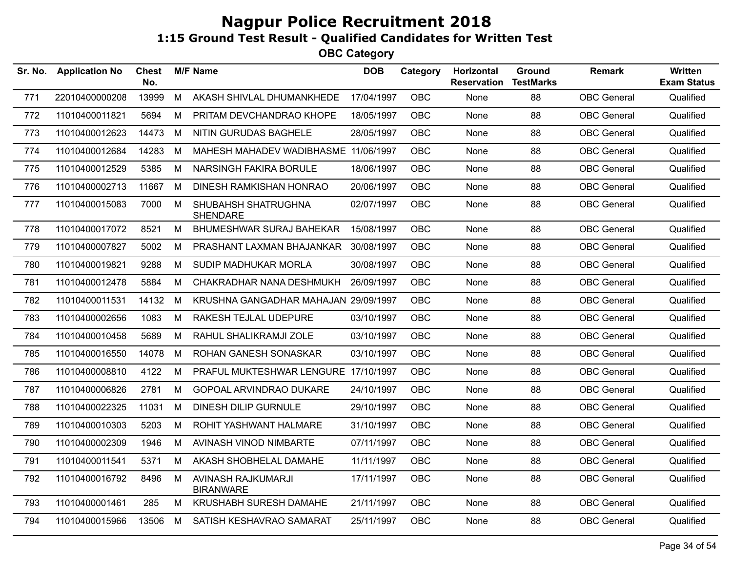| Sr. No. | <b>Application No</b> | <b>Chest</b><br>No. |   | <b>M/F Name</b>                        | <b>DOB</b> | Category   | <b>Horizontal</b><br><b>Reservation</b> | Ground<br><b>TestMarks</b> | <b>Remark</b>      | <b>Written</b><br><b>Exam Status</b> |
|---------|-----------------------|---------------------|---|----------------------------------------|------------|------------|-----------------------------------------|----------------------------|--------------------|--------------------------------------|
| 771     | 22010400000208        | 13999               | M | AKASH SHIVLAL DHUMANKHEDE              | 17/04/1997 | <b>OBC</b> | None                                    | 88                         | <b>OBC</b> General | Qualified                            |
| 772     | 11010400011821        | 5694                | М | PRITAM DEVCHANDRAO KHOPE               | 18/05/1997 | <b>OBC</b> | None                                    | 88                         | <b>OBC</b> General | Qualified                            |
| 773     | 11010400012623        | 14473               | M | NITIN GURUDAS BAGHELE                  | 28/05/1997 | <b>OBC</b> | <b>None</b>                             | 88                         | <b>OBC</b> General | Qualified                            |
| 774     | 11010400012684        | 14283               | M | MAHESH MAHADEV WADIBHASME 11/06/1997   |            | <b>OBC</b> | None                                    | 88                         | <b>OBC</b> General | Qualified                            |
| 775     | 11010400012529        | 5385                | M | <b>NARSINGH FAKIRA BORULE</b>          | 18/06/1997 | <b>OBC</b> | None                                    | 88                         | <b>OBC</b> General | Qualified                            |
| 776     | 11010400002713        | 11667               | M | DINESH RAMKISHAN HONRAO                | 20/06/1997 | OBC        | None                                    | 88                         | <b>OBC</b> General | Qualified                            |
| 777     | 11010400015083        | 7000                | M | SHUBAHSH SHATRUGHNA<br><b>SHENDARE</b> | 02/07/1997 | OBC        | None                                    | 88                         | <b>OBC</b> General | Qualified                            |
| 778     | 11010400017072        | 8521                | M | <b>BHUMESHWAR SURAJ BAHEKAR</b>        | 15/08/1997 | <b>OBC</b> | <b>None</b>                             | 88                         | <b>OBC</b> General | Qualified                            |
| 779     | 11010400007827        | 5002                | M | PRASHANT LAXMAN BHAJANKAR              | 30/08/1997 | OBC        | None                                    | 88                         | <b>OBC</b> General | Qualified                            |
| 780     | 11010400019821        | 9288                | M | SUDIP MADHUKAR MORLA                   | 30/08/1997 | OBC        | None                                    | 88                         | <b>OBC</b> General | Qualified                            |
| 781     | 11010400012478        | 5884                | M | CHAKRADHAR NANA DESHMUKH               | 26/09/1997 | <b>OBC</b> | None                                    | 88                         | <b>OBC</b> General | Qualified                            |
| 782     | 11010400011531        | 14132               | M | KRUSHNA GANGADHAR MAHAJAN 29/09/1997   |            | <b>OBC</b> | None                                    | 88                         | <b>OBC</b> General | Qualified                            |
| 783     | 11010400002656        | 1083                | M | RAKESH TEJLAL UDEPURE                  | 03/10/1997 | OBC        | None                                    | 88                         | <b>OBC</b> General | Qualified                            |
| 784     | 11010400010458        | 5689                | M | RAHUL SHALIKRAMJI ZOLE                 | 03/10/1997 | <b>OBC</b> | None                                    | 88                         | <b>OBC</b> General | Qualified                            |
| 785     | 11010400016550        | 14078               | M | ROHAN GANESH SONASKAR                  | 03/10/1997 | OBC        | None                                    | 88                         | <b>OBC</b> General | Qualified                            |
| 786     | 11010400008810        | 4122                | M | PRAFUL MUKTESHWAR LENGURE 17/10/1997   |            | <b>OBC</b> | None                                    | 88                         | <b>OBC</b> General | Qualified                            |
| 787     | 11010400006826        | 2781                | М | GOPOAL ARVINDRAO DUKARE                | 24/10/1997 | <b>OBC</b> | None                                    | 88                         | <b>OBC</b> General | Qualified                            |
| 788     | 11010400022325        | 11031               | M | <b>DINESH DILIP GURNULE</b>            | 29/10/1997 | <b>OBC</b> | None                                    | 88                         | <b>OBC</b> General | Qualified                            |
| 789     | 11010400010303        | 5203                | М | ROHIT YASHWANT HALMARE                 | 31/10/1997 | <b>OBC</b> | None                                    | 88                         | <b>OBC</b> General | Qualified                            |
| 790     | 11010400002309        | 1946                | M | AVINASH VINOD NIMBARTE                 | 07/11/1997 | <b>OBC</b> | None                                    | 88                         | <b>OBC</b> General | Qualified                            |
| 791     | 11010400011541        | 5371                | М | AKASH SHOBHELAL DAMAHE                 | 11/11/1997 | OBC        | None                                    | 88                         | <b>OBC</b> General | Qualified                            |
| 792     | 11010400016792        | 8496                | M | AVINASH RAJKUMARJI<br><b>BIRANWARE</b> | 17/11/1997 | OBC        | None                                    | 88                         | <b>OBC</b> General | Qualified                            |
| 793     | 11010400001461        | 285                 | М | <b>KRUSHABH SURESH DAMAHE</b>          | 21/11/1997 | <b>OBC</b> | None                                    | 88                         | <b>OBC</b> General | Qualified                            |
| 794     | 11010400015966        | 13506               | M | SATISH KESHAVRAO SAMARAT               | 25/11/1997 | <b>OBC</b> | None                                    | 88                         | <b>OBC</b> General | Qualified                            |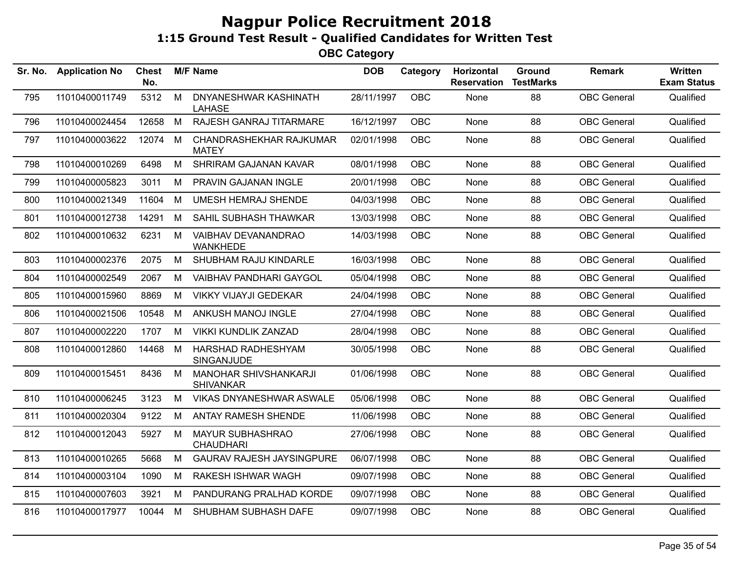| Sr. No. | <b>Application No</b> | Chest<br>No. |   | <b>M/F Name</b>                           | <b>DOB</b> | Category   | Horizontal<br><b>Reservation</b> | Ground<br><b>TestMarks</b> | <b>Remark</b>      | <b>Written</b><br><b>Exam Status</b> |
|---------|-----------------------|--------------|---|-------------------------------------------|------------|------------|----------------------------------|----------------------------|--------------------|--------------------------------------|
| 795     | 11010400011749        | 5312         | M | DNYANESHWAR KASHINATH<br><b>LAHASE</b>    | 28/11/1997 | OBC        | None                             | 88                         | <b>OBC</b> General | Qualified                            |
| 796     | 11010400024454        | 12658        | M | RAJESH GANRAJ TITARMARE                   | 16/12/1997 | <b>OBC</b> | None                             | 88                         | <b>OBC</b> General | Qualified                            |
| 797     | 11010400003622        | 12074        | M | CHANDRASHEKHAR RAJKUMAR<br><b>MATEY</b>   | 02/01/1998 | <b>OBC</b> | None                             | 88                         | <b>OBC</b> General | Qualified                            |
| 798     | 11010400010269        | 6498         | M | SHRIRAM GAJANAN KAVAR                     | 08/01/1998 | <b>OBC</b> | None                             | 88                         | <b>OBC</b> General | Qualified                            |
| 799     | 11010400005823        | 3011         | M | PRAVIN GAJANAN INGLE                      | 20/01/1998 | OBC        | None                             | 88                         | <b>OBC</b> General | Qualified                            |
| 800     | 11010400021349        | 11604        | M | <b>UMESH HEMRAJ SHENDE</b>                | 04/03/1998 | <b>OBC</b> | None                             | 88                         | <b>OBC</b> General | Qualified                            |
| 801     | 11010400012738        | 14291        | M | SAHIL SUBHASH THAWKAR                     | 13/03/1998 | <b>OBC</b> | None                             | 88                         | <b>OBC</b> General | Qualified                            |
| 802     | 11010400010632        | 6231         | M | VAIBHAV DEVANANDRAO<br><b>WANKHEDE</b>    | 14/03/1998 | OBC        | None                             | 88                         | <b>OBC</b> General | Qualified                            |
| 803     | 11010400002376        | 2075         | M | SHUBHAM RAJU KINDARLE                     | 16/03/1998 | <b>OBC</b> | None                             | 88                         | <b>OBC</b> General | Qualified                            |
| 804     | 11010400002549        | 2067         | M | VAIBHAV PANDHARI GAYGOL                   | 05/04/1998 | <b>OBC</b> | None                             | 88                         | <b>OBC</b> General | Qualified                            |
| 805     | 11010400015960        | 8869         | M | <b>VIKKY VIJAYJI GEDEKAR</b>              | 24/04/1998 | <b>OBC</b> | None                             | 88                         | <b>OBC</b> General | Qualified                            |
| 806     | 11010400021506        | 10548        | M | ANKUSH MANOJ INGLE                        | 27/04/1998 | <b>OBC</b> | None                             | 88                         | <b>OBC</b> General | Qualified                            |
| 807     | 11010400002220        | 1707         | М | <b>VIKKI KUNDLIK ZANZAD</b>               | 28/04/1998 | <b>OBC</b> | None                             | 88                         | <b>OBC</b> General | Qualified                            |
| 808     | 11010400012860        | 14468        | M | HARSHAD RADHESHYAM<br>SINGANJUDE          | 30/05/1998 | <b>OBC</b> | None                             | 88                         | <b>OBC</b> General | Qualified                            |
| 809     | 11010400015451        | 8436         | M | MANOHAR SHIVSHANKARJI<br><b>SHIVANKAR</b> | 01/06/1998 | <b>OBC</b> | None                             | 88                         | <b>OBC</b> General | Qualified                            |
| 810     | 11010400006245        | 3123         | M | VIKAS DNYANESHWAR ASWALE                  | 05/06/1998 | <b>OBC</b> | None                             | 88                         | <b>OBC</b> General | Qualified                            |
| 811     | 11010400020304        | 9122         | M | ANTAY RAMESH SHENDE                       | 11/06/1998 | <b>OBC</b> | None                             | 88                         | <b>OBC</b> General | Qualified                            |
| 812     | 11010400012043        | 5927         | M | MAYUR SUBHASHRAO<br><b>CHAUDHARI</b>      | 27/06/1998 | <b>OBC</b> | None                             | 88                         | <b>OBC</b> General | Qualified                            |
| 813     | 11010400010265        | 5668         | M | <b>GAURAV RAJESH JAYSINGPURE</b>          | 06/07/1998 | <b>OBC</b> | None                             | 88                         | <b>OBC</b> General | Qualified                            |
| 814     | 11010400003104        | 1090         | М | <b>RAKESH ISHWAR WAGH</b>                 | 09/07/1998 | <b>OBC</b> | None                             | 88                         | <b>OBC</b> General | Qualified                            |
| 815     | 11010400007603        | 3921         | м | PANDURANG PRALHAD KORDE                   | 09/07/1998 | <b>OBC</b> | None                             | 88                         | <b>OBC</b> General | Qualified                            |
| 816     | 11010400017977        | 10044        | M | SHUBHAM SUBHASH DAFE                      | 09/07/1998 | <b>OBC</b> | None                             | 88                         | <b>OBC</b> General | Qualified                            |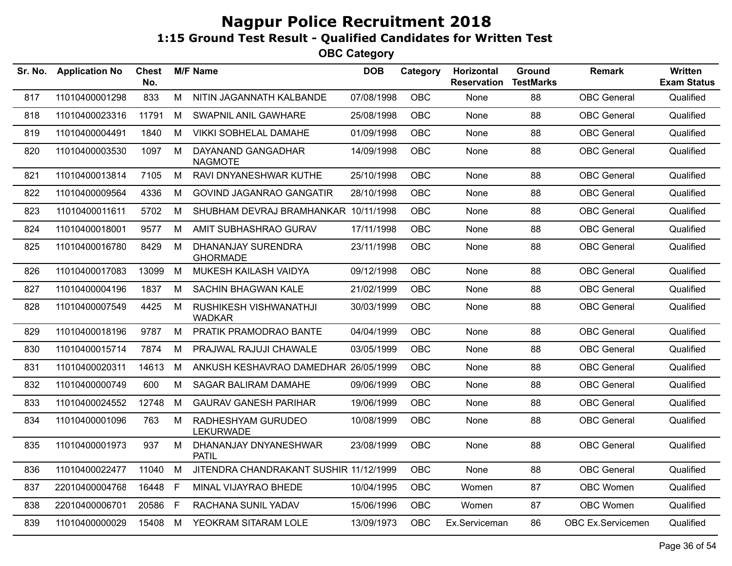| Sr. No. | <b>Application No</b> | <b>Chest</b><br>No. |    | <b>M/F Name</b>                              | <b>DOB</b> | Category   | Horizontal<br><b>Reservation</b> | Ground<br><b>TestMarks</b> | <b>Remark</b>      | Written<br><b>Exam Status</b> |
|---------|-----------------------|---------------------|----|----------------------------------------------|------------|------------|----------------------------------|----------------------------|--------------------|-------------------------------|
| 817     | 11010400001298        | 833                 | M  | NITIN JAGANNATH KALBANDE                     | 07/08/1998 | <b>OBC</b> | None                             | 88                         | <b>OBC</b> General | Qualified                     |
| 818     | 11010400023316        | 11791               | M  | SWAPNIL ANIL GAWHARE                         | 25/08/1998 | <b>OBC</b> | None                             | 88                         | <b>OBC</b> General | Qualified                     |
| 819     | 11010400004491        | 1840                | M  | <b>VIKKI SOBHELAL DAMAHE</b>                 | 01/09/1998 | <b>OBC</b> | None                             | 88                         | <b>OBC</b> General | Qualified                     |
| 820     | 11010400003530        | 1097                | M  | DAYANAND GANGADHAR<br><b>NAGMOTE</b>         | 14/09/1998 | <b>OBC</b> | None                             | 88                         | <b>OBC</b> General | Qualified                     |
| 821     | 11010400013814        | 7105                | M  | RAVI DNYANESHWAR KUTHE                       | 25/10/1998 | <b>OBC</b> | None                             | 88                         | <b>OBC</b> General | Qualified                     |
| 822     | 11010400009564        | 4336                | M  | <b>GOVIND JAGANRAO GANGATIR</b>              | 28/10/1998 | OBC        | None                             | 88                         | <b>OBC</b> General | Qualified                     |
| 823     | 11010400011611        | 5702                | М  | SHUBHAM DEVRAJ BRAMHANKAR 10/11/1998         |            | <b>OBC</b> | None                             | 88                         | <b>OBC</b> General | Qualified                     |
| 824     | 11010400018001        | 9577                | M  | AMIT SUBHASHRAO GURAV                        | 17/11/1998 | <b>OBC</b> | None                             | 88                         | <b>OBC</b> General | Qualified                     |
| 825     | 11010400016780        | 8429                | M  | <b>DHANANJAY SURENDRA</b><br><b>GHORMADE</b> | 23/11/1998 | <b>OBC</b> | None                             | 88                         | <b>OBC</b> General | Qualified                     |
| 826     | 11010400017083        | 13099               | M  | MUKESH KAILASH VAIDYA                        | 09/12/1998 | <b>OBC</b> | None                             | 88                         | <b>OBC</b> General | Qualified                     |
| 827     | 11010400004196        | 1837                | М  | SACHIN BHAGWAN KALE                          | 21/02/1999 | <b>OBC</b> | None                             | 88                         | <b>OBC</b> General | Qualified                     |
| 828     | 11010400007549        | 4425                | М  | RUSHIKESH VISHWANATHJI<br><b>WADKAR</b>      | 30/03/1999 | <b>OBC</b> | None                             | 88                         | <b>OBC</b> General | Qualified                     |
| 829     | 11010400018196        | 9787                | M  | PRATIK PRAMODRAO BANTE                       | 04/04/1999 | <b>OBC</b> | None                             | 88                         | <b>OBC</b> General | Qualified                     |
| 830     | 11010400015714        | 7874                | M  | PRAJWAL RAJUJI CHAWALE                       | 03/05/1999 | <b>OBC</b> | None                             | 88                         | <b>OBC</b> General | Qualified                     |
| 831     | 11010400020311        | 14613               | M  | ANKUSH KESHAVRAO DAMEDHAR 26/05/1999         |            | <b>OBC</b> | None                             | 88                         | <b>OBC</b> General | Qualified                     |
| 832     | 11010400000749        | 600                 | М  | SAGAR BALIRAM DAMAHE                         | 09/06/1999 | <b>OBC</b> | None                             | 88                         | <b>OBC</b> General | Qualified                     |
| 833     | 11010400024552        | 12748               | M  | <b>GAURAV GANESH PARIHAR</b>                 | 19/06/1999 | <b>OBC</b> | None                             | 88                         | <b>OBC</b> General | Qualified                     |
| 834     | 11010400001096        | 763                 | М  | RADHESHYAM GURUDEO<br><b>LEKURWADE</b>       | 10/08/1999 | <b>OBC</b> | None                             | 88                         | <b>OBC</b> General | Qualified                     |
| 835     | 11010400001973        | 937                 | M  | DHANANJAY DNYANESHWAR<br><b>PATIL</b>        | 23/08/1999 | <b>OBC</b> | None                             | 88                         | <b>OBC</b> General | Qualified                     |
| 836     | 11010400022477        | 11040               | M  | JITENDRA CHANDRAKANT SUSHIR 11/12/1999       |            | <b>OBC</b> | None                             | 88                         | <b>OBC</b> General | Qualified                     |
| 837     | 22010400004768        | 16448               | F  | MINAL VIJAYRAO BHEDE                         | 10/04/1995 | <b>OBC</b> | Women                            | 87                         | OBC Women          | Qualified                     |
| 838     | 22010400006701        | 20586               | F. | RACHANA SUNIL YADAV                          | 15/06/1996 | <b>OBC</b> | Women                            | 87                         | OBC Women          | Qualified                     |
| 839     | 11010400000029        | 15408               | M  | YEOKRAM SITARAM LOLE                         | 13/09/1973 | <b>OBC</b> | Ex.Serviceman                    | 86                         | OBC Ex.Servicemen  | Qualified                     |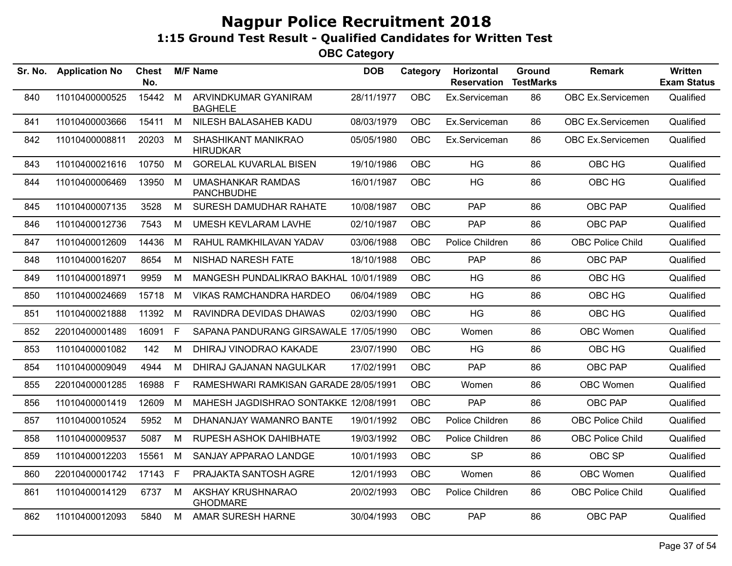| Sr. No. | <b>Application No</b> | Chest<br>No. |    | <b>M/F Name</b>                               | <b>DOB</b> | Category   | Horizontal<br><b>Reservation</b> | Ground<br><b>TestMarks</b> | <b>Remark</b>           | <b>Written</b><br><b>Exam Status</b> |
|---------|-----------------------|--------------|----|-----------------------------------------------|------------|------------|----------------------------------|----------------------------|-------------------------|--------------------------------------|
| 840     | 11010400000525        | 15442        | M  | ARVINDKUMAR GYANIRAM<br><b>BAGHELE</b>        | 28/11/1977 | <b>OBC</b> | Ex.Serviceman                    | 86                         | OBC Ex.Servicemen       | Qualified                            |
| 841     | 11010400003666        | 15411        | M  | NILESH BALASAHEB KADU                         | 08/03/1979 | <b>OBC</b> | Ex.Serviceman                    | 86                         | OBC Ex.Servicemen       | Qualified                            |
| 842     | 11010400008811        | 20203        | M  | <b>SHASHIKANT MANIKRAO</b><br><b>HIRUDKAR</b> | 05/05/1980 | OBC        | Ex.Serviceman                    | 86                         | OBC Ex.Servicemen       | Qualified                            |
| 843     | 11010400021616        | 10750        | M  | <b>GORELAL KUVARLAL BISEN</b>                 | 19/10/1986 | <b>OBC</b> | <b>HG</b>                        | 86                         | OBC HG                  | Qualified                            |
| 844     | 11010400006469        | 13950        | M  | <b>UMASHANKAR RAMDAS</b><br><b>PANCHBUDHE</b> | 16/01/1987 | <b>OBC</b> | HG                               | 86                         | OBC HG                  | Qualified                            |
| 845     | 11010400007135        | 3528         | M  | SURESH DAMUDHAR RAHATE                        | 10/08/1987 | <b>OBC</b> | <b>PAP</b>                       | 86                         | OBC PAP                 | Qualified                            |
| 846     | 11010400012736        | 7543         | M  | <b>UMESH KEVLARAM LAVHE</b>                   | 02/10/1987 | <b>OBC</b> | <b>PAP</b>                       | 86                         | OBC PAP                 | Qualified                            |
| 847     | 11010400012609        | 14436        | M  | RAHUL RAMKHILAVAN YADAV                       | 03/06/1988 | <b>OBC</b> | Police Children                  | 86                         | <b>OBC Police Child</b> | Qualified                            |
| 848     | 11010400016207        | 8654         | М  | <b>NISHAD NARESH FATE</b>                     | 18/10/1988 | <b>OBC</b> | PAP                              | 86                         | OBC PAP                 | Qualified                            |
| 849     | 11010400018971        | 9959         | M  | MANGESH PUNDALIKRAO BAKHAL 10/01/1989         |            | <b>OBC</b> | <b>HG</b>                        | 86                         | OBC HG                  | Qualified                            |
| 850     | 11010400024669        | 15718        | M  | <b>VIKAS RAMCHANDRA HARDEO</b>                | 06/04/1989 | <b>OBC</b> | <b>HG</b>                        | 86                         | OBC HG                  | Qualified                            |
| 851     | 11010400021888        | 11392        | M  | RAVINDRA DEVIDAS DHAWAS                       | 02/03/1990 | <b>OBC</b> | <b>HG</b>                        | 86                         | OBC HG                  | Qualified                            |
| 852     | 22010400001489        | 16091        | F. | SAPANA PANDURANG GIRSAWALE 17/05/1990         |            | <b>OBC</b> | Women                            | 86                         | OBC Women               | Qualified                            |
| 853     | 11010400001082        | 142          | M  | DHIRAJ VINODRAO KAKADE                        | 23/07/1990 | <b>OBC</b> | <b>HG</b>                        | 86                         | OBC HG                  | Qualified                            |
| 854     | 11010400009049        | 4944         | М  | DHIRAJ GAJANAN NAGULKAR                       | 17/02/1991 | OBC.       | <b>PAP</b>                       | 86                         | <b>OBC PAP</b>          | Qualified                            |
| 855     | 22010400001285        | 16988        | F  | RAMESHWARI RAMKISAN GARADE 28/05/1991         |            | <b>OBC</b> | Women                            | 86                         | OBC Women               | Qualified                            |
| 856     | 11010400001419        | 12609        | M  | MAHESH JAGDISHRAO SONTAKKE 12/08/1991         |            | <b>OBC</b> | <b>PAP</b>                       | 86                         | OBC PAP                 | Qualified                            |
| 857     | 11010400010524        | 5952         | М  | DHANANJAY WAMANRO BANTE                       | 19/01/1992 | OBC        | Police Children                  | 86                         | <b>OBC Police Child</b> | Qualified                            |
| 858     | 11010400009537        | 5087         | M  | RUPESH ASHOK DAHIBHATE                        | 19/03/1992 | <b>OBC</b> | Police Children                  | 86                         | <b>OBC Police Child</b> | Qualified                            |
| 859     | 11010400012203        | 15561        | M  | SANJAY APPARAO LANDGE                         | 10/01/1993 | <b>OBC</b> | <b>SP</b>                        | 86                         | OBC SP                  | Qualified                            |
| 860     | 22010400001742        | 17143        | F. | PRAJAKTA SANTOSH AGRE                         | 12/01/1993 | <b>OBC</b> | Women                            | 86                         | OBC Women               | Qualified                            |
| 861     | 11010400014129        | 6737         | M  | AKSHAY KRUSHNARAO<br><b>GHODMARE</b>          | 20/02/1993 | <b>OBC</b> | Police Children                  | 86                         | <b>OBC Police Child</b> | Qualified                            |
| 862     | 11010400012093        | 5840         | M  | AMAR SURESH HARNE                             | 30/04/1993 | <b>OBC</b> | <b>PAP</b>                       | 86                         | <b>OBC PAP</b>          | Qualified                            |
|         |                       |              |    |                                               |            |            |                                  |                            |                         |                                      |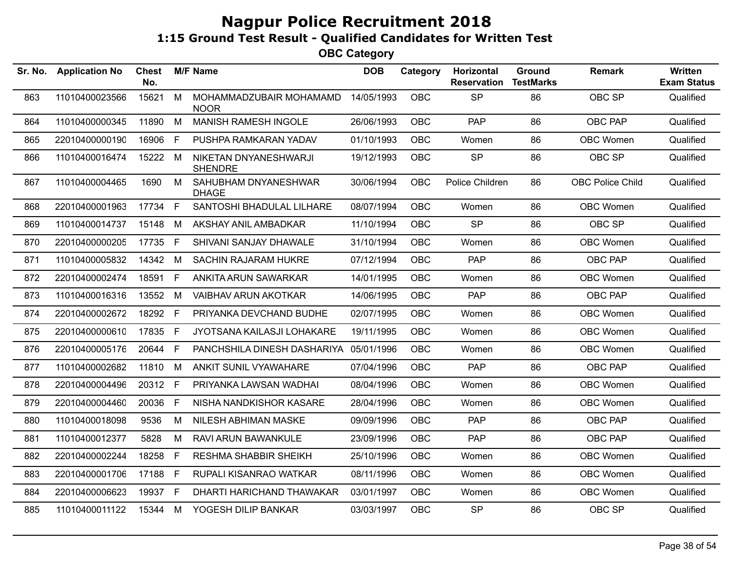| Sr. No. | <b>Application No</b> | <b>Chest</b><br>No. |              | <b>M/F Name</b>                         | <b>DOB</b> | Category   | Horizontal<br><b>Reservation</b> | Ground<br><b>TestMarks</b> | <b>Remark</b>           | Written<br><b>Exam Status</b> |
|---------|-----------------------|---------------------|--------------|-----------------------------------------|------------|------------|----------------------------------|----------------------------|-------------------------|-------------------------------|
| 863     | 11010400023566        | 15621               | M            | MOHAMMADZUBAIR MOHAMAMD<br><b>NOOR</b>  | 14/05/1993 | OBC        | <b>SP</b>                        | 86                         | OBC SP                  | Qualified                     |
| 864     | 11010400000345        | 11890               | M            | <b>MANISH RAMESH INGOLE</b>             | 26/06/1993 | <b>OBC</b> | <b>PAP</b>                       | 86                         | OBC PAP                 | Qualified                     |
| 865     | 22010400000190        | 16906               | $\mathsf F$  | PUSHPA RAMKARAN YADAV                   | 01/10/1993 | <b>OBC</b> | Women                            | 86                         | OBC Women               | Qualified                     |
| 866     | 11010400016474        | 15222               | M            | NIKETAN DNYANESHWARJI<br><b>SHENDRE</b> | 19/12/1993 | OBC        | <b>SP</b>                        | 86                         | OBC SP                  | Qualified                     |
| 867     | 11010400004465        | 1690                | M            | SAHUBHAM DNYANESHWAR<br><b>DHAGE</b>    | 30/06/1994 | OBC        | Police Children                  | 86                         | <b>OBC Police Child</b> | Qualified                     |
| 868     | 22010400001963        | 17734               | $\mathsf{F}$ | SANTOSHI BHADULAL LILHARE               | 08/07/1994 | OBC        | Women                            | 86                         | OBC Women               | Qualified                     |
| 869     | 11010400014737        | 15148               | М            | AKSHAY ANIL AMBADKAR                    | 11/10/1994 | <b>OBC</b> | <b>SP</b>                        | 86                         | OBC SP                  | Qualified                     |
| 870     | 22010400000205        | 17735               | $\mathsf{F}$ | SHIVANI SANJAY DHAWALE                  | 31/10/1994 | OBC        | Women                            | 86                         | OBC Women               | Qualified                     |
| 871     | 11010400005832        | 14342               | M            | <b>SACHIN RAJARAM HUKRE</b>             | 07/12/1994 | OBC        | <b>PAP</b>                       | 86                         | OBC PAP                 | Qualified                     |
| 872     | 22010400002474        | 18591               | $\mathsf F$  | ANKITA ARUN SAWARKAR                    | 14/01/1995 | <b>OBC</b> | Women                            | 86                         | OBC Women               | Qualified                     |
| 873     | 11010400016316        | 13552               | M            | <b>VAIBHAV ARUN AKOTKAR</b>             | 14/06/1995 | <b>OBC</b> | <b>PAP</b>                       | 86                         | OBC PAP                 | Qualified                     |
| 874     | 22010400002672        | 18292 F             |              | PRIYANKA DEVCHAND BUDHE                 | 02/07/1995 | OBC        | Women                            | 86                         | OBC Women               | Qualified                     |
| 875     | 22010400000610        | 17835               | $\mathsf{F}$ | JYOTSANA KAILASJI LOHAKARE              | 19/11/1995 | <b>OBC</b> | Women                            | 86                         | OBC Women               | Qualified                     |
| 876     | 22010400005176        | 20644               | E            | PANCHSHILA DINESH DASHARIYA 05/01/1996  |            | <b>OBC</b> | Women                            | 86                         | OBC Women               | Qualified                     |
| 877     | 11010400002682        | 11810               | M            | ANKIT SUNIL VYAWAHARE                   | 07/04/1996 | OBC        | <b>PAP</b>                       | 86                         | OBC PAP                 | Qualified                     |
| 878     | 22010400004496        | 20312               | -F           | PRIYANKA LAWSAN WADHAI                  | 08/04/1996 | <b>OBC</b> | Women                            | 86                         | OBC Women               | Qualified                     |
| 879     | 22010400004460        | 20036               | $\mathsf F$  | NISHA NANDKISHOR KASARE                 | 28/04/1996 | <b>OBC</b> | Women                            | 86                         | OBC Women               | Qualified                     |
| 880     | 11010400018098        | 9536                | M            | NILESH ABHIMAN MASKE                    | 09/09/1996 | <b>OBC</b> | <b>PAP</b>                       | 86                         | OBC PAP                 | Qualified                     |
| 881     | 11010400012377        | 5828                | M            | RAVI ARUN BAWANKULE                     | 23/09/1996 | <b>OBC</b> | <b>PAP</b>                       | 86                         | OBC PAP                 | Qualified                     |
| 882     | 22010400002244        | 18258               | $\mathsf F$  | <b>RESHMA SHABBIR SHEIKH</b>            | 25/10/1996 | OBC        | Women                            | 86                         | OBC Women               | Qualified                     |
| 883     | 22010400001706        | 17188               | F            | RUPALI KISANRAO WATKAR                  | 08/11/1996 | OBC        | Women                            | 86                         | OBC Women               | Qualified                     |
| 884     | 22010400006623        | 19937               | F            | DHARTI HARICHAND THAWAKAR               | 03/01/1997 | <b>OBC</b> | Women                            | 86                         | OBC Women               | Qualified                     |
| 885     | 11010400011122        | 15344               | M            | YOGESH DILIP BANKAR                     | 03/03/1997 | OBC        | <b>SP</b>                        | 86                         | OBC SP                  | Qualified                     |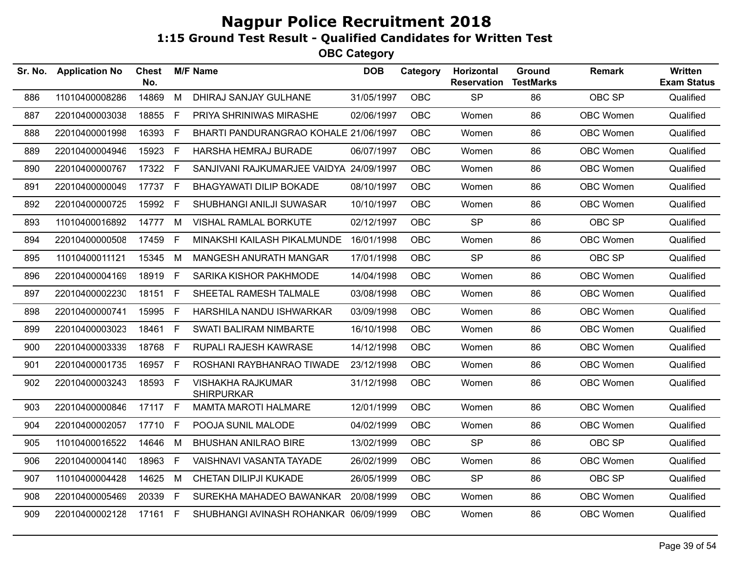| Sr. No. | <b>Application No</b> | <b>Chest</b><br>No. |    | <b>M/F Name</b>                               | <b>DOB</b> | Category   | Horizontal<br><b>Reservation</b> | Ground<br><b>TestMarks</b> | <b>Remark</b>    | Written<br><b>Exam Status</b> |
|---------|-----------------------|---------------------|----|-----------------------------------------------|------------|------------|----------------------------------|----------------------------|------------------|-------------------------------|
| 886     | 11010400008286        | 14869               | M  | DHIRAJ SANJAY GULHANE                         | 31/05/1997 | <b>OBC</b> | <b>SP</b>                        | 86                         | OBC SP           | Qualified                     |
| 887     | 22010400003038        | 18855 F             |    | PRIYA SHRINIWAS MIRASHE                       | 02/06/1997 | <b>OBC</b> | Women                            | 86                         | OBC Women        | Qualified                     |
| 888     | 22010400001998        | 16393               | F  | BHARTI PANDURANGRAO KOHALE 21/06/1997         |            | <b>OBC</b> | Women                            | 86                         | <b>OBC Women</b> | Qualified                     |
| 889     | 22010400004946        | 15923 F             |    | HARSHA HEMRAJ BURADE                          | 06/07/1997 | <b>OBC</b> | Women                            | 86                         | OBC Women        | Qualified                     |
| 890     | 22010400000767        | 17322 F             |    | SANJIVANI RAJKUMARJEE VAIDYA 24/09/1997       |            | <b>OBC</b> | Women                            | 86                         | OBC Women        | Qualified                     |
| 891     | 22010400000049        | 17737 F             |    | <b>BHAGYAWATI DILIP BOKADE</b>                | 08/10/1997 | <b>OBC</b> | Women                            | 86                         | OBC Women        | Qualified                     |
| 892     | 22010400000725        | 15992 F             |    | SHUBHANGI ANILJI SUWASAR                      | 10/10/1997 | OBC        | Women                            | 86                         | OBC Women        | Qualified                     |
| 893     | 11010400016892        | 14777               | M  | VISHAL RAMLAL BORKUTE                         | 02/12/1997 | <b>OBC</b> | <b>SP</b>                        | 86                         | OBC SP           | Qualified                     |
| 894     | 22010400000508        | 17459               | F  | MINAKSHI KAILASH PIKALMUNDE                   | 16/01/1998 | <b>OBC</b> | Women                            | 86                         | OBC Women        | Qualified                     |
| 895     | 11010400011121        | 15345               | M  | MANGESH ANURATH MANGAR                        | 17/01/1998 | <b>OBC</b> | <b>SP</b>                        | 86                         | OBC SP           | Qualified                     |
| 896     | 22010400004169        | 18919 F             |    | SARIKA KISHOR PAKHMODE                        | 14/04/1998 | <b>OBC</b> | Women                            | 86                         | OBC Women        | Qualified                     |
| 897     | 22010400002230        | 18151 F             |    | SHEETAL RAMESH TALMALE                        | 03/08/1998 | <b>OBC</b> | Women                            | 86                         | OBC Women        | Qualified                     |
| 898     | 22010400000741        | 15995               | F. | HARSHILA NANDU ISHWARKAR                      | 03/09/1998 | <b>OBC</b> | Women                            | 86                         | OBC Women        | Qualified                     |
| 899     | 22010400003023        | 18461 F             |    | SWATI BALIRAM NIMBARTE                        | 16/10/1998 | <b>OBC</b> | Women                            | 86                         | OBC Women        | Qualified                     |
| 900     | 22010400003339        | 18768 F             |    | RUPALI RAJESH KAWRASE                         | 14/12/1998 | <b>OBC</b> | Women                            | 86                         | OBC Women        | Qualified                     |
| 901     | 22010400001735        | 16957 F             |    | ROSHANI RAYBHANRAO TIWADE                     | 23/12/1998 | <b>OBC</b> | Women                            | 86                         | OBC Women        | Qualified                     |
| 902     | 22010400003243        | 18593 F             |    | <b>VISHAKHA RAJKUMAR</b><br><b>SHIRPURKAR</b> | 31/12/1998 | OBC        | Women                            | 86                         | OBC Women        | Qualified                     |
| 903     | 22010400000846        | 17117 F             |    | <b>MAMTA MAROTI HALMARE</b>                   | 12/01/1999 | <b>OBC</b> | Women                            | 86                         | OBC Women        | Qualified                     |
| 904     | 22010400002057        | 17710 F             |    | POOJA SUNIL MALODE                            | 04/02/1999 | OBC        | Women                            | 86                         | OBC Women        | Qualified                     |
| 905     | 11010400016522        | 14646               | M  | <b>BHUSHAN ANILRAO BIRE</b>                   | 13/02/1999 | <b>OBC</b> | <b>SP</b>                        | 86                         | OBC SP           | Qualified                     |
| 906     | 22010400004140        | 18963               | F. | VAISHNAVI VASANTA TAYADE                      | 26/02/1999 | <b>OBC</b> | Women                            | 86                         | OBC Women        | Qualified                     |
| 907     | 11010400004428        | 14625               | M  | CHETAN DILIPJI KUKADE                         | 26/05/1999 | <b>OBC</b> | <b>SP</b>                        | 86                         | OBC SP           | Qualified                     |
| 908     | 22010400005469        | 20339 F             |    | SUREKHA MAHADEO BAWANKAR                      | 20/08/1999 | <b>OBC</b> | Women                            | 86                         | OBC Women        | Qualified                     |
| 909     | 22010400002128        | 17161 F             |    | SHUBHANGI AVINASH ROHANKAR 06/09/1999         |            | OBC        | Women                            | 86                         | OBC Women        | Qualified                     |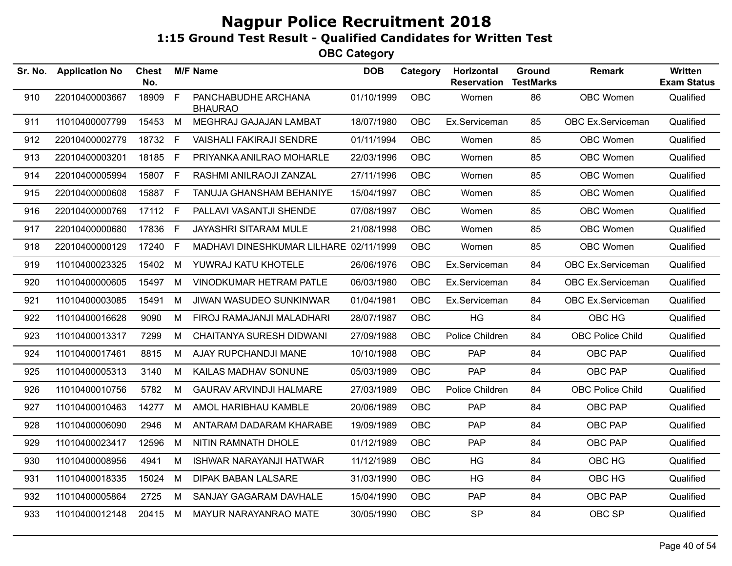| Sr. No. | <b>Application No</b> | <b>Chest</b><br>No. |              | <b>M/F Name</b>                        | <b>DOB</b> | Category   | Horizontal<br><b>Reservation</b> | Ground<br><b>TestMarks</b> | <b>Remark</b>           | Written<br><b>Exam Status</b> |
|---------|-----------------------|---------------------|--------------|----------------------------------------|------------|------------|----------------------------------|----------------------------|-------------------------|-------------------------------|
| 910     | 22010400003667        | 18909               | $\mathsf{F}$ | PANCHABUDHE ARCHANA<br><b>BHAURAO</b>  | 01/10/1999 | OBC        | Women                            | 86                         | OBC Women               | Qualified                     |
| 911     | 11010400007799        | 15453 M             |              | MEGHRAJ GAJAJAN LAMBAT                 | 18/07/1980 | OBC        | Ex.Serviceman                    | 85                         | OBC Ex.Serviceman       | Qualified                     |
| 912     | 22010400002779        | 18732 F             |              | <b>VAISHALI FAKIRAJI SENDRE</b>        | 01/11/1994 | OBC        | Women                            | 85                         | OBC Women               | Qualified                     |
| 913     | 22010400003201        | 18185 F             |              | PRIYANKA ANILRAO MOHARLE               | 22/03/1996 | OBC        | Women                            | 85                         | OBC Women               | Qualified                     |
| 914     | 22010400005994        | 15807 F             |              | RASHMI ANILRAOJI ZANZAL                | 27/11/1996 | OBC        | Women                            | 85                         | OBC Women               | Qualified                     |
| 915     | 22010400000608        | 15887 F             |              | TANUJA GHANSHAM BEHANIYE               | 15/04/1997 | OBC        | Women                            | 85                         | OBC Women               | Qualified                     |
| 916     | 22010400000769        | 17112 F             |              | PALLAVI VASANTJI SHENDE                | 07/08/1997 | OBC        | Women                            | 85                         | OBC Women               | Qualified                     |
| 917     | 22010400000680        | 17836 F             |              | JAYASHRI SITARAM MULE                  | 21/08/1998 | OBC        | Women                            | 85                         | OBC Women               | Qualified                     |
| 918     | 22010400000129        | 17240 F             |              | MADHAVI DINESHKUMAR LILHARE 02/11/1999 |            | OBC        | Women                            | 85                         | OBC Women               | Qualified                     |
| 919     | 11010400023325        | 15402               | M            | YUWRAJ KATU KHOTELE                    | 26/06/1976 | OBC        | Ex.Serviceman                    | 84                         | OBC Ex.Serviceman       | Qualified                     |
| 920     | 11010400000605        | 15497               | M            | VINODKUMAR HETRAM PATLE                | 06/03/1980 | OBC        | Ex.Serviceman                    | 84                         | OBC Ex.Serviceman       | Qualified                     |
| 921     | 11010400003085        | 15491               | M            | <b>JIWAN WASUDEO SUNKINWAR</b>         | 01/04/1981 | OBC        | Ex.Serviceman                    | 84                         | OBC Ex.Serviceman       | Qualified                     |
| 922     | 11010400016628        | 9090                | M            | FIROJ RAMAJANJI MALADHARI              | 28/07/1987 | OBC        | HG                               | 84                         | OBC HG                  | Qualified                     |
| 923     | 11010400013317        | 7299                | M            | <b>CHAITANYA SURESH DIDWANI</b>        | 27/09/1988 | OBC        | Police Children                  | 84                         | <b>OBC Police Child</b> | Qualified                     |
| 924     | 11010400017461        | 8815                | M            | AJAY RUPCHANDJI MANE                   | 10/10/1988 | <b>OBC</b> | <b>PAP</b>                       | 84                         | OBC PAP                 | Qualified                     |
| 925     | 11010400005313        | 3140                | M            | KAILAS MADHAV SONUNE                   | 05/03/1989 | <b>OBC</b> | <b>PAP</b>                       | 84                         | OBC PAP                 | Qualified                     |
| 926     | 11010400010756        | 5782                | M            | <b>GAURAV ARVINDJI HALMARE</b>         | 27/03/1989 | OBC        | Police Children                  | 84                         | <b>OBC Police Child</b> | Qualified                     |
| 927     | 11010400010463        | 14277               | M            | AMOL HARIBHAU KAMBLE                   | 20/06/1989 | OBC        | PAP                              | 84                         | OBC PAP                 | Qualified                     |
| 928     | 11010400006090        | 2946                | M            | ANTARAM DADARAM KHARABE                | 19/09/1989 | OBC        | PAP                              | 84                         | OBC PAP                 | Qualified                     |
| 929     | 11010400023417        | 12596               | M            | NITIN RAMNATH DHOLE                    | 01/12/1989 | OBC        | PAP                              | 84                         | OBC PAP                 | Qualified                     |
| 930     | 11010400008956        | 4941                | M            | <b>ISHWAR NARAYANJI HATWAR</b>         | 11/12/1989 | OBC        | HG                               | 84                         | OBC HG                  | Qualified                     |
| 931     | 11010400018335        | 15024               | M            | <b>DIPAK BABAN LALSARE</b>             | 31/03/1990 | OBC        | HG                               | 84                         | OBC HG                  | Qualified                     |
| 932     | 11010400005864        | 2725                | M            | SANJAY GAGARAM DAVHALE                 | 15/04/1990 | OBC        | <b>PAP</b>                       | 84                         | OBC PAP                 | Qualified                     |
| 933     | 11010400012148        | 20415 M             |              | MAYUR NARAYANRAO MATE                  | 30/05/1990 | OBC        | <b>SP</b>                        | 84                         | OBC SP                  | Qualified                     |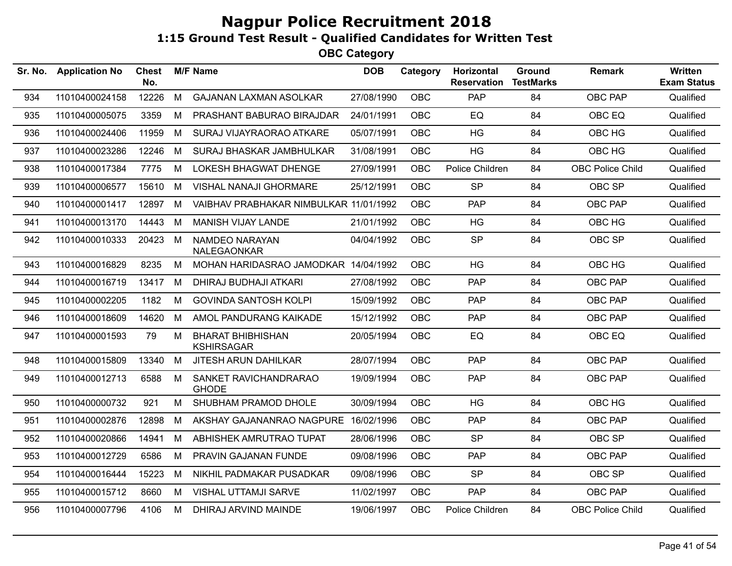| Sr. No. | <b>Application No</b> | Chest<br>No. |   | <b>M/F Name</b>                               | <b>DOB</b> | Category   | Horizontal<br><b>Reservation</b> | Ground<br><b>TestMarks</b> | Remark                  | Written<br><b>Exam Status</b> |
|---------|-----------------------|--------------|---|-----------------------------------------------|------------|------------|----------------------------------|----------------------------|-------------------------|-------------------------------|
| 934     | 11010400024158        | 12226        | M | <b>GAJANAN LAXMAN ASOLKAR</b>                 | 27/08/1990 | <b>OBC</b> | PAP                              | 84                         | <b>OBC PAP</b>          | Qualified                     |
| 935     | 11010400005075        | 3359         | M | PRASHANT BABURAO BIRAJDAR                     | 24/01/1991 | <b>OBC</b> | EQ                               | 84                         | OBC EQ                  | Qualified                     |
| 936     | 11010400024406        | 11959        | M | SURAJ VIJAYRAORAO ATKARE                      | 05/07/1991 | OBC        | HG                               | 84                         | OBC HG                  | Qualified                     |
| 937     | 11010400023286        | 12246        | M | <b>SURAJ BHASKAR JAMBHULKAR</b>               | 31/08/1991 | <b>OBC</b> | <b>HG</b>                        | 84                         | OBC HG                  | Qualified                     |
| 938     | 11010400017384        | 7775         | M | <b>LOKESH BHAGWAT DHENGE</b>                  | 27/09/1991 | <b>OBC</b> | Police Children                  | 84                         | <b>OBC Police Child</b> | Qualified                     |
| 939     | 11010400006577        | 15610        | M | <b>VISHAL NANAJI GHORMARE</b>                 | 25/12/1991 | <b>OBC</b> | <b>SP</b>                        | 84                         | OBC SP                  | Qualified                     |
| 940     | 11010400001417        | 12897        | М | VAIBHAV PRABHAKAR NIMBULKAR 11/01/1992        |            | <b>OBC</b> | <b>PAP</b>                       | 84                         | <b>OBC PAP</b>          | Qualified                     |
| 941     | 11010400013170        | 14443        | M | <b>MANISH VIJAY LANDE</b>                     | 21/01/1992 | <b>OBC</b> | HG                               | 84                         | OBC HG                  | Qualified                     |
| 942     | 11010400010333        | 20423        | M | NAMDEO NARAYAN<br>NALEGAONKAR                 | 04/04/1992 | <b>OBC</b> | <b>SP</b>                        | 84                         | OBC SP                  | Qualified                     |
| 943     | 11010400016829        | 8235         | м | MOHAN HARIDASRAO JAMODKAR 14/04/1992          |            | <b>OBC</b> | <b>HG</b>                        | 84                         | OBC HG                  | Qualified                     |
| 944     | 11010400016719        | 13417        | M | DHIRAJ BUDHAJI ATKARI                         | 27/08/1992 | <b>OBC</b> | PAP                              | 84                         | OBC PAP                 | Qualified                     |
| 945     | 11010400002205        | 1182         | М | <b>GOVINDA SANTOSH KOLPI</b>                  | 15/09/1992 | <b>OBC</b> | PAP                              | 84                         | OBC PAP                 | Qualified                     |
| 946     | 11010400018609        | 14620        | м | AMOL PANDURANG KAIKADE                        | 15/12/1992 | <b>OBC</b> | PAP                              | 84                         | <b>OBC PAP</b>          | Qualified                     |
| 947     | 11010400001593        | 79           | М | <b>BHARAT BHIBHISHAN</b><br><b>KSHIRSAGAR</b> | 20/05/1994 | <b>OBC</b> | EQ                               | 84                         | OBC EQ                  | Qualified                     |
| 948     | 11010400015809        | 13340        | M | <b>JITESH ARUN DAHILKAR</b>                   | 28/07/1994 | <b>OBC</b> | PAP                              | 84                         | OBC PAP                 | Qualified                     |
| 949     | 11010400012713        | 6588         | M | SANKET RAVICHANDRARAO<br><b>GHODE</b>         | 19/09/1994 | <b>OBC</b> | PAP                              | 84                         | OBC PAP                 | Qualified                     |
| 950     | 11010400000732        | 921          | М | SHUBHAM PRAMOD DHOLE                          | 30/09/1994 | <b>OBC</b> | <b>HG</b>                        | 84                         | OBC HG                  | Qualified                     |
| 951     | 11010400002876        | 12898        | м | AKSHAY GAJANANRAO NAGPURE                     | 16/02/1996 | <b>OBC</b> | <b>PAP</b>                       | 84                         | <b>OBC PAP</b>          | Qualified                     |
| 952     | 11010400020866        | 14941        | М | ABHISHEK AMRUTRAO TUPAT                       | 28/06/1996 | <b>OBC</b> | <b>SP</b>                        | 84                         | OBC SP                  | Qualified                     |
| 953     | 11010400012729        | 6586         | м | <b>PRAVIN GAJANAN FUNDE</b>                   | 09/08/1996 | <b>OBC</b> | PAP                              | 84                         | <b>OBC PAP</b>          | Qualified                     |
| 954     | 11010400016444        | 15223        | M | NIKHIL PADMAKAR PUSADKAR                      | 09/08/1996 | <b>OBC</b> | <b>SP</b>                        | 84                         | OBC SP                  | Qualified                     |
| 955     | 11010400015712        | 8660         | М | VISHAL UTTAMJI SARVE                          | 11/02/1997 | <b>OBC</b> | <b>PAP</b>                       | 84                         | OBC PAP                 | Qualified                     |
| 956     | 11010400007796        | 4106         | м | DHIRAJ ARVIND MAINDE                          | 19/06/1997 | <b>OBC</b> | Police Children                  | 84                         | <b>OBC Police Child</b> | Qualified                     |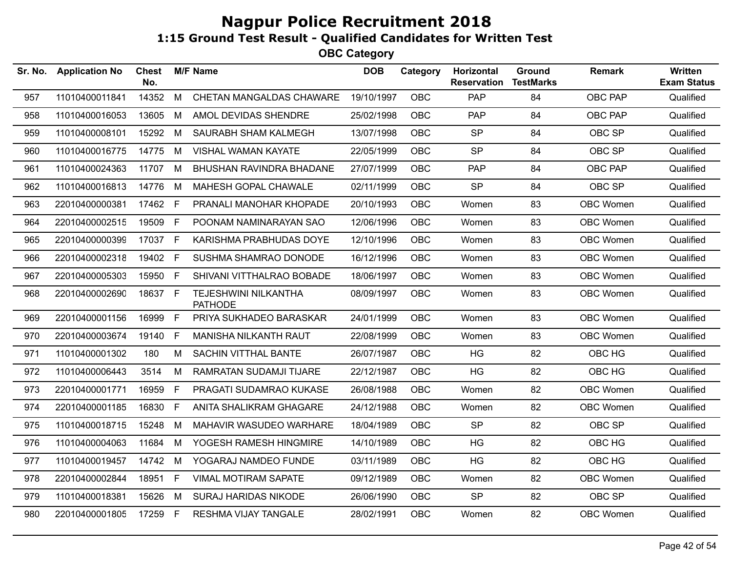| Sr. No. | <b>Application No</b> | <b>Chest</b><br>No. |              | <b>M/F Name</b>                        | <b>DOB</b> | Category   | Horizontal<br><b>Reservation</b> | Ground<br><b>TestMarks</b> | <b>Remark</b>    | <b>Written</b><br><b>Exam Status</b> |
|---------|-----------------------|---------------------|--------------|----------------------------------------|------------|------------|----------------------------------|----------------------------|------------------|--------------------------------------|
| 957     | 11010400011841        | 14352               | M            | CHETAN MANGALDAS CHAWARE               | 19/10/1997 | <b>OBC</b> | PAP                              | 84                         | <b>OBC PAP</b>   | Qualified                            |
| 958     | 11010400016053        | 13605               | M            | AMOL DEVIDAS SHENDRE                   | 25/02/1998 | <b>OBC</b> | PAP                              | 84                         | OBC PAP          | Qualified                            |
| 959     | 11010400008101        | 15292               | M            | SAURABH SHAM KALMEGH                   | 13/07/1998 | <b>OBC</b> | <b>SP</b>                        | 84                         | OBC SP           | Qualified                            |
| 960     | 11010400016775        | 14775               | M            | <b>VISHAL WAMAN KAYATE</b>             | 22/05/1999 | OBC        | <b>SP</b>                        | 84                         | OBC SP           | Qualified                            |
| 961     | 11010400024363        | 11707 M             |              | <b>BHUSHAN RAVINDRA BHADANE</b>        | 27/07/1999 | <b>OBC</b> | <b>PAP</b>                       | 84                         | OBC PAP          | Qualified                            |
| 962     | 11010400016813        | 14776               | M            | MAHESH GOPAL CHAWALE                   | 02/11/1999 | <b>OBC</b> | <b>SP</b>                        | 84                         | OBC SP           | Qualified                            |
| 963     | 22010400000381        | 17462 F             |              | PRANALI MANOHAR KHOPADE                | 20/10/1993 | <b>OBC</b> | Women                            | 83                         | <b>OBC Women</b> | Qualified                            |
| 964     | 22010400002515        | 19509               | F.           | POONAM NAMINARAYAN SAO                 | 12/06/1996 | <b>OBC</b> | Women                            | 83                         | <b>OBC Women</b> | Qualified                            |
| 965     | 22010400000399        | 17037 F             |              | KARISHMA PRABHUDAS DOYE                | 12/10/1996 | <b>OBC</b> | Women                            | 83                         | OBC Women        | Qualified                            |
| 966     | 22010400002318        | 19402               | F            | SUSHMA SHAMRAO DONODE                  | 16/12/1996 | <b>OBC</b> | Women                            | 83                         | <b>OBC Women</b> | Qualified                            |
| 967     | 22010400005303        | 15950 F             |              | SHIVANI VITTHALRAO BOBADE              | 18/06/1997 | <b>OBC</b> | Women                            | 83                         | <b>OBC Women</b> | Qualified                            |
| 968     | 22010400002690        | 18637 F             |              | TEJESHWINI NILKANTHA<br><b>PATHODE</b> | 08/09/1997 | <b>OBC</b> | Women                            | 83                         | <b>OBC Women</b> | Qualified                            |
| 969     | 22010400001156        | 16999 F             |              | PRIYA SUKHADEO BARASKAR                | 24/01/1999 | <b>OBC</b> | Women                            | 83                         | OBC Women        | Qualified                            |
| 970     | 22010400003674        | 19140               | F.           | MANISHA NILKANTH RAUT                  | 22/08/1999 | <b>OBC</b> | Women                            | 83                         | <b>OBC Women</b> | Qualified                            |
| 971     | 11010400001302        | 180                 | M            | SACHIN VITTHAL BANTE                   | 26/07/1987 | <b>OBC</b> | <b>HG</b>                        | 82                         | OBC HG           | Qualified                            |
| 972     | 11010400006443        | 3514                | М            | RAMRATAN SUDAMJI TIJARE                | 22/12/1987 | <b>OBC</b> | <b>HG</b>                        | 82                         | OBC HG           | Qualified                            |
| 973     | 22010400001771        | 16959               | F.           | PRAGATI SUDAMRAO KUKASE                | 26/08/1988 | <b>OBC</b> | Women                            | 82                         | <b>OBC Women</b> | Qualified                            |
| 974     | 22010400001185        | 16830               | F            | ANITA SHALIKRAM GHAGARE                | 24/12/1988 | <b>OBC</b> | Women                            | 82                         | OBC Women        | Qualified                            |
| 975     | 11010400018715        | 15248               | M            | MAHAVIR WASUDEO WARHARE                | 18/04/1989 | <b>OBC</b> | <b>SP</b>                        | 82                         | OBC SP           | Qualified                            |
| 976     | 11010400004063        | 11684               | M            | YOGESH RAMESH HINGMIRE                 | 14/10/1989 | <b>OBC</b> | HG                               | 82                         | OBC HG           | Qualified                            |
| 977     | 11010400019457        | 14742               | M            | YOGARAJ NAMDEO FUNDE                   | 03/11/1989 | <b>OBC</b> | HG                               | 82                         | OBC HG           | Qualified                            |
| 978     | 22010400002844        | 18951               | $\mathsf{F}$ | <b>VIMAL MOTIRAM SAPATE</b>            | 09/12/1989 | <b>OBC</b> | Women                            | 82                         | OBC Women        | Qualified                            |
| 979     | 11010400018381        | 15626               | M            | <b>SURAJ HARIDAS NIKODE</b>            | 26/06/1990 | <b>OBC</b> | <b>SP</b>                        | 82                         | OBC SP           | Qualified                            |
| 980     | 22010400001805        | 17259 F             |              | <b>RESHMA VIJAY TANGALE</b>            | 28/02/1991 | <b>OBC</b> | Women                            | 82                         | <b>OBC Women</b> | Qualified                            |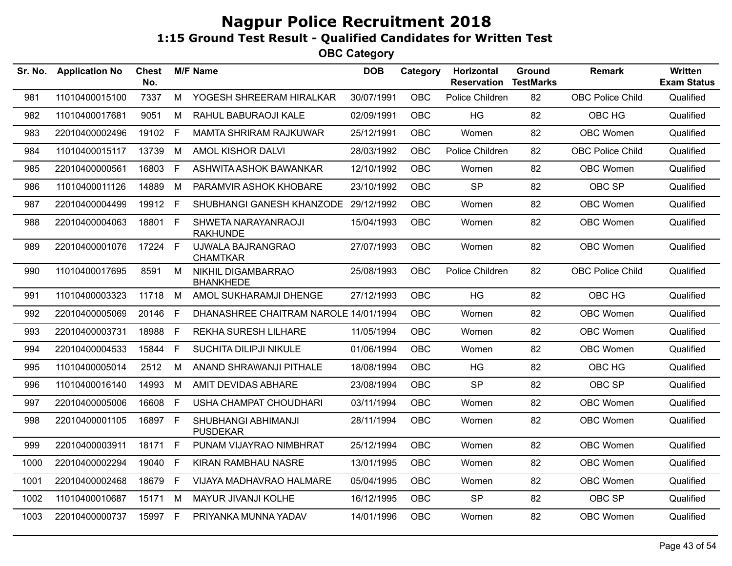| Sr. No. | <b>Application No</b> | Chest<br>No. |    | <b>M/F Name</b>                        | <b>DOB</b> | Category   | Horizontal<br><b>Reservation</b> | Ground<br><b>TestMarks</b> | <b>Remark</b>           | Written<br><b>Exam Status</b> |
|---------|-----------------------|--------------|----|----------------------------------------|------------|------------|----------------------------------|----------------------------|-------------------------|-------------------------------|
| 981     | 11010400015100        | 7337         | M  | YOGESH SHREERAM HIRALKAR               | 30/07/1991 | OBC        | Police Children                  | 82                         | OBC Police Child        | Qualified                     |
| 982     | 11010400017681        | 9051         | M  | RAHUL BABURAOJI KALE                   | 02/09/1991 | <b>OBC</b> | HG                               | 82                         | OBC HG                  | Qualified                     |
| 983     | 22010400002496        | 19102 F      |    | <b>MAMTA SHRIRAM RAJKUWAR</b>          | 25/12/1991 | <b>OBC</b> | Women                            | 82                         | <b>OBC Women</b>        | Qualified                     |
| 984     | 11010400015117        | 13739        | M  | AMOL KISHOR DALVI                      | 28/03/1992 | <b>OBC</b> | Police Children                  | 82                         | <b>OBC Police Child</b> | Qualified                     |
| 985     | 22010400000561        | 16803 F      |    | ASHWITA ASHOK BAWANKAR                 | 12/10/1992 | <b>OBC</b> | Women                            | 82                         | OBC Women               | Qualified                     |
| 986     | 11010400011126        | 14889        | M  | PARAMVIR ASHOK KHOBARE                 | 23/10/1992 | <b>OBC</b> | <b>SP</b>                        | 82                         | OBC SP                  | Qualified                     |
| 987     | 22010400004499        | 19912 F      |    | SHUBHANGI GANESH KHANZODE 29/12/1992   |            | <b>OBC</b> | Women                            | 82                         | OBC Women               | Qualified                     |
| 988     | 22010400004063        | 18801 F      |    | SHWETA NARAYANRAOJI<br><b>RAKHUNDE</b> | 15/04/1993 | <b>OBC</b> | Women                            | 82                         | OBC Women               | Qualified                     |
| 989     | 22010400001076        | 17224 F      |    | UJWALA BAJRANGRAO<br><b>CHAMTKAR</b>   | 27/07/1993 | <b>OBC</b> | Women                            | 82                         | OBC Women               | Qualified                     |
| 990     | 11010400017695        | 8591         | M  | NIKHIL DIGAMBARRAO<br><b>BHANKHEDE</b> | 25/08/1993 | <b>OBC</b> | Police Children                  | 82                         | <b>OBC Police Child</b> | Qualified                     |
| 991     | 11010400003323        | 11718        | M  | AMOL SUKHARAMJI DHENGE                 | 27/12/1993 | <b>OBC</b> | HG                               | 82                         | OBC HG                  | Qualified                     |
| 992     | 22010400005069        | 20146        | -F | DHANASHREE CHAITRAM NAROLE 14/01/1994  |            | <b>OBC</b> | Women                            | 82                         | <b>OBC Women</b>        | Qualified                     |
| 993     | 22010400003731        | 18988 F      |    | <b>REKHA SURESH LILHARE</b>            | 11/05/1994 | <b>OBC</b> | Women                            | 82                         | OBC Women               | Qualified                     |
| 994     | 22010400004533        | 15844 F      |    | SUCHITA DILIPJI NIKULE                 | 01/06/1994 | <b>OBC</b> | Women                            | 82                         | OBC Women               | Qualified                     |
| 995     | 11010400005014        | 2512         | M  | ANAND SHRAWANJI PITHALE                | 18/08/1994 | <b>OBC</b> | HG                               | 82                         | OBC HG                  | Qualified                     |
| 996     | 11010400016140        | 14993        | M  | AMIT DEVIDAS ABHARE                    | 23/08/1994 | <b>OBC</b> | <b>SP</b>                        | 82                         | OBC SP                  | Qualified                     |
| 997     | 22010400005006        | 16608        | F  | USHA CHAMPAT CHOUDHARI                 | 03/11/1994 | <b>OBC</b> | Women                            | 82                         | <b>OBC Women</b>        | Qualified                     |
| 998     | 22010400001105        | 16897 F      |    | SHUBHANGI ABHIMANJI<br><b>PUSDEKAR</b> | 28/11/1994 | <b>OBC</b> | Women                            | 82                         | <b>OBC Women</b>        | Qualified                     |
| 999     | 22010400003911        | 18171        | F  | PUNAM VIJAYRAO NIMBHRAT                | 25/12/1994 | <b>OBC</b> | Women                            | 82                         | OBC Women               | Qualified                     |
| 1000    | 22010400002294        | 19040        | E  | KIRAN RAMBHAU NASRE                    | 13/01/1995 | <b>OBC</b> | Women                            | 82                         | OBC Women               | Qualified                     |
| 1001    | 22010400002468        | 18679        | -F | VIJAYA MADHAVRAO HALMARE               | 05/04/1995 | <b>OBC</b> | Women                            | 82                         | <b>OBC Women</b>        | Qualified                     |
| 1002    | 11010400010687        | 15171        | M  | MAYUR JIVANJI KOLHE                    | 16/12/1995 | <b>OBC</b> | <b>SP</b>                        | 82                         | OBC SP                  | Qualified                     |
| 1003    | 22010400000737        | 15997 F      |    | PRIYANKA MUNNA YADAV                   | 14/01/1996 | <b>OBC</b> | Women                            | 82                         | OBC Women               | Qualified                     |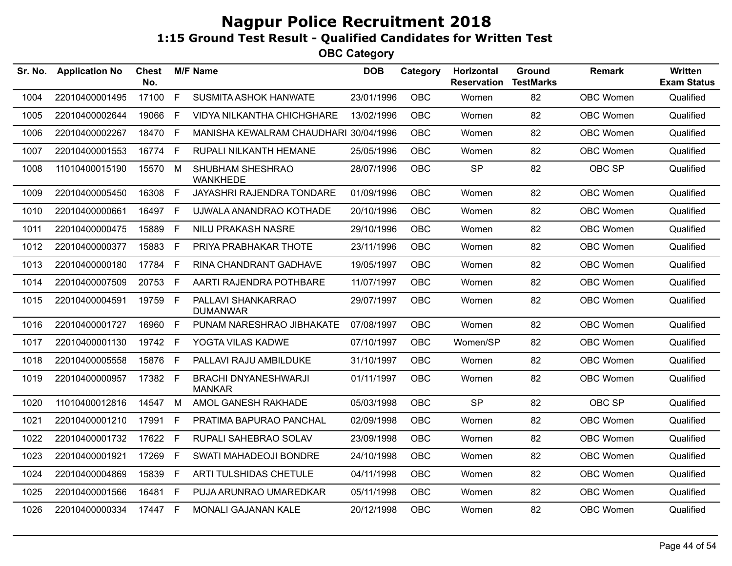| Sr. No. | <b>Application No</b> | <b>Chest</b><br>No. |              | <b>M/F Name</b>                              | <b>DOB</b> | Category   | Horizontal<br><b>Reservation</b> | Ground<br><b>TestMarks</b> | <b>Remark</b> | Written<br><b>Exam Status</b> |
|---------|-----------------------|---------------------|--------------|----------------------------------------------|------------|------------|----------------------------------|----------------------------|---------------|-------------------------------|
| 1004    | 22010400001495        | 17100               | $\mathsf{F}$ | SUSMITA ASHOK HANWATE                        | 23/01/1996 | OBC        | Women                            | 82                         | OBC Women     | Qualified                     |
| 1005    | 22010400002644        | 19066               | E            | <b>VIDYA NILKANTHA CHICHGHARE</b>            | 13/02/1996 | <b>OBC</b> | Women                            | 82                         | OBC Women     | Qualified                     |
| 1006    | 22010400002267        | 18470               | $\mathsf{F}$ | MANISHA KEWALRAM CHAUDHARI 30/04/1996        |            | <b>OBC</b> | Women                            | 82                         | OBC Women     | Qualified                     |
| 1007    | 22010400001553        | 16774               | F            | RUPALI NILKANTH HEMANE                       | 25/05/1996 | OBC        | Women                            | 82                         | OBC Women     | Qualified                     |
| 1008    | 11010400015190        | 15570 M             |              | <b>SHUBHAM SHESHRAO</b><br><b>WANKHEDE</b>   | 28/07/1996 | <b>OBC</b> | <b>SP</b>                        | 82                         | OBC SP        | Qualified                     |
| 1009    | 22010400005450        | 16308               | F            | JAYASHRI RAJENDRA TONDARE                    | 01/09/1996 | OBC        | Women                            | 82                         | OBC Women     | Qualified                     |
| 1010    | 22010400000661        | 16497               | -F           | UJWALA ANANDRAO KOTHADE                      | 20/10/1996 | <b>OBC</b> | Women                            | 82                         | OBC Women     | Qualified                     |
| 1011    | 22010400000475        | 15889               | F            | NILU PRAKASH NASRE                           | 29/10/1996 | <b>OBC</b> | Women                            | 82                         | OBC Women     | Qualified                     |
| 1012    | 22010400000377        | 15883               | F            | PRIYA PRABHAKAR THOTE                        | 23/11/1996 | OBC        | Women                            | 82                         | OBC Women     | Qualified                     |
| 1013    | 22010400000180        | 17784               | -F           | RINA CHANDRANT GADHAVE                       | 19/05/1997 | OBC        | Women                            | 82                         | OBC Women     | Qualified                     |
| 1014    | 22010400007509        | 20753               | F            | AARTI RAJENDRA POTHBARE                      | 11/07/1997 | <b>OBC</b> | Women                            | 82                         | OBC Women     | Qualified                     |
| 1015    | 22010400004591        | 19759 F             |              | PALLAVI SHANKARRAO<br><b>DUMANWAR</b>        | 29/07/1997 | OBC        | Women                            | 82                         | OBC Women     | Qualified                     |
| 1016    | 22010400001727        | 16960               | E            | PUNAM NARESHRAO JIBHAKATE                    | 07/08/1997 | <b>OBC</b> | Women                            | 82                         | OBC Women     | Qualified                     |
| 1017    | 22010400001130        | 19742               | E            | YOGTA VILAS KADWE                            | 07/10/1997 | <b>OBC</b> | Women/SP                         | 82                         | OBC Women     | Qualified                     |
| 1018    | 22010400005558        | 15876 F             |              | PALLAVI RAJU AMBILDUKE                       | 31/10/1997 | <b>OBC</b> | Women                            | 82                         | OBC Women     | Qualified                     |
| 1019    | 22010400000957        | 17382 F             |              | <b>BRACHI DNYANESHWARJI</b><br><b>MANKAR</b> | 01/11/1997 | <b>OBC</b> | Women                            | 82                         | OBC Women     | Qualified                     |
| 1020    | 11010400012816        | 14547               | M            | AMOL GANESH RAKHADE                          | 05/03/1998 | <b>OBC</b> | <b>SP</b>                        | 82                         | OBC SP        | Qualified                     |
| 1021    | 22010400001210        | 17991               | -F           | PRATIMA BAPURAO PANCHAL                      | 02/09/1998 | <b>OBC</b> | Women                            | 82                         | OBC Women     | Qualified                     |
| 1022    | 22010400001732        | 17622               | $\mathsf{F}$ | RUPALI SAHEBRAO SOLAV                        | 23/09/1998 | <b>OBC</b> | Women                            | 82                         | OBC Women     | Qualified                     |
| 1023    | 22010400001921        | 17269               | $\mathsf F$  | SWATI MAHADEOJI BONDRE                       | 24/10/1998 | OBC        | Women                            | 82                         | OBC Women     | Qualified                     |
| 1024    | 22010400004869        | 15839               | F            | ARTI TULSHIDAS CHETULE                       | 04/11/1998 | OBC        | Women                            | 82                         | OBC Women     | Qualified                     |
| 1025    | 22010400001566        | 16481               | E            | PUJA ARUNRAO UMAREDKAR                       | 05/11/1998 | <b>OBC</b> | Women                            | 82                         | OBC Women     | Qualified                     |
| 1026    | 22010400000334        | 17447 F             |              | MONALI GAJANAN KALE                          | 20/12/1998 | <b>OBC</b> | Women                            | 82                         | OBC Women     | Qualified                     |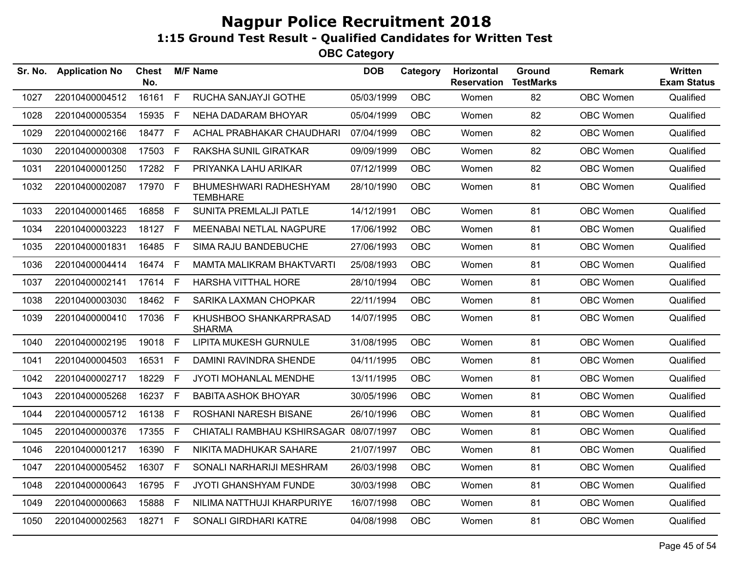| Sr. No. | <b>Application No</b> | <b>Chest</b><br>No. |     | <b>M/F Name</b>                           | <b>DOB</b> | Category   | Horizontal<br><b>Reservation</b> | Ground<br><b>TestMarks</b> | <b>Remark</b>    | Written<br><b>Exam Status</b> |
|---------|-----------------------|---------------------|-----|-------------------------------------------|------------|------------|----------------------------------|----------------------------|------------------|-------------------------------|
| 1027    | 22010400004512        | 16161               | F   | RUCHA SANJAYJI GOTHE                      | 05/03/1999 | OBC        | Women                            | 82                         | OBC Women        | Qualified                     |
| 1028    | 22010400005354        | 15935               | -F  | NEHA DADARAM BHOYAR                       | 05/04/1999 | <b>OBC</b> | Women                            | 82                         | OBC Women        | Qualified                     |
| 1029    | 22010400002166        | 18477 F             |     | ACHAL PRABHAKAR CHAUDHARI                 | 07/04/1999 | <b>OBC</b> | Women                            | 82                         | OBC Women        | Qualified                     |
| 1030    | 22010400000308        | 17503 F             |     | <b>RAKSHA SUNIL GIRATKAR</b>              | 09/09/1999 | <b>OBC</b> | Women                            | 82                         | OBC Women        | Qualified                     |
| 1031    | 22010400001250        | 17282 F             |     | PRIYANKA LAHU ARIKAR                      | 07/12/1999 | <b>OBC</b> | Women                            | 82                         | OBC Women        | Qualified                     |
| 1032    | 22010400002087        | 17970 F             |     | BHUMESHWARI RADHESHYAM<br><b>TEMBHARE</b> | 28/10/1990 | <b>OBC</b> | Women                            | 81                         | OBC Women        | Qualified                     |
| 1033    | 22010400001465        | 16858 F             |     | SUNITA PREMLALJI PATLE                    | 14/12/1991 | <b>OBC</b> | Women                            | 81                         | OBC Women        | Qualified                     |
| 1034    | 22010400003223        | 18127 F             |     | MEENABAI NETLAL NAGPURE                   | 17/06/1992 | <b>OBC</b> | Women                            | 81                         | OBC Women        | Qualified                     |
| 1035    | 22010400001831        | 16485               | - F | SIMA RAJU BANDEBUCHE                      | 27/06/1993 | <b>OBC</b> | Women                            | 81                         | OBC Women        | Qualified                     |
| 1036    | 22010400004414        | 16474 F             |     | <b>MAMTA MALIKRAM BHAKTVARTI</b>          | 25/08/1993 | <b>OBC</b> | Women                            | 81                         | OBC Women        | Qualified                     |
| 1037    | 22010400002141        | 17614 F             |     | HARSHA VITTHAL HORE                       | 28/10/1994 | OBC        | Women                            | 81                         | OBC Women        | Qualified                     |
| 1038    | 22010400003030        | 18462               | F   | SARIKA LAXMAN CHOPKAR                     | 22/11/1994 | <b>OBC</b> | Women                            | 81                         | OBC Women        | Qualified                     |
| 1039    | 22010400000410        | 17036 F             |     | KHUSHBOO SHANKARPRASAD<br><b>SHARMA</b>   | 14/07/1995 | <b>OBC</b> | Women                            | 81                         | OBC Women        | Qualified                     |
| 1040    | 22010400002195        | 19018 F             |     | <b>LIPITA MUKESH GURNULE</b>              | 31/08/1995 | <b>OBC</b> | Women                            | 81                         | OBC Women        | Qualified                     |
| 1041    | 22010400004503        | 16531 F             |     | DAMINI RAVINDRA SHENDE                    | 04/11/1995 | <b>OBC</b> | Women                            | 81                         | OBC Women        | Qualified                     |
| 1042    | 22010400002717        | 18229 F             |     | JYOTI MOHANLAL MENDHE                     | 13/11/1995 | <b>OBC</b> | Women                            | 81                         | OBC Women        | Qualified                     |
| 1043    | 22010400005268        | 16237 F             |     | <b>BABITA ASHOK BHOYAR</b>                | 30/05/1996 | <b>OBC</b> | Women                            | 81                         | OBC Women        | Qualified                     |
| 1044    | 22010400005712        | 16138               | F   | ROSHANI NARESH BISANE                     | 26/10/1996 | <b>OBC</b> | Women                            | 81                         | OBC Women        | Qualified                     |
| 1045    | 22010400000376        | 17355               | - F | CHIATALI RAMBHAU KSHIRSAGAR 08/07/1997    |            | OBC        | Women                            | 81                         | <b>OBC Women</b> | Qualified                     |
| 1046    | 22010400001217        | 16390 F             |     | NIKITA MADHUKAR SAHARE                    | 21/07/1997 | <b>OBC</b> | Women                            | 81                         | OBC Women        | Qualified                     |
| 1047    | 22010400005452        | 16307 F             |     | SONALI NARHARIJI MESHRAM                  | 26/03/1998 | <b>OBC</b> | Women                            | 81                         | OBC Women        | Qualified                     |
| 1048    | 22010400000643        | 16795               | F   | JYOTI GHANSHYAM FUNDE                     | 30/03/1998 | OBC        | Women                            | 81                         | OBC Women        | Qualified                     |
| 1049    | 22010400000663        | 15888               | -F  | NILIMA NATTHUJI KHARPURIYE                | 16/07/1998 | <b>OBC</b> | Women                            | 81                         | OBC Women        | Qualified                     |
| 1050    | 22010400002563        | 18271 F             |     | SONALI GIRDHARI KATRE                     | 04/08/1998 | OBC        | Women                            | 81                         | OBC Women        | Qualified                     |
|         |                       |                     |     |                                           |            |            |                                  |                            |                  |                               |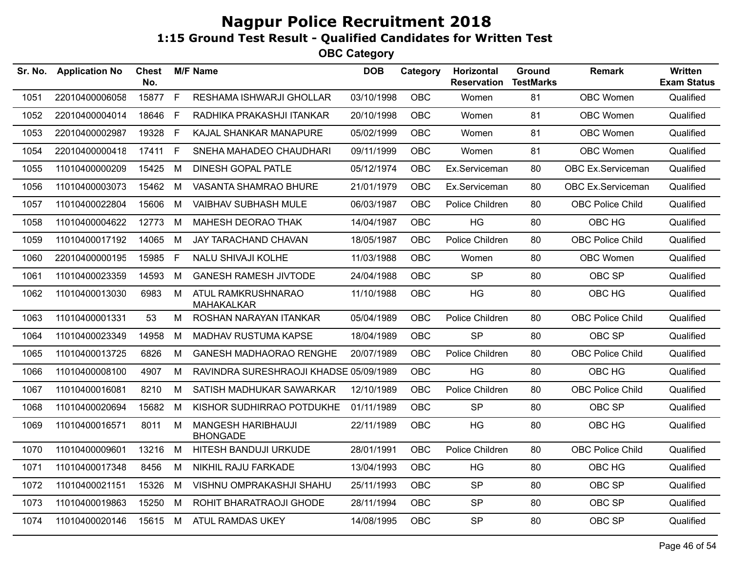| Sr. No. | <b>Application No</b> | Chest<br>No. |              | <b>M/F Name</b>                         | <b>DOB</b> | Category   | <b>Horizontal</b><br><b>Reservation</b> | <b>Ground</b><br><b>TestMarks</b> | <b>Remark</b>           | Written<br><b>Exam Status</b> |
|---------|-----------------------|--------------|--------------|-----------------------------------------|------------|------------|-----------------------------------------|-----------------------------------|-------------------------|-------------------------------|
| 1051    | 22010400006058        | 15877        | $\mathsf{F}$ | RESHAMA ISHWARJI GHOLLAR                | 03/10/1998 | <b>OBC</b> | Women                                   | 81                                | <b>OBC Women</b>        | Qualified                     |
| 1052    | 22010400004014        | 18646        | - F          | RADHIKA PRAKASHJI ITANKAR               | 20/10/1998 | <b>OBC</b> | Women                                   | 81                                | OBC Women               | Qualified                     |
| 1053    | 22010400002987        | 19328 F      |              | KAJAL SHANKAR MANAPURE                  | 05/02/1999 | <b>OBC</b> | Women                                   | 81                                | OBC Women               | Qualified                     |
| 1054    | 22010400000418        | 17411        | F            | SNEHA MAHADEO CHAUDHARI                 | 09/11/1999 | <b>OBC</b> | Women                                   | 81                                | OBC Women               | Qualified                     |
| 1055    | 11010400000209        | 15425        | M            | DINESH GOPAL PATLE                      | 05/12/1974 | <b>OBC</b> | Ex.Serviceman                           | 80                                | OBC Ex.Serviceman       | Qualified                     |
| 1056    | 11010400003073        | 15462        | M            | VASANTA SHAMRAO BHURE                   | 21/01/1979 | <b>OBC</b> | Ex.Serviceman                           | 80                                | OBC Ex.Serviceman       | Qualified                     |
| 1057    | 11010400022804        | 15606        | M            | <b>VAIBHAV SUBHASH MULE</b>             | 06/03/1987 | <b>OBC</b> | Police Children                         | 80                                | <b>OBC Police Child</b> | Qualified                     |
| 1058    | 11010400004622        | 12773        | M            | MAHESH DEORAO THAK                      | 14/04/1987 | <b>OBC</b> | HG                                      | 80                                | OBC HG                  | Qualified                     |
| 1059    | 11010400017192        | 14065        | M            | JAY TARACHAND CHAVAN                    | 18/05/1987 | <b>OBC</b> | Police Children                         | 80                                | <b>OBC Police Child</b> | Qualified                     |
| 1060    | 22010400000195        | 15985 F      |              | <b>NALU SHIVAJI KOLHE</b>               | 11/03/1988 | <b>OBC</b> | Women                                   | 80                                | OBC Women               | Qualified                     |
| 1061    | 11010400023359        | 14593        | M            | <b>GANESH RAMESH JIVTODE</b>            | 24/04/1988 | <b>OBC</b> | <b>SP</b>                               | 80                                | OBC SP                  | Qualified                     |
| 1062    | 11010400013030        | 6983         | M            | ATUL RAMKRUSHNARAO<br><b>MAHAKALKAR</b> | 11/10/1988 | <b>OBC</b> | <b>HG</b>                               | 80                                | OBC HG                  | Qualified                     |
| 1063    | 11010400001331        | 53           | М            | ROSHAN NARAYAN ITANKAR                  | 05/04/1989 | <b>OBC</b> | Police Children                         | 80                                | OBC Police Child        | Qualified                     |
| 1064    | 11010400023349        | 14958        | M            | <b>MADHAV RUSTUMA KAPSE</b>             | 18/04/1989 | <b>OBC</b> | <b>SP</b>                               | 80                                | OBC SP                  | Qualified                     |
| 1065    | 11010400013725        | 6826         | М            | <b>GANESH MADHAORAO RENGHE</b>          | 20/07/1989 | OBC        | Police Children                         | 80                                | <b>OBC Police Child</b> | Qualified                     |
| 1066    | 11010400008100        | 4907         | M            | RAVINDRA SURESHRAOJI KHADSE 05/09/1989  |            | <b>OBC</b> | <b>HG</b>                               | 80                                | OBC HG                  | Qualified                     |
| 1067    | 11010400016081        | 8210         | М            | SATISH MADHUKAR SAWARKAR                | 12/10/1989 | <b>OBC</b> | Police Children                         | 80                                | <b>OBC Police Child</b> | Qualified                     |
| 1068    | 11010400020694        | 15682        | M            | KISHOR SUDHIRRAO POTDUKHE               | 01/11/1989 | OBC.       | <b>SP</b>                               | 80                                | OBC SP                  | Qualified                     |
| 1069    | 11010400016571        | 8011         | M            | MANGESH HARIBHAUJI<br><b>BHONGADE</b>   | 22/11/1989 | <b>OBC</b> | <b>HG</b>                               | 80                                | OBC HG                  | Qualified                     |
| 1070    | 11010400009601        | 13216        | M            | HITESH BANDUJI URKUDE                   | 28/01/1991 | <b>OBC</b> | Police Children                         | 80                                | <b>OBC Police Child</b> | Qualified                     |
| 1071    | 11010400017348        | 8456         | M            | NIKHIL RAJU FARKADE                     | 13/04/1993 | <b>OBC</b> | HG                                      | 80                                | OBC HG                  | Qualified                     |
| 1072    | 11010400021151        | 15326        | M            | VISHNU OMPRAKASHJI SHAHU                | 25/11/1993 | <b>OBC</b> | <b>SP</b>                               | 80                                | OBC SP                  | Qualified                     |
| 1073    | 11010400019863        | 15250        | M            | ROHIT BHARATRAOJI GHODE                 | 28/11/1994 | <b>OBC</b> | <b>SP</b>                               | 80                                | OBC SP                  | Qualified                     |
| 1074    | 11010400020146        | 15615 M      |              | ATUL RAMDAS UKEY                        | 14/08/1995 | <b>OBC</b> | <b>SP</b>                               | 80                                | OBC SP                  | Qualified                     |
|         |                       |              |              |                                         |            |            |                                         |                                   |                         |                               |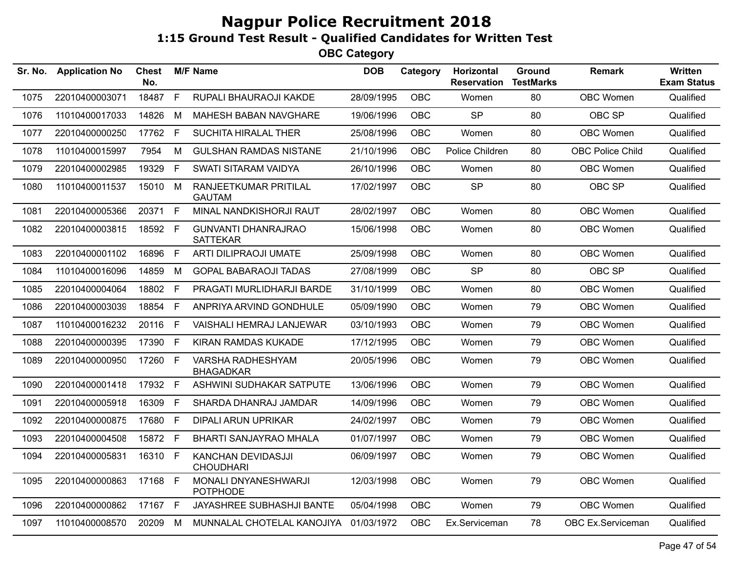| Sr. No. | <b>Application No</b> | <b>Chest</b><br>No. |    | <b>M/F Name</b>                               | <b>DOB</b> | Category   | Horizontal<br><b>Reservation</b> | Ground<br><b>TestMarks</b> | <b>Remark</b>           | <b>Written</b><br><b>Exam Status</b> |
|---------|-----------------------|---------------------|----|-----------------------------------------------|------------|------------|----------------------------------|----------------------------|-------------------------|--------------------------------------|
| 1075    | 22010400003071        | 18487               | F  | RUPALI BHAURAOJI KAKDE                        | 28/09/1995 | <b>OBC</b> | Women                            | 80                         | OBC Women               | Qualified                            |
| 1076    | 11010400017033        | 14826               | М  | <b>MAHESH BABAN NAVGHARE</b>                  | 19/06/1996 | <b>OBC</b> | <b>SP</b>                        | 80                         | OBC SP                  | Qualified                            |
| 1077    | 22010400000250        | 17762               | F  | SUCHITA HIRALAL THER                          | 25/08/1996 | <b>OBC</b> | Women                            | 80                         | OBC Women               | Qualified                            |
| 1078    | 11010400015997        | 7954                | M  | <b>GULSHAN RAMDAS NISTANE</b>                 | 21/10/1996 | <b>OBC</b> | Police Children                  | 80                         | <b>OBC Police Child</b> | Qualified                            |
| 1079    | 22010400002985        | 19329               | F. | SWATI SITARAM VAIDYA                          | 26/10/1996 | <b>OBC</b> | Women                            | 80                         | OBC Women               | Qualified                            |
| 1080    | 11010400011537        | 15010               | M  | RANJEETKUMAR PRITILAL<br><b>GAUTAM</b>        | 17/02/1997 | <b>OBC</b> | <b>SP</b>                        | 80                         | OBC SP                  | Qualified                            |
| 1081    | 22010400005366        | 20371               | F  | MINAL NANDKISHORJI RAUT                       | 28/02/1997 | <b>OBC</b> | Women                            | 80                         | OBC Women               | Qualified                            |
| 1082    | 22010400003815        | 18592 F             |    | <b>GUNVANTI DHANRAJRAO</b><br><b>SATTEKAR</b> | 15/06/1998 | <b>OBC</b> | Women                            | 80                         | OBC Women               | Qualified                            |
| 1083    | 22010400001102        | 16896               | F  | <b>ARTI DILIPRAOJI UMATE</b>                  | 25/09/1998 | <b>OBC</b> | Women                            | 80                         | OBC Women               | Qualified                            |
| 1084    | 11010400016096        | 14859               | М  | <b>GOPAL BABARAOJI TADAS</b>                  | 27/08/1999 | <b>OBC</b> | <b>SP</b>                        | 80                         | OBC SP                  | Qualified                            |
| 1085    | 22010400004064        | 18802               | F. | PRAGATI MURLIDHARJI BARDE                     | 31/10/1999 | <b>OBC</b> | Women                            | 80                         | OBC Women               | Qualified                            |
| 1086    | 22010400003039        | 18854               | F. | ANPRIYA ARVIND GONDHULE                       | 05/09/1990 | <b>OBC</b> | Women                            | 79                         | OBC Women               | Qualified                            |
| 1087    | 11010400016232        | 20116               | F. | VAISHALI HEMRAJ LANJEWAR                      | 03/10/1993 | <b>OBC</b> | Women                            | 79                         | OBC Women               | Qualified                            |
| 1088    | 22010400000395        | 17390               | F. | <b>KIRAN RAMDAS KUKADE</b>                    | 17/12/1995 | <b>OBC</b> | Women                            | 79                         | OBC Women               | Qualified                            |
| 1089    | 22010400000950        | 17260               | F. | VARSHA RADHESHYAM<br><b>BHAGADKAR</b>         | 20/05/1996 | <b>OBC</b> | Women                            | 79                         | <b>OBC Women</b>        | Qualified                            |
| 1090    | 22010400001418        | 17932 F             |    | ASHWINI SUDHAKAR SATPUTE                      | 13/06/1996 | <b>OBC</b> | Women                            | 79                         | OBC Women               | Qualified                            |
| 1091    | 22010400005918        | 16309               | F. | SHARDA DHANRAJ JAMDAR                         | 14/09/1996 | <b>OBC</b> | Women                            | 79                         | OBC Women               | Qualified                            |
| 1092    | 22010400000875        | 17680               | F. | DIPALI ARUN UPRIKAR                           | 24/02/1997 | <b>OBC</b> | Women                            | 79                         | OBC Women               | Qualified                            |
| 1093    | 22010400004508        | 15872 F             |    | BHARTI SANJAYRAO MHALA                        | 01/07/1997 | <b>OBC</b> | Women                            | 79                         | OBC Women               | Qualified                            |
| 1094    | 22010400005831        | 16310 F             |    | KANCHAN DEVIDASJJI<br><b>CHOUDHARI</b>        | 06/09/1997 | <b>OBC</b> | Women                            | 79                         | OBC Women               | Qualified                            |
| 1095    | 22010400000863        | 17168 F             |    | MONALI DNYANESHWARJI<br><b>POTPHODE</b>       | 12/03/1998 | <b>OBC</b> | Women                            | 79                         | OBC Women               | Qualified                            |
| 1096    | 22010400000862        | 17167 F             |    | JAYASHREE SUBHASHJI BANTE                     | 05/04/1998 | <b>OBC</b> | Women                            | 79                         | OBC Women               | Qualified                            |
| 1097    | 11010400008570        | 20209               | M  | MUNNALAL CHOTELAL KANOJIYA 01/03/1972         |            | OBC        | Ex.Serviceman                    | 78                         | OBC Ex.Serviceman       | Qualified                            |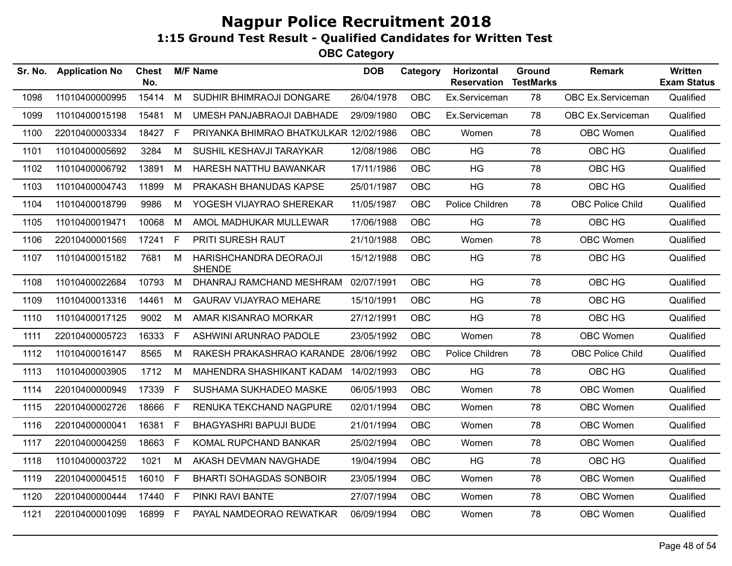| Sr. No. | <b>Application No</b> | <b>Chest</b><br>No. |              | <b>M/F Name</b>                         | <b>DOB</b> | Category   | Horizontal<br><b>Reservation</b> | Ground<br><b>TestMarks</b> | <b>Remark</b>           | Written<br><b>Exam Status</b> |
|---------|-----------------------|---------------------|--------------|-----------------------------------------|------------|------------|----------------------------------|----------------------------|-------------------------|-------------------------------|
| 1098    | 11010400000995        | 15414               | M            | SUDHIR BHIMRAOJI DONGARE                | 26/04/1978 | <b>OBC</b> | Ex.Serviceman                    | 78                         | OBC Ex.Serviceman       | Qualified                     |
| 1099    | 11010400015198        | 15481               | M            | UMESH PANJABRAOJI DABHADE               | 29/09/1980 | OBC        | Ex.Serviceman                    | 78                         | OBC Ex.Serviceman       | Qualified                     |
| 1100    | 22010400003334        | 18427               | F            | PRIYANKA BHIMRAO BHATKULKAR 12/02/1986  |            | <b>OBC</b> | Women                            | 78                         | <b>OBC Women</b>        | Qualified                     |
| 1101    | 11010400005692        | 3284                | M            | SUSHIL KESHAVJI TARAYKAR                | 12/08/1986 | <b>OBC</b> | HG                               | 78                         | OBC HG                  | Qualified                     |
| 1102    | 11010400006792        | 13891               | M            | HARESH NATTHU BAWANKAR                  | 17/11/1986 | <b>OBC</b> | <b>HG</b>                        | 78                         | OBC HG                  | Qualified                     |
| 1103    | 11010400004743        | 11899               | M            | PRAKASH BHANUDAS KAPSE                  | 25/01/1987 | <b>OBC</b> | HG                               | 78                         | OBC HG                  | Qualified                     |
| 1104    | 11010400018799        | 9986                | M            | YOGESH VIJAYRAO SHEREKAR                | 11/05/1987 | <b>OBC</b> | Police Children                  | 78                         | <b>OBC Police Child</b> | Qualified                     |
| 1105    | 11010400019471        | 10068               | M            | AMOL MADHUKAR MULLEWAR                  | 17/06/1988 | <b>OBC</b> | <b>HG</b>                        | 78                         | OBC HG                  | Qualified                     |
| 1106    | 22010400001569        | 17241               | $\mathsf{F}$ | PRITI SURESH RAUT                       | 21/10/1988 | <b>OBC</b> | Women                            | 78                         | OBC Women               | Qualified                     |
| 1107    | 11010400015182        | 7681                | M            | HARISHCHANDRA DEORAOJI<br><b>SHENDE</b> | 15/12/1988 | <b>OBC</b> | HG                               | 78                         | OBC HG                  | Qualified                     |
| 1108    | 11010400022684        | 10793               | M            | DHANRAJ RAMCHAND MESHRAM                | 02/07/1991 | <b>OBC</b> | HG                               | 78                         | OBC HG                  | Qualified                     |
| 1109    | 11010400013316        | 14461               | M            | <b>GAURAV VIJAYRAO MEHARE</b>           | 15/10/1991 | <b>OBC</b> | HG                               | 78                         | OBC HG                  | Qualified                     |
| 1110    | 11010400017125        | 9002                | M            | AMAR KISANRAO MORKAR                    | 27/12/1991 | <b>OBC</b> | HG                               | 78                         | OBC HG                  | Qualified                     |
| 1111    | 22010400005723        | 16333               | E            | ASHWINI ARUNRAO PADOLE                  | 23/05/1992 | <b>OBC</b> | Women                            | 78                         | <b>OBC Women</b>        | Qualified                     |
| 1112    | 11010400016147        | 8565                | M            | RAKESH PRAKASHRAO KARANDE 28/06/1992    |            | OBC        | Police Children                  | 78                         | <b>OBC Police Child</b> | Qualified                     |
| 1113    | 11010400003905        | 1712                | M            | MAHENDRA SHASHIKANT KADAM               | 14/02/1993 | <b>OBC</b> | <b>HG</b>                        | 78                         | OBC HG                  | Qualified                     |
| 1114    | 22010400000949        | 17339               | -F           | SUSHAMA SUKHADEO MASKE                  | 06/05/1993 | <b>OBC</b> | Women                            | 78                         | OBC Women               | Qualified                     |
| 1115    | 22010400002726        | 18666               | E            | RENUKA TEKCHAND NAGPURE                 | 02/01/1994 | <b>OBC</b> | Women                            | 78                         | OBC Women               | Qualified                     |
| 1116    | 22010400000041        | 16381               | F            | <b>BHAGYASHRI BAPUJI BUDE</b>           | 21/01/1994 | <b>OBC</b> | Women                            | 78                         | OBC Women               | Qualified                     |
| 1117    | 22010400004259        | 18663               | F.           | KOMAL RUPCHAND BANKAR                   | 25/02/1994 | <b>OBC</b> | Women                            | 78                         | OBC Women               | Qualified                     |
| 1118    | 11010400003722        | 1021                | M            | AKASH DEVMAN NAVGHADE                   | 19/04/1994 | <b>OBC</b> | HG                               | 78                         | OBC HG                  | Qualified                     |
| 1119    | 22010400004515        | 16010               | F            | <b>BHARTI SOHAGDAS SONBOIR</b>          | 23/05/1994 | <b>OBC</b> | Women                            | 78                         | OBC Women               | Qualified                     |
| 1120    | 22010400000444        | 17440               | F            | PINKI RAVI BANTE                        | 27/07/1994 | <b>OBC</b> | Women                            | 78                         | OBC Women               | Qualified                     |
| 1121    | 22010400001099        | 16899               | - F          | PAYAL NAMDEORAO REWATKAR                | 06/09/1994 | <b>OBC</b> | Women                            | 78                         | OBC Women               | Qualified                     |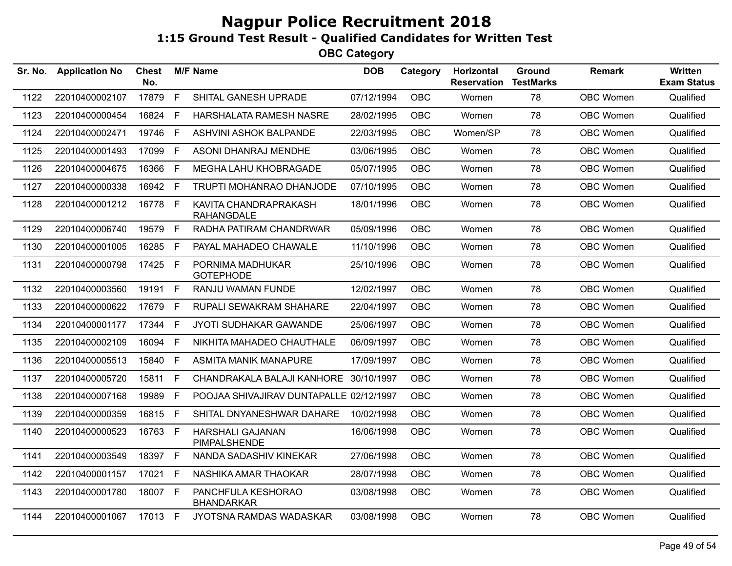| Sr. No. | <b>Application No</b> | Chest<br>No. |              | <b>M/F Name</b>                            | <b>DOB</b> | Category   | Horizontal<br><b>Reservation</b> | Ground<br><b>TestMarks</b> | <b>Remark</b> | <b>Written</b><br><b>Exam Status</b> |
|---------|-----------------------|--------------|--------------|--------------------------------------------|------------|------------|----------------------------------|----------------------------|---------------|--------------------------------------|
| 1122    | 22010400002107        | 17879        | F            | SHITAL GANESH UPRADE                       | 07/12/1994 | <b>OBC</b> | Women                            | 78                         | OBC Women     | Qualified                            |
| 1123    | 22010400000454        | 16824        | E            | HARSHALATA RAMESH NASRE                    | 28/02/1995 | <b>OBC</b> | Women                            | 78                         | OBC Women     | Qualified                            |
| 1124    | 22010400002471        | 19746        | F            | ASHVINI ASHOK BALPANDE                     | 22/03/1995 | <b>OBC</b> | Women/SP                         | 78                         | OBC Women     | Qualified                            |
| 1125    | 22010400001493        | 17099        | F            | ASONI DHANRAJ MENDHE                       | 03/06/1995 | <b>OBC</b> | Women                            | 78                         | OBC Women     | Qualified                            |
| 1126    | 22010400004675        | 16366        | -F           | MEGHA LAHU KHOBRAGADE                      | 05/07/1995 | <b>OBC</b> | Women                            | 78                         | OBC Women     | Qualified                            |
| 1127    | 22010400000338        | 16942        | E            | TRUPTI MOHANRAO DHANJODE                   | 07/10/1995 | <b>OBC</b> | Women                            | 78                         | OBC Women     | Qualified                            |
| 1128    | 22010400001212        | 16778 F      |              | KAVITA CHANDRAPRAKASH<br><b>RAHANGDALE</b> | 18/01/1996 | <b>OBC</b> | Women                            | 78                         | OBC Women     | Qualified                            |
| 1129    | 22010400006740        | 19579 F      |              | RADHA PATIRAM CHANDRWAR                    | 05/09/1996 | <b>OBC</b> | Women                            | 78                         | OBC Women     | Qualified                            |
| 1130    | 22010400001005        | 16285 F      |              | PAYAL MAHADEO CHAWALE                      | 11/10/1996 | <b>OBC</b> | Women                            | 78                         | OBC Women     | Qualified                            |
| 1131    | 22010400000798        | 17425 F      |              | PORNIMA MADHUKAR<br><b>GOTEPHODE</b>       | 25/10/1996 | <b>OBC</b> | Women                            | 78                         | OBC Women     | Qualified                            |
| 1132    | 22010400003560        | 19191 F      |              | RANJU WAMAN FUNDE                          | 12/02/1997 | <b>OBC</b> | Women                            | 78                         | OBC Women     | Qualified                            |
| 1133    | 22010400000622        | 17679        | F            | RUPALI SEWAKRAM SHAHARE                    | 22/04/1997 | <b>OBC</b> | Women                            | 78                         | OBC Women     | Qualified                            |
| 1134    | 22010400001177        | 17344        | F            | JYOTI SUDHAKAR GAWANDE                     | 25/06/1997 | <b>OBC</b> | Women                            | 78                         | OBC Women     | Qualified                            |
| 1135    | 22010400002109        | 16094        | F            | NIKHITA MAHADEO CHAUTHALE                  | 06/09/1997 | <b>OBC</b> | Women                            | 78                         | OBC Women     | Qualified                            |
| 1136    | 22010400005513        | 15840        | $\mathsf{F}$ | <b>ASMITA MANIK MANAPURE</b>               | 17/09/1997 | <b>OBC</b> | Women                            | 78                         | OBC Women     | Qualified                            |
| 1137    | 22010400005720        | 15811        | F            | CHANDRAKALA BALAJI KANHORE                 | 30/10/1997 | <b>OBC</b> | Women                            | 78                         | OBC Women     | Qualified                            |
| 1138    | 22010400007168        | 19989        | F            | POOJAA SHIVAJIRAV DUNTAPALLE 02/12/1997    |            | <b>OBC</b> | Women                            | 78                         | OBC Women     | Qualified                            |
| 1139    | 22010400000359        | 16815 F      |              | SHITAL DNYANESHWAR DAHARE                  | 10/02/1998 | <b>OBC</b> | Women                            | 78                         | OBC Women     | Qualified                            |
| 1140    | 22010400000523        | 16763 F      |              | <b>HARSHALI GAJANAN</b><br>PIMPALSHENDE    | 16/06/1998 | <b>OBC</b> | Women                            | 78                         | OBC Women     | Qualified                            |
| 1141    | 22010400003549        | 18397 F      |              | NANDA SADASHIV KINEKAR                     | 27/06/1998 | <b>OBC</b> | Women                            | 78                         | OBC Women     | Qualified                            |
| 1142    | 22010400001157        | 17021 F      |              | NASHIKA AMAR THAOKAR                       | 28/07/1998 | <b>OBC</b> | Women                            | 78                         | OBC Women     | Qualified                            |
| 1143    | 22010400001780        | 18007 F      |              | PANCHFULA KESHORAO<br><b>BHANDARKAR</b>    | 03/08/1998 | <b>OBC</b> | Women                            | 78                         | OBC Women     | Qualified                            |
| 1144    | 22010400001067        | 17013 F      |              | JYOTSNA RAMDAS WADASKAR                    | 03/08/1998 | <b>OBC</b> | Women                            | 78                         | OBC Women     | Qualified                            |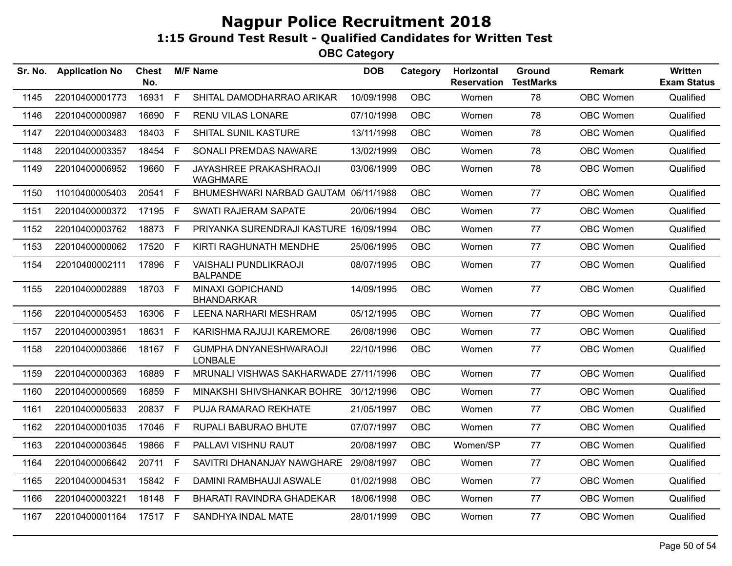| Sr. No. | <b>Application No</b> | <b>Chest</b><br>No. |              | <b>M/F Name</b>                                 | <b>DOB</b> | Category   | Horizontal<br><b>Reservation</b> | <b>Ground</b><br><b>TestMarks</b> | <b>Remark</b> | <b>Written</b><br><b>Exam Status</b> |
|---------|-----------------------|---------------------|--------------|-------------------------------------------------|------------|------------|----------------------------------|-----------------------------------|---------------|--------------------------------------|
| 1145    | 22010400001773        | 16931               | F            | SHITAL DAMODHARRAO ARIKAR                       | 10/09/1998 | <b>OBC</b> | Women                            | 78                                | OBC Women     | Qualified                            |
| 1146    | 22010400000987        | 16690               | F            | RENU VILAS LONARE                               | 07/10/1998 | OBC        | Women                            | 78                                | OBC Women     | Qualified                            |
| 1147    | 22010400003483        | 18403               | F            | SHITAL SUNIL KASTURE                            | 13/11/1998 | <b>OBC</b> | Women                            | 78                                | OBC Women     | Qualified                            |
| 1148    | 22010400003357        | 18454               | $\mathsf{F}$ | SONALI PREMDAS NAWARE                           | 13/02/1999 | <b>OBC</b> | Women                            | 78                                | OBC Women     | Qualified                            |
| 1149    | 22010400006952        | 19660               | F            | JAYASHREE PRAKASHRAOJI<br><b>WAGHMARE</b>       | 03/06/1999 | OBC        | Women                            | 78                                | OBC Women     | Qualified                            |
| 1150    | 11010400005403        | 20541               | F            | BHUMESHWARI NARBAD GAUTAM 06/11/1988            |            | <b>OBC</b> | Women                            | 77                                | OBC Women     | Qualified                            |
| 1151    | 22010400000372        | 17195               | E            | <b>SWATI RAJERAM SAPATE</b>                     | 20/06/1994 | <b>OBC</b> | Women                            | 77                                | OBC Women     | Qualified                            |
| 1152    | 22010400003762        | 18873               | E            | PRIYANKA SURENDRAJI KASTURE 16/09/1994          |            | <b>OBC</b> | Women                            | 77                                | OBC Women     | Qualified                            |
| 1153    | 22010400000062        | 17520               | $\mathsf F$  | KIRTI RAGHUNATH MENDHE                          | 25/06/1995 | <b>OBC</b> | Women                            | 77                                | OBC Women     | Qualified                            |
| 1154    | 22010400002111        | 17896               | F            | <b>VAISHALI PUNDLIKRAOJI</b><br><b>BALPANDE</b> | 08/07/1995 | OBC        | Women                            | 77                                | OBC Women     | Qualified                            |
| 1155    | 22010400002889        | 18703               | F            | <b>MINAXI GOPICHAND</b><br><b>BHANDARKAR</b>    | 14/09/1995 | <b>OBC</b> | Women                            | 77                                | OBC Women     | Qualified                            |
| 1156    | 22010400005453        | 16306               | F            | <b>LEENA NARHARI MESHRAM</b>                    | 05/12/1995 | <b>OBC</b> | Women                            | 77                                | OBC Women     | Qualified                            |
| 1157    | 22010400003951        | 18631               | E            | KARISHMA RAJUJI KAREMORE                        | 26/08/1996 | OBC        | Women                            | 77                                | OBC Women     | Qualified                            |
| 1158    | 22010400003866        | 18167 F             |              | <b>GUMPHA DNYANESHWARAOJI</b><br><b>LONBALE</b> | 22/10/1996 | <b>OBC</b> | Women                            | 77                                | OBC Women     | Qualified                            |
| 1159    | 22010400000363        | 16889               | $\mathsf{F}$ | MRUNALI VISHWAS SAKHARWADE 27/11/1996           |            | <b>OBC</b> | Women                            | 77                                | OBC Women     | Qualified                            |
| 1160    | 22010400000569        | 16859               | E            | MINAKSHI SHIVSHANKAR BOHRE 30/12/1996           |            | <b>OBC</b> | Women                            | 77                                | OBC Women     | Qualified                            |
| 1161    | 22010400005633        | 20837               | F            | PUJA RAMARAO REKHATE                            | 21/05/1997 | <b>OBC</b> | Women                            | 77                                | OBC Women     | Qualified                            |
| 1162    | 22010400001035        | 17046               | $\mathsf F$  | RUPALI BABURAO BHUTE                            | 07/07/1997 | OBC        | Women                            | 77                                | OBC Women     | Qualified                            |
| 1163    | 22010400003645        | 19866               | $\mathsf{F}$ | PALLAVI VISHNU RAUT                             | 20/08/1997 | <b>OBC</b> | Women/SP                         | 77                                | OBC Women     | Qualified                            |
| 1164    | 22010400006642        | 20711               | F            | SAVITRI DHANANJAY NAWGHARE                      | 29/08/1997 | <b>OBC</b> | Women                            | 77                                | OBC Women     | Qualified                            |
| 1165    | 22010400004531        | 15842 F             |              | DAMINI RAMBHAUJI ASWALE                         | 01/02/1998 | OBC        | Women                            | 77                                | OBC Women     | Qualified                            |
| 1166    | 22010400003221        | 18148               | E            | <b>BHARATI RAVINDRA GHADEKAR</b>                | 18/06/1998 | <b>OBC</b> | Women                            | 77                                | OBC Women     | Qualified                            |
| 1167    | 22010400001164        | 17517 F             |              | SANDHYA INDAL MATE                              | 28/01/1999 | OBC        | Women                            | 77                                | OBC Women     | Qualified                            |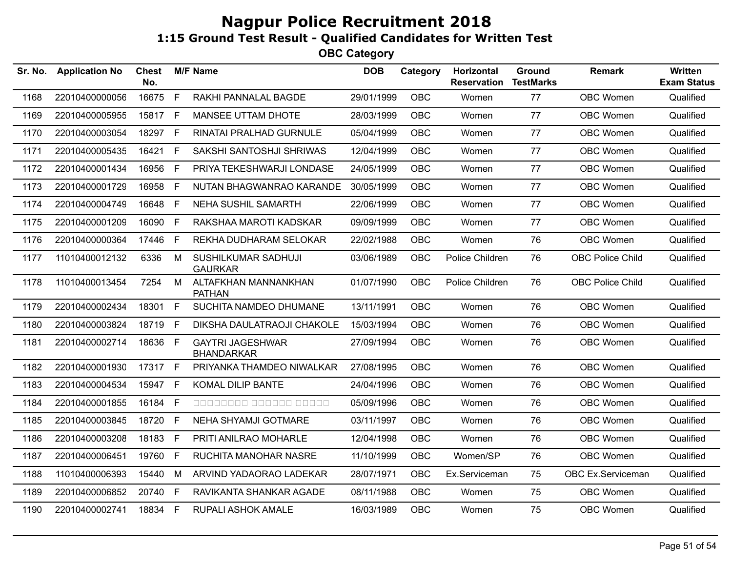| Sr. No. | <b>Application No</b> | <b>Chest</b><br>No. |      | <b>M/F Name</b>                              | <b>DOB</b> | Category   | Horizontal<br><b>Reservation</b> | Ground<br><b>TestMarks</b> | <b>Remark</b>           | <b>Written</b><br><b>Exam Status</b> |
|---------|-----------------------|---------------------|------|----------------------------------------------|------------|------------|----------------------------------|----------------------------|-------------------------|--------------------------------------|
| 1168    | 22010400000056        | 16675               | F    | RAKHI PANNALAL BAGDE                         | 29/01/1999 | OBC        | Women                            | 77                         | OBC Women               | Qualified                            |
| 1169    | 22010400005955        | 15817               | F    | MANSEE UTTAM DHOTE                           | 28/03/1999 | <b>OBC</b> | Women                            | 77                         | OBC Women               | Qualified                            |
| 1170    | 22010400003054        | 18297               | F.   | RINATAI PRALHAD GURNULE                      | 05/04/1999 | <b>OBC</b> | Women                            | 77                         | OBC Women               | Qualified                            |
| 1171    | 22010400005435        | 16421               | F.   | SAKSHI SANTOSHJI SHRIWAS                     | 12/04/1999 | <b>OBC</b> | Women                            | 77                         | <b>OBC Women</b>        | Qualified                            |
| 1172    | 22010400001434        | 16956               | F    | PRIYA TEKESHWARJI LONDASE                    | 24/05/1999 | <b>OBC</b> | Women                            | 77                         | <b>OBC Women</b>        | Qualified                            |
| 1173    | 22010400001729        | 16958               | F.   | NUTAN BHAGWANRAO KARANDE                     | 30/05/1999 | <b>OBC</b> | Women                            | 77                         | <b>OBC Women</b>        | Qualified                            |
| 1174    | 22010400004749        | 16648               | F    | <b>NEHA SUSHIL SAMARTH</b>                   | 22/06/1999 | <b>OBC</b> | Women                            | 77                         | <b>OBC Women</b>        | Qualified                            |
| 1175    | 22010400001209        | 16090               | F.   | RAKSHAA MAROTI KADSKAR                       | 09/09/1999 | <b>OBC</b> | Women                            | 77                         | OBC Women               | Qualified                            |
| 1176    | 22010400000364        | 17446               | F.   | REKHA DUDHARAM SELOKAR                       | 22/02/1988 | <b>OBC</b> | Women                            | 76                         | OBC Women               | Qualified                            |
| 1177    | 11010400012132        | 6336                | M    | SUSHILKUMAR SADHUJI<br><b>GAURKAR</b>        | 03/06/1989 | OBC        | Police Children                  | 76                         | <b>OBC Police Child</b> | Qualified                            |
| 1178    | 11010400013454        | 7254                | M    | ALTAFKHAN MANNANKHAN<br><b>PATHAN</b>        | 01/07/1990 | OBC        | Police Children                  | 76                         | <b>OBC Police Child</b> | Qualified                            |
| 1179    | 22010400002434        | 18301               | F.   | SUCHITA NAMDEO DHUMANE                       | 13/11/1991 | <b>OBC</b> | Women                            | 76                         | OBC Women               | Qualified                            |
| 1180    | 22010400003824        | 18719               | F.   | DIKSHA DAULATRAOJI CHAKOLE                   | 15/03/1994 | <b>OBC</b> | Women                            | 76                         | OBC Women               | Qualified                            |
| 1181    | 22010400002714        | 18636               | $-F$ | <b>GAYTRI JAGESHWAR</b><br><b>BHANDARKAR</b> | 27/09/1994 | <b>OBC</b> | Women                            | 76                         | OBC Women               | Qualified                            |
| 1182    | 22010400001930        | 17317 F             |      | PRIYANKA THAMDEO NIWALKAR                    | 27/08/1995 | <b>OBC</b> | Women                            | 76                         | OBC Women               | Qualified                            |
| 1183    | 22010400004534        | 15947               | F.   | KOMAL DILIP BANTE                            | 24/04/1996 | OBC.       | Women                            | 76                         | OBC Women               | Qualified                            |
| 1184    | 22010400001855        | 16184               | F.   | 00000000 000000 00000                        | 05/09/1996 | <b>OBC</b> | Women                            | 76                         | OBC Women               | Qualified                            |
| 1185    | 22010400003845        | 18720               | F    | NEHA SHYAMJI GOTMARE                         | 03/11/1997 | <b>OBC</b> | Women                            | 76                         | <b>OBC Women</b>        | Qualified                            |
| 1186    | 22010400003208        | 18183               | F.   | PRITI ANILRAO MOHARLE                        | 12/04/1998 | <b>OBC</b> | Women                            | 76                         | <b>OBC Women</b>        | Qualified                            |
| 1187    | 22010400006451        | 19760               | F.   | RUCHITA MANOHAR NASRE                        | 11/10/1999 | OBC        | Women/SP                         | 76                         | OBC Women               | Qualified                            |
| 1188    | 11010400006393        | 15440               | M    | ARVIND YADAORAO LADEKAR                      | 28/07/1971 | OBC        | Ex.Serviceman                    | 75                         | OBC Ex.Serviceman       | Qualified                            |
| 1189    | 22010400006852        | 20740               | F    | RAVIKANTA SHANKAR AGADE                      | 08/11/1988 | <b>OBC</b> | Women                            | 75                         | <b>OBC Women</b>        | Qualified                            |
| 1190    | 22010400002741        | 18834 F             |      | RUPALI ASHOK AMALE                           | 16/03/1989 | <b>OBC</b> | Women                            | 75                         | OBC Women               | Qualified                            |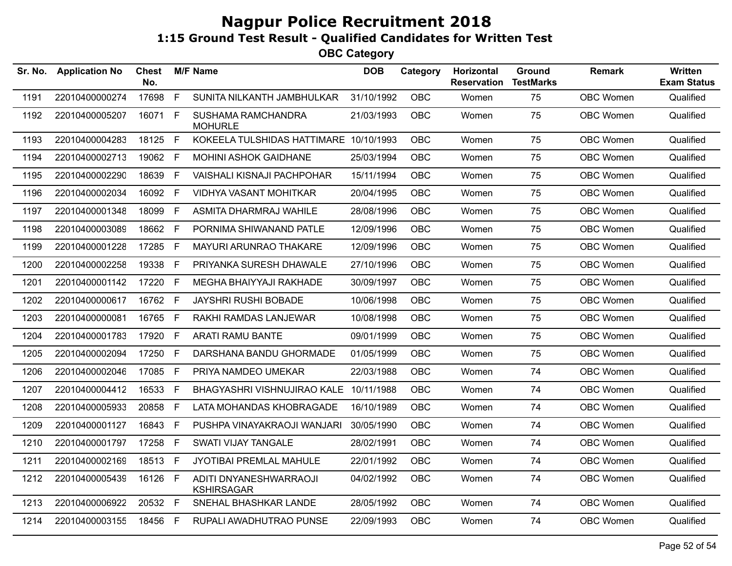| Sr. No. | <b>Application No</b> | <b>Chest</b><br>No. |              | <b>M/F Name</b>                             | <b>DOB</b> | Category   | <b>Horizontal</b><br><b>Reservation</b> | Ground<br><b>TestMarks</b> | <b>Remark</b>    | <b>Written</b><br><b>Exam Status</b> |
|---------|-----------------------|---------------------|--------------|---------------------------------------------|------------|------------|-----------------------------------------|----------------------------|------------------|--------------------------------------|
| 1191    | 22010400000274        | 17698               | $\mathsf{F}$ | SUNITA NILKANTH JAMBHULKAR                  | 31/10/1992 | OBC        | Women                                   | 75                         | <b>OBC Women</b> | Qualified                            |
| 1192    | 22010400005207        | 16071 F             |              | SUSHAMA RAMCHANDRA<br><b>MOHURLE</b>        | 21/03/1993 | <b>OBC</b> | Women                                   | 75                         | <b>OBC Women</b> | Qualified                            |
| 1193    | 22010400004283        | 18125 F             |              | KOKEELA TULSHIDAS HATTIMARE 10/10/1993      |            | <b>OBC</b> | Women                                   | 75                         | OBC Women        | Qualified                            |
| 1194    | 22010400002713        | 19062 F             |              | <b>MOHINI ASHOK GAIDHANE</b>                | 25/03/1994 | <b>OBC</b> | Women                                   | 75                         | OBC Women        | Qualified                            |
| 1195    | 22010400002290        | 18639               | $\mathsf{F}$ | VAISHALI KISNAJI PACHPOHAR                  | 15/11/1994 | <b>OBC</b> | Women                                   | 75                         | <b>OBC Women</b> | Qualified                            |
| 1196    | 22010400002034        | 16092 F             |              | VIDHYA VASANT MOHITKAR                      | 20/04/1995 | <b>OBC</b> | Women                                   | 75                         | <b>OBC Women</b> | Qualified                            |
| 1197    | 22010400001348        | 18099               | F            | ASMITA DHARMRAJ WAHILE                      | 28/08/1996 | <b>OBC</b> | Women                                   | 75                         | OBC Women        | Qualified                            |
| 1198    | 22010400003089        | 18662 F             |              | PORNIMA SHIWANAND PATLE                     | 12/09/1996 | <b>OBC</b> | Women                                   | 75                         | <b>OBC Women</b> | Qualified                            |
| 1199    | 22010400001228        | 17285 F             |              | MAYURI ARUNRAO THAKARE                      | 12/09/1996 | <b>OBC</b> | Women                                   | 75                         | <b>OBC Women</b> | Qualified                            |
| 1200    | 22010400002258        | 19338               | F            | PRIYANKA SURESH DHAWALE                     | 27/10/1996 | <b>OBC</b> | Women                                   | 75                         | OBC Women        | Qualified                            |
| 1201    | 22010400001142        | 17220               | $\mathsf{F}$ | MEGHA BHAIYYAJI RAKHADE                     | 30/09/1997 | <b>OBC</b> | Women                                   | 75                         | OBC Women        | Qualified                            |
| 1202    | 22010400000617        | 16762 F             |              | <b>JAYSHRI RUSHI BOBADE</b>                 | 10/06/1998 | <b>OBC</b> | Women                                   | 75                         | OBC Women        | Qualified                            |
| 1203    | 22010400000081        | 16765 F             |              | RAKHI RAMDAS LANJEWAR                       | 10/08/1998 | <b>OBC</b> | Women                                   | 75                         | <b>OBC Women</b> | Qualified                            |
| 1204    | 22010400001783        | 17920               | F            | <b>ARATI RAMU BANTE</b>                     | 09/01/1999 | <b>OBC</b> | Women                                   | 75                         | <b>OBC Women</b> | Qualified                            |
| 1205    | 22010400002094        | 17250 F             |              | DARSHANA BANDU GHORMADE                     | 01/05/1999 | <b>OBC</b> | Women                                   | 75                         | <b>OBC Women</b> | Qualified                            |
| 1206    | 22010400002046        | 17085 F             |              | PRIYA NAMDEO UMEKAR                         | 22/03/1988 | <b>OBC</b> | Women                                   | 74                         | <b>OBC Women</b> | Qualified                            |
| 1207    | 22010400004412        | 16533               | -F           | BHAGYASHRI VISHNUJIRAO KALE                 | 10/11/1988 | <b>OBC</b> | Women                                   | 74                         | OBC Women        | Qualified                            |
| 1208    | 22010400005933        | 20858               | F.           | LATA MOHANDAS KHOBRAGADE                    | 16/10/1989 | <b>OBC</b> | Women                                   | 74                         | OBC Women        | Qualified                            |
| 1209    | 22010400001127        | 16843 F             |              | PUSHPA VINAYAKRAOJI WANJARI                 | 30/05/1990 | <b>OBC</b> | Women                                   | 74                         | <b>OBC Women</b> | Qualified                            |
| 1210    | 22010400001797        | 17258 F             |              | SWATI VIJAY TANGALE                         | 28/02/1991 | <b>OBC</b> | Women                                   | 74                         | <b>OBC Women</b> | Qualified                            |
| 1211    | 22010400002169        | 18513 F             |              | JYOTIBAI PREMLAL MAHULE                     | 22/01/1992 | <b>OBC</b> | Women                                   | 74                         | <b>OBC Women</b> | Qualified                            |
| 1212    | 22010400005439        | 16126 F             |              | ADITI DNYANESHWARRAOJI<br><b>KSHIRSAGAR</b> | 04/02/1992 | <b>OBC</b> | Women                                   | 74                         | OBC Women        | Qualified                            |
| 1213    | 22010400006922        | 20532 F             |              | SNEHAL BHASHKAR LANDE                       | 28/05/1992 | OBC        | Women                                   | 74                         | OBC Women        | Qualified                            |
| 1214    | 22010400003155        | 18456 F             |              | RUPALI AWADHUTRAO PUNSE                     | 22/09/1993 | <b>OBC</b> | Women                                   | 74                         | OBC Women        | Qualified                            |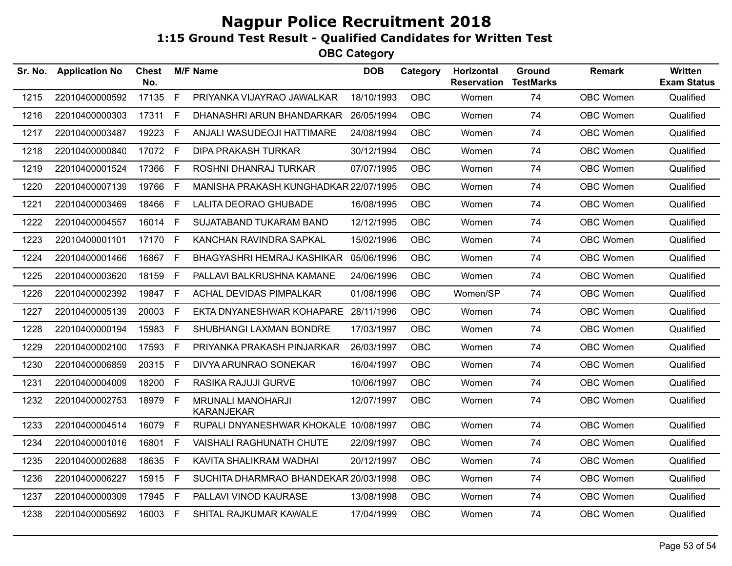| Sr. No. | <b>Application No</b> | <b>Chest</b><br>No. |             | <b>M/F Name</b>                               | <b>DOB</b> | Category   | Horizontal<br><b>Reservation</b> | Ground<br><b>TestMarks</b> | <b>Remark</b>    | <b>Written</b><br><b>Exam Status</b> |
|---------|-----------------------|---------------------|-------------|-----------------------------------------------|------------|------------|----------------------------------|----------------------------|------------------|--------------------------------------|
| 1215    | 22010400000592        | 17135               | F           | PRIYANKA VIJAYRAO JAWALKAR                    | 18/10/1993 | <b>OBC</b> | Women                            | 74                         | OBC Women        | Qualified                            |
| 1216    | 22010400000303        | 17311               | F.          | DHANASHRI ARUN BHANDARKAR                     | 26/05/1994 | <b>OBC</b> | Women                            | 74                         | OBC Women        | Qualified                            |
| 1217    | 22010400003487        | 19223               | F.          | ANJALI WASUDEOJI HATTIMARE                    | 24/08/1994 | <b>OBC</b> | Women                            | 74                         | OBC Women        | Qualified                            |
| 1218    | 22010400000840        | 17072 F             |             | <b>DIPA PRAKASH TURKAR</b>                    | 30/12/1994 | <b>OBC</b> | Women                            | 74                         | OBC Women        | Qualified                            |
| 1219    | 22010400001524        | 17366 F             |             | ROSHNI DHANRAJ TURKAR                         | 07/07/1995 | <b>OBC</b> | Women                            | 74                         | OBC Women        | Qualified                            |
| 1220    | 22010400007139        | 19766               | F.          | MANISHA PRAKASH KUNGHADKAR 22/07/1995         |            | <b>OBC</b> | Women                            | 74                         | OBC Women        | Qualified                            |
| 1221    | 22010400003469        | 18466               | F.          | LALITA DEORAO GHUBADE                         | 16/08/1995 | <b>OBC</b> | Women                            | 74                         | OBC Women        | Qualified                            |
| 1222    | 22010400004557        | 16014               | F.          | SUJATABAND TUKARAM BAND                       | 12/12/1995 | <b>OBC</b> | Women                            | 74                         | OBC Women        | Qualified                            |
| 1223    | 22010400001101        | 17170               | F           | KANCHAN RAVINDRA SAPKAL                       | 15/02/1996 | OBC        | Women                            | 74                         | <b>OBC Women</b> | Qualified                            |
| 1224    | 22010400001466        | 16867               | F           | BHAGYASHRI HEMRAJ KASHIKAR                    | 05/06/1996 | OBC        | Women                            | 74                         | OBC Women        | Qualified                            |
| 1225    | 22010400003620        | 18159               | F.          | PALLAVI BALKRUSHNA KAMANE                     | 24/06/1996 | <b>OBC</b> | Women                            | 74                         | OBC Women        | Qualified                            |
| 1226    | 22010400002392        | 19847               | F.          | ACHAL DEVIDAS PIMPALKAR                       | 01/08/1996 | OBC        | Women/SP                         | 74                         | <b>OBC Women</b> | Qualified                            |
| 1227    | 22010400005139        | 20003               | F.          | EKTA DNYANESHWAR KOHAPARE                     | 28/11/1996 | OBC.       | Women                            | 74                         | <b>OBC Women</b> | Qualified                            |
| 1228    | 22010400000194        | 15983 F             |             | SHUBHANGI LAXMAN BONDRE                       | 17/03/1997 | OBC        | Women                            | 74                         | <b>OBC Women</b> | Qualified                            |
| 1229    | 22010400002100        | 17593               | F.          | PRIYANKA PRAKASH PINJARKAR                    | 26/03/1997 | OBC        | Women                            | 74                         | OBC Women        | Qualified                            |
| 1230    | 22010400006859        | 20315               | F.          | DIVYA ARUNRAO SONEKAR                         | 16/04/1997 | <b>OBC</b> | Women                            | 74                         | OBC Women        | Qualified                            |
| 1231    | 22010400004009        | 18200               | F.          | RASIKA RAJUJI GURVE                           | 10/06/1997 | <b>OBC</b> | Women                            | 74                         | OBC Women        | Qualified                            |
| 1232    | 22010400002753        | 18979 F             |             | <b>MRUNALI MANOHARJI</b><br><b>KARANJEKAR</b> | 12/07/1997 | <b>OBC</b> | Women                            | 74                         | OBC Women        | Qualified                            |
| 1233    | 22010400004514        | 16079               | F           | RUPALI DNYANESHWAR KHOKALE 10/08/1997         |            | <b>OBC</b> | Women                            | 74                         | OBC Women        | Qualified                            |
| 1234    | 22010400001016        | 16801               | F.          | VAISHALI RAGHUNATH CHUTE                      | 22/09/1997 | <b>OBC</b> | Women                            | 74                         | OBC Women        | Qualified                            |
| 1235    | 22010400002688        | 18635               | F           | KAVITA SHALIKRAM WADHAI                       | 20/12/1997 | <b>OBC</b> | Women                            | 74                         | OBC Women        | Qualified                            |
| 1236    | 22010400006227        | 15915               | $\mathsf F$ | SUCHITA DHARMRAO BHANDEKAR 20/03/1998         |            | <b>OBC</b> | Women                            | 74                         | OBC Women        | Qualified                            |
| 1237    | 22010400000309        | 17945               | F           | PALLAVI VINOD KAURASE                         | 13/08/1998 | <b>OBC</b> | Women                            | 74                         | <b>OBC Women</b> | Qualified                            |
| 1238    | 22010400005692        | 16003               | - F         | SHITAL RAJKUMAR KAWALE                        | 17/04/1999 | <b>OBC</b> | Women                            | 74                         | OBC Women        | Qualified                            |